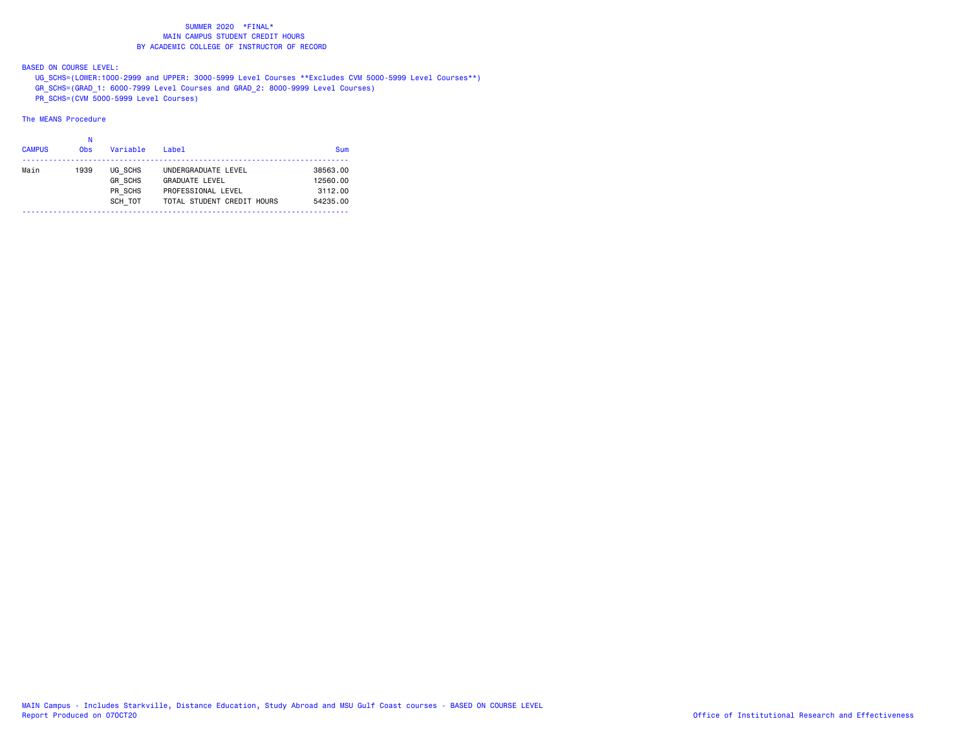BASED ON COURSE LEVEL:

UG\_SCHS=(LOWER:1000-2999 and UPPER: 3000-5999 Level Courses \*\*Excludes CVM 5000-5999 Level Courses\*\*)

- GR\_SCHS=(GRAD\_1: 6000-7999 Level Courses and GRAD\_2: 8000-9999 Level Courses)
- PR\_SCHS=(CVM 5000-5999 Level Courses)

| <b>CAMPUS</b> | Ν<br><b>Obs</b> | Variable       | $I$ ahel                   | Sum      |
|---------------|-----------------|----------------|----------------------------|----------|
| Main          | 1939            | UG SCHS        | UNDERGRADUATE LEVEL        | 38563.00 |
|               |                 | <b>GR SCHS</b> | <b>GRADUATE LEVEL</b>      | 12560.00 |
|               |                 | PR SCHS        | PROFESSIONAL LEVEL         | 3112.00  |
|               |                 | SCH TOT        | TOTAL STUDENT CREDIT HOURS | 54235.00 |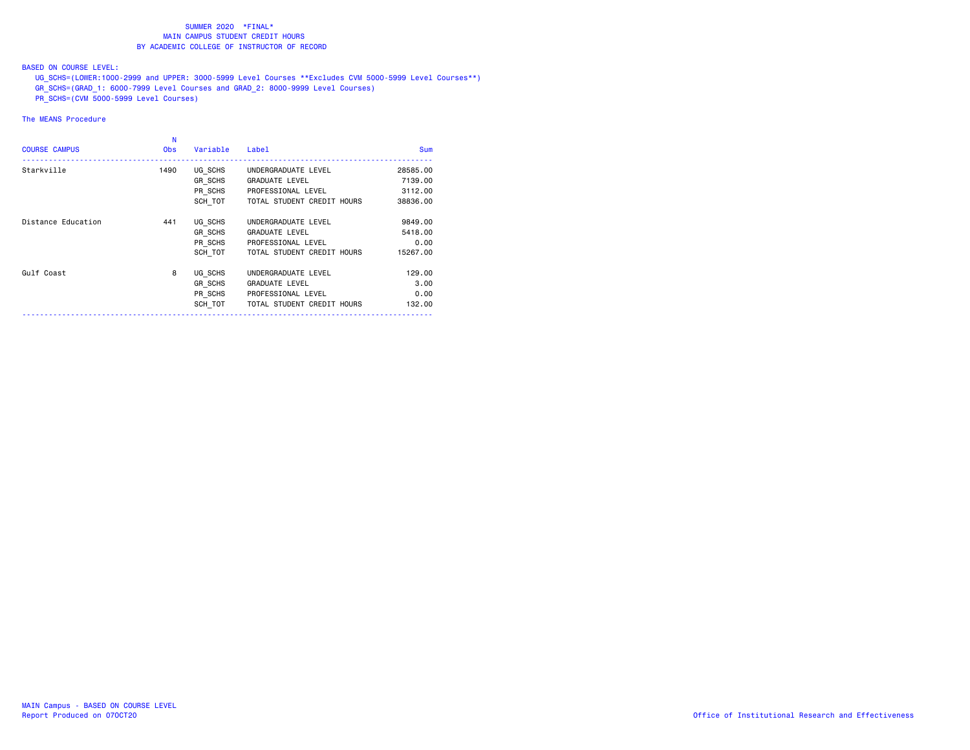BASED ON COURSE LEVEL:

UG\_SCHS=(LOWER:1000-2999 and UPPER: 3000-5999 Level Courses \*\*Excludes CVM 5000-5999 Level Courses\*\*)

- GR\_SCHS=(GRAD\_1: 6000-7999 Level Courses and GRAD\_2: 8000-9999 Level Courses)
- PR\_SCHS=(CVM 5000-5999 Level Courses)

| <b>COURSE CAMPUS</b> | N<br><b>Obs</b> | Variable | Label                      | <b>Sum</b> |
|----------------------|-----------------|----------|----------------------------|------------|
| Starkville           | 1490            | UG SCHS  | UNDERGRADUATE LEVEL        | 28585.00   |
|                      |                 | GR SCHS  | <b>GRADUATE LEVEL</b>      | 7139.00    |
|                      |                 | PR_SCHS  | PROFESSIONAL LEVEL         | 3112.00    |
|                      |                 | SCH TOT  | TOTAL STUDENT CREDIT HOURS | 38836.00   |
| Distance Education   | 441             | UG SCHS  | UNDERGRADUATE LEVEL        | 9849,00    |
|                      |                 | GR SCHS  | <b>GRADUATE LEVEL</b>      | 5418.00    |
|                      |                 | PR SCHS  | PROFESSIONAL LEVEL         | 0.00       |
|                      |                 | SCH TOT  | TOTAL STUDENT CREDIT HOURS | 15267.00   |
| Gulf Coast           | 8               | UG SCHS  | UNDERGRADUATE LEVEL        | 129,00     |
|                      |                 | GR SCHS  | <b>GRADUATE LEVEL</b>      | 3,00       |
|                      |                 | PR SCHS  | PROFESSIONAL LEVEL         | 0.00       |
|                      |                 | SCH TOT  | TOTAL STUDENT CREDIT HOURS | 132.00     |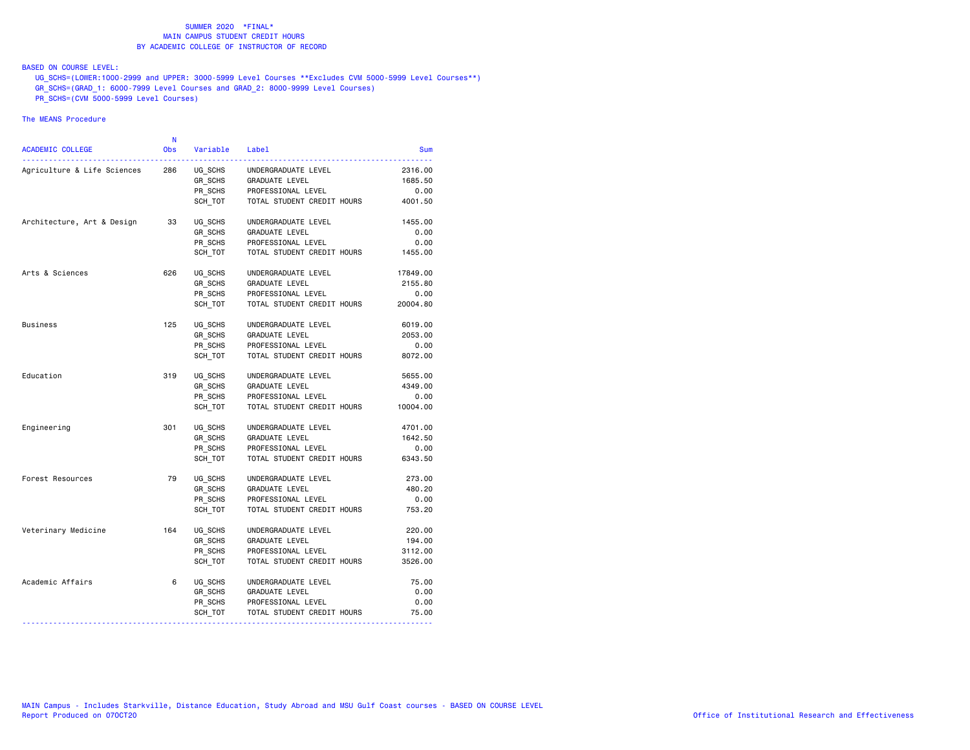## BASED ON COURSE LEVEL:

UG\_SCHS=(LOWER:1000-2999 and UPPER: 3000-5999 Level Courses \*\*Excludes CVM 5000-5999 Level Courses\*\*)

- GR\_SCHS=(GRAD\_1: 6000-7999 Level Courses and GRAD\_2: 8000-9999 Level Courses)
- PR\_SCHS=(CVM 5000-5999 Level Courses)

| ACADEMIC COLLEGE            | N<br><b>Obs</b> | Variable Label |                            | Sum      |
|-----------------------------|-----------------|----------------|----------------------------|----------|
| Agriculture & Life Sciences | 286             | UG_SCHS        | UNDERGRADUATE LEVEL        | 2316.00  |
|                             |                 | GR SCHS        | GRADUATE LEVEL             | 1685.50  |
|                             |                 | PR_SCHS        | PROFESSIONAL LEVEL         | 0.00     |
|                             |                 | SCH TOT        | TOTAL STUDENT CREDIT HOURS | 4001.50  |
| Architecture, Art & Design  | 33              | UG_SCHS        | UNDERGRADUATE LEVEL        | 1455.00  |
|                             |                 | GR SCHS        | GRADUATE LEVEL             | 0.00     |
|                             |                 | PR SCHS        | PROFESSIONAL LEVEL         | 0.00     |
|                             |                 | SCH TOT        | TOTAL STUDENT CREDIT HOURS | 1455.00  |
| Arts & Sciences             | 626             | UG SCHS        | UNDERGRADUATE LEVEL        | 17849.00 |
|                             |                 | GR SCHS        | GRADUATE LEVEL             | 2155.80  |
|                             |                 | PR_SCHS        | PROFESSIONAL LEVEL         | 0.00     |
|                             |                 | SCH TOT        | TOTAL STUDENT CREDIT HOURS | 20004.80 |
| <b>Business</b>             | 125             | UG SCHS        | UNDERGRADUATE LEVEL        | 6019.00  |
|                             |                 | GR_SCHS        | <b>GRADUATE LEVEL</b>      | 2053.00  |
|                             |                 | PR SCHS        | PROFESSIONAL LEVEL         | 0.00     |
|                             |                 | SCH TOT        | TOTAL STUDENT CREDIT HOURS | 8072.00  |
| Education                   | 319             | UG SCHS        | UNDERGRADUATE LEVEL        | 5655.00  |
|                             |                 | GR SCHS        | GRADUATE LEVEL             | 4349.00  |
|                             |                 | PR SCHS        | PROFESSIONAL LEVEL         | 0.00     |
|                             |                 | SCH TOT        | TOTAL STUDENT CREDIT HOURS | 10004.00 |
| Engineering                 | 301             | UG SCHS        | UNDERGRADUATE LEVEL        | 4701.00  |
|                             |                 | GR_SCHS        | GRADUATE LEVEL             | 1642.50  |
|                             |                 | PR SCHS        | PROFESSIONAL LEVEL         | 0.00     |
|                             |                 | SCH TOT        | TOTAL STUDENT CREDIT HOURS | 6343.50  |
| Forest Resources            | 79              | UG SCHS        | UNDERGRADUATE LEVEL        | 273.00   |
|                             |                 | GR_SCHS        | GRADUATE LEVEL             | 480.20   |
|                             |                 | PR_SCHS        | PROFESSIONAL LEVEL         | 0.00     |
|                             |                 | SCH_TOT        | TOTAL STUDENT CREDIT HOURS | 753.20   |
| Veterinary Medicine         | 164             | UG SCHS        | UNDERGRADUATE LEVEL        | 220.00   |
|                             |                 | GR SCHS        | GRADUATE LEVEL             | 194.00   |
|                             |                 | PR SCHS        | PROFESSIONAL LEVEL         | 3112.00  |
|                             |                 | SCH TOT        | TOTAL STUDENT CREDIT HOURS | 3526.00  |
| Academic Affairs            | 6               | UG_SCHS        | UNDERGRADUATE LEVEL        | 75.00    |
|                             |                 | GR SCHS        | GRADUATE LEVEL             | 0.00     |
|                             |                 | PR SCHS        | PROFESSIONAL LEVEL         | 0.00     |
|                             |                 | SCH_TOT        | TOTAL STUDENT CREDIT HOURS | 75.00    |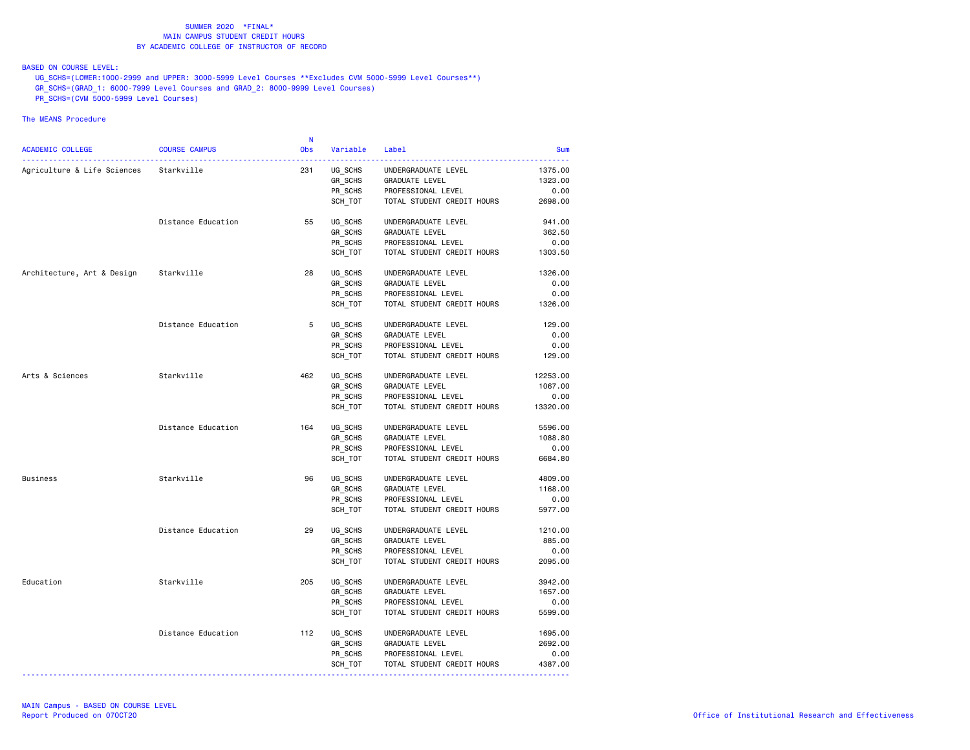BASED ON COURSE LEVEL:

UG\_SCHS=(LOWER:1000-2999 and UPPER: 3000-5999 Level Courses \*\*Excludes CVM 5000-5999 Level Courses\*\*)

- GR\_SCHS=(GRAD\_1: 6000-7999 Level Courses and GRAD\_2: 8000-9999 Level Courses)
- PR\_SCHS=(CVM 5000-5999 Level Courses)

|                                        |                      | - N        |          |                            |            |
|----------------------------------------|----------------------|------------|----------|----------------------------|------------|
| ACADEMIC COLLEGE                       | <b>COURSE CAMPUS</b> | <b>Obs</b> | Variable | Label                      | <b>Sum</b> |
| Agriculture & Life Sciences Starkville |                      | 231        | UG SCHS  | UNDERGRADUATE LEVEL        | 1375.00    |
|                                        |                      |            | GR_SCHS  | GRADUATE LEVEL             | 1323.00    |
|                                        |                      |            | PR SCHS  | PROFESSIONAL LEVEL         | 0.00       |
|                                        |                      |            | SCH TOT  | TOTAL STUDENT CREDIT HOURS | 2698.00    |
|                                        | Distance Education   | 55         | UG SCHS  | UNDERGRADUATE LEVEL        | 941.00     |
|                                        |                      |            | GR SCHS  | <b>GRADUATE LEVEL</b>      | 362.50     |
|                                        |                      |            | PR_SCHS  | PROFESSIONAL LEVEL         | 0.00       |
|                                        |                      |            | SCH TOT  | TOTAL STUDENT CREDIT HOURS | 1303.50    |
| Architecture, Art & Design             | Starkville           | 28         | UG_SCHS  | UNDERGRADUATE LEVEL        | 1326.00    |
|                                        |                      |            | GR_SCHS  | <b>GRADUATE LEVEL</b>      | 0.00       |
|                                        |                      |            | PR_SCHS  | PROFESSIONAL LEVEL         | 0.00       |
|                                        |                      |            | SCH_TOT  | TOTAL STUDENT CREDIT HOURS | 1326.00    |
|                                        | Distance Education   | 5          | UG SCHS  | UNDERGRADUATE LEVEL        | 129.00     |
|                                        |                      |            | GR SCHS  | <b>GRADUATE LEVEL</b>      | 0.00       |
|                                        |                      |            | PR SCHS  | PROFESSIONAL LEVEL         | 0.00       |
|                                        |                      |            | SCH_TOT  | TOTAL STUDENT CREDIT HOURS | 129.00     |
| Arts & Sciences                        | Starkville           | 462        | UG SCHS  | UNDERGRADUATE LEVEL        | 12253.00   |
|                                        |                      |            | GR_SCHS  | GRADUATE LEVEL             | 1067.00    |
|                                        |                      |            | PR SCHS  | PROFESSIONAL LEVEL         | 0.00       |
|                                        |                      |            | SCH_TOT  | TOTAL STUDENT CREDIT HOURS | 13320.00   |
|                                        | Distance Education   | 164        | UG SCHS  | UNDERGRADUATE LEVEL        | 5596.00    |
|                                        |                      |            | GR_SCHS  | GRADUATE LEVEL             | 1088.80    |
|                                        |                      |            | PR SCHS  | PROFESSIONAL LEVEL         | 0.00       |
|                                        |                      |            | SCH_TOT  | TOTAL STUDENT CREDIT HOURS | 6684.80    |
| <b>Business</b>                        | Starkville           | 96         | UG SCHS  | UNDERGRADUATE LEVEL        | 4809.00    |
|                                        |                      |            | GR_SCHS  | <b>GRADUATE LEVEL</b>      | 1168.00    |
|                                        |                      |            | PR SCHS  | PROFESSIONAL LEVEL         | 0.00       |
|                                        |                      |            | SCH_TOT  | TOTAL STUDENT CREDIT HOURS | 5977.00    |
|                                        | Distance Education   | 29         | UG_SCHS  | UNDERGRADUATE LEVEL        | 1210.00    |
|                                        |                      |            | GR_SCHS  | GRADUATE LEVEL             | 885.00     |
|                                        |                      |            | PR_SCHS  | PROFESSIONAL LEVEL         | 0.00       |
|                                        |                      |            | SCH_TOT  | TOTAL STUDENT CREDIT HOURS | 2095.00    |
| Education                              | Starkville           | 205        | UG_SCHS  | UNDERGRADUATE LEVEL        | 3942.00    |
|                                        |                      |            | GR SCHS  | <b>GRADUATE LEVEL</b>      | 1657.00    |
|                                        |                      |            | PR SCHS  | PROFESSIONAL LEVEL         | 0.00       |
|                                        |                      |            | SCH_TOT  | TOTAL STUDENT CREDIT HOURS | 5599.00    |
|                                        | Distance Education   | 112        | UG SCHS  | UNDERGRADUATE LEVEL        | 1695.00    |
|                                        |                      |            | GR_SCHS  | <b>GRADUATE LEVEL</b>      | 2692.00    |
|                                        |                      |            | PR_SCHS  | PROFESSIONAL LEVEL         | 0.00       |
|                                        |                      |            | SCH_TOT  | TOTAL STUDENT CREDIT HOURS | 4387.00    |
|                                        |                      |            |          |                            |            |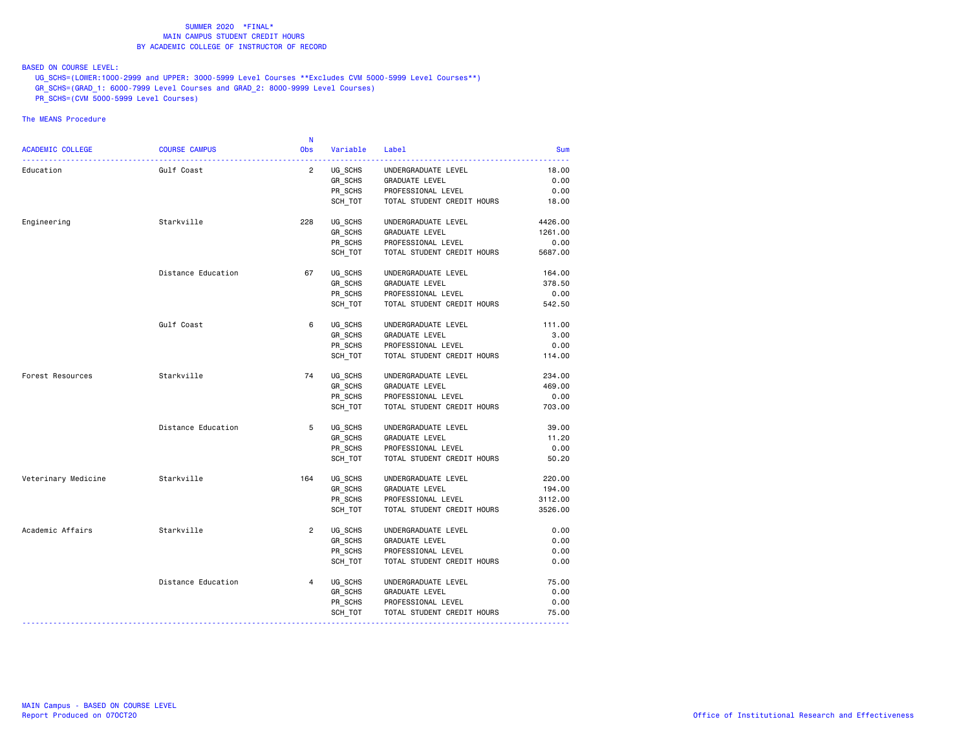BASED ON COURSE LEVEL:

UG\_SCHS=(LOWER:1000-2999 and UPPER: 3000-5999 Level Courses \*\*Excludes CVM 5000-5999 Level Courses\*\*)

- GR\_SCHS=(GRAD\_1: 6000-7999 Level Courses and GRAD\_2: 8000-9999 Level Courses)
- PR\_SCHS=(CVM 5000-5999 Level Courses)

|                         |                      | <b>N</b>       |                      |                            |            |
|-------------------------|----------------------|----------------|----------------------|----------------------------|------------|
| <b>ACADEMIC COLLEGE</b> | <b>COURSE CAMPUS</b> | <b>Obs</b>     | Variable<br><u>.</u> | Label                      | <b>Sum</b> |
| Education               | Gulf Coast           | $\overline{2}$ | UG SCHS              | UNDERGRADUATE LEVEL        | 18.00      |
|                         |                      |                | GR_SCHS              | GRADUATE LEVEL             | 0.00       |
|                         |                      |                | PR_SCHS              | PROFESSIONAL LEVEL         | 0.00       |
|                         |                      |                | SCH TOT              | TOTAL STUDENT CREDIT HOURS | 18.00      |
| Engineering             | Starkville           | 228            | UG SCHS              | UNDERGRADUATE LEVEL        | 4426.00    |
|                         |                      |                | GR SCHS              | GRADUATE LEVEL             | 1261.00    |
|                         |                      |                | PR SCHS              | PROFESSIONAL LEVEL         | 0.00       |
|                         |                      |                | SCH_TOT              | TOTAL STUDENT CREDIT HOURS | 5687.00    |
|                         | Distance Education   | 67             | UG SCHS              | UNDERGRADUATE LEVEL        | 164.00     |
|                         |                      |                | GR SCHS              | GRADUATE LEVEL             | 378.50     |
|                         |                      |                | PR_SCHS              | PROFESSIONAL LEVEL         | 0.00       |
|                         |                      |                | SCH TOT              | TOTAL STUDENT CREDIT HOURS | 542.50     |
|                         | Gulf Coast           | 6              | UG SCHS              | UNDERGRADUATE LEVEL        | 111.00     |
|                         |                      |                | GR_SCHS              | GRADUATE LEVEL             | 3.00       |
|                         |                      |                | PR SCHS              | PROFESSIONAL LEVEL         | 0.00       |
|                         |                      |                | SCH TOT              | TOTAL STUDENT CREDIT HOURS | 114.00     |
| Forest Resources        | Starkville           | 74             | UG SCHS              | UNDERGRADUATE LEVEL        | 234.00     |
|                         |                      |                | GR SCHS              | GRADUATE LEVEL             | 469.00     |
|                         |                      |                | PR SCHS              | PROFESSIONAL LEVEL         | 0.00       |
|                         |                      |                | SCH TOT              | TOTAL STUDENT CREDIT HOURS | 703.00     |
|                         | Distance Education   | 5              | UG SCHS              | UNDERGRADUATE LEVEL        | 39.00      |
|                         |                      |                | GR_SCHS              | <b>GRADUATE LEVEL</b>      | 11.20      |
|                         |                      |                | PR SCHS              | PROFESSIONAL LEVEL         | 0.00       |
|                         |                      |                | SCH TOT              | TOTAL STUDENT CREDIT HOURS | 50.20      |
| Veterinary Medicine     | Starkville           | 164            | UG SCHS              | UNDERGRADUATE LEVEL        | 220.00     |
|                         |                      |                | GR_SCHS              | GRADUATE LEVEL             | 194.00     |
|                         |                      |                | PR SCHS              | PROFESSIONAL LEVEL         | 3112.00    |
|                         |                      |                | SCH TOT              | TOTAL STUDENT CREDIT HOURS | 3526.00    |
| Academic Affairs        | Starkville           | $\overline{2}$ | UG_SCHS              | UNDERGRADUATE LEVEL        | 0.00       |
|                         |                      |                | GR SCHS              | GRADUATE LEVEL             | 0.00       |
|                         |                      |                | PR SCHS              | PROFESSIONAL LEVEL         | 0.00       |
|                         |                      |                | SCH TOT              | TOTAL STUDENT CREDIT HOURS | 0.00       |
|                         | Distance Education   | $\overline{4}$ | UG_SCHS              | UNDERGRADUATE LEVEL        | 75.00      |
|                         |                      |                | GR_SCHS              | GRADUATE LEVEL             | 0.00       |
|                         |                      |                | PR SCHS              | PROFESSIONAL LEVEL         | 0.00       |
|                         |                      |                | SCH_TOT              | TOTAL STUDENT CREDIT HOURS | 75.00      |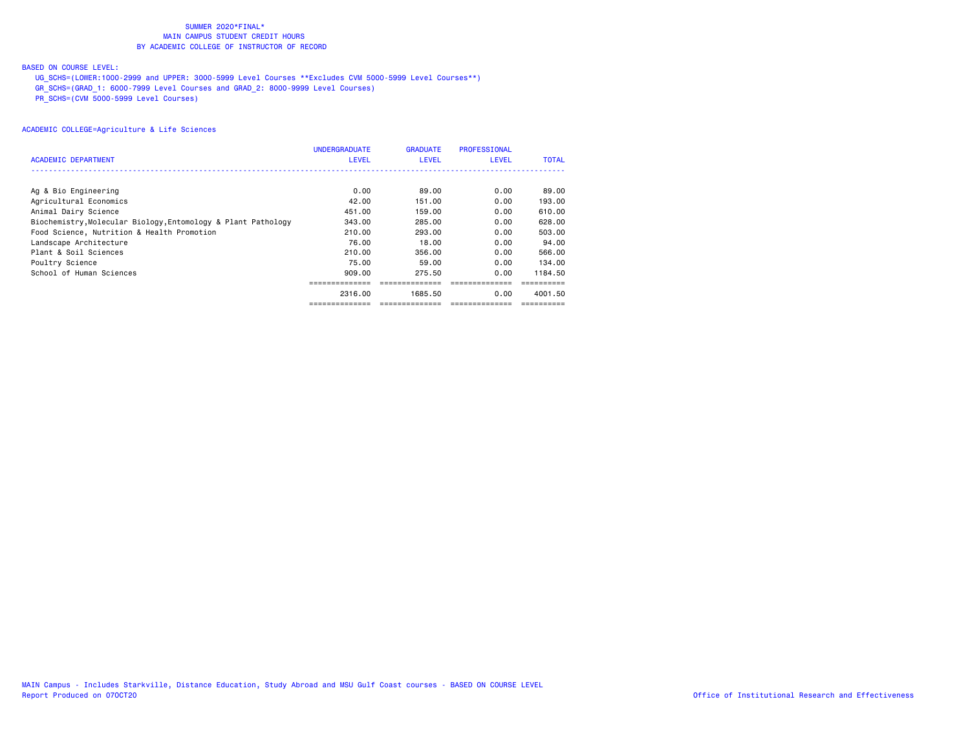## BASED ON COURSE LEVEL:

UG\_SCHS=(LOWER:1000-2999 and UPPER: 3000-5999 Level Courses \*\*Excludes CVM 5000-5999 Level Courses\*\*)

GR\_SCHS=(GRAD\_1: 6000-7999 Level Courses and GRAD\_2: 8000-9999 Level Courses)

PR\_SCHS=(CVM 5000-5999 Level Courses)

| ACADEMIC DEPARTMENT                                           | <b>UNDERGRADUATE</b><br><b>LEVEL</b> | <b>GRADUATE</b><br><b>LEVEL</b> | <b>PROFESSIONAL</b><br><b>LEVEL</b> | <b>TOTAL</b> |
|---------------------------------------------------------------|--------------------------------------|---------------------------------|-------------------------------------|--------------|
|                                                               |                                      |                                 |                                     |              |
| Ag & Bio Engineering                                          | 0.00                                 | 89.00                           | 0.00                                | 89.00        |
| Agricultural Economics                                        | 42.00                                | 151.00                          | 0.00                                | 193.00       |
| Animal Dairy Science                                          | 451.00                               | 159.00                          | 0.00                                | 610.00       |
| Biochemistry, Molecular Biology, Entomology & Plant Pathology | 343,00                               | 285.00                          | 0.00                                | 628.00       |
| Food Science, Nutrition & Health Promotion                    | 210.00                               | 293.00                          | 0.00                                | 503.00       |
| Landscape Architecture                                        | 76.00                                | 18.00                           | 0.00                                | 94.00        |
| Plant & Soil Sciences                                         | 210.00                               | 356.00                          | 0.00                                | 566,00       |
| Poultry Science                                               | 75.00                                | 59.00                           | 0.00                                | 134.00       |
| School of Human Sciences                                      | 909.00                               | 275.50                          | 0.00                                | 1184.50      |
|                                                               |                                      |                                 |                                     |              |
|                                                               | 2316.00                              | 1685.50                         | 0.00                                | 4001.50      |
|                                                               | ---------                            |                                 |                                     |              |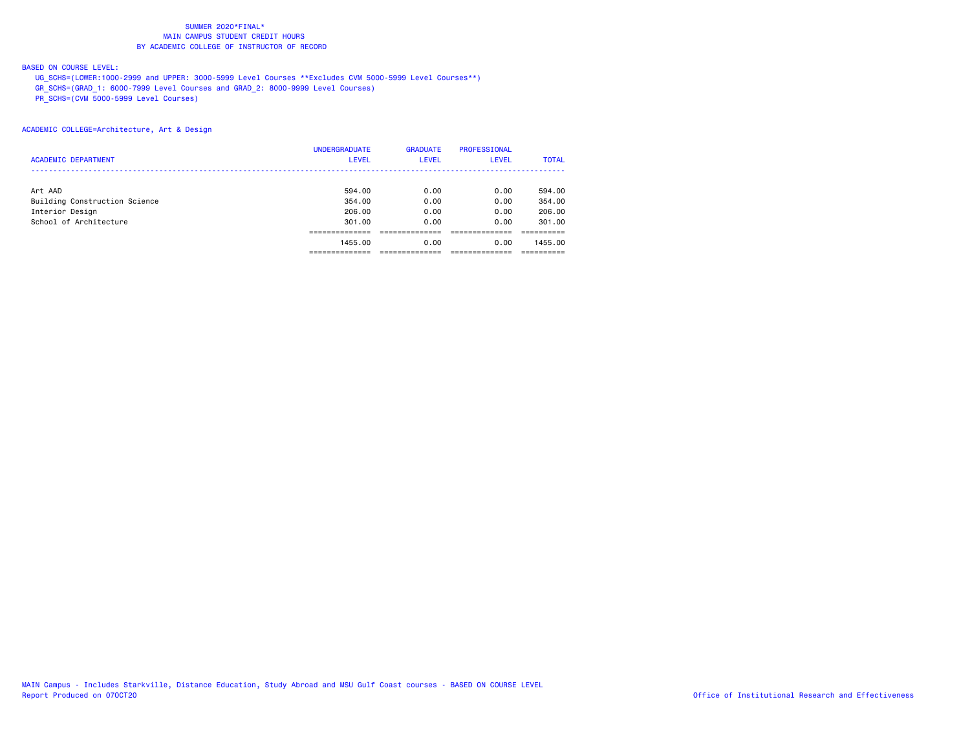## BASED ON COURSE LEVEL:

UG\_SCHS=(LOWER:1000-2999 and UPPER: 3000-5999 Level Courses \*\*Excludes CVM 5000-5999 Level Courses\*\*)

GR\_SCHS=(GRAD\_1: 6000-7999 Level Courses and GRAD\_2: 8000-9999 Level Courses)

PR\_SCHS=(CVM 5000-5999 Level Courses)

|                               | <b>UNDERGRADUATE</b> | <b>GRADUATE</b> | <b>PROFESSIONAL</b> |              |
|-------------------------------|----------------------|-----------------|---------------------|--------------|
| <b>ACADEMIC DEPARTMENT</b>    | <b>LEVEL</b>         | <b>LEVEL</b>    | <b>LEVEL</b>        | <b>TOTAL</b> |
|                               |                      |                 |                     |              |
| Art AAD                       | 594.00               | 0.00            | 0.00                | 594.00       |
| Building Construction Science | 354.00               | 0.00            | 0.00                | 354,00       |
| Interior Design               | 206.00               | 0.00            | 0.00                | 206,00       |
| School of Architecture        | 301,00               | 0.00            | 0.00                | 301.00       |
|                               |                      |                 |                     |              |
|                               | 1455.00              | 0.00            | 0.00                | 1455.00      |
|                               |                      |                 |                     |              |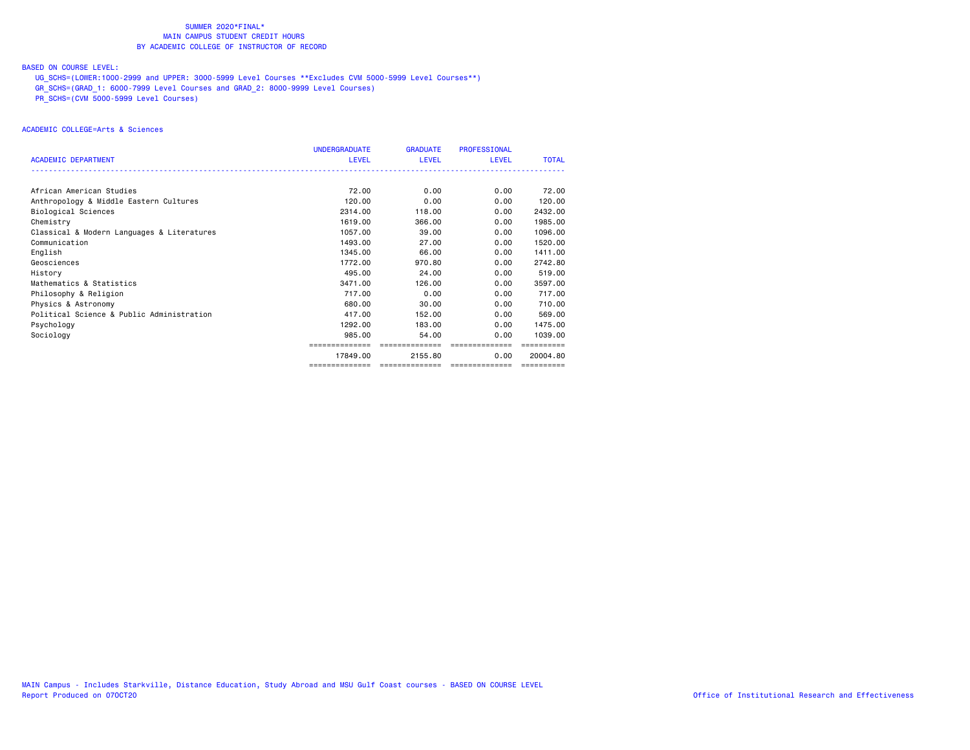## BASED ON COURSE LEVEL:

UG\_SCHS=(LOWER:1000-2999 and UPPER: 3000-5999 Level Courses \*\*Excludes CVM 5000-5999 Level Courses\*\*)

GR\_SCHS=(GRAD\_1: 6000-7999 Level Courses and GRAD\_2: 8000-9999 Level Courses)

PR\_SCHS=(CVM 5000-5999 Level Courses)

## ACADEMIC COLLEGE=Arts & Sciences

|                                            | <b>UNDERGRADUATE</b> | <b>GRADUATE</b> | <b>PROFESSIONAL</b> |              |
|--------------------------------------------|----------------------|-----------------|---------------------|--------------|
| <b>ACADEMIC DEPARTMENT</b>                 | LEVEL                | LEVEL           | <b>LEVEL</b>        | <b>TOTAL</b> |
|                                            |                      |                 |                     |              |
| African American Studies                   | 72.00                | 0.00            | 0.00                | 72.00        |
| Anthropology & Middle Eastern Cultures     | 120.00               | 0.00            | 0.00                | 120.00       |
| Biological Sciences                        | 2314.00              | 118,00          | 0.00                | 2432.00      |
| Chemistry                                  | 1619,00              | 366,00          | 0.00                | 1985.00      |
| Classical & Modern Languages & Literatures | 1057.00              | 39,00           | 0.00                | 1096.00      |
| Communication                              | 1493.00              | 27.00           | 0.00                | 1520.00      |
| English                                    | 1345,00              | 66.00           | 0.00                | 1411.00      |
| Geosciences                                | 1772.00              | 970.80          | 0.00                | 2742.80      |
| History                                    | 495,00               | 24.00           | 0.00                | 519.00       |
| Mathematics & Statistics                   | 3471.00              | 126,00          | 0.00                | 3597.00      |
| Philosophy & Religion                      | 717.00               | 0.00            | 0.00                | 717.00       |
| Physics & Astronomy                        | 680.00               | 30.00           | 0.00                | 710.00       |
| Political Science & Public Administration  | 417.00               | 152.00          | 0.00                | 569,00       |
| Psychology                                 | 1292.00              | 183,00          | 0.00                | 1475.00      |
| Sociology                                  | 985,00               | 54.00           | 0.00                | 1039,00      |
|                                            |                      | ==============  | ---------------     |              |
|                                            | 17849.00             | 2155.80         | 0.00                | 20004.80     |
|                                            | ==============       | ==============  | ==============      |              |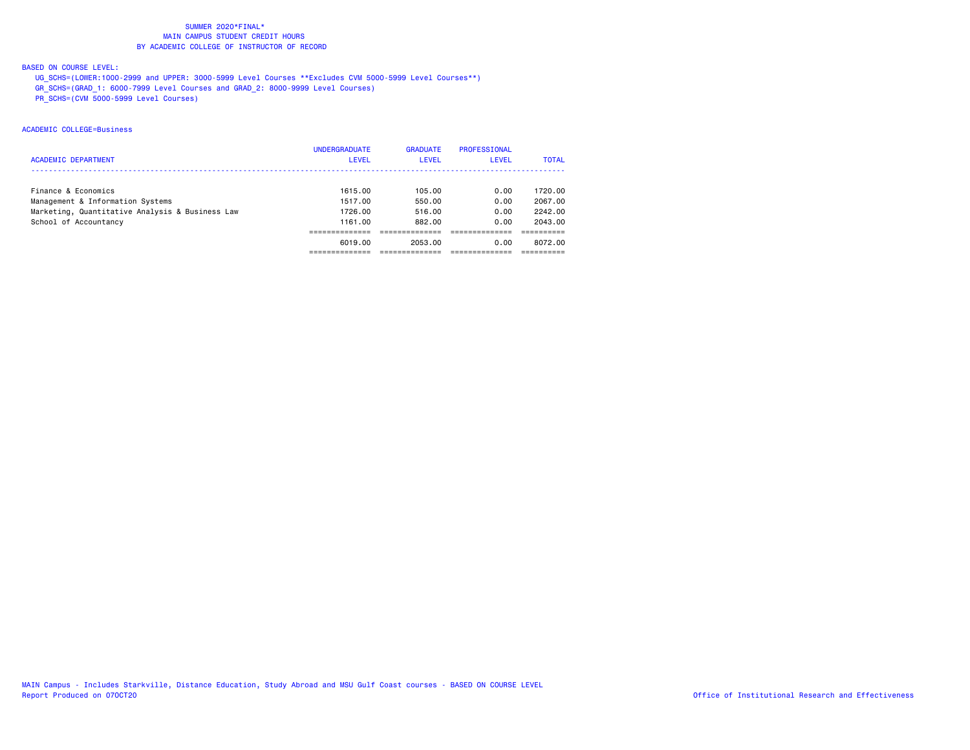## BASED ON COURSE LEVEL:

UG\_SCHS=(LOWER:1000-2999 and UPPER: 3000-5999 Level Courses \*\*Excludes CVM 5000-5999 Level Courses\*\*)

GR\_SCHS=(GRAD\_1: 6000-7999 Level Courses and GRAD\_2: 8000-9999 Level Courses)

PR\_SCHS=(CVM 5000-5999 Level Courses)

## ACADEMIC COLLEGE=Business

|                                                 | <b>UNDERGRADUATE</b> | <b>GRADUATE</b> | <b>PROFESSIONAL</b> |              |
|-------------------------------------------------|----------------------|-----------------|---------------------|--------------|
| <b>ACADEMIC DEPARTMENT</b>                      | <b>LEVEL</b>         | LEVEL           | LEVEL               | <b>TOTAL</b> |
|                                                 |                      |                 |                     |              |
| Finance & Economics                             | 1615.00              | 105.00          | 0.00                | 1720.00      |
| Management & Information Systems                | 1517.00              | 550.00          | 0.00                | 2067.00      |
| Marketing, Quantitative Analysis & Business Law | 1726.00              | 516.00          | 0.00                | 2242.00      |
| School of Accountancy                           | 1161.00              | 882.00          | 0.00                | 2043.00      |
|                                                 |                      |                 |                     |              |
|                                                 | 6019.00              | 2053.00         | 0.00                | 8072.00      |
|                                                 |                      |                 |                     |              |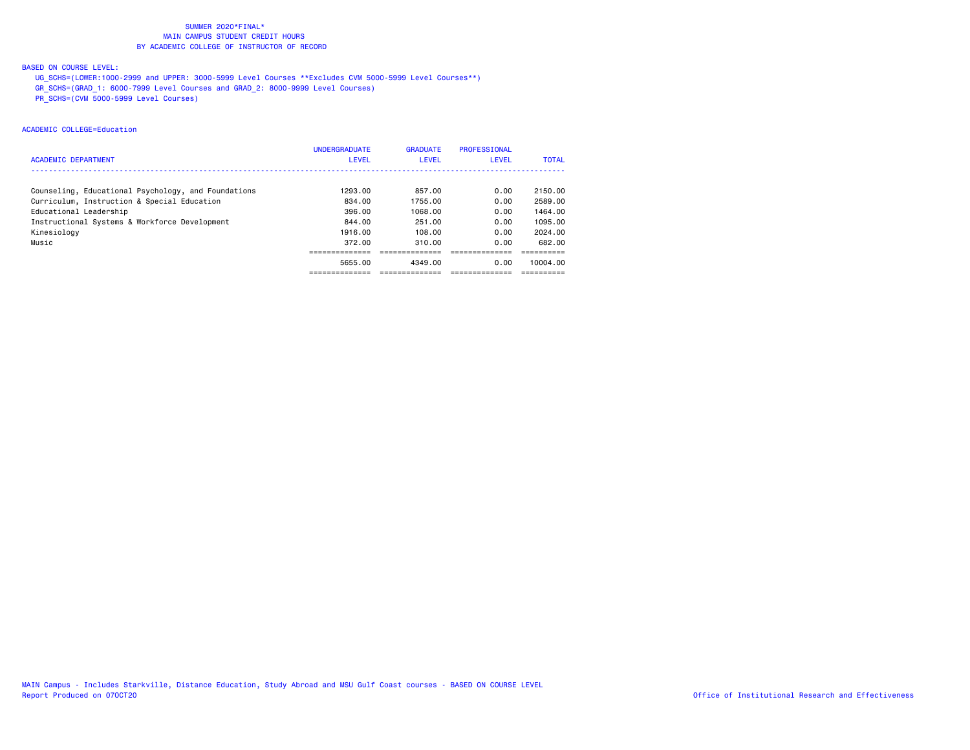## BASED ON COURSE LEVEL:

UG\_SCHS=(LOWER:1000-2999 and UPPER: 3000-5999 Level Courses \*\*Excludes CVM 5000-5999 Level Courses\*\*)

GR\_SCHS=(GRAD\_1: 6000-7999 Level Courses and GRAD\_2: 8000-9999 Level Courses)

PR\_SCHS=(CVM 5000-5999 Level Courses)

## ACADEMIC COLLEGE=Education

|                                                     | <b>UNDERGRADUATE</b> | <b>GRADUATE</b> | <b>PROFESSIONAL</b> |              |
|-----------------------------------------------------|----------------------|-----------------|---------------------|--------------|
| <b>ACADEMIC DEPARTMENT</b>                          | <b>LEVEL</b>         | LEVEL           | <b>LEVEL</b>        | <b>TOTAL</b> |
|                                                     |                      |                 |                     |              |
| Counseling, Educational Psychology, and Foundations | 1293.00              | 857.00          | 0.00                | 2150.00      |
| Curriculum, Instruction & Special Education         | 834.00               | 1755.00         | 0.00                | 2589.00      |
| Educational Leadership                              | 396.00               | 1068.00         | 0.00                | 1464.00      |
| Instructional Systems & Workforce Development       | 844.00               | 251.00          | 0.00                | 1095.00      |
| Kinesiology                                         | 1916.00              | 108.00          | 0.00                | 2024.00      |
| Music                                               | 372.00               | 310.00          | 0.00                | 682.00       |
|                                                     |                      |                 |                     |              |
|                                                     | 5655.00              | 4349.00         | 0.00                | 10004.00     |
|                                                     |                      |                 |                     |              |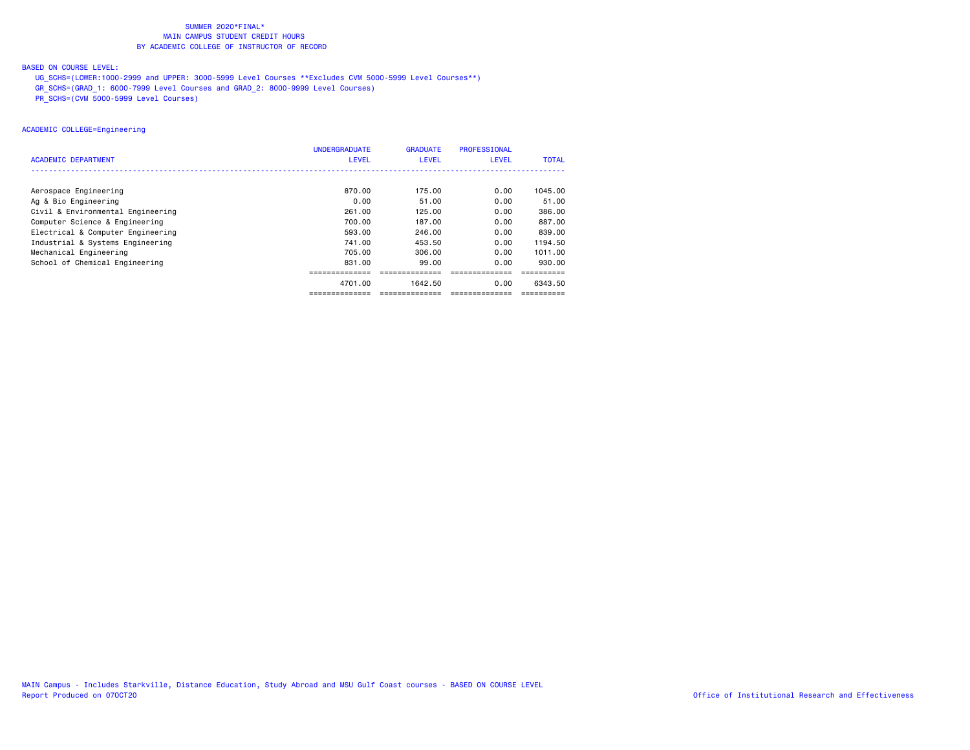## BASED ON COURSE LEVEL:

UG\_SCHS=(LOWER:1000-2999 and UPPER: 3000-5999 Level Courses \*\*Excludes CVM 5000-5999 Level Courses\*\*)

GR\_SCHS=(GRAD\_1: 6000-7999 Level Courses and GRAD\_2: 8000-9999 Level Courses)

PR\_SCHS=(CVM 5000-5999 Level Courses)

## ACADEMIC COLLEGE=Engineering

|                                   | <b>UNDERGRADUATE</b> | <b>GRADUATE</b> | <b>PROFESSIONAL</b> |              |
|-----------------------------------|----------------------|-----------------|---------------------|--------------|
| <b>ACADEMIC DEPARTMENT</b>        | <b>LEVEL</b>         | LEVEL           | <b>LEVEL</b>        | <b>TOTAL</b> |
|                                   |                      |                 |                     |              |
| Aerospace Engineering             | 870.00               | 175.00          | 0.00                | 1045,00      |
| Ag & Bio Engineering              | 0.00                 | 51,00           | 0.00                | 51.00        |
| Civil & Environmental Engineering | 261.00               | 125.00          | 0.00                | 386.00       |
| Computer Science & Engineering    | 700.00               | 187.00          | 0.00                | 887.00       |
| Electrical & Computer Engineering | 593.00               | 246,00          | 0.00                | 839,00       |
| Industrial & Systems Engineering  | 741.00               | 453.50          | 0.00                | 1194.50      |
| Mechanical Engineering            | 705.00               | 306,00          | 0.00                | 1011.00      |
| School of Chemical Engineering    | 831.00               | 99.00           | 0.00                | 930.00       |
|                                   |                      |                 |                     |              |
|                                   | 4701.00              | 1642.50         | 0.00                | 6343.50      |
|                                   | ==============       | ==============  | ==============      | ==========   |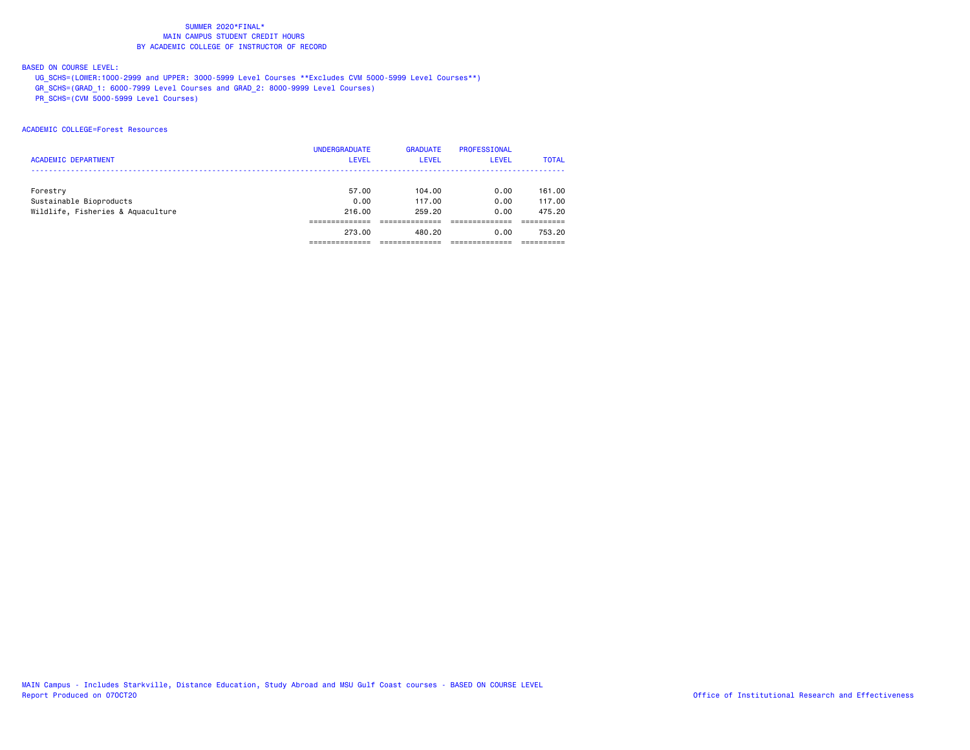## BASED ON COURSE LEVEL:

UG\_SCHS=(LOWER:1000-2999 and UPPER: 3000-5999 Level Courses \*\*Excludes CVM 5000-5999 Level Courses\*\*)

GR\_SCHS=(GRAD\_1: 6000-7999 Level Courses and GRAD\_2: 8000-9999 Level Courses)

PR\_SCHS=(CVM 5000-5999 Level Courses)

## ACADEMIC COLLEGE=Forest Resources

|                                   | <b>UNDERGRADUATE</b> | <b>GRADUATE</b> | <b>PROFESSIONAL</b> |              |
|-----------------------------------|----------------------|-----------------|---------------------|--------------|
| <b>ACADEMIC DEPARTMENT</b>        | <b>LEVEL</b>         | <b>LEVEL</b>    | <b>LEVEL</b>        | <b>TOTAL</b> |
|                                   |                      |                 |                     |              |
| Forestry                          | 57.00                | 104.00          | 0.00                | 161.00       |
| Sustainable Bioproducts           | 0.00                 | 117.00          | 0.00                | 117.00       |
| Wildlife, Fisheries & Aquaculture | 216,00               | 259.20          | 0.00                | 475.20       |
|                                   |                      |                 |                     |              |
|                                   | 273.00               | 480.20          | 0.00                | 753.20       |
|                                   |                      |                 |                     |              |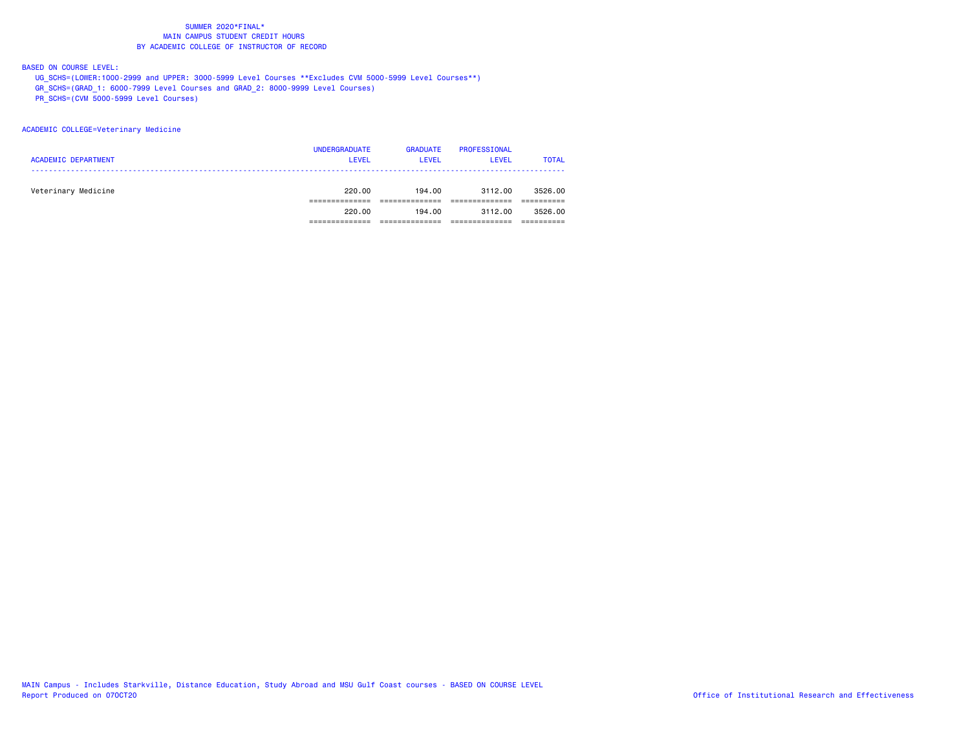BASED ON COURSE LEVEL:

UG\_SCHS=(LOWER:1000-2999 and UPPER: 3000-5999 Level Courses \*\*Excludes CVM 5000-5999 Level Courses\*\*)

GR\_SCHS=(GRAD\_1: 6000-7999 Level Courses and GRAD\_2: 8000-9999 Level Courses)

PR\_SCHS=(CVM 5000-5999 Level Courses)

#### ACADEMIC COLLEGE=Veterinary Medicine

| <b>ACADEMIC DEPARTMENT</b> | <b>UNDERGRADUATE</b><br><b>LEVEL</b> | <b>GRADUATE</b><br><b>LEVEL</b> | <b>PROFESSIONAL</b><br><b>LEVEL</b> | <b>TOTAL</b> |
|----------------------------|--------------------------------------|---------------------------------|-------------------------------------|--------------|
| Veterinary Medicine        | 220.00                               | 194.00                          | 3112.00                             | 3526.00      |
|                            | 220.00                               | 194.00                          | 3112.00                             | 3526.00      |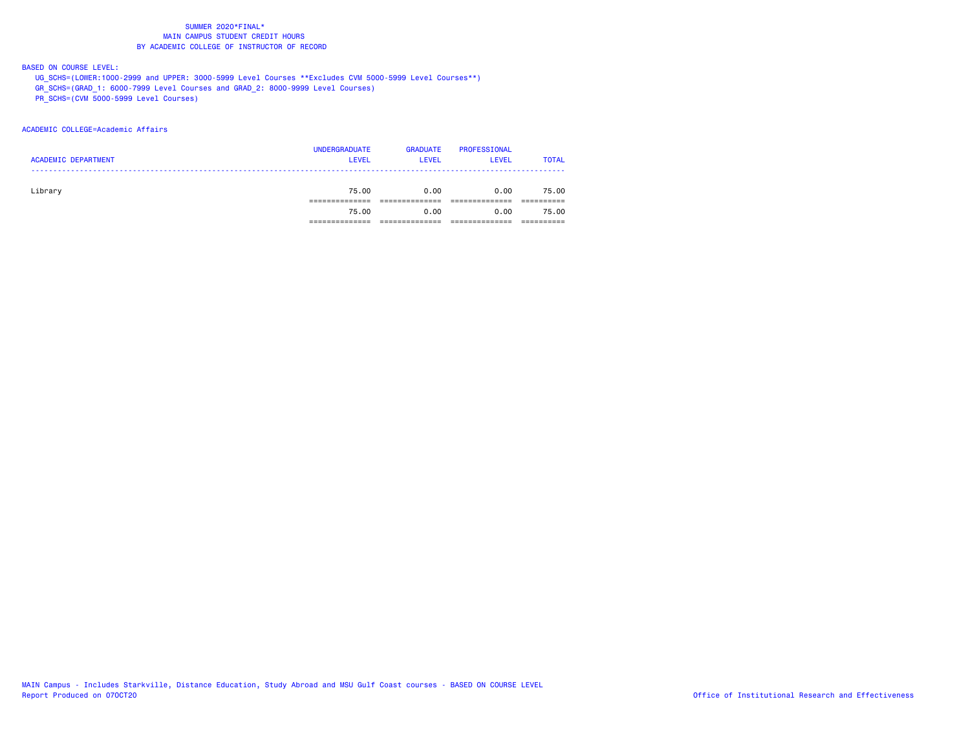### BASED ON COURSE LEVEL:

UG\_SCHS=(LOWER:1000-2999 and UPPER: 3000-5999 Level Courses \*\*Excludes CVM 5000-5999 Level Courses\*\*)

GR\_SCHS=(GRAD\_1: 6000-7999 Level Courses and GRAD\_2: 8000-9999 Level Courses)

PR\_SCHS=(CVM 5000-5999 Level Courses)

### ACADEMIC COLLEGE=Academic Affairs

| <b>ACADEMIC DEPARTMENT</b> | <b>UNDERGRADUATE</b><br><b>LEVEL</b> | <b>GRADUATE</b><br><b>LEVEL</b> | PROFESSIONAL<br><b>LEVEL</b> | <b>TOTAL</b> |
|----------------------------|--------------------------------------|---------------------------------|------------------------------|--------------|
| Library                    | 75.00                                | 0.00                            | 0.00                         | 75.00        |
|                            | 75.00                                | 0.00                            | 0.00                         | 75.00        |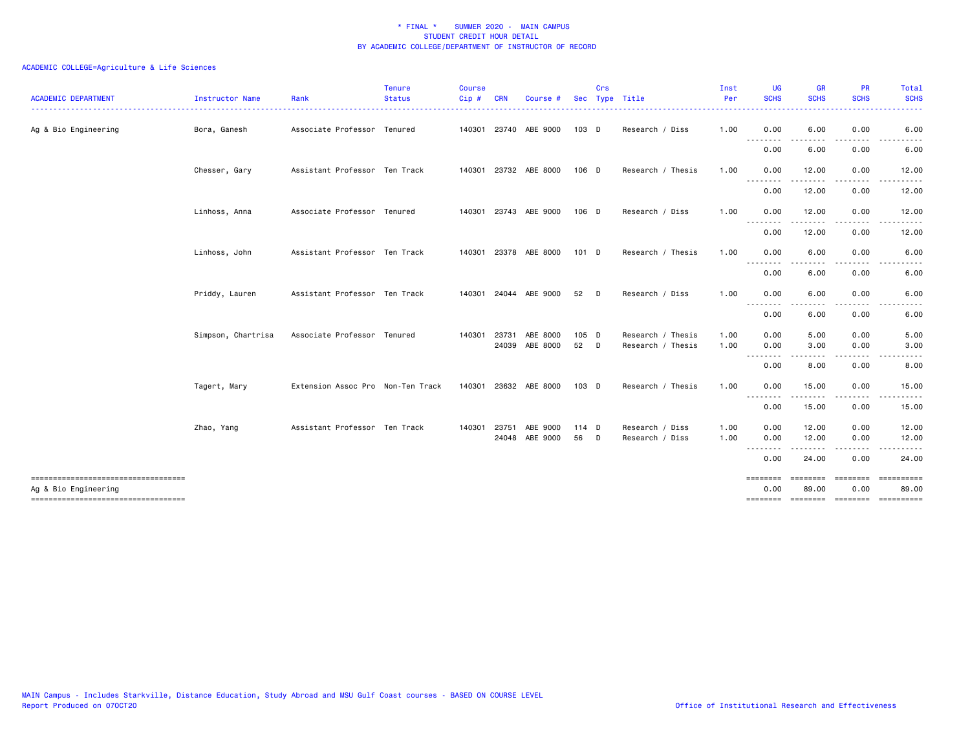| <b>ACADEMIC DEPARTMENT</b>                                    | Instructor Name    | Rank                              | <b>Tenure</b><br><b>Status</b> | <b>Course</b><br>Cip# | <b>CRN</b>   | Course                | <b>Sec</b> | Crs          | Type Title        | Inst<br>Per | <b>UG</b><br><b>SCHS</b>                                                                                    | <b>GR</b><br><b>SCHS</b>                                                                                                                                                                 | <b>PR</b><br><b>SCHS</b>                                                                                                          | Total<br><b>SCHS</b>        |
|---------------------------------------------------------------|--------------------|-----------------------------------|--------------------------------|-----------------------|--------------|-----------------------|------------|--------------|-------------------|-------------|-------------------------------------------------------------------------------------------------------------|------------------------------------------------------------------------------------------------------------------------------------------------------------------------------------------|-----------------------------------------------------------------------------------------------------------------------------------|-----------------------------|
| Ag & Bio Engineering                                          | Bora, Ganesh       | Associate Professor Tenured       |                                |                       |              | 140301 23740 ABE 9000 | 103 D      |              | Research / Diss   | 1.00        | 0.00                                                                                                        | 6.00                                                                                                                                                                                     | 0.00                                                                                                                              | 6.00                        |
|                                                               |                    |                                   |                                |                       |              |                       |            |              |                   |             | --------<br>0.00                                                                                            | 6.00                                                                                                                                                                                     | 0.00                                                                                                                              | 6.00                        |
|                                                               | Chesser, Gary      | Assistant Professor Ten Track     |                                |                       |              | 140301 23732 ABE 8000 | 106 D      |              | Research / Thesis | 1.00        | 0.00                                                                                                        | 12.00                                                                                                                                                                                    | 0.00                                                                                                                              | 12.00                       |
|                                                               |                    |                                   |                                |                       |              |                       |            |              |                   |             | .<br>0.00                                                                                                   | 12.00                                                                                                                                                                                    | 0.00                                                                                                                              | 12.00                       |
|                                                               | Linhoss, Anna      | Associate Professor Tenured       |                                |                       |              | 140301 23743 ABE 9000 | 106 D      |              | Research / Diss   | 1.00        | 0.00                                                                                                        | 12.00                                                                                                                                                                                    | 0.00                                                                                                                              | 12.00                       |
|                                                               |                    |                                   |                                |                       |              |                       |            |              |                   |             | <u>.</u><br>0.00                                                                                            | - - - - -<br>12.00                                                                                                                                                                       | .<br>0.00                                                                                                                         | .<br>12.00                  |
|                                                               | Linhoss, John      | Assistant Professor Ten Track     |                                |                       |              | 140301 23378 ABE 8000 | 101 D      |              | Research / Thesis | 1.00        | 0.00                                                                                                        | 6.00                                                                                                                                                                                     | 0.00                                                                                                                              | 6.00                        |
|                                                               |                    |                                   |                                |                       |              |                       |            |              |                   |             | --------<br>0.00                                                                                            | 6.00                                                                                                                                                                                     | 0.00                                                                                                                              | 6.00                        |
|                                                               | Priddy, Lauren     | Assistant Professor Ten Track     |                                |                       |              | 140301 24044 ABE 9000 | 52         | D            | Research / Diss   | 1.00        | 0.00                                                                                                        | 6.00                                                                                                                                                                                     | 0.00                                                                                                                              | 6.00                        |
|                                                               |                    |                                   |                                |                       |              |                       |            |              |                   |             | <u>.</u><br>0.00                                                                                            | 6.00                                                                                                                                                                                     | 0.00                                                                                                                              | 6.00                        |
|                                                               | Simpson, Chartrisa | Associate Professor Tenured       |                                |                       | 140301 23731 | ABE 8000              | 105 D      |              | Research / Thesis | 1.00        | 0.00                                                                                                        | 5.00                                                                                                                                                                                     | 0.00                                                                                                                              | 5.00                        |
|                                                               |                    |                                   |                                |                       |              | 24039 ABE 8000        | 52 D       |              | Research / Thesis | 1.00        | 0.00<br>----                                                                                                | 3.00                                                                                                                                                                                     | 0.00                                                                                                                              | 3.00                        |
|                                                               |                    |                                   |                                |                       |              |                       |            |              |                   |             | 0.00                                                                                                        | 8.00                                                                                                                                                                                     | 0.00                                                                                                                              | 8.00                        |
|                                                               | Tagert, Mary       | Extension Assoc Pro Non-Ten Track |                                |                       |              | 140301 23632 ABE 8000 | $103$ D    |              | Research / Thesis | 1.00        | 0.00                                                                                                        | 15.00                                                                                                                                                                                    | 0.00                                                                                                                              | 15.00                       |
|                                                               |                    |                                   |                                |                       |              |                       |            |              |                   |             | $\frac{1}{2} \left( \frac{1}{2} \right) \left( \frac{1}{2} \right) \left( \frac{1}{2} \right)$<br>.<br>0.00 | .<br>15.00                                                                                                                                                                               | $\frac{1}{2} \left( \frac{1}{2} \right) \left( \frac{1}{2} \right) \left( \frac{1}{2} \right) \left( \frac{1}{2} \right)$<br>0.00 | 15.00                       |
|                                                               | Zhao, Yang         | Assistant Professor Ten Track     |                                |                       | 140301 23751 | ABE 9000              | 114 D      |              | Research / Diss   | 1.00        | 0.00                                                                                                        | 12.00                                                                                                                                                                                    | 0.00                                                                                                                              | 12.00                       |
|                                                               |                    |                                   |                                |                       |              | 24048 ABE 9000        | 56         | $\mathsf{D}$ | Research / Diss   | 1.00        | 0.00<br>.                                                                                                   | 12.00<br>$\frac{1}{2} \left( \frac{1}{2} \right) \left( \frac{1}{2} \right) \left( \frac{1}{2} \right) \left( \frac{1}{2} \right) \left( \frac{1}{2} \right) \left( \frac{1}{2} \right)$ | 0.00<br>.                                                                                                                         | 12.00<br>.                  |
|                                                               |                    |                                   |                                |                       |              |                       |            |              |                   |             | 0.00                                                                                                        | 24.00                                                                                                                                                                                    | 0.00                                                                                                                              | 24.00                       |
| =====================================<br>Ag & Bio Engineering |                    |                                   |                                |                       |              |                       |            |              |                   |             | ========<br>0.00                                                                                            | ========<br>89.00                                                                                                                                                                        | ========<br>0.00                                                                                                                  | ==========<br>89.00         |
| -----------------------------------                           |                    |                                   |                                |                       |              |                       |            |              |                   |             | ========                                                                                                    |                                                                                                                                                                                          |                                                                                                                                   | -------- -------- --------- |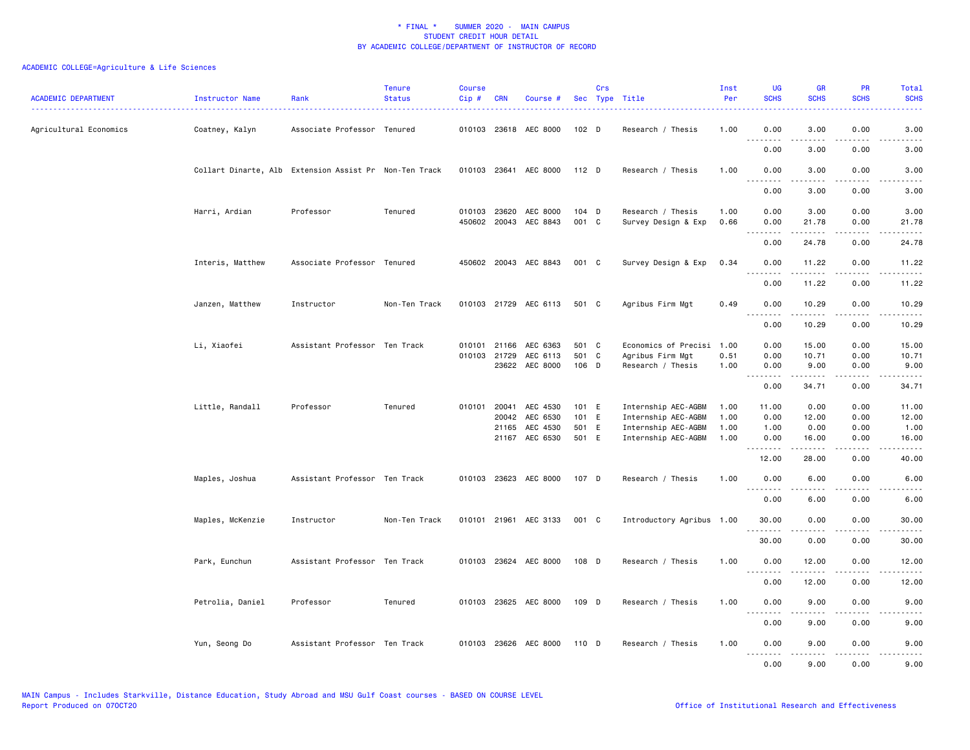| <b>ACADEMIC DEPARTMENT</b> | Instructor Name                                        | Rank                          | <b>Tenure</b><br><b>Status</b> | <b>Course</b><br>Cip# | <b>CRN</b>                   | Course #                    |                | Crs | Sec Type Title                           | Inst<br>Per  | <b>UG</b><br><b>SCHS</b> | <b>GR</b><br><b>SCHS</b> | PR<br><b>SCHS</b>                   | <b>Total</b><br><b>SCHS</b>                                                                                                       |
|----------------------------|--------------------------------------------------------|-------------------------------|--------------------------------|-----------------------|------------------------------|-----------------------------|----------------|-----|------------------------------------------|--------------|--------------------------|--------------------------|-------------------------------------|-----------------------------------------------------------------------------------------------------------------------------------|
| Agricultural Economics     | Coatney, Kalyn                                         | Associate Professor Tenured   |                                |                       |                              | 010103 23618 AEC 8000       | 102 D          |     | Research / Thesis                        | 1.00         | 0.00<br>.                | 3.00<br>.                | 0.00                                | 3.00                                                                                                                              |
|                            |                                                        |                               |                                |                       |                              |                             |                |     |                                          |              | 0.00                     | 3.00                     | 0.00                                | 3.00                                                                                                                              |
|                            | Collart Dinarte, Alb Extension Assist Pr Non-Ten Track |                               |                                |                       |                              | 010103 23641 AEC 8000 112 D |                |     | Research / Thesis                        | 1.00         | 0.00                     | 3.00                     | 0.00                                | 3.00                                                                                                                              |
|                            |                                                        |                               |                                |                       |                              |                             |                |     |                                          |              | .<br>0.00                | .<br>3.00                | .<br>0.00                           | $   -$<br>3.00                                                                                                                    |
|                            | Harri, Ardian                                          | Professor                     | Tenured                        |                       | 010103 23620<br>450602 20043 | AEC 8000<br>AEC 8843        | 104 D<br>001 C |     | Research / Thesis<br>Survey Design & Exp | 1.00<br>0.66 | 0.00<br>0.00             | 3.00<br>21.78            | 0.00<br>0.00                        | 3.00<br>21.78                                                                                                                     |
|                            |                                                        |                               |                                |                       |                              |                             |                |     |                                          |              | 0.00                     | 24.78                    | 0.00                                | 24.78                                                                                                                             |
|                            | Interis, Matthew                                       | Associate Professor Tenured   |                                |                       |                              | 450602 20043 AEC 8843       | 001 C          |     | Survey Design & Exp                      | 0.34         | 0.00<br>.                | 11.22                    | 0.00                                | 11.22                                                                                                                             |
|                            |                                                        |                               |                                |                       |                              |                             |                |     |                                          |              | 0.00                     | 11.22                    | 0.00                                | 11.22                                                                                                                             |
|                            | Janzen, Matthew                                        | Instructor                    | Non-Ten Track                  |                       |                              | 010103 21729 AEC 6113 501 C |                |     | Agribus Firm Mgt                         | 0.49         | 0.00                     | 10.29                    | 0.00                                | 10.29                                                                                                                             |
|                            |                                                        |                               |                                |                       |                              |                             |                |     |                                          |              | .<br>0.00                | <u>.</u><br>10.29        | .<br>0.00                           | .<br>10.29                                                                                                                        |
|                            | Li, Xiaofei                                            | Assistant Professor Ten Track |                                |                       | 010101 21166                 | AEC 6363                    | 501 C          |     | Economics of Precisi                     | 1.00         | 0.00                     | 15.00                    | 0.00                                | 15.00                                                                                                                             |
|                            |                                                        |                               |                                |                       | 010103 21729                 | AEC 6113                    | 501 C          |     | Agribus Firm Mgt                         | 0.51         | 0.00                     | 10.71                    | 0.00                                | 10.71                                                                                                                             |
|                            |                                                        |                               |                                |                       |                              | 23622 AEC 8000              | 106 D          |     | Research / Thesis                        | 1.00         | 0.00<br>1.1.1.1.1.1.1    | 9.00<br>.                | 0.00<br>$\sim$ $\sim$ $\sim$ $\sim$ | 9.00                                                                                                                              |
|                            |                                                        |                               |                                |                       |                              |                             |                |     |                                          |              | 0.00                     | 34.71                    | 0.00                                | 34.71                                                                                                                             |
|                            | Little, Randall                                        | Professor                     | Tenured                        |                       | 010101 20041                 | AEC 4530                    | 101 E          |     | Internship AEC-AGBM                      | 1.00         | 11.00                    | 0.00                     | 0.00                                | 11.00                                                                                                                             |
|                            |                                                        |                               |                                |                       | 20042                        | AEC 6530                    | 101 E          |     | Internship AEC-AGBM                      | 1.00         | 0.00                     | 12.00                    | 0.00                                | 12.00                                                                                                                             |
|                            |                                                        |                               |                                |                       | 21165                        | AEC 4530                    | 501 E          |     | Internship AEC-AGBM                      | 1.00         | 1.00                     | 0.00                     | 0.00                                | 1.00                                                                                                                              |
|                            |                                                        |                               |                                |                       |                              | 21167 AEC 6530              | 501 E          |     | Internship AEC-AGBM                      | 1.00         | 0.00<br>.                | 16.00<br>.               | 0.00<br>.                           | 16.00<br>.                                                                                                                        |
|                            |                                                        |                               |                                |                       |                              |                             |                |     |                                          |              | 12.00                    | 28.00                    | 0.00                                | 40.00                                                                                                                             |
|                            | Maples, Joshua                                         | Assistant Professor Ten Track |                                |                       |                              | 010103 23623 AEC 8000       | 107 D          |     | Research / Thesis                        | 1.00         | 0.00<br><u>.</u>         | 6.00<br><u>.</u>         | 0.00<br>$- - - -$                   | 6.00<br>$\frac{1}{2} \left( \frac{1}{2} \right) \left( \frac{1}{2} \right) \left( \frac{1}{2} \right) \left( \frac{1}{2} \right)$ |
|                            |                                                        |                               |                                |                       |                              |                             |                |     |                                          |              | 0.00                     | 6.00                     | 0.00                                | 6.00                                                                                                                              |
|                            | Maples, McKenzie                                       | Instructor                    | Non-Ten Track                  |                       |                              | 010101 21961 AEC 3133       | 001 C          |     | Introductory Agribus 1.00                |              | 30.00                    | 0.00                     | 0.00                                | 30.00                                                                                                                             |
|                            |                                                        |                               |                                |                       |                              |                             |                |     |                                          |              | 30.00                    | 0.00                     | 0.00                                | 30.00                                                                                                                             |
|                            | Park, Eunchun                                          | Assistant Professor Ten Track |                                |                       |                              | 010103 23624 AEC 8000       | 108 D          |     | Research / Thesis                        | 1.00         | 0.00<br>$  -$<br>.       | 12.00                    | 0.00                                | 12.00                                                                                                                             |
|                            |                                                        |                               |                                |                       |                              |                             |                |     |                                          |              | 0.00                     | 12.00                    | 0.00                                | 12.00                                                                                                                             |
|                            | Petrolia, Daniel                                       | Professor                     | Tenured                        |                       |                              | 010103 23625 AEC 8000 109 D |                |     | Research / Thesis                        | 1.00         | 0.00                     | 9.00                     | 0.00                                | 9.00                                                                                                                              |
|                            |                                                        |                               |                                |                       |                              |                             |                |     |                                          |              | .<br>0.00                | $- - - - -$<br>9.00      | .<br>0.00                           | 9.00                                                                                                                              |
|                            | Yun, Seong Do                                          | Assistant Professor Ten Track |                                |                       |                              | 010103 23626 AEC 8000       | 110 D          |     | Research / Thesis                        | 1.00         | 0.00<br>.                | 9.00<br>-----            | 0.00<br>المالم عامات                | 9.00<br>$- - - - -$                                                                                                               |
|                            |                                                        |                               |                                |                       |                              |                             |                |     |                                          |              | 0.00                     | 9.00                     | 0.00                                | 9.00                                                                                                                              |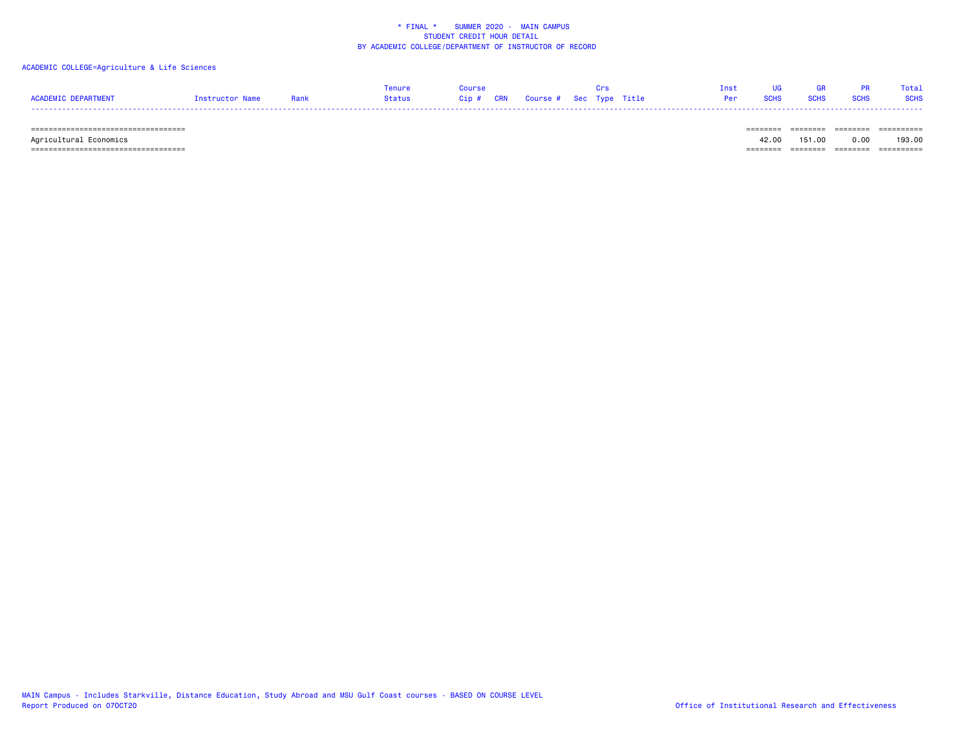### ACADEMIC COLLEGE=Agriculture & Life Sciences

|                     |                 |      | Tenure | Course: |                                   |  | Tnst | <b>TIG</b> | <b>GR</b> |                              | Total |
|---------------------|-----------------|------|--------|---------|-----------------------------------|--|------|------------|-----------|------------------------------|-------|
| ACADEMIC DEPARTMENT | Instructor Name | Rank | Status |         | Cip # CRN Course # Sec Type Title |  |      |            |           | Per SCHS SCHS SCHS SCHS SCHS |       |
|                     |                 |      |        |         |                                   |  |      |            |           |                              |       |

 =================================== ======== ======== ======== ========== Agricultural Economics 42.00 151.00 0.00 193.00 =================================== ======== ======== ======== ==========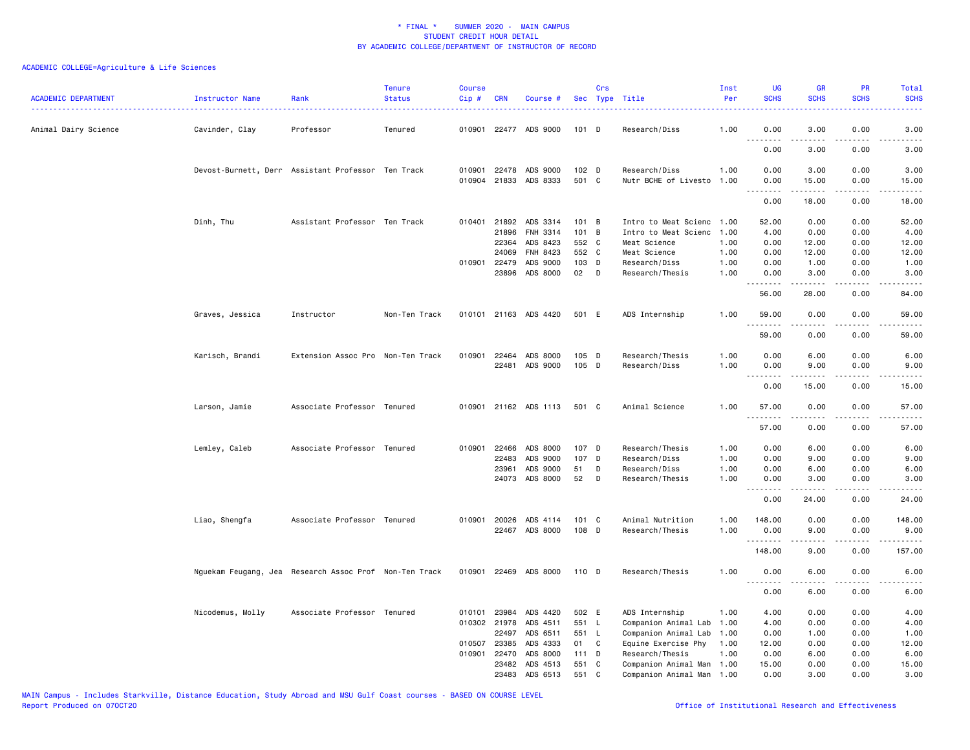| <b>ACADEMIC DEPARTMENT</b> | Instructor Name  | Rank                                                   | <b>Tenure</b><br><b>Status</b> | <b>Course</b><br>Cip# | <b>CRN</b>   | Course #              |         | Crs | Sec Type Title            | Inst<br>Per | <b>UG</b><br><b>SCHS</b> | <b>GR</b><br><b>SCHS</b> | PR<br><b>SCHS</b>                           | Total<br><b>SCHS</b>                                                                                                               |
|----------------------------|------------------|--------------------------------------------------------|--------------------------------|-----------------------|--------------|-----------------------|---------|-----|---------------------------|-------------|--------------------------|--------------------------|---------------------------------------------|------------------------------------------------------------------------------------------------------------------------------------|
| Animal Dairy Science       | Cavinder, Clay   | Professor                                              | Tenured                        | 010901                |              | 22477 ADS 9000        | 101 D   |     | Research/Diss             | 1.00        | 0.00                     | 3.00                     | 0.00                                        | 3.00                                                                                                                               |
|                            |                  |                                                        |                                |                       |              |                       |         |     |                           |             | .<br>0.00                | .<br>3.00                | 0.00                                        | 3.00                                                                                                                               |
|                            |                  | Devost-Burnett, Derr Assistant Professor Ten Track     |                                | 010901                |              | 22478 ADS 9000        | 102 D   |     | Research/Diss             | 1.00        | 0.00                     | 3.00                     | 0.00                                        | 3.00                                                                                                                               |
|                            |                  |                                                        |                                |                       |              | 010904 21833 ADS 8333 | 501 C   |     | Nutr BCHE of Livesto 1.00 |             | 0.00<br>.                | 15.00<br>.               | 0.00<br>.                                   | 15.00<br>.                                                                                                                         |
|                            |                  |                                                        |                                |                       |              |                       |         |     |                           |             | 0.00                     | 18.00                    | 0.00                                        | 18.00                                                                                                                              |
|                            | Dinh, Thu        | Assistant Professor Ten Track                          |                                |                       | 010401 21892 | ADS 3314              | 101 B   |     | Intro to Meat Scienc      | 1.00        | 52.00                    | 0.00                     | 0.00                                        | 52.00                                                                                                                              |
|                            |                  |                                                        |                                |                       | 21896        | FNH 3314              | 101 B   |     | Intro to Meat Scienc      | 1.00        | 4.00                     | 0.00                     | 0.00                                        | 4.00                                                                                                                               |
|                            |                  |                                                        |                                |                       | 22364        | ADS 8423              | 552 C   |     | Meat Science              | 1.00        | 0.00                     | 12.00                    | 0.00                                        | 12.00                                                                                                                              |
|                            |                  |                                                        |                                |                       | 24069        | FNH 8423              | 552 C   |     | Meat Science              | 1.00        | 0.00                     | 12.00                    | 0.00                                        | 12.00                                                                                                                              |
|                            |                  |                                                        |                                | 010901                | 22479        | ADS 9000              | 103 D   |     | Research/Diss             | 1.00        | 0.00                     | 1.00                     | 0.00                                        | 1.00                                                                                                                               |
|                            |                  |                                                        |                                |                       | 23896        | ADS 8000              | 02      | D   | Research/Thesis           | 1.00        | 0.00<br>.                | 3.00<br>.                | 0.00                                        | 3.00                                                                                                                               |
|                            |                  |                                                        |                                |                       |              |                       |         |     |                           |             | 56.00                    | 28.00                    | 0.00                                        | 84.00                                                                                                                              |
|                            | Graves, Jessica  | Instructor                                             | Non-Ten Track                  |                       |              | 010101 21163 ADS 4420 | 501 E   |     | ADS Internship            | 1.00        | 59.00<br><u>.</u>        | 0.00<br>.                | 0.00<br>.                                   | 59.00<br>.                                                                                                                         |
|                            |                  |                                                        |                                |                       |              |                       |         |     |                           |             | 59.00                    | 0.00                     | 0.00                                        | 59.00                                                                                                                              |
|                            | Karisch, Brandi  | Extension Assoc Pro Non-Ten Track                      |                                | 010901                | 22464        | ADS 8000              | $105$ D |     | Research/Thesis           | 1.00        | 0.00                     | 6.00                     | 0.00                                        | 6.00                                                                                                                               |
|                            |                  |                                                        |                                |                       | 22481        | ADS 9000              | 105 D   |     | Research/Diss             | 1.00        | 0.00                     | 9.00                     | 0.00                                        | 9.00                                                                                                                               |
|                            |                  |                                                        |                                |                       |              |                       |         |     |                           |             | .<br>0.00                | .<br>15.00               | $\omega$ is $\omega$ in<br>0.00             | $\frac{1}{2} \left( \frac{1}{2} \right) \left( \frac{1}{2} \right) \left( \frac{1}{2} \right) \left( \frac{1}{2} \right)$<br>15.00 |
|                            | Larson, Jamie    | Associate Professor Tenured                            |                                |                       |              | 010901 21162 ADS 1113 | 501 C   |     | Animal Science            | 1.00        | 57.00                    | 0.00                     | 0.00                                        | 57.00                                                                                                                              |
|                            |                  |                                                        |                                |                       |              |                       |         |     |                           |             | .<br>57.00               | .<br>0.00                | $\omega$ $\omega$ $\omega$ $\omega$<br>0.00 | .<br>57.00                                                                                                                         |
|                            |                  |                                                        |                                |                       |              |                       |         |     |                           |             |                          |                          |                                             |                                                                                                                                    |
|                            | Lemley, Caleb    | Associate Professor Tenured                            |                                | 010901                | 22466        | ADS 8000              | 107 D   |     | Research/Thesis           | 1.00        | 0.00                     | 6.00                     | 0.00                                        | 6.00                                                                                                                               |
|                            |                  |                                                        |                                |                       | 22483        | ADS 9000              | 107 D   |     | Research/Diss             | 1.00        | 0.00                     | 9.00                     | 0.00                                        | 9.00                                                                                                                               |
|                            |                  |                                                        |                                |                       | 23961        | ADS 9000              | 51      | D   | Research/Diss             | 1.00        | 0.00                     | 6.00                     | 0.00                                        | 6.00                                                                                                                               |
|                            |                  |                                                        |                                |                       | 24073        | ADS 8000              | 52      | D   | Research/Thesis           | 1.00        | 0.00<br>.                | 3.00<br><u>.</u>         | 0.00<br>.                                   | 3.00<br>.                                                                                                                          |
|                            |                  |                                                        |                                |                       |              |                       |         |     |                           |             | 0.00                     | 24.00                    | 0.00                                        | 24.00                                                                                                                              |
|                            | Liao, Shengfa    | Associate Professor Tenured                            |                                |                       | 010901 20026 | ADS 4114              | 101 C   |     | Animal Nutrition          | 1.00        | 148.00                   | 0.00                     | 0.00                                        | 148.00                                                                                                                             |
|                            |                  |                                                        |                                |                       |              | 22467 ADS 8000        | 108 D   |     | Research/Thesis           | 1.00        | 0.00                     | 9.00                     | 0.00                                        | 9.00                                                                                                                               |
|                            |                  |                                                        |                                |                       |              |                       |         |     |                           |             | <u>.</u><br>148.00       | .<br>9.00                | ----<br>0.00                                | $- - - - - -$<br>157.00                                                                                                            |
|                            |                  | Nguekam Feugang, Jea Research Assoc Prof Non-Ten Track |                                |                       |              | 010901 22469 ADS 8000 | 110 D   |     | Research/Thesis           | 1.00        | 0.00                     | 6.00                     | 0.00                                        | 6.00                                                                                                                               |
|                            |                  |                                                        |                                |                       |              |                       |         |     |                           |             | .                        |                          | .                                           |                                                                                                                                    |
|                            |                  |                                                        |                                |                       |              |                       |         |     |                           |             | 0.00                     | 6.00                     | 0.00                                        | 6.00                                                                                                                               |
|                            | Nicodemus, Molly | Associate Professor Tenured                            |                                | 010101                | 23984        | ADS 4420              | 502 E   |     | ADS Internship            | 1.00        | 4.00                     | 0.00                     | 0.00                                        | 4.00                                                                                                                               |
|                            |                  |                                                        |                                |                       | 010302 21978 | ADS 4511              | 551 L   |     | Companion Animal Lab      | 1.00        | 4.00                     | 0.00                     | 0.00                                        | 4.00                                                                                                                               |
|                            |                  |                                                        |                                |                       | 22497        | ADS 6511              | 551 L   |     | Companion Animal Lab      | 1.00        | 0.00                     | 1.00                     | 0.00                                        | 1.00                                                                                                                               |
|                            |                  |                                                        |                                | 010507                | 23385        | ADS 4333              | 01      | C   | Equine Exercise Phy       | 1.00        | 12.00                    | 0.00                     | 0.00                                        | 12.00                                                                                                                              |
|                            |                  |                                                        |                                | 010901                | 22470        | ADS 8000              | $111$ D |     | Research/Thesis           | 1.00        | 0.00                     | 6.00                     | 0.00                                        | 6.00                                                                                                                               |
|                            |                  |                                                        |                                |                       | 23482        | ADS 4513              | 551     | C   | Companion Animal Man      | 1.00        | 15.00                    | 0.00                     | 0.00                                        | 15.00                                                                                                                              |
|                            |                  |                                                        |                                |                       | 23483        | ADS 6513              | 551 C   |     | Companion Animal Man 1.00 |             | 0.00                     | 3.00                     | 0.00                                        | 3.00                                                                                                                               |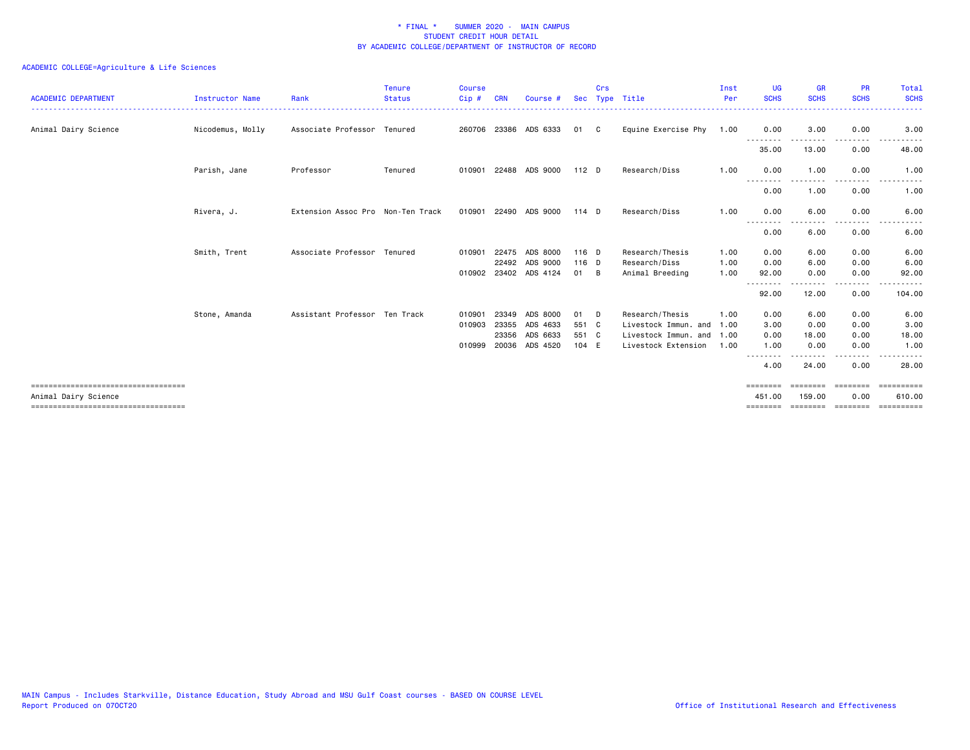| <b>ACADEMIC DEPARTMENT</b>           | Instructor Name  | Rank                              | <b>Tenure</b><br><b>Status</b> | <b>Course</b><br>Cip# | CRN   | Course                | <b>Sec</b> | Crs | Type Title           | Inst<br>Per | <b>UG</b><br><b>SCHS</b> | <b>GR</b><br><b>SCHS</b> | <b>PR</b><br><b>SCHS</b> | <b>Total</b><br><b>SCHS</b>                                                                                                                                                                                                                                                                                                                                                                                                                                                            |
|--------------------------------------|------------------|-----------------------------------|--------------------------------|-----------------------|-------|-----------------------|------------|-----|----------------------|-------------|--------------------------|--------------------------|--------------------------|----------------------------------------------------------------------------------------------------------------------------------------------------------------------------------------------------------------------------------------------------------------------------------------------------------------------------------------------------------------------------------------------------------------------------------------------------------------------------------------|
| Animal Dairy Science                 | Nicodemus, Molly | Associate Professor Tenured       |                                | 260706                | 23386 | ADS 6333              | 01         | - C | Equine Exercise Phy  | 1.00        | 0.00                     | 3.00                     | 0.00                     | 3.00                                                                                                                                                                                                                                                                                                                                                                                                                                                                                   |
|                                      |                  |                                   |                                |                       |       |                       |            |     |                      |             | .<br>35.00               | 13.00                    | 0.00                     | 48.00                                                                                                                                                                                                                                                                                                                                                                                                                                                                                  |
|                                      | Parish, Jane     | Professor                         | Tenured                        | 010901                | 22488 | ADS 9000              | $112$ D    |     | Research/Diss        | 1.00        | 0.00                     | 1.00                     | 0.00                     | 1.00                                                                                                                                                                                                                                                                                                                                                                                                                                                                                   |
|                                      |                  |                                   |                                |                       |       |                       |            |     |                      |             | --------<br>0.00         | 1.00                     | .<br>0.00                | $\frac{1}{2} \left( \frac{1}{2} \right) \left( \frac{1}{2} \right) \left( \frac{1}{2} \right)$<br><u>.</u><br>1.00                                                                                                                                                                                                                                                                                                                                                                     |
|                                      | Rivera, J.       | Extension Assoc Pro Non-Ten Track |                                | 010901                | 22490 | ADS 9000              | $114$ D    |     | Research/Diss        | 1.00        | 0.00                     | 6.00                     | 0.00                     | 6.00                                                                                                                                                                                                                                                                                                                                                                                                                                                                                   |
|                                      |                  |                                   |                                |                       |       |                       |            |     |                      |             | .<br>0.00                | 6.00                     | 0.00                     | 6.00                                                                                                                                                                                                                                                                                                                                                                                                                                                                                   |
|                                      | Smith, Trent     | Associate Professor Tenured       |                                | 010901                | 22475 | ADS 8000              | 116 D      |     | Research/Thesis      | 1.00        | 0.00                     | 6.00                     | 0.00                     | 6.00                                                                                                                                                                                                                                                                                                                                                                                                                                                                                   |
|                                      |                  |                                   |                                |                       |       | 22492 ADS 9000        | $116$ D    |     | Research/Diss        | 1.00        | 0.00                     | 6.00                     | 0.00                     | 6.00                                                                                                                                                                                                                                                                                                                                                                                                                                                                                   |
|                                      |                  |                                   |                                |                       |       | 010902 23402 ADS 4124 | 01         | - B | Animal Breeding      | 1.00        | 92.00<br>.               | 0.00                     | 0.00<br>. <b>.</b> .     | 92.00                                                                                                                                                                                                                                                                                                                                                                                                                                                                                  |
|                                      |                  |                                   |                                |                       |       |                       |            |     |                      |             | 92.00                    | 12.00                    | 0.00                     | 104.00                                                                                                                                                                                                                                                                                                                                                                                                                                                                                 |
|                                      | Stone, Amanda    | Assistant Professor Ten Track     |                                | 010901                | 23349 | ADS 8000              | 01         | D   | Research/Thesis      | 1.00        | 0.00                     | 6.00                     | 0.00                     | 6.00                                                                                                                                                                                                                                                                                                                                                                                                                                                                                   |
|                                      |                  |                                   |                                | 010903                | 23355 | ADS 4633              | 551 C      |     | Livestock Immun. and | 1.00        | 3.00                     | 0.00                     | 0.00                     | 3.00                                                                                                                                                                                                                                                                                                                                                                                                                                                                                   |
|                                      |                  |                                   |                                |                       | 23356 | ADS 6633              | 551 C      |     | Livestock Immun. and | 1.00        | 0.00                     | 18.00                    | 0.00                     | 18.00                                                                                                                                                                                                                                                                                                                                                                                                                                                                                  |
|                                      |                  |                                   |                                | 010999                | 20036 | ADS 4520              | 104 E      |     | Livestock Extension  | 1.00        | 1.00                     | 0.00                     | 0.00                     | 1.00                                                                                                                                                                                                                                                                                                                                                                                                                                                                                   |
|                                      |                  |                                   |                                |                       |       |                       |            |     |                      |             | 4.00                     | 24.00                    | 0.00                     | 28,00                                                                                                                                                                                                                                                                                                                                                                                                                                                                                  |
| ==================================== |                  |                                   |                                |                       |       |                       |            |     |                      |             | ========                 | ========                 | ========                 | -----------                                                                                                                                                                                                                                                                                                                                                                                                                                                                            |
| Animal Dairy Science                 |                  |                                   |                                |                       |       |                       |            |     |                      |             | 451,00                   | 159.00                   | 0.00                     | 610.00                                                                                                                                                                                                                                                                                                                                                                                                                                                                                 |
| ==================================== |                  |                                   |                                |                       |       |                       |            |     |                      |             | ========                 | ========                 |                          | $\begin{array}{cccccccccc} \multicolumn{2}{c}{} & \multicolumn{2}{c}{} & \multicolumn{2}{c}{} & \multicolumn{2}{c}{} & \multicolumn{2}{c}{} & \multicolumn{2}{c}{} & \multicolumn{2}{c}{} & \multicolumn{2}{c}{} & \multicolumn{2}{c}{} & \multicolumn{2}{c}{} & \multicolumn{2}{c}{} & \multicolumn{2}{c}{} & \multicolumn{2}{c}{} & \multicolumn{2}{c}{} & \multicolumn{2}{c}{} & \multicolumn{2}{c}{} & \multicolumn{2}{c}{} & \multicolumn{2}{c}{} & \multicolumn{2}{c}{} & \mult$ |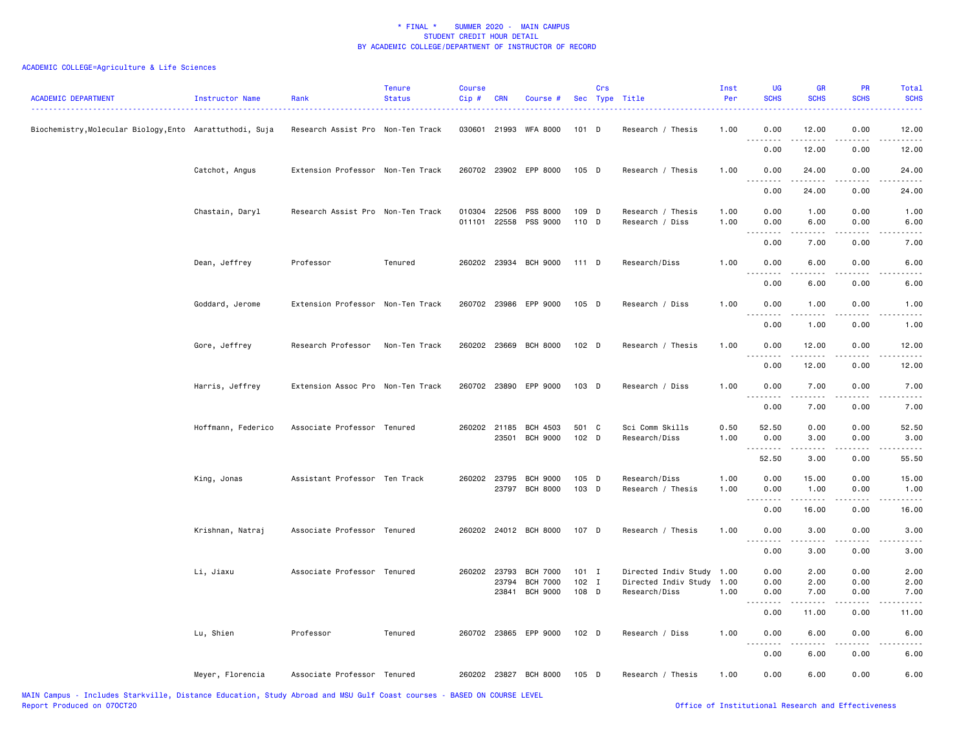| <b>ACADEMIC DEPARTMENT</b>                             | Instructor Name    | Rank                              | <b>Tenure</b><br><b>Status</b> | <b>Course</b><br>Cip# | <b>CRN</b>            | Course #                           |                | Crs | Sec Type Title                       | Inst<br>Per  | <b>UG</b><br><b>SCHS</b>                                                                                    | <b>GR</b><br><b>SCHS</b> | <b>PR</b><br><b>SCHS</b>  | Total<br><b>SCHS</b> |
|--------------------------------------------------------|--------------------|-----------------------------------|--------------------------------|-----------------------|-----------------------|------------------------------------|----------------|-----|--------------------------------------|--------------|-------------------------------------------------------------------------------------------------------------|--------------------------|---------------------------|----------------------|
| Biochemistry,Molecular Biology,Ento Aarattuthodi, Suja |                    | Research Assist Pro Non-Ten Track |                                |                       |                       | 030601 21993 WFA 8000              | 101 D          |     | Research / Thesis                    | 1.00         | 0.00<br>.                                                                                                   | 12.00<br>.               | 0.00<br>$\frac{1}{2}$     | 12.00<br>.           |
|                                                        |                    |                                   |                                |                       |                       |                                    |                |     |                                      |              | 0.00                                                                                                        | 12.00                    | 0.00                      | 12.00                |
|                                                        | Catchot, Angus     | Extension Professor Non-Ten Track |                                |                       |                       | 260702 23902 EPP 8000              | 105 D          |     | Research / Thesis                    | 1.00         | 0.00<br>.                                                                                                   | 24.00                    | 0.00                      | 24.00                |
|                                                        |                    |                                   |                                |                       |                       |                                    |                |     |                                      |              | 0.00                                                                                                        | 24.00                    | 0.00                      | 24.00                |
|                                                        | Chastain, Daryl    | Research Assist Pro Non-Ten Track |                                | 011101                | 010304 22506<br>22558 | PSS 8000<br>PSS 9000               | 109 D<br>110 D |     | Research / Thesis<br>Research / Diss | 1.00<br>1.00 | 0.00<br>0.00<br>.                                                                                           | 1.00<br>6.00<br>-----    | 0.00<br>0.00<br>$- - - -$ | 1.00<br>6.00         |
|                                                        |                    |                                   |                                |                       |                       |                                    |                |     |                                      |              | 0.00                                                                                                        | 7.00                     | 0.00                      | 7.00                 |
|                                                        | Dean, Jeffrey      | Professor                         | Tenured                        |                       |                       | 260202 23934 BCH 9000              | 111 D          |     | Research/Diss                        | 1.00         | 0.00<br>.                                                                                                   | 6.00<br>.                | 0.00<br>$- - - -$         | 6.00<br>$- - - -$    |
|                                                        |                    |                                   |                                |                       |                       |                                    |                |     |                                      |              | 0.00                                                                                                        | 6.00                     | 0.00                      | 6.00                 |
|                                                        | Goddard, Jerome    | Extension Professor Non-Ten Track |                                | 260702 23986          |                       | EPP 9000                           | 105 D          |     | Research / Diss                      | 1.00         | 0.00                                                                                                        | 1.00                     | 0.00                      | 1.00                 |
|                                                        |                    |                                   |                                |                       |                       |                                    |                |     |                                      |              | 0.00                                                                                                        | 1.00                     | 0.00                      | 1.00                 |
|                                                        | Gore, Jeffrey      | Research Professor                | Non-Ten Track                  |                       | 260202 23669          | <b>BCH 8000</b>                    | $102$ D        |     | Research / Thesis                    | 1.00         | 0.00<br>.<br>.                                                                                              | 12.00                    | 0.00                      | 12.00                |
|                                                        |                    |                                   |                                |                       |                       |                                    |                |     |                                      |              | 0.00                                                                                                        | 12.00                    | 0.00                      | 12.00                |
|                                                        | Harris, Jeffrey    | Extension Assoc Pro Non-Ten Track |                                |                       |                       | 260702 23890 EPP 9000              | 103 D          |     | Research / Diss                      | 1.00         | 0.00<br><u>.</u>                                                                                            | 7.00                     | 0.00                      | 7.00                 |
|                                                        |                    |                                   |                                |                       |                       |                                    |                |     |                                      |              | 0.00                                                                                                        | 7.00                     | 0.00                      | 7.00                 |
|                                                        | Hoffmann, Federico | Associate Professor Tenured       |                                |                       | 260202 21185<br>23501 | <b>BCH 4503</b><br><b>BCH 9000</b> | 501 C<br>102 D |     | Sci Comm Skills<br>Research/Diss     | 0.50<br>1.00 | 52.50<br>0.00                                                                                               | 0.00<br>3.00             | 0.00<br>0.00              | 52.50<br>3.00        |
|                                                        |                    |                                   |                                |                       |                       |                                    |                |     |                                      |              | 52.50                                                                                                       | 3.00                     | 0.00                      | 55.50                |
|                                                        | King, Jonas        | Assistant Professor Ten Track     |                                | 260202 23795          | 23797                 | <b>BCH 9000</b><br><b>BCH 8000</b> | 105 D<br>103 D |     | Research/Diss                        | 1.00<br>1.00 | 0.00<br>0.00                                                                                                | 15.00<br>1.00            | 0.00<br>0.00              | 15.00                |
|                                                        |                    |                                   |                                |                       |                       |                                    |                |     | Research / Thesis                    |              | .                                                                                                           | .                        | .                         | 1.00<br>.            |
|                                                        |                    |                                   |                                |                       |                       | 260202 24012 BCH 8000              | 107 D          |     | Research / Thesis                    | 1.00         | 0.00<br>0.00                                                                                                | 16.00<br>3.00            | 0.00<br>0.00              | 16.00                |
|                                                        | Krishnan, Natraj   | Associate Professor Tenured       |                                |                       |                       |                                    |                |     |                                      |              | .<br>0.00                                                                                                   | .<br>3.00                | ----<br>0.00              | 3.00<br>3.00         |
|                                                        |                    | Associate Professor Tenured       |                                | 260202 23793          |                       | <b>BCH 7000</b>                    | $101$ I        |     | Directed Indiv Study                 | 1.00         | 0.00                                                                                                        | 2.00                     | 0.00                      | 2.00                 |
|                                                        | Li, Jiaxu          |                                   |                                |                       | 23794                 | <b>BCH 7000</b>                    | $102$ I        |     | Directed Indiv Study                 | 1.00         | 0.00                                                                                                        | 2.00                     | 0.00                      | 2.00                 |
|                                                        |                    |                                   |                                |                       | 23841                 | <b>BCH 9000</b>                    | 108 D          |     | Research/Diss                        | 1.00         | 0.00<br>.<br>$\frac{1}{2} \left( \frac{1}{2} \right) \left( \frac{1}{2} \right) \left( \frac{1}{2} \right)$ | 7.00<br>$- - - - -$      | 0.00<br>.                 | 7.00                 |
|                                                        |                    |                                   |                                |                       |                       |                                    |                |     |                                      |              | 0.00                                                                                                        | 11.00                    | 0.00                      | 11.00                |
|                                                        | Lu, Shien          | Professor                         | Tenured                        |                       |                       | 260702 23865 EPP 9000              | 102 D          |     | Research / Diss                      | 1.00         | 0.00<br>.                                                                                                   | 6.00<br>$- - - - -$      | 0.00<br>.                 | 6.00                 |
|                                                        |                    |                                   |                                |                       |                       |                                    |                |     |                                      |              | 0.00                                                                                                        | 6.00                     | 0.00                      | 6.00                 |
|                                                        | Meyer, Florencia   | Associate Professor Tenured       |                                |                       |                       | 260202 23827 BCH 8000              | 105 D          |     | Research / Thesis                    | 1.00         | 0.00                                                                                                        | 6.00                     | 0.00                      | 6.00                 |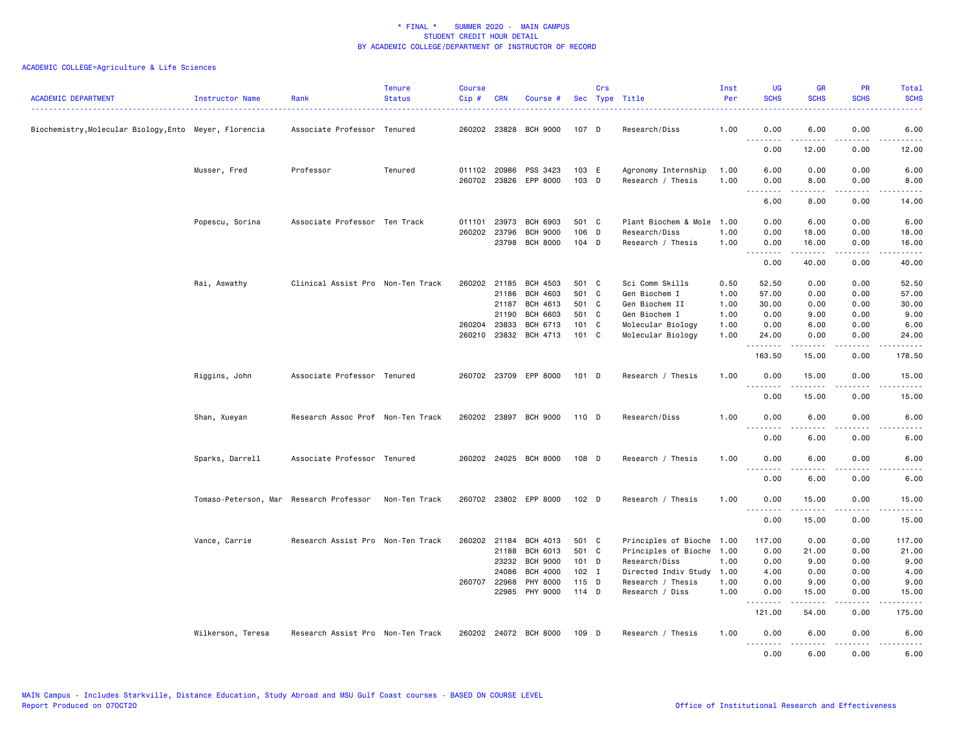| <b>ACADEMIC DEPARTMENT</b>                           | Instructor Name                         | Rank                              | <b>Tenure</b><br><b>Status</b> | <b>Course</b><br>Cip# | <b>CRN</b>   | Course #                          |                  | Crs | Sec Type Title                           | Inst<br>Per  | <b>UG</b><br><b>SCHS</b> | <b>GR</b><br><b>SCHS</b>                                                                                                                                     | PR<br><b>SCHS</b> | Total<br><b>SCHS</b>   |
|------------------------------------------------------|-----------------------------------------|-----------------------------------|--------------------------------|-----------------------|--------------|-----------------------------------|------------------|-----|------------------------------------------|--------------|--------------------------|--------------------------------------------------------------------------------------------------------------------------------------------------------------|-------------------|------------------------|
| Biochemistry,Molecular Biology,Ento Meyer, Florencia |                                         | Associate Professor Tenured       |                                |                       |              | 260202 23828 BCH 9000             | 107 D            |     | Research/Diss                            | 1.00         | 0.00                     | 6.00                                                                                                                                                         | 0.00              | 6.00                   |
|                                                      |                                         |                                   |                                |                       |              |                                   |                  |     |                                          |              | .<br>0.00                | $\cdots \cdots \cdots$<br>12.00                                                                                                                              | .<br>0.00         | $\frac{1}{2}$<br>12.00 |
|                                                      | Musser, Fred                            | Professor                         | Tenured                        | 011102 20986          |              | PSS 3423<br>260702 23826 EPP 8000 | 103 E<br>103 D   |     | Agronomy Internship<br>Research / Thesis | 1.00<br>1.00 | 6.00<br>0.00             | 0.00<br>8.00                                                                                                                                                 | 0.00<br>0.00      | 6.00<br>8.00           |
|                                                      |                                         |                                   |                                |                       |              |                                   |                  |     |                                          |              | .<br>6.00                | .<br>8.00                                                                                                                                                    | .<br>0.00         | .<br>14.00             |
|                                                      |                                         |                                   |                                |                       |              |                                   |                  |     |                                          |              |                          |                                                                                                                                                              |                   |                        |
|                                                      | Popescu, Sorina                         | Associate Professor Ten Track     |                                | 011101                | 23973        | BCH 6903                          | 501 C            |     | Plant Biochem & Mole                     | 1.00         | 0.00                     | 6.00                                                                                                                                                         | 0.00              | 6.00                   |
|                                                      |                                         |                                   |                                |                       | 260202 23796 | <b>BCH 9000</b>                   | 106 D            |     | Research/Diss                            | 1.00         | 0.00                     | 18.00                                                                                                                                                        | 0.00              | 18.00                  |
|                                                      |                                         |                                   |                                |                       |              | 23798 BCH 8000                    | 104 D            |     | Research / Thesis                        | 1.00         | 0.00<br>.                | 16.00<br>$\frac{1}{2}$                                                                                                                                       | 0.00<br>.         | 16.00<br>. <u>.</u> .  |
|                                                      |                                         |                                   |                                |                       |              |                                   |                  |     |                                          |              | 0.00                     | 40.00                                                                                                                                                        | 0.00              | 40.00                  |
|                                                      | Rai, Aswathy                            | Clinical Assist Pro Non-Ten Track |                                | 260202 21185          |              | BCH 4503                          | 501 C            |     | Sci Comm Skills                          | 0.50         | 52.50                    | 0.00                                                                                                                                                         | 0.00              | 52.50                  |
|                                                      |                                         |                                   |                                |                       | 21186        | BCH 4603                          | 501 C            |     | Gen Biochem I                            | 1.00         | 57.00                    | 0.00                                                                                                                                                         | 0.00              | 57.00                  |
|                                                      |                                         |                                   |                                |                       | 21187        | BCH 4613                          | 501 C            |     | Gen Biochem II                           | 1.00         | 30.00                    | 0.00                                                                                                                                                         | 0.00              | 30.00                  |
|                                                      |                                         |                                   |                                |                       | 21190        | <b>BCH 6603</b>                   | 501 C            |     | Gen Biochem I                            | 1.00         | 0.00                     | 9.00                                                                                                                                                         | 0.00              | 9.00                   |
|                                                      |                                         |                                   |                                |                       | 260204 23833 | BCH 6713                          | 101 C            |     | Molecular Biology                        | 1.00         | 0.00                     | 6.00                                                                                                                                                         | 0.00              | 6.00                   |
|                                                      |                                         |                                   |                                |                       |              | 260210 23832 BCH 4713             | 101 C            |     | Molecular Biology                        | 1.00         | 24.00<br>.               | 0.00<br>$\frac{1}{2} \left( \frac{1}{2} \right) \left( \frac{1}{2} \right) \left( \frac{1}{2} \right) \left( \frac{1}{2} \right) \left( \frac{1}{2} \right)$ | 0.00<br>د د د د   | 24.00<br>.             |
|                                                      |                                         |                                   |                                |                       |              |                                   |                  |     |                                          |              | 163.50                   | 15.00                                                                                                                                                        | 0.00              | 178.50                 |
|                                                      | Riggins, John                           | Associate Professor Tenured       |                                |                       |              | 260702 23709 EPP 8000             | 101 D            |     | Research / Thesis                        | 1.00         | 0.00<br>.                | 15.00<br>د د د د د                                                                                                                                           | 0.00              | 15.00<br>المتمام       |
|                                                      |                                         |                                   |                                |                       |              |                                   |                  |     |                                          |              | 0.00                     | 15.00                                                                                                                                                        | 0.00              | 15.00                  |
|                                                      | Shan, Xueyan                            | Research Assoc Prof Non-Ten Track |                                |                       |              | 260202 23897 BCH 9000             | 110 D            |     | Research/Diss                            | 1.00         | 0.00                     | 6.00                                                                                                                                                         | 0.00              | 6.00                   |
|                                                      |                                         |                                   |                                |                       |              |                                   |                  |     |                                          |              | <u>.</u><br>0.00         | <u>.</u><br>6.00                                                                                                                                             | .<br>0.00         | $\frac{1}{2}$<br>6.00  |
|                                                      | Sparks, Darrell                         | Associate Professor Tenured       |                                |                       |              | 260202 24025 BCH 8000             | 108 D            |     | Research / Thesis                        | 1.00         | 0.00                     | 6.00                                                                                                                                                         | 0.00              | 6.00                   |
|                                                      |                                         |                                   |                                |                       |              |                                   |                  |     |                                          |              | <u>.</u><br>0.00         | - - - - -<br>6.00                                                                                                                                            | $- - - -$<br>0.00 | $- - - -$<br>6.00      |
|                                                      |                                         |                                   |                                |                       |              | 260702 23802 EPP 8000             |                  |     |                                          | 1.00         | 0.00                     | 15.00                                                                                                                                                        |                   | 15.00                  |
|                                                      | Tomaso-Peterson, Mar Research Professor |                                   | Non-Ten Track                  |                       |              |                                   | 102 <sub>D</sub> |     | Research / Thesis                        |              | .                        | .                                                                                                                                                            | 0.00<br>.         | .                      |
|                                                      |                                         |                                   |                                |                       |              |                                   |                  |     |                                          |              | 0.00                     | 15.00                                                                                                                                                        | 0.00              | 15.00                  |
|                                                      | Vance, Carrie                           | Research Assist Pro Non-Ten Track |                                | 260202 21184          |              | BCH 4013                          | 501 C            |     | Principles of Bioche                     | 1.00         | 117.00                   | 0.00                                                                                                                                                         | 0.00              | 117.00                 |
|                                                      |                                         |                                   |                                |                       | 21188        | BCH 6013                          | 501 C            |     | Principles of Bioche                     | 1.00         | 0.00                     | 21.00                                                                                                                                                        | 0.00              | 21.00                  |
|                                                      |                                         |                                   |                                |                       | 23232        | <b>BCH 9000</b>                   | 101 D            |     | Research/Diss                            | 1.00         | 0.00                     | 9.00                                                                                                                                                         | 0.00              | 9.00                   |
|                                                      |                                         |                                   |                                |                       | 24086        | <b>BCH 4000</b>                   | $102$ I          |     | Directed Indiv Study                     | 1.00         | 4.00                     | 0.00                                                                                                                                                         | 0.00              | 4.00                   |
|                                                      |                                         |                                   |                                |                       | 260707 22968 | <b>PHY 8000</b>                   | 115 D            |     | Research / Thesis                        | 1.00         | 0.00                     | 9.00                                                                                                                                                         | 0.00              | 9.00                   |
|                                                      |                                         |                                   |                                |                       | 22985        | PHY 9000                          | $114$ D          |     | Research / Diss                          | 1.00         | 0.00<br>.                | 15.00                                                                                                                                                        | 0.00              | 15.00                  |
|                                                      |                                         |                                   |                                |                       |              |                                   |                  |     |                                          |              | 121.00                   | 54.00                                                                                                                                                        | 0.00              | 175.00                 |
|                                                      | Wilkerson, Teresa                       | Research Assist Pro Non-Ten Track |                                |                       |              | 260202 24072 BCH 8000             | 109 D            |     | Research / Thesis                        | 1.00         | 0.00                     | 6.00                                                                                                                                                         | 0.00              | 6.00                   |
|                                                      |                                         |                                   |                                |                       |              |                                   |                  |     |                                          |              | $\frac{1}{2}$<br>0.00    | 6.00                                                                                                                                                         | $- - - -$<br>0.00 | 6.00                   |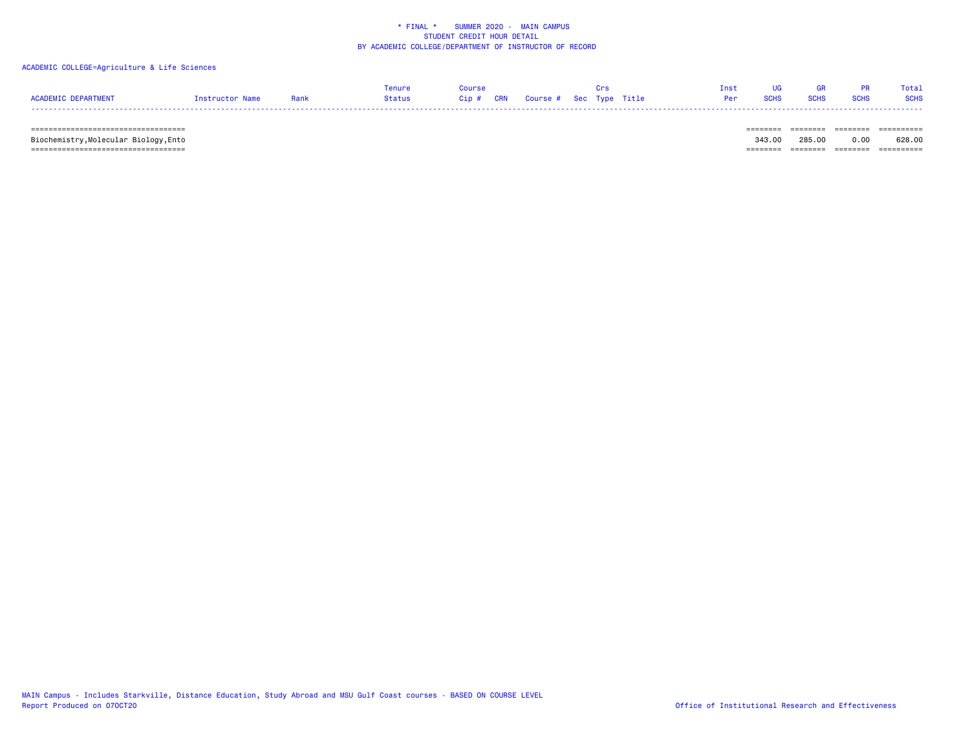### ACADEMIC COLLEGE=Agriculture & Life Sciences

|                     |                 |      | Tenure | Course                            |  |  | Tnst UG         | <b>GR</b>   |                  | <b>PR</b> Total |
|---------------------|-----------------|------|--------|-----------------------------------|--|--|-----------------|-------------|------------------|-----------------|
| ACADEMIC DEPARTMENT | Instructor Name | Rank | Status | Cip # CRN Course # Sec Type Title |  |  | <b>Per</b> SCHS | <b>SCHS</b> | <b>SCHS</b> SCHS |                 |
|                     |                 |      |        |                                   |  |  |                 |             |                  |                 |

 =================================== ======== ======== ======== ========== Biochemistry,Molecular Biology,Ento 343.00 285.00 0.00 628.00 =================================== ======== ======== ======== ==========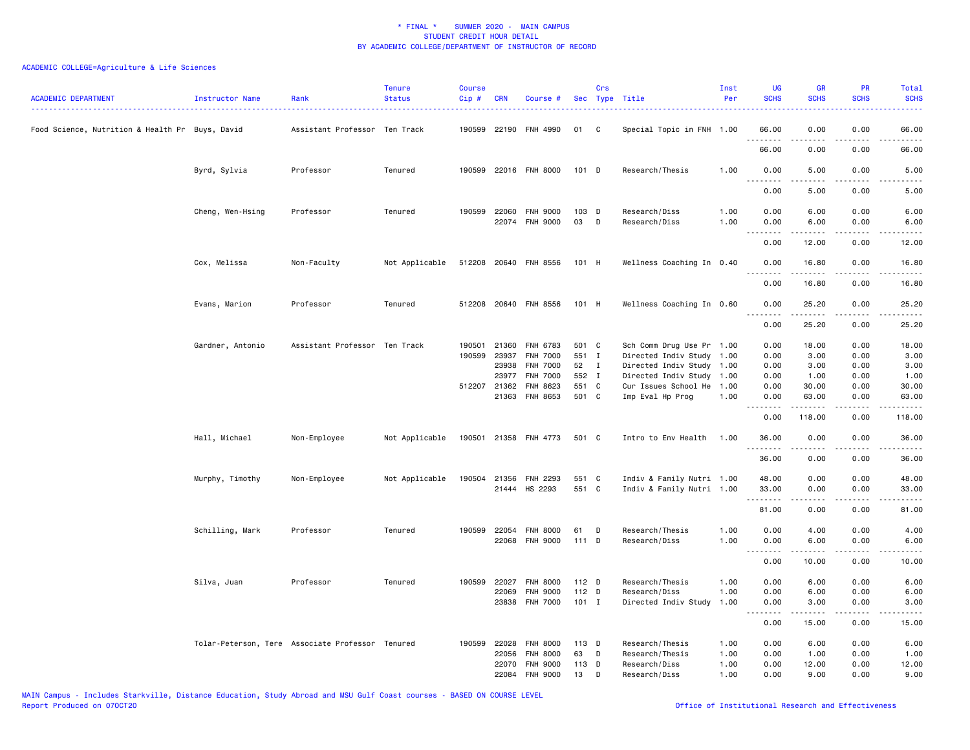| <b>ACADEMIC DEPARTMENT</b>                      | Instructor Name  | Rank                                             | <b>Tenure</b><br><b>Status</b> | <b>Course</b><br>Cip# | <b>CRN</b>     | Course #                           |                | Crs          | Sec Type Title                                    | Inst<br>Per  | <b>UG</b><br><b>SCHS</b>                    | <b>GR</b><br><b>SCHS</b>                                                                                                                                                                                                                                                                                                                             | PR<br><b>SCHS</b>                           | Total<br><b>SCHS</b>                                         |
|-------------------------------------------------|------------------|--------------------------------------------------|--------------------------------|-----------------------|----------------|------------------------------------|----------------|--------------|---------------------------------------------------|--------------|---------------------------------------------|------------------------------------------------------------------------------------------------------------------------------------------------------------------------------------------------------------------------------------------------------------------------------------------------------------------------------------------------------|---------------------------------------------|--------------------------------------------------------------|
| Food Science, Nutrition & Health Pr Buys, David |                  | Assistant Professor Ten Track                    |                                | 190599                |                | 22190 FNH 4990                     | 01             | C            | Special Topic in FNH 1.00                         |              | 66.00                                       | 0.00                                                                                                                                                                                                                                                                                                                                                 | 0.00                                        | 66.00                                                        |
|                                                 |                  |                                                  |                                |                       |                |                                    |                |              |                                                   |              | 66.00                                       | 0.00                                                                                                                                                                                                                                                                                                                                                 | 0.00                                        | 66.00                                                        |
|                                                 | Byrd, Sylvia     | Professor                                        | Tenured                        |                       |                | 190599 22016 FNH 8000              | 101 D          |              | Research/Thesis                                   | 1.00         | 0.00                                        | 5.00                                                                                                                                                                                                                                                                                                                                                 | 0.00                                        | 5.00                                                         |
|                                                 |                  |                                                  |                                |                       |                |                                    |                |              |                                                   |              | 0.00                                        | 5.00                                                                                                                                                                                                                                                                                                                                                 | 0.00                                        | 5.00                                                         |
|                                                 | Cheng, Wen-Hsing | Professor                                        | Tenured                        | 190599                | 22060<br>22074 | <b>FNH 9000</b><br><b>FNH 9000</b> | 103 D<br>03    | D            | Research/Diss<br>Research/Diss                    | 1.00<br>1.00 | 0.00<br>0.00<br>$\sim$ $\sim$ $\sim$ $\sim$ | 6.00<br>6.00<br>$\frac{1}{2} \left( \begin{array}{ccc} 1 & 0 & 0 & 0 \\ 0 & 0 & 0 & 0 \\ 0 & 0 & 0 & 0 \\ 0 & 0 & 0 & 0 \\ 0 & 0 & 0 & 0 \\ 0 & 0 & 0 & 0 \\ 0 & 0 & 0 & 0 \\ 0 & 0 & 0 & 0 \\ 0 & 0 & 0 & 0 \\ 0 & 0 & 0 & 0 \\ 0 & 0 & 0 & 0 & 0 \\ 0 & 0 & 0 & 0 & 0 \\ 0 & 0 & 0 & 0 & 0 \\ 0 & 0 & 0 & 0 & 0 \\ 0 & 0 & 0 & 0 & 0 \\ 0 & 0 & 0$ | 0.00<br>0.00<br>$\sim$ $\sim$ $\sim$ $\sim$ | 6.00<br>6.00<br>$\omega$ $\omega$ $\omega$ $\omega$ $\omega$ |
|                                                 |                  |                                                  |                                |                       |                |                                    |                |              |                                                   |              | 0.00                                        | 12.00                                                                                                                                                                                                                                                                                                                                                | 0.00                                        | 12.00                                                        |
|                                                 | Cox, Melissa     | Non-Faculty                                      | Not Applicable                 |                       |                | 512208 20640 FNH 8556              | 101 H          |              | Wellness Coaching In 0.40                         |              | 0.00<br>$   -$                              | 16.80<br>$- - - - -$                                                                                                                                                                                                                                                                                                                                 | 0.00<br>$- - - -$                           | 16.80<br>.                                                   |
|                                                 |                  |                                                  |                                |                       |                |                                    |                |              |                                                   |              | 0.00                                        | 16.80                                                                                                                                                                                                                                                                                                                                                | 0.00                                        | 16.80                                                        |
|                                                 | Evans, Marion    | Professor                                        | Tenured                        |                       |                | 512208 20640 FNH 8556              | 101 H          |              | Wellness Coaching In 0.60                         |              | 0.00                                        | 25.20                                                                                                                                                                                                                                                                                                                                                | 0.00                                        | 25.20                                                        |
|                                                 |                  |                                                  |                                |                       |                |                                    |                |              |                                                   |              | 0.00                                        | 25.20                                                                                                                                                                                                                                                                                                                                                | 0.00                                        | 25.20                                                        |
|                                                 | Gardner, Antonio | Assistant Professor Ten Track                    |                                | 190501<br>190599      | 21360<br>23937 | FNH 6783<br><b>FNH 7000</b>        | 501 C<br>551 I |              | Sch Comm Drug Use Pr 1.00<br>Directed Indiv Study | 1.00         | 0.00<br>0.00                                | 18.00<br>3.00                                                                                                                                                                                                                                                                                                                                        | 0.00<br>0.00                                | 18.00<br>3.00                                                |
|                                                 |                  |                                                  |                                |                       | 23938<br>23977 | <b>FNH 7000</b><br><b>FNH 7000</b> | 52<br>552 I    | $\mathbf{I}$ | Directed Indiv Study<br>Directed Indiv Study      | 1.00<br>1.00 | 0.00<br>0.00                                | 3.00<br>1.00                                                                                                                                                                                                                                                                                                                                         | 0.00<br>0.00                                | 3.00<br>1.00                                                 |
|                                                 |                  |                                                  |                                |                       | 512207 21362   | FNH 8623                           | 551 C          |              | Cur Issues School He                              | 1.00         | 0.00                                        | 30.00                                                                                                                                                                                                                                                                                                                                                | 0.00                                        | 30.00                                                        |
|                                                 |                  |                                                  |                                |                       |                | 21363 FNH 8653                     | 501 C          |              | Imp Eval Hp Prog                                  | 1.00         | 0.00<br>.                                   | 63.00                                                                                                                                                                                                                                                                                                                                                | 0.00<br>.                                   | 63.00<br>.                                                   |
|                                                 |                  |                                                  |                                |                       |                |                                    |                |              |                                                   |              | 0.00                                        | 118.00                                                                                                                                                                                                                                                                                                                                               | 0.00                                        | 118.00                                                       |
|                                                 | Hall, Michael    | Non-Employee                                     | Not Applicable                 |                       |                | 190501 21358 FNH 4773              | 501 C          |              | Intro to Env Health                               | 1.00         | 36.00<br>.                                  | 0.00<br>.                                                                                                                                                                                                                                                                                                                                            | 0.00<br>$\sim$ $\sim$ $\sim$ $\sim$         | 36.00<br>.                                                   |
|                                                 |                  |                                                  |                                |                       |                |                                    |                |              |                                                   |              | 36.00                                       | 0.00                                                                                                                                                                                                                                                                                                                                                 | 0.00                                        | 36.00                                                        |
|                                                 | Murphy, Timothy  | Non-Employee                                     | Not Applicable                 | 190504                |                | 21356 FNH 2293                     | 551 C          |              | Indiv & Family Nutri 1.00                         |              | 48.00                                       | 0.00                                                                                                                                                                                                                                                                                                                                                 | 0.00                                        | 48.00                                                        |
|                                                 |                  |                                                  |                                |                       |                | 21444 HS 2293                      | 551 C          |              | Indiv & Family Nutri 1.00                         |              | 33.00<br>.                                  | 0.00                                                                                                                                                                                                                                                                                                                                                 | 0.00                                        | 33.00<br>ه د د د د                                           |
|                                                 |                  |                                                  |                                |                       |                |                                    |                |              |                                                   |              | 81.00                                       | 0.00                                                                                                                                                                                                                                                                                                                                                 | 0.00                                        | 81.00                                                        |
|                                                 | Schilling, Mark  | Professor                                        | Tenured                        | 190599                | 22054          | <b>FNH 8000</b>                    | 61             | D            | Research/Thesis                                   | 1.00         | 0.00                                        | 4.00                                                                                                                                                                                                                                                                                                                                                 | 0.00                                        | 4.00                                                         |
|                                                 |                  |                                                  |                                |                       |                | 22068 FNH 9000                     | 111 D          |              | Research/Diss                                     | 1.00         | 0.00<br>.                                   | 6.00<br>$\frac{1}{2} \left( \frac{1}{2} \right) \left( \frac{1}{2} \right) \left( \frac{1}{2} \right) \left( \frac{1}{2} \right) \left( \frac{1}{2} \right)$                                                                                                                                                                                         | 0.00<br>.                                   | 6.00<br>$\frac{1}{2}$                                        |
|                                                 |                  |                                                  |                                |                       |                |                                    |                |              |                                                   |              | 0.00                                        | 10.00                                                                                                                                                                                                                                                                                                                                                | 0.00                                        | 10.00                                                        |
|                                                 | Silva, Juan      | Professor                                        | Tenured                        | 190599                | 22027          | <b>FNH 8000</b>                    | 112 D          |              | Research/Thesis                                   | 1.00         | 0.00                                        | 6.00                                                                                                                                                                                                                                                                                                                                                 | 0.00                                        | 6.00                                                         |
|                                                 |                  |                                                  |                                |                       | 22069          | FNH 9000                           | 112 D          |              | Research/Diss                                     | 1.00         | 0.00                                        | 6.00                                                                                                                                                                                                                                                                                                                                                 | 0.00                                        | 6.00                                                         |
|                                                 |                  |                                                  |                                |                       |                | 23838 FNH 7000                     | $101$ I        |              | Directed Indiv Study                              | 1.00         | 0.00<br><u>.</u>                            | 3.00<br>.                                                                                                                                                                                                                                                                                                                                            | 0.00<br>.                                   | 3.00<br>د د د د د                                            |
|                                                 |                  |                                                  |                                |                       |                |                                    |                |              |                                                   |              | 0.00                                        | 15.00                                                                                                                                                                                                                                                                                                                                                | 0.00                                        | 15.00                                                        |
|                                                 |                  | Tolar-Peterson, Tere Associate Professor Tenured |                                | 190599                | 22028          | <b>FNH 8000</b>                    | 113 D          |              | Research/Thesis                                   | 1.00         | 0.00                                        | 6.00                                                                                                                                                                                                                                                                                                                                                 | 0.00                                        | 6.00                                                         |
|                                                 |                  |                                                  |                                |                       | 22056          | FNH 8000                           | 63             | D            | Research/Thesis                                   | 1.00         | 0.00                                        | 1.00                                                                                                                                                                                                                                                                                                                                                 | 0.00                                        | 1.00                                                         |
|                                                 |                  |                                                  |                                |                       | 22070<br>22084 | <b>FNH 9000</b><br><b>FNH 9000</b> | 113 D<br>13    | D            | Research/Diss<br>Research/Diss                    | 1.00<br>1.00 | 0.00<br>0.00                                | 12.00<br>9.00                                                                                                                                                                                                                                                                                                                                        | 0.00<br>0.00                                | 12.00<br>9.00                                                |
|                                                 |                  |                                                  |                                |                       |                |                                    |                |              |                                                   |              |                                             |                                                                                                                                                                                                                                                                                                                                                      |                                             |                                                              |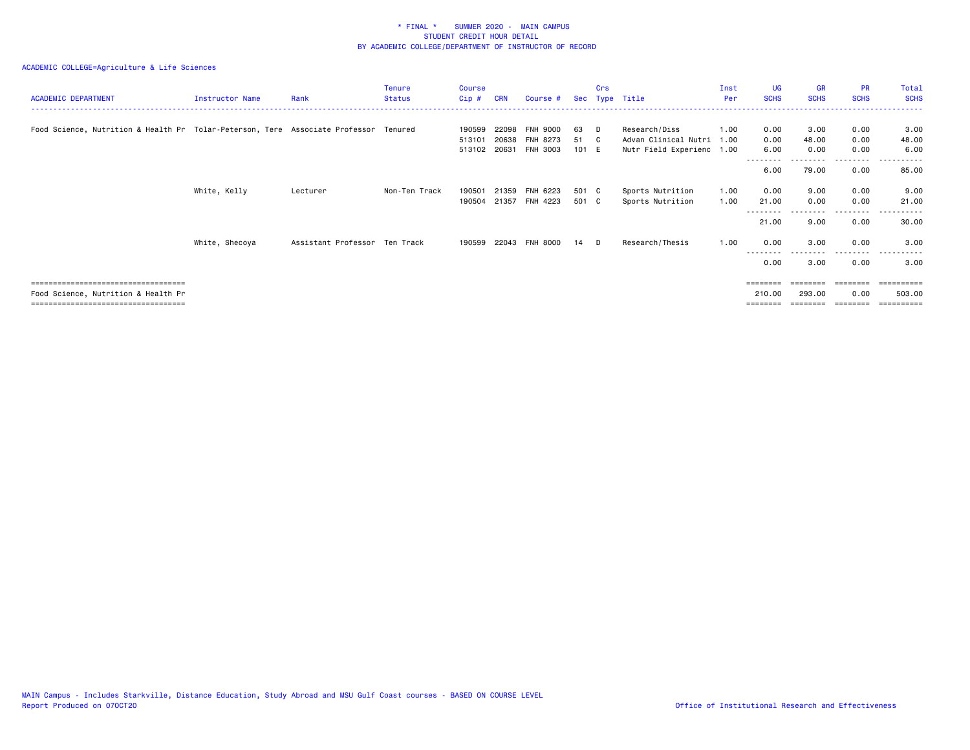| <b>ACADEMIC DEPARTMENT</b>                                                           | Instructor Name | Rank                          | <b>Tenure</b><br><b>Status</b> | Course<br>$Cip$ #          | <b>CRN</b>              | Course #                                       |                   | Crs | Sec Type Title                                                     | Inst<br>Per  | <b>UG</b><br><b>SCHS</b> | <b>GR</b><br><b>SCHS</b> | <b>PR</b><br><b>SCHS</b> | Total<br><b>SCHS</b>              |
|--------------------------------------------------------------------------------------|-----------------|-------------------------------|--------------------------------|----------------------------|-------------------------|------------------------------------------------|-------------------|-----|--------------------------------------------------------------------|--------------|--------------------------|--------------------------|--------------------------|-----------------------------------|
| Food Science, Nutrition & Health Pr Tolar-Peterson, Tere Associate Professor Tenured |                 |                               |                                | 190599<br>513101<br>513102 | 22098<br>20638<br>20631 | <b>FNH 9000</b><br><b>FNH 8273</b><br>FNH 3003 | 63<br>51<br>101 E | D.  | Research/Diss<br>Advan Clinical Nutri<br>Nutr Field Experienc 1.00 | 1.00<br>1.00 | 0.00<br>0.00<br>6.00     | 3.00<br>48.00<br>0.00    | 0.00<br>0.00<br>0.00     | 3.00<br>48.00<br>6.00             |
|                                                                                      |                 |                               |                                |                            |                         |                                                |                   |     |                                                                    |              | 6.00                     | 79.00                    | .<br>0.00                | 85.00                             |
|                                                                                      | White, Kelly    | Lecturer                      | Non-Ten Track                  | 190501<br>190504           | 21359<br>21357          | FNH 6223<br>FNH 4223                           | 501 C<br>501 C    |     | Sports Nutrition<br>Sports Nutrition                               | 1.00<br>1.00 | 0.00<br>21.00            | 9.00<br>0.00             | 0.00<br>0.00             | 9.00<br>21.00                     |
|                                                                                      |                 |                               |                                |                            |                         |                                                |                   |     |                                                                    |              | 21.00                    | 9.00                     | 0.00                     | 30.00                             |
|                                                                                      | White, Shecoya  | Assistant Professor Ten Track |                                |                            |                         | 190599 22043 FNH 8000                          | 14                | D.  | Research/Thesis                                                    | 1.00         | 0.00<br>---------        | 3.00<br>--------         | 0.00<br>--------         | 3.00<br>.                         |
|                                                                                      |                 |                               |                                |                            |                         |                                                |                   |     |                                                                    |              | 0.00                     | 3.00                     | 0.00                     | 3.00                              |
| ====================================                                                 |                 |                               |                                |                            |                         |                                                |                   |     |                                                                    |              |                          |                          |                          | ======                            |
| Food Science, Nutrition & Health Pr<br>====================================          |                 |                               |                                |                            |                         |                                                |                   |     |                                                                    |              | 210.00<br>========       | 293.00                   | 0.00<br>========         | 503.00<br>$=$ = = = = = = = = $=$ |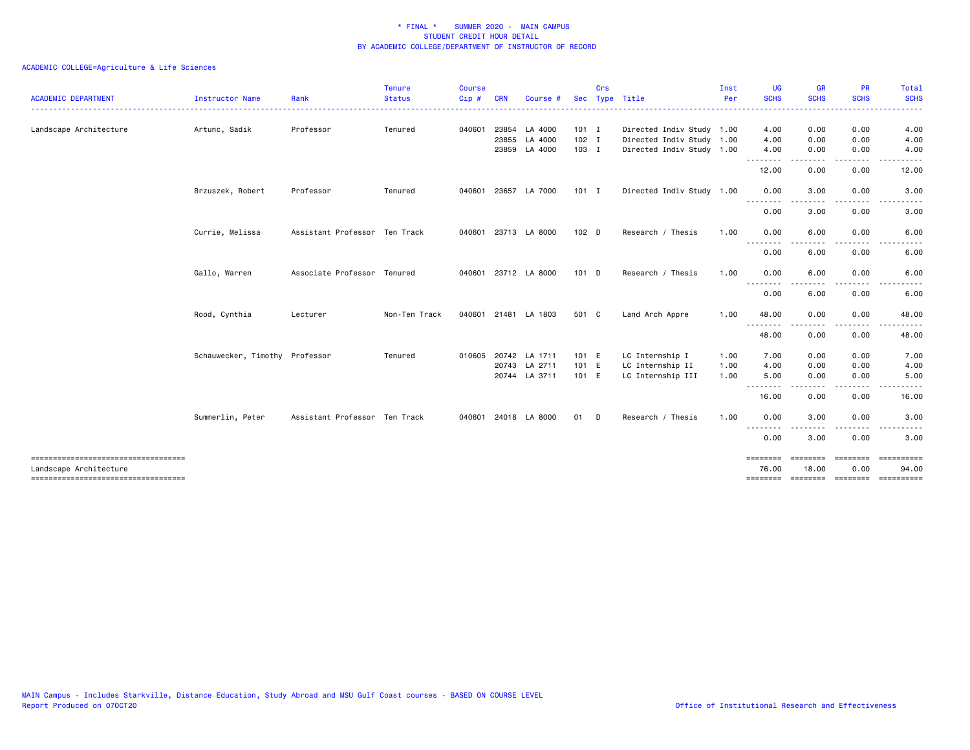| <b>ACADEMIC DEPARTMENT</b>                                      | Instructor Name                | Rank                          | <b>Tenure</b><br><b>Status</b> | Course<br>Cip# | CRN | <b>Course</b>        | <b>Sec</b>       | Crs | Type Title                | Inst<br>Per | <b>UG</b><br><b>SCHS</b>        | <b>GR</b><br><b>SCHS</b> | <b>PR</b><br><b>SCHS</b> | Total<br><b>SCHS</b>                 |
|-----------------------------------------------------------------|--------------------------------|-------------------------------|--------------------------------|----------------|-----|----------------------|------------------|-----|---------------------------|-------------|---------------------------------|--------------------------|--------------------------|--------------------------------------|
| Landscape Architecture                                          | Artunc, Sadik                  | Professor                     | Tenured                        | 040601         |     | 23854 LA 4000        | $101$ I          |     | Directed Indiv Study 1.00 |             | 4.00                            | 0.00                     | 0.00                     | 4.00                                 |
|                                                                 |                                |                               |                                |                |     | 23855 LA 4000        | $102$ I          |     | Directed Indiv Study 1.00 |             | 4.00                            | 0.00                     | 0.00                     | 4.00                                 |
|                                                                 |                                |                               |                                |                |     | 23859 LA 4000        | 103 I            |     | Directed Indiv Study 1.00 |             | 4.00                            | 0.00                     | 0.00                     | 4.00                                 |
|                                                                 |                                |                               |                                |                |     |                      |                  |     |                           |             | .<br>12.00                      | 0.00                     | ----<br>0.00             | 12.00                                |
|                                                                 | Brzuszek, Robert               | Professor                     | Tenured                        | 040601         |     | 23657 LA 7000        | $101$ I          |     | Directed Indiv Study 1.00 |             | 0.00                            | 3.00                     | 0.00                     | 3.00                                 |
|                                                                 |                                |                               |                                |                |     |                      |                  |     |                           |             | ----<br>---<br>0.00             | 3.00                     | 0.00                     | 3.00                                 |
|                                                                 | Currie, Melissa                | Assistant Professor Ten Track |                                |                |     | 040601 23713 LA 8000 | 102 <sub>D</sub> |     | Research / Thesis         | 1.00        | 0.00                            | 6.00                     | 0.00                     | 6.00                                 |
|                                                                 |                                |                               |                                |                |     |                      |                  |     |                           |             | .<br>0.00                       | 6.00                     | ----<br>0.00             | 6.00                                 |
|                                                                 | Gallo, Warren                  | Associate Professor Tenured   |                                |                |     | 040601 23712 LA 8000 | $101$ D          |     | Research / Thesis         | 1.00        | 0.00                            | 6.00                     | 0.00                     | 6.00                                 |
|                                                                 |                                |                               |                                |                |     |                      |                  |     |                           |             | $\cdots$<br>0.00                | 6.00                     | 0.00                     | 6.00                                 |
|                                                                 | Rood, Cynthia                  | Lecturer                      | Non-Ten Track                  | 040601         |     | 21481 LA 1803        | 501 C            |     | Land Arch Appre           | 1.00        | 48.00                           | 0.00                     | 0.00                     | 48.00                                |
|                                                                 |                                |                               |                                |                |     |                      |                  |     |                           |             | 48.00                           | 0.00                     | 0.00                     | 48.00                                |
|                                                                 | Schauwecker, Timothy Professor |                               | Tenured                        |                |     | 010605 20742 LA 1711 | 101 E            |     | LC Internship I           | 1.00        | 7.00                            | 0.00                     | 0.00                     | 7.00                                 |
|                                                                 |                                |                               |                                |                |     | 20743 LA 2711        | 101 E            |     | LC Internship II          | 1.00        | 4.00                            | 0.00                     | 0.00                     | 4.00                                 |
|                                                                 |                                |                               |                                |                |     | 20744 LA 3711        | 101 E            |     | LC Internship III         | 1.00        | 5.00<br>----                    | 0.00                     | 0.00                     | 5.00                                 |
|                                                                 |                                |                               |                                |                |     |                      |                  |     |                           |             | 16.00                           | 0.00                     | 0.00                     | 16.00                                |
|                                                                 | Summerlin, Peter               | Assistant Professor Ten Track |                                | 040601         |     | 24018 LA 8000        | 01               | D   | Research / Thesis         | 1.00        | 0.00<br>- - -<br>. <b>. .</b> . | 3.00                     | 0.00<br>$\cdots$         | 3.00<br>$\frac{1}{2}$                |
|                                                                 |                                |                               |                                |                |     |                      |                  |     |                           |             | 0.00                            | 3.00                     | 0.00                     | 3.00                                 |
| -------------------------------------<br>Landscape Architecture |                                |                               |                                |                |     |                      |                  |     |                           |             | ========<br>76.00               | 18.00                    | 0.00                     | 94.00                                |
| -----------------------------------                             |                                |                               |                                |                |     |                      |                  |     |                           |             |                                 |                          |                          | ======== ======== ======== ========= |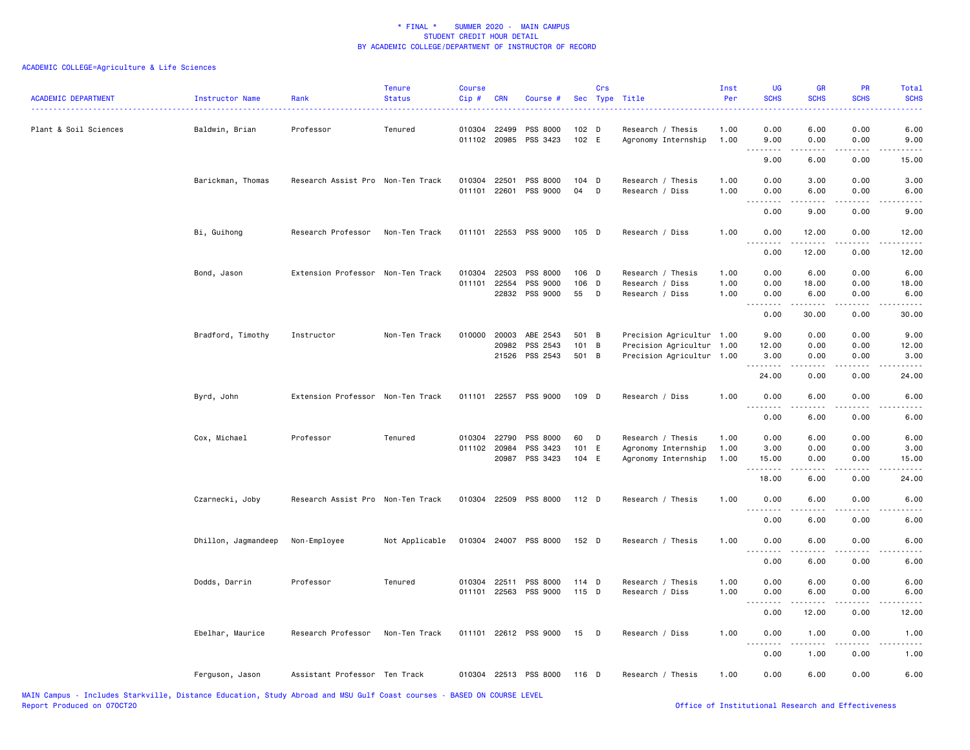| <b>ACADEMIC DEPARTMENT</b> | Instructor Name     | Rank                              | <b>Tenure</b><br><b>Status</b> | <b>Course</b><br>Cip # | <b>CRN</b>     | Course #                          |                           | Crs | Sec Type Title                           | Inst<br>Per  | <b>UG</b><br><b>SCHS</b>     | <b>GR</b><br><b>SCHS</b> | PR<br><b>SCHS</b>                                                                                                                 | Total<br><b>SCHS</b>          |
|----------------------------|---------------------|-----------------------------------|--------------------------------|------------------------|----------------|-----------------------------------|---------------------------|-----|------------------------------------------|--------------|------------------------------|--------------------------|-----------------------------------------------------------------------------------------------------------------------------------|-------------------------------|
| Plant & Soil Sciences      | Baldwin, Brian      | Professor                         | Tenured                        |                        | 010304 22499   | PSS 8000<br>011102 20985 PSS 3423 | 102 <sub>D</sub><br>102 E |     | Research / Thesis<br>Agronomy Internship | 1.00<br>1.00 | 0.00<br>9.00                 | 6.00<br>0.00             | 0.00<br>0.00                                                                                                                      | 6.00<br>9.00                  |
|                            |                     |                                   |                                |                        |                |                                   |                           |     |                                          |              | .<br>9.00                    | 6.00                     | $\frac{1}{2} \left( \frac{1}{2} \right) \left( \frac{1}{2} \right) \left( \frac{1}{2} \right)$<br>0.00                            | 15.00                         |
|                            |                     |                                   |                                |                        |                |                                   |                           |     |                                          |              |                              |                          |                                                                                                                                   |                               |
|                            | Barickman, Thomas   | Research Assist Pro Non-Ten Track |                                | 010304<br>011101       | 22501<br>22601 | PSS 8000<br>PSS 9000              | 104 D<br>04               | D   | Research / Thesis<br>Research / Diss     | 1.00<br>1.00 | 0.00<br>0.00                 | 3.00<br>6.00             | 0.00<br>0.00                                                                                                                      | 3.00<br>6.00                  |
|                            |                     |                                   |                                |                        |                |                                   |                           |     |                                          |              | .                            | .                        | $- - - -$                                                                                                                         | $- - - -$                     |
|                            |                     |                                   |                                |                        |                |                                   |                           |     |                                          |              | 0.00                         | 9.00                     | 0.00                                                                                                                              | 9.00                          |
|                            | Bi, Guihong         | Research Professor                | Non-Ten Track                  |                        |                | 011101 22553 PSS 9000             | 105 D                     |     | Research / Diss                          | 1.00         | 0.00<br>$\sim$ $\sim$ $\sim$ | 12.00                    | 0.00                                                                                                                              | 12.00                         |
|                            |                     |                                   |                                |                        |                |                                   |                           |     |                                          |              | 0.00                         | 12.00                    | 0.00                                                                                                                              | 12.00                         |
|                            | Bond, Jason         | Extension Professor Non-Ten Track |                                | 010304                 | 22503          | PSS 8000                          | 106 D                     |     | Research / Thesis                        | 1.00         | 0.00                         | 6.00                     | 0.00                                                                                                                              | 6.00                          |
|                            |                     |                                   |                                | 011101                 | 22554          | PSS 9000                          | 106 D                     |     | Research / Diss                          | 1.00         | 0.00                         | 18.00                    | 0.00                                                                                                                              | 18.00                         |
|                            |                     |                                   |                                |                        |                | 22832 PSS 9000                    | 55                        | D   | Research / Diss                          | 1.00         | 0.00<br><u>.</u>             | 6.00<br>$- - - - -$      | 0.00<br>.                                                                                                                         | 6.00<br>.                     |
|                            |                     |                                   |                                |                        |                |                                   |                           |     |                                          |              | 0.00                         | 30.00                    | 0.00                                                                                                                              | 30.00                         |
|                            | Bradford, Timothy   | Instructor                        | Non-Ten Track                  |                        | 010000 20003   | ABE 2543                          | 501 B                     |     | Precision Agricultur 1.00                |              | 9.00                         | 0.00                     | 0.00                                                                                                                              | 9.00                          |
|                            |                     |                                   |                                |                        | 20982          | PSS 2543                          | 101 B                     |     | Precision Agricultur 1.00                |              | 12.00                        | 0.00                     | 0.00                                                                                                                              | 12.00                         |
|                            |                     |                                   |                                |                        |                | 21526 PSS 2543                    | 501 B                     |     | Precision Agricultur 1.00                |              | 3.00<br>.                    | 0.00<br>.                | 0.00                                                                                                                              | 3.00                          |
|                            |                     |                                   |                                |                        |                |                                   |                           |     |                                          |              | 24.00                        | 0.00                     | 0.00                                                                                                                              | 24.00                         |
|                            | Byrd, John          | Extension Professor Non-Ten Track |                                |                        |                | 011101 22557 PSS 9000             | 109 D                     |     | Research / Diss                          | 1.00         | 0.00<br>.                    | 6.00<br>.                | 0.00<br>$- - - -$                                                                                                                 | 6.00<br>$- - - -$             |
|                            |                     |                                   |                                |                        |                |                                   |                           |     |                                          |              | 0.00                         | 6.00                     | 0.00                                                                                                                              | 6.00                          |
|                            | Cox, Michael        | Professor                         | Tenured                        | 010304                 | 22790          | PSS 8000                          | 60                        | D   | Research / Thesis                        | 1.00         | 0.00                         | 6.00                     | 0.00                                                                                                                              | 6.00                          |
|                            |                     |                                   |                                | 011102 20984           |                | PSS 3423                          | 101 E                     |     | Agronomy Internship                      | 1.00         | 3.00                         | 0.00                     | 0.00                                                                                                                              | 3.00                          |
|                            |                     |                                   |                                |                        | 20987          | PSS 3423                          | 104 E                     |     | Agronomy Internship                      | 1.00         | 15.00<br>.                   | 0.00                     | 0.00<br>$\sim$ $\sim$ $\sim$ $\sim$                                                                                               | 15.00<br>$\sim$ $\sim$ $\sim$ |
|                            |                     |                                   |                                |                        |                |                                   |                           |     |                                          |              | 18.00                        | 6.00                     | 0.00                                                                                                                              | 24.00                         |
|                            | Czarnecki, Joby     | Research Assist Pro Non-Ten Track |                                |                        |                | 010304 22509 PSS 8000             | $112$ D                   |     | Research / Thesis                        | 1.00         | 0.00                         | 6.00                     | 0.00                                                                                                                              | 6.00                          |
|                            |                     |                                   |                                |                        |                |                                   |                           |     |                                          |              | 0.00                         | 6.00                     | 0.00                                                                                                                              | 6.00                          |
|                            | Dhillon, Jagmandeep | Non-Employee                      | Not Applicable                 |                        |                | 010304 24007 PSS 8000             | 152 D                     |     | Research / Thesis                        | 1.00         | 0.00                         | 6.00                     | 0.00                                                                                                                              | 6.00                          |
|                            |                     |                                   |                                |                        |                |                                   |                           |     |                                          |              | .<br>0.00                    | 6.00                     | 0.00                                                                                                                              | 6.00                          |
|                            |                     | Professor                         | Tenured                        | 010304                 | 22511          | PSS 8000                          | $114$ D                   |     | Research / Thesis                        | 1.00         | 0.00                         | 6.00                     | 0.00                                                                                                                              | 6.00                          |
|                            | Dodds, Darrin       |                                   |                                |                        |                | 011101 22563 PSS 9000             | $115$ D                   |     | Research / Diss                          | 1.00         | 0.00                         | 6.00                     | 0.00                                                                                                                              | 6.00                          |
|                            |                     |                                   |                                |                        |                |                                   |                           |     |                                          |              | ----<br>0.00                 | 12.00                    | $\frac{1}{2} \left( \frac{1}{2} \right) \left( \frac{1}{2} \right) \left( \frac{1}{2} \right) \left( \frac{1}{2} \right)$<br>0.00 | 12.00                         |
|                            |                     |                                   |                                |                        |                |                                   |                           |     |                                          |              |                              |                          |                                                                                                                                   |                               |
|                            | Ebelhar, Maurice    | Research Professor                | Non-Ten Track                  |                        |                | 011101 22612 PSS 9000             | 15 D                      |     | Research / Diss                          | 1.00         | 0.00<br>.                    | 1.00<br>$- - - - -$      | 0.00<br>.                                                                                                                         | 1.00<br>$- - - -$             |
|                            |                     |                                   |                                |                        |                |                                   |                           |     |                                          |              | 0.00                         | 1.00                     | 0.00                                                                                                                              | 1.00                          |
|                            | Ferguson, Jason     | Assistant Professor Ten Track     |                                |                        |                | 010304 22513 PSS 8000             | 116 D                     |     | Research / Thesis                        | 1.00         | 0.00                         | 6.00                     | 0.00                                                                                                                              | 6.00                          |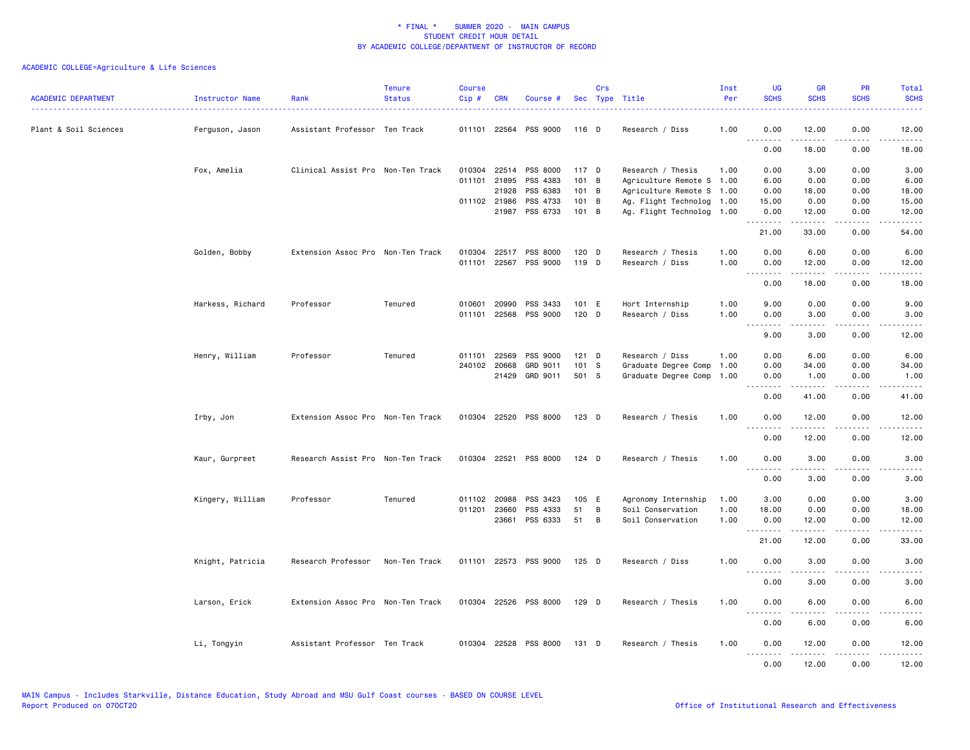| <b>ACADEMIC DEPARTMENT</b> | Instructor Name  | Rank                              | <b>Tenure</b><br><b>Status</b> | <b>Course</b><br>Cip# | CRN          | Course #              |               | Crs            | Sec Type Title            | Inst<br>Per | UG<br><b>SCHS</b> | <b>GR</b><br><b>SCHS</b> | <b>PR</b><br><b>SCHS</b>                                                                                                          | Total<br><b>SCHS</b>                |
|----------------------------|------------------|-----------------------------------|--------------------------------|-----------------------|--------------|-----------------------|---------------|----------------|---------------------------|-------------|-------------------|--------------------------|-----------------------------------------------------------------------------------------------------------------------------------|-------------------------------------|
| Plant & Soil Sciences      | Ferguson, Jason  | Assistant Professor Ten Track     |                                |                       |              | 011101 22564 PSS 9000 | 116 D         |                | Research / Diss           | 1.00        | 0.00<br>.         | 12.00<br>-----           | 0.00                                                                                                                              | 12.00                               |
|                            |                  |                                   |                                |                       |              |                       |               |                |                           |             | 0.00              | 18.00                    | $\frac{1}{2} \left( \frac{1}{2} \right) \left( \frac{1}{2} \right) \left( \frac{1}{2} \right) \left( \frac{1}{2} \right)$<br>0.00 | 18.00                               |
|                            | Fox, Amelia      | Clinical Assist Pro Non-Ten Track |                                |                       | 010304 22514 | PSS 8000              | 117 D         |                | Research / Thesis         | 1.00        | 0.00              | 3.00                     | 0.00                                                                                                                              | 3.00                                |
|                            |                  |                                   |                                | 011101                | 21895        | PSS 4383              | $101$ B       |                | Agriculture Remote S 1.00 |             | 6.00              | 0.00                     | 0.00                                                                                                                              | 6.00                                |
|                            |                  |                                   |                                |                       | 21928        | PSS 6383              | 101 B         |                | Agriculture Remote S 1.00 |             | 0.00              | 18.00                    | 0.00                                                                                                                              | 18.00                               |
|                            |                  |                                   |                                |                       | 011102 21986 | PSS 4733              | 101 B         |                | Ag. Flight Technolog 1.00 |             | 15.00             | 0.00                     | 0.00                                                                                                                              | 15.00                               |
|                            |                  |                                   |                                |                       | 21987        | PSS 6733              | $101 \quad B$ |                | Ag. Flight Technolog 1.00 |             | 0.00<br>.         | 12.00<br>.               | 0.00<br>.                                                                                                                         | 12.00<br>.                          |
|                            |                  |                                   |                                |                       |              |                       |               |                |                           |             | 21.00             | 33.00                    | 0.00                                                                                                                              | 54.00                               |
|                            | Golden, Bobby    | Extension Assoc Pro Non-Ten Track |                                | 010304                | 22517        | PSS 8000              | $120$ D       |                | Research / Thesis         | 1.00        | 0.00              | 6.00                     | 0.00                                                                                                                              | 6.00                                |
|                            |                  |                                   |                                | 011101                |              | 22567 PSS 9000        | 119 D         |                | Research / Diss           | 1.00        | 0.00<br>.         | 12.00<br>.               | 0.00<br>.                                                                                                                         | 12.00<br>.                          |
|                            |                  |                                   |                                |                       |              |                       |               |                |                           |             | 0.00              | 18.00                    | 0.00                                                                                                                              | 18.00                               |
|                            | Harkess, Richard | Professor                         | Tenured                        | 010601                | 20990        | PSS 3433              | 101 E         |                | Hort Internship           | 1.00        | 9.00              | 0.00                     | 0.00                                                                                                                              | 9.00                                |
|                            |                  |                                   |                                | 011101                | 22568        | PSS 9000              | 120 D         |                | Research / Diss           | 1.00        | 0.00<br>.         | 3.00<br>.                | 0.00<br>$\frac{1}{2}$                                                                                                             | 3.00<br>$\frac{1}{2}$               |
|                            |                  |                                   |                                |                       |              |                       |               |                |                           |             | 9.00              | 3.00                     | 0.00                                                                                                                              | 12.00                               |
|                            | Henry, William   | Professor                         | Tenured                        | 011101                | 22569        | PSS 9000              | $121$ D       |                | Research / Diss           | 1.00        | 0.00              | 6.00                     | 0.00                                                                                                                              | 6.00                                |
|                            |                  |                                   |                                |                       | 240102 20668 | GRD 9011              | 101 S         |                | Graduate Degree Comp      | 1.00        | 0.00              | 34.00                    | 0.00                                                                                                                              | 34.00                               |
|                            |                  |                                   |                                |                       | 21429        | GRD 9011              | 501 S         |                | Graduate Degree Comp      | 1.00        | 0.00<br>.         | 1.00<br>.                | 0.00<br>.                                                                                                                         | 1.00<br>$\sim$ $\sim$ $\sim$ $\sim$ |
|                            |                  |                                   |                                |                       |              |                       |               |                |                           |             | 0.00              | 41.00                    | 0.00                                                                                                                              | 41.00                               |
|                            | Irby, Jon        | Extension Assoc Pro Non-Ten Track |                                |                       |              | 010304 22520 PSS 8000 | 123 D         |                | Research / Thesis         | 1.00        | 0.00              | 12.00                    | 0.00                                                                                                                              | 12.00                               |
|                            |                  |                                   |                                |                       |              |                       |               |                |                           |             | 0.00              | 12.00                    | 0.00                                                                                                                              | 12.00                               |
|                            | Kaur, Gurpreet   | Research Assist Pro Non-Ten Track |                                |                       |              | 010304 22521 PSS 8000 | $124$ D       |                | Research / Thesis         | 1.00        | 0.00              | 3.00                     | 0.00                                                                                                                              | 3.00                                |
|                            |                  |                                   |                                |                       |              |                       |               |                |                           |             | .<br>0.00         | 3.00                     | 0.00                                                                                                                              | 3.00                                |
|                            | Kingery, William | Professor                         | Tenured                        |                       | 011102 20988 | PSS 3423              | 105 E         |                | Agronomy Internship       | 1.00        | 3.00              | 0.00                     | 0.00                                                                                                                              | 3.00                                |
|                            |                  |                                   |                                | 011201                | 23660        | PSS 4333              | 51            | B              | Soil Conservation         | 1.00        | 18.00             | 0.00                     | 0.00                                                                                                                              | 18.00                               |
|                            |                  |                                   |                                |                       | 23661        | PSS 6333              | 51            | $\overline{B}$ | Soil Conservation         | 1.00        | 0.00<br>.         | 12.00                    | 0.00                                                                                                                              | 12.00                               |
|                            |                  |                                   |                                |                       |              |                       |               |                |                           |             | 21.00             | 12.00                    | 0.00                                                                                                                              | 33.00                               |
|                            | Knight, Patricia | Research Professor                | Non-Ten Track                  |                       |              | 011101 22573 PSS 9000 | 125 D         |                | Research / Diss           | 1.00        | 0.00              | 3.00                     | 0.00                                                                                                                              | 3.00                                |
|                            |                  |                                   |                                |                       |              |                       |               |                |                           |             | .<br>0.00         | <u>.</u><br>3.00         | $\frac{1}{2}$<br>0.00                                                                                                             | 3.00                                |
|                            | Larson, Erick    | Extension Assoc Pro Non-Ten Track |                                |                       |              | 010304 22526 PSS 8000 | 129 D         |                | Research / Thesis         | 1.00        | 0.00              | 6.00                     | 0.00                                                                                                                              | 6.00                                |
|                            |                  |                                   |                                |                       |              |                       |               |                |                           |             | .<br>0.00         | 6.00                     | 0.00                                                                                                                              | 6.00                                |
|                            | Li, Tongyin      | Assistant Professor Ten Track     |                                |                       |              | 010304 22528 PSS 8000 | 131 D         |                | Research / Thesis         | 1.00        | 0.00              | 12.00                    | 0.00                                                                                                                              | 12.00                               |
|                            |                  |                                   |                                |                       |              |                       |               |                |                           |             | .<br>0.00         | .<br>12.00               | .<br>0.00                                                                                                                         | .<br>12.00                          |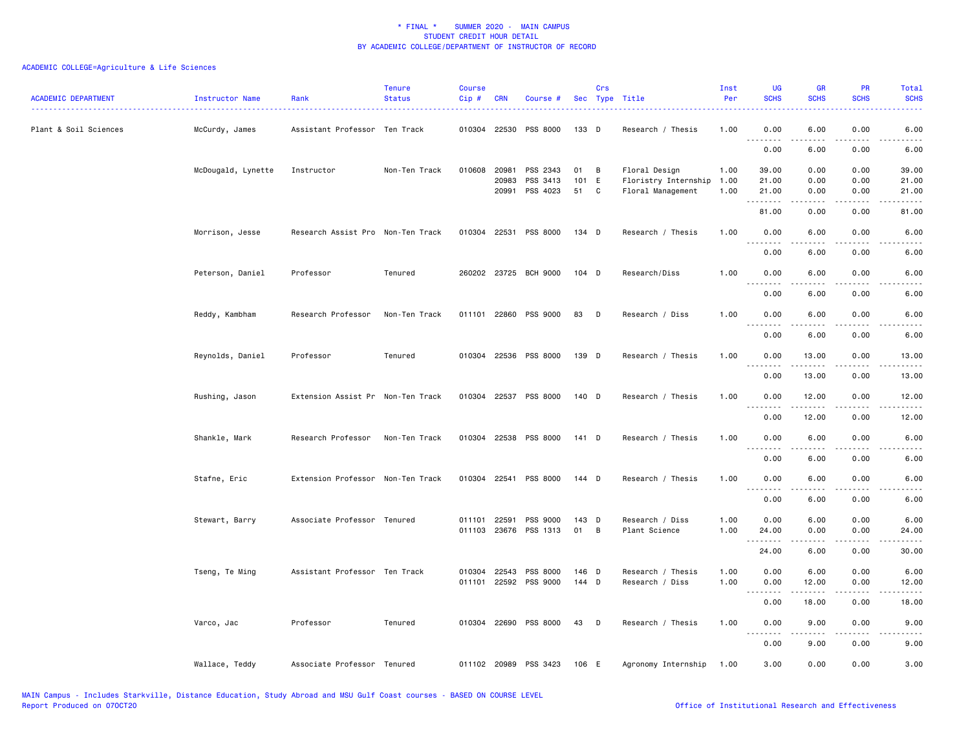| <b>ACADEMIC DEPARTMENT</b> | Instructor Name    | Rank                              | <b>Tenure</b><br><b>Status</b> | <b>Course</b><br>Cip# | <b>CRN</b> | Course #                   |                | Crs | Sec Type Title                        | Inst<br>Per  | <b>UG</b><br><b>SCHS</b>                                                                                              | <b>GR</b><br><b>SCHS</b>                                                                                                                                     | <b>PR</b><br><b>SCHS</b> | Total<br><b>SCHS</b> |
|----------------------------|--------------------|-----------------------------------|--------------------------------|-----------------------|------------|----------------------------|----------------|-----|---------------------------------------|--------------|-----------------------------------------------------------------------------------------------------------------------|--------------------------------------------------------------------------------------------------------------------------------------------------------------|--------------------------|----------------------|
| Plant & Soil Sciences      | McCurdy, James     | Assistant Professor Ten Track     |                                |                       |            | 010304 22530 PSS 8000      | 133 D          |     | Research / Thesis                     | 1.00         | 0.00                                                                                                                  | 6.00                                                                                                                                                         | 0.00                     | 6.00                 |
|                            |                    |                                   |                                |                       |            |                            |                |     |                                       |              | .<br>0.00                                                                                                             | .<br>6.00                                                                                                                                                    | ----<br>0.00             | 6.00                 |
|                            | McDougald, Lynette | Instructor                        | Non-Ten Track                  | 010608 20981          | 20983      | PSS 2343<br>PSS 3413       | 01<br>101 E    | B   | Floral Design<br>Floristry Internship | 1.00<br>1.00 | 39.00<br>21.00                                                                                                        | 0.00<br>0.00                                                                                                                                                 | 0.00<br>0.00             | 39.00<br>21.00       |
|                            |                    |                                   |                                |                       | 20991      | PSS 4023                   | 51             | C   | Floral Management                     | 1.00         | 21.00<br>.                                                                                                            | 0.00                                                                                                                                                         | 0.00                     | 21.00                |
|                            |                    |                                   |                                |                       |            |                            |                |     |                                       |              | 81.00                                                                                                                 | 0.00                                                                                                                                                         | 0.00                     | 81.00                |
|                            | Morrison, Jesse    | Research Assist Pro Non-Ten Track |                                |                       |            | 010304 22531 PSS 8000      | 134 D          |     | Research / Thesis                     | 1.00         | 0.00                                                                                                                  | 6.00                                                                                                                                                         | 0.00                     | 6.00                 |
|                            |                    |                                   |                                |                       |            |                            |                |     |                                       |              | 0.00                                                                                                                  | 6.00                                                                                                                                                         | 0.00                     | 6.00                 |
|                            | Peterson, Daniel   | Professor                         | Tenured                        |                       |            | 260202 23725 BCH 9000      | 104 D          |     | Research/Diss                         | 1.00         | 0.00<br><u>.</u>                                                                                                      | 6.00<br>$- - - - -$                                                                                                                                          | 0.00<br>.                | 6.00<br>$   -$       |
|                            |                    |                                   |                                |                       |            |                            |                |     |                                       |              | 0.00                                                                                                                  | 6.00                                                                                                                                                         | 0.00                     | 6.00                 |
|                            | Reddy, Kambham     | Research Professor                | Non-Ten Track                  |                       |            | 011101 22860 PSS 9000      | 83             | D   | Research / Diss                       | 1.00         | 0.00<br><u>.</u>                                                                                                      | 6.00<br>.                                                                                                                                                    | 0.00<br>$- - - -$        | 6.00<br>----         |
|                            |                    |                                   |                                |                       |            |                            |                |     |                                       |              | 0.00                                                                                                                  | 6.00                                                                                                                                                         | 0.00                     | 6.00                 |
|                            | Reynolds, Daniel   | Professor                         | Tenured                        |                       |            | 010304 22536 PSS 8000      | 139 D          |     | Research / Thesis                     | 1.00         | 0.00                                                                                                                  | 13.00                                                                                                                                                        | 0.00                     | 13.00                |
|                            |                    |                                   |                                |                       |            |                            |                |     |                                       |              | <u>.</u><br>0.00                                                                                                      | 13.00                                                                                                                                                        | 0.00                     | 13.00                |
|                            | Rushing, Jason     | Extension Assist Pr Non-Ten Track |                                |                       |            | 010304 22537 PSS 8000      | 140 D          |     | Research / Thesis                     | 1.00         | 0.00<br><u>.</u>                                                                                                      | 12.00<br>$- - - - -$                                                                                                                                         | 0.00                     | 12.00<br>.           |
|                            |                    |                                   |                                |                       |            |                            |                |     |                                       |              | 0.00                                                                                                                  | 12.00                                                                                                                                                        | 0.00                     | 12.00                |
|                            | Shankle, Mark      | Research Professor                | Non-Ten Track                  |                       |            | 010304 22538 PSS 8000      | 141 D          |     | Research / Thesis                     | 1.00         | 0.00                                                                                                                  | 6.00                                                                                                                                                         | 0.00                     | 6.00                 |
|                            |                    |                                   |                                |                       |            |                            |                |     |                                       |              | $\sim$ $\sim$ $\sim$<br>----<br>0.00                                                                                  | 6.00                                                                                                                                                         | ----<br>0.00             | 6.00                 |
|                            | Stafne, Eric       | Extension Professor Non-Ten Track |                                |                       |            | 010304 22541 PSS 8000      | 144 D          |     | Research / Thesis                     | 1.00         | 0.00<br>.                                                                                                             | 6.00<br>$\frac{1}{2} \left( \frac{1}{2} \right) \left( \frac{1}{2} \right) \left( \frac{1}{2} \right) \left( \frac{1}{2} \right) \left( \frac{1}{2} \right)$ | 0.00<br>.                | 6.00                 |
|                            |                    |                                   |                                |                       |            |                            |                |     |                                       |              | 0.00                                                                                                                  | 6.00                                                                                                                                                         | 0.00                     | 6.00                 |
|                            | Stewart, Barry     | Associate Professor Tenured       |                                | 011101                | 22591      | PSS 9000                   | 143 D          |     | Research / Diss                       | 1.00         | 0.00                                                                                                                  | 6.00                                                                                                                                                         | 0.00                     | 6.00                 |
|                            |                    |                                   |                                |                       |            | 011103 23676 PSS 1313      | 01             | B   | Plant Science                         | 1.00         | 24.00<br>.                                                                                                            | 0.00                                                                                                                                                         | 0.00                     | 24.00                |
|                            |                    |                                   |                                |                       |            |                            |                |     |                                       |              | 24.00                                                                                                                 | 6.00                                                                                                                                                         | 0.00                     | 30.00                |
|                            | Tseng, Te Ming     | Assistant Professor Ten Track     |                                | 010304<br>011101      | 22543      | PSS 8000<br>22592 PSS 9000 | 146 D<br>144 D |     | Research / Thesis<br>Research / Diss  | 1.00<br>1.00 | 0.00<br>0.00                                                                                                          | 6.00<br>12.00                                                                                                                                                | 0.00<br>0.00             | 6.00<br>12.00        |
|                            |                    |                                   |                                |                       |            |                            |                |     |                                       |              | .<br>0.00                                                                                                             | .<br>18.00                                                                                                                                                   | المتمالين<br>0.00        | .<br>18.00           |
|                            | Varco, Jac         | Professor                         | Tenured                        |                       |            | 010304 22690 PSS 8000      | 43             | D   | Research / Thesis                     | 1.00         | 0.00                                                                                                                  | 9.00                                                                                                                                                         | 0.00                     | 9.00                 |
|                            |                    |                                   |                                |                       |            |                            |                |     |                                       |              | $\sim$ $\sim$ $\sim$<br>$\frac{1}{2} \frac{1}{2} \frac{1}{2} \frac{1}{2} \frac{1}{2} \frac{1}{2} \frac{1}{2}$<br>0.00 | 9.00                                                                                                                                                         | 0.00                     | 9.00                 |
|                            | Wallace, Teddy     | Associate Professor Tenured       |                                |                       |            | 011102 20989 PSS 3423      | 106 E          |     | Agronomy Internship                   | 1.00         | 3.00                                                                                                                  | 0.00                                                                                                                                                         | 0.00                     | 3.00                 |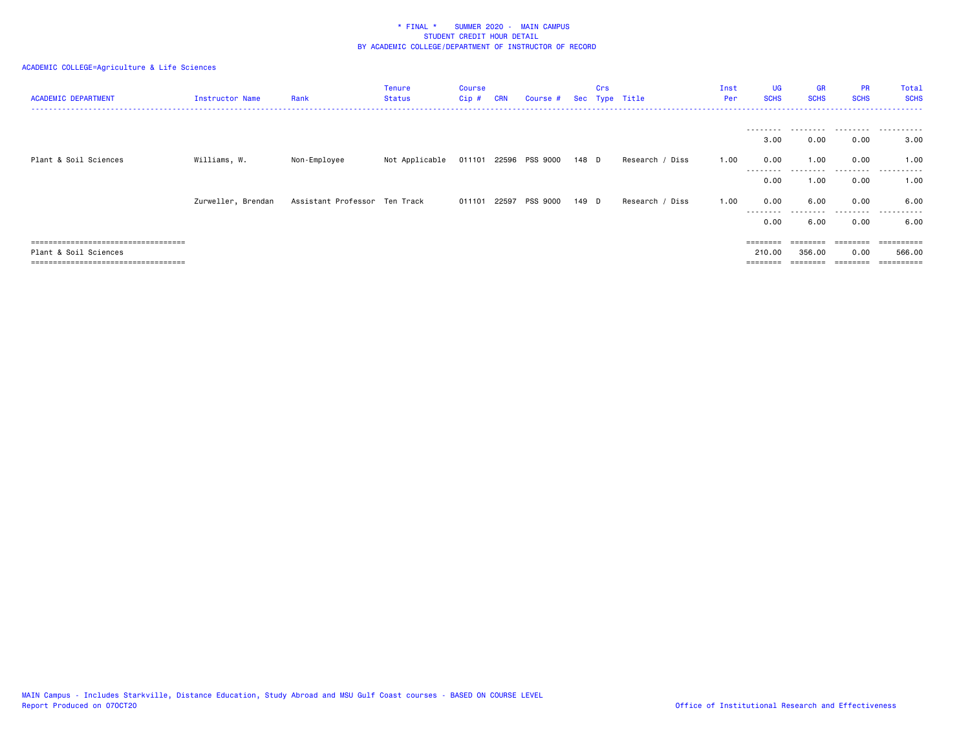| <b>ACADEMIC DEPARTMENT</b>            | Instructor Name    | Rank                          | <b>Tenure</b><br><b>Status</b> | Course<br>$Cip$ # | <b>CRN</b> | Course # Sec Type Title |       | Crs |                 | Inst<br>Per | UG<br><b>SCHS</b> | <b>GR</b><br><b>SCHS</b> | <b>PR</b><br><b>SCHS</b> | Total<br><b>SCHS</b> |
|---------------------------------------|--------------------|-------------------------------|--------------------------------|-------------------|------------|-------------------------|-------|-----|-----------------|-------------|-------------------|--------------------------|--------------------------|----------------------|
|                                       |                    |                               |                                |                   |            |                         |       |     |                 |             | ---------         | ---------                | .                        | .                    |
|                                       |                    |                               |                                |                   |            |                         |       |     |                 |             | 3.00              | 0.00                     | 0.00                     | 3.00                 |
| Plant & Soil Sciences                 | Williams, W.       | Non-Employee                  | Not Applicable                 |                   |            | 011101 22596 PSS 9000   | 148 D |     | Research / Diss | 1.00        | 0.00              | 1.00                     | 0.00                     | 1.00                 |
|                                       |                    |                               |                                |                   |            |                         |       |     |                 |             | 0.00              | 1.00                     | 0.00                     | .<br>1.00            |
|                                       | Zurweller, Brendan | Assistant Professor Ten Track |                                | 011101 22597      |            | PSS 9000                | 149 D |     | Research / Diss | 1.00        | 0.00              | 6.00                     | 0.00                     | 6.00                 |
|                                       |                    |                               |                                |                   |            |                         |       |     |                 |             | ---------<br>0.00 | 6.00                     | --------<br>0.00         | ------<br>6.00       |
|                                       |                    |                               |                                |                   |            |                         |       |     |                 |             | ========          |                          | ========                 | =========            |
| Plant & Soil Sciences                 |                    |                               |                                |                   |            |                         |       |     |                 |             | 210.00            | 356.00                   | 0.00                     | 566.00               |
| ===================================== |                    |                               |                                |                   |            |                         |       |     |                 |             |                   |                          | ========                 |                      |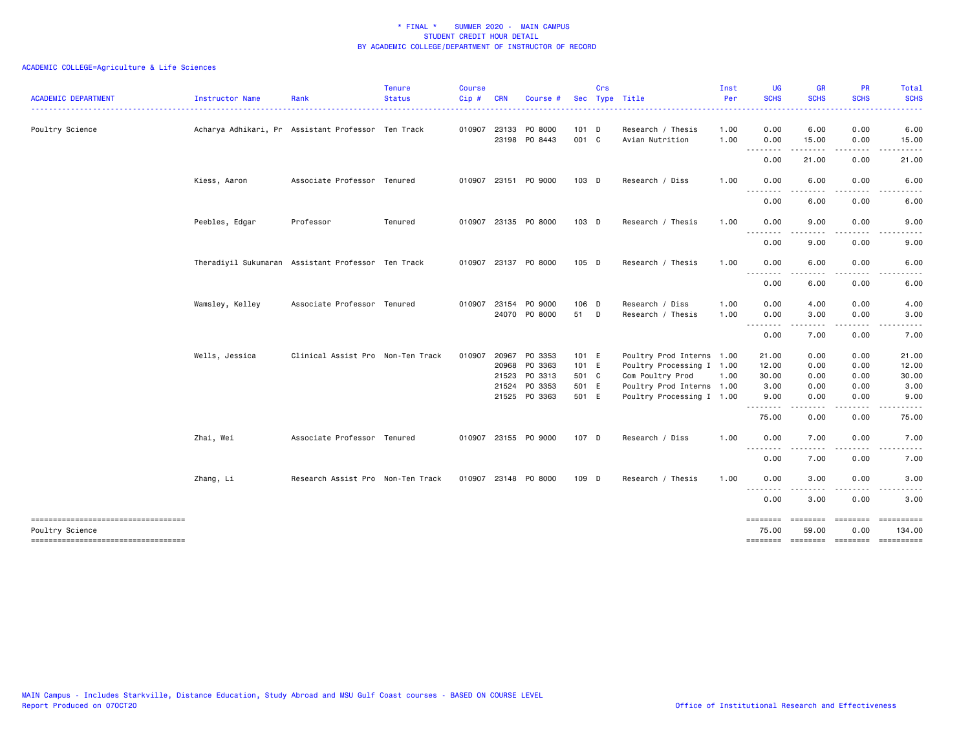| <b>ACADEMIC DEPARTMENT</b>          | Instructor Name | Rank                                               | <b>Tenure</b><br><b>Status</b><br>. | <b>Course</b><br>Cip# | <b>CRN</b> | Course #                              |                  | Crs | Sec Type Title                       | Inst<br>Per<br>. | <b>UG</b><br><b>SCHS</b><br>$\frac{1}{2} \left( \frac{1}{2} \right) \left( \frac{1}{2} \right) \left( \frac{1}{2} \right) \left( \frac{1}{2} \right) \left( \frac{1}{2} \right)$ | <b>GR</b><br><b>SCHS</b>                                                                                                                                      | <b>PR</b><br><b>SCHS</b> | Total<br><b>SCHS</b><br>.           |
|-------------------------------------|-----------------|----------------------------------------------------|-------------------------------------|-----------------------|------------|---------------------------------------|------------------|-----|--------------------------------------|------------------|----------------------------------------------------------------------------------------------------------------------------------------------------------------------------------|---------------------------------------------------------------------------------------------------------------------------------------------------------------|--------------------------|-------------------------------------|
| Poultry Science                     |                 | Acharya Adhikari, Pr Assistant Professor Ten Track |                                     |                       |            | 010907 23133 PO 8000<br>23198 PO 8443 | $101$ D<br>001 C |     | Research / Thesis<br>Avian Nutrition | 1.00<br>1.00     | 0.00<br>0.00                                                                                                                                                                     | 6.00<br>15.00                                                                                                                                                 | 0.00<br>0.00             | 6.00<br>15.00                       |
|                                     |                 |                                                    |                                     |                       |            |                                       |                  |     |                                      |                  | .<br>0.00                                                                                                                                                                        | $\frac{1}{2} \left( \frac{1}{2} \right) \left( \frac{1}{2} \right) \left( \frac{1}{2} \right) \left( \frac{1}{2} \right) \left( \frac{1}{2} \right)$<br>21.00 | .<br>0.00                | . <u>.</u><br>21.00                 |
|                                     | Kiess, Aaron    | Associate Professor Tenured                        |                                     |                       |            | 010907 23151 PO 9000                  | $103$ D          |     | Research / Diss                      | 1.00             | 0.00                                                                                                                                                                             | 6.00                                                                                                                                                          | 0.00                     | 6.00                                |
|                                     |                 |                                                    |                                     |                       |            |                                       |                  |     |                                      |                  | .<br>0.00                                                                                                                                                                        | 6.00                                                                                                                                                          | 0.00                     | 6.00                                |
|                                     | Peebles, Edgar  | Professor                                          | Tenured                             |                       |            | 010907 23135 PO 8000                  | 103 D            |     | Research / Thesis                    | 1.00             | 0.00<br>$- - - -$<br>$- - -$                                                                                                                                                     | 9.00<br>----                                                                                                                                                  | 0.00                     | 9.00                                |
|                                     |                 |                                                    |                                     |                       |            |                                       |                  |     |                                      |                  | 0.00                                                                                                                                                                             | 9.00                                                                                                                                                          | 0.00                     | 9.00                                |
|                                     |                 | Theradiyil Sukumaran Assistant Professor Ten Track |                                     |                       |            | 010907 23137 PO 8000                  | 105 D            |     | Research / Thesis                    | 1.00             | 0.00<br>$\sim$ $\sim$ .<br>$\sim$ $\sim$ $\sim$                                                                                                                                  | 6.00                                                                                                                                                          | 0.00                     | 6.00                                |
|                                     |                 |                                                    |                                     |                       |            |                                       |                  |     |                                      |                  | 0.00                                                                                                                                                                             | 6.00                                                                                                                                                          | 0.00                     | 6.00                                |
|                                     | Wamsley, Kelley | Associate Professor Tenured                        |                                     | 010907                | 23154      | P0 9000                               | 106 D            |     | Research / Diss                      | 1.00             | 0.00                                                                                                                                                                             | 4.00                                                                                                                                                          | 0.00                     | 4.00                                |
|                                     |                 |                                                    |                                     |                       |            | 24070 PO 8000                         | 51 D             |     | Research / Thesis                    | 1.00             | 0.00                                                                                                                                                                             | 3.00                                                                                                                                                          | 0.00                     | 3.00                                |
|                                     |                 |                                                    |                                     |                       |            |                                       |                  |     |                                      |                  | .<br>0.00                                                                                                                                                                        | -----<br>7.00                                                                                                                                                 | .<br>0.00                | .<br>7.00                           |
|                                     | Wells, Jessica  | Clinical Assist Pro Non-Ten Track                  |                                     | 010907                | 20967      | PO 3353                               | 101 E            |     | Poultry Prod Interns 1.00            |                  | 21.00                                                                                                                                                                            | 0.00                                                                                                                                                          | 0.00                     | 21.00                               |
|                                     |                 |                                                    |                                     |                       | 20968      | PO 3363                               | 101 E            |     | Poultry Processing I 1.00            |                  | 12.00                                                                                                                                                                            | 0.00                                                                                                                                                          | 0.00                     | 12.00                               |
|                                     |                 |                                                    |                                     |                       | 21523      | PO 3313                               | 501 C            |     | Com Poultry Prod                     | 1.00             | 30.00                                                                                                                                                                            | 0.00                                                                                                                                                          | 0.00                     | 30.00                               |
|                                     |                 |                                                    |                                     |                       | 21524      | PO 3353                               | 501 E            |     | Poultry Prod Interns 1.00            |                  | 3.00                                                                                                                                                                             | 0.00                                                                                                                                                          | 0.00                     | 3.00                                |
|                                     |                 |                                                    |                                     |                       |            | 21525 PO 3363                         | 501 E            |     | Poultry Processing I 1.00            |                  | 9.00<br>.                                                                                                                                                                        | 0.00<br>.                                                                                                                                                     | 0.00<br>$\frac{1}{2}$    | 9.00                                |
|                                     |                 |                                                    |                                     |                       |            |                                       |                  |     |                                      |                  | 75.00                                                                                                                                                                            | 0.00                                                                                                                                                          | 0.00                     | 75.00                               |
|                                     | Zhai, Wei       | Associate Professor Tenured                        |                                     |                       |            | 010907 23155 PO 9000                  | 107 D            |     | Research / Diss                      | 1.00             | 0.00                                                                                                                                                                             | 7.00                                                                                                                                                          | 0.00                     | 7.00                                |
|                                     |                 |                                                    |                                     |                       |            |                                       |                  |     |                                      |                  | $- - -$<br>$\frac{1}{2}$<br>0.00                                                                                                                                                 | 7.00                                                                                                                                                          | 0.00                     | 7.00                                |
|                                     | Zhang, Li       | Research Assist Pro Non-Ten Track                  |                                     |                       |            | 010907 23148 PO 8000                  | 109 D            |     | Research / Thesis                    | 1.00             | 0.00                                                                                                                                                                             | 3.00                                                                                                                                                          | 0.00                     | 3.00                                |
|                                     |                 |                                                    |                                     |                       |            |                                       |                  |     |                                      |                  | .<br>0.00                                                                                                                                                                        | $\frac{1}{2}$<br>3.00                                                                                                                                         | 0.00                     | 3.00                                |
|                                     |                 |                                                    |                                     |                       |            |                                       |                  |     |                                      |                  | ========                                                                                                                                                                         |                                                                                                                                                               |                          | ==========                          |
| Poultry Science                     |                 |                                                    |                                     |                       |            |                                       |                  |     |                                      |                  | 75.00                                                                                                                                                                            | 59.00                                                                                                                                                         | 0.00                     | 134.00                              |
| ----------------------------------- |                 |                                                    |                                     |                       |            |                                       |                  |     |                                      |                  |                                                                                                                                                                                  |                                                                                                                                                               |                          | -------- ------- -------- --------- |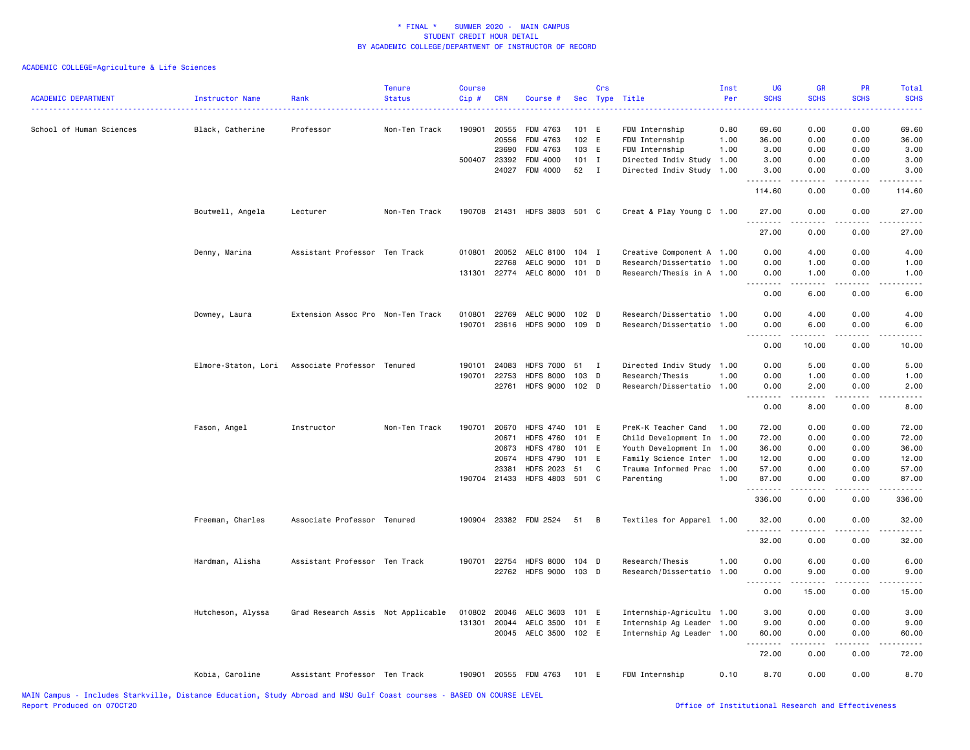| <b>ACADEMIC DEPARTMENT</b> | Instructor Name     | Rank                               | <b>Tenure</b><br><b>Status</b> | <b>Course</b><br>Cip# | <b>CRN</b>   | Course #                     |         | Crs          | Sec Type Title            | Inst<br>Per | <b>UG</b><br><b>SCHS</b>            | <b>GR</b><br><b>SCHS</b> | <b>PR</b><br><b>SCHS</b> | Total<br><b>SCHS</b> |
|----------------------------|---------------------|------------------------------------|--------------------------------|-----------------------|--------------|------------------------------|---------|--------------|---------------------------|-------------|-------------------------------------|--------------------------|--------------------------|----------------------|
| School of Human Sciences   | Black, Catherine    | Professor                          | Non-Ten Track                  | 190901                | 20555        | FDM 4763                     | 101 E   |              | FDM Internship            | 0.80        | 69.60                               | 0.00                     | 0.00                     | 69.60                |
|                            |                     |                                    |                                |                       | 20556        | FDM 4763                     | 102 E   |              | FDM Internship            | 1.00        | 36.00                               | 0.00                     | 0.00                     | 36.00                |
|                            |                     |                                    |                                |                       | 23690        | FDM 4763                     | 103 E   |              | FDM Internship            | 1.00        | 3.00                                | 0.00                     | 0.00                     | 3.00                 |
|                            |                     |                                    |                                |                       | 500407 23392 | FDM 4000                     | $101$ I |              | Directed Indiv Study      | 1.00        | 3.00                                | 0.00                     | 0.00                     | 3.00                 |
|                            |                     |                                    |                                |                       | 24027        | FDM 4000                     | 52      | $\mathbf{I}$ | Directed Indiv Study      | 1.00        | 3.00<br>.                           | 0.00                     | 0.00                     | 3.00                 |
|                            |                     |                                    |                                |                       |              |                              |         |              |                           |             | 114.60                              | 0.00                     | 0.00                     | 114.60               |
|                            | Boutwell, Angela    | Lecturer                           | Non-Ten Track                  |                       |              | 190708 21431 HDFS 3803 501 C |         |              | Creat & Play Young C 1.00 |             | 27.00<br>.                          | 0.00<br>.                | 0.00<br>$- - - -$        | 27.00<br>.           |
|                            |                     |                                    |                                |                       |              |                              |         |              |                           |             | 27.00                               | 0.00                     | 0.00                     | 27.00                |
|                            | Denny, Marina       | Assistant Professor Ten Track      |                                | 010801                | 20052        | AELC 8100 104 I              |         |              | Creative Component A 1.00 |             | 0.00                                | 4.00                     | 0.00                     | 4.00                 |
|                            |                     |                                    |                                |                       | 22768        | AELC 9000                    | $101$ D |              | Research/Dissertatio 1.00 |             | 0.00                                | 1.00                     | 0.00                     | 1.00                 |
|                            |                     |                                    |                                | 131301                |              | 22774 AELC 8000              | 101 D   |              | Research/Thesis in A 1.00 |             | 0.00<br>.                           | 1.00<br>.                | 0.00<br>$- - - -$        | 1.00                 |
|                            |                     |                                    |                                |                       |              |                              |         |              |                           |             | 0.00                                | 6.00                     | 0.00                     | 6.00                 |
|                            | Downey, Laura       | Extension Assoc Pro Non-Ten Track  |                                | 010801                | 22769        | AELC 9000 102 D              |         |              | Research/Dissertatio 1.00 |             | 0.00                                | 4.00                     | 0.00                     | 4.00                 |
|                            |                     |                                    |                                | 190701                |              | 23616 HDFS 9000 109 D        |         |              | Research/Dissertatio 1.00 |             | 0.00                                | 6.00                     | 0.00                     | 6.00                 |
|                            |                     |                                    |                                |                       |              |                              |         |              |                           |             | .<br>0.00                           | .<br>10.00               | 0.00                     | ----<br>10.00        |
|                            | Elmore-Staton, Lori | Associate Professor Tenured        |                                | 190101                | 24083        | <b>HDFS 7000</b>             | - 51    | $\mathbf I$  | Directed Indiv Study 1.00 |             | 0.00                                | 5.00                     | 0.00                     | 5.00                 |
|                            |                     |                                    |                                | 190701                | 22753        | <b>HDFS 8000</b>             | 103 D   |              | Research/Thesis           | 1.00        | 0.00                                | 1.00                     | 0.00                     | 1.00                 |
|                            |                     |                                    |                                |                       | 22761        | <b>HDFS 9000</b>             | 102 D   |              | Research/Dissertatio      | 1.00        | 0.00                                | 2.00                     | 0.00                     | 2.00                 |
|                            |                     |                                    |                                |                       |              |                              |         |              |                           |             | $\sim$ $\sim$ $\sim$ $\sim$<br>0.00 | 8.00                     | 0.00                     | 8.00                 |
|                            | Fason, Angel        | Instructor                         | Non-Ten Track                  | 190701                | 20670        | <b>HDFS 4740</b>             | 101 E   |              | PreK-K Teacher Cand       | 1.00        | 72.00                               | 0.00                     | 0.00                     | 72.00                |
|                            |                     |                                    |                                |                       | 20671        | <b>HDFS 4760</b>             | 101 E   |              | Child Development In 1.00 |             | 72.00                               | 0.00                     | 0.00                     | 72.00                |
|                            |                     |                                    |                                |                       | 20673        | <b>HDFS 4780</b>             | 101 E   |              | Youth Development In      | 1.00        | 36.00                               | 0.00                     | 0.00                     | 36.00                |
|                            |                     |                                    |                                |                       | 20674        | <b>HDFS 4790</b>             | 101 E   |              | Family Science Inter      | 1.00        | 12.00                               | 0.00                     | 0.00                     | 12.00                |
|                            |                     |                                    |                                |                       | 23381        | <b>HDFS 2023</b>             | 51      | C            | Trauma Informed Prac      | 1.00        | 57.00                               | 0.00                     | 0.00                     | 57.00                |
|                            |                     |                                    |                                |                       | 190704 21433 | HDFS 4803 501 C              |         |              | Parenting                 | 1.00        | 87.00<br>.                          | 0.00<br>.                | 0.00<br>$- - - -$        | 87.00<br>.           |
|                            |                     |                                    |                                |                       |              |                              |         |              |                           |             | 336.00                              | 0.00                     | 0.00                     | 336.00               |
|                            | Freeman, Charles    | Associate Professor Tenured        |                                |                       |              | 190904 23382 FDM 2524        | 51      | B            | Textiles for Apparel 1.00 |             | 32.00<br>.                          | 0.00                     | 0.00                     | 32.00                |
|                            |                     |                                    |                                |                       |              |                              |         |              |                           |             | 32.00                               | 0.00                     | 0.00                     | 32.00                |
|                            | Hardman, Alisha     | Assistant Professor Ten Track      |                                |                       | 190701 22754 | HDFS 8000 104 D              |         |              | Research/Thesis           | 1.00        | 0.00                                | 6.00                     | 0.00                     | 6.00                 |
|                            |                     |                                    |                                |                       | 22762        | HDFS 9000 103 D              |         |              | Research/Dissertatio 1.00 |             | 0.00                                | 9.00                     | 0.00                     | 9.00                 |
|                            |                     |                                    |                                |                       |              |                              |         |              |                           |             | .<br>0.00                           | المتمام المنابذ<br>15.00 | .<br>0.00                | .<br>15.00           |
|                            | Hutcheson, Alyssa   | Grad Research Assis Not Applicable |                                | 010802                | 20046        | AELC 3603                    | 101 E   |              | Internship-Agricultu 1.00 |             | 3.00                                | 0.00                     | 0.00                     | 3.00                 |
|                            |                     |                                    |                                |                       | 131301 20044 | AELC 3500                    | 101 E   |              | Internship Ag Leader 1.00 |             | 9.00                                | 0.00                     | 0.00                     | 9.00                 |
|                            |                     |                                    |                                |                       |              | 20045 AELC 3500 102 E        |         |              | Internship Ag Leader 1.00 |             | 60.00                               | 0.00                     | 0.00                     | 60.00                |
|                            |                     |                                    |                                |                       |              |                              |         |              |                           |             | .<br>72.00                          | 0.00                     | 0.00                     | 72.00                |
|                            | Kobia, Caroline     | Assistant Professor Ten Track      |                                |                       |              | 190901 20555 FDM 4763        | 101 E   |              | FDM Internship            | 0.10        | 8.70                                | 0.00                     | 0.00                     | 8.70                 |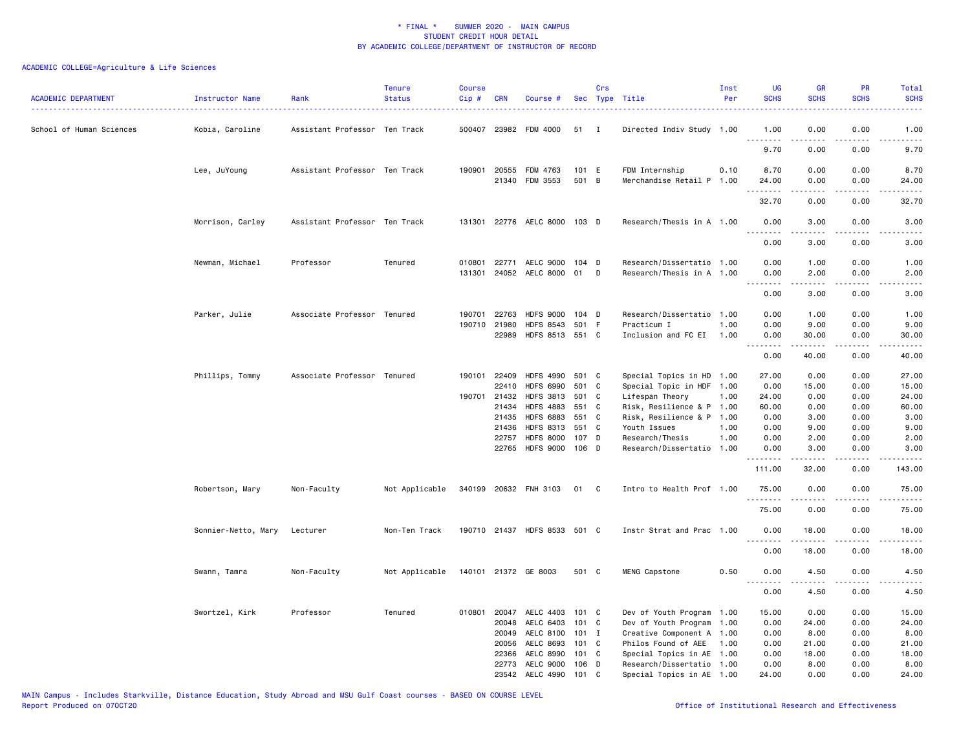| <b>ACADEMIC DEPARTMENT</b> | Instructor Name     | Rank                          | <b>Tenure</b><br><b>Status</b> | <b>Course</b><br>Cip# | <b>CRN</b>     | Course #                             |                | Crs          | Sec Type Title                            | Inst<br>Per | <b>UG</b><br><b>SCHS</b>                    | <b>GR</b><br><b>SCHS</b> | PR<br><b>SCHS</b> | Total<br><b>SCHS</b>                                                                                                                                         |
|----------------------------|---------------------|-------------------------------|--------------------------------|-----------------------|----------------|--------------------------------------|----------------|--------------|-------------------------------------------|-------------|---------------------------------------------|--------------------------|-------------------|--------------------------------------------------------------------------------------------------------------------------------------------------------------|
| School of Human Sciences   | Kobia, Caroline     | Assistant Professor Ten Track |                                |                       |                | 500407 23982 FDM 4000                | 51             | I            | Directed Indiv Study 1.00                 |             | 1.00<br>.                                   | 0.00<br>.                | 0.00<br>$- - - -$ | 1.00<br>$- - - - -$                                                                                                                                          |
|                            |                     |                               |                                |                       |                |                                      |                |              |                                           |             | 9.70                                        | 0.00                     | 0.00              | 9.70                                                                                                                                                         |
|                            | Lee, JuYoung        | Assistant Professor Ten Track |                                |                       | 190901 20555   | FDM 4763                             | 101 E          |              | FDM Internship                            | 0.10        | 8.70                                        | 0.00                     | 0.00              | 8.70                                                                                                                                                         |
|                            |                     |                               |                                |                       |                | 21340 FDM 3553                       | 501 B          |              | Merchandise Retail P 1.00                 |             | 24.00<br><u>.</u>                           | 0.00<br>22222            | 0.00<br>.         | 24.00<br>.                                                                                                                                                   |
|                            |                     |                               |                                |                       |                |                                      |                |              |                                           |             | 32.70                                       | 0.00                     | 0.00              | 32.70                                                                                                                                                        |
|                            | Morrison, Carley    | Assistant Professor Ten Track |                                |                       |                | 131301 22776 AELC 8000 103 D         |                |              | Research/Thesis in A 1.00                 |             | 0.00<br>.                                   | 3.00<br>-----            | 0.00<br>.         | 3.00<br>$\frac{1}{2} \left( \frac{1}{2} \right) \left( \frac{1}{2} \right) \left( \frac{1}{2} \right) \left( \frac{1}{2} \right) \left( \frac{1}{2} \right)$ |
|                            |                     |                               |                                |                       |                |                                      |                |              |                                           |             | 0.00                                        | 3.00                     | 0.00              | 3.00                                                                                                                                                         |
|                            | Newman, Michael     | Professor                     | Tenured                        | 010801                | 22771          | AELC 9000                            | 104 D          |              | Research/Dissertatio 1.00                 |             | 0.00                                        | 1.00                     | 0.00              | 1.00                                                                                                                                                         |
|                            |                     |                               |                                | 131301                |                | 24052 AELC 8000 01                   |                | D            | Research/Thesis in A 1.00                 |             | 0.00<br>.                                   | 2.00<br>.                | 0.00              | 2.00<br>-----                                                                                                                                                |
|                            |                     |                               |                                |                       |                |                                      |                |              |                                           |             | 0.00                                        | 3.00                     | 0.00              | 3.00                                                                                                                                                         |
|                            | Parker, Julie       | Associate Professor Tenured   |                                | 190701                | 22763          | <b>HDFS 9000</b>                     | 104 D          |              | Research/Dissertatio 1.00                 |             | 0.00                                        | 1.00                     | 0.00              | 1.00                                                                                                                                                         |
|                            |                     |                               |                                |                       | 190710 21980   | <b>HDFS 8543</b>                     | 501            | F            | Practicum I                               | 1.00        | 0.00                                        | 9.00                     | 0.00              | 9.00                                                                                                                                                         |
|                            |                     |                               |                                |                       | 22989          | HDFS 8513 551 C                      |                |              | Inclusion and FC EI                       | 1.00        | 0.00<br>$\omega$ $\omega$ $\omega$ $\omega$ | 30.00                    | 0.00              | 30.00                                                                                                                                                        |
|                            |                     |                               |                                |                       |                |                                      |                |              |                                           |             | 0.00                                        | 40.00                    | 0.00              | 40.00                                                                                                                                                        |
|                            | Phillips, Tommy     | Associate Professor Tenured   |                                |                       | 190101 22409   | <b>HDFS 4990</b>                     | 501 C          |              | Special Topics in HD 1.00                 |             | 27.00                                       | 0.00                     | 0.00              | 27.00                                                                                                                                                        |
|                            |                     |                               |                                |                       | 22410          | <b>HDFS 6990</b>                     | 501            | C            | Special Topic in HDF 1.00                 |             | 0.00                                        | 15.00                    | 0.00              | 15.00                                                                                                                                                        |
|                            |                     |                               |                                |                       | 190701 21432   | <b>HDFS 3813</b>                     | 501            | C            | Lifespan Theory                           | 1.00        | 24.00                                       | 0.00                     | 0.00              | 24.00                                                                                                                                                        |
|                            |                     |                               |                                |                       | 21434          | <b>HDFS 4883</b>                     | 551            | - C          | Risk, Resilience & P 1.00                 |             | 60.00                                       | 0.00                     | 0.00              | 60.00                                                                                                                                                        |
|                            |                     |                               |                                |                       | 21435<br>21436 | <b>HDFS 6883</b><br><b>HDFS 8313</b> | 551 C<br>551 C |              | Risk, Resilience & P 1.00<br>Youth Issues | 1.00        | 0.00<br>0.00                                | 3.00<br>9.00             | 0.00<br>0.00      | 3.00<br>9.00                                                                                                                                                 |
|                            |                     |                               |                                |                       | 22757          | <b>HDFS 8000</b>                     | 107 D          |              | Research/Thesis                           | 1.00        | 0.00                                        | 2.00                     | 0.00              | 2.00                                                                                                                                                         |
|                            |                     |                               |                                |                       | 22765          | <b>HDFS 9000</b>                     | 106 D          |              | Research/Dissertatio                      | 1.00        | 0.00                                        | 3.00                     | 0.00              | 3.00                                                                                                                                                         |
|                            |                     |                               |                                |                       |                |                                      |                |              |                                           |             | <u>.</u><br>111.00                          | 32.00                    | 0.00              | .<br>143.00                                                                                                                                                  |
|                            | Robertson, Mary     | Non-Faculty                   | Not Applicable                 |                       |                | 340199 20632 FNH 3103                | 01             | C.           | Intro to Health Prof 1.00                 |             | 75.00                                       | 0.00                     | 0.00              | 75.00                                                                                                                                                        |
|                            |                     |                               |                                |                       |                |                                      |                |              |                                           |             | 75.00                                       | 0.00                     | 0.00              | 75.00                                                                                                                                                        |
|                            | Sonnier-Netto, Mary | Lecturer                      | Non-Ten Track                  |                       |                | 190710 21437 HDFS 8533 501 C         |                |              | Instr Strat and Prac 1.00                 |             | 0.00                                        | 18.00                    | 0.00              | 18.00                                                                                                                                                        |
|                            |                     |                               |                                |                       |                |                                      |                |              |                                           |             | <u>.</u><br>0.00                            | .<br>18.00               | .<br>0.00         | .<br>18.00                                                                                                                                                   |
|                            | Swann, Tamra        | Non-Faculty                   | Not Applicable                 |                       |                | 140101 21372 GE 8003                 | 501 C          |              | MENG Capstone                             | 0.50        | 0.00                                        | 4.50                     | 0.00              | 4.50                                                                                                                                                         |
|                            |                     |                               |                                |                       |                |                                      |                |              |                                           |             | .<br>0.00                                   | 4.50                     | 0.00              | 4.50                                                                                                                                                         |
|                            | Swortzel, Kirk      | Professor                     | Tenured                        |                       |                | 010801 20047 AELC 4403               | 101 C          |              | Dev of Youth Program 1.00                 |             | 15.00                                       | 0.00                     | 0.00              | 15.00                                                                                                                                                        |
|                            |                     |                               |                                |                       | 20048          | AELC 6403                            | 101            | C            | Dev of Youth Program 1.00                 |             | 0.00                                        | 24.00                    | 0.00              | 24.00                                                                                                                                                        |
|                            |                     |                               |                                |                       | 20049          | AELC 8100                            | $101$ I        |              | Creative Component A 1.00                 |             | 0.00                                        | 8.00                     | 0.00              | 8.00                                                                                                                                                         |
|                            |                     |                               |                                |                       | 20056          | AELC 8693                            | 101 C          |              | Philos Found of AEE                       | 1.00        | 0.00                                        | 21.00                    | 0.00              | 21.00                                                                                                                                                        |
|                            |                     |                               |                                |                       | 22366          | AELC 8990                            | 101 C          |              | Special Topics in AE 1.00                 |             | 0.00                                        | 18.00                    | 0.00              | 18.00                                                                                                                                                        |
|                            |                     |                               |                                |                       | 22773          | AELC 9000                            | $106$ D        |              | Research/Dissertatio 1.00                 |             | 0.00                                        | 8.00                     | 0.00              | 8.00                                                                                                                                                         |
|                            |                     |                               |                                |                       |                | 23542 AELC 4990                      | 101            | $\mathbf{C}$ | Special Topics in AE 1.00                 |             | 24.00                                       | 0.00                     | 0.00              | 24.00                                                                                                                                                        |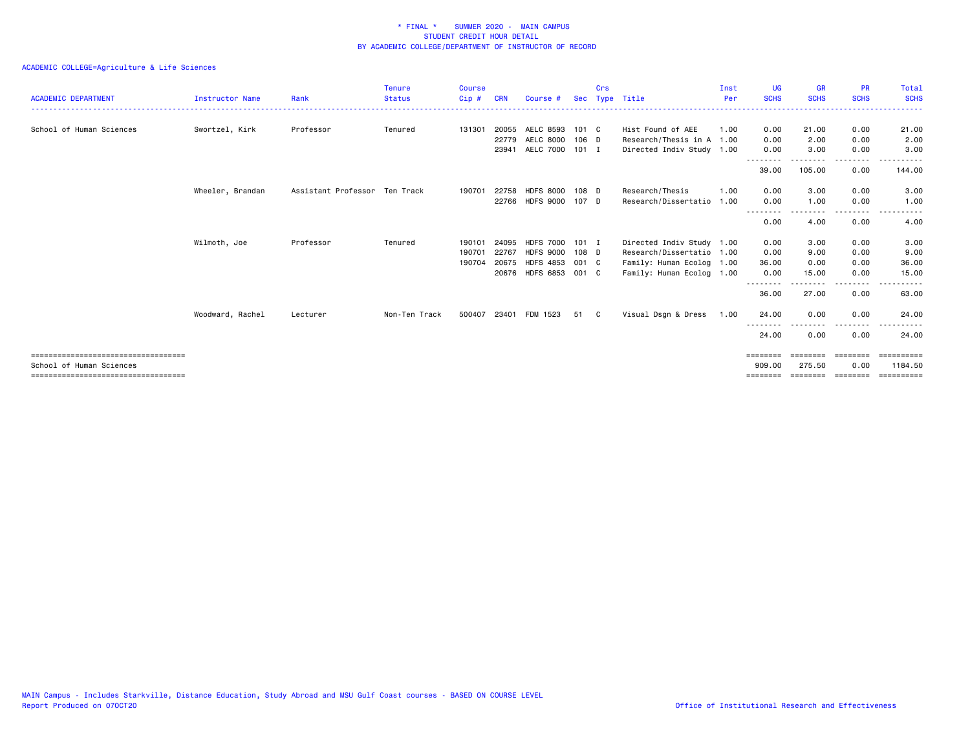| <b>ACADEMIC DEPARTMENT</b>            | <b>Instructor Name</b> | Rank                          | <b>Tenure</b><br><b>Status</b> | Course<br>Cip# | <b>CRN</b> | Course #              |         | Crs | Sec Type Title            | Inst<br>Per | UG<br><b>SCHS</b> | <b>GR</b><br><b>SCHS</b> | <b>PR</b><br><b>SCHS</b> | Total<br><b>SCHS</b> |
|---------------------------------------|------------------------|-------------------------------|--------------------------------|----------------|------------|-----------------------|---------|-----|---------------------------|-------------|-------------------|--------------------------|--------------------------|----------------------|
|                                       |                        |                               |                                |                |            |                       |         |     |                           |             |                   |                          |                          |                      |
| School of Human Sciences              | Swortzel, Kirk         | Professor                     | Tenured                        | 131301         | 20055      | AELC 8593 101 C       |         |     | Hist Found of AEE         | 1.00        | 0.00              | 21.00                    | 0.00                     | 21.00                |
|                                       |                        |                               |                                |                | 22779      | AELC 8000 106 D       |         |     | Research/Thesis in A 1.00 |             | 0.00              | 2.00                     | 0.00                     | 2.00                 |
|                                       |                        |                               |                                |                | 23941      | AELC 7000 101 I       |         |     | Directed Indiv Study 1.00 |             | 0.00              | 3.00                     | 0.00<br>-----            | 3.00<br>.            |
|                                       |                        |                               |                                |                |            |                       |         |     |                           |             | 39.00             | 105.00                   | 0.00                     | 144.00               |
|                                       | Wheeler, Brandan       | Assistant Professor Ten Track |                                | 190701         | 22758      | HDFS 8000 108 D       |         |     | Research/Thesis           | 1.00        | 0.00              | 3.00                     | 0.00                     | 3.00                 |
|                                       |                        |                               |                                |                |            | 22766 HDFS 9000 107 D |         |     | Research/Dissertatio      | 1.00        | 0.00              | 1.00                     | 0.00                     | 1.00                 |
|                                       |                        |                               |                                |                |            |                       |         |     |                           |             | 0.00              | 4.00                     | 0.00                     | 4.00                 |
|                                       | Wilmoth, Joe           | Professor                     | Tenured                        | 190101         | 24095      | <b>HDFS 7000</b>      | $101$ I |     | Directed Indiv Study 1.00 |             | 0.00              | 3.00                     | 0.00                     | 3.00                 |
|                                       |                        |                               |                                | 190701         | 22767      | HDFS 9000 108 D       |         |     | Research/Dissertatio 1.00 |             | 0.00              | 9.00                     | 0.00                     | 9.00                 |
|                                       |                        |                               |                                | 190704         |            | 20675 HDFS 4853 001 C |         |     | Family: Human Ecolog 1.00 |             | 36.00             | 0.00                     | 0.00                     | 36.00                |
|                                       |                        |                               |                                |                |            | 20676 HDFS 6853 001 C |         |     | Family: Human Ecolog 1.00 |             | 0.00              | 15.00                    | 0.00                     | 15.00                |
|                                       |                        |                               |                                |                |            |                       |         |     |                           |             | 36.00             | 27.00                    | --------<br>0.00         | . <b>.</b><br>63.00  |
|                                       | Woodward, Rachel       | Lecturer                      | Non-Ten Track                  | 500407         |            | 23401 FDM 1523        | 51 C    |     | Visual Dsgn & Dress       | 1.00        | 24.00             | 0.00                     | 0.00                     | 24.00                |
|                                       |                        |                               |                                |                |            |                       |         |     |                           |             | 24.00             | 0.00                     | 0.00                     | 24.00                |
| ===================================== |                        |                               |                                |                |            |                       |         |     |                           |             | =====             |                          |                          | =======              |
| School of Human Sciences              |                        |                               |                                |                |            |                       |         |     |                           |             | 909,00            | 275.50                   | 0.00                     | 1184.50              |
| ===================================== |                        |                               |                                |                |            |                       |         |     |                           |             | ========          | =================        |                          | ==========           |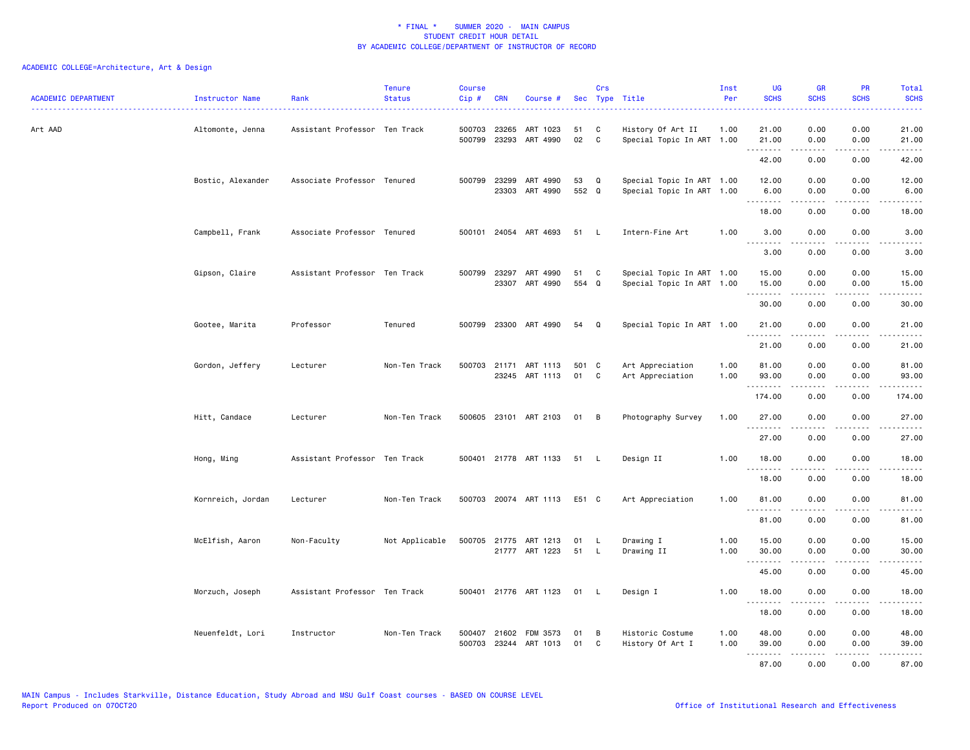| <b>ACADEMIC DEPARTMENT</b> | Instructor Name   | Rank                          | <b>Tenure</b><br><b>Status</b> | <b>Course</b><br>Cip # | <b>CRN</b>            | Course #                                |             | Crs          | Sec Type Title                                         | Inst<br>Per  | <b>UG</b><br><b>SCHS</b>  | <b>GR</b><br><b>SCHS</b> | <b>PR</b><br><b>SCHS</b> | Total<br><b>SCHS</b> |
|----------------------------|-------------------|-------------------------------|--------------------------------|------------------------|-----------------------|-----------------------------------------|-------------|--------------|--------------------------------------------------------|--------------|---------------------------|--------------------------|--------------------------|----------------------|
| Art AAD                    | Altomonte, Jenna  | Assistant Professor Ten Track |                                | 500703                 | 23265                 | ART 1023<br>500799 23293 ART 4990       | 51<br>02    | C<br>C       | History Of Art II<br>Special Topic In ART 1.00         | 1.00         | 21.00<br>21.00            | 0.00<br>0.00             | 0.00<br>0.00             | 21.00<br>21.00       |
|                            |                   |                               |                                |                        |                       |                                         |             |              |                                                        |              | .<br>42.00                | .<br>0.00                | .<br>0.00                | .<br>42.00           |
|                            | Bostic, Alexander | Associate Professor Tenured   |                                | 500799                 | 23299<br>23303        | ART 4990<br>ART 4990                    | 53<br>552 Q | Q            | Special Topic In ART 1.00<br>Special Topic In ART 1.00 |              | 12.00<br>6.00<br><u>.</u> | 0.00<br>0.00             | 0.00<br>0.00             | 12.00<br>6.00        |
|                            |                   |                               |                                |                        |                       |                                         |             |              |                                                        |              | 18.00                     | 0.00                     | 0.00                     | 18.00                |
|                            | Campbell, Frank   | Associate Professor Tenured   |                                |                        |                       | 500101 24054 ART 4693                   | 51          | $\mathsf{L}$ | Intern-Fine Art                                        | 1.00         | 3.00                      | 0.00                     | 0.00                     | 3.00                 |
|                            |                   |                               |                                |                        |                       |                                         |             |              |                                                        |              | .<br>3.00                 | .<br>0.00                | - - - -<br>0.00          | 3.00                 |
|                            | Gipson, Claire    | Assistant Professor Ten Track |                                |                        | 500799 23297<br>23307 | ART 4990<br>ART 4990                    | 51<br>554 Q | C            | Special Topic In ART 1.00<br>Special Topic In ART 1.00 |              | 15.00<br>15.00            | 0.00<br>0.00             | 0.00<br>0.00             | 15.00<br>15.00       |
|                            |                   |                               |                                |                        |                       |                                         |             |              |                                                        |              | .<br>30.00                | 0.00                     | 0.00                     | 30.00                |
|                            | Gootee, Marita    | Professor                     | Tenured                        |                        |                       | 500799 23300 ART 4990                   | 54          | Q            | Special Topic In ART 1.00                              |              | 21.00                     | 0.00                     | 0.00                     | 21.00                |
|                            |                   |                               |                                |                        |                       |                                         |             |              |                                                        |              | 21.00                     | 0.00                     | 0.00                     | 21.00                |
|                            | Gordon, Jeffery   | Lecturer                      | Non-Ten Track                  |                        |                       | 500703 21171 ART 1113<br>23245 ART 1113 | 501<br>01   | C<br>C       | Art Appreciation<br>Art Appreciation                   | 1.00<br>1.00 | 81.00<br>93.00<br>.       | 0.00<br>0.00<br>-----    | 0.00<br>0.00<br>.        | 81.00<br>93.00<br>.  |
|                            |                   |                               |                                |                        |                       |                                         |             |              |                                                        |              | 174.00                    | 0.00                     | 0.00                     | 174.00               |
|                            | Hitt, Candace     | Lecturer                      | Non-Ten Track                  |                        |                       | 500605 23101 ART 2103                   | 01 B        |              | Photography Survey                                     | 1.00         | 27.00<br>.                | 0.00                     | 0.00                     | 27.00                |
|                            |                   |                               |                                |                        |                       |                                         |             |              |                                                        |              | 27.00                     | 0.00                     | 0.00                     | 27,00                |
|                            | Hong, Ming        | Assistant Professor Ten Track |                                |                        |                       | 500401 21778 ART 1133                   | 51          | $\mathsf{L}$ | Design II                                              | 1.00         | 18.00<br><u>.</u>         | 0.00                     | 0.00                     | 18.00                |
|                            |                   |                               |                                |                        |                       |                                         |             |              |                                                        |              | 18.00                     | 0.00                     | 0.00                     | 18.00                |
|                            | Kornreich, Jordan | Lecturer                      | Non-Ten Track                  |                        |                       | 500703 20074 ART 1113                   | E51 C       |              | Art Appreciation                                       | 1.00         | 81.00<br>.                | 0.00                     | 0.00<br>- - - -          | 81.00                |
|                            |                   |                               |                                |                        |                       |                                         |             |              |                                                        |              | 81.00                     | 0.00                     | 0.00                     | 81.00                |
|                            | McElfish, Aaron   | Non-Faculty                   | Not Applicable                 |                        |                       | 500705 21775 ART 1213<br>21777 ART 1223 | 01<br>51    | - L<br>- L   | Drawing I<br>Drawing II                                | 1.00<br>1.00 | 15.00<br>30.00            | 0.00<br>0.00             | 0.00<br>0.00             | 15.00<br>30.00       |
|                            |                   |                               |                                |                        |                       |                                         |             |              |                                                        |              | <u>--------</u><br>45.00  | 0.00                     | 0.00                     | 45.00                |
|                            | Morzuch, Joseph   | Assistant Professor Ten Track |                                |                        |                       | 500401 21776 ART 1123                   | 01          | - L          | Design I                                               | 1.00         | 18.00                     | 0.00                     | 0.00                     | 18.00                |
|                            |                   |                               |                                |                        |                       |                                         |             |              |                                                        |              | .<br>18.00                | .<br>0.00                | 0.00                     | .<br>18.00           |
|                            | Neuenfeldt, Lori  | Instructor                    | Non-Ten Track                  | 500407                 | 21602                 | FDM 3573<br>500703 23244 ART 1013       | 01<br>01    | B<br>C       | Historic Costume<br>History Of Art I                   | 1.00<br>1.00 | 48.00<br>39.00            | 0.00<br>0.00             | 0.00<br>0.00             | 48.00<br>39.00       |
|                            |                   |                               |                                |                        |                       |                                         |             |              |                                                        |              | .<br>87.00                | .<br>0.00                | د د د د<br>0.00          | .<br>87.00           |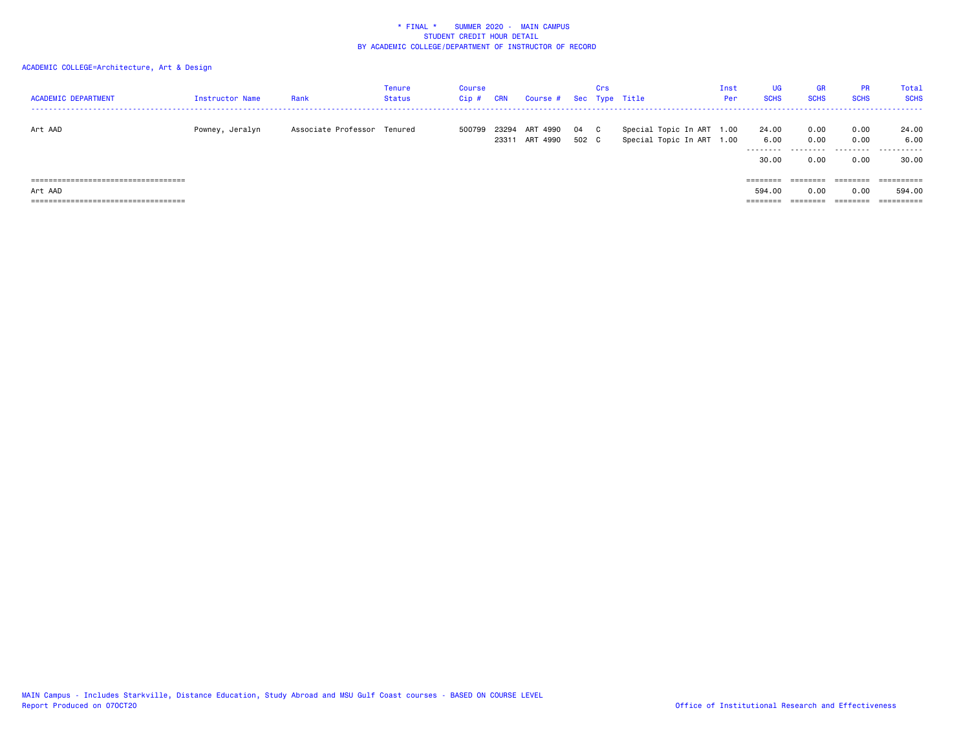| <b>ACADEMIC DEPARTMENT</b>                                                                                                        | Instructor Name | Rank                | <b>Tenure</b><br><b>Status</b> | Course<br>$Cip$ # | <b>CRN</b>     | Course #                   |             | Crs | Sec Type Title                               | Inst<br>Per  | <b>UG</b><br><b>SCHS</b>                   | <b>GR</b><br><b>SCHS</b>                  | <b>PR</b><br><b>SCHS</b>     | Total<br><b>SCHS</b>               |
|-----------------------------------------------------------------------------------------------------------------------------------|-----------------|---------------------|--------------------------------|-------------------|----------------|----------------------------|-------------|-----|----------------------------------------------|--------------|--------------------------------------------|-------------------------------------------|------------------------------|------------------------------------|
| Art AAD                                                                                                                           | Powney, Jeralyn | Associate Professor | Tenured                        | 500799            | 23294<br>23311 | ART<br>4990<br>ART<br>4990 | 04<br>502 C | C.  | Special Topic In ART<br>Special Topic In ART | 1.00<br>1.00 | 24.00<br>6.00<br>---------<br>30.00        | 0.00<br>0.00<br>.<br>0.00                 | 0.00<br>0.00<br>.<br>0.00    | 24.00<br>6.00<br>.<br>30.00        |
| ======================================<br>Art AAD<br>-------------------------------------<br>----------------------------------- |                 |                     |                                |                   |                |                            |             |     |                                              |              | ========<br>594.00<br>--------<br>-------- | ========<br>0.00<br>---------<br>-------- | ========<br>0.00<br>======== | ==========<br>594.00<br>========== |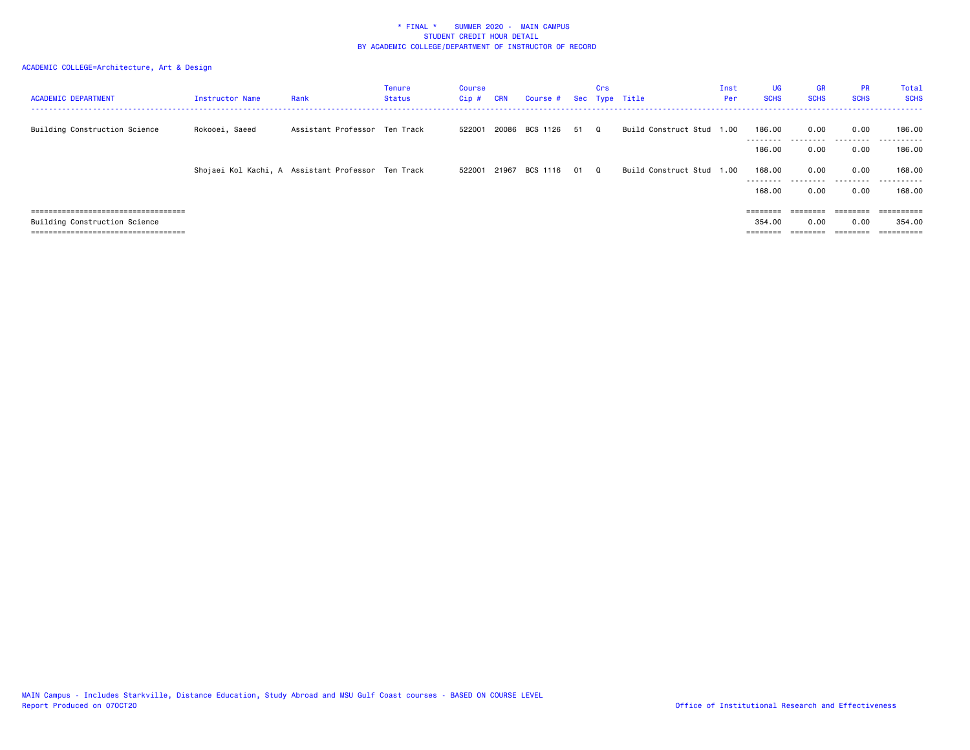| <b>ACADEMIC DEPARTMENT</b>                                                  | Instructor Name | Rank                                               | Tenure<br><b>Status</b> | Course<br>Cip# | <b>CRN</b> | Course # Sec Type Title | Crs      |                           | Inst<br>Per | <b>UG</b><br><b>SCHS</b> | <b>GR</b><br><b>SCHS</b> | <b>PR</b><br><b>SCHS</b> | Total<br><b>SCHS</b> |
|-----------------------------------------------------------------------------|-----------------|----------------------------------------------------|-------------------------|----------------|------------|-------------------------|----------|---------------------------|-------------|--------------------------|--------------------------|--------------------------|----------------------|
| Building Construction Science                                               | Rokooei, Saeed  | Assistant Professor Ten Track                      |                         | 522001         |            | 20086 BCS 1126 51       | $\Omega$ | Build Construct Stud 1.00 |             | 186.00<br>--------       | 0.00<br>.                | 0.00<br>.                | 186.00<br>.          |
|                                                                             |                 |                                                    |                         |                |            |                         |          |                           |             | 186.00                   | 0.00                     | 0.00                     | 186.00               |
|                                                                             |                 | Shojaei Kol Kachi, A Assistant Professor Ten Track |                         | 522001         |            | 21967 BCS 1116 01       | $\Omega$ | Build Construct Stud 1.00 |             | 168,00<br>---------      | 0.00<br>.                | 0.00<br>.                | 168.00<br>.          |
|                                                                             |                 |                                                    |                         |                |            |                         |          |                           |             | 168.00                   | 0.00                     | 0.00                     | 168.00               |
| =====================================                                       |                 |                                                    |                         |                |            |                         |          |                           |             | $=$ = = = = = = =        | :=======                 | ========                 | eeeeeeee             |
| Building Construction Science                                               |                 |                                                    |                         |                |            |                         |          |                           |             | 354.00                   | 0.00                     | 0.00                     | 354.00               |
| -----------------------------------<br>------------------------------------ |                 |                                                    |                         |                |            |                         |          |                           |             |                          | --------                 | ________                 | ==========           |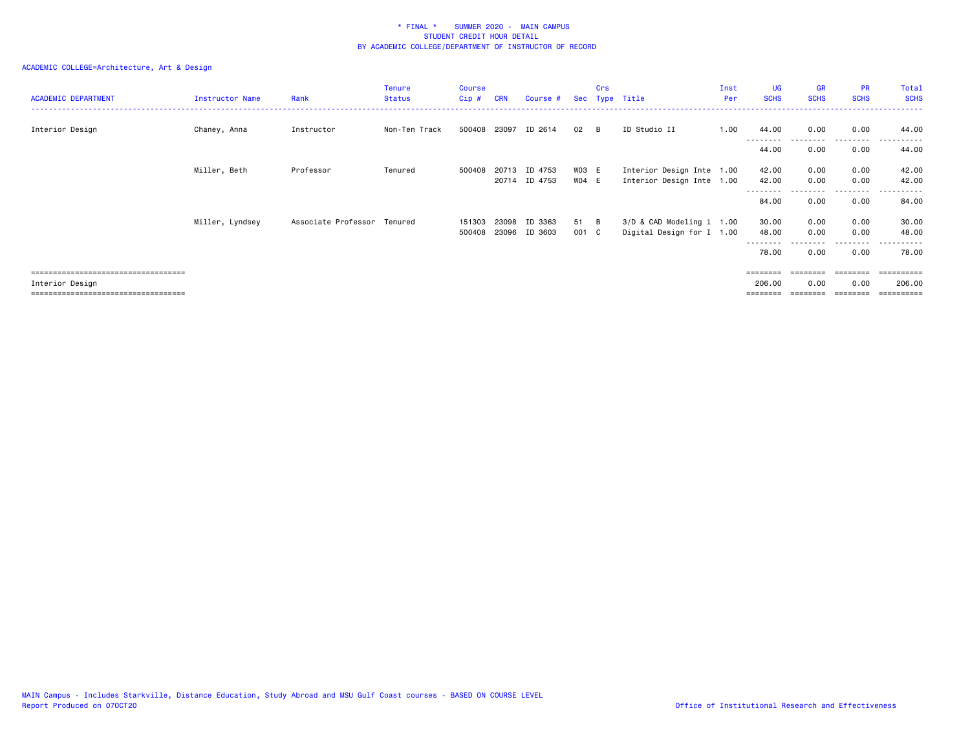# ACADEMIC COLLEGE=Architecture, Art & Design

| <b>ACADEMIC DEPARTMENT</b>            | Instructor Name | Rank                        | <b>Tenure</b><br><b>Status</b> | Course<br>Cip# | <b>CRN</b> | Course #                 |                | Crs | Sec Type Title                                         | Inst<br>Per | <b>UG</b><br><b>SCHS</b> | <b>GR</b><br><b>SCHS</b> | <b>PR</b><br><b>SCHS</b> | Total<br><b>SCHS</b> |
|---------------------------------------|-----------------|-----------------------------|--------------------------------|----------------|------------|--------------------------|----------------|-----|--------------------------------------------------------|-------------|--------------------------|--------------------------|--------------------------|----------------------|
| Interior Design                       | Chaney, Anna    | Instructor                  | Non-Ten Track                  | 500408 23097   |            | ID 2614                  | 02             | - B | ID Studio II                                           | 1.00        | 44.00                    | 0.00                     | 0.00                     | 44.00                |
|                                       |                 |                             |                                |                |            |                          |                |     |                                                        |             | --------<br>44.00        | 0.00                     | 0.00                     | .<br>44.00           |
|                                       | Miller, Beth    | Professor                   | Tenured                        | 500408         | 20713      | ID 4753<br>20714 ID 4753 | WO3 E<br>WO4 E |     | Interior Design Inte 1.00<br>Interior Design Inte 1.00 |             | 42.00<br>42.00           | 0.00<br>0.00             | 0.00<br>0.00             | 42.00<br>42.00       |
|                                       |                 |                             |                                |                |            |                          |                |     |                                                        |             | --------<br>84.00        | 0.00                     | 0.00                     | .<br>84.00           |
|                                       | Miller, Lyndsey | Associate Professor Tenured |                                | 151303         | 23098      | ID 3363                  | 51 B           |     | 3/D & CAD Modeling i 1.00                              |             | 30.00                    | 0.00                     | 0.00                     | 30.00                |
|                                       |                 |                             |                                | 500408         | 23096      | ID 3603                  | 001 C          |     | Digital Design for I 1.00                              |             | 48.00<br>--------        | 0.00                     | 0.00<br>---------        | 48.00<br>.           |
|                                       |                 |                             |                                |                |            |                          |                |     |                                                        |             | 78.00                    | 0.00                     | 0.00                     | 78.00                |
| ===================================== |                 |                             |                                |                |            |                          |                |     |                                                        |             | <b>EEEEEEE</b>           | ========                 | ========                 | ==========           |
| Interior Design                       |                 |                             |                                |                |            |                          |                |     |                                                        |             | 206.00                   | 0.00                     | 0.00                     | 206.00               |

=================================== ======== ======== ======== ==========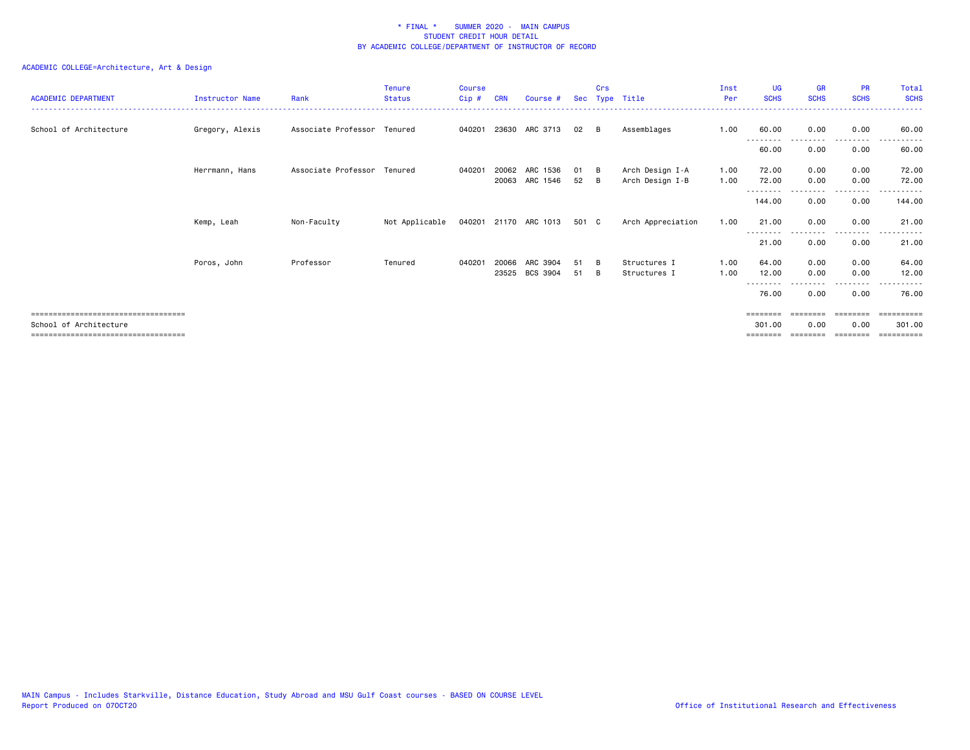# ACADEMIC COLLEGE=Architecture, Art & Design

| <b>ACADEMIC DEPARTMENT</b>                                     | Instructor Name | Rank                        | <b>Tenure</b><br><b>Status</b> | <b>Course</b><br>$Cip$ # | <b>CRN</b> | Course #                   | Sec      | Crs        | Type Title                         | Inst<br>Per  | <b>UG</b><br><b>SCHS</b> | <b>GR</b><br><b>SCHS</b> | <b>PR</b><br><b>SCHS</b> | Total<br><b>SCHS</b>   |
|----------------------------------------------------------------|-----------------|-----------------------------|--------------------------------|--------------------------|------------|----------------------------|----------|------------|------------------------------------|--------------|--------------------------|--------------------------|--------------------------|------------------------|
| School of Architecture                                         | Gregory, Alexis | Associate Professor Tenured |                                | 040201                   |            | 23630 ARC 3713             | 02       | B          | Assemblages                        | 1.00         | 60.00<br>---------       | 0.00<br>--------         | 0.00<br>--------         | 60.00<br>.             |
|                                                                |                 |                             |                                |                          |            |                            |          |            |                                    |              | 60.00                    | 0.00                     | 0.00                     | 60.00                  |
|                                                                | Herrmann, Hans  | Associate Professor Tenured |                                | 040201                   | 20062      | ARC 1536<br>20063 ARC 1546 | 01<br>52 | - B<br>- B | Arch Design I-A<br>Arch Design I-B | 1.00<br>1.00 | 72.00<br>72.00           | 0.00<br>0.00             | 0.00<br>0.00             | 72.00<br>72.00         |
|                                                                |                 |                             |                                |                          |            |                            |          |            |                                    |              | ---------<br>144.00      | 0.00                     | $\cdots$<br>0.00         | .<br>144.00            |
|                                                                | Kemp, Leah      | Non-Faculty                 | Not Applicable                 |                          |            | 040201 21170 ARC 1013      | 501 C    |            | Arch Appreciation                  | 1.00         | 21.00                    | 0.00                     | 0.00                     | 21.00                  |
|                                                                |                 |                             |                                |                          |            |                            |          |            |                                    |              | ---------<br>21.00       | <u>.</u><br>0.00         | ---------<br>0.00        | .<br>$\cdots$<br>21.00 |
|                                                                | Poros, John     | Professor                   | Tenured                        | 040201                   | 20066      | ARC 3904                   | 51       | - B        | Structures I                       | 1.00         | 64.00                    | 0.00                     | 0.00                     | 64.00                  |
|                                                                |                 |                             |                                |                          |            | 23525 BCS 3904             | 51       | B          | Structures I                       | 1.00         | 12.00<br>--------        | 0.00                     | 0.00<br>----             | 12.00<br>.             |
|                                                                |                 |                             |                                |                          |            |                            |          |            |                                    |              | 76.00                    | 0.00                     | 0.00                     | 76.00                  |
| ====================================<br>School of Architecture |                 |                             |                                |                          |            |                            |          |            |                                    |              | 301.00                   | 0.00                     | 0.00                     | :======<br>301.00      |
| .====================================                          |                 |                             |                                |                          |            |                            |          |            |                                    |              |                          |                          |                          | ======                 |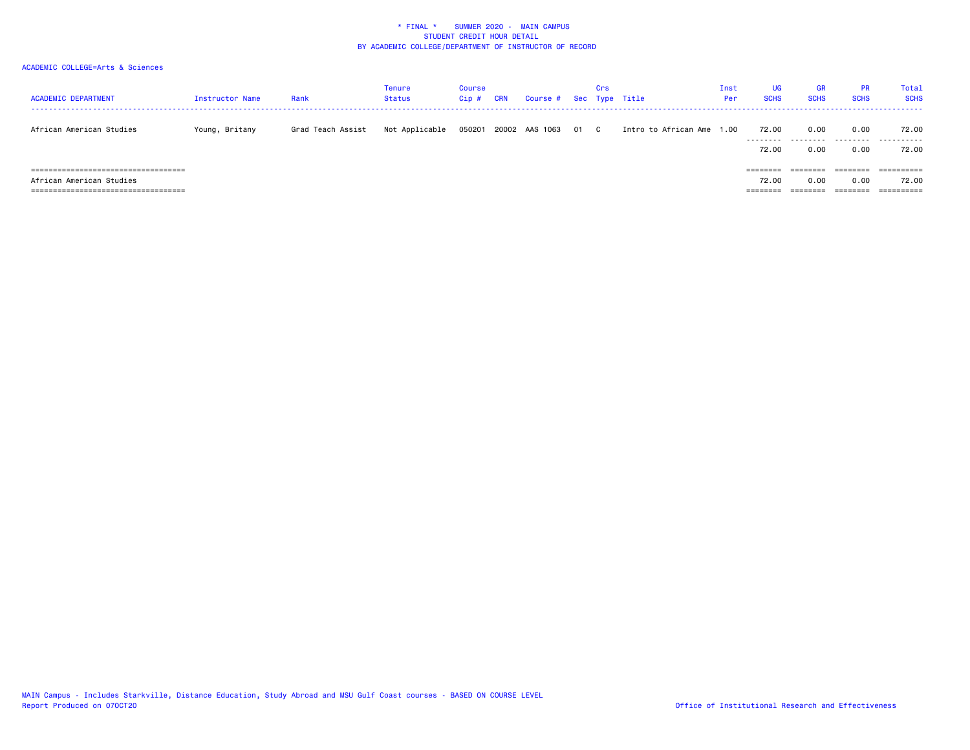| <b>ACADEMIC DEPARTMENT</b>             | Instructor Name | Rank              | Tenure<br>Status | Course<br>Cip | CRN | Course #            | Crs | Sec Type Title            | Inst<br>Per | UG<br><b>SCHS</b> | <b>GR</b><br><b>SCHS</b> | PR.<br><b>SCHS</b>   | Total<br><b>SCHS</b> |
|----------------------------------------|-----------------|-------------------|------------------|---------------|-----|---------------------|-----|---------------------------|-------------|-------------------|--------------------------|----------------------|----------------------|
| African American Studies               | Young, Britany  | Grad Teach Assist | Not Applicable   | 050201        |     | 20002 AAS 1063 01 C |     | Intro to African Ame 1.00 |             | 72.00<br>.        | 0.00<br>.                | 0.00<br>.            | 72.00<br>.           |
|                                        |                 |                   |                  |               |     |                     |     |                           |             | 72.00             | 0.00                     | 0.00                 | 72.00                |
| ====================================== |                 |                   |                  |               |     |                     |     |                           |             | $=$ = = = = = = = | :=======                 | ========             | ==========           |
| African American Studies               |                 |                   |                  |               |     |                     |     |                           |             | 72.00             | 0.00                     | 0.00                 | 72.00                |
| ====================================== |                 |                   |                  |               |     |                     |     |                           |             |                   | --------                 | ________<br>-------- | ==========           |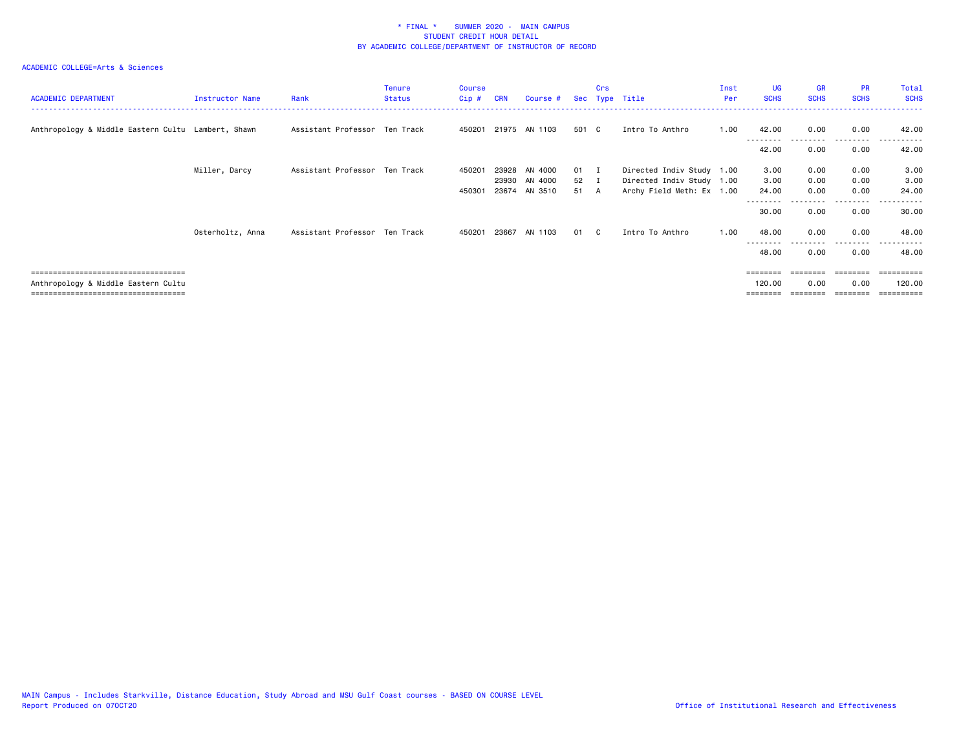# ACADEMIC COLLEGE=Arts & Sciences

| <b>ACADEMIC DEPARTMENT</b>                         | Instructor Name  | Rank                          | <b>Tenure</b><br><b>Status</b> | Course<br>Cip# | <b>CRN</b> | Course #      |              | Crs | Sec Type Title            | Inst<br>Per | <b>UG</b><br><b>SCHS</b> | <b>GR</b><br><b>SCHS</b> | <b>PR</b><br><b>SCHS</b> | Total<br><b>SCHS</b>   |
|----------------------------------------------------|------------------|-------------------------------|--------------------------------|----------------|------------|---------------|--------------|-----|---------------------------|-------------|--------------------------|--------------------------|--------------------------|------------------------|
| Anthropology & Middle Eastern Cultu Lambert, Shawn |                  | Assistant Professor Ten Track |                                | 450201         |            | 21975 AN 1103 | 501 C        |     | Intro To Anthro           | 1.00        | 42.00                    | 0.00                     | 0.00                     | 42.00                  |
|                                                    |                  |                               |                                |                |            |               |              |     |                           |             | 42.00                    | 0.00                     | .<br>0.00                | 42.00                  |
|                                                    | Miller, Darcy    | Assistant Professor Ten Track |                                | 450201         | 23928      | AN 4000       | $01 \quad I$ |     | Directed Indiv Study 1.00 |             | 3.00                     | 0.00                     | 0.00                     | 3.00                   |
|                                                    |                  |                               |                                |                | 23930      | AN 4000       | 52 I         |     | Directed Indiv Study 1.00 |             | 3.00                     | 0.00                     | 0.00                     | 3.00                   |
|                                                    |                  |                               |                                | 450301         | 23674      | AN 3510       | 51           | A   | Archy Field Meth: Ex 1.00 |             | 24.00                    | 0.00                     | 0.00                     | 24.00                  |
|                                                    |                  |                               |                                |                |            |               |              |     |                           |             | 30.00                    | 0.00                     | .<br>0.00                | 30.00                  |
|                                                    | Osterholtz, Anna | Assistant Professor Ten Track |                                | 450201         | 23667      | AN 1103       | 01           | C.  | Intro To Anthro           | 1.00        | 48.00                    | 0.00                     | 0.00<br>.                | 48.00<br>- - - - - - - |
|                                                    |                  |                               |                                |                |            |               |              |     |                           |             | 48.00                    | 0.00                     | 0.00                     | 48.00                  |
| -------------------------------------              |                  |                               |                                |                |            |               |              |     |                           |             | ========                 | ========                 |                          |                        |
| Anthropology & Middle Eastern Cultu                |                  |                               |                                |                |            |               |              |     |                           |             | 120,00                   | 0.00                     | 0.00                     | 120.00                 |
| =====================================              |                  |                               |                                |                |            |               |              |     |                           |             |                          |                          |                          |                        |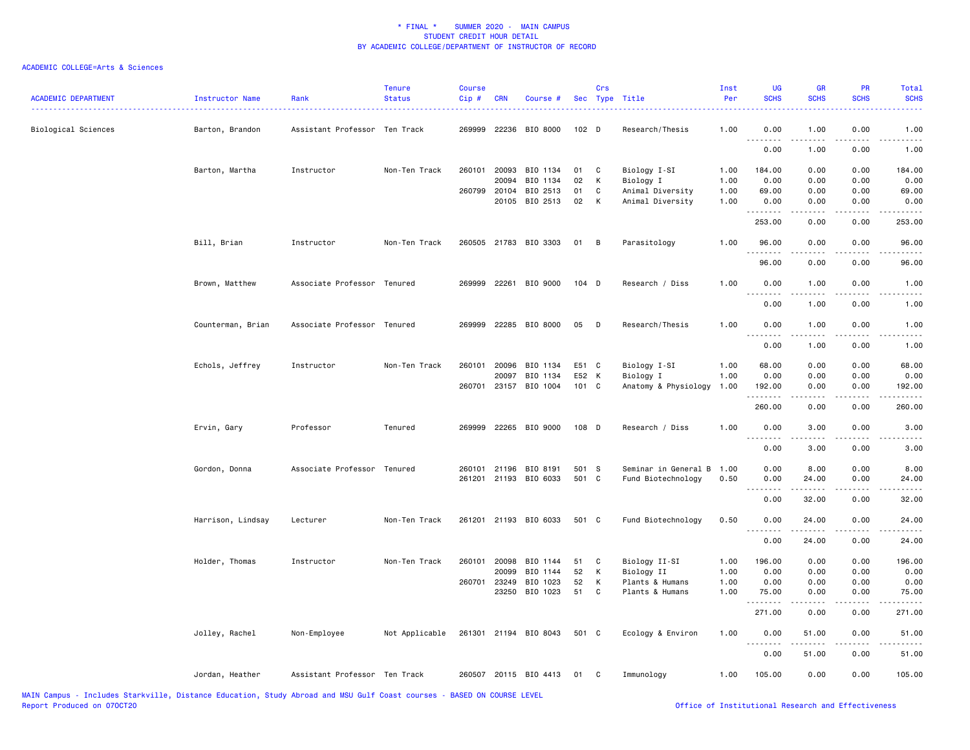| <b>ACADEMIC DEPARTMENT</b> | Instructor Name<br>. | Rank                          | <b>Tenure</b><br><b>Status</b> | <b>Course</b><br>Cip# | <b>CRN</b>   | Course #              |                  | Crs | Sec Type Title       | Inst<br>Per  | <b>UG</b><br><b>SCHS</b> | <b>GR</b><br><b>SCHS</b> | PR<br><b>SCHS</b>     | Total<br><b>SCHS</b>                                                                                                      |
|----------------------------|----------------------|-------------------------------|--------------------------------|-----------------------|--------------|-----------------------|------------------|-----|----------------------|--------------|--------------------------|--------------------------|-----------------------|---------------------------------------------------------------------------------------------------------------------------|
| Biological Sciences        | Barton, Brandon      | Assistant Professor Ten Track |                                |                       |              | 269999 22236 BIO 8000 | 102 <sub>D</sub> |     | Research/Thesis      | 1.00         | 0.00<br>.                | 1.00                     | 0.00                  | 1.00                                                                                                                      |
|                            |                      |                               |                                |                       |              |                       |                  |     |                      |              | 0.00                     | 1.00                     | 0.00                  | 1.00                                                                                                                      |
|                            | Barton, Martha       | Instructor                    | Non-Ten Track                  | 260101                | 20093        | BIO 1134              | 01               | C   | Biology I-SI         | 1.00         | 184.00                   | 0.00                     | 0.00                  | 184.00                                                                                                                    |
|                            |                      |                               |                                |                       | 20094        | BIO 1134              | 02               | К   | Biology I            | 1.00         | 0.00                     | 0.00                     | 0.00                  | 0.00                                                                                                                      |
|                            |                      |                               |                                |                       | 260799 20104 | BIO 2513              | 01               | C   | Animal Diversity     | 1.00<br>1.00 | 69.00                    | 0.00                     | 0.00                  | 69.00                                                                                                                     |
|                            |                      |                               |                                |                       |              | 20105 BIO 2513        | 02               | К   | Animal Diversity     |              | 0.00<br>.                | 0.00                     | 0.00                  | 0.00<br>.                                                                                                                 |
|                            |                      |                               |                                |                       |              |                       |                  |     |                      |              | 253.00                   | 0.00                     | 0.00                  | 253.00                                                                                                                    |
|                            | Bill, Brian          | Instructor                    | Non-Ten Track                  |                       |              | 260505 21783 BIO 3303 | 01               | B   | Parasitology         | 1.00         | 96.00                    | 0.00                     | 0.00                  | 96.00                                                                                                                     |
|                            |                      |                               |                                |                       |              |                       |                  |     |                      |              | 96.00                    | 0.00                     | 0.00                  | 96.00                                                                                                                     |
|                            | Brown, Matthew       | Associate Professor Tenured   |                                |                       |              | 269999 22261 BIO 9000 | 104 D            |     | Research / Diss      | 1.00         | 0.00                     | 1.00                     | 0.00                  | 1.00                                                                                                                      |
|                            |                      |                               |                                |                       |              |                       |                  |     |                      |              | .<br>0.00                | .<br>1.00                | 0.00                  | 1.00                                                                                                                      |
|                            | Counterman, Brian    | Associate Professor Tenured   |                                |                       |              | 269999 22285 BIO 8000 | 05               | D   | Research/Thesis      | 1.00         | 0.00                     | 1.00                     | 0.00                  | 1.00                                                                                                                      |
|                            |                      |                               |                                |                       |              |                       |                  |     |                      |              | .<br>0.00                | .<br>1.00                | $\frac{1}{2}$<br>0.00 | $- - - -$<br>1.00                                                                                                         |
|                            |                      |                               |                                |                       |              |                       |                  |     |                      |              |                          |                          |                       |                                                                                                                           |
|                            | Echols, Jeffrey      | Instructor                    | Non-Ten Track                  | 260101                | 20096        | BIO 1134              | E51 C            |     | Biology I-SI         | 1.00         | 68.00                    | 0.00                     | 0.00                  | 68.00                                                                                                                     |
|                            |                      |                               |                                |                       | 20097        | BIO 1134              | E52 K            |     | Biology I            | 1.00         | 0.00                     | 0.00                     | 0.00                  | 0.00                                                                                                                      |
|                            |                      |                               |                                | 260701                | 23157        | BIO 1004              | 101 C            |     | Anatomy & Physiology | 1.00         | 192.00                   | 0.00                     | 0.00                  | 192.00                                                                                                                    |
|                            |                      |                               |                                |                       |              |                       |                  |     |                      |              | 260.00                   | 0.00                     | 0.00                  | 260.00                                                                                                                    |
|                            | Ervin, Gary          | Professor                     | Tenured                        |                       |              | 269999 22265 BIO 9000 | 108 D            |     | Research / Diss      | 1.00         | 0.00<br>$- - -$          | 3.00                     | 0.00                  | 3.00                                                                                                                      |
|                            |                      |                               |                                |                       |              |                       |                  |     |                      |              | 0.00                     | 3.00                     | 0.00                  | 3.00                                                                                                                      |
|                            | Gordon, Donna        | Associate Professor Tenured   |                                | 260101                | 21196        | BIO 8191              | 501 S            |     | Seminar in General B | 1.00         | 0.00                     | 8.00                     | 0.00                  | 8.00                                                                                                                      |
|                            |                      |                               |                                |                       |              | 261201 21193 BIO 6033 | 501 C            |     | Fund Biotechnology   | 0.50         | 0.00                     | 24.00                    | 0.00                  | 24.00                                                                                                                     |
|                            |                      |                               |                                |                       |              |                       |                  |     |                      |              | د د د د                  | .                        | ----                  | $\frac{1}{2} \left( \frac{1}{2} \right) \left( \frac{1}{2} \right) \left( \frac{1}{2} \right) \left( \frac{1}{2} \right)$ |
|                            |                      |                               |                                |                       |              |                       |                  |     |                      |              | 0.00                     | 32.00                    | 0.00                  | 32.00                                                                                                                     |
|                            | Harrison, Lindsay    | Lecturer                      | Non-Ten Track                  |                       |              | 261201 21193 BIO 6033 | 501 C            |     | Fund Biotechnology   | 0.50         | 0.00<br>.                | 24.00<br>.               | 0.00<br>.             | 24.00<br>. <b>.</b>                                                                                                       |
|                            |                      |                               |                                |                       |              |                       |                  |     |                      |              | 0.00                     | 24.00                    | 0.00                  | 24.00                                                                                                                     |
|                            | Holder, Thomas       | Instructor                    | Non-Ten Track                  |                       | 260101 20098 | BIO 1144              | 51               | C   | Biology II-SI        | 1.00         | 196.00                   | 0.00                     | 0.00                  | 196.00                                                                                                                    |
|                            |                      |                               |                                |                       | 20099        | BIO 1144              | 52               | К   | Biology II           | 1.00         | 0.00                     | 0.00                     | 0.00                  | 0.00                                                                                                                      |
|                            |                      |                               |                                | 260701                | 23249        | BIO 1023              | 52               | К   | Plants & Humans      | 1.00         | 0.00                     | 0.00                     | 0.00                  | 0.00                                                                                                                      |
|                            |                      |                               |                                |                       | 23250        | BIO 1023              | 51               | C   | Plants & Humans      | 1.00         | 75.00                    | 0.00                     | 0.00                  | 75.00                                                                                                                     |
|                            |                      |                               |                                |                       |              |                       |                  |     |                      |              | 271.00                   | 0.00                     | 0.00                  | 271.00                                                                                                                    |
|                            | Jolley, Rachel       | Non-Employee                  | Not Applicable                 |                       |              | 261301 21194 BIO 8043 | 501 C            |     | Ecology & Environ    | 1.00         | 0.00<br><u>--------</u>  | 51.00<br>.               | 0.00<br>.             | 51.00                                                                                                                     |
|                            |                      |                               |                                |                       |              |                       |                  |     |                      |              | 0.00                     | 51.00                    | 0.00                  | 51.00                                                                                                                     |
|                            | Jordan, Heather      | Assistant Professor Ten Track |                                |                       |              | 260507 20115 BIO 4413 | 01               | C   | Immunology           | 1.00         | 105.00                   | 0.00                     | 0.00                  | 105.00                                                                                                                    |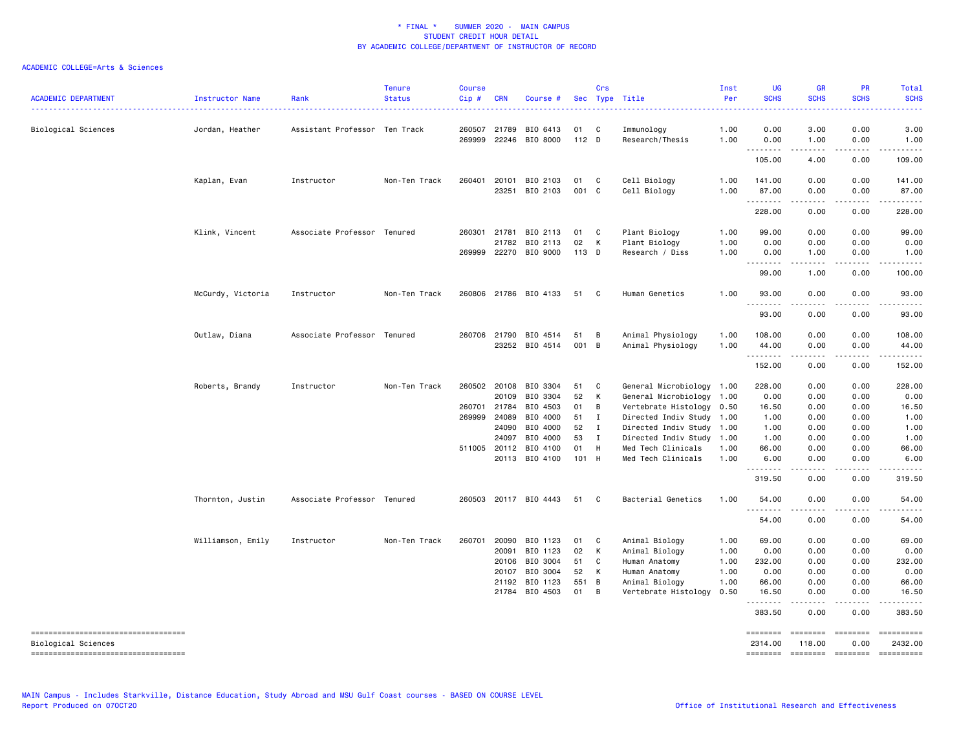| <b>ACADEMIC DEPARTMENT</b>                                                                         | Instructor Name   | Rank                          | <b>Tenure</b><br><b>Status</b> | <b>Course</b><br>Cip#        | <b>CRN</b>                     | Course #                                     |                      | Crs                                 | Sec Type Title                                                                                              | Inst<br>Per          | <b>UG</b><br><b>SCHS</b>        | <b>GR</b><br><b>SCHS</b>     | PR<br><b>SCHS</b>                                                                                                                                                                                                                                                                                                                                                                                                                                                                                                                                      | Total<br><b>SCHS</b>            |
|----------------------------------------------------------------------------------------------------|-------------------|-------------------------------|--------------------------------|------------------------------|--------------------------------|----------------------------------------------|----------------------|-------------------------------------|-------------------------------------------------------------------------------------------------------------|----------------------|---------------------------------|------------------------------|--------------------------------------------------------------------------------------------------------------------------------------------------------------------------------------------------------------------------------------------------------------------------------------------------------------------------------------------------------------------------------------------------------------------------------------------------------------------------------------------------------------------------------------------------------|---------------------------------|
| Biological Sciences                                                                                | Jordan, Heather   | Assistant Professor Ten Track |                                | 260507<br>269999             | 21789<br>22246                 | BIO 6413<br>BIO 8000                         | 01<br>$112$ D        | C                                   | Immunology<br>Research/Thesis                                                                               | 1.00<br>1.00         | 0.00<br>0.00                    | 3.00<br>1.00                 | 0.00<br>0.00                                                                                                                                                                                                                                                                                                                                                                                                                                                                                                                                           | 3.00<br>1.00                    |
|                                                                                                    |                   |                               |                                |                              |                                |                                              |                      |                                     |                                                                                                             |                      | .<br>105.00                     | .<br>4.00                    | .<br>0.00                                                                                                                                                                                                                                                                                                                                                                                                                                                                                                                                              | .<br>109.00                     |
|                                                                                                    | Kaplan, Evan      | Instructor                    | Non-Ten Track                  | 260401                       | 20101                          | BIO 2103<br>23251 BIO 2103                   | 01<br>001 C          | $\mathbf{C}$                        | Cell Biology<br>Cell Biology                                                                                | 1.00<br>1.00         | 141.00<br>87.00<br>.            | 0.00<br>0.00                 | 0.00<br>0.00                                                                                                                                                                                                                                                                                                                                                                                                                                                                                                                                           | 141.00<br>87.00<br>. <u>.</u> . |
|                                                                                                    |                   |                               |                                |                              |                                |                                              |                      |                                     |                                                                                                             |                      | 228.00                          | 0.00                         | 0.00                                                                                                                                                                                                                                                                                                                                                                                                                                                                                                                                                   | 228.00                          |
|                                                                                                    | Klink, Vincent    | Associate Professor Tenured   |                                | 269999                       | 260301 21781<br>21782          | BIO 2113<br>BIO 2113<br>22270 BIO 9000       | 01<br>02<br>113 D    | $\mathbf{C}$<br>K                   | Plant Biology<br>Plant Biology<br>Research / Diss                                                           | 1.00<br>1.00<br>1.00 | 99.00<br>0.00<br>0.00           | 0.00<br>0.00<br>1.00         | 0.00<br>0.00<br>0.00                                                                                                                                                                                                                                                                                                                                                                                                                                                                                                                                   | 99.00<br>0.00<br>1.00           |
|                                                                                                    |                   |                               |                                |                              |                                |                                              |                      |                                     |                                                                                                             |                      | .<br>99.00                      | 1.00                         | 0.00                                                                                                                                                                                                                                                                                                                                                                                                                                                                                                                                                   | 100.00                          |
|                                                                                                    | McCurdy, Victoria | Instructor                    | Non-Ten Track                  |                              |                                | 260806 21786 BIO 4133                        | 51                   | - C                                 | Human Genetics                                                                                              | 1.00                 | 93.00<br>.                      | 0.00                         | 0.00<br>$   -$                                                                                                                                                                                                                                                                                                                                                                                                                                                                                                                                         | 93.00                           |
|                                                                                                    |                   |                               |                                |                              |                                |                                              |                      |                                     |                                                                                                             |                      | 93.00                           | 0.00                         | 0.00                                                                                                                                                                                                                                                                                                                                                                                                                                                                                                                                                   | 93.00                           |
|                                                                                                    | Outlaw, Diana     | Associate Professor Tenured   |                                | 260706                       | 21790                          | BIO 4514<br>23252 BIO 4514                   | 51<br>001 B          | B                                   | Animal Physiology<br>Animal Physiology                                                                      | 1.00<br>1.00         | 108.00<br>44.00<br>.            | 0.00<br>0.00<br><u>.</u>     | 0.00<br>0.00<br>.                                                                                                                                                                                                                                                                                                                                                                                                                                                                                                                                      | 108.00<br>44.00<br>.            |
|                                                                                                    |                   |                               |                                |                              |                                |                                              |                      |                                     |                                                                                                             |                      | 152.00                          | 0.00                         | 0.00                                                                                                                                                                                                                                                                                                                                                                                                                                                                                                                                                   | 152.00                          |
|                                                                                                    | Roberts, Brandy   | Instructor                    | Non-Ten Track                  | 260701 21784<br>269999 24089 | 260502 20108<br>20109          | BIO 3304<br>BIO 3304<br>BIO 4503<br>BIO 4000 | 51<br>52<br>01<br>51 | <b>C</b><br>K<br>B<br>$\mathbf{I}$  | General Microbiology 1.00<br>General Microbiology<br>Vertebrate Histology 0.50<br>Directed Indiv Study 1.00 | 1.00                 | 228.00<br>0.00<br>16.50<br>1.00 | 0.00<br>0.00<br>0.00<br>0.00 | 0.00<br>0.00<br>0.00<br>0.00                                                                                                                                                                                                                                                                                                                                                                                                                                                                                                                           | 228.00<br>0.00<br>16.50<br>1.00 |
|                                                                                                    |                   |                               |                                |                              | 24090<br>24097<br>511005 20112 | BIO 4000<br>BIO 4000<br>BIO 4100             | 52<br>53<br>01       | $\mathbf{I}$<br>$\blacksquare$<br>H | Directed Indiv Study 1.00<br>Directed Indiv Study<br>Med Tech Clinicals                                     | 1.00<br>1.00         | 1.00<br>1.00<br>66.00           | 0.00<br>0.00<br>0.00         | 0.00<br>0.00<br>0.00                                                                                                                                                                                                                                                                                                                                                                                                                                                                                                                                   | 1.00<br>1.00<br>66.00           |
|                                                                                                    |                   |                               |                                |                              |                                | 20113 BIO 4100                               | 101 H                |                                     | Med Tech Clinicals                                                                                          | 1.00                 | 6.00<br>.                       | 0.00<br>.                    | 0.00<br>.                                                                                                                                                                                                                                                                                                                                                                                                                                                                                                                                              | 6.00<br>.                       |
|                                                                                                    |                   |                               |                                |                              |                                |                                              |                      |                                     |                                                                                                             |                      | 319.50                          | 0.00                         | 0.00                                                                                                                                                                                                                                                                                                                                                                                                                                                                                                                                                   | 319.50                          |
|                                                                                                    | Thornton, Justin  | Associate Professor Tenured   |                                |                              |                                | 260503 20117 BIO 4443                        | 51                   | $\mathbf{C}$                        | Bacterial Genetics                                                                                          | 1.00                 | 54.00                           | 0.00                         | 0.00                                                                                                                                                                                                                                                                                                                                                                                                                                                                                                                                                   | 54.00                           |
|                                                                                                    |                   |                               |                                |                              |                                |                                              |                      |                                     |                                                                                                             |                      | 54.00                           | 0.00                         | 0.00                                                                                                                                                                                                                                                                                                                                                                                                                                                                                                                                                   | 54.00                           |
|                                                                                                    | Williamson, Emily | Instructor                    | Non-Ten Track                  | 260701                       | 20090<br>20091                 | BIO 1123<br>BIO 1123                         | 01<br>02             | <b>C</b><br>K                       | Animal Biology<br>Animal Biology                                                                            | 1.00<br>1.00         | 69.00<br>0.00                   | 0.00<br>0.00                 | 0.00<br>0.00                                                                                                                                                                                                                                                                                                                                                                                                                                                                                                                                           | 69.00<br>0.00                   |
|                                                                                                    |                   |                               |                                |                              | 20106<br>20107                 | BIO 3004<br>BIO 3004                         | 51<br>52             | C<br>К                              | Human Anatomy<br>Human Anatomy                                                                              | 1.00<br>1.00         | 232.00<br>0.00                  | 0.00<br>0.00                 | 0.00<br>0.00                                                                                                                                                                                                                                                                                                                                                                                                                                                                                                                                           | 232.00<br>0.00                  |
|                                                                                                    |                   |                               |                                |                              | 21192                          | BIO 1123                                     | 551 B                |                                     | Animal Biology                                                                                              | 1.00                 | 66.00                           | 0.00                         | 0.00                                                                                                                                                                                                                                                                                                                                                                                                                                                                                                                                                   | 66.00                           |
|                                                                                                    |                   |                               |                                |                              | 21784                          | BIO 4503                                     | 01                   | B                                   | Vertebrate Histology                                                                                        | 0.50                 | 16.50                           | 0.00                         | 0.00                                                                                                                                                                                                                                                                                                                                                                                                                                                                                                                                                   | 16.50                           |
|                                                                                                    |                   |                               |                                |                              |                                |                                              |                      |                                     |                                                                                                             |                      | 383.50                          | 0.00                         | 0.00                                                                                                                                                                                                                                                                                                                                                                                                                                                                                                                                                   | 383.50                          |
| =====================================<br>Biological Sciences<br>---------------------------------- |                   |                               |                                |                              |                                |                                              |                      |                                     |                                                                                                             |                      | ========<br>2314.00<br>======== | ========<br>118.00           | $\begin{array}{c} \multicolumn{3}{c} {\small \texttt{m}} = \multicolumn{3}{c} {\small \texttt{m}} = \multicolumn{3}{c} {\small \texttt{m}} = \multicolumn{3}{c} {\small \texttt{m}} = \multicolumn{3}{c} {\small \texttt{m}} = \multicolumn{3}{c} {\small \texttt{m}} = \multicolumn{3}{c} {\small \texttt{m}} = \multicolumn{3}{c} {\small \texttt{m}} = \multicolumn{3}{c} {\small \texttt{m}} = \multicolumn{3}{c} {\small \texttt{m}} = \multicolumn{3}{c} {\small \texttt{m}} = \multicolumn{3}{c} {\small \texttt{$<br>0.00<br>======== ======== | ==========<br>2432.00           |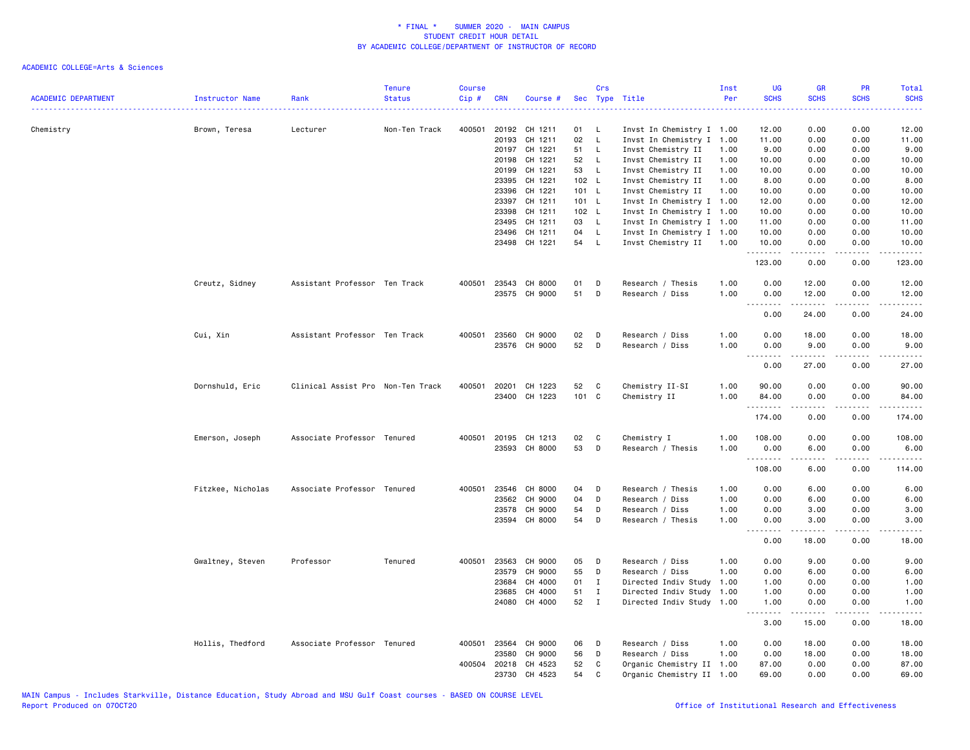| <b>ACADEMIC DEPARTMENT</b> | Instructor Name   | Rank                              | <b>Tenure</b><br><b>Status</b> | <b>Course</b><br>Cip# | <b>CRN</b> | Course #             |       | Crs<br>Sec Type Title |                           | Inst<br>Per | <b>UG</b><br><b>SCHS</b> | <b>GR</b><br><b>SCHS</b>                                                                                                                                     | PR<br><b>SCHS</b> | Total<br><b>SCHS</b> |
|----------------------------|-------------------|-----------------------------------|--------------------------------|-----------------------|------------|----------------------|-------|-----------------------|---------------------------|-------------|--------------------------|--------------------------------------------------------------------------------------------------------------------------------------------------------------|-------------------|----------------------|
| Chemistry                  | Brown, Teresa     | Lecturer                          | Non-Ten Track                  | 400501                | 20192      | CH 1211              | 01    | L                     | Invst In Chemistry I 1.00 |             | 12.00                    | 0.00                                                                                                                                                         | 0.00              | 12.00                |
|                            |                   |                                   |                                |                       | 20193      | CH 1211              | 02    | L                     | Invst In Chemistry I 1.00 |             | 11.00                    | 0.00                                                                                                                                                         | 0.00              | 11.00                |
|                            |                   |                                   |                                |                       | 20197      | CH 1221              | 51    | $\mathsf{L}$          | Invst Chemistry II        | 1.00        | 9.00                     | 0.00                                                                                                                                                         | 0.00              | 9.00                 |
|                            |                   |                                   |                                |                       | 20198      | CH 1221              | 52    | - L                   | Invst Chemistry II        | 1.00        | 10.00                    | 0.00                                                                                                                                                         | 0.00              | 10.00                |
|                            |                   |                                   |                                |                       | 20199      | CH 1221              | 53    | $\mathsf{L}$          | Invst Chemistry II        | 1.00        | 10.00                    | 0.00                                                                                                                                                         | 0.00              | 10.00                |
|                            |                   |                                   |                                |                       | 23395      | CH 1221              | 102 L |                       | Invst Chemistry II        | 1.00        | 8.00                     | 0.00                                                                                                                                                         | 0.00              | 8.00                 |
|                            |                   |                                   |                                |                       | 23396      | CH 1221              | 101 L |                       | Invst Chemistry II        | 1.00        | 10.00                    | 0.00                                                                                                                                                         | 0.00              | 10.00                |
|                            |                   |                                   |                                |                       | 23397      | CH 1211              | 101 L |                       | Invst In Chemistry I 1.00 |             | 12.00                    | 0.00                                                                                                                                                         | 0.00              | 12.00                |
|                            |                   |                                   |                                |                       | 23398      | CH 1211              | 102 L |                       | Invst In Chemistry I 1.00 |             | 10.00                    | 0.00                                                                                                                                                         | 0.00              | 10.00                |
|                            |                   |                                   |                                |                       | 23495      | CH 1211              | 03    | $\mathsf{L}$          | Invst In Chemistry I 1.00 |             | 11.00                    | 0.00                                                                                                                                                         | 0.00              | 11.00                |
|                            |                   |                                   |                                |                       | 23496      | CH 1211              | 04    | $\mathsf{L}$          | Invst In Chemistry I 1.00 |             | 10.00                    | 0.00                                                                                                                                                         | 0.00              | 10.00                |
|                            |                   |                                   |                                |                       | 23498      | CH 1221              | 54 L  |                       | Invst Chemistry II        | 1.00        | 10.00<br>.               | 0.00<br>.                                                                                                                                                    | 0.00<br>.         | 10.00<br>.           |
|                            |                   |                                   |                                |                       |            |                      |       |                       |                           |             | 123.00                   | 0.00                                                                                                                                                         | 0.00              | 123.00               |
|                            | Creutz, Sidney    | Assistant Professor Ten Track     |                                |                       |            | 400501 23543 CH 8000 | 01    | D                     | Research / Thesis         | 1.00        | 0.00                     | 12.00                                                                                                                                                        | 0.00              | 12.00                |
|                            |                   |                                   |                                |                       |            | 23575 CH 9000        | 51    | D                     | Research / Diss           | 1.00        | 0.00                     | 12.00<br>المتمالين                                                                                                                                           | 0.00<br>.         | 12.00<br>.           |
|                            |                   |                                   |                                |                       |            |                      |       |                       |                           |             | 0.00                     | 24.00                                                                                                                                                        | 0.00              | 24.00                |
|                            | Cui, Xin          | Assistant Professor Ten Track     |                                | 400501                | 23560      | CH 9000              | 02    | D                     | Research / Diss           | 1.00        | 0.00                     | 18.00                                                                                                                                                        | 0.00              | 18.00                |
|                            |                   |                                   |                                |                       |            | 23576 CH 9000        | 52    | D                     | Research / Diss           | 1.00        | 0.00                     | 9.00<br>$\frac{1}{2} \left( \frac{1}{2} \right) \left( \frac{1}{2} \right) \left( \frac{1}{2} \right) \left( \frac{1}{2} \right) \left( \frac{1}{2} \right)$ | 0.00<br>.         | 9.00<br>.            |
|                            |                   |                                   |                                |                       |            |                      |       |                       |                           |             | 0.00                     | 27.00                                                                                                                                                        | 0.00              | 27.00                |
|                            | Dornshuld, Eric   | Clinical Assist Pro Non-Ten Track |                                | 400501                | 20201      | CH 1223              | 52    | C                     | Chemistry II-SI           | 1.00        | 90.00                    | 0.00                                                                                                                                                         | 0.00              | 90.00                |
|                            |                   |                                   |                                |                       |            | 23400 CH 1223        | 101 C |                       | Chemistry II              | 1.00        | 84.00<br>.               | 0.00<br>.                                                                                                                                                    | 0.00<br>د د د د   | 84.00<br>.           |
|                            |                   |                                   |                                |                       |            |                      |       |                       |                           |             | 174.00                   | 0.00                                                                                                                                                         | 0.00              | 174.00               |
|                            | Emerson, Joseph   | Associate Professor Tenured       |                                |                       |            | 400501 20195 CH 1213 | 02    | C                     | Chemistry I               | 1.00        | 108.00                   | 0.00                                                                                                                                                         | 0.00              | 108.00               |
|                            |                   |                                   |                                |                       | 23593      | CH 8000              | 53    | D                     | Research / Thesis         | 1.00        | 0.00<br><u>.</u>         | 6.00                                                                                                                                                         | 0.00<br>----      | 6.00                 |
|                            |                   |                                   |                                |                       |            |                      |       |                       |                           |             | 108.00                   | 6.00                                                                                                                                                         | 0.00              | 114.00               |
|                            | Fitzkee, Nicholas | Associate Professor Tenured       |                                | 400501                | 23546      | CH 8000              | 04    | D                     | Research / Thesis         | 1.00        | 0.00                     | 6.00                                                                                                                                                         | 0.00              | 6.00                 |
|                            |                   |                                   |                                |                       | 23562      | CH 9000              | 04    | D                     | Research / Diss           | 1.00        | 0.00                     | 6.00                                                                                                                                                         | 0.00              | 6.00                 |
|                            |                   |                                   |                                |                       | 23578      | CH 9000              | 54    | D                     | Research / Diss           | 1.00        | 0.00                     | 3.00                                                                                                                                                         | 0.00              | 3.00                 |
|                            |                   |                                   |                                |                       | 23594      | CH 8000              | 54    | D                     | Research / Thesis         | 1.00        | 0.00<br>.                | 3.00<br>$\frac{1}{2} \left( \frac{1}{2} \right) \left( \frac{1}{2} \right) \left( \frac{1}{2} \right) \left( \frac{1}{2} \right) \left( \frac{1}{2} \right)$ | 0.00<br>.         | 3.00<br>د د د د د    |
|                            |                   |                                   |                                |                       |            |                      |       |                       |                           |             | 0.00                     | 18.00                                                                                                                                                        | 0.00              | 18.00                |
|                            | Gwaltney, Steven  | Professor                         | Tenured                        | 400501                | 23563      | CH 9000              | 05    | D                     | Research / Diss           | 1.00        | 0.00                     | 9.00                                                                                                                                                         | 0.00              | 9.00                 |
|                            |                   |                                   |                                |                       | 23579      | CH 9000              | 55    | D                     | Research / Diss           | 1.00        | 0.00                     | 6.00                                                                                                                                                         | 0.00              | 6.00                 |
|                            |                   |                                   |                                |                       | 23684      | CH 4000              | 01    | $\mathbf{I}$          | Directed Indiv Study      | 1.00        | 1.00                     | 0.00                                                                                                                                                         | 0.00              | 1.00                 |
|                            |                   |                                   |                                |                       | 23685      | CH 4000              | 51    | $\mathbf{I}$          | Directed Indiv Study      | 1.00        | 1.00                     | 0.00                                                                                                                                                         | 0.00              | 1.00                 |
|                            |                   |                                   |                                |                       |            | 24080 CH 4000        | 52    | $\mathbf{I}$          | Directed Indiv Study 1.00 |             | 1.00<br>.                | 0.00<br>$\frac{1}{2} \left( \frac{1}{2} \right) \left( \frac{1}{2} \right) \left( \frac{1}{2} \right) \left( \frac{1}{2} \right) \left( \frac{1}{2} \right)$ | 0.00<br>.         | 1.00<br>.            |
|                            |                   |                                   |                                |                       |            |                      |       |                       |                           |             | 3.00                     | 15.00                                                                                                                                                        | 0.00              | 18.00                |
|                            | Hollis, Thedford  | Associate Professor Tenured       |                                | 400501                | 23564      | CH 9000              | 06    | D                     | Research / Diss           | 1.00        | 0.00                     | 18.00                                                                                                                                                        | 0.00              | 18.00                |
|                            |                   |                                   |                                |                       | 23580      | CH 9000              | 56    | D                     | Research / Diss           | 1.00        | 0.00                     | 18.00                                                                                                                                                        | 0.00              | 18.00                |
|                            |                   |                                   |                                | 400504                | 20218      | CH 4523              | 52    | C                     | Organic Chemistry II 1.00 |             | 87.00                    | 0.00                                                                                                                                                         | 0.00              | 87.00                |
|                            |                   |                                   |                                |                       |            | 23730 CH 4523        | 54    | C                     | Organic Chemistry II 1.00 |             | 69.00                    | 0.00                                                                                                                                                         | 0.00              | 69.00                |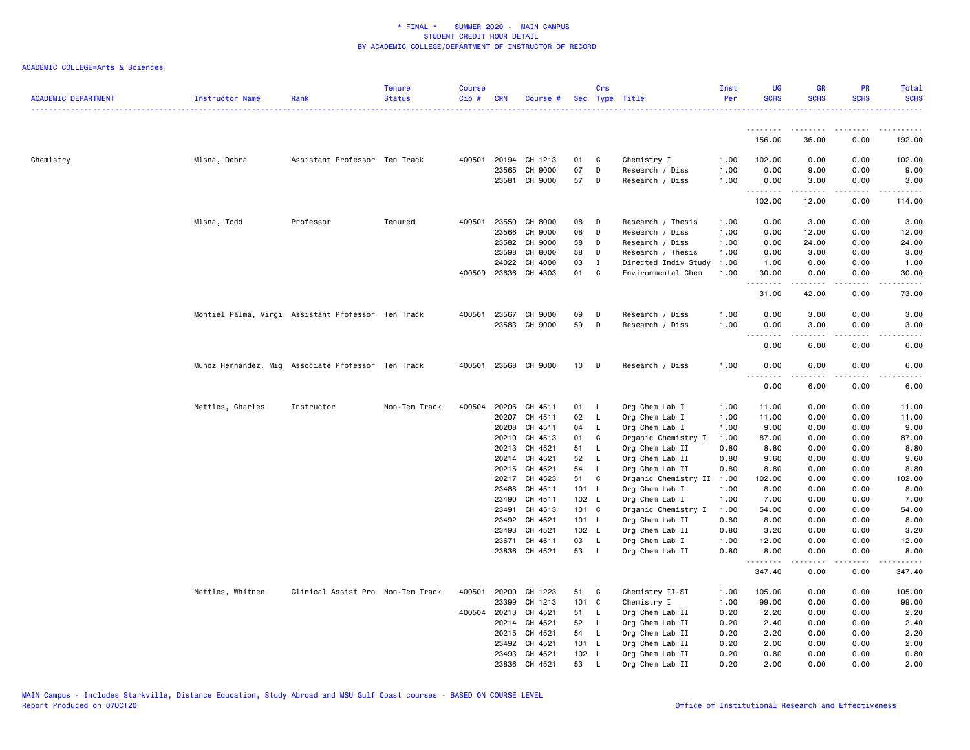| .<br>.<br><u>.</u><br>.<br>156.00<br>36.00<br>0.00<br>192.00<br>Assistant Professor Ten Track<br>400501<br>20194 CH 1213<br>Chemistry I<br>102.00<br>0.00<br>0.00<br>102.00<br>Chemistry<br>Mlsna, Debra<br>01<br>C<br>1.00<br>07<br>D<br>23565<br>CH 9000<br>1.00<br>0.00<br>9.00<br>0.00<br>9.00<br>Research / Diss<br>23581<br>CH 9000<br>57<br>1.00<br>D<br>Research / Diss<br>0.00<br>3.00<br>0.00<br>3.00<br>.<br>.<br>$\frac{1}{2}$<br>.<br>102.00<br>12.00<br>114.00<br>0.00<br>Mlsna, Todd<br>Professor<br>Tenured<br>400501<br>23550<br>CH 8000<br>08<br>D<br>Research / Thesis<br>1.00<br>0.00<br>3.00<br>0.00<br>3.00<br>23566<br>CH 9000<br>08<br>D<br>Research / Diss<br>1.00<br>0.00<br>12.00<br>0.00<br>12.00<br>23582<br>CH 9000<br>58<br>1.00<br>0.00<br>24.00<br>0.00<br>24.00<br>D<br>Research / Diss<br>CH 8000<br>23598<br>58<br>Research / Thesis<br>1.00<br>0.00<br>3.00<br>0.00<br>3.00<br>D<br>CH 4000<br>24022<br>03<br>Ι.<br>Directed Indiv Study<br>1.00<br>1.00<br>0.00<br>0.00<br>1.00<br>400509 23636<br>CH 4303<br>01<br>C<br>Environmental Chem<br>1.00<br>30.00<br>0.00<br>0.00<br>30.00<br>.<br>.<br>.<br>.<br>31.00<br>42.00<br>73.00<br>0.00<br>Montiel Palma, Virgi Assistant Professor Ten Track<br>400501 23567<br>CH 9000<br>09<br>Research / Diss<br>1.00<br>0.00<br>3.00<br>0.00<br>3.00<br>D<br>23583 CH 9000<br>59<br>D<br>1.00<br>Research / Diss<br>0.00<br>3.00<br>0.00<br>3.00<br><b></b><br>.<br>$\frac{1}{2} \left( \frac{1}{2} \right) \left( \frac{1}{2} \right) \left( \frac{1}{2} \right) \left( \frac{1}{2} \right) \left( \frac{1}{2} \right)$<br>$\frac{1}{2} \left( \frac{1}{2} \right) \left( \frac{1}{2} \right) \left( \frac{1}{2} \right) \left( \frac{1}{2} \right) \left( \frac{1}{2} \right)$<br>0.00<br>6.00<br>0.00<br>6.00<br>Munoz Hernandez, Mig Associate Professor Ten Track<br>400501 23568 CH 9000<br>10 <sub>1</sub><br>1.00<br>0.00<br>6.00<br>6.00<br>- D<br>Research / Diss<br>0.00<br>.<br>-----<br>.<br>$\frac{1}{2} \frac{1}{2} \frac{1}{2} \frac{1}{2} \frac{1}{2} \frac{1}{2} \frac{1}{2}$<br>0.00<br>6.00<br>6.00<br>0.00<br>Nettles, Charles<br>Instructor<br>Non-Ten Track<br>400504<br>20206<br>CH 4511<br>01<br><b>L</b><br>Org Chem Lab I<br>1.00<br>11.00<br>0.00<br>0.00<br>11.00<br>20207<br>CH 4511<br>02<br>$\mathsf{L}$<br>Org Chem Lab I<br>1.00<br>11.00<br>0.00<br>0.00<br>11.00<br>20208<br>CH 4511<br>04<br>Org Chem Lab I<br>1.00<br>9.00<br>0.00<br>9.00<br>L.<br>0.00<br>20210<br>CH 4513<br>01<br>C<br>Organic Chemistry I<br>1.00<br>87.00<br>0.00<br>0.00<br>87.00<br>CH 4521<br>Org Chem Lab II<br>20213<br>51<br>L.<br>0.80<br>8.80<br>0.00<br>0.00<br>8.80<br>20214<br>CH 4521<br>52<br>$\mathsf{L}$<br>Org Chem Lab II<br>0.80<br>9.60<br>0.00<br>0.00<br>9.60<br>20215<br>CH 4521<br>54<br>$\mathsf{L}$<br>Org Chem Lab II<br>0.80<br>8.80<br>0.00<br>0.00<br>8.80<br>CH 4523<br>Organic Chemistry II<br>20217<br>51<br>C<br>1.00<br>102.00<br>0.00<br>0.00<br>102.00<br>8.00<br>23488<br>CH 4511<br>101 L<br>Org Chem Lab I<br>1.00<br>8.00<br>0.00<br>0.00<br>23490<br>CH 4511<br>102 L<br>Org Chem Lab I<br>1.00<br>7.00<br>0.00<br>0.00<br>7.00<br>23491<br>CH 4513<br>101 C<br>Organic Chemistry I<br>54.00<br>0.00<br>54.00<br>1.00<br>0.00<br>23492<br>CH 4521<br>101 L<br>Org Chem Lab II<br>0.80<br>8.00<br>8.00<br>0.00<br>0.00<br>CH 4521<br>102 L<br>Org Chem Lab II<br>0.80<br>3.20<br>23493<br>0.00<br>0.00<br>3.20<br>CH 4511<br>03<br>$\mathsf{L}$<br>1.00<br>12.00<br>0.00<br>0.00<br>12.00<br>23671<br>Org Chem Lab I<br>23836 CH 4521<br>53 L<br>Org Chem Lab II<br>0.80<br>8.00<br>8.00<br>0.00<br>0.00<br>.<br>347.40<br>347.40<br>0.00<br>0.00<br>Nettles, Whitnee<br>Clinical Assist Pro Non-Ten Track<br>400501<br>20200<br>CH 1223<br>51<br>C<br>Chemistry II-SI<br>1.00<br>105.00<br>0.00<br>0.00<br>105.00<br>CH 1213<br>101 C<br>Chemistry I<br>23399<br>1.00<br>99.00<br>0.00<br>0.00<br>99.00<br>400504<br>20213<br>CH 4521<br>Org Chem Lab II<br>2.20<br>51<br>$\mathsf{L}$<br>0.20<br>0.00<br>0.00<br>2.20<br>20214 CH 4521<br>52<br>Org Chem Lab II<br>0.20<br>0.00<br>2.40<br>- L<br>2.40<br>0.00<br>20215<br>CH 4521<br>Org Chem Lab II<br>54<br>- L<br>0.20<br>2.20<br>0.00<br>0.00<br>2.20<br>23492<br>CH 4521<br>101 L<br>Org Chem Lab II<br>0.20<br>2.00<br>0.00<br>0.00<br>2.00<br>23493<br>CH 4521<br>102 L<br>Org Chem Lab II<br>0.20<br>0.80<br>0.00<br>0.00<br>0.80<br>23836 CH 4521 | <b>ACADEMIC DEPARTMENT</b> | Instructor Name | Rank | <b>Tenure</b><br><b>Status</b> | <b>Course</b><br>Cip# | <b>CRN</b> | Course # |    | Crs      | Sec Type Title  | Inst<br>Per | <b>UG</b><br><b>SCHS</b> | <b>GR</b><br><b>SCHS</b> | <b>PR</b><br><b>SCHS</b> | <b>Total</b><br><b>SCHS</b><br>. <b>.</b> . |
|---------------------------------------------------------------------------------------------------------------------------------------------------------------------------------------------------------------------------------------------------------------------------------------------------------------------------------------------------------------------------------------------------------------------------------------------------------------------------------------------------------------------------------------------------------------------------------------------------------------------------------------------------------------------------------------------------------------------------------------------------------------------------------------------------------------------------------------------------------------------------------------------------------------------------------------------------------------------------------------------------------------------------------------------------------------------------------------------------------------------------------------------------------------------------------------------------------------------------------------------------------------------------------------------------------------------------------------------------------------------------------------------------------------------------------------------------------------------------------------------------------------------------------------------------------------------------------------------------------------------------------------------------------------------------------------------------------------------------------------------------------------------------------------------------------------------------------------------------------------------------------------------------------------------------------------------------------------------------------------------------------------------------------------------------------------------------------------------------------------------------------------------------------------------------------------------------------------------------------------------------------------------------------------------------------------------------------------------------------------------------------------------------------------------------------------------------------------------------------------------------------------------------------------------------------------------------------------------------------------------------------------------------------------------------------------------------------------------------------------------------------------------------------------------------------------------------------------------------------------------------------------------------------------------------------------------------------------------------------------------------------------------------------------------------------------------------------------------------------------------------------------------------------------------------------------------------------------------------------------------------------------------------------------------------------------------------------------------------------------------------------------------------------------------------------------------------------------------------------------------------------------------------------------------------------------------------------------------------------------------------------------------------------------------------------------------------------------------------------------------------------------------------------------------------------------------------------------------------------------------------------------------------------------------------------------------------------------------------------------------------------------------------------------------------------------------------------------------------------------------------------------------------------------------------------------------------------------------------------------------------------------------------------------------------------------------------------------------------------------------------------------------------------------------------------------------------|----------------------------|-----------------|------|--------------------------------|-----------------------|------------|----------|----|----------|-----------------|-------------|--------------------------|--------------------------|--------------------------|---------------------------------------------|
|                                                                                                                                                                                                                                                                                                                                                                                                                                                                                                                                                                                                                                                                                                                                                                                                                                                                                                                                                                                                                                                                                                                                                                                                                                                                                                                                                                                                                                                                                                                                                                                                                                                                                                                                                                                                                                                                                                                                                                                                                                                                                                                                                                                                                                                                                                                                                                                                                                                                                                                                                                                                                                                                                                                                                                                                                                                                                                                                                                                                                                                                                                                                                                                                                                                                                                                                                                                                                                                                                                                                                                                                                                                                                                                                                                                                                                                                                                                                                                                                                                                                                                                                                                                                                                                                                                                                                                                                                                                   |                            |                 |      |                                |                       |            |          |    |          |                 |             |                          |                          |                          |                                             |
|                                                                                                                                                                                                                                                                                                                                                                                                                                                                                                                                                                                                                                                                                                                                                                                                                                                                                                                                                                                                                                                                                                                                                                                                                                                                                                                                                                                                                                                                                                                                                                                                                                                                                                                                                                                                                                                                                                                                                                                                                                                                                                                                                                                                                                                                                                                                                                                                                                                                                                                                                                                                                                                                                                                                                                                                                                                                                                                                                                                                                                                                                                                                                                                                                                                                                                                                                                                                                                                                                                                                                                                                                                                                                                                                                                                                                                                                                                                                                                                                                                                                                                                                                                                                                                                                                                                                                                                                                                                   |                            |                 |      |                                |                       |            |          |    |          |                 |             |                          |                          |                          |                                             |
|                                                                                                                                                                                                                                                                                                                                                                                                                                                                                                                                                                                                                                                                                                                                                                                                                                                                                                                                                                                                                                                                                                                                                                                                                                                                                                                                                                                                                                                                                                                                                                                                                                                                                                                                                                                                                                                                                                                                                                                                                                                                                                                                                                                                                                                                                                                                                                                                                                                                                                                                                                                                                                                                                                                                                                                                                                                                                                                                                                                                                                                                                                                                                                                                                                                                                                                                                                                                                                                                                                                                                                                                                                                                                                                                                                                                                                                                                                                                                                                                                                                                                                                                                                                                                                                                                                                                                                                                                                                   |                            |                 |      |                                |                       |            |          |    |          |                 |             |                          |                          |                          |                                             |
|                                                                                                                                                                                                                                                                                                                                                                                                                                                                                                                                                                                                                                                                                                                                                                                                                                                                                                                                                                                                                                                                                                                                                                                                                                                                                                                                                                                                                                                                                                                                                                                                                                                                                                                                                                                                                                                                                                                                                                                                                                                                                                                                                                                                                                                                                                                                                                                                                                                                                                                                                                                                                                                                                                                                                                                                                                                                                                                                                                                                                                                                                                                                                                                                                                                                                                                                                                                                                                                                                                                                                                                                                                                                                                                                                                                                                                                                                                                                                                                                                                                                                                                                                                                                                                                                                                                                                                                                                                                   |                            |                 |      |                                |                       |            |          |    |          |                 |             |                          |                          |                          |                                             |
|                                                                                                                                                                                                                                                                                                                                                                                                                                                                                                                                                                                                                                                                                                                                                                                                                                                                                                                                                                                                                                                                                                                                                                                                                                                                                                                                                                                                                                                                                                                                                                                                                                                                                                                                                                                                                                                                                                                                                                                                                                                                                                                                                                                                                                                                                                                                                                                                                                                                                                                                                                                                                                                                                                                                                                                                                                                                                                                                                                                                                                                                                                                                                                                                                                                                                                                                                                                                                                                                                                                                                                                                                                                                                                                                                                                                                                                                                                                                                                                                                                                                                                                                                                                                                                                                                                                                                                                                                                                   |                            |                 |      |                                |                       |            |          |    |          |                 |             |                          |                          |                          |                                             |
|                                                                                                                                                                                                                                                                                                                                                                                                                                                                                                                                                                                                                                                                                                                                                                                                                                                                                                                                                                                                                                                                                                                                                                                                                                                                                                                                                                                                                                                                                                                                                                                                                                                                                                                                                                                                                                                                                                                                                                                                                                                                                                                                                                                                                                                                                                                                                                                                                                                                                                                                                                                                                                                                                                                                                                                                                                                                                                                                                                                                                                                                                                                                                                                                                                                                                                                                                                                                                                                                                                                                                                                                                                                                                                                                                                                                                                                                                                                                                                                                                                                                                                                                                                                                                                                                                                                                                                                                                                                   |                            |                 |      |                                |                       |            |          |    |          |                 |             |                          |                          |                          |                                             |
|                                                                                                                                                                                                                                                                                                                                                                                                                                                                                                                                                                                                                                                                                                                                                                                                                                                                                                                                                                                                                                                                                                                                                                                                                                                                                                                                                                                                                                                                                                                                                                                                                                                                                                                                                                                                                                                                                                                                                                                                                                                                                                                                                                                                                                                                                                                                                                                                                                                                                                                                                                                                                                                                                                                                                                                                                                                                                                                                                                                                                                                                                                                                                                                                                                                                                                                                                                                                                                                                                                                                                                                                                                                                                                                                                                                                                                                                                                                                                                                                                                                                                                                                                                                                                                                                                                                                                                                                                                                   |                            |                 |      |                                |                       |            |          |    |          |                 |             |                          |                          |                          |                                             |
|                                                                                                                                                                                                                                                                                                                                                                                                                                                                                                                                                                                                                                                                                                                                                                                                                                                                                                                                                                                                                                                                                                                                                                                                                                                                                                                                                                                                                                                                                                                                                                                                                                                                                                                                                                                                                                                                                                                                                                                                                                                                                                                                                                                                                                                                                                                                                                                                                                                                                                                                                                                                                                                                                                                                                                                                                                                                                                                                                                                                                                                                                                                                                                                                                                                                                                                                                                                                                                                                                                                                                                                                                                                                                                                                                                                                                                                                                                                                                                                                                                                                                                                                                                                                                                                                                                                                                                                                                                                   |                            |                 |      |                                |                       |            |          |    |          |                 |             |                          |                          |                          |                                             |
|                                                                                                                                                                                                                                                                                                                                                                                                                                                                                                                                                                                                                                                                                                                                                                                                                                                                                                                                                                                                                                                                                                                                                                                                                                                                                                                                                                                                                                                                                                                                                                                                                                                                                                                                                                                                                                                                                                                                                                                                                                                                                                                                                                                                                                                                                                                                                                                                                                                                                                                                                                                                                                                                                                                                                                                                                                                                                                                                                                                                                                                                                                                                                                                                                                                                                                                                                                                                                                                                                                                                                                                                                                                                                                                                                                                                                                                                                                                                                                                                                                                                                                                                                                                                                                                                                                                                                                                                                                                   |                            |                 |      |                                |                       |            |          |    |          |                 |             |                          |                          |                          |                                             |
|                                                                                                                                                                                                                                                                                                                                                                                                                                                                                                                                                                                                                                                                                                                                                                                                                                                                                                                                                                                                                                                                                                                                                                                                                                                                                                                                                                                                                                                                                                                                                                                                                                                                                                                                                                                                                                                                                                                                                                                                                                                                                                                                                                                                                                                                                                                                                                                                                                                                                                                                                                                                                                                                                                                                                                                                                                                                                                                                                                                                                                                                                                                                                                                                                                                                                                                                                                                                                                                                                                                                                                                                                                                                                                                                                                                                                                                                                                                                                                                                                                                                                                                                                                                                                                                                                                                                                                                                                                                   |                            |                 |      |                                |                       |            |          |    |          |                 |             |                          |                          |                          |                                             |
|                                                                                                                                                                                                                                                                                                                                                                                                                                                                                                                                                                                                                                                                                                                                                                                                                                                                                                                                                                                                                                                                                                                                                                                                                                                                                                                                                                                                                                                                                                                                                                                                                                                                                                                                                                                                                                                                                                                                                                                                                                                                                                                                                                                                                                                                                                                                                                                                                                                                                                                                                                                                                                                                                                                                                                                                                                                                                                                                                                                                                                                                                                                                                                                                                                                                                                                                                                                                                                                                                                                                                                                                                                                                                                                                                                                                                                                                                                                                                                                                                                                                                                                                                                                                                                                                                                                                                                                                                                                   |                            |                 |      |                                |                       |            |          |    |          |                 |             |                          |                          |                          |                                             |
|                                                                                                                                                                                                                                                                                                                                                                                                                                                                                                                                                                                                                                                                                                                                                                                                                                                                                                                                                                                                                                                                                                                                                                                                                                                                                                                                                                                                                                                                                                                                                                                                                                                                                                                                                                                                                                                                                                                                                                                                                                                                                                                                                                                                                                                                                                                                                                                                                                                                                                                                                                                                                                                                                                                                                                                                                                                                                                                                                                                                                                                                                                                                                                                                                                                                                                                                                                                                                                                                                                                                                                                                                                                                                                                                                                                                                                                                                                                                                                                                                                                                                                                                                                                                                                                                                                                                                                                                                                                   |                            |                 |      |                                |                       |            |          |    |          |                 |             |                          |                          |                          |                                             |
|                                                                                                                                                                                                                                                                                                                                                                                                                                                                                                                                                                                                                                                                                                                                                                                                                                                                                                                                                                                                                                                                                                                                                                                                                                                                                                                                                                                                                                                                                                                                                                                                                                                                                                                                                                                                                                                                                                                                                                                                                                                                                                                                                                                                                                                                                                                                                                                                                                                                                                                                                                                                                                                                                                                                                                                                                                                                                                                                                                                                                                                                                                                                                                                                                                                                                                                                                                                                                                                                                                                                                                                                                                                                                                                                                                                                                                                                                                                                                                                                                                                                                                                                                                                                                                                                                                                                                                                                                                                   |                            |                 |      |                                |                       |            |          |    |          |                 |             |                          |                          |                          |                                             |
|                                                                                                                                                                                                                                                                                                                                                                                                                                                                                                                                                                                                                                                                                                                                                                                                                                                                                                                                                                                                                                                                                                                                                                                                                                                                                                                                                                                                                                                                                                                                                                                                                                                                                                                                                                                                                                                                                                                                                                                                                                                                                                                                                                                                                                                                                                                                                                                                                                                                                                                                                                                                                                                                                                                                                                                                                                                                                                                                                                                                                                                                                                                                                                                                                                                                                                                                                                                                                                                                                                                                                                                                                                                                                                                                                                                                                                                                                                                                                                                                                                                                                                                                                                                                                                                                                                                                                                                                                                                   |                            |                 |      |                                |                       |            |          |    |          |                 |             |                          |                          |                          |                                             |
|                                                                                                                                                                                                                                                                                                                                                                                                                                                                                                                                                                                                                                                                                                                                                                                                                                                                                                                                                                                                                                                                                                                                                                                                                                                                                                                                                                                                                                                                                                                                                                                                                                                                                                                                                                                                                                                                                                                                                                                                                                                                                                                                                                                                                                                                                                                                                                                                                                                                                                                                                                                                                                                                                                                                                                                                                                                                                                                                                                                                                                                                                                                                                                                                                                                                                                                                                                                                                                                                                                                                                                                                                                                                                                                                                                                                                                                                                                                                                                                                                                                                                                                                                                                                                                                                                                                                                                                                                                                   |                            |                 |      |                                |                       |            |          |    |          |                 |             |                          |                          |                          |                                             |
|                                                                                                                                                                                                                                                                                                                                                                                                                                                                                                                                                                                                                                                                                                                                                                                                                                                                                                                                                                                                                                                                                                                                                                                                                                                                                                                                                                                                                                                                                                                                                                                                                                                                                                                                                                                                                                                                                                                                                                                                                                                                                                                                                                                                                                                                                                                                                                                                                                                                                                                                                                                                                                                                                                                                                                                                                                                                                                                                                                                                                                                                                                                                                                                                                                                                                                                                                                                                                                                                                                                                                                                                                                                                                                                                                                                                                                                                                                                                                                                                                                                                                                                                                                                                                                                                                                                                                                                                                                                   |                            |                 |      |                                |                       |            |          |    |          |                 |             |                          |                          |                          |                                             |
|                                                                                                                                                                                                                                                                                                                                                                                                                                                                                                                                                                                                                                                                                                                                                                                                                                                                                                                                                                                                                                                                                                                                                                                                                                                                                                                                                                                                                                                                                                                                                                                                                                                                                                                                                                                                                                                                                                                                                                                                                                                                                                                                                                                                                                                                                                                                                                                                                                                                                                                                                                                                                                                                                                                                                                                                                                                                                                                                                                                                                                                                                                                                                                                                                                                                                                                                                                                                                                                                                                                                                                                                                                                                                                                                                                                                                                                                                                                                                                                                                                                                                                                                                                                                                                                                                                                                                                                                                                                   |                            |                 |      |                                |                       |            |          |    |          |                 |             |                          |                          |                          |                                             |
|                                                                                                                                                                                                                                                                                                                                                                                                                                                                                                                                                                                                                                                                                                                                                                                                                                                                                                                                                                                                                                                                                                                                                                                                                                                                                                                                                                                                                                                                                                                                                                                                                                                                                                                                                                                                                                                                                                                                                                                                                                                                                                                                                                                                                                                                                                                                                                                                                                                                                                                                                                                                                                                                                                                                                                                                                                                                                                                                                                                                                                                                                                                                                                                                                                                                                                                                                                                                                                                                                                                                                                                                                                                                                                                                                                                                                                                                                                                                                                                                                                                                                                                                                                                                                                                                                                                                                                                                                                                   |                            |                 |      |                                |                       |            |          |    |          |                 |             |                          |                          |                          |                                             |
|                                                                                                                                                                                                                                                                                                                                                                                                                                                                                                                                                                                                                                                                                                                                                                                                                                                                                                                                                                                                                                                                                                                                                                                                                                                                                                                                                                                                                                                                                                                                                                                                                                                                                                                                                                                                                                                                                                                                                                                                                                                                                                                                                                                                                                                                                                                                                                                                                                                                                                                                                                                                                                                                                                                                                                                                                                                                                                                                                                                                                                                                                                                                                                                                                                                                                                                                                                                                                                                                                                                                                                                                                                                                                                                                                                                                                                                                                                                                                                                                                                                                                                                                                                                                                                                                                                                                                                                                                                                   |                            |                 |      |                                |                       |            |          |    |          |                 |             |                          |                          |                          |                                             |
|                                                                                                                                                                                                                                                                                                                                                                                                                                                                                                                                                                                                                                                                                                                                                                                                                                                                                                                                                                                                                                                                                                                                                                                                                                                                                                                                                                                                                                                                                                                                                                                                                                                                                                                                                                                                                                                                                                                                                                                                                                                                                                                                                                                                                                                                                                                                                                                                                                                                                                                                                                                                                                                                                                                                                                                                                                                                                                                                                                                                                                                                                                                                                                                                                                                                                                                                                                                                                                                                                                                                                                                                                                                                                                                                                                                                                                                                                                                                                                                                                                                                                                                                                                                                                                                                                                                                                                                                                                                   |                            |                 |      |                                |                       |            |          |    |          |                 |             |                          |                          |                          |                                             |
|                                                                                                                                                                                                                                                                                                                                                                                                                                                                                                                                                                                                                                                                                                                                                                                                                                                                                                                                                                                                                                                                                                                                                                                                                                                                                                                                                                                                                                                                                                                                                                                                                                                                                                                                                                                                                                                                                                                                                                                                                                                                                                                                                                                                                                                                                                                                                                                                                                                                                                                                                                                                                                                                                                                                                                                                                                                                                                                                                                                                                                                                                                                                                                                                                                                                                                                                                                                                                                                                                                                                                                                                                                                                                                                                                                                                                                                                                                                                                                                                                                                                                                                                                                                                                                                                                                                                                                                                                                                   |                            |                 |      |                                |                       |            |          |    |          |                 |             |                          |                          |                          |                                             |
|                                                                                                                                                                                                                                                                                                                                                                                                                                                                                                                                                                                                                                                                                                                                                                                                                                                                                                                                                                                                                                                                                                                                                                                                                                                                                                                                                                                                                                                                                                                                                                                                                                                                                                                                                                                                                                                                                                                                                                                                                                                                                                                                                                                                                                                                                                                                                                                                                                                                                                                                                                                                                                                                                                                                                                                                                                                                                                                                                                                                                                                                                                                                                                                                                                                                                                                                                                                                                                                                                                                                                                                                                                                                                                                                                                                                                                                                                                                                                                                                                                                                                                                                                                                                                                                                                                                                                                                                                                                   |                            |                 |      |                                |                       |            |          |    |          |                 |             |                          |                          |                          |                                             |
|                                                                                                                                                                                                                                                                                                                                                                                                                                                                                                                                                                                                                                                                                                                                                                                                                                                                                                                                                                                                                                                                                                                                                                                                                                                                                                                                                                                                                                                                                                                                                                                                                                                                                                                                                                                                                                                                                                                                                                                                                                                                                                                                                                                                                                                                                                                                                                                                                                                                                                                                                                                                                                                                                                                                                                                                                                                                                                                                                                                                                                                                                                                                                                                                                                                                                                                                                                                                                                                                                                                                                                                                                                                                                                                                                                                                                                                                                                                                                                                                                                                                                                                                                                                                                                                                                                                                                                                                                                                   |                            |                 |      |                                |                       |            |          |    |          |                 |             |                          |                          |                          |                                             |
|                                                                                                                                                                                                                                                                                                                                                                                                                                                                                                                                                                                                                                                                                                                                                                                                                                                                                                                                                                                                                                                                                                                                                                                                                                                                                                                                                                                                                                                                                                                                                                                                                                                                                                                                                                                                                                                                                                                                                                                                                                                                                                                                                                                                                                                                                                                                                                                                                                                                                                                                                                                                                                                                                                                                                                                                                                                                                                                                                                                                                                                                                                                                                                                                                                                                                                                                                                                                                                                                                                                                                                                                                                                                                                                                                                                                                                                                                                                                                                                                                                                                                                                                                                                                                                                                                                                                                                                                                                                   |                            |                 |      |                                |                       |            |          |    |          |                 |             |                          |                          |                          |                                             |
|                                                                                                                                                                                                                                                                                                                                                                                                                                                                                                                                                                                                                                                                                                                                                                                                                                                                                                                                                                                                                                                                                                                                                                                                                                                                                                                                                                                                                                                                                                                                                                                                                                                                                                                                                                                                                                                                                                                                                                                                                                                                                                                                                                                                                                                                                                                                                                                                                                                                                                                                                                                                                                                                                                                                                                                                                                                                                                                                                                                                                                                                                                                                                                                                                                                                                                                                                                                                                                                                                                                                                                                                                                                                                                                                                                                                                                                                                                                                                                                                                                                                                                                                                                                                                                                                                                                                                                                                                                                   |                            |                 |      |                                |                       |            |          |    |          |                 |             |                          |                          |                          |                                             |
|                                                                                                                                                                                                                                                                                                                                                                                                                                                                                                                                                                                                                                                                                                                                                                                                                                                                                                                                                                                                                                                                                                                                                                                                                                                                                                                                                                                                                                                                                                                                                                                                                                                                                                                                                                                                                                                                                                                                                                                                                                                                                                                                                                                                                                                                                                                                                                                                                                                                                                                                                                                                                                                                                                                                                                                                                                                                                                                                                                                                                                                                                                                                                                                                                                                                                                                                                                                                                                                                                                                                                                                                                                                                                                                                                                                                                                                                                                                                                                                                                                                                                                                                                                                                                                                                                                                                                                                                                                                   |                            |                 |      |                                |                       |            |          |    |          |                 |             |                          |                          |                          |                                             |
|                                                                                                                                                                                                                                                                                                                                                                                                                                                                                                                                                                                                                                                                                                                                                                                                                                                                                                                                                                                                                                                                                                                                                                                                                                                                                                                                                                                                                                                                                                                                                                                                                                                                                                                                                                                                                                                                                                                                                                                                                                                                                                                                                                                                                                                                                                                                                                                                                                                                                                                                                                                                                                                                                                                                                                                                                                                                                                                                                                                                                                                                                                                                                                                                                                                                                                                                                                                                                                                                                                                                                                                                                                                                                                                                                                                                                                                                                                                                                                                                                                                                                                                                                                                                                                                                                                                                                                                                                                                   |                            |                 |      |                                |                       |            |          |    |          |                 |             |                          |                          |                          |                                             |
|                                                                                                                                                                                                                                                                                                                                                                                                                                                                                                                                                                                                                                                                                                                                                                                                                                                                                                                                                                                                                                                                                                                                                                                                                                                                                                                                                                                                                                                                                                                                                                                                                                                                                                                                                                                                                                                                                                                                                                                                                                                                                                                                                                                                                                                                                                                                                                                                                                                                                                                                                                                                                                                                                                                                                                                                                                                                                                                                                                                                                                                                                                                                                                                                                                                                                                                                                                                                                                                                                                                                                                                                                                                                                                                                                                                                                                                                                                                                                                                                                                                                                                                                                                                                                                                                                                                                                                                                                                                   |                            |                 |      |                                |                       |            |          |    |          |                 |             |                          |                          |                          |                                             |
|                                                                                                                                                                                                                                                                                                                                                                                                                                                                                                                                                                                                                                                                                                                                                                                                                                                                                                                                                                                                                                                                                                                                                                                                                                                                                                                                                                                                                                                                                                                                                                                                                                                                                                                                                                                                                                                                                                                                                                                                                                                                                                                                                                                                                                                                                                                                                                                                                                                                                                                                                                                                                                                                                                                                                                                                                                                                                                                                                                                                                                                                                                                                                                                                                                                                                                                                                                                                                                                                                                                                                                                                                                                                                                                                                                                                                                                                                                                                                                                                                                                                                                                                                                                                                                                                                                                                                                                                                                                   |                            |                 |      |                                |                       |            |          |    |          |                 |             |                          |                          |                          |                                             |
|                                                                                                                                                                                                                                                                                                                                                                                                                                                                                                                                                                                                                                                                                                                                                                                                                                                                                                                                                                                                                                                                                                                                                                                                                                                                                                                                                                                                                                                                                                                                                                                                                                                                                                                                                                                                                                                                                                                                                                                                                                                                                                                                                                                                                                                                                                                                                                                                                                                                                                                                                                                                                                                                                                                                                                                                                                                                                                                                                                                                                                                                                                                                                                                                                                                                                                                                                                                                                                                                                                                                                                                                                                                                                                                                                                                                                                                                                                                                                                                                                                                                                                                                                                                                                                                                                                                                                                                                                                                   |                            |                 |      |                                |                       |            |          |    |          |                 |             |                          |                          |                          |                                             |
|                                                                                                                                                                                                                                                                                                                                                                                                                                                                                                                                                                                                                                                                                                                                                                                                                                                                                                                                                                                                                                                                                                                                                                                                                                                                                                                                                                                                                                                                                                                                                                                                                                                                                                                                                                                                                                                                                                                                                                                                                                                                                                                                                                                                                                                                                                                                                                                                                                                                                                                                                                                                                                                                                                                                                                                                                                                                                                                                                                                                                                                                                                                                                                                                                                                                                                                                                                                                                                                                                                                                                                                                                                                                                                                                                                                                                                                                                                                                                                                                                                                                                                                                                                                                                                                                                                                                                                                                                                                   |                            |                 |      |                                |                       |            |          |    |          |                 |             |                          |                          |                          |                                             |
|                                                                                                                                                                                                                                                                                                                                                                                                                                                                                                                                                                                                                                                                                                                                                                                                                                                                                                                                                                                                                                                                                                                                                                                                                                                                                                                                                                                                                                                                                                                                                                                                                                                                                                                                                                                                                                                                                                                                                                                                                                                                                                                                                                                                                                                                                                                                                                                                                                                                                                                                                                                                                                                                                                                                                                                                                                                                                                                                                                                                                                                                                                                                                                                                                                                                                                                                                                                                                                                                                                                                                                                                                                                                                                                                                                                                                                                                                                                                                                                                                                                                                                                                                                                                                                                                                                                                                                                                                                                   |                            |                 |      |                                |                       |            |          |    |          |                 |             |                          |                          |                          |                                             |
|                                                                                                                                                                                                                                                                                                                                                                                                                                                                                                                                                                                                                                                                                                                                                                                                                                                                                                                                                                                                                                                                                                                                                                                                                                                                                                                                                                                                                                                                                                                                                                                                                                                                                                                                                                                                                                                                                                                                                                                                                                                                                                                                                                                                                                                                                                                                                                                                                                                                                                                                                                                                                                                                                                                                                                                                                                                                                                                                                                                                                                                                                                                                                                                                                                                                                                                                                                                                                                                                                                                                                                                                                                                                                                                                                                                                                                                                                                                                                                                                                                                                                                                                                                                                                                                                                                                                                                                                                                                   |                            |                 |      |                                |                       |            |          |    |          |                 |             |                          |                          |                          |                                             |
|                                                                                                                                                                                                                                                                                                                                                                                                                                                                                                                                                                                                                                                                                                                                                                                                                                                                                                                                                                                                                                                                                                                                                                                                                                                                                                                                                                                                                                                                                                                                                                                                                                                                                                                                                                                                                                                                                                                                                                                                                                                                                                                                                                                                                                                                                                                                                                                                                                                                                                                                                                                                                                                                                                                                                                                                                                                                                                                                                                                                                                                                                                                                                                                                                                                                                                                                                                                                                                                                                                                                                                                                                                                                                                                                                                                                                                                                                                                                                                                                                                                                                                                                                                                                                                                                                                                                                                                                                                                   |                            |                 |      |                                |                       |            |          |    |          |                 |             |                          |                          |                          |                                             |
|                                                                                                                                                                                                                                                                                                                                                                                                                                                                                                                                                                                                                                                                                                                                                                                                                                                                                                                                                                                                                                                                                                                                                                                                                                                                                                                                                                                                                                                                                                                                                                                                                                                                                                                                                                                                                                                                                                                                                                                                                                                                                                                                                                                                                                                                                                                                                                                                                                                                                                                                                                                                                                                                                                                                                                                                                                                                                                                                                                                                                                                                                                                                                                                                                                                                                                                                                                                                                                                                                                                                                                                                                                                                                                                                                                                                                                                                                                                                                                                                                                                                                                                                                                                                                                                                                                                                                                                                                                                   |                            |                 |      |                                |                       |            |          |    |          |                 |             |                          |                          |                          |                                             |
|                                                                                                                                                                                                                                                                                                                                                                                                                                                                                                                                                                                                                                                                                                                                                                                                                                                                                                                                                                                                                                                                                                                                                                                                                                                                                                                                                                                                                                                                                                                                                                                                                                                                                                                                                                                                                                                                                                                                                                                                                                                                                                                                                                                                                                                                                                                                                                                                                                                                                                                                                                                                                                                                                                                                                                                                                                                                                                                                                                                                                                                                                                                                                                                                                                                                                                                                                                                                                                                                                                                                                                                                                                                                                                                                                                                                                                                                                                                                                                                                                                                                                                                                                                                                                                                                                                                                                                                                                                                   |                            |                 |      |                                |                       |            |          |    |          |                 |             |                          |                          |                          |                                             |
|                                                                                                                                                                                                                                                                                                                                                                                                                                                                                                                                                                                                                                                                                                                                                                                                                                                                                                                                                                                                                                                                                                                                                                                                                                                                                                                                                                                                                                                                                                                                                                                                                                                                                                                                                                                                                                                                                                                                                                                                                                                                                                                                                                                                                                                                                                                                                                                                                                                                                                                                                                                                                                                                                                                                                                                                                                                                                                                                                                                                                                                                                                                                                                                                                                                                                                                                                                                                                                                                                                                                                                                                                                                                                                                                                                                                                                                                                                                                                                                                                                                                                                                                                                                                                                                                                                                                                                                                                                                   |                            |                 |      |                                |                       |            |          |    |          |                 |             |                          |                          |                          |                                             |
|                                                                                                                                                                                                                                                                                                                                                                                                                                                                                                                                                                                                                                                                                                                                                                                                                                                                                                                                                                                                                                                                                                                                                                                                                                                                                                                                                                                                                                                                                                                                                                                                                                                                                                                                                                                                                                                                                                                                                                                                                                                                                                                                                                                                                                                                                                                                                                                                                                                                                                                                                                                                                                                                                                                                                                                                                                                                                                                                                                                                                                                                                                                                                                                                                                                                                                                                                                                                                                                                                                                                                                                                                                                                                                                                                                                                                                                                                                                                                                                                                                                                                                                                                                                                                                                                                                                                                                                                                                                   |                            |                 |      |                                |                       |            |          |    |          |                 |             |                          |                          |                          |                                             |
|                                                                                                                                                                                                                                                                                                                                                                                                                                                                                                                                                                                                                                                                                                                                                                                                                                                                                                                                                                                                                                                                                                                                                                                                                                                                                                                                                                                                                                                                                                                                                                                                                                                                                                                                                                                                                                                                                                                                                                                                                                                                                                                                                                                                                                                                                                                                                                                                                                                                                                                                                                                                                                                                                                                                                                                                                                                                                                                                                                                                                                                                                                                                                                                                                                                                                                                                                                                                                                                                                                                                                                                                                                                                                                                                                                                                                                                                                                                                                                                                                                                                                                                                                                                                                                                                                                                                                                                                                                                   |                            |                 |      |                                |                       |            |          |    |          |                 |             |                          |                          |                          |                                             |
|                                                                                                                                                                                                                                                                                                                                                                                                                                                                                                                                                                                                                                                                                                                                                                                                                                                                                                                                                                                                                                                                                                                                                                                                                                                                                                                                                                                                                                                                                                                                                                                                                                                                                                                                                                                                                                                                                                                                                                                                                                                                                                                                                                                                                                                                                                                                                                                                                                                                                                                                                                                                                                                                                                                                                                                                                                                                                                                                                                                                                                                                                                                                                                                                                                                                                                                                                                                                                                                                                                                                                                                                                                                                                                                                                                                                                                                                                                                                                                                                                                                                                                                                                                                                                                                                                                                                                                                                                                                   |                            |                 |      |                                |                       |            |          | 53 | <b>L</b> | Org Chem Lab II | 0.20        | 2.00                     | 0.00                     | 0.00                     | 2.00                                        |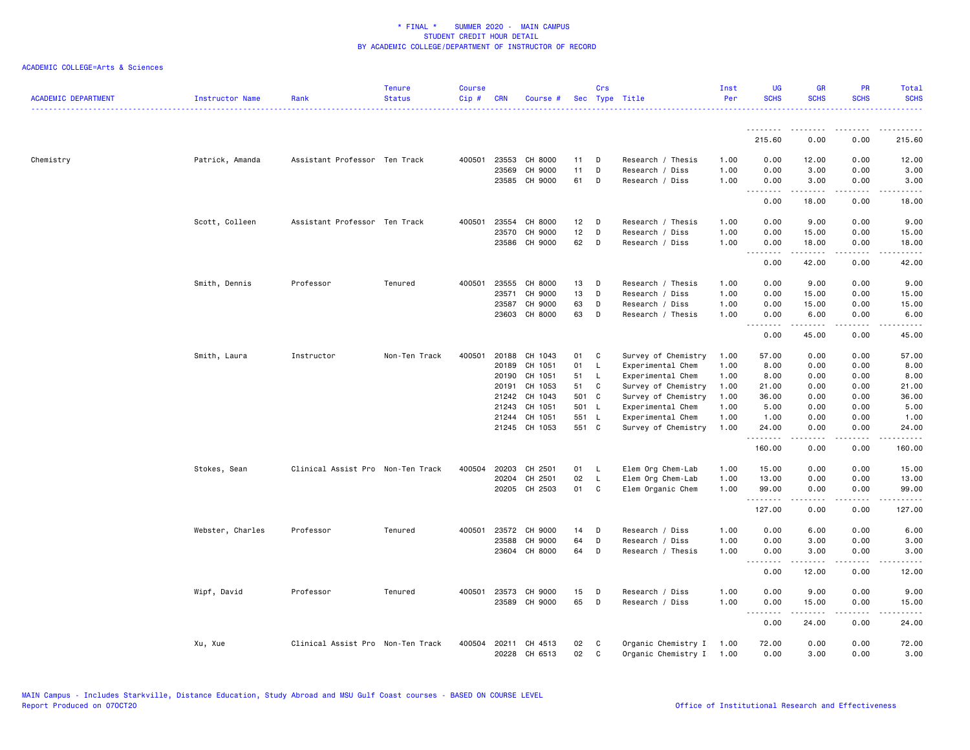| <b>ACADEMIC DEPARTMENT</b> | Instructor Name  | Rank                              | <b>Tenure</b><br><b>Status</b> | <b>Course</b><br>Cip# | <b>CRN</b> | Course #      |       | Crs          | Sec Type Title      | Inst<br>Per | <b>UG</b><br><b>SCHS</b> | <b>GR</b><br><b>SCHS</b> | <b>PR</b><br><b>SCHS</b>            | Total<br><b>SCHS</b>            |
|----------------------------|------------------|-----------------------------------|--------------------------------|-----------------------|------------|---------------|-------|--------------|---------------------|-------------|--------------------------|--------------------------|-------------------------------------|---------------------------------|
|                            |                  |                                   |                                |                       |            |               |       |              |                     |             | <u>.</u>                 | <u> - - - - - - - -</u>  | .                                   |                                 |
|                            |                  |                                   |                                |                       |            |               |       |              |                     |             | 215.60                   | 0.00                     | 0.00                                | 215.60                          |
| Chemistry                  | Patrick, Amanda  | Assistant Professor Ten Track     |                                | 400501                | 23553      | CH 8000       | 11    | D            | Research / Thesis   | 1.00        | 0.00                     | 12.00                    | 0.00                                | 12.00                           |
|                            |                  |                                   |                                |                       | 23569      | CH 9000       | 11    | D            | Research / Diss     | 1.00        | 0.00                     | 3.00                     | 0.00                                | 3.00                            |
|                            |                  |                                   |                                |                       |            | 23585 CH 9000 | 61    | D            | Research / Diss     | 1.00        | 0.00                     | 3.00                     | 0.00                                | 3.00                            |
|                            |                  |                                   |                                |                       |            |               |       |              |                     |             | .<br>0.00                | .<br>18.00               | .<br>0.00                           | . <b>.</b> .<br>18.00           |
|                            | Scott, Colleen   | Assistant Professor Ten Track     |                                | 400501                | 23554      | CH 8000       | 12    | D            | Research / Thesis   | 1.00        | 0.00                     | 9.00                     | 0.00                                | 9.00                            |
|                            |                  |                                   |                                |                       | 23570      | CH 9000       | 12    | D            | Research / Diss     | 1.00        | 0.00                     | 15.00                    | 0.00                                | 15.00                           |
|                            |                  |                                   |                                |                       |            | 23586 CH 9000 | 62    | D            | Research / Diss     | 1.00        | 0.00                     | 18.00                    | 0.00                                | 18.00                           |
|                            |                  |                                   |                                |                       |            |               |       |              |                     |             | .<br>0.00                | .<br>42.00               | .<br>0.00                           | .<br>42.00                      |
|                            | Smith, Dennis    | Professor                         | Tenured                        | 400501                | 23555      | CH 8000       | 13    | D            | Research / Thesis   | 1.00        | 0.00                     | 9.00                     | 0.00                                | 9.00                            |
|                            |                  |                                   |                                |                       | 23571      | CH 9000       | 13    | D            | Research / Diss     | 1.00        | 0.00                     | 15.00                    | 0.00                                | 15.00                           |
|                            |                  |                                   |                                |                       | 23587      | CH 9000       | 63    | D            | Research / Diss     | 1.00        | 0.00                     | 15.00                    | 0.00                                | 15.00                           |
|                            |                  |                                   |                                |                       | 23603      | CH 8000       | 63    | D            | Research / Thesis   | 1.00        | 0.00                     | 6.00                     | 0.00                                | 6.00                            |
|                            |                  |                                   |                                |                       |            |               |       |              |                     |             | .<br>0.00                | .<br>45.00               | .<br>0.00                           | $\frac{1}{2}$<br>45.00          |
|                            | Smith, Laura     | Instructor                        | Non-Ten Track                  | 400501                | 20188      | CH 1043       | 01    | C            | Survey of Chemistry | 1.00        | 57.00                    | 0.00                     | 0.00                                | 57.00                           |
|                            |                  |                                   |                                |                       | 20189      | CH 1051       | 01    | - L          | Experimental Chem   | 1.00        | 8.00                     | 0.00                     | 0.00                                | 8.00                            |
|                            |                  |                                   |                                |                       | 20190      | CH 1051       | 51    | L.           | Experimental Chem   | 1.00        | 8.00                     | 0.00                     | 0.00                                | 8.00                            |
|                            |                  |                                   |                                |                       | 20191      | CH 1053       | 51    | C            | Survey of Chemistry | 1.00        | 21.00                    | 0.00                     | 0.00                                | 21.00                           |
|                            |                  |                                   |                                |                       | 21242      | CH 1043       | 501 C |              | Survey of Chemistry | 1.00        | 36.00                    | 0.00                     | 0.00                                | 36.00                           |
|                            |                  |                                   |                                |                       | 21243      | CH 1051       | 501 L |              | Experimental Chem   | 1.00        | 5.00                     | 0.00                     | 0.00                                | 5.00                            |
|                            |                  |                                   |                                |                       | 21244      | CH 1051       | 551 L |              | Experimental Chem   | 1.00        | 1.00                     | 0.00                     | 0.00                                | 1.00                            |
|                            |                  |                                   |                                |                       |            | 21245 CH 1053 | 551 C |              | Survey of Chemistry | 1.00        | 24.00                    | 0.00                     | 0.00                                | 24.00                           |
|                            |                  |                                   |                                |                       |            |               |       |              |                     |             | .<br>160.00              | 0.00                     | 0.00                                | 160.00                          |
|                            | Stokes, Sean     | Clinical Assist Pro Non-Ten Track |                                | 400504                | 20203      | CH 2501       | 01    | - L          | Elem Org Chem-Lab   | 1.00        | 15.00                    | 0.00                     | 0.00                                | 15.00                           |
|                            |                  |                                   |                                |                       | 20204      | CH 2501       | 02    | $\mathsf{L}$ | Elem Org Chem-Lab   | 1.00        | 13.00                    | 0.00                     | 0.00                                | 13.00                           |
|                            |                  |                                   |                                |                       |            | 20205 CH 2503 | 01    | C            | Elem Organic Chem   | 1.00        | 99.00                    | 0.00                     | 0.00                                | 99.00                           |
|                            |                  |                                   |                                |                       |            |               |       |              |                     |             | .<br>127.00              | 0.00                     | 0.00                                | .<br>127.00                     |
|                            | Webster, Charles | Professor                         | Tenured                        | 400501                | 23572      | CH 9000       | 14    | D            | Research / Diss     | 1.00        | 0.00                     | 6.00                     | 0.00                                | 6.00                            |
|                            |                  |                                   |                                |                       | 23588      | CH 9000       | 64    | D            | Research / Diss     | 1.00        | 0.00                     | 3.00                     | 0.00                                | 3.00                            |
|                            |                  |                                   |                                |                       |            | 23604 CH 8000 | 64    | D            | Research / Thesis   | 1.00        | 0.00                     | 3.00                     | 0.00                                | 3.00                            |
|                            |                  |                                   |                                |                       |            |               |       |              |                     |             | <u>.</u><br>0.00         | 12.00                    | 0.00                                | $\frac{1}{2}$<br>12.00          |
|                            | Wipf, David      | Professor                         | Tenured                        | 400501                | 23573      | CH 9000       | 15    | D            | Research / Diss     | 1.00        | 0.00                     | 9.00                     | 0.00                                | 9.00                            |
|                            |                  |                                   |                                |                       | 23589      | CH 9000       | 65    | D            | Research / Diss     | 1.00        | 0.00                     | 15.00                    | 0.00                                | 15.00                           |
|                            |                  |                                   |                                |                       |            |               |       |              |                     |             | .<br>0.00                | 2.2.2.2.2<br>24.00       | $\sim$ $\sim$ $\sim$ $\sim$<br>0.00 | $\omega$ is a $\omega$<br>24.00 |
|                            | Xu, Xue          | Clinical Assist Pro Non-Ten Track |                                | 400504                |            | 20211 CH 4513 | 02    | $\mathbf{C}$ | Organic Chemistry I | 1.00        | 72.00                    | 0.00                     | 0.00                                | 72.00                           |
|                            |                  |                                   |                                |                       |            | 20228 CH 6513 | 02    | C            | Organic Chemistry I | 1.00        | 0.00                     | 3.00                     | 0.00                                | 3.00                            |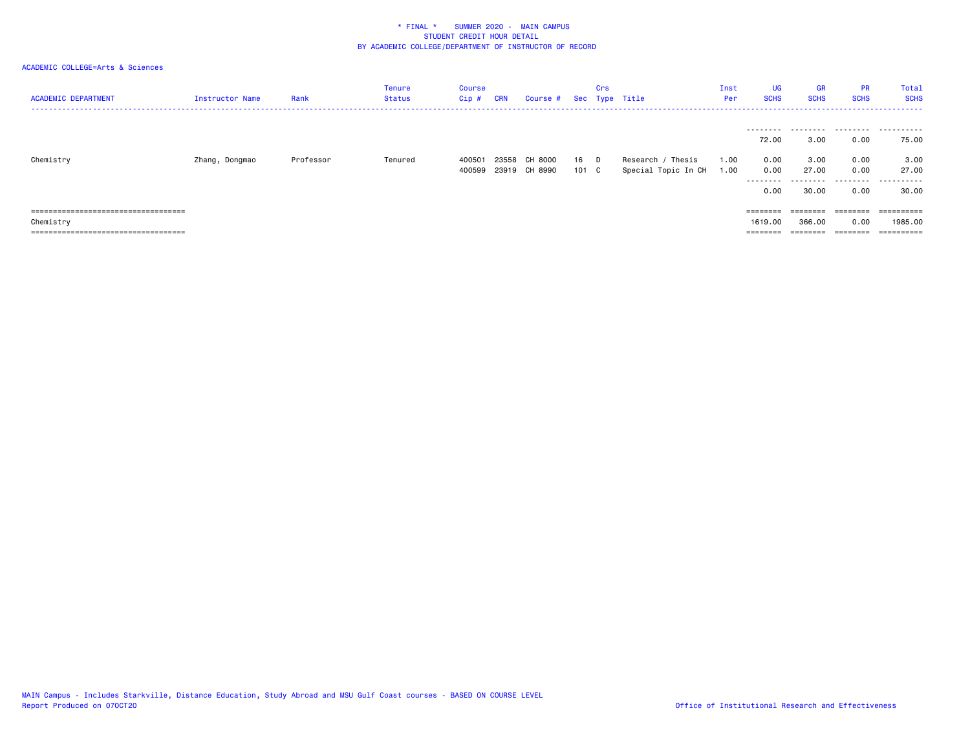| <b>ACADEMIC DEPARTMENT</b>                                                                                                          | Instructor Name | Rank      | Tenure<br><b>Status</b> | Course<br>Cip#  | <b>CRN</b>     | Course #           |             | Crs | Sec Type Title                           | Inst<br>Per  | UG<br><b>SCHS</b>                                 | <b>GR</b><br><b>SCHS</b>                | <b>PR</b><br><b>SCHS</b>     | Total<br><b>SCHS</b>       |
|-------------------------------------------------------------------------------------------------------------------------------------|-----------------|-----------|-------------------------|-----------------|----------------|--------------------|-------------|-----|------------------------------------------|--------------|---------------------------------------------------|-----------------------------------------|------------------------------|----------------------------|
|                                                                                                                                     |                 |           |                         |                 |                |                    |             |     |                                          |              | 72.00                                             | 3.00                                    | 0.00                         | 75.00                      |
| Chemistry                                                                                                                           | Zhang, Dongmao  | Professor | Tenured                 | 40050<br>400599 | 23558<br>23919 | CH 8000<br>CH 8990 | 16<br>101 C | D   | Research / Thesis<br>Special Topic In CH | 1.00<br>1.00 | 0.00<br>0.00<br>---------<br>0.00                 | 3.00<br>27.00<br>30.00                  | 0.00<br>0.00<br>0.00         | 3.00<br>27.00<br><br>30.00 |
| =====================================<br>Chemistry<br>-------------------------------------<br>------------------------------------ |                 |           |                         |                 |                |                    |             |     |                                          |              | $=$ = = = = = = =<br>1619,00<br>$=$ = = = = = = = | $=$ = = = = = = =<br>366.00<br>======== | ========<br>0.00<br>======== | 1985.00                    |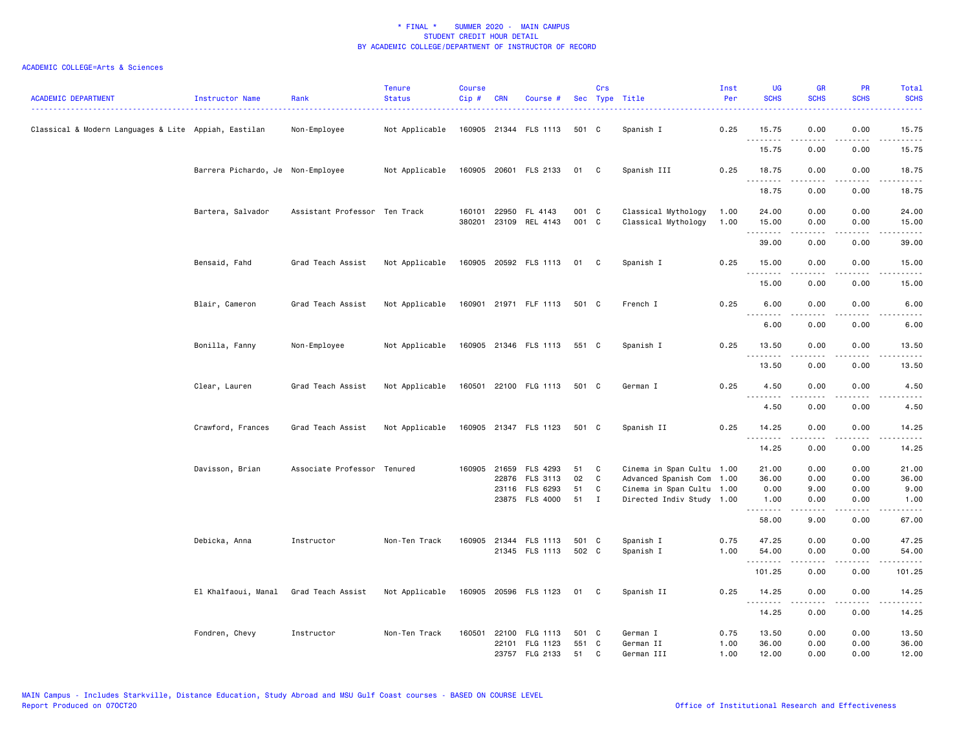| <b>ACADEMIC DEPARTMENT</b>                           | Instructor Name                   | Rank                          | <b>Tenure</b><br><b>Status</b> | <b>Course</b><br>Cip# | <b>CRN</b>   | Course #                               |                | Crs               | Sec Type Title                                         | Inst<br>Per  | <b>UG</b><br><b>SCHS</b> | <b>GR</b><br><b>SCHS</b> | <b>PR</b><br><b>SCHS</b> | Total<br><b>SCHS</b> |
|------------------------------------------------------|-----------------------------------|-------------------------------|--------------------------------|-----------------------|--------------|----------------------------------------|----------------|-------------------|--------------------------------------------------------|--------------|--------------------------|--------------------------|--------------------------|----------------------|
| Classical & Modern Languages & Lite Appiah, Eastilan |                                   | Non-Employee                  | Not Applicable                 |                       |              | 160905 21344 FLS 1113                  | 501 C          |                   | Spanish I                                              | 0.25         | 15.75                    | 0.00                     | 0.00                     | 15.75                |
|                                                      |                                   |                               |                                |                       |              |                                        |                |                   |                                                        |              | .<br>15.75               | -----<br>0.00            | .<br>0.00                | .<br>15.75           |
|                                                      | Barrera Pichardo, Je Non-Employee |                               | Not Applicable                 |                       |              | 160905 20601 FLS 2133                  | 01             | C                 | Spanish III                                            | 0.25         | 18.75                    | 0.00                     | 0.00<br>$   -$           | 18.75                |
|                                                      |                                   |                               |                                |                       |              |                                        |                |                   |                                                        |              | .<br>18.75               | .<br>0.00                | 0.00                     | .<br>18.75           |
|                                                      | Bartera, Salvador                 | Assistant Professor Ten Track |                                | 160101                |              | 22950 FL 4143<br>380201 23109 REL 4143 | 001 C<br>001 C |                   | Classical Mythology<br>Classical Mythology             | 1.00<br>1.00 | 24.00<br>15.00<br>.      | 0.00<br>0.00             | 0.00<br>0.00             | 24.00<br>15.00       |
|                                                      |                                   |                               |                                |                       |              |                                        |                |                   |                                                        |              | 39.00                    | 0.00                     | 0.00                     | 39.00                |
|                                                      | Bensaid, Fahd                     | Grad Teach Assist             | Not Applicable                 |                       |              | 160905 20592 FLS 1113 01               |                | - C               | Spanish I                                              | 0.25         | 15.00<br>.               | 0.00<br>.                | 0.00<br>$- - - -$        | 15.00<br>.           |
|                                                      |                                   |                               |                                |                       |              |                                        |                |                   |                                                        |              | 15.00                    | 0.00                     | 0.00                     | 15.00                |
|                                                      | Blair, Cameron                    | Grad Teach Assist             | Not Applicable                 |                       |              | 160901 21971 FLF 1113 501 C            |                |                   | French I                                               | 0.25         | 6.00                     | 0.00                     | 0.00                     | 6.00                 |
|                                                      |                                   |                               |                                |                       |              |                                        |                |                   |                                                        |              | $- - - - -$<br>6.00      | 0.00                     | 0.00                     | 6.00                 |
|                                                      | Bonilla, Fanny                    | Non-Employee                  | Not Applicable                 |                       |              | 160905 21346 FLS 1113 551 C            |                |                   | Spanish I                                              | 0.25         | 13.50                    | 0.00                     | 0.00                     | 13.50                |
|                                                      |                                   |                               |                                |                       |              |                                        |                |                   |                                                        |              | .<br>13.50               | 0.00                     | 0.00                     | 13.50                |
|                                                      | Clear, Lauren                     | Grad Teach Assist             | Not Applicable                 |                       |              | 160501 22100 FLG 1113                  | 501 C          |                   | German I                                               | 0.25         | 4.50<br>.                | 0.00                     | 0.00                     | 4.50                 |
|                                                      |                                   |                               |                                |                       |              |                                        |                |                   |                                                        |              | 4.50                     | .<br>0.00                | $- - - -$<br>0.00        | $- - - -$<br>4.50    |
|                                                      | Crawford, Frances                 | Grad Teach Assist             | Not Applicable                 |                       |              | 160905 21347 FLS 1123                  | 501 C          |                   | Spanish II                                             | 0.25         | 14.25<br>.               | 0.00                     | 0.00                     | 14.25                |
|                                                      |                                   |                               |                                |                       |              |                                        |                |                   |                                                        |              | 14.25                    | 0.00                     | 0.00                     | 14.25                |
|                                                      | Davisson, Brian                   | Associate Professor Tenured   |                                |                       | 160905 21659 | FLS 4293                               | 51             | C                 | Cinema in Span Cultu 1.00                              |              | 21.00                    | 0.00                     | 0.00                     | 21.00                |
|                                                      |                                   |                               |                                |                       |              | 22876 FLS 3113                         | 02             | C                 | Advanced Spanish Com                                   | 1.00         | 36.00                    | 0.00                     | 0.00                     | 36.00                |
|                                                      |                                   |                               |                                |                       |              | 23116 FLS 6293<br>23875 FLS 4000       | 51<br>51       | C<br>$\mathbf{I}$ | Cinema in Span Cultu 1.00<br>Directed Indiv Study 1.00 |              | 0.00<br>1.00             | 9.00<br>0.00             | 0.00<br>0.00             | 9.00<br>1.00         |
|                                                      |                                   |                               |                                |                       |              |                                        |                |                   |                                                        |              | .<br>58.00               | 9.00                     | 0.00                     | 67.00                |
|                                                      | Debicka, Anna                     | Instructor                    | Non-Ten Track                  |                       |              | 160905 21344 FLS 1113                  | 501 C          |                   | Spanish I                                              | 0.75         | 47.25                    | 0.00                     | 0.00                     | 47.25                |
|                                                      |                                   |                               |                                |                       |              | 21345 FLS 1113                         | 502 C          |                   | Spanish I                                              | 1.00         | 54.00<br>.               | 0.00                     | 0.00                     | 54.00                |
|                                                      |                                   |                               |                                |                       |              |                                        |                |                   |                                                        |              | 101.25                   | 0.00                     | 0.00                     | 101.25               |
|                                                      | El Khalfaoui, Manal               | Grad Teach Assist             | Not Applicable                 |                       |              | 160905 20596 FLS 1123 01               |                | C                 | Spanish II                                             | 0.25         | 14.25<br>.               | 0.00                     | 0.00                     | 14.25                |
|                                                      |                                   |                               |                                |                       |              |                                        |                |                   |                                                        |              | 14.25                    | 0.00                     | 0.00                     | 14.25                |
|                                                      | Fondren, Chevy                    | Instructor                    | Non-Ten Track                  | 160501                | 22100        | FLG 1113                               | 501 C          |                   | German I                                               | 0.75         | 13.50                    | 0.00                     | 0.00                     | 13.50                |
|                                                      |                                   |                               |                                |                       |              | 22101 FLG 1123                         | 551 C          |                   | German II                                              | 1.00         | 36.00                    | 0.00                     | 0.00                     | 36.00                |
|                                                      |                                   |                               |                                |                       |              | 23757 FLG 2133                         | 51             | C                 | German III                                             | 1.00         | 12.00                    | 0.00                     | 0.00                     | 12.00                |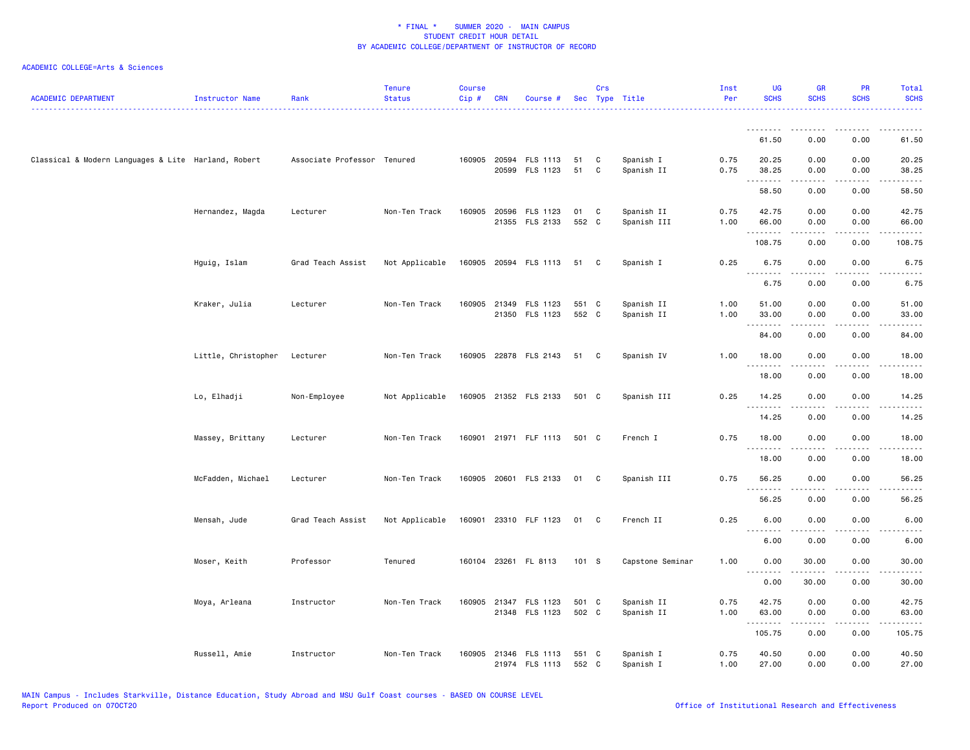| ACADEMIC DEPARTMENT                                 | <b>Instructor Name</b> | Rank                        | <b>Tenure</b><br><b>Status</b> | <b>Course</b><br>Cip # | <b>CRN</b> | Course #                                |                | Crs          | Sec Type Title            | Inst<br>Per  | <b>UG</b><br><b>SCHS</b>   | <b>GR</b><br><b>SCHS</b> | <b>PR</b><br><b>SCHS</b>     | Total<br><b>SCHS</b>                                                                                                               |
|-----------------------------------------------------|------------------------|-----------------------------|--------------------------------|------------------------|------------|-----------------------------------------|----------------|--------------|---------------------------|--------------|----------------------------|--------------------------|------------------------------|------------------------------------------------------------------------------------------------------------------------------------|
|                                                     |                        |                             |                                |                        |            |                                         |                |              |                           |              | <u>.</u><br>61.50          | 0.00                     | 0.00                         | 61.50                                                                                                                              |
| Classical & Modern Languages & Lite Harland, Robert |                        | Associate Professor Tenured |                                |                        |            | 160905 20594 FLS 1113<br>20599 FLS 1123 | 51<br>51       | C<br>C       | Spanish I<br>Spanish II   | 0.75<br>0.75 | 20.25<br>38.25             | 0.00<br>0.00             | 0.00<br>0.00                 | 20.25<br>38.25                                                                                                                     |
|                                                     |                        |                             |                                |                        |            |                                         |                |              |                           |              | .<br>58.50                 | .<br>0.00                | $\sim$ $\sim$ $\sim$<br>0.00 | $\frac{1}{2} \left( \frac{1}{2} \right) \left( \frac{1}{2} \right) \left( \frac{1}{2} \right) \left( \frac{1}{2} \right)$<br>58.50 |
|                                                     | Hernandez, Magda       | Lecturer                    | Non-Ten Track                  |                        |            | 160905 20596 FLS 1123<br>21355 FLS 2133 | 01<br>552 C    | C            | Spanish II<br>Spanish III | 0.75<br>1.00 | 42.75<br>66.00             | 0.00<br>0.00             | 0.00<br>0.00                 | 42.75<br>66.00                                                                                                                     |
|                                                     |                        |                             |                                |                        |            |                                         |                |              |                           |              | .<br>108.75                | 0.00                     | 0.00                         | 108.75                                                                                                                             |
|                                                     | Hguig, Islam           | Grad Teach Assist           | Not Applicable                 |                        |            | 160905 20594 FLS 1113                   | 51             | $\mathbf{C}$ | Spanish I                 | 0.25         | 6.75                       | 0.00                     | 0.00                         | 6.75                                                                                                                               |
|                                                     |                        |                             |                                |                        |            |                                         |                |              |                           |              | .<br>6.75                  | .<br>0.00                | 0.00                         | 6.75                                                                                                                               |
|                                                     | Kraker, Julia          | Lecturer                    | Non-Ten Track                  |                        |            | 160905 21349 FLS 1123<br>21350 FLS 1123 | 551 C<br>552 C |              | Spanish II<br>Spanish II  | 1.00<br>1.00 | 51.00<br>33.00<br><u>.</u> | 0.00<br>0.00<br>.        | 0.00<br>0.00<br>د د د د      | 51.00<br>33.00<br>.                                                                                                                |
|                                                     |                        |                             |                                |                        |            |                                         |                |              |                           |              | 84.00                      | 0.00                     | 0.00                         | 84.00                                                                                                                              |
|                                                     | Little, Christopher    | Lecturer                    | Non-Ten Track                  |                        |            | 160905 22878 FLS 2143                   | 51 C           |              | Spanish IV                | 1.00         | 18.00<br>.                 | 0.00                     | 0.00                         | 18.00                                                                                                                              |
|                                                     |                        |                             |                                |                        |            |                                         |                |              |                           |              | 18.00                      | 0.00                     | 0.00                         | 18.00                                                                                                                              |
|                                                     | Lo, Elhadji            | Non-Employee                | Not Applicable                 |                        |            | 160905 21352 FLS 2133                   | 501 C          |              | Spanish III               | 0.25         | 14.25<br>.                 | 0.00                     | 0.00                         | 14.25                                                                                                                              |
|                                                     |                        |                             |                                |                        |            |                                         |                |              |                           |              | 14.25                      | 0.00                     | 0.00                         | 14.25                                                                                                                              |
|                                                     | Massey, Brittany       | Lecturer                    | Non-Ten Track                  |                        |            | 160901 21971 FLF 1113                   | 501 C          |              | French I                  | 0.75         | 18.00<br>.                 | 0.00<br>.                | 0.00<br>$\sim$ $\sim$ $\sim$ | 18.00<br>.                                                                                                                         |
|                                                     |                        |                             |                                |                        |            |                                         |                |              |                           |              | 18.00                      | 0.00                     | 0.00                         | 18.00                                                                                                                              |
|                                                     | McFadden, Michael      | Lecturer                    | Non-Ten Track                  |                        |            | 160905 20601 FLS 2133                   | 01             | - C          | Spanish III               | 0.75         | 56.25<br>.                 | 0.00<br>.                | 0.00<br>.                    | 56.25<br>.                                                                                                                         |
|                                                     |                        |                             |                                |                        |            |                                         |                |              |                           |              | 56.25                      | 0.00                     | 0.00                         | 56.25                                                                                                                              |
|                                                     | Mensah, Jude           | Grad Teach Assist           | Not Applicable                 |                        |            | 160901 23310 FLF 1123                   | 01             | - C          | French II                 | 0.25         | 6.00<br>.                  | 0.00                     | 0.00                         | 6.00                                                                                                                               |
|                                                     |                        |                             |                                |                        |            |                                         |                |              |                           |              | 6.00                       | 0.00                     | 0.00                         | 6.00                                                                                                                               |
|                                                     | Moser, Keith           | Professor                   | Tenured                        |                        |            | 160104 23261 FL 8113                    | 101 S          |              | Capstone Seminar          | 1.00         | 0.00<br><u>--------</u>    | 30.00<br>-----           | 0.00                         | 30.00                                                                                                                              |
|                                                     |                        |                             |                                |                        |            |                                         |                |              |                           |              | 0.00                       | 30.00                    | 0.00                         | 30.00                                                                                                                              |
|                                                     | Moya, Arleana          | Instructor                  | Non-Ten Track                  |                        |            | 160905 21347 FLS 1123<br>21348 FLS 1123 | 501 C<br>502 C |              | Spanish II<br>Spanish II  | 0.75<br>1.00 | 42.75<br>63.00             | 0.00<br>0.00             | 0.00<br>0.00                 | 42.75<br>63.00                                                                                                                     |
|                                                     |                        |                             |                                |                        |            |                                         |                |              |                           |              | .<br>105.75                | 22222<br>0.00            | .<br>0.00                    | .<br>105.75                                                                                                                        |
|                                                     | Russell, Amie          | Instructor                  | Non-Ten Track                  | 160905                 |            | 21346 FLS 1113<br>21974 FLS 1113        | 551 C<br>552 C |              | Spanish I<br>Spanish I    | 0.75<br>1.00 | 40.50<br>27.00             | 0.00<br>0.00             | 0.00<br>0.00                 | 40.50<br>27.00                                                                                                                     |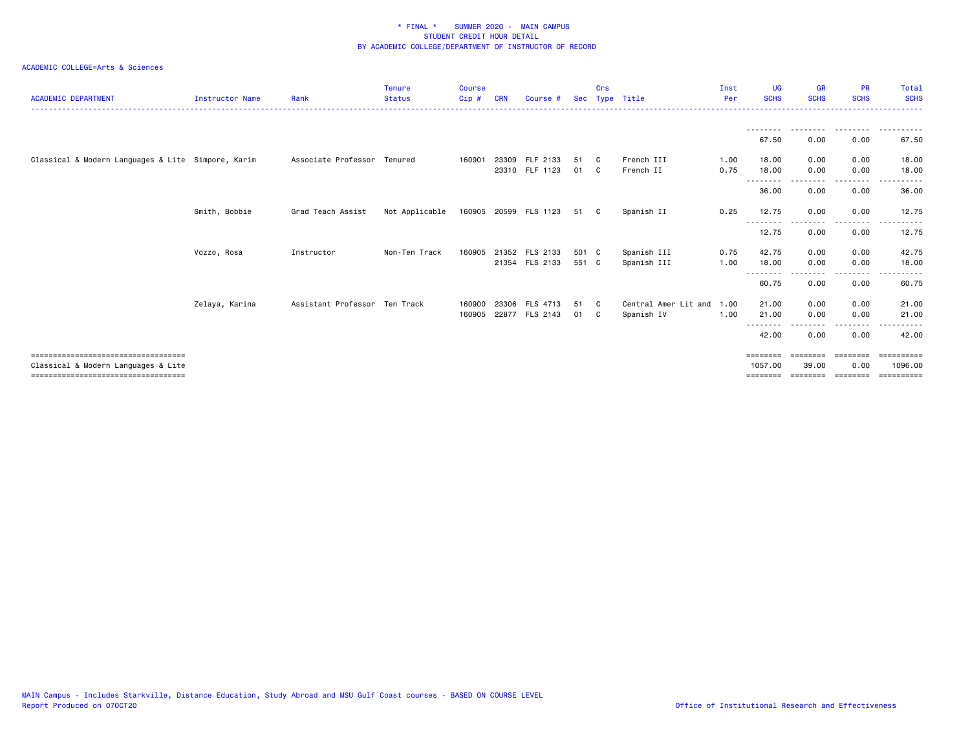| <b>ACADEMIC DEPARTMENT</b>                                                  | Instructor Name | Rank                          | <b>Tenure</b><br><b>Status</b> | <b>Course</b><br>Cip# | <b>CRN</b> | Course #              |       | Crs          | Sec Type Title       | Inst<br>Per | <b>UG</b><br><b>SCHS</b> | <b>GR</b><br><b>SCHS</b> | <b>PR</b><br><b>SCHS</b>  | Total<br><b>SCHS</b>  |
|-----------------------------------------------------------------------------|-----------------|-------------------------------|--------------------------------|-----------------------|------------|-----------------------|-------|--------------|----------------------|-------------|--------------------------|--------------------------|---------------------------|-----------------------|
|                                                                             |                 |                               |                                |                       |            |                       |       |              |                      |             |                          |                          | --------                  |                       |
|                                                                             |                 |                               |                                |                       |            |                       |       |              |                      |             | 67.50                    | 0.00                     | 0.00                      | 67.50                 |
| Classical & Modern Languages & Lite Simpore, Karim                          |                 | Associate Professor Tenured   |                                | 160901                | 23309      | FLF 2133              | 51    | C.           | French III           | 1.00        | 18.00                    | 0.00                     | 0.00                      | 18.00                 |
|                                                                             |                 |                               |                                |                       |            | 23310 FLF 1123        | 01 C  |              | French II            | 0.75        | 18.00<br>- - - - - - - - | 0.00                     | 0.00<br>$- - - -$         | 18.00                 |
|                                                                             |                 |                               |                                |                       |            |                       |       |              |                      |             | 36.00                    | 0.00                     | 0.00                      | 36.00                 |
|                                                                             | Smith, Bobbie   | Grad Teach Assist             | Not Applicable                 |                       |            | 160905 20599 FLS 1123 | 51    | C.           | Spanish II           | 0.25        | 12.75<br><u>.</u>        | 0.00<br><u>.</u>         | 0.00<br>$\cdots$          | 12.75<br>. <b>.</b>   |
|                                                                             |                 |                               |                                |                       |            |                       |       |              |                      |             | 12.75                    | 0.00                     | 0.00                      | 12.75                 |
|                                                                             | Vozzo, Rosa     | Instructor                    | Non-Ten Track                  | 160905                |            | 21352 FLS 2133        | 501 C |              | Spanish III          | 0.75        | 42.75                    | 0.00                     | 0.00                      | 42.75                 |
|                                                                             |                 |                               |                                |                       |            | 21354 FLS 2133        | 551 C |              | Spanish III          | 1.00        | 18.00                    | 0.00                     | 0.00                      | 18.00                 |
|                                                                             |                 |                               |                                |                       |            |                       |       |              |                      |             | 60.75                    | 0.00                     | 0.00                      | 60.75                 |
|                                                                             | Zelaya, Karina  | Assistant Professor Ten Track |                                | 160900                |            | 23306 FLS 4713        | 51    | $\mathbf{C}$ | Central Amer Lit and | 1.00        | 21.00                    | 0.00                     | 0.00                      | 21.00                 |
|                                                                             |                 |                               |                                | 160905                |            | 22877 FLS 2143        | 01    | C.           | Spanish IV           | 1.00        | 21.00                    | 0.00                     | 0.00<br>----              | 21.00                 |
|                                                                             |                 |                               |                                |                       |            |                       |       |              |                      |             | 42.00                    | 0.00                     | 0.00                      | 42.00                 |
| ====================================<br>Classical & Modern Languages & Lite |                 |                               |                                |                       |            |                       |       |              |                      |             | ========<br>1057.00      | 39.00                    | $=$ = = = = = = =<br>0.00 | ==========<br>1096.00 |
| ======================================                                      |                 |                               |                                |                       |            |                       |       |              |                      |             | ========                 | ========                 | - cooperate               | essessesse            |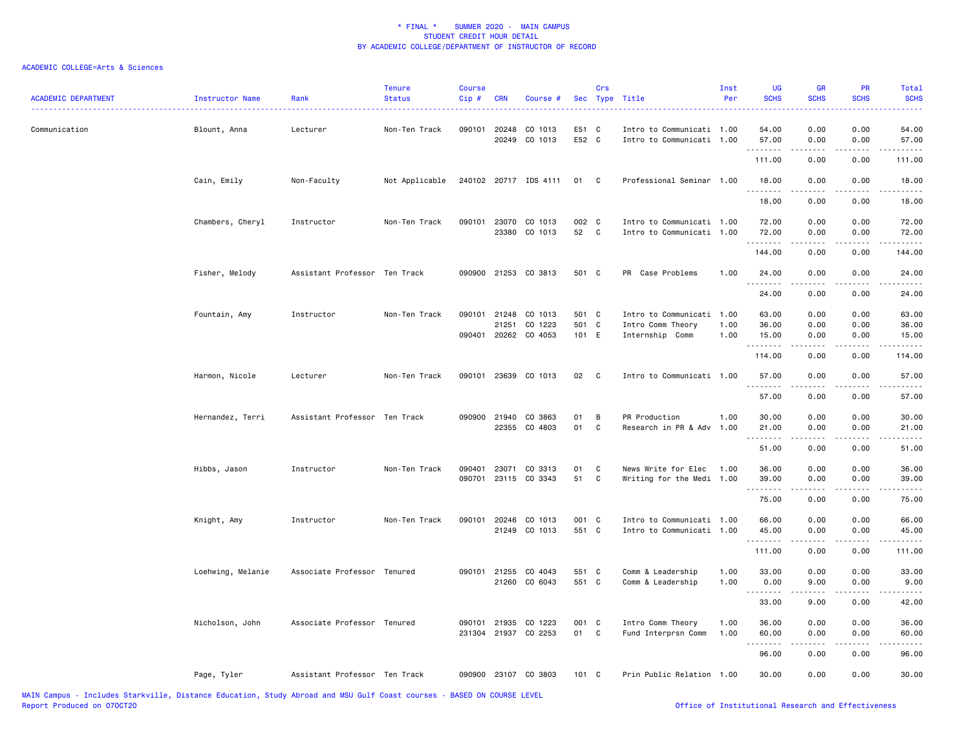| <b>ACADEMIC DEPARTMENT</b> | Instructor Name   | Rank                          | <b>Tenure</b><br><b>Status</b> | <b>Course</b><br>Cip# | <b>CRN</b>            | Course #                              |                | Crs          | Sec Type Title                                         | Inst<br>Per | UG<br><b>SCHS</b>   | <b>GR</b><br><b>SCHS</b> | PR<br><b>SCHS</b>                   | <b>Total</b><br><b>SCHS</b> |
|----------------------------|-------------------|-------------------------------|--------------------------------|-----------------------|-----------------------|---------------------------------------|----------------|--------------|--------------------------------------------------------|-------------|---------------------|--------------------------|-------------------------------------|-----------------------------|
| Communication              | Blount, Anna      | Lecturer                      | Non-Ten Track                  |                       | 090101 20248<br>20249 | CO 1013<br>CO 1013                    | E51 C<br>E52 C |              | Intro to Communicati 1.00<br>Intro to Communicati 1.00 |             | 54.00<br>57.00<br>. | 0.00<br>0.00             | 0.00<br>0.00                        | 54.00<br>57.00              |
|                            |                   |                               |                                |                       |                       |                                       |                |              |                                                        |             | 111.00              | 0.00                     | 0.00                                | . <b>.</b><br>111.00        |
|                            | Cain, Emily       | Non-Faculty                   | Not Applicable                 |                       |                       | 240102 20717 IDS 4111                 | 01 C           |              | Professional Seminar 1.00                              |             | 18.00               | 0.00                     | 0.00                                | 18.00                       |
|                            |                   |                               |                                |                       |                       |                                       |                |              |                                                        |             | .<br>18.00          | .<br>0.00                | ----<br>0.00                        | .<br>18.00                  |
|                            | Chambers, Cheryl  | Instructor                    | Non-Ten Track                  |                       |                       | 090101 23070 CO 1013                  | 002 C          |              | Intro to Communicati 1.00                              |             | 72.00               | 0.00                     | 0.00                                | 72.00                       |
|                            |                   |                               |                                |                       |                       | 23380 CO 1013                         | 52             | $\mathbf{C}$ | Intro to Communicati 1.00                              |             | 72.00               | 0.00                     | 0.00                                | 72.00                       |
|                            |                   |                               |                                |                       |                       |                                       |                |              |                                                        |             | .<br>144.00         | .<br>0.00                | د د د د<br>0.00                     | .<br>144.00                 |
|                            | Fisher, Melody    | Assistant Professor Ten Track |                                |                       |                       | 090900 21253 CO 3813                  | 501 C          |              | PR Case Problems                                       | 1.00        | 24.00               | 0.00                     | 0.00                                | 24.00                       |
|                            |                   |                               |                                |                       |                       |                                       |                |              |                                                        |             | .<br>24.00          | .<br>0.00                | $\sim$ $\sim$ $\sim$ $\sim$<br>0.00 | .<br>24.00                  |
|                            | Fountain, Amy     | Instructor                    | Non-Ten Track                  | 090101                | 21248                 | CO 1013                               | 501 C          |              | Intro to Communicati                                   | 1.00        | 63.00               | 0.00                     | 0.00                                | 63.00                       |
|                            |                   |                               |                                |                       | 21251                 | CO 1223                               | 501 C          |              | Intro Comm Theory                                      | 1.00        | 36.00               | 0.00                     | 0.00                                | 36.00                       |
|                            |                   |                               |                                |                       |                       | 090401 20262 CO 4053                  | 101 E          |              | Internship Comm                                        | 1.00        | 15.00               | 0.00                     | 0.00                                | 15.00                       |
|                            |                   |                               |                                |                       |                       |                                       |                |              |                                                        |             | .<br>114.00         | 0.00                     | $\omega$ is $\omega$ in<br>0.00     | .<br>114.00                 |
|                            | Harmon, Nicole    | Lecturer                      | Non-Ten Track                  |                       |                       | 090101 23639 CO 1013                  | 02             | $\mathbf{C}$ | Intro to Communicati 1.00                              |             | 57.00               | 0.00                     | 0.00                                | 57.00                       |
|                            |                   |                               |                                |                       |                       |                                       |                |              |                                                        |             | 57.00               | 0.00                     | 0.00                                | 57.00                       |
|                            | Hernandez, Terri  | Assistant Professor Ten Track |                                |                       |                       | 090900 21940 CO 3863                  | 01             | B            | PR Production                                          | 1.00        | 30.00               | 0.00                     | 0.00                                | 30.00                       |
|                            |                   |                               |                                |                       |                       | 22355 CO 4803                         | 01             | C            | Research in PR & Adv                                   | 1.00        | 21.00               | 0.00                     | 0.00                                | 21.00                       |
|                            |                   |                               |                                |                       |                       |                                       |                |              |                                                        |             | .<br>51.00          | .<br>0.00                | .<br>0.00                           | .<br>51.00                  |
|                            |                   |                               |                                |                       |                       |                                       |                |              |                                                        |             |                     |                          |                                     |                             |
|                            | Hibbs, Jason      | Instructor                    | Non-Ten Track                  | 090401                |                       | 23071 CO 3313<br>090701 23115 CO 3343 | 01<br>51       | C<br>C       | News Write for Elec<br>Writing for the Medi 1.00       | 1.00        | 36.00<br>39.00      | 0.00<br>0.00             | 0.00<br>0.00                        | 36.00<br>39.00              |
|                            |                   |                               |                                |                       |                       |                                       |                |              |                                                        |             | .                   | -----                    | .                                   | .                           |
|                            |                   |                               |                                |                       |                       |                                       |                |              |                                                        |             | 75.00               | 0.00                     | 0.00                                | 75.00                       |
|                            | Knight, Amy       | Instructor                    | Non-Ten Track                  |                       | 090101 20246          | CO 1013                               | 001 C          |              | Intro to Communicati 1.00                              |             | 66.00               | 0.00                     | 0.00                                | 66.00                       |
|                            |                   |                               |                                |                       |                       | 21249 CO 1013                         | 551 C          |              | Intro to Communicati 1.00                              |             | 45.00               | 0.00                     | 0.00                                | 45.00                       |
|                            |                   |                               |                                |                       |                       |                                       |                |              |                                                        |             | .<br>111.00         | <u>.</u><br>0.00         | .<br>0.00                           | .<br>111.00                 |
|                            | Loehwing, Melanie | Associate Professor Tenured   |                                |                       | 090101 21255          | CO 4043                               | 551 C          |              | Comm & Leadership                                      | 1.00        | 33.00               | 0.00                     | 0.00                                | 33.00                       |
|                            |                   |                               |                                |                       | 21260                 | CO 6043                               | 551 C          |              | Comm & Leadership                                      | 1.00        | 0.00                | 9.00                     | 0.00                                | 9.00                        |
|                            |                   |                               |                                |                       |                       |                                       |                |              |                                                        |             | .                   |                          | ----                                | $\frac{1}{2}$               |
|                            |                   |                               |                                |                       |                       |                                       |                |              |                                                        |             | 33.00               | 9.00                     | 0.00                                | 42.00                       |
|                            | Nicholson, John   | Associate Professor Tenured   |                                |                       | 090101 21935          | CO 1223                               | 001 C          |              | Intro Comm Theory                                      | 1.00        | 36.00               | 0.00                     | 0.00                                | 36.00                       |
|                            |                   |                               |                                |                       |                       | 231304 21937 CO 2253                  | 01             | $\mathbf{C}$ | Fund Interprsn Comm                                    | 1.00        | 60.00<br>.          | 0.00                     | 0.00                                | 60.00                       |
|                            |                   |                               |                                |                       |                       |                                       |                |              |                                                        |             | 96.00               | 0.00                     | 0.00                                | د د د د د<br>96.00          |
|                            | Page, Tyler       | Assistant Professor Ten Track |                                |                       |                       | 090900 23107 CO 3803                  | 101 C          |              | Prin Public Relation 1.00                              |             | 30.00               | 0.00                     | 0.00                                | 30.00                       |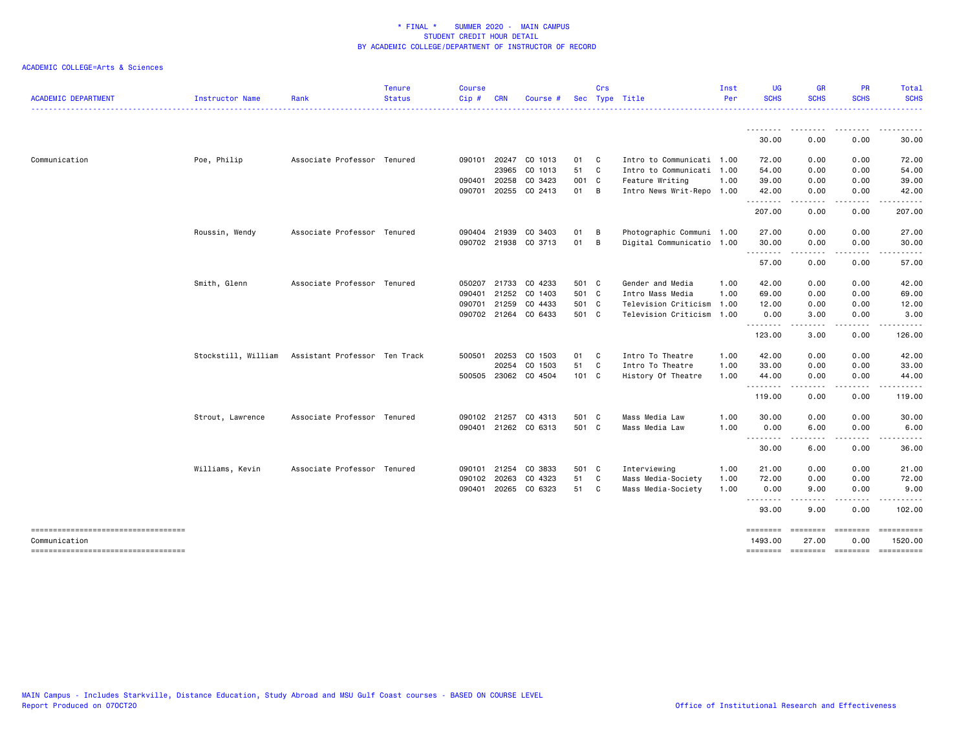| <b>ACADEMIC DEPARTMENT</b>                            | Instructor Name     | Rank                          | <b>Tenure</b><br><b>Status</b> | <b>Course</b><br>Cip# | <b>CRN</b>   | Course #             |       | Crs | Sec Type Title            | Inst<br>Per | <b>UG</b><br><b>SCHS</b> | <b>GR</b><br><b>SCHS</b>            | <b>PR</b><br><b>SCHS</b> | Total<br><b>SCHS</b>  |
|-------------------------------------------------------|---------------------|-------------------------------|--------------------------------|-----------------------|--------------|----------------------|-------|-----|---------------------------|-------------|--------------------------|-------------------------------------|--------------------------|-----------------------|
|                                                       |                     |                               |                                |                       |              |                      |       |     |                           |             | .                        |                                     |                          |                       |
|                                                       |                     |                               |                                |                       |              |                      |       |     |                           |             | 30.00                    | 0.00                                | 0.00                     | 30.00                 |
| Communication                                         | Poe, Philip         | Associate Professor Tenured   |                                | 090101                | 20247        | CO 1013              | 01    | C   | Intro to Communicati 1.00 |             | 72.00                    | 0.00                                | 0.00                     | 72.00                 |
|                                                       |                     |                               |                                |                       | 23965        | CO 1013              | 51    | C   | Intro to Communicati 1.00 |             | 54.00                    | 0.00                                | 0.00                     | 54.00                 |
|                                                       |                     |                               |                                | 090401                | 20258        | CO 3423              | 001 C |     | Feature Writing           | 1.00        | 39.00                    | 0.00                                | 0.00                     | 39.00                 |
|                                                       |                     |                               |                                | 090701                |              | 20255 CO 2413        | 01    | B   | Intro News Writ-Repo 1.00 |             | 42.00<br>.               | 0.00<br>.                           | 0.00<br>.                | 42.00<br>.            |
|                                                       |                     |                               |                                |                       |              |                      |       |     |                           |             | 207.00                   | 0.00                                | 0.00                     | 207.00                |
|                                                       | Roussin, Wendy      | Associate Professor Tenured   |                                |                       | 090404 21939 | CO 3403              | 01    | В   | Photographic Communi 1.00 |             | 27.00                    | 0.00                                | 0.00                     | 27.00                 |
|                                                       |                     |                               |                                |                       |              | 090702 21938 CO 3713 | 01    | В   | Digital Communicatio 1.00 |             | 30.00                    | 0.00                                | 0.00                     | 30.00                 |
|                                                       |                     |                               |                                |                       |              |                      |       |     |                           |             | .<br>57.00               | .<br>0.00                           | .<br>0.00                | .<br>57.00            |
|                                                       | Smith, Glenn        | Associate Professor Tenured   |                                | 050207                |              | 21733 CO 4233        | 501 C |     | Gender and Media          | 1.00        | 42.00                    | 0.00                                | 0.00                     | 42.00                 |
|                                                       |                     |                               |                                | 090401                | 21252        | CO 1403              | 501 C |     | Intro Mass Media          | 1.00        | 69.00                    | 0.00                                | 0.00                     | 69.00                 |
|                                                       |                     |                               |                                | 090701                | 21259        | CO 4433              | 501 C |     | Television Criticism      | 1.00        | 12.00                    | 0.00                                | 0.00                     | 12.00                 |
|                                                       |                     |                               |                                |                       |              | 090702 21264 CO 6433 | 501 C |     | Television Criticism      | 1.00        | 0.00                     | 3.00                                | 0.00                     | 3.00                  |
|                                                       |                     |                               |                                |                       |              |                      |       |     |                           |             | <u>.</u><br>123.00       | .<br>3.00                           | .<br>0.00                | .<br>126.00           |
|                                                       | Stockstill, William | Assistant Professor Ten Track |                                | 500501                | 20253        | CO 1503              | 01    | C   | Intro To Theatre          | 1.00        | 42.00                    | 0.00                                | 0.00                     | 42.00                 |
|                                                       |                     |                               |                                |                       | 20254        | CO 1503              | 51    | C   | Intro To Theatre          | 1.00        | 33.00                    | 0.00                                | 0.00                     | 33.00                 |
|                                                       |                     |                               |                                |                       | 500505 23062 | CO 4504              | 101 C |     | History Of Theatre        | 1.00        | 44.00                    | 0.00                                | 0.00                     | 44.00                 |
|                                                       |                     |                               |                                |                       |              |                      |       |     |                           |             | .<br>119.00              | .<br>0.00                           | 0.00                     | .<br>119.00           |
|                                                       | Strout, Lawrence    | Associate Professor Tenured   |                                | 090102                | 21257        | CO 4313              | 501 C |     | Mass Media Law            | 1.00        | 30.00                    | 0.00                                | 0.00                     | 30.00                 |
|                                                       |                     |                               |                                | 090401                |              | 21262 CO 6313        | 501 C |     | Mass Media Law            | 1.00        | 0.00                     | 6.00                                | 0.00                     | 6.00                  |
|                                                       |                     |                               |                                |                       |              |                      |       |     |                           |             | <u>.</u><br>30.00        | 6.00                                | 0.00                     | 36.00                 |
|                                                       | Williams, Kevin     | Associate Professor Tenured   |                                | 090101                | 21254        | CO 3833              | 501 C |     | Interviewing              | 1.00        | 21.00                    | 0.00                                | 0.00                     | 21.00                 |
|                                                       |                     |                               |                                | 090102                | 20263        | CO 4323              | 51    | C   | Mass Media-Society        | 1.00        | 72.00                    | 0.00                                | 0.00                     | 72.00                 |
|                                                       |                     |                               |                                | 090401                |              | 20265 CO 6323        | 51    | C   | Mass Media-Society        | 1.00        | 0.00                     | 9.00                                | 0.00                     | 9.00                  |
|                                                       |                     |                               |                                |                       |              |                      |       |     |                           |             | .<br>93.00               | 9.00                                | 0.00                     | 102.00                |
| ====================================<br>Communication |                     |                               |                                |                       |              |                      |       |     |                           |             | ========<br>1493.00      | $=$ = = = = = = =<br>27.00          | ========<br>0.00         | ==========<br>1520.00 |
| -----------------------------------                   |                     |                               |                                |                       |              |                      |       |     |                           |             |                          | -------- ------- -------- --------- |                          |                       |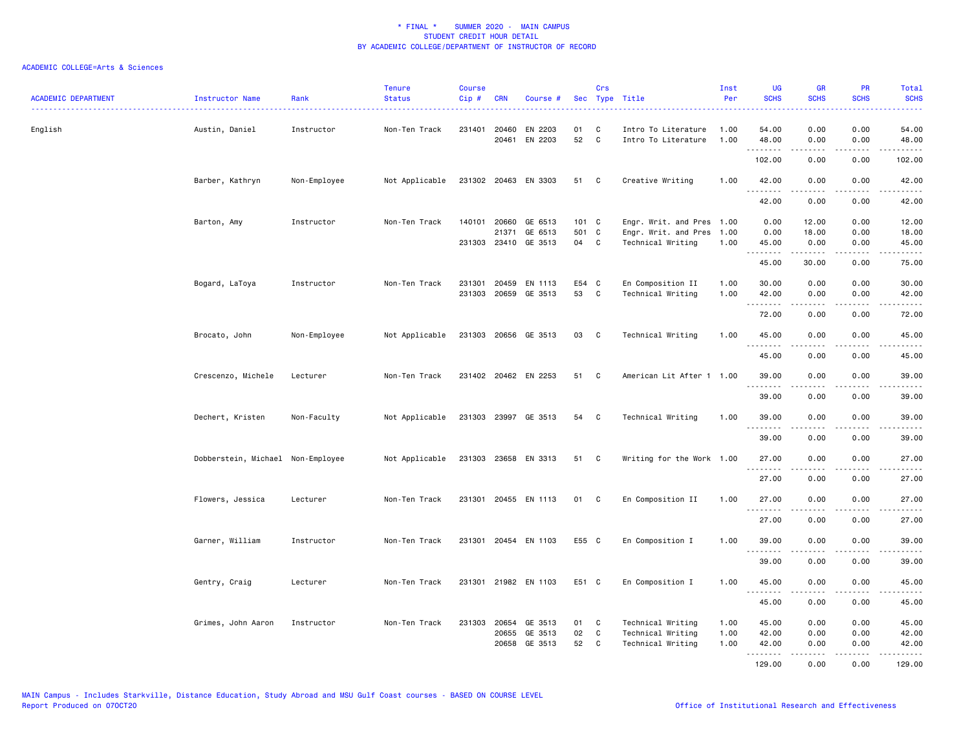| ACADEMIC DEPARTMENT | Instructor Name                   | Rank         | <b>Tenure</b><br><b>Status</b> | Course<br>$Cip$ # | <b>CRN</b>                     | Course #                                                |                      | Crs                    | Sec Type Title                                                         | Inst<br>Per          | <b>UG</b><br><b>SCHS</b> | <b>GR</b><br><b>SCHS</b> | <b>PR</b><br><b>SCHS</b> | Total<br><b>SCHS</b>                        |
|---------------------|-----------------------------------|--------------|--------------------------------|-------------------|--------------------------------|---------------------------------------------------------|----------------------|------------------------|------------------------------------------------------------------------|----------------------|--------------------------|--------------------------|--------------------------|---------------------------------------------|
| English             | Austin, Daniel                    | Instructor   | Non-Ten Track                  |                   | 231401 20460<br>20461          | EN 2203<br>EN 2203                                      | 01<br>52             | C<br>C                 | Intro To Literature<br>Intro To Literature                             | 1.00<br>1.00         | 54.00<br>48.00<br>.      | 0.00<br>0.00<br>-----    | 0.00<br>0.00<br>.        | 54.00<br>48.00<br>.                         |
|                     |                                   |              |                                |                   |                                |                                                         |                      |                        |                                                                        |                      | 102.00                   | 0.00                     | 0.00                     | 102.00                                      |
|                     | Barber, Kathryn                   | Non-Employee | Not Applicable                 |                   |                                | 231302 20463 EN 3303                                    | 51 C                 |                        | Creative Writing                                                       | 1.00                 | 42.00                    | 0.00                     | 0.00                     | 42.00                                       |
|                     |                                   |              |                                |                   |                                |                                                         |                      |                        |                                                                        |                      | .<br>42.00               | .<br>0.00                | .<br>0.00                | .<br>42.00                                  |
|                     | Barton, Amy                       | Instructor   | Non-Ten Track                  |                   | 21371                          | 140101 20660 GE 6513<br>GE 6513<br>231303 23410 GE 3513 | 101 C<br>501 C<br>04 | C                      | Engr. Writ. and Pres 1.00<br>Engr. Writ. and Pres<br>Technical Writing | 1.00<br>1.00         | 0.00<br>0.00<br>45.00    | 12.00<br>18.00<br>0.00   | 0.00<br>0.00<br>0.00     | 12.00<br>18.00<br>45.00                     |
|                     |                                   |              |                                |                   |                                |                                                         |                      |                        |                                                                        |                      | 45.00                    | .<br>30.00               | .<br>0.00                | .<br>75.00                                  |
|                     | Bogard, LaToya                    | Instructor   | Non-Ten Track                  | 231301            | 20459<br>231303 20659          | EN 1113<br>GE 3513                                      | E54 C<br>53          | C                      | En Composition II<br>Technical Writing                                 | 1.00<br>1.00         | 30.00<br>42.00           | 0.00<br>0.00             | 0.00<br>0.00             | 30.00<br>42.00                              |
|                     |                                   |              |                                |                   |                                |                                                         |                      |                        |                                                                        |                      | .<br>72.00               | .<br>0.00                | .<br>0.00                | .<br>72.00                                  |
|                     | Brocato, John                     | Non-Employee | Not Applicable                 |                   |                                | 231303 20656 GE 3513                                    | 03 C                 |                        | Technical Writing                                                      | 1.00                 | 45.00                    | 0.00                     | 0.00                     | 45.00                                       |
|                     |                                   |              |                                |                   |                                |                                                         |                      |                        |                                                                        |                      | .<br>45.00               | -----<br>0.00            | .<br>0.00                | .<br>45.00                                  |
|                     | Crescenzo, Michele                | Lecturer     | Non-Ten Track                  |                   |                                | 231402 20462 EN 2253                                    | 51                   | C                      | American Lit After 1 1.00                                              |                      | 39.00                    | 0.00                     | 0.00                     | 39.00                                       |
|                     |                                   |              |                                |                   |                                |                                                         |                      |                        |                                                                        |                      | .<br>39.00               | .<br>0.00                | 0.00                     | $\omega$ is $\omega$ in<br>39.00            |
|                     | Dechert, Kristen                  | Non-Faculty  | Not Applicable                 |                   |                                | 231303 23997 GE 3513                                    | 54 C                 |                        | Technical Writing                                                      | 1.00                 | 39.00                    | 0.00                     | 0.00                     | 39.00                                       |
|                     |                                   |              |                                |                   |                                |                                                         |                      |                        |                                                                        |                      | 39.00                    | 0.00                     | 0.00                     | 39.00                                       |
|                     | Dobberstein, Michael Non-Employee |              | Not Applicable                 |                   |                                | 231303 23658 EN 3313                                    | 51                   | $\mathbf{C}$           | Writing for the Work 1.00                                              |                      | 27.00                    | 0.00                     | 0.00                     | 27.00                                       |
|                     |                                   |              |                                |                   |                                |                                                         |                      |                        |                                                                        |                      | .<br>27.00               | .<br>0.00                | 0.00                     | .<br>27.00                                  |
|                     | Flowers, Jessica                  | Lecturer     | Non-Ten Track                  |                   |                                | 231301 20455 EN 1113                                    | 01                   | C.                     | En Composition II                                                      | 1.00                 | 27.00                    | 0.00                     | 0.00                     | 27.00                                       |
|                     |                                   |              |                                |                   |                                |                                                         |                      |                        |                                                                        |                      | 27.00                    | 0.00                     | 0.00                     | 27.00                                       |
|                     | Garner, William                   | Instructor   | Non-Ten Track                  |                   |                                | 231301 20454 EN 1103                                    | E55 C                |                        | En Composition I                                                       | 1.00                 | 39.00                    | 0.00                     | 0.00                     | 39.00                                       |
|                     |                                   |              |                                |                   |                                |                                                         |                      |                        |                                                                        |                      | .<br>39.00               | .<br>0.00                | د د د د<br>0.00          | $\sim$ $\sim$ $\sim$ $\sim$ $\sim$<br>39.00 |
|                     | Gentry, Craig                     | Lecturer     | Non-Ten Track                  | 231301            |                                | 21982 EN 1103                                           | E51 C                |                        | En Composition I                                                       | 1.00                 | 45.00<br>.               | 0.00                     | 0.00                     | 45.00                                       |
|                     |                                   |              |                                |                   |                                |                                                         |                      |                        |                                                                        |                      | 45.00                    | 0.00                     | 0.00                     | 45.00                                       |
|                     | Grimes, John Aaron                | Instructor   | Non-Ten Track                  |                   | 231303 20654<br>20655<br>20658 | GE 3513<br>GE 3513<br>GE 3513                           | 01<br>02<br>52       | C<br>$\mathtt{C}$<br>C | Technical Writing<br>Technical Writing<br>Technical Writing            | 1.00<br>1.00<br>1.00 | 45.00<br>42.00<br>42.00  | 0.00<br>0.00<br>0.00     | 0.00<br>0.00<br>0.00     | 45.00<br>42.00<br>42.00                     |
|                     |                                   |              |                                |                   |                                |                                                         |                      |                        |                                                                        |                      | .<br>129.00              | . <b>.</b><br>0.00       | .<br>0.00                | .<br>129.00                                 |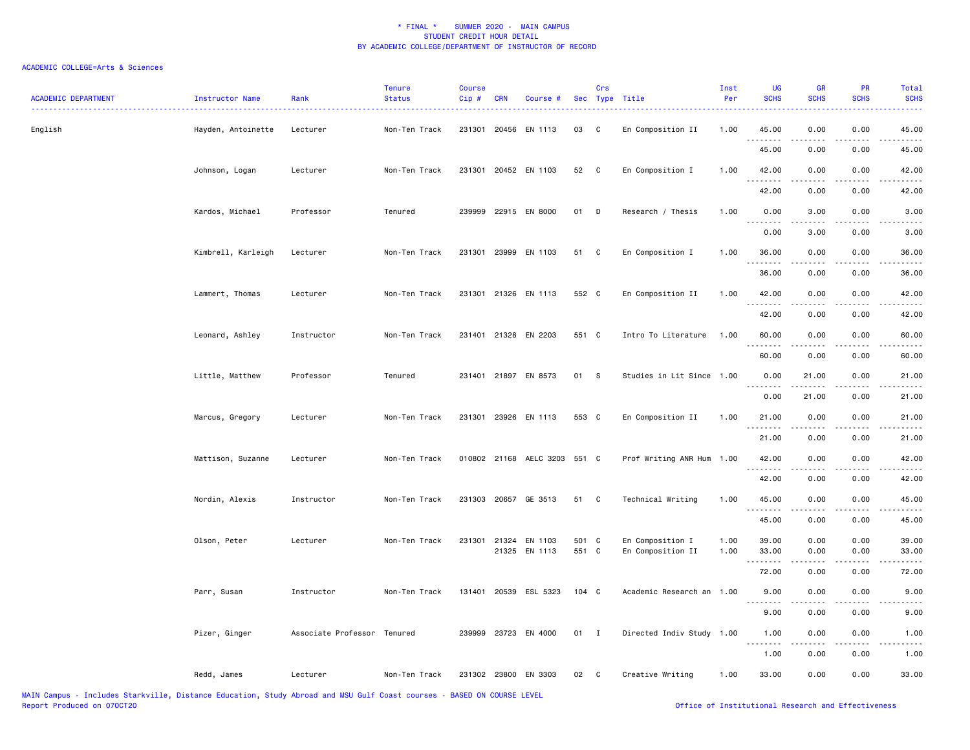| <b>ACADEMIC DEPARTMENT</b> | Instructor Name    | Rank                        | <b>Tenure</b><br><b>Status</b> | <b>Course</b><br>Cip# | <b>CRN</b> | Course #                     |               | Crs            | Sec Type Title            | Inst<br>Per | <b>UG</b><br><b>SCHS</b> | GR<br><b>SCHS</b>   | PR<br><b>SCHS</b>     | Total<br><b>SCHS</b>   |
|----------------------------|--------------------|-----------------------------|--------------------------------|-----------------------|------------|------------------------------|---------------|----------------|---------------------------|-------------|--------------------------|---------------------|-----------------------|------------------------|
| English                    | Hayden, Antoinette | Lecturer                    | Non-Ten Track                  | 231301                |            | 20456 EN 1113                | 03            | C              | En Composition II         | 1.00        | 45.00                    | 0.00                | 0.00                  | 45.00                  |
|                            |                    |                             |                                |                       |            |                              |               |                |                           |             | 45.00                    | 0.00                | 0.00                  | 45.00                  |
|                            | Johnson, Logan     | Lecturer                    | Non-Ten Track                  |                       |            | 231301 20452 EN 1103         | 52            | $\mathbf{C}$   | En Composition I          | 1.00        | 42.00                    | 0.00                | 0.00                  | 42.00                  |
|                            |                    |                             |                                |                       |            |                              |               |                |                           |             | 42.00                    | 0.00                | 0.00                  | 42.00                  |
|                            | Kardos, Michael    | Professor                   | Tenured                        |                       |            | 239999 22915 EN 8000         | 01            | D              | Research / Thesis         | 1.00        | 0.00<br>.                | 3.00                | 0.00                  | 3.00                   |
|                            |                    |                             |                                |                       |            |                              |               |                |                           |             | 0.00                     | 3.00                | 0.00                  | 3.00                   |
|                            | Kimbrell, Karleigh | Lecturer                    | Non-Ten Track                  | 231301                |            | 23999 EN 1103                | 51            | C              | En Composition I          | 1.00        | 36.00                    | 0.00                | 0.00                  | 36.00                  |
|                            |                    |                             |                                |                       |            |                              |               |                |                           |             | <u>.</u><br>36.00        | 0.00                | 0.00                  | 36.00                  |
|                            | Lammert, Thomas    | Lecturer                    | Non-Ten Track                  |                       |            | 231301 21326 EN 1113         | 552 C         |                | En Composition II         | 1.00        | 42.00                    | 0.00                | 0.00                  | 42.00                  |
|                            |                    |                             |                                |                       |            |                              |               |                |                           |             | .<br>42.00               | .<br>0.00           | 0.00                  | $\frac{1}{2}$<br>42.00 |
|                            | Leonard, Ashley    | Instructor                  | Non-Ten Track                  |                       |            | 231401 21328 EN 2203         | 551 C         |                | Intro To Literature       | 1.00        | 60.00                    | 0.00                | 0.00                  | 60.00                  |
|                            |                    |                             |                                |                       |            |                              |               |                |                           |             | 60.00                    | 0.00                | 0.00                  | 60.00                  |
|                            | Little, Matthew    | Professor                   | Tenured                        |                       |            | 231401 21897 EN 8573         | 01            | <b>S</b>       | Studies in Lit Since 1.00 |             | 0.00                     | 21.00               | 0.00                  | 21.00                  |
|                            |                    |                             |                                |                       |            |                              |               |                |                           |             | <b></b><br>0.00          | .<br>21.00          | 0.00                  | 21.00                  |
|                            | Marcus, Gregory    | Lecturer                    | Non-Ten Track                  |                       |            | 231301 23926 EN 1113         | 553 C         |                | En Composition II         | 1.00        | 21.00                    | 0.00                | 0.00                  | 21.00                  |
|                            |                    |                             |                                |                       |            |                              |               |                |                           |             | 21.00                    | .<br>0.00           | $\frac{1}{2}$<br>0.00 | 21.00                  |
|                            | Mattison, Suzanne  | Lecturer                    | Non-Ten Track                  |                       |            | 010802 21168 AELC 3203 551 C |               |                | Prof Writing ANR Hum 1.00 |             | 42.00                    | 0.00                | 0.00                  | 42.00                  |
|                            |                    |                             |                                |                       |            |                              |               |                |                           |             | .<br>42.00               | $- - - - -$<br>0.00 | .<br>0.00             | .<br>42.00             |
|                            | Nordin, Alexis     | Instructor                  | Non-Ten Track                  |                       |            | 231303 20657 GE 3513         | 51            | C              | Technical Writing         | 1.00        | 45.00                    | 0.00                | 0.00                  | 45.00                  |
|                            |                    |                             |                                |                       |            |                              |               |                |                           |             | .<br>45.00               | .<br>0.00           | .<br>0.00             | .<br>45.00             |
|                            | Olson, Peter       | Lecturer                    | Non-Ten Track                  | 231301                |            | 21324 EN 1103                | 501 C         |                | En Composition I          | 1.00        | 39.00                    | 0.00                | 0.00                  | 39.00                  |
|                            |                    |                             |                                |                       |            | 21325 EN 1113                | 551 C         |                | En Composition II         | 1.00        | 33.00                    | 0.00                | 0.00                  | 33.00                  |
|                            |                    |                             |                                |                       |            |                              |               |                |                           |             | 72.00                    | 0.00                | 0.00                  | 72.00                  |
|                            | Parr, Susan        | Instructor                  | Non-Ten Track                  |                       |            | 131401 20539 ESL 5323        | $104 \quad C$ |                | Academic Research an 1.00 |             | 9.00                     | 0.00                | 0.00                  | 9.00                   |
|                            |                    |                             |                                |                       |            |                              |               |                |                           |             | 9.00                     | 0.00                | 0.00                  | 9.00                   |
|                            | Pizer, Ginger      | Associate Professor Tenured |                                |                       |            | 239999 23723 EN 4000         | 01            | $\blacksquare$ | Directed Indiv Study 1.00 |             | 1.00<br>$- - -$          | 0.00                | 0.00                  | 1.00                   |
|                            |                    |                             |                                |                       |            |                              |               |                |                           |             | 1.00                     | 0.00                | 0.00                  | 1.00                   |
|                            | Redd, James        | Lecturer                    | Non-Ten Track                  |                       |            | 231302 23800 EN 3303         | 02            | $\mathbf{C}$   | Creative Writing          | 1.00        | 33.00                    | 0.00                | 0.00                  | 33.00                  |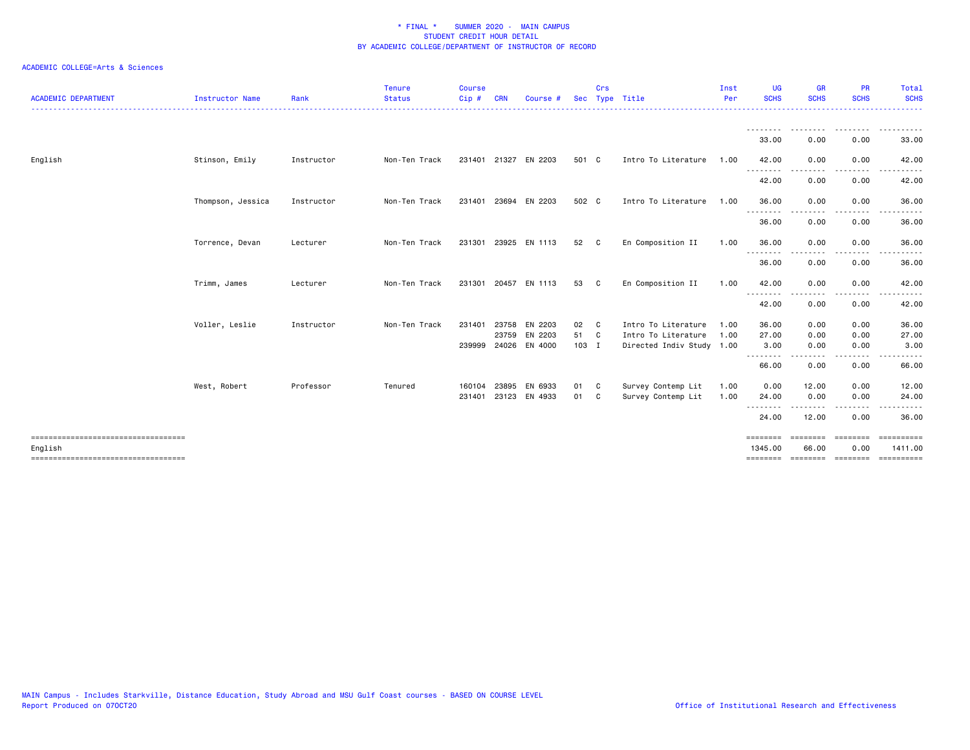|                   |            | <b>Status</b> | Cip#   | <b>CRN</b> | Course #                        |                                                                 | Sec Type Title                                                             | Per                 | <b>SCHS</b>                                       | <b>SCHS</b>                                                | <b>SCHS</b>                            | <b>SCHS</b>                                                               |
|-------------------|------------|---------------|--------|------------|---------------------------------|-----------------------------------------------------------------|----------------------------------------------------------------------------|---------------------|---------------------------------------------------|------------------------------------------------------------|----------------------------------------|---------------------------------------------------------------------------|
|                   |            |               |        |            |                                 |                                                                 |                                                                            |                     | --------<br>33.00                                 | 0.00                                                       | 0.00                                   | .<br>33.00                                                                |
| Stinson, Emily    | Instructor | Non-Ten Track |        |            |                                 |                                                                 | Intro To Literature                                                        |                     | 42.00                                             | 0.00                                                       | 0.00                                   | 42.00                                                                     |
|                   |            |               |        |            |                                 |                                                                 |                                                                            |                     | .<br>42.00                                        | 0.00                                                       | 0.00                                   | 42.00                                                                     |
| Thompson, Jessica | Instructor | Non-Ten Track | 231401 | 23694      | EN 2203                         |                                                                 | Intro To Literature                                                        |                     | 36.00                                             | 0.00                                                       | 0.00                                   | 36.00                                                                     |
|                   |            |               |        |            |                                 |                                                                 |                                                                            |                     | 36.00                                             | 0.00                                                       | 0.00                                   | 36.00                                                                     |
| Torrence, Devan   | Lecturer   | Non-Ten Track | 231301 | 23925      |                                 | 52                                                              | En Composition II                                                          | 1.00                | 36.00                                             | 0.00                                                       | 0.00                                   | 36.00                                                                     |
|                   |            |               |        |            |                                 |                                                                 |                                                                            |                     | 36.00                                             | 0.00                                                       | 0.00                                   | 36.00                                                                     |
| Trimm, James      | Lecturer   | Non-Ten Track | 231301 | 20457      | EN 1113                         | 53                                                              | En Composition II                                                          | 1.00                | 42.00<br>--------                                 | 0.00                                                       | 0.00                                   | 42.00                                                                     |
|                   |            |               |        |            |                                 |                                                                 |                                                                            |                     | 42.00                                             | 0.00                                                       | 0.00                                   | 42.00                                                                     |
| Voller, Leslie    | Instructor | Non-Ten Track | 231401 | 23758      | EN 2203                         |                                                                 | Intro To Literature                                                        | 1.00                | 36.00                                             | 0.00                                                       | 0.00                                   | 36.00                                                                     |
|                   |            |               |        |            |                                 |                                                                 |                                                                            |                     |                                                   |                                                            |                                        | 27.00                                                                     |
|                   |            |               |        |            |                                 |                                                                 |                                                                            |                     | .                                                 | -----                                                      |                                        | 3.00                                                                      |
|                   |            |               |        |            |                                 |                                                                 |                                                                            |                     | 66.00                                             | 0.00                                                       | 0.00                                   | 66.00                                                                     |
| West, Robert      | Professor  | Tenured       | 160104 | 23895      | EN 6933                         |                                                                 | Survey Contemp Lit                                                         | 1.00                | 0.00                                              | 12.00                                                      | 0.00                                   | 12.00                                                                     |
|                   |            |               | 231401 |            |                                 | 01                                                              | Survey Contemp Lit                                                         | 1.00                | 24.00                                             | 0.00                                                       | 0.00                                   | 24.00                                                                     |
|                   |            |               |        |            |                                 |                                                                 |                                                                            |                     | 24.00                                             | 12.00                                                      | 0.00                                   | 36.00                                                                     |
|                   |            |               |        |            |                                 |                                                                 |                                                                            |                     | ========                                          |                                                            |                                        | $=$ ==========<br>1411.00                                                 |
|                   |            |               |        |            | 231401 21327<br>23759<br>239999 | EN 2203<br>EN 1113<br>EN 2203<br>24026 EN 4000<br>23123 EN 4933 | 501 C<br>502 C<br>C.<br>C<br>02 C<br>51 C<br>103 I<br>01 C<br>$\mathbf{C}$ | Intro To Literature | 1.00<br>1.00<br>1.00<br>Directed Indiv Study 1.00 | .<br>.<br>27.00<br>3.00<br>--------<br>1345.00<br>======== | 0.00<br>0.00<br>.<br>========<br>66.00 | 0.00<br>0.00<br>========<br>0.00<br>=================<br><b>CONSESSED</b> |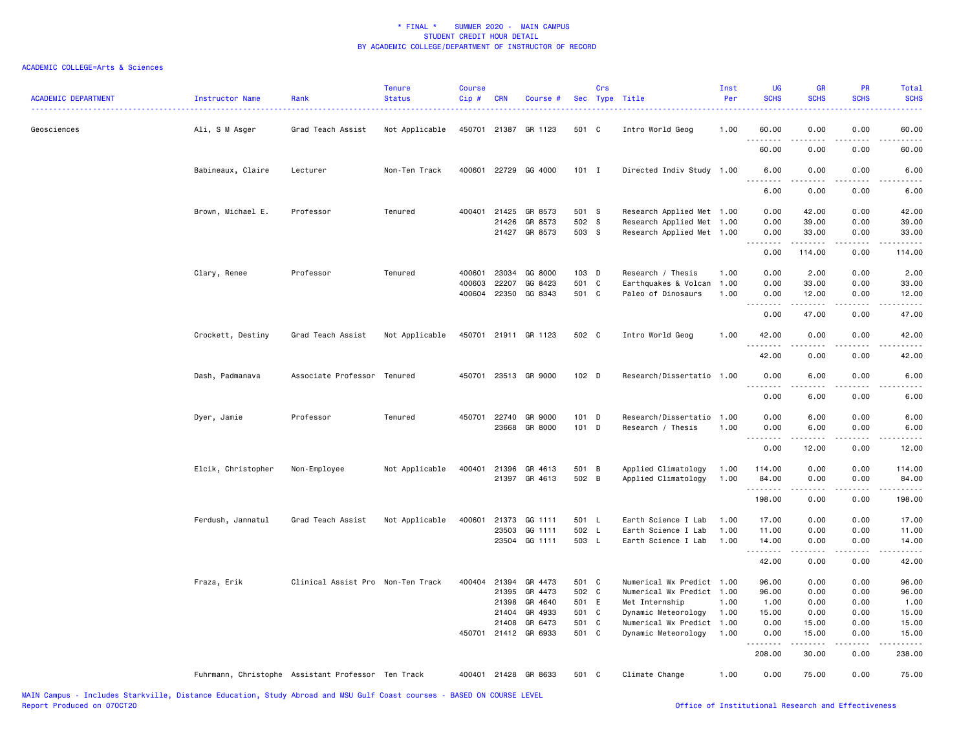| <b>ACADEMIC DEPARTMENT</b> | Instructor Name<br>. | Rank                                               | <b>Tenure</b><br><b>Status</b> | <b>Course</b><br>Cip# | <b>CRN</b>   | Course #             |         | Crs | Sec Type Title            | Inst<br>Per | <b>UG</b><br><b>SCHS</b> | <b>GR</b><br><b>SCHS</b> | <b>PR</b><br><b>SCHS</b> | Total<br><b>SCHS</b>                       |
|----------------------------|----------------------|----------------------------------------------------|--------------------------------|-----------------------|--------------|----------------------|---------|-----|---------------------------|-------------|--------------------------|--------------------------|--------------------------|--------------------------------------------|
| Geosciences                | Ali, S M Asger       | Grad Teach Assist                                  | Not Applicable                 |                       |              | 450701 21387 GR 1123 | 501 C   |     | Intro World Geog          | 1.00        | 60.00                    | 0.00                     | 0.00                     | 60.00                                      |
|                            |                      |                                                    |                                |                       |              |                      |         |     |                           |             | 60.00                    | 0.00                     | 0.00                     | 60.00                                      |
|                            | Babineaux, Claire    | Lecturer                                           | Non-Ten Track                  |                       |              | 400601 22729 GG 4000 | $101$ I |     | Directed Indiv Study 1.00 |             | 6.00                     | 0.00                     | 0.00                     | 6.00                                       |
|                            |                      |                                                    |                                |                       |              |                      |         |     |                           |             | 6.00                     | 0.00                     | 0.00                     | 6.00                                       |
|                            | Brown, Michael E.    | Professor                                          | Tenured                        | 400401                | 21425        | GR 8573              | 501 S   |     | Research Applied Met 1.00 |             | 0.00                     | 42.00                    | 0.00                     | 42.00                                      |
|                            |                      |                                                    |                                |                       | 21426        | GR 8573              | 502 S   |     | Research Applied Met      | 1.00        | 0.00                     | 39.00                    | 0.00                     | 39.00                                      |
|                            |                      |                                                    |                                |                       | 21427        | GR 8573              | 503 S   |     | Research Applied Met 1.00 |             | 0.00<br>.                | 33.00<br>.               | 0.00<br>المتمالين        | 33.00<br>.                                 |
|                            |                      |                                                    |                                |                       |              |                      |         |     |                           |             | 0.00                     | 114.00                   | 0.00                     | 114.00                                     |
|                            | Clary, Renee         | Professor                                          | Tenured                        | 400601                | 23034        | GG 8000              | 103 D   |     | Research / Thesis         | 1.00        | 0.00                     | 2.00                     | 0.00                     | 2.00                                       |
|                            |                      |                                                    |                                | 400603                | 22207        | GG 8423              | 501 C   |     | Earthquakes & Volcan      | 1.00        | 0.00                     | 33.00                    | 0.00                     | 33.00                                      |
|                            |                      |                                                    |                                |                       |              | 400604 22350 GG 8343 | 501 C   |     | Paleo of Dinosaurs        | 1.00        | 0.00<br>.                | 12.00<br>.               | 0.00<br>.                | 12.00<br>.                                 |
|                            |                      |                                                    |                                |                       |              |                      |         |     |                           |             | 0.00                     | 47.00                    | 0.00                     | 47.00                                      |
|                            | Crockett, Destiny    | Grad Teach Assist                                  | Not Applicable                 |                       |              | 450701 21911 GR 1123 | 502 C   |     | Intro World Geog          | 1.00        | 42.00<br>.               | 0.00                     | 0.00<br>$- - - -$        | 42.00<br>.                                 |
|                            |                      |                                                    |                                |                       |              |                      |         |     |                           |             | 42.00                    | 0.00                     | 0.00                     | 42.00                                      |
|                            | Dash, Padmanava      | Associate Professor Tenured                        |                                | 450701                |              | 23513 GR 9000        | 102 D   |     | Research/Dissertatio 1.00 |             | 0.00<br>.                | 6.00<br>-----            | 0.00<br>د د د د          | 6.00<br>$\sim$ $\sim$ $\sim$ $\sim$ $\sim$ |
|                            |                      |                                                    |                                |                       |              |                      |         |     |                           |             | 0.00                     | 6.00                     | 0.00                     | 6.00                                       |
|                            | Dyer, Jamie          | Professor                                          | Tenured                        | 450701                | 22740        | GR 9000              | $101$ D |     | Research/Dissertatio      | 1.00        | 0.00                     | 6.00                     | 0.00                     | 6.00                                       |
|                            |                      |                                                    |                                |                       | 23668        | GR 8000              | 101 D   |     | Research / Thesis         | 1.00        | 0.00                     | 6.00                     | 0.00                     | 6.00                                       |
|                            |                      |                                                    |                                |                       |              |                      |         |     |                           |             | .                        |                          |                          |                                            |
|                            |                      |                                                    |                                |                       |              |                      |         |     |                           |             | 0.00                     | 12.00                    | 0.00                     | 12.00                                      |
|                            | Elcik, Christopher   | Non-Employee                                       | Not Applicable                 | 400401                | 21396        | GR 4613              | 501 B   |     | Applied Climatology       | 1.00        | 114.00                   | 0.00                     | 0.00                     | 114.00                                     |
|                            |                      |                                                    |                                |                       |              | 21397 GR 4613        | 502 B   |     | Applied Climatology       | 1.00        | 84.00                    | 0.00                     | 0.00                     | 84.00                                      |
|                            |                      |                                                    |                                |                       |              |                      |         |     |                           |             | .<br>198.00              | -----<br>0.00            | .<br>0.00                | .<br>198.00                                |
|                            | Ferdush, Jannatul    | Grad Teach Assist                                  | Not Applicable                 | 400601                | 21373        | GG 1111              | 501 L   |     | Earth Science I Lab       | 1.00        | 17.00                    | 0.00                     | 0.00                     | 17.00                                      |
|                            |                      |                                                    |                                |                       | 23503        | GG 1111              | 502 L   |     | Earth Science I Lab       | 1.00        | 11.00                    | 0.00                     | 0.00                     | 11.00                                      |
|                            |                      |                                                    |                                |                       |              | 23504 GG 1111        | 503 L   |     | Earth Science I Lab       | 1.00        | 14.00                    | 0.00                     | 0.00                     | 14.00                                      |
|                            |                      |                                                    |                                |                       |              |                      |         |     |                           |             | .<br>42.00               | 2.2.2.2.2<br>0.00        | د د د د<br>0.00          | .<br>42.00                                 |
|                            | Fraza, Erik          | Clinical Assist Pro Non-Ten Track                  |                                |                       | 400404 21394 | GR 4473              | 501 C   |     | Numerical Wx Predict 1.00 |             | 96.00                    | 0.00                     | 0.00                     | 96.00                                      |
|                            |                      |                                                    |                                |                       | 21395        | GR 4473              | 502 C   |     | Numerical Wx Predict 1.00 |             | 96.00                    | 0.00                     | 0.00                     | 96.00                                      |
|                            |                      |                                                    |                                |                       | 21398        | GR 4640              | 501 E   |     | Met Internship            | 1.00        | 1.00                     | 0.00                     | 0.00                     | 1.00                                       |
|                            |                      |                                                    |                                |                       | 21404        | GR 4933              | 501 C   |     | Dynamic Meteorology       | 1.00        | 15.00                    | 0.00                     | 0.00                     | 15.00                                      |
|                            |                      |                                                    |                                |                       | 21408        | GR 6473              | 501 C   |     | Numerical Wx Predict      | 1.00        | 0.00                     | 15.00                    | 0.00                     | 15.00                                      |
|                            |                      |                                                    |                                |                       |              | 450701 21412 GR 6933 | 501 C   |     | Dynamic Meteorology       | 1.00        | 0.00<br>.                | 15.00<br>.               | 0.00<br>.                | 15.00<br>.                                 |
|                            |                      |                                                    |                                |                       |              |                      |         |     |                           |             | 208.00                   | 30.00                    | 0.00                     | 238.00                                     |
|                            |                      | Fuhrmann, Christophe Assistant Professor Ten Track |                                |                       |              | 400401 21428 GR 8633 | 501 C   |     | Climate Change            | 1.00        | 0.00                     | 75.00                    | 0.00                     | 75.00                                      |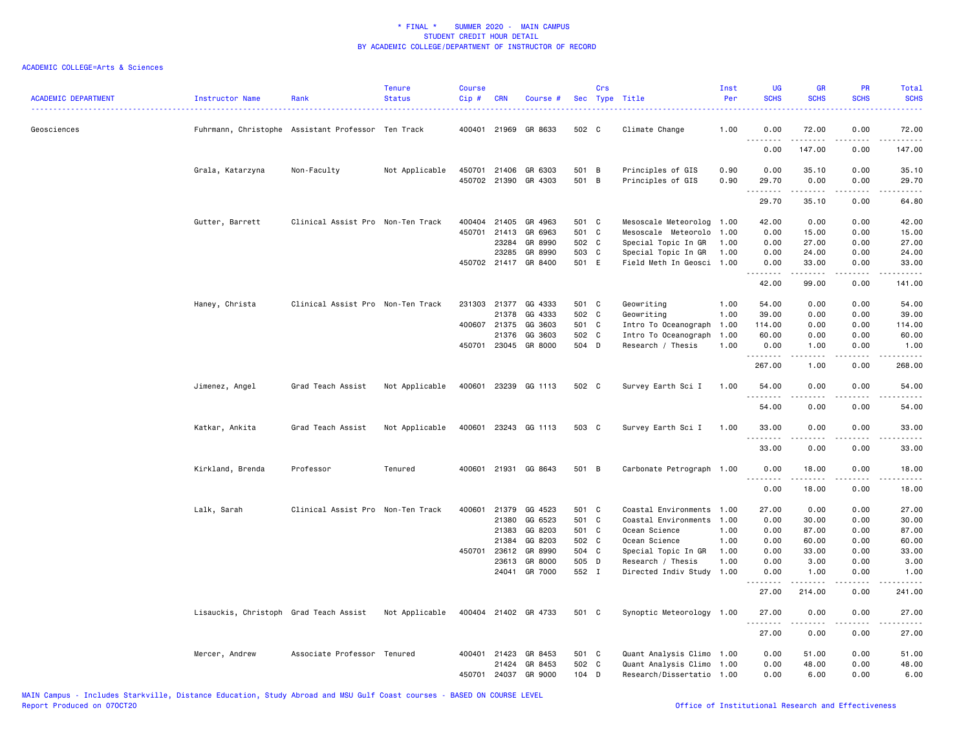| <b>ACADEMIC DEPARTMENT</b><br>------------------------------------ | Instructor Name                        | Rank                                               | <b>Tenure</b><br><b>Status</b> | <b>Course</b><br>Cip# | <b>CRN</b>   | Course #             |       | Crs | Sec Type Title            | Inst<br>Per | <b>UG</b><br><b>SCHS</b> | <b>GR</b><br><b>SCHS</b> | <b>PR</b><br><b>SCHS</b> | <b>Total</b><br><b>SCHS</b>                                                                                                        |
|--------------------------------------------------------------------|----------------------------------------|----------------------------------------------------|--------------------------------|-----------------------|--------------|----------------------|-------|-----|---------------------------|-------------|--------------------------|--------------------------|--------------------------|------------------------------------------------------------------------------------------------------------------------------------|
| Geosciences                                                        |                                        | Fuhrmann, Christophe Assistant Professor Ten Track |                                | 400401                | 21969        | GR 8633              | 502 C |     | Climate Change            | 1.00        | 0.00                     | 72.00                    | 0.00                     | 72.00                                                                                                                              |
|                                                                    |                                        |                                                    |                                |                       |              |                      |       |     |                           |             | <u>.</u><br>0.00         | 147.00                   | 0.00                     | 147.00                                                                                                                             |
|                                                                    | Grala, Katarzyna                       | Non-Faculty                                        | Not Applicable                 |                       | 450701 21406 | GR 6303              | 501 B |     | Principles of GIS         | 0.90        | 0.00                     | 35.10                    | 0.00                     | 35.10                                                                                                                              |
|                                                                    |                                        |                                                    |                                |                       |              | 450702 21390 GR 4303 | 501 B |     | Principles of GIS         | 0.90        | 29.70<br><u>.</u>        | 0.00<br>.                | 0.00<br>.                | 29.70<br>.                                                                                                                         |
|                                                                    |                                        |                                                    |                                |                       |              |                      |       |     |                           |             | 29.70                    | 35.10                    | 0.00                     | 64.80                                                                                                                              |
|                                                                    | Gutter, Barrett                        | Clinical Assist Pro Non-Ten Track                  |                                |                       | 400404 21405 | GR 4963              | 501 C |     | Mesoscale Meteorolog      | 1.00        | 42.00                    | 0.00                     | 0.00                     | 42.00                                                                                                                              |
|                                                                    |                                        |                                                    |                                | 450701                | 21413        | GR 6963              | 501 C |     | Mesoscale Meteorolo       | 1.00        | 0.00                     | 15.00                    | 0.00                     | 15.00                                                                                                                              |
|                                                                    |                                        |                                                    |                                |                       | 23284        | GR 8990              | 502 C |     | Special Topic In GR       | 1.00        | 0.00                     | 27.00                    | 0.00                     | 27.00                                                                                                                              |
|                                                                    |                                        |                                                    |                                |                       | 23285        | GR 8990              | 503 C |     | Special Topic In GR       | 1.00        | 0.00                     | 24.00                    | 0.00                     | 24.00                                                                                                                              |
|                                                                    |                                        |                                                    |                                |                       |              | 450702 21417 GR 8400 | 501 E |     | Field Meth In Geosci      | 1.00        | 0.00<br>.                | 33.00<br>$- - - - -$     | 0.00<br>.                | 33.00<br>.                                                                                                                         |
|                                                                    |                                        |                                                    |                                |                       |              |                      |       |     |                           |             | 42.00                    | 99.00                    | 0.00                     | 141.00                                                                                                                             |
|                                                                    | Haney, Christa                         | Clinical Assist Pro Non-Ten Track                  |                                |                       | 231303 21377 | GG 4333              | 501 C |     | Geowriting                | 1.00        | 54.00                    | 0.00                     | 0.00                     | 54.00                                                                                                                              |
|                                                                    |                                        |                                                    |                                |                       | 21378        | GG 4333              | 502 C |     | Geowriting                | 1.00        | 39.00                    | 0.00                     | 0.00                     | 39.00                                                                                                                              |
|                                                                    |                                        |                                                    |                                |                       | 400607 21375 | GG 3603              | 501 C |     | Intro To Oceanograph      | 1.00        | 114.00                   | 0.00                     | 0.00                     | 114.00                                                                                                                             |
|                                                                    |                                        |                                                    |                                |                       | 21376        | GG 3603              | 502 C |     | Intro To Oceanograph      | 1.00        | 60.00                    | 0.00                     | 0.00                     | 60.00                                                                                                                              |
|                                                                    |                                        |                                                    |                                |                       |              | 450701 23045 GR 8000 | 504 D |     | Research / Thesis         | 1.00        | 0.00<br>.                | 1.00                     | 0.00                     | 1.00<br>.                                                                                                                          |
|                                                                    |                                        |                                                    |                                |                       |              |                      |       |     |                           |             | 267.00                   | 1.00                     | 0.00                     | 268.00                                                                                                                             |
|                                                                    | Jimenez, Angel                         | Grad Teach Assist                                  | Not Applicable                 |                       |              | 400601 23239 GG 1113 | 502 C |     | Survey Earth Sci I        | 1.00        | 54.00<br>.               | 0.00<br>.                | 0.00                     | 54.00<br>$\frac{1}{2} \left( \frac{1}{2} \right) \left( \frac{1}{2} \right) \left( \frac{1}{2} \right) \left( \frac{1}{2} \right)$ |
|                                                                    |                                        |                                                    |                                |                       |              |                      |       |     |                           |             | 54.00                    | 0.00                     | 0.00                     | 54.00                                                                                                                              |
|                                                                    | Katkar, Ankita                         | Grad Teach Assist                                  | Not Applicable                 |                       |              | 400601 23243 GG 1113 | 503 C |     | Survey Earth Sci I        | 1.00        | 33.00                    | 0.00                     | 0.00                     | 33.00                                                                                                                              |
|                                                                    |                                        |                                                    |                                |                       |              |                      |       |     |                           |             | 33.00                    | 0.00                     | 0.00                     | 33.00                                                                                                                              |
|                                                                    | Kirkland, Brenda                       | Professor                                          | Tenured                        |                       |              | 400601 21931 GG 8643 | 501 B |     | Carbonate Petrograph 1.00 |             | 0.00                     | 18.00                    | 0.00                     | 18.00                                                                                                                              |
|                                                                    |                                        |                                                    |                                |                       |              |                      |       |     |                           |             | <u>.</u><br>0.00         | .<br>18.00               | .<br>0.00                | .<br>18.00                                                                                                                         |
|                                                                    | Lalk, Sarah                            | Clinical Assist Pro Non-Ten Track                  |                                | 400601                | 21379        | GG 4523              | 501 C |     | Coastal Environments      | 1.00        | 27.00                    | 0.00                     | 0.00                     | 27.00                                                                                                                              |
|                                                                    |                                        |                                                    |                                |                       | 21380        | GG 6523              | 501 C |     | Coastal Environments      | 1.00        | 0.00                     | 30.00                    | 0.00                     | 30.00                                                                                                                              |
|                                                                    |                                        |                                                    |                                |                       | 21383        | GG 8203              | 501 C |     | Ocean Science             | 1.00        | 0.00                     | 87.00                    | 0.00                     | 87.00                                                                                                                              |
|                                                                    |                                        |                                                    |                                |                       | 21384        | GG 8203              | 502 C |     | Ocean Science             | 1.00        | 0.00                     | 60.00                    | 0.00                     | 60.00                                                                                                                              |
|                                                                    |                                        |                                                    |                                | 450701                | 23612        | GR 8990              | 504 C |     | Special Topic In GR       | 1.00        | 0.00                     | 33.00                    | 0.00                     | 33.00                                                                                                                              |
|                                                                    |                                        |                                                    |                                |                       | 23613        | GR 8000              | 505 D |     | Research / Thesis         | 1.00        | 0.00                     | 3.00                     | 0.00                     | 3.00                                                                                                                               |
|                                                                    |                                        |                                                    |                                |                       |              | 24041 GR 7000        | 552 I |     | Directed Indiv Study      | 1.00        | 0.00                     | 1.00                     | 0.00                     | 1.00                                                                                                                               |
|                                                                    |                                        |                                                    |                                |                       |              |                      |       |     |                           |             | 27.00                    | 214.00                   | 0.00                     | 241.00                                                                                                                             |
|                                                                    | Lisauckis, Christoph Grad Teach Assist |                                                    | Not Applicable                 |                       |              | 400404 21402 GR 4733 | 501 C |     | Synoptic Meteorology 1.00 |             | 27.00                    | 0.00                     | 0.00                     | 27.00                                                                                                                              |
|                                                                    |                                        |                                                    |                                |                       |              |                      |       |     |                           |             | .<br>27.00               | .<br>0.00                | .<br>0.00                | .<br>27.00                                                                                                                         |
|                                                                    | Mercer, Andrew                         | Associate Professor Tenured                        |                                |                       | 400401 21423 | GR 8453              | 501 C |     | Quant Analysis Climo 1.00 |             | 0.00                     | 51.00                    | 0.00                     | 51.00                                                                                                                              |
|                                                                    |                                        |                                                    |                                |                       | 21424        | GR 8453              | 502 C |     | Quant Analysis Climo 1.00 |             | 0.00                     | 48.00                    | 0.00                     | 48.00                                                                                                                              |
|                                                                    |                                        |                                                    |                                | 450701                |              | 24037 GR 9000        | 104 D |     | Research/Dissertatio 1.00 |             | 0.00                     | 6.00                     | 0.00                     | 6.00                                                                                                                               |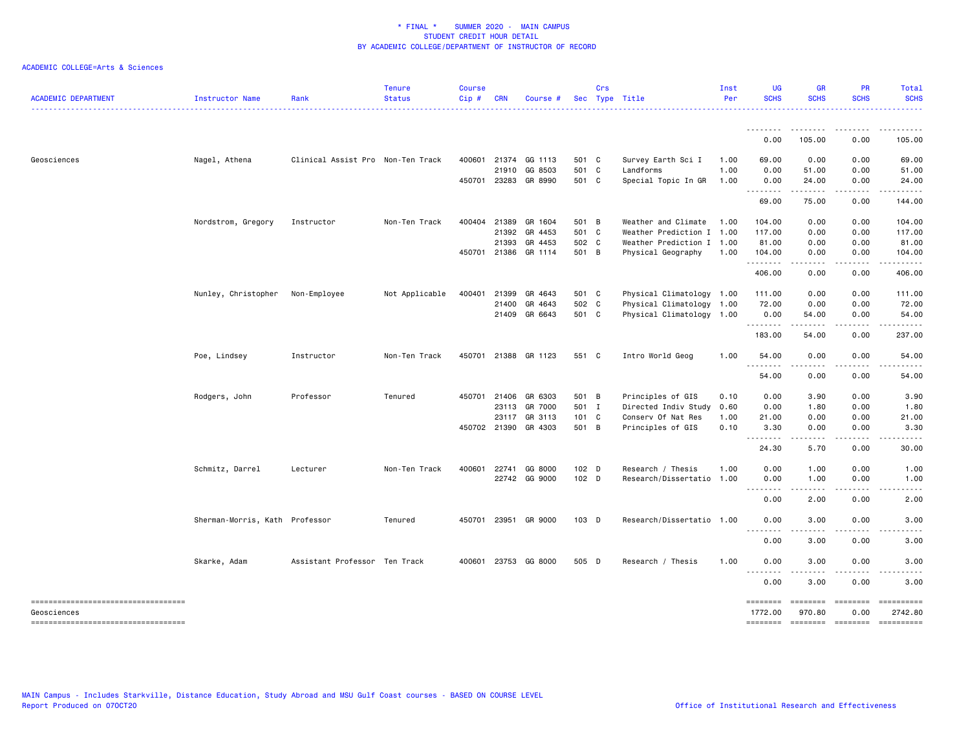| <b>ACADEMIC DEPARTMENT</b>            | Instructor Name                | Rank                              | <b>Tenure</b><br><b>Status</b> | <b>Course</b><br>Cip# | <b>CRN</b>   | Course #             |                  | Crs | Sec Type Title            | Inst<br>Per | <b>UG</b><br><b>SCHS</b>                                                                                              | <b>GR</b><br><b>SCHS</b>                                                                                                                                      | <b>PR</b><br><b>SCHS</b> | Total<br><b>SCHS</b>                                                                                                                                         |
|---------------------------------------|--------------------------------|-----------------------------------|--------------------------------|-----------------------|--------------|----------------------|------------------|-----|---------------------------|-------------|-----------------------------------------------------------------------------------------------------------------------|---------------------------------------------------------------------------------------------------------------------------------------------------------------|--------------------------|--------------------------------------------------------------------------------------------------------------------------------------------------------------|
|                                       |                                |                                   |                                |                       |              |                      |                  |     |                           |             |                                                                                                                       |                                                                                                                                                               |                          |                                                                                                                                                              |
|                                       |                                |                                   |                                |                       |              |                      |                  |     |                           |             | 0.00                                                                                                                  | 105.00                                                                                                                                                        | 0.00                     | 105.00                                                                                                                                                       |
| Geosciences                           | Nagel, Athena                  | Clinical Assist Pro Non-Ten Track |                                | 400601                | 21374        | GG 1113              | 501 C            |     | Survey Earth Sci I        | 1.00        | 69.00                                                                                                                 | 0.00                                                                                                                                                          | 0.00                     | 69.00                                                                                                                                                        |
|                                       |                                |                                   |                                |                       | 21910        | GG 8503              | 501 C            |     | Landforms                 | 1.00        | 0.00                                                                                                                  | 51.00                                                                                                                                                         | 0.00                     | 51.00                                                                                                                                                        |
|                                       |                                |                                   |                                |                       |              | 450701 23283 GR 8990 | 501 C            |     | Special Topic In GR       | 1.00        | 0.00<br>.                                                                                                             | 24.00<br>$\frac{1}{2} \left( \frac{1}{2} \right) \left( \frac{1}{2} \right) \left( \frac{1}{2} \right) \left( \frac{1}{2} \right) \left( \frac{1}{2} \right)$ | 0.00<br>المتماما         | 24.00<br>.                                                                                                                                                   |
|                                       |                                |                                   |                                |                       |              |                      |                  |     |                           |             | 69.00                                                                                                                 | 75.00                                                                                                                                                         | 0.00                     | 144.00                                                                                                                                                       |
|                                       | Nordstrom, Gregory             | Instructor                        | Non-Ten Track                  |                       | 400404 21389 | GR 1604              | 501 B            |     | Weather and Climate       | 1.00        | 104.00                                                                                                                | 0.00                                                                                                                                                          | 0.00                     | 104.00                                                                                                                                                       |
|                                       |                                |                                   |                                |                       | 21392        | GR 4453              | 501 C            |     | Weather Prediction I 1.00 |             | 117.00                                                                                                                | 0.00                                                                                                                                                          | 0.00                     | 117.00                                                                                                                                                       |
|                                       |                                |                                   |                                |                       | 21393        | GR 4453              | 502 C            |     | Weather Prediction I 1.00 |             | 81.00                                                                                                                 | 0.00                                                                                                                                                          | 0.00                     | 81.00                                                                                                                                                        |
|                                       |                                |                                   |                                |                       |              | 450701 21386 GR 1114 | 501 B            |     | Physical Geography        | 1.00        | 104.00<br>.                                                                                                           | 0.00<br>$\frac{1}{2} \left( \frac{1}{2} \right) \left( \frac{1}{2} \right) \left( \frac{1}{2} \right) \left( \frac{1}{2} \right) \left( \frac{1}{2} \right)$  | 0.00<br>.                | 104.00<br>.                                                                                                                                                  |
|                                       |                                |                                   |                                |                       |              |                      |                  |     |                           |             | 406.00                                                                                                                | 0.00                                                                                                                                                          | 0.00                     | 406.00                                                                                                                                                       |
|                                       | Nunley, Christopher            | Non-Employee                      | Not Applicable                 |                       | 400401 21399 | GR 4643              | 501 C            |     | Physical Climatology 1.00 |             | 111.00                                                                                                                | 0.00                                                                                                                                                          | 0.00                     | 111.00                                                                                                                                                       |
|                                       |                                |                                   |                                |                       | 21400        | GR 4643              | 502 C            |     | Physical Climatology 1.00 |             | 72.00                                                                                                                 | 0.00                                                                                                                                                          | 0.00                     | 72.00                                                                                                                                                        |
|                                       |                                |                                   |                                |                       |              | 21409 GR 6643        | 501 C            |     | Physical Climatology 1.00 |             | 0.00                                                                                                                  | 54.00                                                                                                                                                         | 0.00                     | 54.00                                                                                                                                                        |
|                                       |                                |                                   |                                |                       |              |                      |                  |     |                           |             | . <b>.</b><br>183.00                                                                                                  | 54.00                                                                                                                                                         | 0.00                     | 237.00                                                                                                                                                       |
|                                       | Poe, Lindsey                   | Instructor                        | Non-Ten Track                  |                       |              | 450701 21388 GR 1123 | 551 C            |     | Intro World Geog          | 1.00        | 54.00<br><u>.</u>                                                                                                     | 0.00<br>.                                                                                                                                                     | 0.00<br>$\frac{1}{2}$    | 54.00                                                                                                                                                        |
|                                       |                                |                                   |                                |                       |              |                      |                  |     |                           |             | 54.00                                                                                                                 | 0.00                                                                                                                                                          | 0.00                     | 54.00                                                                                                                                                        |
|                                       | Rodgers, John                  | Professor                         | Tenured                        |                       |              | 450701 21406 GR 6303 | 501 B            |     | Principles of GIS         | 0.10        | 0.00                                                                                                                  | 3.90                                                                                                                                                          | 0.00                     | 3.90                                                                                                                                                         |
|                                       |                                |                                   |                                |                       | 23113        | GR 7000              | 501 I            |     | Directed Indiv Study      | 0.60        | 0.00                                                                                                                  | 1.80                                                                                                                                                          | 0.00                     | 1.80                                                                                                                                                         |
|                                       |                                |                                   |                                |                       | 23117        | GR 3113              | 101 C            |     | Conserv Of Nat Res        | 1.00        | 21.00                                                                                                                 | 0.00                                                                                                                                                          | 0.00                     | 21.00                                                                                                                                                        |
|                                       |                                |                                   |                                |                       |              | 450702 21390 GR 4303 | 501 B            |     | Principles of GIS         | 0.10        | 3.30<br>.                                                                                                             | 0.00<br>-----                                                                                                                                                 | 0.00<br>المتماما         | 3.30<br>.                                                                                                                                                    |
|                                       |                                |                                   |                                |                       |              |                      |                  |     |                           |             | 24.30                                                                                                                 | 5.70                                                                                                                                                          | 0.00                     | 30.00                                                                                                                                                        |
|                                       | Schmitz, Darrel                | Lecturer                          | Non-Ten Track                  |                       | 400601 22741 | GG 8000              | 102 <sub>D</sub> |     | Research / Thesis         | 1.00        | 0.00                                                                                                                  | 1.00                                                                                                                                                          | 0.00                     | 1.00                                                                                                                                                         |
|                                       |                                |                                   |                                |                       |              | 22742 GG 9000        | 102 D            |     | Research/Dissertatio 1.00 |             | 0.00                                                                                                                  | 1.00                                                                                                                                                          | 0.00                     | 1.00                                                                                                                                                         |
|                                       |                                |                                   |                                |                       |              |                      |                  |     |                           |             | <b></b><br>0.00                                                                                                       | $\frac{1}{2} \left( \frac{1}{2} \right) \left( \frac{1}{2} \right) \left( \frac{1}{2} \right) \left( \frac{1}{2} \right) \left( \frac{1}{2} \right)$<br>2.00  | .<br>0.00                | $\frac{1}{2} \left( \frac{1}{2} \right) \left( \frac{1}{2} \right) \left( \frac{1}{2} \right) \left( \frac{1}{2} \right) \left( \frac{1}{2} \right)$<br>2.00 |
|                                       | Sherman-Morris, Kath Professor |                                   | Tenured                        |                       |              | 450701 23951 GR 9000 | 103 D            |     | Research/Dissertatio 1.00 |             | 0.00                                                                                                                  | 3.00                                                                                                                                                          | 0.00                     | 3.00                                                                                                                                                         |
|                                       |                                |                                   |                                |                       |              |                      |                  |     |                           |             | $\sim$ $\sim$ $\sim$<br>$\frac{1}{2} \frac{1}{2} \frac{1}{2} \frac{1}{2} \frac{1}{2} \frac{1}{2} \frac{1}{2}$<br>0.00 | 3.00                                                                                                                                                          | 0.00                     | 3.00                                                                                                                                                         |
|                                       | Skarke, Adam                   | Assistant Professor Ten Track     |                                | 400601                |              | 23753 GG 8000        | 505 D            |     | Research / Thesis         | 1.00        | 0.00                                                                                                                  | 3.00                                                                                                                                                          | 0.00                     | 3.00                                                                                                                                                         |
|                                       |                                |                                   |                                |                       |              |                      |                  |     |                           |             | .                                                                                                                     |                                                                                                                                                               |                          |                                                                                                                                                              |
|                                       |                                |                                   |                                |                       |              |                      |                  |     |                           |             | 0.00                                                                                                                  | 3.00                                                                                                                                                          | 0.00                     | 3.00                                                                                                                                                         |
| ===================================== |                                |                                   |                                |                       |              |                      |                  |     |                           |             | ========                                                                                                              |                                                                                                                                                               |                          | ==========                                                                                                                                                   |
| Geosciences                           |                                |                                   |                                |                       |              |                      |                  |     |                           |             | 1772.00                                                                                                               | 970.80                                                                                                                                                        | 0.00                     | 2742.80                                                                                                                                                      |
| ===================================== |                                |                                   |                                |                       |              |                      |                  |     |                           |             | ========                                                                                                              |                                                                                                                                                               | ======== ========        | -2222222222                                                                                                                                                  |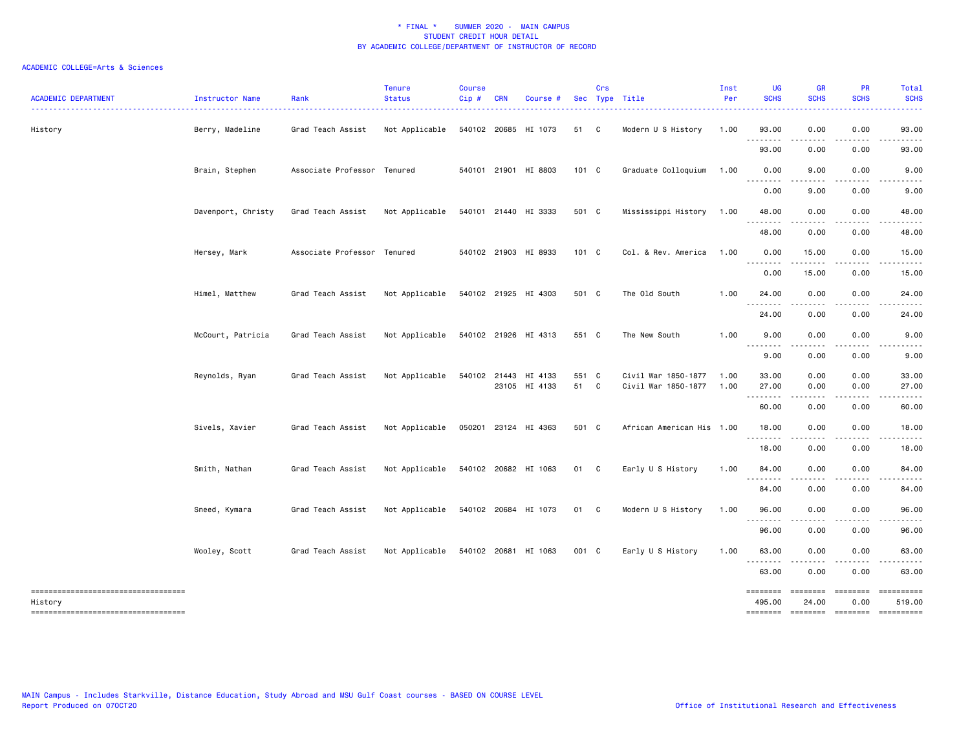| <b>ACADEMIC DEPARTMENT</b>                                                                | Instructor Name    | Rank                        | <b>Tenure</b><br><b>Status</b> | <b>Course</b><br>Cip# | <b>CRN</b> | Course #                              |               | Crs | Sec Type Title                             | Inst<br>Per  | <b>UG</b><br><b>SCHS</b>    | <b>GR</b><br><b>SCHS</b> | <b>PR</b><br><b>SCHS</b> | Total<br><b>SCHS</b>                                                                                                   |
|-------------------------------------------------------------------------------------------|--------------------|-----------------------------|--------------------------------|-----------------------|------------|---------------------------------------|---------------|-----|--------------------------------------------|--------------|-----------------------------|--------------------------|--------------------------|------------------------------------------------------------------------------------------------------------------------|
| History                                                                                   | Berry, Madeline    | Grad Teach Assist           | Not Applicable                 |                       |            | 540102 20685 HI 1073                  | 51 C          |     | Modern U S History                         | 1.00         | 93.00<br>.                  | 0.00                     | 0.00                     | 93.00                                                                                                                  |
|                                                                                           |                    |                             |                                |                       |            |                                       |               |     |                                            |              | 93.00                       | 0.00                     | 0.00                     | 93.00                                                                                                                  |
|                                                                                           | Brain, Stephen     | Associate Professor Tenured |                                |                       |            | 540101 21901 HI 8803                  | 101 C         |     | Graduate Colloquium                        | 1.00         | 0.00<br>.                   | 9.00<br>-----            | 0.00<br>.                | 9.00<br>-----                                                                                                          |
|                                                                                           |                    |                             |                                |                       |            |                                       |               |     |                                            |              | 0.00                        | 9.00                     | 0.00                     | 9.00                                                                                                                   |
|                                                                                           | Davenport, Christy | Grad Teach Assist           | Not Applicable                 |                       |            | 540101 21440 HI 3333                  | 501 C         |     | Mississippi History                        | 1.00         | 48.00<br>.                  | 0.00                     | 0.00                     | 48.00                                                                                                                  |
|                                                                                           |                    |                             |                                |                       |            |                                       |               |     |                                            |              | 48.00                       | 0.00                     | 0.00                     | 48.00                                                                                                                  |
|                                                                                           | Hersey, Mark       | Associate Professor Tenured |                                |                       |            | 540102 21903 HI 8933                  | 101 C         |     | Col. & Rev. America                        | 1.00         | 0.00<br>. <b>.</b>          | 15.00                    | 0.00                     | 15.00                                                                                                                  |
|                                                                                           |                    |                             |                                |                       |            |                                       |               |     |                                            |              | 0.00                        | 15.00                    | 0.00                     | 15.00                                                                                                                  |
|                                                                                           | Himel, Matthew     | Grad Teach Assist           | Not Applicable                 |                       |            | 540102 21925 HI 4303                  | 501 C         |     | The Old South                              | 1.00         | 24.00<br>.                  | 0.00                     | 0.00                     | 24.00<br>.                                                                                                             |
|                                                                                           |                    |                             |                                |                       |            |                                       |               |     |                                            |              | 24.00                       | 0.00                     | 0.00                     | 24.00                                                                                                                  |
|                                                                                           | McCourt, Patricia  | Grad Teach Assist           | Not Applicable                 |                       |            | 540102 21926 HI 4313                  | 551 C         |     | The New South                              | 1.00         | 9.00<br>.                   | 0.00<br>-----            | 0.00<br>$- - - -$        | 9.00<br>.                                                                                                              |
|                                                                                           |                    |                             |                                |                       |            |                                       |               |     |                                            |              | 9.00                        | 0.00                     | 0.00                     | 9.00                                                                                                                   |
|                                                                                           | Reynolds, Ryan     | Grad Teach Assist           | Not Applicable                 |                       |            | 540102 21443 HI 4133<br>23105 HI 4133 | 551 C<br>51 C |     | Civil War 1850-1877<br>Civil War 1850-1877 | 1.00<br>1.00 | 33.00<br>27.00              | 0.00<br>0.00             | 0.00<br>0.00             | 33.00<br>27.00                                                                                                         |
|                                                                                           |                    |                             |                                |                       |            |                                       |               |     |                                            |              | .<br>60.00                  | $- - - - -$<br>0.00      | .<br>0.00                | .<br>60.00                                                                                                             |
|                                                                                           | Sivels, Xavier     | Grad Teach Assist           | Not Applicable                 |                       |            | 050201 23124 HI 4363                  | 501 C         |     | African American His 1.00                  |              | 18.00<br><u>.</u>           | 0.00<br>-----            | 0.00<br>.                | 18.00<br>. <u>.</u>                                                                                                    |
|                                                                                           |                    |                             |                                |                       |            |                                       |               |     |                                            |              | 18.00                       | 0.00                     | 0.00                     | 18.00                                                                                                                  |
|                                                                                           | Smith, Nathan      | Grad Teach Assist           | Not Applicable                 |                       |            | 540102 20682 HI 1063                  | 01 C          |     | Early U S History                          | 1.00         | 84.00<br>$\frac{1}{2}$<br>. | 0.00                     | 0.00                     | 84.00                                                                                                                  |
|                                                                                           |                    |                             |                                |                       |            |                                       |               |     |                                            |              | 84.00                       | 0.00                     | 0.00                     | 84.00                                                                                                                  |
|                                                                                           | Sneed, Kymara      | Grad Teach Assist           | Not Applicable                 |                       |            | 540102 20684 HI 1073                  | 01 C          |     | Modern U S History                         | 1.00         | 96.00                       | 0.00                     | 0.00                     | 96.00                                                                                                                  |
|                                                                                           |                    |                             |                                |                       |            |                                       |               |     |                                            |              | 96.00                       | 0.00                     | 0.00                     | 96.00                                                                                                                  |
|                                                                                           | Wooley, Scott      | Grad Teach Assist           | Not Applicable                 |                       |            | 540102 20681 HI 1063                  | 001 C         |     | Early U S History                          | 1.00         | 63.00<br>.                  | 0.00                     | 0.00                     | 63.00                                                                                                                  |
|                                                                                           |                    |                             |                                |                       |            |                                       |               |     |                                            |              | 63.00                       | 0.00                     | 0.00                     | 63.00                                                                                                                  |
| =====================================<br>History<br>===================================== |                    |                             |                                |                       |            |                                       |               |     |                                            |              | ========<br>495.00          | 24.00                    | 0.00                     | -2222222222<br>519.00<br>$\begin{array}{c} \texttt{m} = \texttt{m} = \texttt{m} = \texttt{m} = \texttt{m} \end{array}$ |
|                                                                                           |                    |                             |                                |                       |            |                                       |               |     |                                            |              |                             |                          |                          |                                                                                                                        |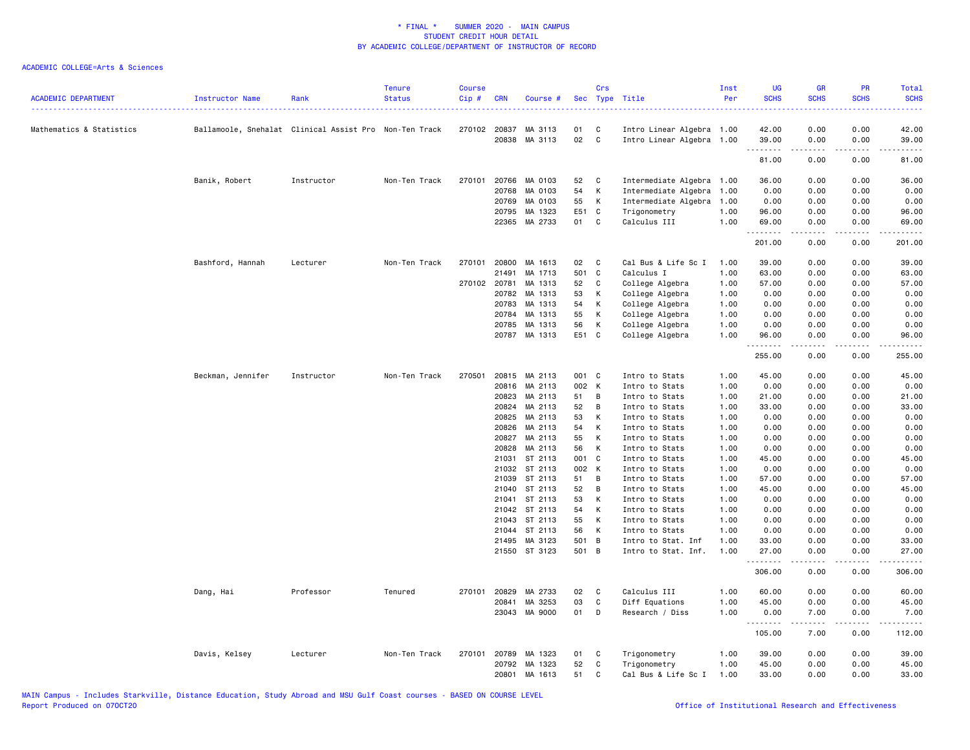| <b>ACADEMIC DEPARTMENT</b> | Instructor Name   | Rank                                                   | <b>Tenure</b><br><b>Status</b> | <b>Course</b><br>Cip# | <b>CRN</b>     | Course #           | <b>Sec</b> | Crs          | Type Title                       | Inst<br>Per  | <b>UG</b><br><b>SCHS</b> | <b>GR</b><br><b>SCHS</b> | <b>PR</b><br><b>SCHS</b>            | <b>Total</b><br><b>SCHS</b><br><b><i><u><u>.</u></u></i></b> |
|----------------------------|-------------------|--------------------------------------------------------|--------------------------------|-----------------------|----------------|--------------------|------------|--------------|----------------------------------|--------------|--------------------------|--------------------------|-------------------------------------|--------------------------------------------------------------|
| Mathematics & Statistics   |                   | Ballamoole, Snehalat Clinical Assist Pro Non-Ten Track |                                |                       | 270102 20837   | MA 3113            | 01         | C            | Intro Linear Algebra 1.00        |              | 42.00                    | 0.00                     | 0.00                                | 42.00                                                        |
|                            |                   |                                                        |                                |                       | 20838          | MA 3113            | 02         | $\mathbf c$  | Intro Linear Algebra 1.00        |              | 39.00<br>.               | 0.00<br>.                | 0.00<br>$\sim$ $\sim$ $\sim$ $\sim$ | 39.00<br>.                                                   |
|                            |                   |                                                        |                                |                       |                |                    |            |              |                                  |              | 81.00                    | 0.00                     | 0.00                                | 81.00                                                        |
|                            | Banik, Robert     | Instructor                                             | Non-Ten Track                  | 270101                | 20766          | MA 0103            | 52         | C            | Intermediate Algebra             | 1.00         | 36.00                    | 0.00                     | 0.00                                | 36.00                                                        |
|                            |                   |                                                        |                                |                       | 20768          | MA 0103            | 54         | К            | Intermediate Algebra             | 1.00         | 0.00                     | 0.00                     | 0.00                                | 0.00                                                         |
|                            |                   |                                                        |                                |                       | 20769          | MA 0103            | 55         | К            | Intermediate Algebra             | 1.00         | 0.00                     | 0.00                     | 0.00                                | 0.00                                                         |
|                            |                   |                                                        |                                |                       | 20795          | MA 1323            | E51        | C            | Trigonometry                     | 1.00         | 96.00                    | 0.00                     | 0.00                                | 96.00                                                        |
|                            |                   |                                                        |                                |                       | 22365          | MA 2733            | 01         | C            | Calculus III                     | 1.00         | 69.00<br>.               | 0.00<br>-----            | 0.00<br>.                           | 69.00<br>.                                                   |
|                            |                   |                                                        |                                |                       |                |                    |            |              |                                  |              | 201.00                   | 0.00                     | 0.00                                | 201.00                                                       |
|                            | Bashford, Hannah  | Lecturer                                               | Non-Ten Track                  | 270101                | 20800          | MA 1613            | 02         | C            | Cal Bus & Life Sc I              | 1.00         | 39.00                    | 0.00                     | 0.00                                | 39.00                                                        |
|                            |                   |                                                        |                                |                       | 21491          | MA 1713            | 501        | C            | Calculus I                       | 1.00         | 63.00                    | 0.00                     | 0.00                                | 63.00                                                        |
|                            |                   |                                                        |                                |                       | 270102 20781   | MA 1313            | 52         | C            | College Algebra                  | 1.00         | 57.00                    | 0.00                     | 0.00                                | 57.00                                                        |
|                            |                   |                                                        |                                |                       | 20782          | MA 1313            | 53         | К            | College Algebra                  | 1.00         | 0.00                     | 0.00                     | 0.00                                | 0.00                                                         |
|                            |                   |                                                        |                                |                       | 20783          | MA 1313            | 54         | К            | College Algebra                  | 1.00         | 0.00                     | 0.00                     | 0.00                                | 0.00                                                         |
|                            |                   |                                                        |                                |                       | 20784          | MA 1313            | 55         | К            | College Algebra                  | 1.00         | 0.00                     | 0.00                     | 0.00                                | 0.00                                                         |
|                            |                   |                                                        |                                |                       | 20785          | MA 1313            | 56         | К            | College Algebra                  | 1.00         | 0.00                     | 0.00                     | 0.00                                | 0.00                                                         |
|                            |                   |                                                        |                                |                       | 20787          | MA 1313            | E51 C      |              | College Algebra                  | 1.00         | 96.00                    | 0.00<br>.                | 0.00<br>$- - - -$                   | 96.00<br>.                                                   |
|                            |                   |                                                        |                                |                       |                |                    |            |              |                                  |              | 255.00                   | 0.00                     | 0.00                                | 255.00                                                       |
|                            | Beckman, Jennifer | Instructor                                             | Non-Ten Track                  | 270501                | 20815          | MA 2113            | 001 C      |              | Intro to Stats                   | 1.00         | 45.00                    | 0.00                     | 0.00                                | 45.00                                                        |
|                            |                   |                                                        |                                |                       | 20816          | MA 2113            | 002 K      |              | Intro to Stats                   | 1.00         | 0.00                     | 0.00                     | 0.00                                | 0.00                                                         |
|                            |                   |                                                        |                                |                       | 20823          | MA 2113            | 51         | B            | Intro to Stats                   | 1.00         | 21.00                    | 0.00                     | 0.00                                | 21.00                                                        |
|                            |                   |                                                        |                                |                       | 20824          | MA 2113            | 52         | В            | Intro to Stats                   | 1.00         | 33.00                    | 0.00                     | 0.00                                | 33.00                                                        |
|                            |                   |                                                        |                                |                       | 20825          | MA 2113            | 53         | К            | Intro to Stats                   | 1.00         | 0.00                     | 0.00                     | 0.00                                | 0.00                                                         |
|                            |                   |                                                        |                                |                       | 20826          | MA 2113            | 54         | К            | Intro to Stats                   | 1.00         | 0.00                     | 0.00                     | 0.00                                | 0.00                                                         |
|                            |                   |                                                        |                                |                       | 20827          | MA 2113            | 55         | К            | Intro to Stats                   | 1.00         | 0.00                     | 0.00                     | 0.00                                | 0.00                                                         |
|                            |                   |                                                        |                                |                       | 20828          | MA 2113            | 56         | к            | Intro to Stats                   | 1.00         | 0.00                     | 0.00                     | 0.00                                | 0.00                                                         |
|                            |                   |                                                        |                                |                       | 21031          | ST 2113            | 001 C      |              | Intro to Stats                   | 1.00         | 45.00                    | 0.00                     | 0.00                                | 45.00                                                        |
|                            |                   |                                                        |                                |                       | 21032          | ST 2113            | 002 K      |              | Intro to Stats                   | 1.00         | 0.00                     | 0.00                     | 0.00                                | 0.00                                                         |
|                            |                   |                                                        |                                |                       | 21039<br>21040 | ST 2113<br>ST 2113 | 51<br>52   | B<br>B       | Intro to Stats                   | 1.00<br>1.00 | 57.00<br>45.00           | 0.00<br>0.00             | 0.00<br>0.00                        | 57.00<br>45.00                                               |
|                            |                   |                                                        |                                |                       |                | ST 2113            | 53         | К            | Intro to Stats                   | 1.00         | 0.00                     |                          |                                     | 0.00                                                         |
|                            |                   |                                                        |                                |                       | 21041<br>21042 | ST 2113            | 54         | К            | Intro to Stats<br>Intro to Stats | 1.00         | 0.00                     | 0.00<br>0.00             | 0.00<br>0.00                        | 0.00                                                         |
|                            |                   |                                                        |                                |                       | 21043          | ST 2113            | 55         | К            | Intro to Stats                   | 1.00         | 0.00                     | 0.00                     | 0.00                                | 0.00                                                         |
|                            |                   |                                                        |                                |                       | 21044          | ST 2113            | 56         | К            | Intro to Stats                   | 1.00         | 0.00                     | 0.00                     | 0.00                                | 0.00                                                         |
|                            |                   |                                                        |                                |                       | 21495          | MA 3123            | 501 B      |              | Intro to Stat. Inf               | 1.00         | 33.00                    | 0.00                     | 0.00                                | 33.00                                                        |
|                            |                   |                                                        |                                |                       |                | 21550 ST 3123      | 501 B      |              | Intro to Stat. Inf.              | 1.00         | 27.00                    | 0.00                     | 0.00                                | 27.00                                                        |
|                            |                   |                                                        |                                |                       |                |                    |            |              |                                  |              | .<br>306.00              | $- - - - -$<br>0.00      | .<br>0.00                           | .<br>306.00                                                  |
|                            | Dang, Hai         | Professor                                              | Tenured                        | 270101                | 20829          | MA 2733            | 02         | C            | Calculus III                     | 1.00         | 60.00                    | 0.00                     | 0.00                                | 60.00                                                        |
|                            |                   |                                                        |                                |                       | 20841          | MA 3253            | 03         | $\mathtt{C}$ | Diff Equations                   | 1.00         | 45.00                    | 0.00                     | 0.00                                | 45.00                                                        |
|                            |                   |                                                        |                                |                       |                | 23043 MA 9000      | 01         | D            | Research / Diss                  | 1.00         | 0.00                     | 7.00                     | 0.00                                | 7.00                                                         |
|                            |                   |                                                        |                                |                       |                |                    |            |              |                                  |              | <u>.</u><br>105.00       | $- - - -$<br>7.00        | .<br>0.00                           | .<br>112.00                                                  |
|                            | Davis, Kelsey     | Lecturer                                               | Non-Ten Track                  | 270101                | 20789          | MA 1323            | 01         | C            | Trigonometry                     | 1.00         | 39,00                    | 0.00                     | 0.00                                | 39.00                                                        |
|                            |                   |                                                        |                                |                       | 20792          | MA 1323            | 52         | C            | Trigonometry                     | 1.00         | 45.00                    | 0.00                     | 0.00                                | 45.00                                                        |
|                            |                   |                                                        |                                |                       | 20801          | MA 1613            | 51         | C            | Cal Bus & Life Sc I              | 1.00         | 33.00                    | 0.00                     | 0.00                                | 33.00                                                        |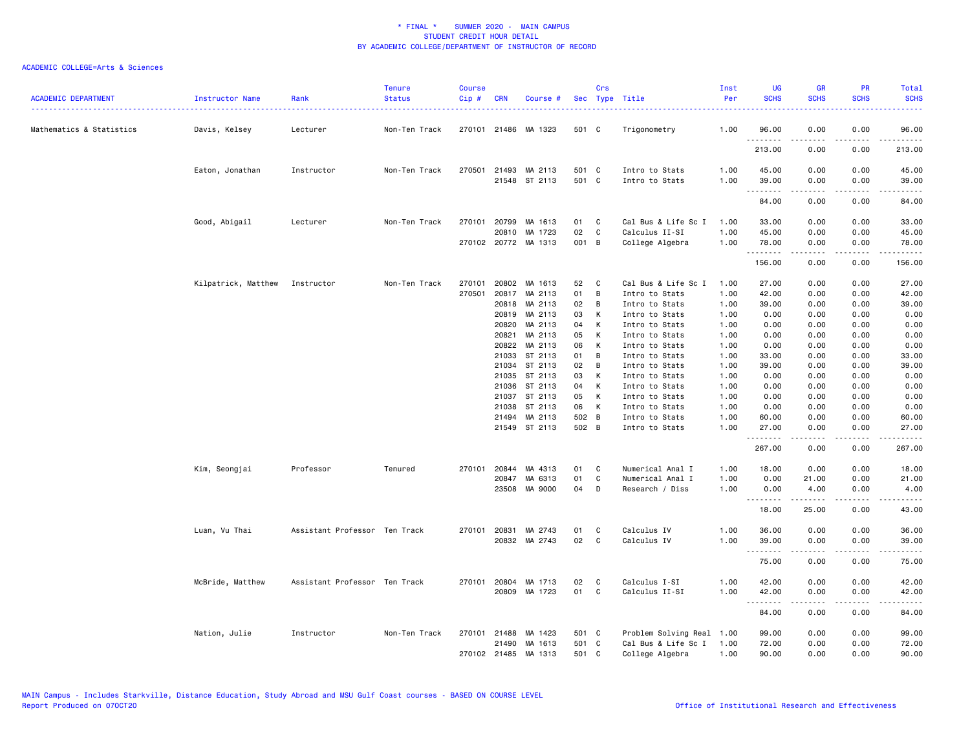| <b>ACADEMIC DEPARTMENT</b> | Instructor Name                | Rank                          | <b>Tenure</b><br><b>Status</b> | <b>Course</b><br>Cip# | <b>CRN</b>   | Course #             |       | Crs          | Sec Type Title       | Inst<br>Per | <b>UG</b><br><b>SCHS</b> | <b>GR</b><br><b>SCHS</b>                                                                                                                                                                                                                                                                                                                     | PR<br><b>SCHS</b> | Total<br><b>SCHS</b> |
|----------------------------|--------------------------------|-------------------------------|--------------------------------|-----------------------|--------------|----------------------|-------|--------------|----------------------|-------------|--------------------------|----------------------------------------------------------------------------------------------------------------------------------------------------------------------------------------------------------------------------------------------------------------------------------------------------------------------------------------------|-------------------|----------------------|
| Mathematics & Statistics   | Davis, Kelsey                  | Lecturer                      | Non-Ten Track                  |                       |              | 270101 21486 MA 1323 | 501 C |              | Trigonometry         | 1.00        | 96.00                    | 0.00                                                                                                                                                                                                                                                                                                                                         | 0.00              | 96.00                |
|                            |                                |                               |                                |                       |              |                      |       |              |                      |             | .<br>213.00              | -----<br>0.00                                                                                                                                                                                                                                                                                                                                | .<br>0.00         | .<br>213.00          |
|                            | Eaton, Jonathan                | Instructor                    | Non-Ten Track                  |                       |              | 270501 21493 MA 2113 | 501 C |              | Intro to Stats       | 1.00        | 45.00                    | 0.00                                                                                                                                                                                                                                                                                                                                         | 0.00              | 45.00                |
|                            |                                |                               |                                |                       |              | 21548 ST 2113        | 501 C |              | Intro to Stats       | 1.00        | 39.00<br>.               | 0.00<br>$\frac{1}{2} \left( \begin{array}{ccc} 1 & 0 & 0 & 0 \\ 0 & 0 & 0 & 0 \\ 0 & 0 & 0 & 0 \\ 0 & 0 & 0 & 0 \\ 0 & 0 & 0 & 0 \\ 0 & 0 & 0 & 0 \\ 0 & 0 & 0 & 0 \\ 0 & 0 & 0 & 0 \\ 0 & 0 & 0 & 0 \\ 0 & 0 & 0 & 0 \\ 0 & 0 & 0 & 0 & 0 \\ 0 & 0 & 0 & 0 & 0 \\ 0 & 0 & 0 & 0 & 0 \\ 0 & 0 & 0 & 0 & 0 \\ 0 & 0 & 0 & 0 & 0 \\ 0 & 0 & 0$ | 0.00<br>.         | 39.00<br>.           |
|                            |                                |                               |                                |                       |              |                      |       |              |                      |             | 84.00                    | 0.00                                                                                                                                                                                                                                                                                                                                         | 0.00              | 84.00                |
|                            | Good, Abigail                  | Lecturer                      | Non-Ten Track                  | 270101                | 20799        | MA 1613              | 01    | C            | Cal Bus & Life Sc I  | 1.00        | 33.00                    | 0.00                                                                                                                                                                                                                                                                                                                                         | 0.00              | 33.00                |
|                            |                                |                               |                                |                       | 20810        | MA 1723              | 02    | $\mathbf c$  | Calculus II-SI       | 1.00        | 45.00                    | 0.00                                                                                                                                                                                                                                                                                                                                         | 0.00              | 45.00                |
|                            |                                |                               |                                |                       |              | 270102 20772 MA 1313 | 001 B |              | College Algebra      | 1.00        | 78.00<br>.               | 0.00                                                                                                                                                                                                                                                                                                                                         | 0.00<br>.         | 78.00<br>.           |
|                            |                                |                               |                                |                       |              |                      |       |              |                      |             | 156.00                   | 0.00                                                                                                                                                                                                                                                                                                                                         | 0.00              | 156.00               |
|                            | Kilpatrick, Matthew Instructor |                               | Non-Ten Track                  | 270101                | 20802        | MA 1613              | 52    | C            | Cal Bus & Life Sc I  | 1.00        | 27.00                    | 0.00                                                                                                                                                                                                                                                                                                                                         | 0.00              | 27.00                |
|                            |                                |                               |                                | 270501                |              | 20817 MA 2113        | 01    | B            | Intro to Stats       | 1.00        | 42.00                    | 0.00                                                                                                                                                                                                                                                                                                                                         | 0.00              | 42.00                |
|                            |                                |                               |                                |                       |              | 20818 MA 2113        | 02    | В            | Intro to Stats       | 1.00        | 39.00                    | 0.00                                                                                                                                                                                                                                                                                                                                         | 0.00              | 39.00                |
|                            |                                |                               |                                |                       | 20819        | MA 2113              | 03    | К            | Intro to Stats       | 1.00        | 0.00                     | 0.00                                                                                                                                                                                                                                                                                                                                         | 0.00              | 0.00                 |
|                            |                                |                               |                                |                       | 20820        | MA 2113              | 04    | К            | Intro to Stats       | 1.00        | 0.00                     | 0.00                                                                                                                                                                                                                                                                                                                                         | 0.00              | 0.00                 |
|                            |                                |                               |                                |                       | 20821        | MA 2113              | 05    | К            | Intro to Stats       | 1.00        | 0.00                     | 0.00                                                                                                                                                                                                                                                                                                                                         | 0.00              | 0.00                 |
|                            |                                |                               |                                |                       | 20822        | MA 2113              | 06    | К            | Intro to Stats       | 1.00        | 0.00                     | 0.00                                                                                                                                                                                                                                                                                                                                         | 0.00              | 0.00                 |
|                            |                                |                               |                                |                       | 21033        | ST 2113              | 01    | В            | Intro to Stats       | 1.00        | 33.00                    | 0.00                                                                                                                                                                                                                                                                                                                                         | 0.00              | 33.00                |
|                            |                                |                               |                                |                       | 21034        | ST 2113              | 02    | B            | Intro to Stats       | 1.00        | 39.00                    | 0.00                                                                                                                                                                                                                                                                                                                                         | 0.00              | 39.00                |
|                            |                                |                               |                                |                       | 21035        | ST 2113              | 03    | К            | Intro to Stats       | 1.00        | 0.00                     | 0.00                                                                                                                                                                                                                                                                                                                                         | 0.00              | 0.00                 |
|                            |                                |                               |                                |                       | 21036        | ST 2113              | 04    | К            | Intro to Stats       | 1.00        | 0.00                     | 0.00                                                                                                                                                                                                                                                                                                                                         | 0.00              | 0.00                 |
|                            |                                |                               |                                |                       | 21037        | ST 2113              | 05    | К            | Intro to Stats       | 1.00        | 0.00                     | 0.00                                                                                                                                                                                                                                                                                                                                         | 0.00              | 0.00                 |
|                            |                                |                               |                                |                       | 21038        | ST 2113              | 06    | К            | Intro to Stats       | 1.00        | 0.00                     | 0.00                                                                                                                                                                                                                                                                                                                                         | 0.00              | 0.00                 |
|                            |                                |                               |                                |                       | 21494        | MA 2113              | 502 B |              | Intro to Stats       | 1.00        | 60.00                    | 0.00                                                                                                                                                                                                                                                                                                                                         | 0.00              | 60.00                |
|                            |                                |                               |                                |                       |              | 21549 ST 2113        | 502 B |              | Intro to Stats       | 1.00        | 27.00<br>.               | 0.00                                                                                                                                                                                                                                                                                                                                         | 0.00<br>.         | 27.00<br>.           |
|                            |                                |                               |                                |                       |              |                      |       |              |                      |             | 267.00                   | 0.00                                                                                                                                                                                                                                                                                                                                         | 0.00              | 267.00               |
|                            | Kim, Seongjai                  | Professor                     | Tenured                        | 270101                | 20844        | MA 4313              | 01    | C            | Numerical Anal I     | 1.00        | 18.00                    | 0.00                                                                                                                                                                                                                                                                                                                                         | 0.00              | 18.00                |
|                            |                                |                               |                                |                       | 20847        | MA 6313              | 01    | C            | Numerical Anal I     | 1.00        | 0.00                     | 21.00                                                                                                                                                                                                                                                                                                                                        | 0.00              | 21.00                |
|                            |                                |                               |                                |                       |              | 23508 MA 9000        | 04    | D            | Research / Diss      | 1.00        | 0.00<br>.                | 4.00<br>$- - - - -$                                                                                                                                                                                                                                                                                                                          | 0.00<br>.         | 4.00<br>.            |
|                            |                                |                               |                                |                       |              |                      |       |              |                      |             | 18.00                    | 25.00                                                                                                                                                                                                                                                                                                                                        | 0.00              | 43.00                |
|                            | Luan, Vu Thai                  | Assistant Professor Ten Track |                                |                       | 270101 20831 | MA 2743              | 01    | C            | Calculus IV          | 1.00        | 36.00                    | 0.00                                                                                                                                                                                                                                                                                                                                         | 0.00              | 36.00                |
|                            |                                |                               |                                |                       |              | 20832 MA 2743        | 02    | $\mathtt{C}$ | Calculus IV          | 1.00        | 39.00                    | 0.00                                                                                                                                                                                                                                                                                                                                         | 0.00              | 39.00                |
|                            |                                |                               |                                |                       |              |                      |       |              |                      |             | <b></b><br>75.00         | -----<br>0.00                                                                                                                                                                                                                                                                                                                                | .<br>0.00         | .<br>75.00           |
|                            | McBride, Matthew               | Assistant Professor Ten Track |                                |                       |              | 270101 20804 MA 1713 | 02    | C            | Calculus I-SI        | 1.00        | 42.00                    | 0.00                                                                                                                                                                                                                                                                                                                                         | 0.00              | 42.00                |
|                            |                                |                               |                                |                       |              | 20809 MA 1723        | 01    | C            | Calculus II-SI       | 1.00        | 42.00                    | 0.00                                                                                                                                                                                                                                                                                                                                         | 0.00              | 42.00                |
|                            |                                |                               |                                |                       |              |                      |       |              |                      |             | <u>--------</u><br>84.00 | 0.00                                                                                                                                                                                                                                                                                                                                         | ----<br>0.00      | 84.00                |
|                            | Nation, Julie                  | Instructor                    | Non-Ten Track                  | 270101                | 21488        | MA 1423              | 501 C |              | Problem Solving Real | 1.00        | 99.00                    | 0.00                                                                                                                                                                                                                                                                                                                                         | 0.00              | 99.00                |
|                            |                                |                               |                                |                       | 21490        | MA 1613              | 501 C |              | Cal Bus & Life Sc I  | 1.00        | 72.00                    | 0.00                                                                                                                                                                                                                                                                                                                                         | 0.00              | 72.00                |
|                            |                                |                               |                                |                       |              | 270102 21485 MA 1313 | 501 C |              | College Algebra      | 1.00        | 90.00                    | 0.00                                                                                                                                                                                                                                                                                                                                         | 0.00              | 90.00                |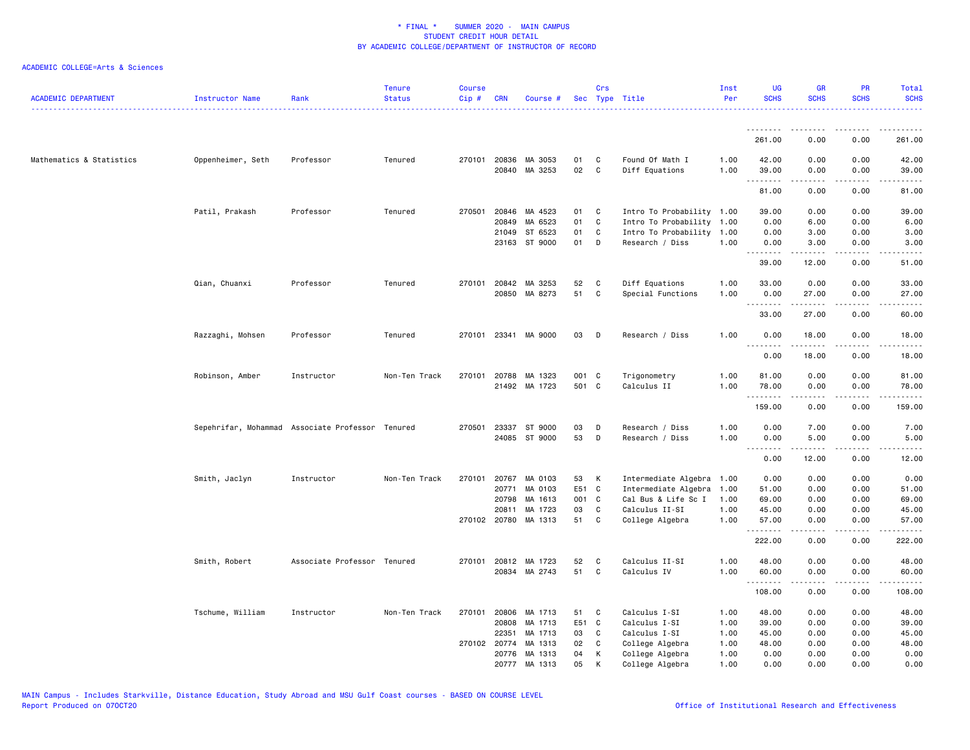| <b>ACADEMIC DEPARTMENT</b> | Instructor Name   | Rank                                             | <b>Tenure</b><br><b>Status</b> | <b>Course</b><br>Cip# | <b>CRN</b>            | Course #                              |                | Crs               | Sec Type Title                               | Inst<br>Per  | <b>UG</b><br><b>SCHS</b> | <b>GR</b><br><b>SCHS</b>                                                                                                                                             | <b>PR</b><br><b>SCHS</b> | Total<br><b>SCHS</b>   |
|----------------------------|-------------------|--------------------------------------------------|--------------------------------|-----------------------|-----------------------|---------------------------------------|----------------|-------------------|----------------------------------------------|--------------|--------------------------|----------------------------------------------------------------------------------------------------------------------------------------------------------------------|--------------------------|------------------------|
|                            |                   |                                                  |                                |                       |                       |                                       |                |                   |                                              |              | .                        | <u> - - - - - - - -</u>                                                                                                                                              |                          |                        |
|                            |                   |                                                  |                                |                       |                       |                                       |                |                   |                                              |              | 261.00                   | 0.00                                                                                                                                                                 | 0.00                     | 261.00                 |
| Mathematics & Statistics   | Oppenheimer, Seth | Professor                                        | Tenured                        |                       |                       | 270101 20836 MA 3053<br>20840 MA 3253 | 01<br>02       | C<br>$\mathtt{C}$ | Found Of Math I<br>Diff Equations            | 1.00<br>1.00 | 42.00<br>39.00<br>.      | 0.00<br>0.00<br>$\frac{1}{2} \left( \frac{1}{2} \right) \left( \frac{1}{2} \right) \left( \frac{1}{2} \right) \left( \frac{1}{2} \right) \left( \frac{1}{2} \right)$ | 0.00<br>0.00<br>.        | 42.00<br>39.00<br>.    |
|                            |                   |                                                  |                                |                       |                       |                                       |                |                   |                                              |              | 81.00                    | 0.00                                                                                                                                                                 | 0.00                     | 81.00                  |
|                            | Patil, Prakash    | Professor                                        | Tenured                        | 270501                | 20846                 | MA 4523                               | 01             | C                 | Intro To Probability 1.00                    |              | 39.00                    | 0.00                                                                                                                                                                 | 0.00                     | 39.00                  |
|                            |                   |                                                  |                                |                       | 20849                 | MA 6523                               | 01             | C                 | Intro To Probability 1.00                    |              | 0.00                     | 6.00                                                                                                                                                                 | 0.00                     | 6.00                   |
|                            |                   |                                                  |                                |                       | 21049                 | ST 6523<br>23163 ST 9000              | 01<br>01       | C<br>D            | Intro To Probability 1.00<br>Research / Diss | 1.00         | 0.00<br>0.00             | 3.00<br>3.00                                                                                                                                                         | 0.00<br>0.00             | 3.00<br>3.00           |
|                            |                   |                                                  |                                |                       |                       |                                       |                |                   |                                              |              | .<br>39.00               | .<br>12.00                                                                                                                                                           | .<br>0.00                | $\frac{1}{2}$<br>51.00 |
|                            | Qian, Chuanxi     | Professor                                        | Tenured                        | 270101                | 20842                 | MA 3253                               | 52             | C                 | Diff Equations                               | 1.00         | 33.00                    | 0.00                                                                                                                                                                 | 0.00                     | 33.00                  |
|                            |                   |                                                  |                                |                       |                       | 20850 MA 8273                         | 51             | C                 | Special Functions                            | 1.00         | 0.00<br>.                | 27.00<br>.                                                                                                                                                           | 0.00<br>.                | 27.00<br>.             |
|                            |                   |                                                  |                                |                       |                       |                                       |                |                   |                                              |              | 33.00                    | 27.00                                                                                                                                                                | 0.00                     | 60.00                  |
|                            | Razzaghi, Mohsen  | Professor                                        | Tenured                        |                       |                       | 270101 23341 MA 9000                  | 03             | $\Box$            | Research / Diss                              | 1.00         | 0.00                     | 18.00                                                                                                                                                                | 0.00                     | 18.00                  |
|                            |                   |                                                  |                                |                       |                       |                                       |                |                   |                                              |              | 1.1.1.1.1.1.1<br>0.00    | .<br>18.00                                                                                                                                                           | .<br>0.00                | .<br>18.00             |
|                            | Robinson, Amber   | Instructor                                       | Non-Ten Track                  | 270101                |                       | 20788 MA 1323                         | 001 C          |                   | Trigonometry                                 | 1.00         | 81.00                    | 0.00                                                                                                                                                                 | 0.00                     | 81.00                  |
|                            |                   |                                                  |                                |                       |                       | 21492 MA 1723                         | 501 C          |                   | Calculus II                                  | 1.00         | 78.00<br>.               | 0.00                                                                                                                                                                 | 0.00<br>.                | 78.00<br>.             |
|                            |                   |                                                  |                                |                       |                       |                                       |                |                   |                                              |              | 159.00                   | 0.00                                                                                                                                                                 | 0.00                     | 159.00                 |
|                            |                   | Sepehrifar, Mohammad Associate Professor Tenured |                                | 270501                | 23337                 | ST 9000                               | 03             | D                 | Research / Diss                              | 1.00         | 0.00                     | 7.00                                                                                                                                                                 | 0.00                     | 7.00                   |
|                            |                   |                                                  |                                |                       |                       | 24085 ST 9000                         | 53             | D                 | Research / Diss                              | 1.00         | 0.00<br>.                | 5.00<br>$\frac{1}{2} \left( \frac{1}{2} \right) \left( \frac{1}{2} \right) \left( \frac{1}{2} \right) \left( \frac{1}{2} \right) \left( \frac{1}{2} \right)$         | 0.00<br>.                | 5.00<br>$\frac{1}{2}$  |
|                            |                   |                                                  |                                |                       |                       |                                       |                |                   |                                              |              | 0.00                     | 12.00                                                                                                                                                                | 0.00                     | 12.00                  |
|                            | Smith, Jaclyn     | Instructor                                       | Non-Ten Track                  | 270101                | 20767                 | MA 0103                               | 53             | К                 | Intermediate Algebra 1.00                    |              | 0.00                     | 0.00                                                                                                                                                                 | 0.00                     | 0.00                   |
|                            |                   |                                                  |                                |                       | 20771                 | MA 0103<br>MA 1613                    | E51 C<br>001 C |                   | Intermediate Algebra                         | 1.00         | 51.00                    | 0.00                                                                                                                                                                 | 0.00                     | 51.00<br>69.00         |
|                            |                   |                                                  |                                |                       | 20798<br>20811        | MA 1723                               | 03             | C                 | Cal Bus & Life Sc I<br>Calculus II-SI        | 1.00<br>1.00 | 69.00<br>45.00           | 0.00<br>0.00                                                                                                                                                         | 0.00<br>0.00             | 45.00                  |
|                            |                   |                                                  |                                |                       | 270102 20780          | MA 1313                               | 51             | $\mathbf{C}$      | College Algebra                              | 1.00         | 57.00                    | 0.00                                                                                                                                                                 | 0.00                     | 57.00                  |
|                            |                   |                                                  |                                |                       |                       |                                       |                |                   |                                              |              | .<br>222.00              | 0.00                                                                                                                                                                 | 0.00                     | 222.00                 |
|                            | Smith, Robert     | Associate Professor Tenured                      |                                |                       |                       | 270101 20812 MA 1723                  | 52             | C                 | Calculus II-SI                               | 1.00         | 48.00                    | 0.00                                                                                                                                                                 | 0.00                     | 48.00                  |
|                            |                   |                                                  |                                |                       |                       | 20834 MA 2743                         | 51             | $\mathtt{C}$      | Calculus IV                                  | 1.00         | 60.00<br>.               | 0.00<br>$\frac{1}{2} \left( \frac{1}{2} \right) \left( \frac{1}{2} \right) \left( \frac{1}{2} \right) \left( \frac{1}{2} \right) \left( \frac{1}{2} \right)$         | 0.00<br>.                | 60.00<br>.             |
|                            |                   |                                                  |                                |                       |                       |                                       |                |                   |                                              |              | 108.00                   | 0.00                                                                                                                                                                 | 0.00                     | 108.00                 |
|                            | Tschume, William  | Instructor                                       | Non-Ten Track                  | 270101                | 20806                 | MA 1713                               | 51             | C                 | Calculus I-SI                                | 1.00         | 48.00                    | 0.00                                                                                                                                                                 | 0.00                     | 48.00                  |
|                            |                   |                                                  |                                |                       | 20808                 | MA 1713                               | E51 C          |                   | Calculus I-SI                                | 1.00         | 39.00                    | 0.00                                                                                                                                                                 | 0.00                     | 39.00                  |
|                            |                   |                                                  |                                |                       | 22351<br>270102 20774 | MA 1713<br>MA 1313                    | 03<br>02       | C<br>C            | Calculus I-SI                                | 1.00<br>1.00 | 45.00<br>48.00           | 0.00<br>0.00                                                                                                                                                         | 0.00<br>0.00             | 45.00<br>48.00         |
|                            |                   |                                                  |                                |                       | 20776                 | MA 1313                               | 04             | К                 | College Algebra<br>College Algebra           | 1.00         | 0.00                     | 0.00                                                                                                                                                                 | 0.00                     | 0.00                   |
|                            |                   |                                                  |                                |                       |                       | 20777 MA 1313                         | 05             | K                 | College Algebra                              | 1.00         | 0.00                     | 0.00                                                                                                                                                                 | 0.00                     | 0.00                   |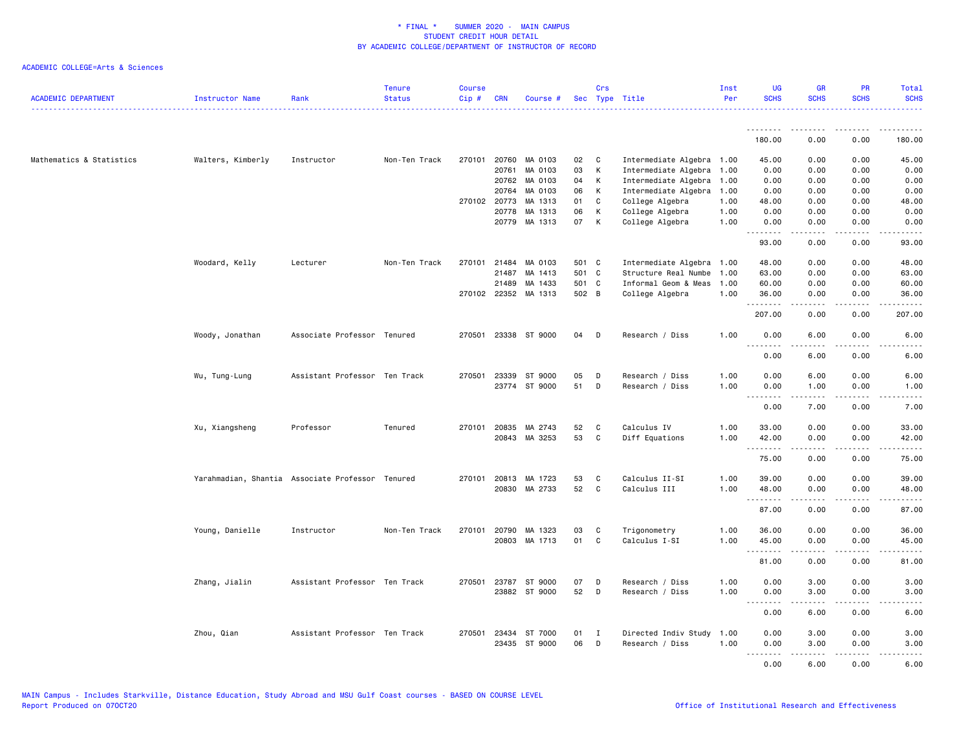| <b>ACADEMIC DEPARTMENT</b> | Instructor Name                                  | Rank                          | <b>Tenure</b><br><b>Status</b> | <b>Course</b><br>Cip# | <b>CRN</b>   | Course #             |       | Crs          | Sec Type Title            | Inst<br>Per | <b>UG</b><br><b>SCHS</b> | <b>GR</b><br><b>SCHS</b>     | PR<br><b>SCHS</b>      | <b>Total</b><br><b>SCHS</b><br>.                                                                                                                             |
|----------------------------|--------------------------------------------------|-------------------------------|--------------------------------|-----------------------|--------------|----------------------|-------|--------------|---------------------------|-------------|--------------------------|------------------------------|------------------------|--------------------------------------------------------------------------------------------------------------------------------------------------------------|
|                            |                                                  |                               |                                |                       |              |                      |       |              |                           |             | .                        | $\frac{1}{2}$                | $- - - -$              | .                                                                                                                                                            |
|                            |                                                  |                               |                                |                       |              |                      |       |              |                           |             | 180.00                   | 0.00                         | 0.00                   | 180.00                                                                                                                                                       |
| Mathematics & Statistics   | Walters, Kimberly                                | Instructor                    | Non-Ten Track                  |                       |              | 270101 20760 MA 0103 | 02    | $\mathbf{C}$ | Intermediate Algebra 1.00 |             | 45.00                    | 0.00                         | 0.00                   | 45.00                                                                                                                                                        |
|                            |                                                  |                               |                                |                       | 20761        | MA 0103              | 03    | К            | Intermediate Algebra      | 1.00        | 0.00                     | 0.00                         | 0.00                   | 0.00                                                                                                                                                         |
|                            |                                                  |                               |                                |                       |              | 20762 MA 0103        | 04    | K            | Intermediate Algebra      | 1.00        | 0.00                     | 0.00                         | 0.00                   | 0.00                                                                                                                                                         |
|                            |                                                  |                               |                                |                       | 20764        | MA 0103              | 06    | K            | Intermediate Algebra      | 1.00        | 0.00                     | 0.00                         | 0.00                   | 0.00                                                                                                                                                         |
|                            |                                                  |                               |                                |                       | 270102 20773 | MA 1313              | 01    | C            | College Algebra           | 1.00        | 48.00                    | 0.00                         | 0.00                   | 48.00                                                                                                                                                        |
|                            |                                                  |                               |                                |                       |              | 20778 MA 1313        | 06    | К            | College Algebra           | 1.00        | 0.00                     | 0.00                         | 0.00                   | 0.00                                                                                                                                                         |
|                            |                                                  |                               |                                |                       |              | 20779 MA 1313        | 07    | K            | College Algebra           | 1.00        | 0.00<br>.                | 0.00<br>$\sim$ $\sim$ $\sim$ | 0.00<br>د د د د        | 0.00<br>$\sim$ $\sim$ $\sim$ $\sim$ $\sim$                                                                                                                   |
|                            |                                                  |                               |                                |                       |              |                      |       |              |                           |             | 93.00                    | 0.00                         | 0.00                   | 93.00                                                                                                                                                        |
|                            | Woodard, Kelly                                   | Lecturer                      | Non-Ten Track                  | 270101                | 21484        | MA 0103              | 501 C |              | Intermediate Algebra 1.00 |             | 48.00                    | 0.00                         | 0.00                   | 48.00                                                                                                                                                        |
|                            |                                                  |                               |                                |                       | 21487        | MA 1413              | 501 C |              | Structure Real Numbe      | 1.00        | 63.00                    | 0.00                         | 0.00                   | 63.00                                                                                                                                                        |
|                            |                                                  |                               |                                |                       | 21489        | MA 1433              | 501 C |              | Informal Geom & Meas      | 1.00        | 60.00                    | 0.00                         | 0.00                   | 60.00                                                                                                                                                        |
|                            |                                                  |                               |                                |                       |              | 270102 22352 MA 1313 | 502 B |              | College Algebra           | 1.00        | 36.00                    | 0.00                         | 0.00                   | 36.00                                                                                                                                                        |
|                            |                                                  |                               |                                |                       |              |                      |       |              |                           |             | .<br>207.00              | 0.00                         | .<br>0.00              | .<br>207.00                                                                                                                                                  |
|                            | Woody, Jonathan                                  | Associate Professor Tenured   |                                | 270501                |              | 23338 ST 9000        | 04    | D            | Research / Diss           | 1.00        | 0.00                     | 6.00                         | 0.00                   | 6.00                                                                                                                                                         |
|                            |                                                  |                               |                                |                       |              |                      |       |              |                           |             | .                        |                              |                        |                                                                                                                                                              |
|                            |                                                  |                               |                                |                       |              |                      |       |              |                           |             | 0.00                     | 6.00                         | 0.00                   | 6.00                                                                                                                                                         |
|                            | Wu, Tung-Lung                                    | Assistant Professor Ten Track |                                |                       |              | 270501 23339 ST 9000 | 05    | D            | Research / Diss           | 1.00        | 0.00                     | 6.00                         | 0.00                   | 6.00                                                                                                                                                         |
|                            |                                                  |                               |                                |                       |              | 23774 ST 9000        | 51    | D            | Research / Diss           | 1.00        | 0.00                     | 1.00                         | 0.00                   | 1.00                                                                                                                                                         |
|                            |                                                  |                               |                                |                       |              |                      |       |              |                           |             | .<br>0.00                | .<br>7.00                    | .<br>0.00              | $\frac{1}{2} \left( \frac{1}{2} \right) \left( \frac{1}{2} \right) \left( \frac{1}{2} \right) \left( \frac{1}{2} \right)$<br>7.00                            |
|                            | Xu, Xiangsheng                                   | Professor                     | Tenured                        | 270101                | 20835        | MA 2743              | 52    | C            | Calculus IV               | 1.00        | 33.00                    | 0.00                         | 0.00                   | 33.00                                                                                                                                                        |
|                            |                                                  |                               |                                |                       |              | 20843 MA 3253        | 53    | C            | Diff Equations            | 1.00        | 42.00                    | 0.00                         | 0.00                   | 42.00                                                                                                                                                        |
|                            |                                                  |                               |                                |                       |              |                      |       |              |                           |             | .                        | .                            | .                      | .                                                                                                                                                            |
|                            |                                                  |                               |                                |                       |              |                      |       |              |                           |             | 75.00                    | 0.00                         | 0.00                   | 75.00                                                                                                                                                        |
|                            | Yarahmadian, Shantia Associate Professor Tenured |                               |                                | 270101                |              | 20813 MA 1723        | 53    | C            | Calculus II-SI            | 1.00        | 39.00                    | 0.00                         | 0.00                   | 39.00                                                                                                                                                        |
|                            |                                                  |                               |                                |                       |              | 20830 MA 2733        | 52    | C            | Calculus III              | 1.00        | 48.00<br><u>.</u>        | 0.00                         | 0.00<br>$\frac{1}{2}$  | 48.00<br>$\frac{1}{2}$                                                                                                                                       |
|                            |                                                  |                               |                                |                       |              |                      |       |              |                           |             | 87.00                    | 0.00                         | 0.00                   | 87.00                                                                                                                                                        |
|                            | Young, Danielle                                  | Instructor                    | Non-Ten Track                  |                       |              | 270101 20790 MA 1323 | 03    | C            | Trigonometry              | 1.00        | 36.00                    | 0.00                         | 0.00                   | 36.00                                                                                                                                                        |
|                            |                                                  |                               |                                |                       |              | 20803 MA 1713        | 01    | C            | Calculus I-SI             | 1.00        | 45.00                    | 0.00                         | 0.00                   | 45.00                                                                                                                                                        |
|                            |                                                  |                               |                                |                       |              |                      |       |              |                           |             | .                        | $- - - - -$                  | .                      | .                                                                                                                                                            |
|                            |                                                  |                               |                                |                       |              |                      |       |              |                           |             | 81.00                    | 0.00                         | 0.00                   | 81.00                                                                                                                                                        |
|                            | Zhang, Jialin                                    | Assistant Professor Ten Track |                                | 270501                |              | 23787 ST 9000        | 07    | D            | Research / Diss           | 1.00        | 0.00                     | 3.00                         | 0.00                   | 3.00                                                                                                                                                         |
|                            |                                                  |                               |                                |                       |              | 23882 ST 9000        | 52    | D            | Research / Diss           | 1.00        | 0.00                     | 3.00                         | 0.00                   | 3.00                                                                                                                                                         |
|                            |                                                  |                               |                                |                       |              |                      |       |              |                           |             | .<br>0.00                | .<br>6.00                    | .<br>0.00              | $\frac{1}{2} \left( \frac{1}{2} \right) \left( \frac{1}{2} \right) \left( \frac{1}{2} \right) \left( \frac{1}{2} \right) \left( \frac{1}{2} \right)$<br>6.00 |
|                            | Zhou, Qian                                       | Assistant Professor Ten Track |                                | 270501                | 23434        | ST 7000              | 01    | I            | Directed Indiv Study      | 1.00        | 0.00                     | 3.00                         | 0.00                   | 3.00                                                                                                                                                         |
|                            |                                                  |                               |                                |                       |              | 23435 ST 9000        | 06    | D            | Research / Diss           | 1.00        | 0.00                     | 3.00                         | 0.00                   | 3.00                                                                                                                                                         |
|                            |                                                  |                               |                                |                       |              |                      |       |              |                           |             | .                        | .                            | $\omega$ is a $\omega$ | .                                                                                                                                                            |
|                            |                                                  |                               |                                |                       |              |                      |       |              |                           |             | 0.00                     | 6.00                         | 0.00                   | 6.00                                                                                                                                                         |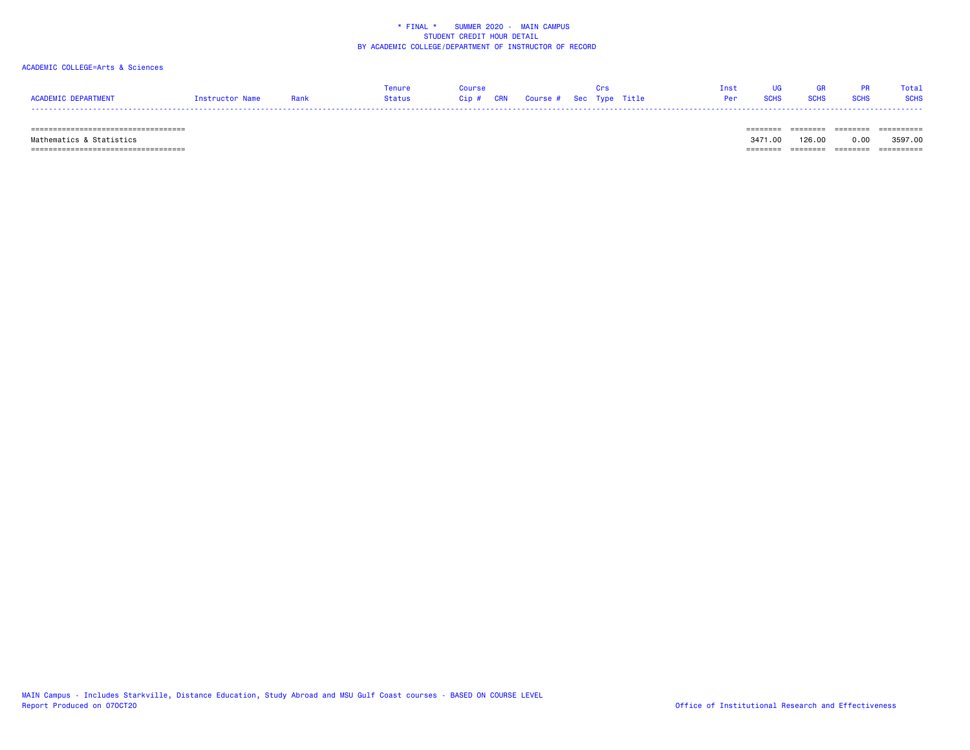# ACADEMIC COLLEGE=Arts & Sciences

|                     |                 |      | Tenure |                                   |  |  | Tnst            | <b>GR</b>   |      | Total       |
|---------------------|-----------------|------|--------|-----------------------------------|--|--|-----------------|-------------|------|-------------|
| ACADEMIC DEPARTMENT | Tnstructor Name | Rank | Status | Cip # CRN Course # Sec Type Title |  |  | <b>Per</b> SCHS | <b>SCHS</b> | SCHS | <b>SCHS</b> |
|                     |                 |      |        |                                   |  |  |                 |             |      |             |

 =================================== ======== ======== ======== ========== Mathematics & Statistics 3471.00 126.00 0.00 3597.00  $=$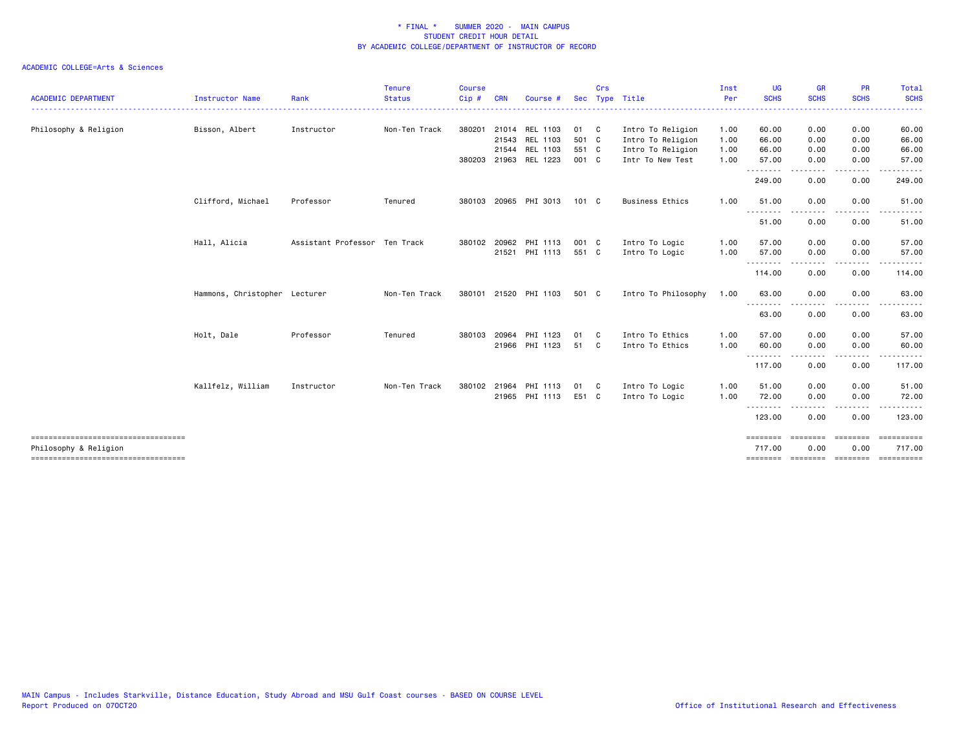|                                                              |                               |                               | <b>Tenure</b> | <b>Course</b> |            |                       |               | Crs          |                        | Inst | <b>UG</b>          | <b>GR</b>               | <b>PR</b>               | Total       |
|--------------------------------------------------------------|-------------------------------|-------------------------------|---------------|---------------|------------|-----------------------|---------------|--------------|------------------------|------|--------------------|-------------------------|-------------------------|-------------|
| <b>ACADEMIC DEPARTMENT</b>                                   | <b>Instructor Name</b>        | Rank                          | <b>Status</b> | Cip#          | <b>CRN</b> | Course                | <b>Sec</b>    |              | Type Title             | Per  | <b>SCHS</b>        | <b>SCHS</b>             | <b>SCHS</b>             | <b>SCHS</b> |
| Philosophy & Religion                                        | Bisson, Albert                | Instructor                    | Non-Ten Track |               |            | 380201 21014 REL 1103 | 01 C          |              | Intro To Religion      | 1.00 | 60.00              | 0.00                    | 0.00                    | 60.00       |
|                                                              |                               |                               |               |               |            | 21543 REL 1103        | 501 C         |              | Intro To Religion      | 1.00 | 66.00              | 0.00                    | 0.00                    | 66.00       |
|                                                              |                               |                               |               |               | 21544      | REL 1103              | 551 C         |              | Intro To Religion      | 1.00 | 66.00              | 0.00                    | 0.00                    | 66.00       |
|                                                              |                               |                               |               |               |            | 380203 21963 REL 1223 | 001 C         |              | Intr To New Test       | 1.00 | 57.00              | 0.00                    | 0.00                    | 57.00       |
|                                                              |                               |                               |               |               |            |                       |               |              |                        |      | 249.00             | 0.00                    | 0.00                    | 249.00      |
|                                                              | Clifford, Michael             | Professor                     | Tenured       | 380103        | 20965      | PHI 3013              | $101 \quad C$ |              | <b>Business Ethics</b> | 1.00 | 51.00              | 0.00                    | 0.00                    | 51.00       |
|                                                              |                               |                               |               |               |            |                       |               |              |                        |      | 51.00              | 0.00                    | 0.00                    | 51.00       |
|                                                              | Hall, Alicia                  | Assistant Professor Ten Track |               | 380102 20962  |            | PHI 1113              | 001 C         |              | Intro To Logic         | 1.00 | 57.00              | 0.00                    | 0.00                    | 57.00       |
|                                                              |                               |                               |               |               |            | 21521 PHI 1113        | 551 C         |              | Intro To Logic         | 1.00 | 57.00              | 0.00                    | 0.00                    | 57.00       |
|                                                              |                               |                               |               |               |            |                       |               |              |                        |      | .<br>114.00        | .<br>0.00               | 0.00                    | 114.00      |
|                                                              | Hammons, Christopher Lecturer |                               | Non-Ten Track | 380101        | 21520      | PHI 1103              | 501 C         |              | Intro To Philosophy    | 1.00 | 63.00              | 0.00                    | 0.00                    | 63.00       |
|                                                              |                               |                               |               |               |            |                       |               |              |                        |      | .<br>63.00         | 0.00                    | 0.00                    | 63.00       |
|                                                              | Holt, Dale                    | Professor                     | Tenured       | 380103        | 20964      | PHI 1123              | 01            | $\mathbf{C}$ | Intro To Ethics        | 1.00 | 57.00              | 0.00                    | 0.00                    | 57.00       |
|                                                              |                               |                               |               |               |            | 21966 PHI 1123        | 51 C          |              | Intro To Ethics        | 1.00 | 60.00              | 0.00                    | 0.00                    | 60.00       |
|                                                              |                               |                               |               |               |            |                       |               |              |                        |      | .<br>117.00        | 0.00                    | 0.00                    | 117.00      |
|                                                              | Kallfelz, William             | Instructor                    | Non-Ten Track | 380102        | 21964      | PHI 1113              | 01            | $\mathbf{C}$ | Intro To Logic         | 1.00 | 51.00              | 0.00                    | 0.00                    | 51.00       |
|                                                              |                               |                               |               |               |            | 21965 PHI 1113        | E51 C         |              | Intro To Logic         | 1.00 | 72.00              | 0.00                    | 0.00                    | 72.00       |
|                                                              |                               |                               |               |               |            |                       |               |              |                        |      | 123.00             | 0.00                    | 0.00                    | 123.00      |
| -----------------------------------<br>Philosophy & Religion |                               |                               |               |               |            |                       |               |              |                        |      | ========<br>717.00 | <b>ESSESSES</b><br>0.00 | <b>EDEDEDED</b><br>0.00 | 717.00      |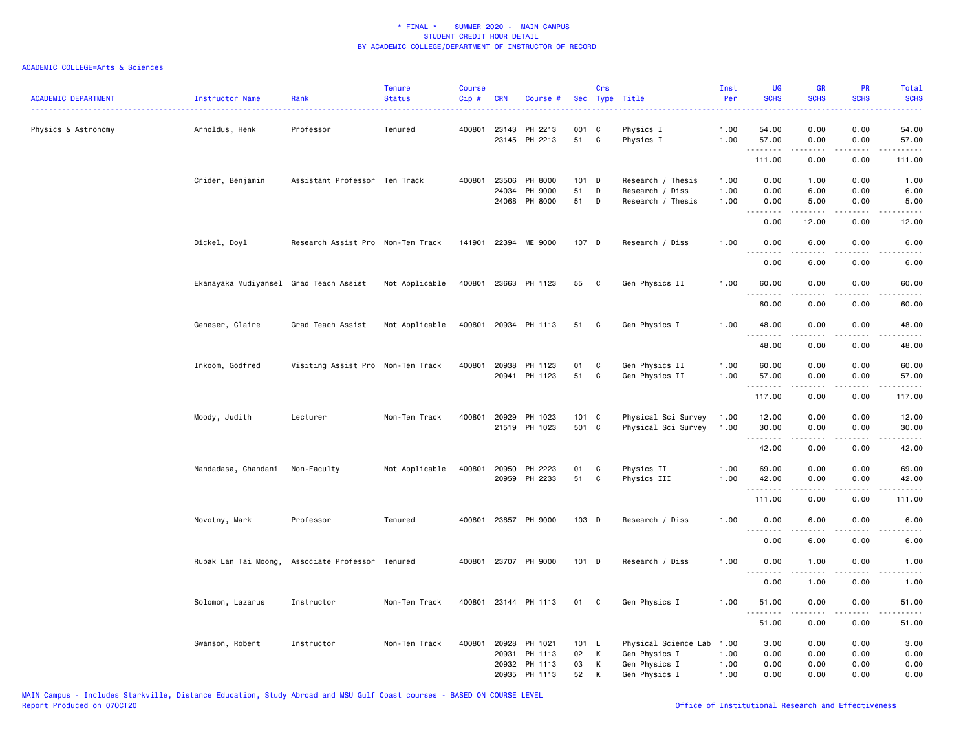| <b>ACADEMIC DEPARTMENT</b> | Instructor Name                                  | Rank                              | <b>Tenure</b><br><b>Status</b> | <b>Course</b><br>Cip# | <b>CRN</b>     | Course #             |          | Crs               | Sec Type Title                       | Inst<br>Per  | UG<br><b>SCHS</b>      | GR<br><b>SCHS</b> | PR<br><b>SCHS</b>                   | Total<br><b>SCHS</b> |
|----------------------------|--------------------------------------------------|-----------------------------------|--------------------------------|-----------------------|----------------|----------------------|----------|-------------------|--------------------------------------|--------------|------------------------|-------------------|-------------------------------------|----------------------|
|                            |                                                  |                                   |                                |                       |                |                      |          |                   |                                      |              |                        |                   |                                     |                      |
| Physics & Astronomy        | Arnoldus, Henk                                   | Professor                         | Tenured                        |                       | 400801 23143   | PH 2213              | 001 C    |                   | Physics I                            | 1.00         | 54.00                  | 0.00              | 0.00                                | 54.00                |
|                            |                                                  |                                   |                                |                       |                | 23145 PH 2213        | 51       | $\mathbf{C}$      | Physics I                            | 1.00         | 57.00<br>.             | 0.00<br>.         | 0.00<br>المتمامين                   | 57.00<br>.           |
|                            |                                                  |                                   |                                |                       |                |                      |          |                   |                                      |              | 111.00                 | 0.00              | 0.00                                | 111.00               |
|                            | Crider, Benjamin                                 | Assistant Professor Ten Track     |                                | 400801                | 23506          | PH 8000              | 101 D    |                   | Research / Thesis                    | 1.00         | 0.00                   | 1.00              | 0.00                                | 1.00                 |
|                            |                                                  |                                   |                                |                       | 24034<br>24068 | PH 9000<br>PH 8000   | 51<br>51 | D<br>$\mathsf{D}$ | Research / Diss<br>Research / Thesis | 1.00<br>1.00 | 0.00<br>0.00           | 6.00<br>5.00      | 0.00<br>0.00                        | 6.00<br>5.00         |
|                            |                                                  |                                   |                                |                       |                |                      |          |                   |                                      |              | .                      |                   | $\frac{1}{2}$                       |                      |
|                            |                                                  |                                   |                                |                       |                |                      |          |                   |                                      |              | 0.00                   | 12.00             | 0.00                                | 12.00                |
|                            | Dickel, Doyl                                     | Research Assist Pro Non-Ten Track |                                |                       |                | 141901 22394 ME 9000 | 107 D    |                   | Research / Diss                      | 1.00         | 0.00<br><u>.</u>       | 6.00              | 0.00                                | 6.00                 |
|                            |                                                  |                                   |                                |                       |                |                      |          |                   |                                      |              | 0.00                   | 6.00              | 0.00                                | 6.00                 |
|                            | Ekanayaka Mudiyansel Grad Teach Assist           |                                   | Not Applicable                 |                       |                | 400801 23663 PH 1123 | 55       | <b>C</b>          | Gen Physics II                       | 1.00         | 60.00                  | 0.00              | 0.00                                | 60.00                |
|                            |                                                  |                                   |                                |                       |                |                      |          |                   |                                      |              | $\sim$ $\sim$<br>60.00 | 0.00              | 0.00                                | 60.00                |
|                            | Geneser, Claire                                  | Grad Teach Assist                 | Not Applicable                 |                       |                | 400801 20934 PH 1113 | 51       | $\mathbf{C}$      | Gen Physics I                        | 1.00         | 48.00                  | 0.00              | 0.00                                | 48.00                |
|                            |                                                  |                                   |                                |                       |                |                      |          |                   |                                      |              | 48.00                  | 0.00              | 0.00                                | 48.00                |
|                            |                                                  |                                   |                                |                       |                |                      |          |                   |                                      |              |                        |                   |                                     |                      |
|                            | Inkoom, Godfred                                  | Visiting Assist Pro Non-Ten Track |                                | 400801 20938          |                | PH 1123              | 01       | C                 | Gen Physics II                       | 1.00         | 60.00                  | 0.00              | 0.00                                | 60.00                |
|                            |                                                  |                                   |                                |                       | 20941          | PH 1123              | 51       | C                 | Gen Physics II                       | 1.00         | 57.00<br>.             | 0.00<br>.         | 0.00<br>$\sim$ $\sim$ $\sim$ $\sim$ | 57.00<br>.           |
|                            |                                                  |                                   |                                |                       |                |                      |          |                   |                                      |              | 117.00                 | 0.00              | 0.00                                | 117.00               |
|                            | Moody, Judith                                    | Lecturer                          | Non-Ten Track                  | 400801 20929          |                | PH 1023              | 101 C    |                   | Physical Sci Survey                  | 1.00         | 12.00                  | 0.00              | 0.00                                | 12.00                |
|                            |                                                  |                                   |                                |                       |                | 21519 PH 1023        | 501 C    |                   | Physical Sci Survey                  | 1.00         | 30.00                  | 0.00              | 0.00                                | 30.00                |
|                            |                                                  |                                   |                                |                       |                |                      |          |                   |                                      |              | .                      | .                 | $\frac{1}{2}$                       | .                    |
|                            |                                                  |                                   |                                |                       |                |                      |          |                   |                                      |              | 42.00                  | 0.00              | 0.00                                | 42.00                |
|                            | Nandadasa, Chandani                              | Non-Faculty                       | Not Applicable                 | 400801                | 20950          | PH 2223              | 01       | C                 | Physics II                           | 1.00         | 69.00                  | 0.00              | 0.00                                | 69.00                |
|                            |                                                  |                                   |                                |                       | 20959          | PH 2233              | 51       | C                 | Physics III                          | 1.00         | 42.00                  | 0.00              | 0.00                                | 42.00                |
|                            |                                                  |                                   |                                |                       |                |                      |          |                   |                                      |              | .<br>111.00            | .<br>0.00         | $\frac{1}{2}$<br>0.00               | .<br>111.00          |
|                            | Novotny, Mark                                    | Professor                         | Tenured                        |                       |                | 400801 23857 PH 9000 | $103$ D  |                   | Research / Diss                      | 1.00         | 0.00                   | 6.00              | 0.00                                | 6.00                 |
|                            |                                                  |                                   |                                |                       |                |                      |          |                   |                                      |              | 0.00                   | 6.00              | 0.00                                | 6.00                 |
|                            |                                                  |                                   |                                |                       |                | 400801 23707 PH 9000 | 101 D    |                   | Research / Diss                      | 1.00         | 0.00                   | 1.00              | 0.00                                |                      |
|                            | Rupak Lan Tai Moong, Associate Professor Tenured |                                   |                                |                       |                |                      |          |                   |                                      |              |                        |                   |                                     | 1.00                 |
|                            |                                                  |                                   |                                |                       |                |                      |          |                   |                                      |              | 0.00                   | 1.00              | 0.00                                | 1.00                 |
|                            | Solomon, Lazarus                                 | Instructor                        | Non-Ten Track                  |                       |                | 400801 23144 PH 1113 | 01       | C.                | Gen Physics I                        | 1.00         | 51.00                  | 0.00              | 0.00                                | 51.00                |
|                            |                                                  |                                   |                                |                       |                |                      |          |                   |                                      |              | 51.00                  | 0.00              | 0.00                                | 51.00                |
|                            | Swanson, Robert                                  | Instructor                        | Non-Ten Track                  |                       | 400801 20928   | PH 1021              | 101 L    |                   | Physical Science Lab                 | 1.00         | 3.00                   | 0.00              | 0.00                                | 3.00                 |
|                            |                                                  |                                   |                                |                       | 20931          | PH 1113              | 02       | К                 | Gen Physics I                        | 1.00         | 0.00                   | 0.00              | 0.00                                | 0.00                 |
|                            |                                                  |                                   |                                |                       | 20932          | PH 1113              | 03       | К                 | Gen Physics I                        | 1.00         | 0.00                   | 0.00              | 0.00                                | 0.00                 |
|                            |                                                  |                                   |                                |                       | 20935          | PH 1113              | 52       | К                 | Gen Physics I                        | 1.00         | 0.00                   | 0.00              | 0.00                                | 0.00                 |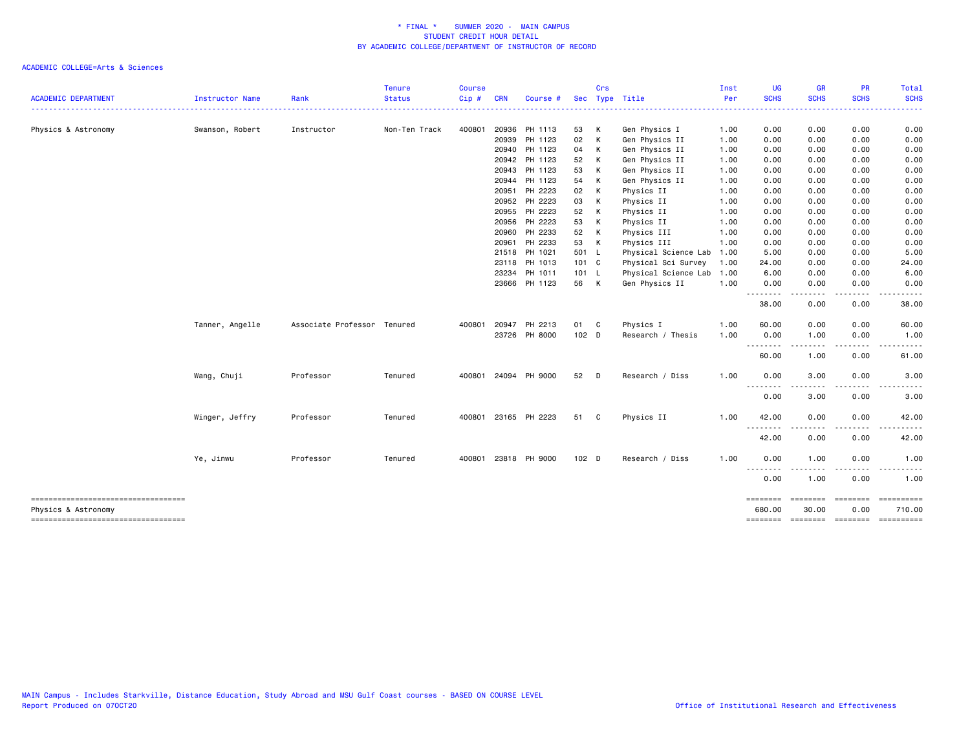|                                                                     |                 |                             | <b>Tenure</b> | <b>Course</b> |            |               |         | Crs |                      | Inst     | <b>UG</b>         | <b>GR</b>        | <b>PR</b>   | <b>Total</b>         |
|---------------------------------------------------------------------|-----------------|-----------------------------|---------------|---------------|------------|---------------|---------|-----|----------------------|----------|-------------------|------------------|-------------|----------------------|
| <b>ACADEMIC DEPARTMENT</b><br>------------------------------------- | Instructor Name | Rank                        | <b>Status</b> | Cip#          | <b>CRN</b> | Course #      |         |     | Sec Type Title<br>.  | Per<br>. | <b>SCHS</b>       | <b>SCHS</b>      | <b>SCHS</b> | <b>SCHS</b><br>----- |
|                                                                     |                 |                             |               |               |            |               |         |     |                      |          |                   |                  |             |                      |
| Physics & Astronomy                                                 | Swanson, Robert | Instructor                  | Non-Ten Track | 400801        |            | 20936 PH 1113 | 53      | K   | Gen Physics I        | 1.00     | 0.00              | 0.00             | 0.00        | 0.00                 |
|                                                                     |                 |                             |               |               | 20939      | PH 1123       | 02      | К   | Gen Physics II       | 1.00     | 0.00              | 0.00             | 0.00        | 0.00                 |
|                                                                     |                 |                             |               |               |            | 20940 PH 1123 | 04      | К   | Gen Physics II       | 1.00     | 0.00              | 0.00             | 0.00        | 0.00                 |
|                                                                     |                 |                             |               |               |            | 20942 PH 1123 | 52      | К   | Gen Physics II       | 1.00     | 0.00              | 0.00             | 0.00        | 0.00                 |
|                                                                     |                 |                             |               |               | 20943      | PH 1123       | 53      | К   | Gen Physics II       | 1.00     | 0.00              | 0.00             | 0.00        | 0.00                 |
|                                                                     |                 |                             |               |               | 20944      | PH 1123       | 54      | K   | Gen Physics II       | 1.00     | 0.00              | 0.00             | 0.00        | 0.00                 |
|                                                                     |                 |                             |               |               | 20951      | PH 2223       | 02      | K   | Physics II           | 1.00     | 0.00              | 0.00             | 0.00        | 0.00                 |
|                                                                     |                 |                             |               |               | 20952      | PH 2223       | 03      | К   | Physics II           | 1.00     | 0.00              | 0.00             | 0.00        | 0.00                 |
|                                                                     |                 |                             |               |               | 20955      | PH 2223       | 52      | К   | Physics II           | 1.00     | 0.00              | 0.00             | 0.00        | 0.00                 |
|                                                                     |                 |                             |               |               | 20956      | PH 2223       | 53      | К   | Physics II           | 1.00     | 0.00              | 0.00             | 0.00        | 0.00                 |
|                                                                     |                 |                             |               |               | 20960      | PH 2233       | 52      | К   | Physics III          | 1.00     | 0.00              | 0.00             | 0.00        | 0.00                 |
|                                                                     |                 |                             |               |               | 20961      | PH 2233       | 53      | K   | Physics III          | 1.00     | 0.00              | 0.00             | 0.00        | 0.00                 |
|                                                                     |                 |                             |               |               |            | 21518 PH 1021 | 501 L   |     | Physical Science Lab | 1.00     | 5.00              | 0.00             | 0.00        | 5.00                 |
|                                                                     |                 |                             |               |               |            | 23118 PH 1013 | 101 C   |     | Physical Sci Survey  | 1.00     | 24.00             | 0.00             | 0.00        | 24.00                |
|                                                                     |                 |                             |               |               |            | 23234 PH 1011 | 101 L   |     | Physical Science Lab | 1.00     | 6.00              | 0.00             | 0.00        | 6.00                 |
|                                                                     |                 |                             |               |               |            | 23666 PH 1123 | 56      | K   | Gen Physics II       | 1.00     | 0.00              | 0.00             | 0.00        | 0.00                 |
|                                                                     |                 |                             |               |               |            |               |         |     |                      |          | .<br>38.00        | 0.00             | 0.00        | 38.00                |
|                                                                     | Tanner, Angelle | Associate Professor Tenured |               | 400801        | 20947      | PH 2213       | 01      | C   | Physics I            | 1.00     | 60.00             | 0.00             | 0.00        | 60.00                |
|                                                                     |                 |                             |               |               |            | 23726 PH 8000 | $102$ D |     | Research / Thesis    | 1.00     | 0.00              | 1.00             | 0.00        | 1.00                 |
|                                                                     |                 |                             |               |               |            |               |         |     |                      |          | .<br>60.00        | $\cdots$<br>1.00 | .<br>0.00   | .<br>61.00           |
|                                                                     | Wang, Chuji     | Professor                   | Tenured       | 400801        |            | 24094 PH 9000 | 52      | D   | Research / Diss      | 1.00     | 0.00              | 3.00             | 0.00        | 3.00                 |
|                                                                     |                 |                             |               |               |            |               |         |     |                      |          | .                 |                  |             |                      |
|                                                                     |                 |                             |               |               |            |               |         |     |                      |          | 0.00              | 3.00             | 0.00        | 3.00                 |
|                                                                     | Winger, Jeffry  | Professor                   | Tenured       | 400801        |            | 23165 PH 2223 | 51      | C   | Physics II           | 1.00     | 42.00<br><u>.</u> | 0.00             | 0.00        | 42.00                |
|                                                                     |                 |                             |               |               |            |               |         |     |                      |          | 42.00             | 0.00             | 0.00        | 42.00                |
|                                                                     | Ye, Jinwu       | Professor                   | Tenured       | 400801        |            | 23818 PH 9000 | $102$ D |     | Research / Diss      | 1.00     | 0.00              | 1.00             | 0.00        | 1.00                 |
|                                                                     |                 |                             |               |               |            |               |         |     |                      |          | 0.00              | 1.00             | .<br>0.00   | 1.00                 |
| -----------------------------------                                 |                 |                             |               |               |            |               |         |     |                      |          | ========          | $=$ ========     | ---------   |                      |
| Physics & Astronomy<br>=====================================        |                 |                             |               |               |            |               |         |     |                      |          | 680.00            | 30.00            | 0.00        | 710.00               |
|                                                                     |                 |                             |               |               |            |               |         |     |                      |          |                   |                  |             |                      |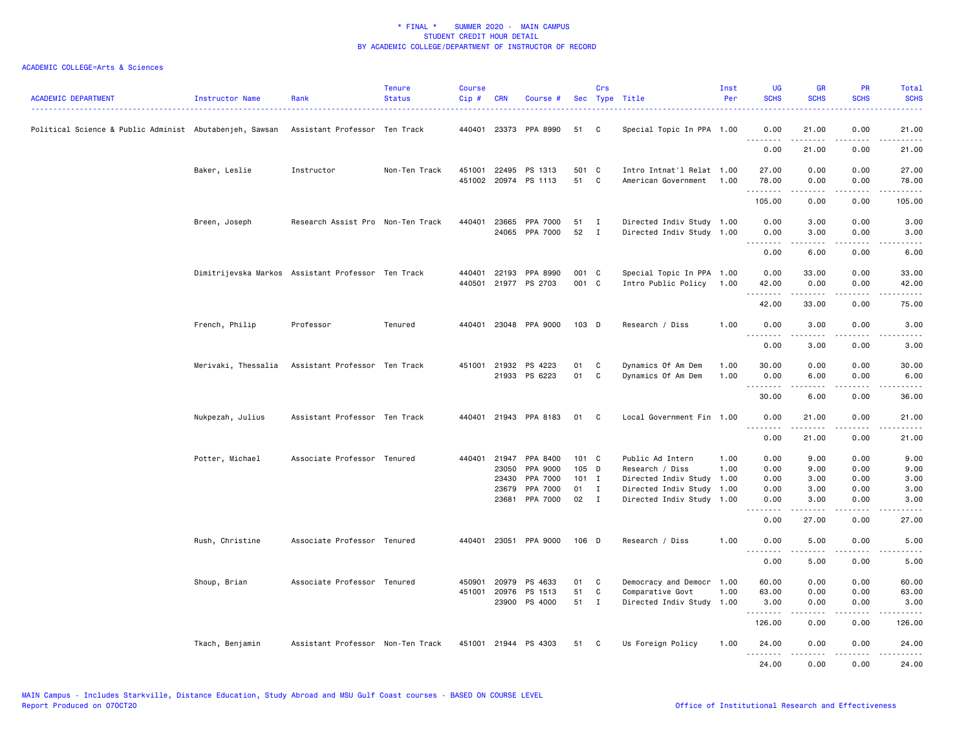| ACADEMIC DEPARTMENT                                     | Instructor Name  | Rank                                               | <b>Tenure</b><br><b>Status</b> | <b>Course</b><br>Cip # | <b>CRN</b>     | Course #                                     |                | Crs                          | Sec Type Title                                         | Inst<br>Per  | <b>UG</b><br><b>SCHS</b>                                                                                                                                     | <b>GR</b><br><b>SCHS</b>                                                                                                                                     | <b>PR</b><br><b>SCHS</b> | Total<br><b>SCHS</b>   |
|---------------------------------------------------------|------------------|----------------------------------------------------|--------------------------------|------------------------|----------------|----------------------------------------------|----------------|------------------------------|--------------------------------------------------------|--------------|--------------------------------------------------------------------------------------------------------------------------------------------------------------|--------------------------------------------------------------------------------------------------------------------------------------------------------------|--------------------------|------------------------|
| Political Science & Public Administ Abutabenjeh, Sawsan |                  | Assistant Professor Ten Track                      |                                |                        |                | 440401 23373 PPA 8990                        | 51             | C                            | Special Topic In PPA 1.00                              |              | 0.00<br><u>.</u>                                                                                                                                             | 21.00<br>.                                                                                                                                                   | 0.00<br>.                | 21.00<br>.             |
|                                                         |                  |                                                    |                                |                        |                |                                              |                |                              |                                                        |              | 0.00                                                                                                                                                         | 21.00                                                                                                                                                        | 0.00                     | 21.00                  |
|                                                         | Baker, Leslie    | Instructor                                         | Non-Ten Track                  |                        |                | 451001 22495 PS 1313<br>451002 20974 PS 1113 | 501 C<br>51    | C                            | Intro Intnat'l Relat 1.00<br>American Government       | 1.00         | 27.00<br>78.00                                                                                                                                               | 0.00<br>0.00                                                                                                                                                 | 0.00<br>0.00             | 27.00<br>78.00         |
|                                                         |                  |                                                    |                                |                        |                |                                              |                |                              |                                                        |              | .<br>105.00                                                                                                                                                  | المتمام والمنا<br>0.00                                                                                                                                       | .<br>0.00                | .<br>105.00            |
|                                                         | Breen, Joseph    | Research Assist Pro Non-Ten Track                  |                                | 440401                 |                | 23665 PPA 7000<br>24065 PPA 7000             | 51<br>52       | $\mathbf{I}$<br>$\mathbf{I}$ | Directed Indiv Study 1.00<br>Directed Indiv Study 1.00 |              | 0.00<br>0.00                                                                                                                                                 | 3.00<br>3.00                                                                                                                                                 | 0.00<br>0.00             | 3.00<br>3.00           |
|                                                         |                  |                                                    |                                |                        |                |                                              |                |                              |                                                        |              | .<br>0.00                                                                                                                                                    | $\frac{1}{2} \left( \frac{1}{2} \right) \left( \frac{1}{2} \right) \left( \frac{1}{2} \right) \left( \frac{1}{2} \right) \left( \frac{1}{2} \right)$<br>6.00 | .<br>0.00                | $- - - -$<br>6.00      |
|                                                         |                  | Dimitrijevska Markos Assistant Professor Ten Track |                                | 440401<br>440501       |                | 22193 PPA 8990<br>21977 PS 2703              | 001 C<br>001 C |                              | Special Topic In PPA 1.00<br>Intro Public Policy       | 1.00         | 0.00<br>42.00                                                                                                                                                | 33.00<br>0.00                                                                                                                                                | 0.00<br>0.00             | 33.00<br>42.00         |
|                                                         |                  |                                                    |                                |                        |                |                                              |                |                              |                                                        |              | .<br>42.00                                                                                                                                                   | .<br>33.00                                                                                                                                                   | $- - - -$<br>0.00        | 75.00                  |
|                                                         | French, Philip   | Professor                                          | Tenured                        |                        |                | 440401 23048 PPA 9000                        | $103$ D        |                              | Research / Diss                                        | 1.00         | 0.00<br><u>.</u>                                                                                                                                             | 3.00                                                                                                                                                         | 0.00                     | 3.00                   |
|                                                         |                  |                                                    |                                |                        |                |                                              |                |                              |                                                        |              | 0.00                                                                                                                                                         | 3.00                                                                                                                                                         | 0.00                     | 3.00                   |
|                                                         |                  | Merivaki, Thessalia Assistant Professor Ten Track  |                                |                        |                | 451001 21932 PS 4223<br>21933 PS 6223        | 01<br>01       | C<br>$\mathtt{C}$            | Dynamics Of Am Dem<br>Dynamics Of Am Dem               | 1.00<br>1.00 | 30.00<br>0.00                                                                                                                                                | 0.00<br>6.00                                                                                                                                                 | 0.00<br>0.00             | 30.00<br>6.00          |
|                                                         |                  |                                                    |                                |                        |                |                                              |                |                              |                                                        |              | .<br>30.00                                                                                                                                                   | المتمام المتحدة<br>6.00                                                                                                                                      | .<br>0.00                | .<br>36.00             |
|                                                         | Nukpezah, Julius | Assistant Professor Ten Track                      |                                |                        |                | 440401 21943 PPA 8183                        | 01             | C                            | Local Government Fin 1.00                              |              | 0.00<br><u>.</u>                                                                                                                                             | 21.00<br>.                                                                                                                                                   | 0.00<br>.                | 21.00<br>.             |
|                                                         |                  |                                                    |                                |                        |                |                                              |                |                              |                                                        |              | 0.00                                                                                                                                                         | 21.00                                                                                                                                                        | 0.00                     | 21.00                  |
|                                                         | Potter, Michael  | Associate Professor Tenured                        |                                |                        | 440401 21947   | PPA 8400                                     | 101 C          |                              | Public Ad Intern                                       | 1.00         | 0.00                                                                                                                                                         | 9.00                                                                                                                                                         | 0.00                     | 9.00                   |
|                                                         |                  |                                                    |                                |                        | 23050          | PPA 9000                                     | 105 D          |                              | Research / Diss                                        | 1.00         | 0.00                                                                                                                                                         | 9.00                                                                                                                                                         | 0.00                     | 9.00                   |
|                                                         |                  |                                                    |                                |                        | 23430<br>23679 | PPA 7000<br>PPA 7000                         | $101$ I<br>01  | $\mathbf{I}$                 | Directed Indiv Study<br>Directed Indiv Study           | 1.00<br>1.00 | 0.00<br>0.00                                                                                                                                                 | 3.00<br>3.00                                                                                                                                                 | 0.00<br>0.00             | 3.00<br>3.00           |
|                                                         |                  |                                                    |                                |                        | 23681          | PPA 7000                                     | 02             | $\mathbf{I}$                 | Directed Indiv Study 1.00                              |              | 0.00                                                                                                                                                         | 3.00                                                                                                                                                         | 0.00                     | 3.00                   |
|                                                         |                  |                                                    |                                |                        |                |                                              |                |                              |                                                        |              | $\frac{1}{2} \left( \frac{1}{2} \right) \left( \frac{1}{2} \right) \left( \frac{1}{2} \right) \left( \frac{1}{2} \right) \left( \frac{1}{2} \right)$<br>0.00 | .<br>27.00                                                                                                                                                   | .<br>0.00                | $\frac{1}{2}$<br>27.00 |
|                                                         | Rush, Christine  | Associate Professor Tenured                        |                                |                        |                | 440401 23051 PPA 9000                        | 106 D          |                              | Research / Diss                                        | 1.00         | 0.00                                                                                                                                                         | 5.00                                                                                                                                                         | 0.00                     | 5.00                   |
|                                                         |                  |                                                    |                                |                        |                |                                              |                |                              |                                                        |              | .<br>0.00                                                                                                                                                    | .<br>5.00                                                                                                                                                    | .<br>0.00                | .<br>5.00              |
|                                                         | Shoup, Brian     | Associate Professor Tenured                        |                                | 450901                 | 20979          | PS 4633                                      | 01             | C                            | Democracy and Democr                                   | 1.00         | 60.00                                                                                                                                                        | 0.00                                                                                                                                                         | 0.00                     | 60.00                  |
|                                                         |                  |                                                    |                                |                        |                | 451001 20976 PS 1513                         | 51             | C                            | Comparative Govt                                       | 1.00         | 63.00                                                                                                                                                        | 0.00                                                                                                                                                         | 0.00                     | 63.00                  |
|                                                         |                  |                                                    |                                |                        |                | 23900 PS 4000                                | 51 I           |                              | Directed Indiv Study 1.00                              |              | 3.00<br>.                                                                                                                                                    | 0.00                                                                                                                                                         | 0.00                     | 3.00                   |
|                                                         |                  |                                                    |                                |                        |                |                                              |                |                              |                                                        |              | 126.00                                                                                                                                                       | 0.00                                                                                                                                                         | 0.00                     | 126.00                 |
|                                                         | Tkach, Benjamin  | Assistant Professor Non-Ten Track                  |                                |                        |                | 451001 21944 PS 4303                         | 51             | C                            | Us Foreign Policy                                      | 1.00         | 24.00<br>.                                                                                                                                                   | 0.00<br>-----                                                                                                                                                | 0.00<br>.                | 24.00<br>.             |
|                                                         |                  |                                                    |                                |                        |                |                                              |                |                              |                                                        |              | 24,00                                                                                                                                                        | 0.00                                                                                                                                                         | 0.00                     | 24,00                  |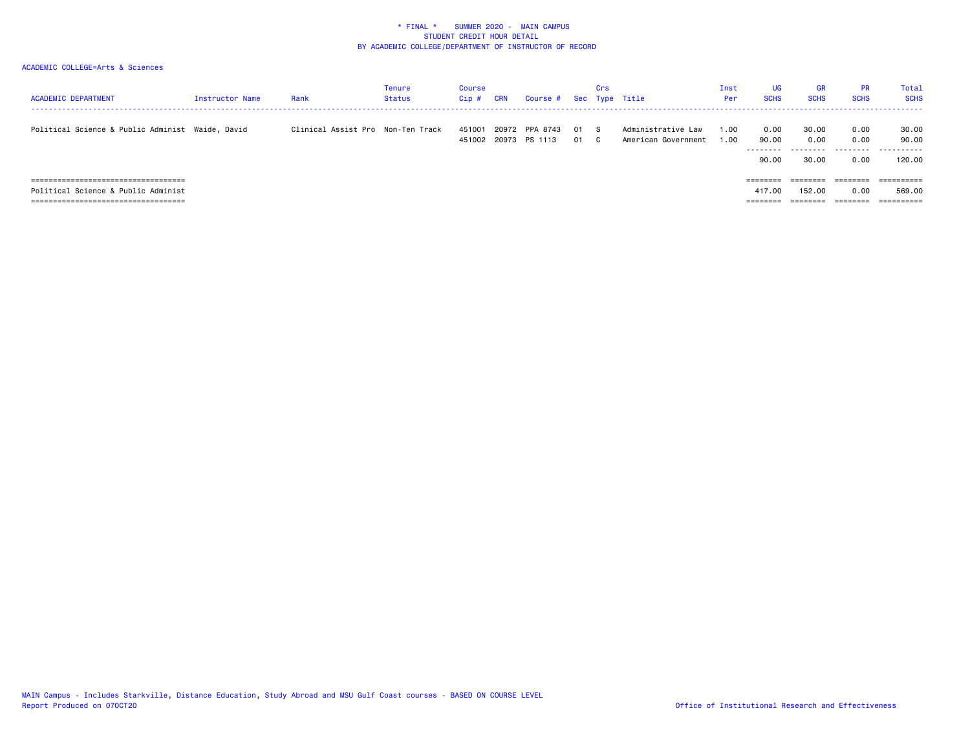| <b>ACADEMIC DEPARTMENT</b>                       | Instructor Name | Rank                              | Tenure<br>Status | Course<br>$Cip$ # | CRN | Course # Sec Type Title                |              | Crs |                                           | Inst<br>Per  | <b>UG</b><br><b>SCHS</b>            | <b>GR</b><br><b>SCHS</b> | <b>PR</b><br><b>SCHS</b> | Total<br><b>SCHS</b>     |
|--------------------------------------------------|-----------------|-----------------------------------|------------------|-------------------|-----|----------------------------------------|--------------|-----|-------------------------------------------|--------------|-------------------------------------|--------------------------|--------------------------|--------------------------|
| Political Science & Public Administ Waide, David |                 | Clinical Assist Pro Non-Ten Track |                  | 451001            |     | 20972 PPA 8743<br>451002 20973 PS 1113 | 01 S<br>01 C |     | Administrative Law<br>American Government | 1.00<br>1.00 | 0.00<br>90.00<br>---------<br>90.00 | 30.00<br>0.00<br>30.00   | 0.00<br>0.00<br>0.00     | 30.00<br>90.00<br>120.00 |
| ===================================              |                 |                                   |                  |                   |     |                                        |              |     |                                           |              | --------<br>--------                |                          | _______<br>-------       | ==========               |
| Political Science & Public Administ              |                 |                                   |                  |                   |     |                                        |              |     |                                           |              | 417.00                              | 152,00                   | 0.00                     | 569.00                   |
| , ===============================                |                 |                                   |                  |                   |     |                                        |              |     |                                           |              |                                     |                          |                          | ==========               |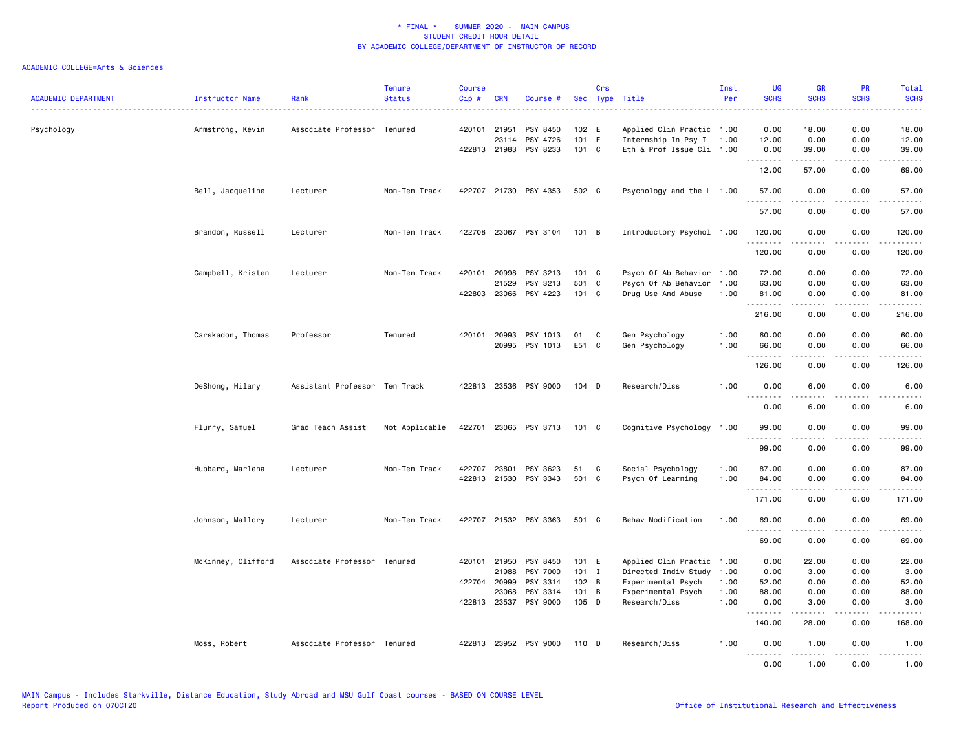| <b>ACADEMIC DEPARTMENT</b> | Instructor Name    | Rank                          | <b>Tenure</b><br><b>Status</b> | <b>Course</b><br>Cip# | <b>CRN</b>   | Course #              | Sec           | Crs | Type Title<br>.           | Inst<br>Per | <b>UG</b><br><b>SCHS</b> | <b>GR</b><br><b>SCHS</b>                                                                                                                                     | PR<br><b>SCHS</b>              | Total<br><b>SCHS</b> |
|----------------------------|--------------------|-------------------------------|--------------------------------|-----------------------|--------------|-----------------------|---------------|-----|---------------------------|-------------|--------------------------|--------------------------------------------------------------------------------------------------------------------------------------------------------------|--------------------------------|----------------------|
| Psychology                 | Armstrong, Kevin   | Associate Professor Tenured   |                                |                       | 420101 21951 | PSY 8450              | 102 E         |     | Applied Clin Practic 1.00 |             | 0.00                     | 18.00                                                                                                                                                        | 0.00                           | .<br>18.00           |
|                            |                    |                               |                                |                       | 23114        | PSY 4726              | 101 E         |     | Internship In Psy I       | 1.00        | 12.00                    | 0.00                                                                                                                                                         | 0.00                           | 12.00                |
|                            |                    |                               |                                |                       |              | 422813 21983 PSY 8233 | 101 C         |     | Eth & Prof Issue Cli 1.00 |             | 0.00<br><b></b>          | 39.00<br>.                                                                                                                                                   | 0.00<br>.                      | 39.00<br>د د د د د   |
|                            |                    |                               |                                |                       |              |                       |               |     |                           |             | 12.00                    | 57.00                                                                                                                                                        | 0.00                           | 69.00                |
|                            | Bell, Jacqueline   | Lecturer                      | Non-Ten Track                  |                       |              | 422707 21730 PSY 4353 | 502 C         |     | Psychology and the L 1.00 |             | 57.00                    | 0.00                                                                                                                                                         | 0.00                           | 57.00                |
|                            |                    |                               |                                |                       |              |                       |               |     |                           |             | 57.00                    | 0.00                                                                                                                                                         | 0.00                           | 57.00                |
|                            | Brandon, Russell   | Lecturer                      | Non-Ten Track                  |                       |              | 422708 23067 PSY 3104 | 101 B         |     | Introductory Psychol 1.00 |             | 120.00<br>.              | 0.00<br>.                                                                                                                                                    | 0.00<br>$\frac{1}{2}$          | 120.00<br><u>.</u>   |
|                            |                    |                               |                                |                       |              |                       |               |     |                           |             | 120.00                   | 0.00                                                                                                                                                         | 0.00                           | 120.00               |
|                            | Campbell, Kristen  | Lecturer                      | Non-Ten Track                  | 420101                | 20998        | PSY 3213              | $101 \quad C$ |     | Psych Of Ab Behavior      | 1.00        | 72.00                    | 0.00                                                                                                                                                         | 0.00                           | 72.00                |
|                            |                    |                               |                                |                       | 21529        | PSY 3213              | 501 C         |     | Psych Of Ab Behavior      | 1.00        | 63.00                    | 0.00                                                                                                                                                         | 0.00                           | 63.00                |
|                            |                    |                               |                                |                       |              | 422803 23066 PSY 4223 | $101 \quad C$ |     | Drug Use And Abuse        | 1.00        | 81.00<br>.               | 0.00                                                                                                                                                         | 0.00<br>$\frac{1}{2}$          | 81.00<br>.           |
|                            |                    |                               |                                |                       |              |                       |               |     |                           |             | 216.00                   | 0.00                                                                                                                                                         | 0.00                           | 216.00               |
|                            | Carskadon, Thomas  | Professor                     | Tenured                        | 420101                | 20993        | PSY 1013              | 01            | C   | Gen Psychology            | 1.00        | 60.00                    | 0.00                                                                                                                                                         | 0.00                           | 60.00                |
|                            |                    |                               |                                |                       | 20995        | PSY 1013              | E51 C         |     | Gen Psychology            | 1.00        | 66.00                    | 0.00                                                                                                                                                         | 0.00                           | 66.00                |
|                            |                    |                               |                                |                       |              |                       |               |     |                           |             | .<br>126.00              | .<br>0.00                                                                                                                                                    | .<br>0.00                      | .<br>126.00          |
|                            | DeShong, Hilary    | Assistant Professor Ten Track |                                |                       |              | 422813 23536 PSY 9000 | 104 D         |     | Research/Diss             | 1.00        | 0.00                     | 6.00                                                                                                                                                         | 0.00                           | 6.00                 |
|                            |                    |                               |                                |                       |              |                       |               |     |                           |             | 0.00                     | 6.00                                                                                                                                                         | 0.00                           | 6.00                 |
|                            | Flurry, Samuel     | Grad Teach Assist             | Not Applicable                 |                       |              | 422701 23065 PSY 3713 | 101 C         |     | Cognitive Psychology      | 1.00        | 99.00                    | 0.00                                                                                                                                                         | 0.00                           | 99.00                |
|                            |                    |                               |                                |                       |              |                       |               |     |                           |             | .<br>99.00               | 0.00                                                                                                                                                         | 0.00                           | .<br>99.00           |
|                            | Hubbard, Marlena   | Lecturer                      | Non-Ten Track                  | 422707                | 23801        | PSY 3623              | 51            | C   | Social Psychology         | 1.00        | 87.00                    | 0.00                                                                                                                                                         | 0.00                           | 87.00                |
|                            |                    |                               |                                |                       |              | 422813 21530 PSY 3343 | 501 C         |     | Psych Of Learning         | 1.00        | 84.00                    | 0.00                                                                                                                                                         | 0.00                           | 84.00                |
|                            |                    |                               |                                |                       |              |                       |               |     |                           |             | <u>.</u><br>171.00       | .<br>0.00                                                                                                                                                    | $\omega$ is a $\omega$<br>0.00 | .<br>171.00          |
|                            | Johnson, Mallory   | Lecturer                      | Non-Ten Track                  |                       |              | 422707 21532 PSY 3363 | 501 C         |     | Behav Modification        | 1.00        | 69.00<br><u>.</u>        | 0.00                                                                                                                                                         | 0.00                           | 69.00<br>.           |
|                            |                    |                               |                                |                       |              |                       |               |     |                           |             | 69.00                    | 0.00                                                                                                                                                         | 0.00                           | 69.00                |
|                            | McKinney, Clifford | Associate Professor Tenured   |                                |                       | 420101 21950 | PSY 8450              | 101 E         |     | Applied Clin Practic 1.00 |             | 0.00                     | 22.00                                                                                                                                                        | 0.00                           | 22.00                |
|                            |                    |                               |                                |                       | 21988        | PSY 7000              | $101$ I       |     | Directed Indiv Study      | 1.00        | 0.00                     | 3.00                                                                                                                                                         | 0.00                           | 3.00                 |
|                            |                    |                               |                                | 422704                | 20999        | PSY 3314              | 102 B         |     | Experimental Psych        | 1.00        | 52.00                    | 0.00                                                                                                                                                         | 0.00                           | 52.00                |
|                            |                    |                               |                                |                       | 23068        | PSY 3314              | 101 B         |     | Experimental Psych        | 1.00        | 88.00                    | 0.00                                                                                                                                                         | 0.00                           | 88.00                |
|                            |                    |                               |                                |                       |              | 422813 23537 PSY 9000 | 105 D         |     | Research/Diss             | 1.00        | 0.00<br><u>.</u>         | 3.00<br>$- - - - -$                                                                                                                                          | 0.00<br>.                      | 3.00<br>.            |
|                            |                    |                               |                                |                       |              |                       |               |     |                           |             | 140.00                   | 28.00                                                                                                                                                        | 0.00                           | 168.00               |
|                            | Moss, Robert       | Associate Professor Tenured   |                                | 422813                |              | 23952 PSY 9000        | 110 D         |     | Research/Diss             | 1.00        | 0.00<br><u>.</u>         | 1.00<br>$\frac{1}{2} \left( \frac{1}{2} \right) \left( \frac{1}{2} \right) \left( \frac{1}{2} \right) \left( \frac{1}{2} \right) \left( \frac{1}{2} \right)$ | 0.00<br>.                      | 1.00<br>.            |
|                            |                    |                               |                                |                       |              |                       |               |     |                           |             | 0.00                     | 1.00                                                                                                                                                         | 0.00                           | 1.00                 |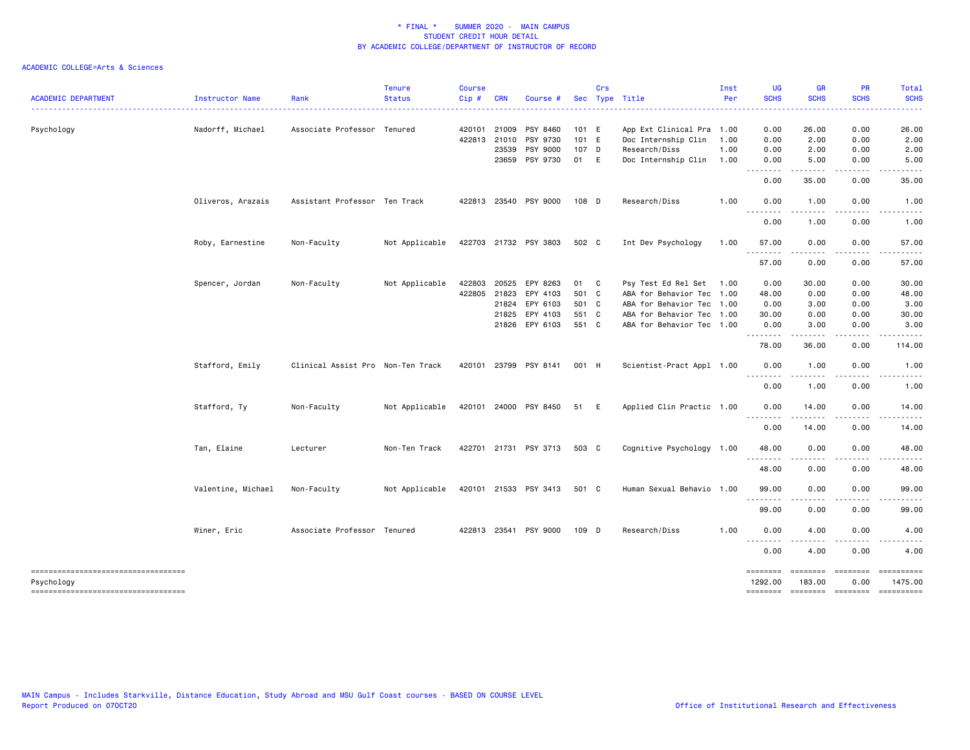| <b>ACADEMIC DEPARTMENT</b>                           | Instructor Name    | Rank                              | <b>Tenure</b><br><b>Status</b> | <b>Course</b><br>Cip# | <b>CRN</b>   | Course #              |       | Crs      | Sec Type Title            | Inst<br>Per | <b>UG</b><br><b>SCHS</b>                                                                                                                                                                                                                                                                                                                                                                                                                                                                                                          | <b>GR</b><br><b>SCHS</b>        | <b>PR</b><br><b>SCHS</b>                                                                                                          | Total<br><b>SCHS</b>     |
|------------------------------------------------------|--------------------|-----------------------------------|--------------------------------|-----------------------|--------------|-----------------------|-------|----------|---------------------------|-------------|-----------------------------------------------------------------------------------------------------------------------------------------------------------------------------------------------------------------------------------------------------------------------------------------------------------------------------------------------------------------------------------------------------------------------------------------------------------------------------------------------------------------------------------|---------------------------------|-----------------------------------------------------------------------------------------------------------------------------------|--------------------------|
|                                                      |                    |                                   |                                |                       |              |                       |       |          |                           |             | <u>.</u>                                                                                                                                                                                                                                                                                                                                                                                                                                                                                                                          |                                 |                                                                                                                                   | <u>.</u>                 |
| Psychology                                           | Nadorff, Michael   | Associate Professor Tenured       |                                |                       | 420101 21009 | PSY 8460              | 101 E |          | App Ext Clinical Pra 1.00 |             | 0.00                                                                                                                                                                                                                                                                                                                                                                                                                                                                                                                              | 26.00                           | 0.00                                                                                                                              | 26.00                    |
|                                                      |                    |                                   |                                |                       | 422813 21010 | PSY 9730              | 101 E |          | Doc Internship Clin       | 1.00        | 0.00                                                                                                                                                                                                                                                                                                                                                                                                                                                                                                                              | 2.00                            | 0.00                                                                                                                              | 2.00                     |
|                                                      |                    |                                   |                                |                       | 23539        | PSY 9000              | 107 D |          | Research/Diss             | 1.00        | 0.00                                                                                                                                                                                                                                                                                                                                                                                                                                                                                                                              | 2.00                            | 0.00                                                                                                                              | 2.00                     |
|                                                      |                    |                                   |                                |                       | 23659        | PSY 9730              | 01 E  |          | Doc Internship Clin       | 1.00        | 0.00<br>-----                                                                                                                                                                                                                                                                                                                                                                                                                                                                                                                     | 5.00<br>.                       | 0.00<br>.                                                                                                                         | 5.00<br>. <u>.</u> .     |
|                                                      |                    |                                   |                                |                       |              |                       |       |          |                           |             | $- - -$<br>0.00                                                                                                                                                                                                                                                                                                                                                                                                                                                                                                                   | 35.00                           | 0.00                                                                                                                              | 35.00                    |
|                                                      | Oliveros, Arazais  | Assistant Professor Ten Track     |                                |                       |              | 422813 23540 PSY 9000 | 108 D |          | Research/Diss             | 1.00        | 0.00<br>.<br>$\sim$ $\sim$ $\sim$                                                                                                                                                                                                                                                                                                                                                                                                                                                                                                 | 1.00<br>.                       | 0.00<br>.                                                                                                                         | 1.00<br>-----            |
|                                                      |                    |                                   |                                |                       |              |                       |       |          |                           |             | 0.00                                                                                                                                                                                                                                                                                                                                                                                                                                                                                                                              | 1.00                            | 0.00                                                                                                                              | 1.00                     |
|                                                      | Roby, Earnestine   | Non-Faculty                       | Not Applicable                 |                       |              | 422703 21732 PSY 3803 | 502 C |          | Int Dev Psychology        | 1.00        | 57.00<br>.                                                                                                                                                                                                                                                                                                                                                                                                                                                                                                                        | 0.00                            | 0.00<br>$\frac{1}{2} \left( \frac{1}{2} \right) \left( \frac{1}{2} \right) \left( \frac{1}{2} \right) \left( \frac{1}{2} \right)$ | 57.00                    |
|                                                      |                    |                                   |                                |                       |              |                       |       |          |                           |             | 57.00                                                                                                                                                                                                                                                                                                                                                                                                                                                                                                                             | 0.00                            | 0.00                                                                                                                              | 57.00                    |
|                                                      | Spencer, Jordan    | Non-Faculty                       | Not Applicable                 | 422803                | 20525        | EPY 8263              | 01 C  |          | Psy Test Ed Rel Set 1.00  |             | 0.00                                                                                                                                                                                                                                                                                                                                                                                                                                                                                                                              | 30.00                           | 0.00                                                                                                                              | 30.00                    |
|                                                      |                    |                                   |                                |                       | 422805 21823 | EPY 4103              | 501 C |          | ABA for Behavior Tec 1.00 |             | 48.00                                                                                                                                                                                                                                                                                                                                                                                                                                                                                                                             | 0.00                            | 0.00                                                                                                                              | 48.00                    |
|                                                      |                    |                                   |                                |                       | 21824        | EPY 6103              | 501 C |          | ABA for Behavior Tec 1.00 |             | 0.00                                                                                                                                                                                                                                                                                                                                                                                                                                                                                                                              | 3.00                            | 0.00                                                                                                                              | 3.00                     |
|                                                      |                    |                                   |                                |                       | 21825        | EPY 4103              | 551 C |          | ABA for Behavior Tec 1.00 |             | 30.00                                                                                                                                                                                                                                                                                                                                                                                                                                                                                                                             | 0.00                            | 0.00                                                                                                                              | 30.00                    |
|                                                      |                    |                                   |                                |                       |              | 21826 EPY 6103        | 551 C |          | ABA for Behavior Tec 1.00 |             | 0.00                                                                                                                                                                                                                                                                                                                                                                                                                                                                                                                              | 3.00                            | 0.00                                                                                                                              | 3.00                     |
|                                                      |                    |                                   |                                |                       |              |                       |       |          |                           |             | .<br>78.00                                                                                                                                                                                                                                                                                                                                                                                                                                                                                                                        | -----<br>36.00                  | .<br>0.00                                                                                                                         | .<br>114.00              |
|                                                      | Stafford, Emily    | Clinical Assist Pro Non-Ten Track |                                |                       |              | 420101 23799 PSY 8141 | 001 H |          | Scientist-Pract Appl 1.00 |             | 0.00<br>$\frac{1}{2} \frac{1}{2} \frac{1}{2} \frac{1}{2} \frac{1}{2} \frac{1}{2} \frac{1}{2} \frac{1}{2} \frac{1}{2} \frac{1}{2} \frac{1}{2} \frac{1}{2} \frac{1}{2} \frac{1}{2} \frac{1}{2} \frac{1}{2} \frac{1}{2} \frac{1}{2} \frac{1}{2} \frac{1}{2} \frac{1}{2} \frac{1}{2} \frac{1}{2} \frac{1}{2} \frac{1}{2} \frac{1}{2} \frac{1}{2} \frac{1}{2} \frac{1}{2} \frac{1}{2} \frac{1}{2} \frac{$<br>$\frac{1}{2} \left( \frac{1}{2} \right) \left( \frac{1}{2} \right) \left( \frac{1}{2} \right) \left( \frac{1}{2} \right)$ | 1.00<br>.                       | 0.00<br>.                                                                                                                         | 1.00<br>-----            |
|                                                      |                    |                                   |                                |                       |              |                       |       |          |                           |             | 0.00                                                                                                                                                                                                                                                                                                                                                                                                                                                                                                                              | 1.00                            | 0.00                                                                                                                              | 1.00                     |
|                                                      | Stafford, Ty       | Non-Faculty                       | Not Applicable                 |                       |              | 420101 24000 PSY 8450 | 51    | <b>E</b> | Applied Clin Practic 1.00 |             | 0.00<br>$\cdots$<br>.                                                                                                                                                                                                                                                                                                                                                                                                                                                                                                             | 14.00<br>$\cdots \cdots \cdots$ | 0.00<br>.                                                                                                                         | 14.00                    |
|                                                      |                    |                                   |                                |                       |              |                       |       |          |                           |             | 0.00                                                                                                                                                                                                                                                                                                                                                                                                                                                                                                                              | 14.00                           | 0.00                                                                                                                              | 14.00                    |
|                                                      | Tan, Elaine        | Lecturer                          | Non-Ten Track                  |                       |              | 422701 21731 PSY 3713 | 503 C |          | Cognitive Psychology 1.00 |             | 48.00<br>$\frac{1}{2} \left( \frac{1}{2} \right) \left( \frac{1}{2} \right) \left( \frac{1}{2} \right) \left( \frac{1}{2} \right)$                                                                                                                                                                                                                                                                                                                                                                                                | 0.00                            | 0.00<br>$\cdots$                                                                                                                  | 48.00                    |
|                                                      |                    |                                   |                                |                       |              |                       |       |          |                           |             | 48.00                                                                                                                                                                                                                                                                                                                                                                                                                                                                                                                             | 0.00                            | 0.00                                                                                                                              | 48.00                    |
|                                                      | Valentine, Michael | Non-Faculty                       | Not Applicable                 |                       |              | 420101 21533 PSY 3413 | 501 C |          | Human Sexual Behavio 1.00 |             | 99.00<br>----                                                                                                                                                                                                                                                                                                                                                                                                                                                                                                                     | 0.00                            | 0.00                                                                                                                              | 99.00                    |
|                                                      |                    |                                   |                                |                       |              |                       |       |          |                           |             | 99.00                                                                                                                                                                                                                                                                                                                                                                                                                                                                                                                             | 0.00                            | 0.00                                                                                                                              | 99.00                    |
|                                                      | Winer, Eric        | Associate Professor Tenured       |                                |                       |              | 422813 23541 PSY 9000 | 109 D |          | Research/Diss             | 1.00        | 0.00                                                                                                                                                                                                                                                                                                                                                                                                                                                                                                                              | 4.00                            | 0.00                                                                                                                              | 4.00                     |
|                                                      |                    |                                   |                                |                       |              |                       |       |          |                           |             | 0.00                                                                                                                                                                                                                                                                                                                                                                                                                                                                                                                              | 4.00                            | 0.00                                                                                                                              | 4.00                     |
| ======================================<br>Psychology |                    |                                   |                                |                       |              |                       |       |          |                           |             | ========<br>1292.00                                                                                                                                                                                                                                                                                                                                                                                                                                                                                                               | 183,00                          | 0.00                                                                                                                              | $=$ =========<br>1475.00 |
| -----------------------------------                  |                    |                                   |                                |                       |              |                       |       |          |                           |             | ========                                                                                                                                                                                                                                                                                                                                                                                                                                                                                                                          | ======== =======                |                                                                                                                                   |                          |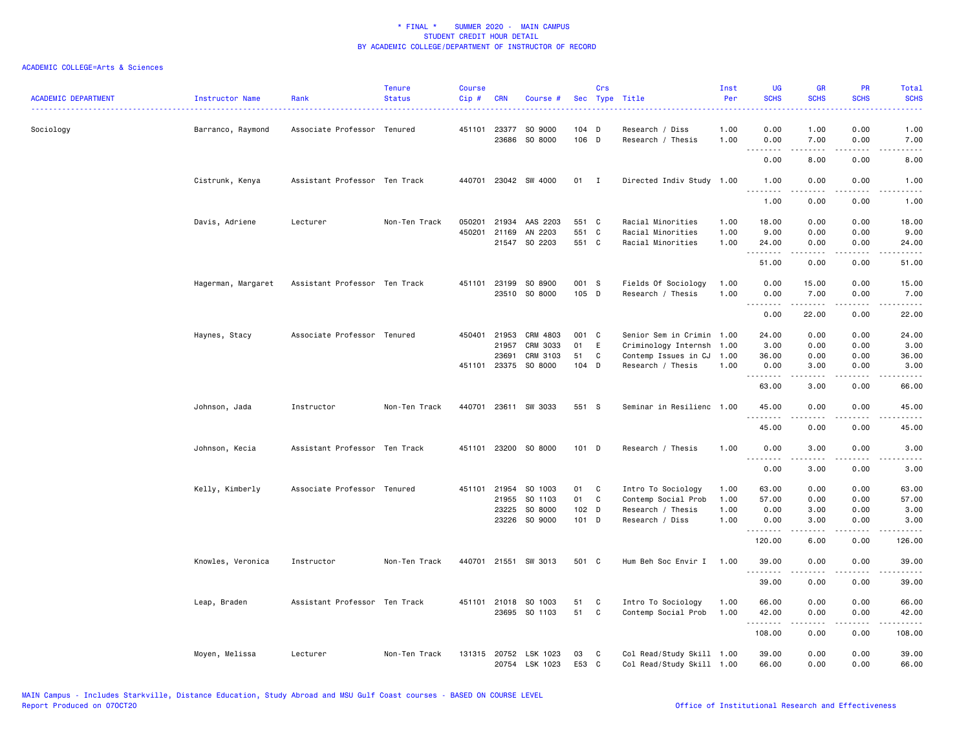| <b>ACADEMIC DEPARTMENT</b> | Instructor Name    | Rank                          | <b>Tenure</b><br><b>Status</b> | Course<br>Cip#   | <b>CRN</b>     | Course #                                |                | Crs               | Sec Type Title                                         | Inst<br>Per  | <b>UG</b><br><b>SCHS</b> | <b>GR</b><br><b>SCHS</b> | <b>PR</b><br><b>SCHS</b> | Total<br><b>SCHS</b>                                                                                                              |
|----------------------------|--------------------|-------------------------------|--------------------------------|------------------|----------------|-----------------------------------------|----------------|-------------------|--------------------------------------------------------|--------------|--------------------------|--------------------------|--------------------------|-----------------------------------------------------------------------------------------------------------------------------------|
| Sociology                  | Barranco, Raymond  | Associate Professor Tenured   |                                |                  |                | 451101 23377 SO 9000<br>23686 SO 8000   | 104 D<br>106 D |                   | Research / Diss<br>Research / Thesis                   | 1.00<br>1.00 | 0.00<br>0.00             | 1.00<br>7.00             | 0.00<br>0.00             | 1.00<br>7.00                                                                                                                      |
|                            |                    |                               |                                |                  |                |                                         |                |                   |                                                        |              | ----<br>0.00             | <u>.</u><br>8.00         | .<br>0.00                | $\frac{1}{2}$<br>8.00                                                                                                             |
|                            | Cistrunk, Kenya    | Assistant Professor Ten Track |                                | 440701           |                | 23042 SW 4000                           | $01$ I         |                   | Directed Indiv Study 1.00                              |              | 1.00<br>.                | 0.00<br>.                | 0.00<br>.                | 1.00<br>$\frac{1}{2} \left( \frac{1}{2} \right) \left( \frac{1}{2} \right) \left( \frac{1}{2} \right) \left( \frac{1}{2} \right)$ |
|                            |                    |                               |                                |                  |                |                                         |                |                   |                                                        |              | 1.00                     | 0.00                     | 0.00                     | 1.00                                                                                                                              |
|                            | Davis, Adriene     | Lecturer                      | Non-Ten Track                  | 050201<br>450201 | 21934<br>21169 | AAS 2203<br>AN 2203                     | 551 C<br>551 C |                   | Racial Minorities<br>Racial Minorities                 | 1.00<br>1.00 | 18.00<br>9.00            | 0.00<br>0.00             | 0.00<br>0.00             | 18.00<br>9.00                                                                                                                     |
|                            |                    |                               |                                |                  |                | 21547 SO 2203                           | 551 C          |                   | Racial Minorities                                      | 1.00         | 24.00                    | 0.00                     | 0.00                     | 24.00                                                                                                                             |
|                            |                    |                               |                                |                  |                |                                         |                |                   |                                                        |              | .<br>51.00               | المتمام المتحدة<br>0.00  | .<br>0.00                | .<br>51.00                                                                                                                        |
|                            | Hagerman, Margaret | Assistant Professor Ten Track |                                | 451101           | 23199          | SO 8900<br>23510 SO 8000                | 001 S<br>105 D |                   | Fields Of Sociology<br>Research / Thesis               | 1.00<br>1.00 | 0.00<br>0.00             | 15.00<br>7.00            | 0.00<br>0.00             | 15.00<br>7.00                                                                                                                     |
|                            |                    |                               |                                |                  |                |                                         |                |                   |                                                        |              | .<br>0.00                | د د د د د<br>22.00       | .<br>0.00                | .<br>22.00                                                                                                                        |
|                            | Haynes, Stacy      | Associate Professor Tenured   |                                |                  | 450401 21953   | CRM 4803                                | 001 C          |                   | Senior Sem in Crimin                                   | 1.00         | 24.00                    | 0.00                     | 0.00                     | 24.00                                                                                                                             |
|                            |                    |                               |                                |                  | 21957          | CRM 3033                                | 01             | E                 | Criminology Internsh                                   | 1.00         | 3.00                     | 0.00                     | 0.00                     | 3.00                                                                                                                              |
|                            |                    |                               |                                |                  | 23691          | CRM 3103                                | 51             | C                 | Contemp Issues in CJ                                   | 1.00         | 36.00                    | 0.00                     | 0.00                     | 36.00                                                                                                                             |
|                            |                    |                               |                                | 451101           |                | 23375 SO 8000                           | 104 D          |                   | Research / Thesis                                      | 1.00         | 0.00<br>.                | 3.00<br>.                | 0.00<br>$\frac{1}{2}$    | 3.00<br>$\frac{1}{2} \left( \frac{1}{2} \right) \left( \frac{1}{2} \right) \left( \frac{1}{2} \right) \left( \frac{1}{2} \right)$ |
|                            |                    |                               |                                |                  |                |                                         |                |                   |                                                        |              | 63.00                    | 3.00                     | 0.00                     | 66.00                                                                                                                             |
|                            | Johnson, Jada      | Instructor                    | Non-Ten Track                  |                  |                | 440701 23611 SW 3033                    | 551 S          |                   | Seminar in Resilienc 1.00                              |              | 45.00<br><u>.</u>        | 0.00<br>.                | 0.00<br>.                | 45.00<br>.                                                                                                                        |
|                            |                    |                               |                                |                  |                |                                         |                |                   |                                                        |              | 45.00                    | 0.00                     | 0.00                     | 45.00                                                                                                                             |
|                            | Johnson, Kecia     | Assistant Professor Ten Track |                                |                  |                | 451101 23200 SO 8000                    | 101 D          |                   | Research / Thesis                                      | 1.00         | 0.00<br>.                | 3.00<br>.                | 0.00<br>.                | 3.00<br>$- - - -$                                                                                                                 |
|                            |                    |                               |                                |                  |                |                                         |                |                   |                                                        |              | 0.00                     | 3.00                     | 0.00                     | 3.00                                                                                                                              |
|                            | Kelly, Kimberly    | Associate Professor Tenured   |                                | 451101           | 21954          | SO 1003                                 | 01             | C                 | Intro To Sociology                                     | 1.00         | 63.00                    | 0.00                     | 0.00                     | 63.00                                                                                                                             |
|                            |                    |                               |                                |                  | 21955          | SO 1103                                 | 01             | C                 | Contemp Social Prob                                    | 1.00         | 57.00                    | 0.00                     | 0.00                     | 57.00                                                                                                                             |
|                            |                    |                               |                                |                  | 23225          | SO 8000                                 | 102 D          |                   | Research / Thesis                                      | 1.00         | 0.00                     | 3.00                     | 0.00                     | 3.00                                                                                                                              |
|                            |                    |                               |                                |                  | 23226          | SO 9000                                 | 101 D          |                   | Research / Diss                                        | 1.00         | 0.00                     | 3.00                     | 0.00                     | 3.00                                                                                                                              |
|                            |                    |                               |                                |                  |                |                                         |                |                   |                                                        |              | 120.00                   | 6.00                     | 0.00                     | 126.00                                                                                                                            |
|                            | Knowles, Veronica  | Instructor                    | Non-Ten Track                  |                  |                | 440701 21551 SW 3013                    | 501 C          |                   | Hum Beh Soc Envir I                                    | 1.00         | 39.00                    | 0.00                     | 0.00                     | 39.00                                                                                                                             |
|                            |                    |                               |                                |                  |                |                                         |                |                   |                                                        |              | 39.00                    | 0.00                     | 0.00                     | 39.00                                                                                                                             |
|                            | Leap, Braden       | Assistant Professor Ten Track |                                |                  | 451101 21018   | SO 1003<br>23695 SO 1103                | 51<br>51       | C<br>$\mathtt{C}$ | Intro To Sociology<br>Contemp Social Prob              | 1.00<br>1.00 | 66.00<br>42.00           | 0.00<br>0.00             | 0.00<br>0.00             | 66.00<br>42.00                                                                                                                    |
|                            |                    |                               |                                |                  |                |                                         |                |                   |                                                        |              | .                        | .                        | .                        | .                                                                                                                                 |
|                            |                    |                               |                                |                  |                |                                         |                |                   |                                                        |              | 108.00                   | 0.00                     | 0.00                     | 108.00                                                                                                                            |
|                            | Moyen, Melissa     | Lecturer                      | Non-Ten Track                  |                  |                | 131315 20752 LSK 1023<br>20754 LSK 1023 | 03<br>E53 C    | C                 | Col Read/Study Skill 1.00<br>Col Read/Study Skill 1.00 |              | 39.00<br>66.00           | 0.00<br>0.00             | 0.00<br>0.00             | 39.00<br>66.00                                                                                                                    |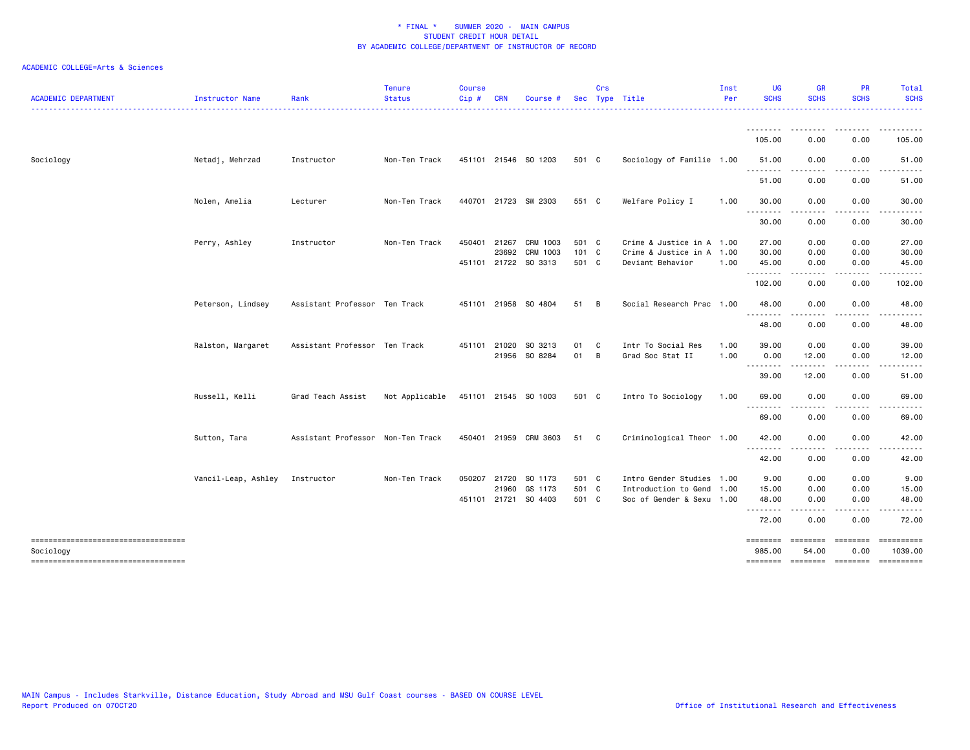| <b>ACADEMIC DEPARTMENT</b>                      | Instructor Name     | Rank                              | <b>Tenure</b><br><b>Status</b> | <b>Course</b><br>Cip# | <b>CRN</b>   | Course #              |       | Crs          | Sec Type Title            | Inst<br>Per | <b>UG</b><br><b>SCHS</b>                                                                                                                                                                          | <b>GR</b><br><b>SCHS</b>                                                                                                                                                                | <b>PR</b><br><b>SCHS</b> | Total<br><b>SCHS</b> |
|-------------------------------------------------|---------------------|-----------------------------------|--------------------------------|-----------------------|--------------|-----------------------|-------|--------------|---------------------------|-------------|---------------------------------------------------------------------------------------------------------------------------------------------------------------------------------------------------|-----------------------------------------------------------------------------------------------------------------------------------------------------------------------------------------|--------------------------|----------------------|
|                                                 |                     |                                   |                                |                       |              |                       |       |              |                           |             | .                                                                                                                                                                                                 | .                                                                                                                                                                                       |                          | <u>.</u>             |
|                                                 |                     |                                   |                                |                       |              |                       |       |              |                           |             | 105.00                                                                                                                                                                                            | 0.00                                                                                                                                                                                    | 0.00                     | 105.00               |
| Sociology                                       | Netadj, Mehrzad     | Instructor                        | Non-Ten Track                  |                       |              | 451101 21546 SO 1203  | 501 C |              | Sociology of Familie 1.00 |             | 51.00<br>.                                                                                                                                                                                        | 0.00<br>-----                                                                                                                                                                           | 0.00<br>.                | 51.00<br>.           |
|                                                 |                     |                                   |                                |                       |              |                       |       |              |                           |             | 51.00                                                                                                                                                                                             | 0.00                                                                                                                                                                                    | 0.00                     | 51.00                |
|                                                 | Nolen, Amelia       | Lecturer                          | Non-Ten Track                  |                       |              | 440701 21723 SW 2303  | 551 C |              | Welfare Policy I          | 1.00        | 30.00<br>.                                                                                                                                                                                        | 0.00<br><u>.</u>                                                                                                                                                                        | 0.00<br>$\frac{1}{2}$    | 30.00                |
|                                                 |                     |                                   |                                |                       |              |                       |       |              |                           |             | 30.00                                                                                                                                                                                             | 0.00                                                                                                                                                                                    | 0.00                     | 30.00                |
|                                                 | Perry, Ashley       | Instructor                        | Non-Ten Track                  | 450401                | 21267        | CRM 1003              | 501 C |              | Crime & Justice in A 1.00 |             | 27.00                                                                                                                                                                                             | 0.00                                                                                                                                                                                    | 0.00                     | 27.00                |
|                                                 |                     |                                   |                                |                       | 23692        | CRM 1003              | 101 C |              | Crime & Justice in A 1.00 |             | 30.00                                                                                                                                                                                             | 0.00                                                                                                                                                                                    | 0.00                     | 30.00                |
|                                                 |                     |                                   |                                |                       |              | 451101 21722 SO 3313  | 501 C |              | Deviant Behavior          | 1.00        | 45.00<br>.                                                                                                                                                                                        | 0.00                                                                                                                                                                                    | 0.00                     | 45.00                |
|                                                 |                     |                                   |                                |                       |              |                       |       |              |                           |             | 102.00                                                                                                                                                                                            | 0.00                                                                                                                                                                                    | 0.00                     | 102.00               |
|                                                 | Peterson, Lindsey   | Assistant Professor Ten Track     |                                |                       |              | 451101 21958 SO 4804  | 51    | - B          | Social Research Prac 1.00 |             | 48.00<br>.                                                                                                                                                                                        | 0.00                                                                                                                                                                                    | 0.00                     | 48.00                |
|                                                 |                     |                                   |                                |                       |              |                       |       |              |                           |             | 48.00                                                                                                                                                                                             | 0.00                                                                                                                                                                                    | 0.00                     | 48.00                |
|                                                 | Ralston, Margaret   | Assistant Professor Ten Track     |                                |                       | 451101 21020 | SO 3213               | 01    | - C          | Intr To Social Res        | 1.00        | 39.00                                                                                                                                                                                             | 0.00                                                                                                                                                                                    | 0.00                     | 39.00                |
|                                                 |                     |                                   |                                |                       |              | 21956 SO 8284         | 01 B  |              | Grad Soc Stat II          | 1.00        | 0.00                                                                                                                                                                                              | 12.00                                                                                                                                                                                   | 0.00                     | 12.00                |
|                                                 |                     |                                   |                                |                       |              |                       |       |              |                           |             | .<br>39.00                                                                                                                                                                                        | 12.00                                                                                                                                                                                   | 0.00                     | 51.00                |
|                                                 | Russell, Kelli      | Grad Teach Assist                 | Not Applicable                 |                       |              | 451101 21545 SO 1003  | 501 C |              | Intro To Sociology        | 1.00        | 69.00                                                                                                                                                                                             | 0.00                                                                                                                                                                                    | 0.00                     | 69.00                |
|                                                 |                     |                                   |                                |                       |              |                       |       |              |                           |             | $\frac{1}{2} \left( \frac{1}{2} \right) \left( \frac{1}{2} \right) \left( \frac{1}{2} \right) \left( \frac{1}{2} \right) \left( \frac{1}{2} \right) \left( \frac{1}{2} \right)$<br>- - -<br>69.00 | 0.00                                                                                                                                                                                    | 0.00                     | 69.00                |
|                                                 | Sutton, Tara        | Assistant Professor Non-Ten Track |                                |                       |              | 450401 21959 CRM 3603 | 51    | $\mathbf{C}$ | Criminological Theor 1.00 |             | 42.00                                                                                                                                                                                             | 0.00                                                                                                                                                                                    | 0.00                     | 42.00                |
|                                                 |                     |                                   |                                |                       |              |                       |       |              |                           |             | .<br>42.00                                                                                                                                                                                        | $\frac{1}{2} \left( \frac{1}{2} \right) \left( \frac{1}{2} \right) \left( \frac{1}{2} \right) \left( \frac{1}{2} \right) \left( \frac{1}{2} \right) \left( \frac{1}{2} \right)$<br>0.00 | .<br>0.00                | .<br>42.00           |
|                                                 | Vancil-Leap, Ashley | Instructor                        | Non-Ten Track                  |                       | 050207 21720 | SO 1173               | 501 C |              | Intro Gender Studies 1.00 |             | 9.00                                                                                                                                                                                              | 0.00                                                                                                                                                                                    | 0.00                     | 9.00                 |
|                                                 |                     |                                   |                                |                       |              | 21960 GS 1173         | 501 C |              | Introduction to Gend 1.00 |             | 15.00                                                                                                                                                                                             | 0.00                                                                                                                                                                                    | 0.00                     | 15.00                |
|                                                 |                     |                                   |                                |                       |              | 451101 21721 SO 4403  | 501 C |              | Soc of Gender & Sexu 1.00 |             | 48.00<br>.                                                                                                                                                                                        | 0.00                                                                                                                                                                                    | 0.00                     | 48.00                |
|                                                 |                     |                                   |                                |                       |              |                       |       |              |                           |             | 72.00                                                                                                                                                                                             | 0.00                                                                                                                                                                                    | 0.00                     | 72.00                |
| ----------------------------------<br>Sociology |                     |                                   |                                |                       |              |                       |       |              |                           |             | 985.00                                                                                                                                                                                            | 54.00                                                                                                                                                                                   | 0.00                     | 1039.00              |
| -----------------------------------             |                     |                                   |                                |                       |              |                       |       |              |                           |             | ========                                                                                                                                                                                          | --------- --------                                                                                                                                                                      |                          | ==========           |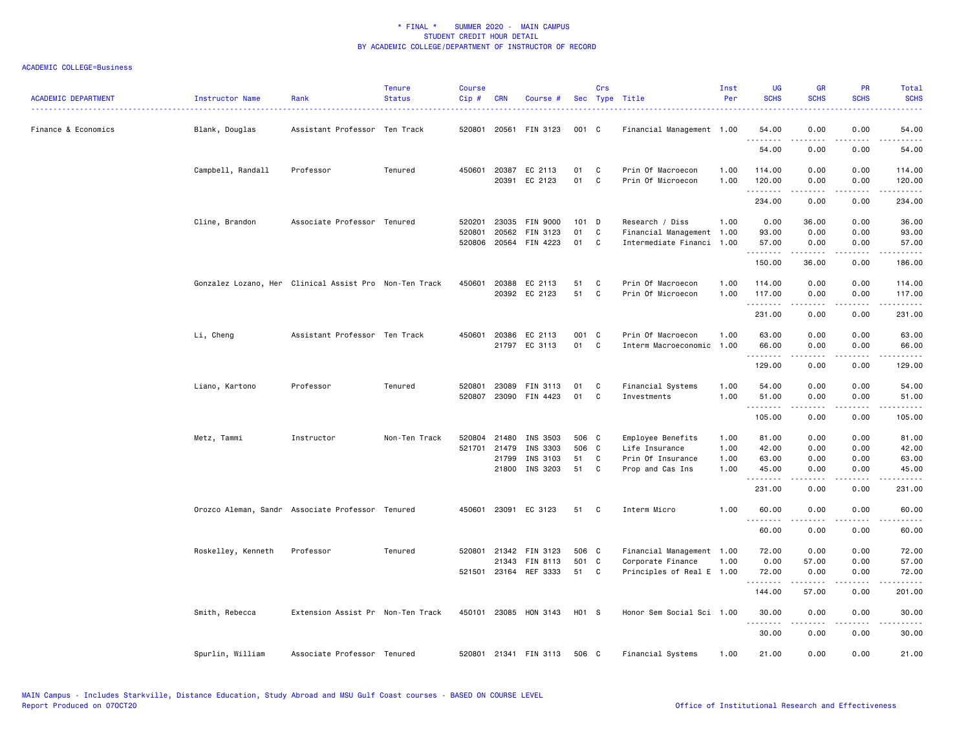| <b>ACADEMIC DEPARTMENT</b> | Instructor Name    | Rank                                                   | <b>Tenure</b><br><b>Status</b> | <b>Course</b><br>Cip# | <b>CRN</b>            | Course #                                |                | Crs               | Sec Type Title                                 | Inst<br>Per  | <b>UG</b><br><b>SCHS</b> | <b>GR</b><br><b>SCHS</b>                                                                                                                                     | PR<br><b>SCHS</b>     | Total<br><b>SCHS</b>   |
|----------------------------|--------------------|--------------------------------------------------------|--------------------------------|-----------------------|-----------------------|-----------------------------------------|----------------|-------------------|------------------------------------------------|--------------|--------------------------|--------------------------------------------------------------------------------------------------------------------------------------------------------------|-----------------------|------------------------|
| Finance & Economics        | Blank, Douglas     | Assistant Professor Ten Track                          |                                | 520801                |                       | 20561 FIN 3123                          | 001 C          |                   | Financial Management 1.00                      |              | 54.00                    | 0.00                                                                                                                                                         | 0.00                  | 54.00                  |
|                            |                    |                                                        |                                |                       |                       |                                         |                |                   |                                                |              | .<br>54.00               | -----<br>0.00                                                                                                                                                | .<br>0.00             | .<br>54.00             |
|                            | Campbell, Randall  | Professor                                              | Tenured                        | 450601                | 20391                 | 20387 EC 2113<br>EC 2123                | 01<br>01       | C<br>$\mathbf{C}$ | Prin Of Macroecon<br>Prin Of Microecon         | 1.00<br>1.00 | 114.00<br>120.00         | 0.00<br>0.00                                                                                                                                                 | 0.00<br>0.00          | 114.00<br>120.00       |
|                            |                    |                                                        |                                |                       |                       |                                         |                |                   |                                                |              | .<br>234.00              | $\frac{1}{2} \left( \frac{1}{2} \right) \left( \frac{1}{2} \right) \left( \frac{1}{2} \right) \left( \frac{1}{2} \right) \left( \frac{1}{2} \right)$<br>0.00 | .<br>0.00             | وعاعات عاملا<br>234.00 |
|                            | Cline, Brandon     | Associate Professor Tenured                            |                                | 520201<br>520801      | 23035<br>20562        | <b>FIN 9000</b><br>FIN 3123             | $101$ D<br>01  | $\mathtt{C}$      | Research / Diss<br>Financial Management 1.00   | 1.00         | 0.00<br>93.00            | 36.00<br>0.00                                                                                                                                                | 0.00<br>0.00          | 36.00<br>93.00         |
|                            |                    |                                                        |                                |                       |                       | 520806 20564 FIN 4223                   | 01             | C                 | Intermediate Financi 1.00                      |              | 57.00<br>.               | 0.00<br>$\frac{1}{2}$                                                                                                                                        | 0.00<br>.             | 57.00<br>.             |
|                            |                    |                                                        |                                |                       |                       |                                         |                |                   |                                                |              | 150.00                   | 36.00                                                                                                                                                        | 0.00                  | 186.00                 |
|                            |                    | Gonzalez Lozano, Her Clinical Assist Pro Non-Ten Track |                                | 450601                | 20388                 | EC 2113<br>20392 EC 2123                | 51<br>51       | C<br>C            | Prin Of Macroecon<br>Prin Of Microecon         | 1.00<br>1.00 | 114.00<br>117.00<br>.    | 0.00<br>0.00<br>.                                                                                                                                            | 0.00<br>0.00<br>.     | 114.00<br>117.00<br>.  |
|                            |                    |                                                        |                                |                       |                       |                                         |                |                   |                                                |              | 231.00                   | 0.00                                                                                                                                                         | 0.00                  | 231.00                 |
|                            | Li, Cheng          | Assistant Professor Ten Track                          |                                | 450601                | 20386                 | EC 2113<br>21797 EC 3113                | 001 C<br>01    | $\mathbf{C}$      | Prin Of Macroecon<br>Interm Macroeconomic      | 1.00<br>1.00 | 63.00<br>66.00           | 0.00<br>0.00                                                                                                                                                 | 0.00<br>0.00          | 63.00<br>66.00         |
|                            |                    |                                                        |                                |                       |                       |                                         |                |                   |                                                |              | <u>.</u><br>129.00       | .<br>0.00                                                                                                                                                    | $\frac{1}{2}$<br>0.00 | .<br>129.00            |
|                            | Liano, Kartono     | Professor                                              | Tenured                        | 520801                |                       | 23089 FIN 3113<br>520807 23090 FIN 4423 | 01<br>01       | C<br>C            | Financial Systems<br>Investments               | 1.00<br>1.00 | 54.00<br>51.00           | 0.00<br>0.00                                                                                                                                                 | 0.00<br>0.00          | 54.00<br>51.00         |
|                            |                    |                                                        |                                |                       |                       |                                         |                |                   |                                                |              | .<br>105.00              | 0.00                                                                                                                                                         | .<br>0.00             | .<br>105.00            |
|                            | Metz, Tammi        | Instructor                                             | Non-Ten Track                  | 520804                | 21480<br>521701 21479 | INS 3503<br>INS 3303                    | 506 C<br>506 C |                   | Employee Benefits<br>Life Insurance            | 1.00<br>1.00 | 81.00<br>42.00           | 0.00<br>0.00                                                                                                                                                 | 0.00<br>0.00          | 81.00<br>42.00         |
|                            |                    |                                                        |                                |                       | 21799                 | INS 3103                                | 51             | C                 | Prin Of Insurance                              | 1.00         | 63.00                    | 0.00                                                                                                                                                         | 0.00                  | 63.00                  |
|                            |                    |                                                        |                                |                       | 21800                 | INS 3203                                | 51             | C                 | Prop and Cas Ins                               | 1.00         | 45.00<br>.               | 0.00<br>.                                                                                                                                                    | 0.00                  | 45.00<br>.             |
|                            |                    |                                                        |                                |                       |                       |                                         |                |                   |                                                |              | 231.00                   | 0.00                                                                                                                                                         | 0.00                  | 231.00                 |
|                            |                    | Orozco Aleman, Sandr Associate Professor Tenured       |                                |                       |                       | 450601 23091 EC 3123                    | 51             | - C               | Interm Micro                                   | 1.00         | 60.00<br>.               | 0.00<br><u>.</u>                                                                                                                                             | 0.00<br>.             | 60.00<br>.             |
|                            |                    |                                                        |                                |                       |                       |                                         |                |                   |                                                |              | 60.00                    | 0.00                                                                                                                                                         | 0.00                  | 60.00                  |
|                            | Roskelley, Kenneth | Professor                                              | Tenured                        | 520801                |                       | 21342 FIN 3123                          | 506 C          |                   | Financial Management 1.00                      |              | 72.00                    | 0.00                                                                                                                                                         | 0.00                  | 72.00                  |
|                            |                    |                                                        |                                |                       | 21343                 | FIN 8113<br>521501 23164 REF 3333       | 501 C<br>51 C  |                   | Corporate Finance<br>Principles of Real E 1.00 | 1.00         | 0.00<br>72.00            | 57.00<br>0.00                                                                                                                                                | 0.00<br>0.00          | 57.00<br>72.00         |
|                            |                    |                                                        |                                |                       |                       |                                         |                |                   |                                                |              | .<br>144.00              | .<br>57.00                                                                                                                                                   | .<br>0.00             | . <b>.</b><br>201.00   |
|                            | Smith, Rebecca     | Extension Assist Pr Non-Ten Track                      |                                |                       |                       | 450101 23085 HON 3143                   | H01 S          |                   | Honor Sem Social Sci 1.00                      |              | 30.00                    | 0.00                                                                                                                                                         | 0.00                  | 30.00                  |
|                            |                    |                                                        |                                |                       |                       |                                         |                |                   |                                                |              | .<br>30.00               | .<br>0.00                                                                                                                                                    | .<br>0.00             | .<br>30.00             |
|                            | Spurlin, William   | Associate Professor Tenured                            |                                |                       |                       | 520801 21341 FIN 3113                   | 506 C          |                   | Financial Systems                              | 1.00         | 21.00                    | 0.00                                                                                                                                                         | 0.00                  | 21.00                  |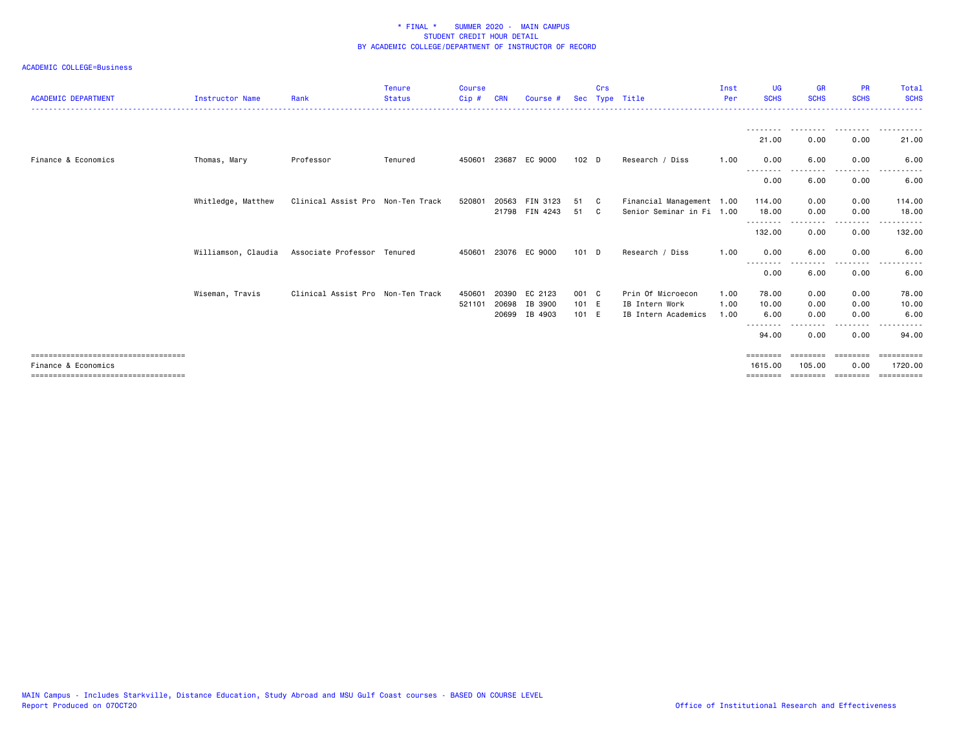| <b>ACADEMIC DEPARTMENT</b>                                   | Instructor Name     | Rank                              | <b>Tenure</b><br><b>Status</b> | <b>Course</b><br>Cip# | <b>CRN</b> | Course #             | Sec              | Crs          | Type Title                | Inst<br>Per | <b>UG</b><br><b>SCHS</b> | <b>GR</b><br><b>SCHS</b> | <b>PR</b><br><b>SCHS</b> | Total<br><b>SCHS</b>  |
|--------------------------------------------------------------|---------------------|-----------------------------------|--------------------------------|-----------------------|------------|----------------------|------------------|--------------|---------------------------|-------------|--------------------------|--------------------------|--------------------------|-----------------------|
|                                                              |                     |                                   |                                |                       |            |                      |                  |              |                           |             |                          |                          |                          |                       |
|                                                              |                     |                                   |                                |                       |            |                      |                  |              |                           |             | 21.00                    | 0.00                     | 0.00                     | 21.00                 |
| Finance & Economics                                          | Thomas, Mary        | Professor                         | Tenured                        | 450601                | 23687      | EC 9000              | 102 <sub>D</sub> |              | Research / Diss           | 1.00        | 0.00<br>$- - -$          | 6.00                     | 0.00                     | 6.00                  |
|                                                              |                     |                                   |                                |                       |            |                      |                  |              |                           |             | 0.00                     | 6.00                     | 0.00                     | 6.00                  |
|                                                              | Whitledge, Matthew  | Clinical Assist Pro Non-Ten Track |                                | 520801                | 20563      | FIN 3123             | 51               | $\mathbf{C}$ | Financial Management 1.00 |             | 114.00                   | 0.00                     | 0.00                     | 114.00                |
|                                                              |                     |                                   |                                |                       |            | 21798 FIN 4243       | 51 C             |              | Senior Seminar in Fi 1.00 |             | 18.00<br>---------       | 0.00                     | 0.00<br>$\frac{1}{2}$    | 18.00                 |
|                                                              |                     |                                   |                                |                       |            |                      |                  |              |                           |             | 132.00                   | 0.00                     | 0.00                     | 132.00                |
|                                                              | Williamson, Claudia | Associate Professor Tenured       |                                |                       |            | 450601 23076 EC 9000 | $101$ D          |              | Research / Diss           | 1.00        | 0.00<br>----<br>----     | 6.00                     | 0.00                     | 6.00                  |
|                                                              |                     |                                   |                                |                       |            |                      |                  |              |                           |             | 0.00                     | 6.00                     | 0.00                     | 6.00                  |
|                                                              | Wiseman, Travis     | Clinical Assist Pro Non-Ten Track |                                | 450601                | 20390      | EC 2123              | 001 C            |              | Prin Of Microecon         | 1.00        | 78.00                    | 0.00                     | 0.00                     | 78.00                 |
|                                                              |                     |                                   |                                | 521101                | 20698      | IB 3900              | 101 E            |              | IB Intern Work            | 1.00        | 10.00                    | 0.00                     | 0.00                     | 10.00                 |
|                                                              |                     |                                   |                                |                       | 20699      | IB 4903              | 101 E            |              | IB Intern Academics       | 1.00        | 6.00<br>--------         | 0.00<br>.                | 0.00<br>.                | 6.00<br>.             |
|                                                              |                     |                                   |                                |                       |            |                      |                  |              |                           |             | 94.00                    | 0.00                     | 0.00                     | 94.00                 |
| ======================================                       |                     |                                   |                                |                       |            |                      |                  |              |                           |             | $=$ = = = = = = =        |                          |                          |                       |
| Finance & Economics<br>===================================== |                     |                                   |                                |                       |            |                      |                  |              |                           |             | 1615,00<br>========      | 105.00<br>--------       | 0.00<br>========         | 1720.00<br>========== |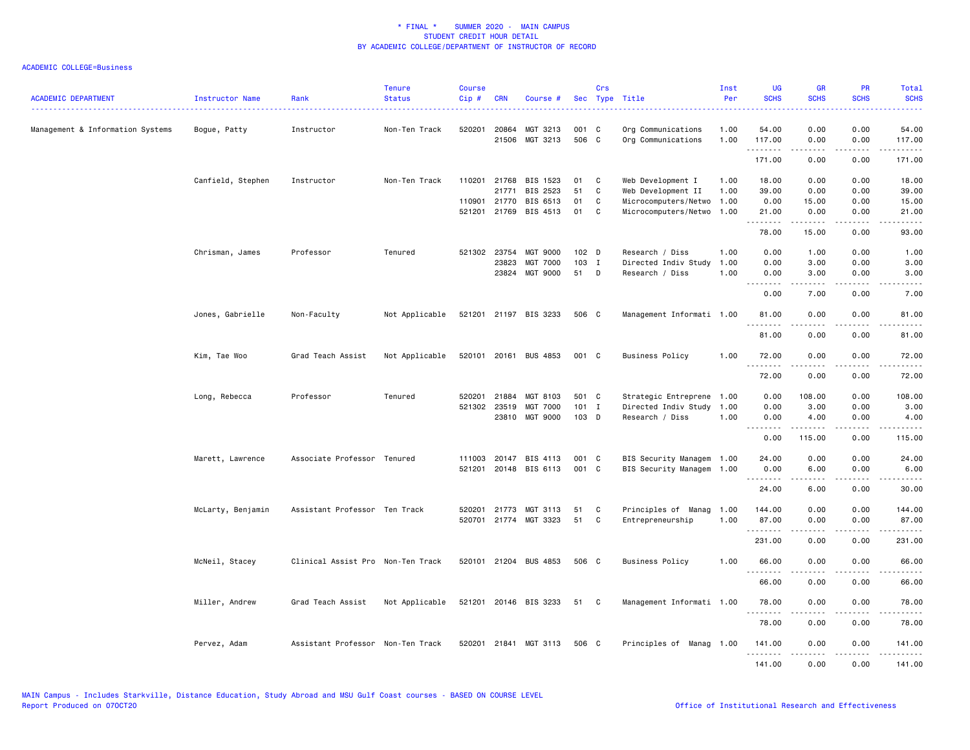| <b>ACADEMIC DEPARTMENT</b>       | Instructor Name   | Rank                              | <b>Tenure</b><br><b>Status</b> | <b>Course</b><br>Cip# | <b>CRN</b>     | Course #                          |                  | Crs          | Sec Type Title                               | Inst<br>Per  | UG<br><b>SCHS</b>                                    | <b>GR</b><br><b>SCHS</b> | PR<br><b>SCHS</b>     | Total<br><b>SCHS</b>                                                                                                                                                                      |
|----------------------------------|-------------------|-----------------------------------|--------------------------------|-----------------------|----------------|-----------------------------------|------------------|--------------|----------------------------------------------|--------------|------------------------------------------------------|--------------------------|-----------------------|-------------------------------------------------------------------------------------------------------------------------------------------------------------------------------------------|
| Management & Information Systems | Bogue, Patty      | Instructor                        | Non-Ten Track                  | 520201                | 20864<br>21506 | MGT 3213<br>MGT 3213              | 001 C<br>506 C   |              | Org Communications<br>Org Communications     | 1.00<br>1.00 | 54.00<br>117.00                                      | 0.00<br>0.00             | 0.00<br>0.00          | 54.00<br>117.00                                                                                                                                                                           |
|                                  |                   |                                   |                                |                       |                |                                   |                  |              |                                              |              | .<br>171.00                                          | 0.00                     | $\frac{1}{2}$<br>0.00 | <u>.</u><br>171.00                                                                                                                                                                        |
|                                  |                   |                                   |                                |                       |                |                                   |                  |              |                                              |              |                                                      |                          |                       |                                                                                                                                                                                           |
|                                  | Canfield, Stephen | Instructor                        | Non-Ten Track                  |                       |                | 110201 21768 BIS 1523             | 01               | $\mathbf{C}$ | Web Development I                            | 1.00         | 18.00                                                | 0.00                     | 0.00                  | 18.00                                                                                                                                                                                     |
|                                  |                   |                                   |                                |                       | 21771          | BIS 2523                          | 51               | C            | Web Development II                           | 1.00         | 39.00                                                | 0.00                     | 0.00                  | 39.00                                                                                                                                                                                     |
|                                  |                   |                                   |                                |                       | 110901 21770   | BIS 6513<br>521201 21769 BIS 4513 | 01<br>01         | C<br>C       | Microcomputers/Netwo<br>Microcomputers/Netwo | 1.00<br>1.00 | 0.00<br>21.00                                        | 15.00<br>0.00            | 0.00<br>0.00          | 15.00<br>21.00                                                                                                                                                                            |
|                                  |                   |                                   |                                |                       |                |                                   |                  |              |                                              |              | .                                                    | .                        | .                     | .                                                                                                                                                                                         |
|                                  |                   |                                   |                                |                       |                |                                   |                  |              |                                              |              | 78.00                                                | 15.00                    | 0.00                  | 93.00                                                                                                                                                                                     |
|                                  | Chrisman, James   | Professor                         | Tenured                        |                       | 521302 23754   | <b>MGT 9000</b>                   | 102 <sub>D</sub> |              | Research / Diss                              | 1.00         | 0.00                                                 | 1.00                     | 0.00                  | 1.00                                                                                                                                                                                      |
|                                  |                   |                                   |                                |                       | 23823          | MGT 7000                          | 103 I            |              | Directed Indiv Study                         | 1.00         | 0.00                                                 | 3.00                     | 0.00                  | 3.00                                                                                                                                                                                      |
|                                  |                   |                                   |                                |                       |                | 23824 MGT 9000                    | 51 D             |              | Research / Diss                              | 1.00         | 0.00<br>$\sim$ $\sim$ $\sim$<br>$\sim$ $\sim$ $\sim$ | 3.00                     | 0.00                  | 3.00                                                                                                                                                                                      |
|                                  |                   |                                   |                                |                       |                |                                   |                  |              |                                              |              | 0.00                                                 | 7.00                     | 0.00                  | 7.00                                                                                                                                                                                      |
|                                  | Jones, Gabrielle  | Non-Faculty                       | Not Applicable                 |                       |                | 521201 21197 BIS 3233             | 506 C            |              | Management Informati 1.00                    |              | 81.00                                                | 0.00                     | 0.00                  | 81.00                                                                                                                                                                                     |
|                                  |                   |                                   |                                |                       |                |                                   |                  |              |                                              |              | .<br>81.00                                           | د د د د<br>0.00          | 0.00                  | 81.00                                                                                                                                                                                     |
|                                  | Kim, Tae Woo      | Grad Teach Assist                 | Not Applicable                 |                       |                | 520101 20161 BUS 4853             | 001 C            |              | <b>Business Policy</b>                       | 1.00         | 72.00                                                | 0.00                     | 0.00                  | 72.00                                                                                                                                                                                     |
|                                  |                   |                                   |                                |                       |                |                                   |                  |              |                                              |              | $- - - -$<br>72.00                                   | 0.00                     | 0.00                  | 72.00                                                                                                                                                                                     |
|                                  | Long, Rebecca     | Professor                         | Tenured                        | 520201                | 21884          | MGT 8103                          | 501 C            |              | Strategic Entreprene 1.00                    |              | 0.00                                                 | 108.00                   | 0.00                  | 108.00                                                                                                                                                                                    |
|                                  |                   |                                   |                                |                       | 521302 23519   | <b>MGT 7000</b>                   | $101$ I          |              | Directed Indiv Study                         | 1.00         | 0.00                                                 | 3.00                     | 0.00                  | 3.00                                                                                                                                                                                      |
|                                  |                   |                                   |                                |                       |                | 23810 MGT 9000                    | 103 D            |              | Research / Diss                              | 1.00         | 0.00                                                 | 4.00                     | 0.00                  | 4.00                                                                                                                                                                                      |
|                                  |                   |                                   |                                |                       |                |                                   |                  |              |                                              |              | .<br>0.00                                            | $- - - - -$<br>115.00    | .<br>0.00             | .<br>115.00                                                                                                                                                                               |
|                                  | Marett, Lawrence  | Associate Professor Tenured       |                                |                       | 111003 20147   | BIS 4113                          | 001 C            |              | BIS Security Managem 1.00                    |              | 24.00                                                | 0.00                     | 0.00                  | 24.00                                                                                                                                                                                     |
|                                  |                   |                                   |                                | 521201                |                | 20148 BIS 6113                    | 001 C            |              | BIS Security Managem 1.00                    |              | 0.00                                                 | 6.00                     | 0.00                  | 6.00                                                                                                                                                                                      |
|                                  |                   |                                   |                                |                       |                |                                   |                  |              |                                              |              | -----                                                |                          |                       |                                                                                                                                                                                           |
|                                  |                   |                                   |                                |                       |                |                                   |                  |              |                                              |              | 24.00                                                | 6.00                     | 0.00                  | 30.00                                                                                                                                                                                     |
|                                  | McLarty, Benjamin | Assistant Professor Ten Track     |                                | 520201                | 21773          | MGT 3113                          | 51               | C            | Principles of Manag 1.00                     |              | 144.00                                               | 0.00                     | 0.00                  | 144.00                                                                                                                                                                                    |
|                                  |                   |                                   |                                |                       |                | 520701 21774 MGT 3323             | 51               | C            | Entrepreneurship                             | 1.00         | 87.00                                                | 0.00                     | 0.00                  | 87.00                                                                                                                                                                                     |
|                                  |                   |                                   |                                |                       |                |                                   |                  |              |                                              |              | .<br>231.00                                          | 0.00                     | 0.00                  | 231.00                                                                                                                                                                                    |
|                                  | McNeil, Stacey    | Clinical Assist Pro Non-Ten Track |                                |                       |                | 520101 21204 BUS 4853             | 506 C            |              | Business Policy                              | 1.00         | 66.00                                                | 0.00                     | 0.00                  | 66.00                                                                                                                                                                                     |
|                                  |                   |                                   |                                |                       |                |                                   |                  |              |                                              |              | .                                                    | . <b>.</b>               | $\frac{1}{2}$         | .                                                                                                                                                                                         |
|                                  |                   |                                   |                                |                       |                |                                   |                  |              |                                              |              | 66.00                                                | 0.00                     | 0.00                  | 66.00                                                                                                                                                                                     |
|                                  | Miller, Andrew    | Grad Teach Assist                 | Not Applicable                 |                       |                | 521201 20146 BIS 3233             | 51 C             |              | Management Informati 1.00                    |              | 78.00<br>- - -                                       | 0.00                     | 0.00                  | 78.00                                                                                                                                                                                     |
|                                  |                   |                                   |                                |                       |                |                                   |                  |              |                                              |              | 78.00                                                | 0.00                     | 0.00                  | 78.00                                                                                                                                                                                     |
|                                  | Pervez, Adam      | Assistant Professor Non-Ten Track |                                |                       |                | 520201 21841 MGT 3113             | 506 C            |              | Principles of Manag 1.00                     |              | 141.00<br>.                                          | 0.00<br>.                | 0.00<br>.             | 141.00<br>$\frac{1}{2} \left( \frac{1}{2} \right) \left( \frac{1}{2} \right) \left( \frac{1}{2} \right) \left( \frac{1}{2} \right) \left( \frac{1}{2} \right) \left( \frac{1}{2} \right)$ |
|                                  |                   |                                   |                                |                       |                |                                   |                  |              |                                              |              | 141.00                                               | 0.00                     | 0.00                  | 141.00                                                                                                                                                                                    |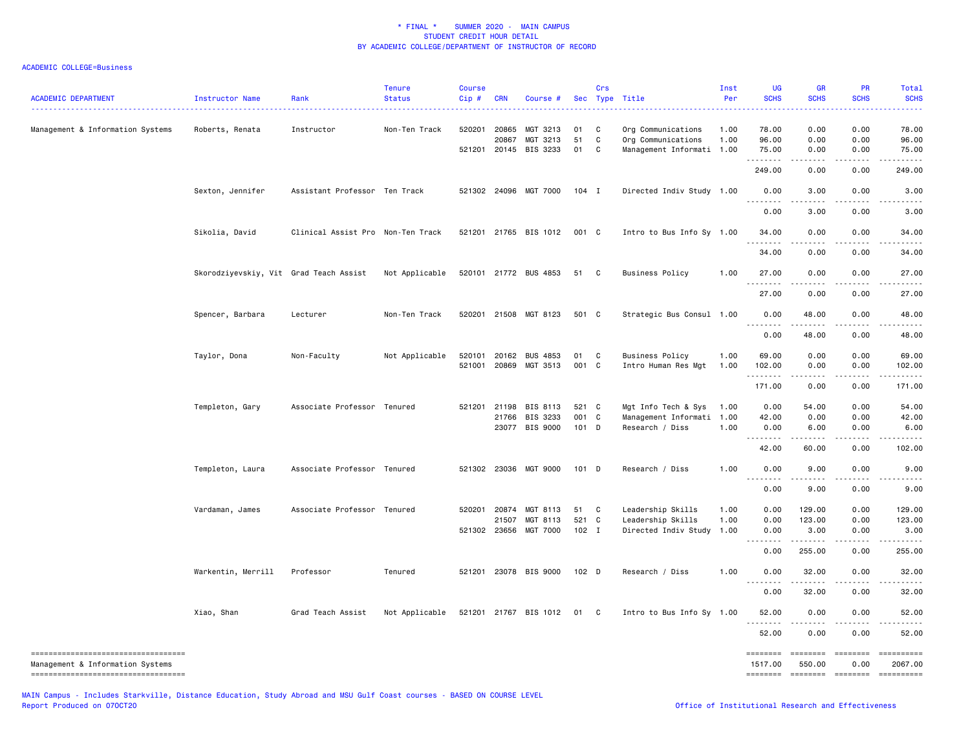# ACADEMIC COLLEGE=Business

| <b>ACADEMIC DEPARTMENT</b><br>-----------------------------------                                             | Instructor Name                        | Rank                              | <b>Tenure</b><br><b>Status</b> | <b>Course</b><br>Cip# | <b>CRN</b>     | Course #                                      |                  | Crs          | Sec Type Title                                                        | Inst<br>Per  | <b>UG</b><br><b>SCHS</b>        | <b>GR</b><br><b>SCHS</b>            | <b>PR</b><br><b>SCHS</b> | Total<br><b>SCHS</b>    |
|---------------------------------------------------------------------------------------------------------------|----------------------------------------|-----------------------------------|--------------------------------|-----------------------|----------------|-----------------------------------------------|------------------|--------------|-----------------------------------------------------------------------|--------------|---------------------------------|-------------------------------------|--------------------------|-------------------------|
| Management & Information Systems                                                                              | Roberts, Renata                        | Instructor                        | Non-Ten Track                  | 520201                | 20865<br>20867 | MGT 3213<br>MGT 3213<br>521201 20145 BIS 3233 | 01<br>51<br>01   | C<br>C<br>C  | Org Communications<br>Org Communications<br>Management Informati 1.00 | 1.00<br>1.00 | 78.00<br>96.00<br>75.00         | 0.00<br>0.00<br>0.00                | 0.00<br>0.00<br>0.00     | 78.00<br>96.00<br>75.00 |
|                                                                                                               |                                        |                                   |                                |                       |                |                                               |                  |              |                                                                       |              | .<br>249.00                     | $- - - - -$<br>0.00                 | .<br>0.00                | .<br>249.00             |
|                                                                                                               | Sexton, Jennifer                       | Assistant Professor Ten Track     |                                |                       |                | 521302 24096 MGT 7000                         | $104$ I          |              | Directed Indiv Study 1.00                                             |              | 0.00                            | 3.00                                | 0.00                     | 3.00                    |
|                                                                                                               |                                        |                                   |                                |                       |                |                                               |                  |              |                                                                       |              | 0.00                            | 3.00                                | 0.00                     | 3.00                    |
|                                                                                                               | Sikolia, David                         | Clinical Assist Pro Non-Ten Track |                                |                       |                | 521201 21765 BIS 1012                         | 001 C            |              | Intro to Bus Info Sy 1.00                                             |              | 34.00<br>.                      | 0.00<br>$\sim$ $\sim$ $\sim$ $\sim$ | 0.00<br>$\frac{1}{2}$    | 34.00                   |
|                                                                                                               |                                        |                                   |                                |                       |                |                                               |                  |              |                                                                       |              | 34.00                           | 0.00                                | 0.00                     | 34.00                   |
|                                                                                                               | Skorodziyevskiy, Vit Grad Teach Assist |                                   | Not Applicable                 |                       |                | 520101 21772 BUS 4853                         | 51               | $\mathbf{C}$ | <b>Business Policy</b>                                                | 1.00         | 27.00<br>.                      | 0.00                                | 0.00                     | 27.00                   |
|                                                                                                               |                                        |                                   |                                |                       |                |                                               |                  |              |                                                                       |              | 27.00                           | 0.00                                | 0.00                     | 27.00                   |
|                                                                                                               | Spencer, Barbara                       | Lecturer                          | Non-Ten Track                  |                       |                | 520201 21508 MGT 8123                         | 501 C            |              | Strategic Bus Consul 1.00                                             |              | 0.00<br>$- - -$<br>.            | 48.00                               | 0.00                     | 48.00                   |
|                                                                                                               |                                        |                                   |                                |                       |                |                                               |                  |              |                                                                       |              | 0.00                            | 48.00                               | 0.00                     | 48.00                   |
|                                                                                                               | Taylor, Dona                           | Non-Faculty                       | Not Applicable                 | 520101                | 20162          | <b>BUS 4853</b>                               | 01               | $\mathbf{C}$ | Business Policy                                                       | 1.00         | 69.00                           | 0.00                                | 0.00                     | 69.00                   |
|                                                                                                               |                                        |                                   |                                |                       |                | 521001 20869 MGT 3513                         | 001 C            |              | Intro Human Res Mgt                                                   | 1.00         | 102.00<br>.                     | 0.00                                | 0.00                     | 102.00                  |
|                                                                                                               |                                        |                                   |                                |                       |                |                                               |                  |              |                                                                       |              | 171.00                          | 0.00                                | 0.00                     | 171.00                  |
|                                                                                                               | Templeton, Gary                        | Associate Professor Tenured       |                                |                       | 521201 21198   | BIS 8113                                      | 521 C            |              | Mgt Info Tech & Sys                                                   | 1.00         | 0.00                            | 54.00                               | 0.00                     | 54.00                   |
|                                                                                                               |                                        |                                   |                                |                       | 21766          | BIS 3233<br>23077 BIS 9000                    | 001 C<br>$101$ D |              | Management Informati 1.00<br>Research / Diss                          | 1.00         | 42.00<br>0.00                   | 0.00<br>6.00                        | 0.00<br>0.00             | 42.00<br>6.00           |
|                                                                                                               |                                        |                                   |                                |                       |                |                                               |                  |              |                                                                       |              | <u>.</u>                        |                                     |                          |                         |
|                                                                                                               |                                        |                                   |                                |                       |                |                                               |                  |              |                                                                       |              | 42.00                           | 60.00                               | 0.00                     | 102.00                  |
|                                                                                                               | Templeton, Laura                       | Associate Professor Tenured       |                                |                       |                | 521302 23036 MGT 9000                         | $101$ D          |              | Research / Diss                                                       | 1.00         | 0.00                            | 9.00                                | 0.00                     | 9.00                    |
|                                                                                                               |                                        |                                   |                                |                       |                |                                               |                  |              |                                                                       |              | 0.00                            | 9.00                                | 0.00                     | 9.00                    |
|                                                                                                               | Vardaman, James                        | Associate Professor Tenured       |                                |                       |                | 520201 20874 MGT 8113                         | 51               | $\mathbf{C}$ | Leadership Skills                                                     | 1.00         | 0.00                            | 129.00                              | 0.00                     | 129.00                  |
|                                                                                                               |                                        |                                   |                                |                       | 21507          | MGT 8113                                      | 521 C            |              | Leadership Skills                                                     | 1.00         | 0.00                            | 123.00                              | 0.00                     | 123.00                  |
|                                                                                                               |                                        |                                   |                                | 521302                | 23656          | MGT 7000                                      | 102 I            |              | Directed Indiv Study                                                  | 1.00         | 0.00<br>.<br>$\frac{1}{2}$      | 3.00<br><u>.</u>                    | 0.00<br>.                | 3.00<br>.               |
|                                                                                                               |                                        |                                   |                                |                       |                |                                               |                  |              |                                                                       |              | 0.00                            | 255.00                              | 0.00                     | 255.00                  |
|                                                                                                               | Warkentin, Merrill                     | Professor                         | Tenured                        |                       |                | 521201 23078 BIS 9000                         | 102 D            |              | Research / Diss                                                       | 1.00         | 0.00<br>- - -                   | 32.00                               | 0.00                     | 32.00                   |
|                                                                                                               |                                        |                                   |                                |                       |                |                                               |                  |              |                                                                       |              | 0.00                            | 32.00                               | 0.00                     | 32.00                   |
|                                                                                                               | Xiao, Shan                             | Grad Teach Assist                 | Not Applicable                 |                       |                | 521201 21767 BIS 1012                         | 01               | $\mathbf{C}$ | Intro to Bus Info Sy 1.00                                             |              | 52.00<br><u>.</u>               | 0.00                                | 0.00                     | 52.00                   |
|                                                                                                               |                                        |                                   |                                |                       |                |                                               |                  |              |                                                                       |              | 52.00                           | 0.00                                | 0.00                     | 52.00                   |
| -----------------------------------<br>Management & Information Systems<br>---------------------------------- |                                        |                                   |                                |                       |                |                                               |                  |              |                                                                       |              | ========<br>1517.00<br>======== | 550.00                              | 0.00<br>-------- ------- | 2067.00                 |
|                                                                                                               |                                        |                                   |                                |                       |                |                                               |                  |              |                                                                       |              |                                 |                                     |                          |                         |

MAIN Campus - Includes Starkville, Distance Education, Study Abroad and MSU Gulf Coast courses - BASED ON COURSE LEVEL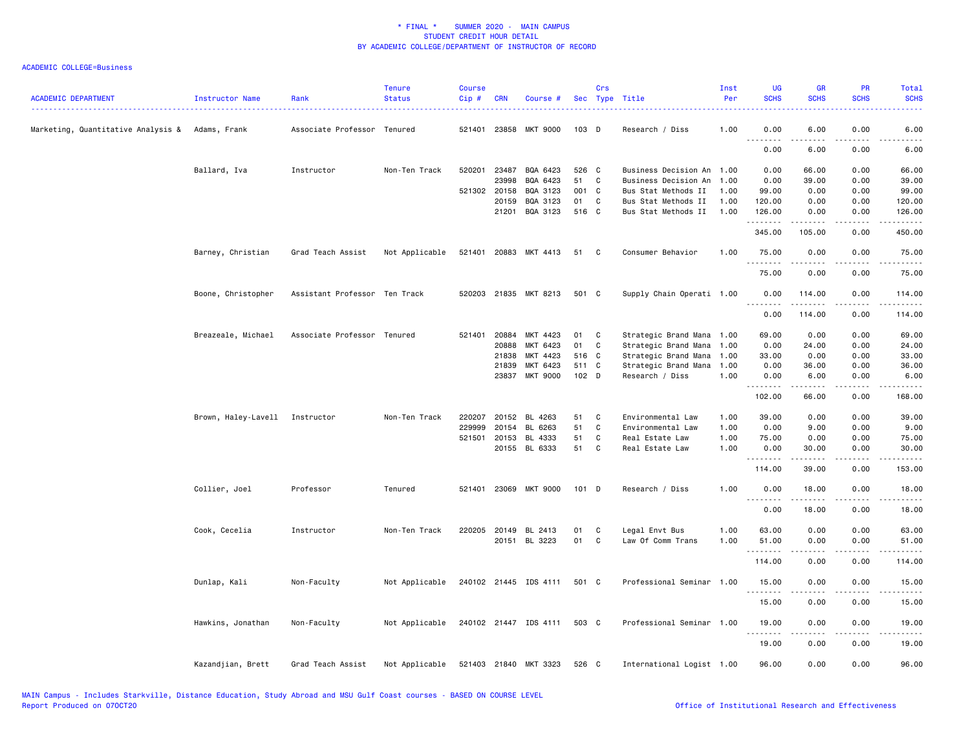| <b>ACADEMIC DEPARTMENT</b>                      | Instructor Name                | Rank                          | <b>Tenure</b><br><b>Status</b> | <b>Course</b><br>Cip# | <b>CRN</b>   | Course #              |                  | Crs          | Sec Type Title            | Inst<br>Per | UG<br><b>SCHS</b>   | <b>GR</b><br><b>SCHS</b> | <b>PR</b><br><b>SCHS</b>     | Total<br><b>SCHS</b> |
|-------------------------------------------------|--------------------------------|-------------------------------|--------------------------------|-----------------------|--------------|-----------------------|------------------|--------------|---------------------------|-------------|---------------------|--------------------------|------------------------------|----------------------|
| Marketing, Quantitative Analysis & Adams, Frank |                                | Associate Professor Tenured   |                                | 521401                |              | 23858 MKT 9000        | 103 D            |              | Research / Diss           | 1.00        | 0.00                | 6.00                     | 0.00                         | 6.00                 |
|                                                 |                                |                               |                                |                       |              |                       |                  |              |                           |             | 0.00                | 6.00                     | 0.00                         | 6.00                 |
|                                                 | Ballard, Iva                   | Instructor                    | Non-Ten Track                  | 520201                | 23487        | BQA 6423              | 526 C            |              | Business Decision An 1.00 |             | 0.00                | 66.00                    | 0.00                         | 66.00                |
|                                                 |                                |                               |                                |                       | 23998        | BQA 6423              | 51               | $\mathbf{C}$ | Business Decision An 1.00 |             | 0.00                | 39.00                    | 0.00                         | 39.00                |
|                                                 |                                |                               |                                |                       | 521302 20158 | BQA 3123              | 001 C            |              | Bus Stat Methods II       | 1.00        | 99.00               | 0.00                     | 0.00                         | 99.00                |
|                                                 |                                |                               |                                |                       | 20159        | BQA 3123              | 01               | $\mathbf{C}$ | Bus Stat Methods II       | 1.00        | 120.00              | 0.00                     | 0.00                         | 120.00               |
|                                                 |                                |                               |                                |                       | 21201        | BQA 3123              | 516 C            |              | Bus Stat Methods II       | 1.00        | 126.00<br>.         | 0.00<br>.                | 0.00<br>.                    | 126.00               |
|                                                 |                                |                               |                                |                       |              |                       |                  |              |                           |             | 345.00              | 105.00                   | 0.00                         | 450.00               |
|                                                 | Barney, Christian              | Grad Teach Assist             | Not Applicable                 |                       |              | 521401 20883 MKT 4413 | 51               | $\mathbf{C}$ | Consumer Behavior         | 1.00        | 75.00<br>. <u>.</u> | 0.00<br>$\frac{1}{2}$    | 0.00<br>$\frac{1}{2}$        | 75.00<br>.           |
|                                                 |                                |                               |                                |                       |              |                       |                  |              |                           |             | 75.00               | 0.00                     | 0.00                         | 75.00                |
|                                                 | Boone, Christopher             | Assistant Professor Ten Track |                                |                       |              | 520203 21835 MKT 8213 | 501 C            |              | Supply Chain Operati 1.00 |             | 0.00                | 114.00                   | 0.00                         | 114.00               |
|                                                 |                                |                               |                                |                       |              |                       |                  |              |                           |             | <u>.</u><br>0.00    | 114.00                   | - - - - -<br>0.00            | 114.00               |
|                                                 | Breazeale, Michael             | Associate Professor Tenured   |                                |                       | 521401 20884 | MKT 4423              | 01               | C            | Strategic Brand Mana 1.00 |             | 69.00               | 0.00                     | 0.00                         | 69.00                |
|                                                 |                                |                               |                                |                       | 20888        | MKT 6423              | 01               | C            | Strategic Brand Mana 1.00 |             | 0.00                | 24.00                    | 0.00                         | 24.00                |
|                                                 |                                |                               |                                |                       | 21838        | MKT 4423              | 516 C            |              | Strategic Brand Mana 1.00 |             | 33.00               | 0.00                     | 0.00                         | 33.00                |
|                                                 |                                |                               |                                |                       | 21839        | MKT 6423              | 511 C            |              | Strategic Brand Mana      | 1.00        | 0.00                | 36.00                    | 0.00                         | 36.00                |
|                                                 |                                |                               |                                |                       |              | 23837 MKT 9000        | 102 <sub>D</sub> |              | Research / Diss           | 1.00        | 0.00<br>.           | 6.00<br>$- - - - -$      | 0.00<br>.                    | 6.00<br><u>.</u>     |
|                                                 |                                |                               |                                |                       |              |                       |                  |              |                           |             | 102.00              | 66.00                    | 0.00                         | 168.00               |
|                                                 | Brown, Haley-Lavell Instructor |                               | Non-Ten Track                  | 220207                | 20152        | BL 4263               | 51               | C            | Environmental Law         | 1.00        | 39.00               | 0.00                     | 0.00                         | 39.00                |
|                                                 |                                |                               |                                | 229999                | 20154        | BL 6263               | 51               | $\mathbf{C}$ | Environmental Law         | 1.00        | 0.00                | 9.00                     | 0.00                         | 9.00                 |
|                                                 |                                |                               |                                |                       | 521501 20153 | BL 4333               | 51               | C            | Real Estate Law           | 1.00        | 75.00               | 0.00                     | 0.00                         | 75.00                |
|                                                 |                                |                               |                                |                       |              | 20155 BL 6333         | 51 C             |              | Real Estate Law           | 1.00        | 0.00<br>.           | 30.00<br>.               | 0.00<br>.                    | 30.00<br>.           |
|                                                 |                                |                               |                                |                       |              |                       |                  |              |                           |             | 114.00              | 39.00                    | 0.00                         | 153.00               |
|                                                 | Collier, Joel                  | Professor                     | Tenured                        | 521401                | 23069        | MKT 9000              | $101$ D          |              | Research / Diss           | 1.00        | 0.00<br>.           | 18.00                    | 0.00                         | 18.00                |
|                                                 |                                |                               |                                |                       |              |                       |                  |              |                           |             | 0.00                | 18.00                    | 0.00                         | 18.00                |
|                                                 | Cook, Cecelia                  | Instructor                    | Non-Ten Track                  |                       |              | 220205 20149 BL 2413  | 01               | $\mathbf{C}$ | Legal Envt Bus            | 1.00        | 63.00               | 0.00                     | 0.00                         | 63.00                |
|                                                 |                                |                               |                                |                       |              | 20151 BL 3223         | 01 C             |              | Law Of Comm Trans         | 1.00        | 51.00               | 0.00                     | 0.00                         | 51.00                |
|                                                 |                                |                               |                                |                       |              |                       |                  |              |                           |             | .<br>114.00         | 0.00                     | $\sim$ $\sim$ $\sim$<br>0.00 | 114.00               |
|                                                 |                                |                               |                                |                       |              |                       |                  |              |                           |             |                     |                          |                              |                      |
|                                                 | Dunlap, Kali                   | Non-Faculty                   | Not Applicable                 |                       |              | 240102 21445 IDS 4111 | 501 C            |              | Professional Seminar 1.00 |             | 15.00<br>.          | 0.00<br>-----            | 0.00<br>.                    | 15.00<br>.           |
|                                                 |                                |                               |                                |                       |              |                       |                  |              |                           |             | 15.00               | 0.00                     | 0.00                         | 15.00                |
|                                                 | Hawkins, Jonathan              | Non-Faculty                   | Not Applicable                 |                       |              | 240102 21447 IDS 4111 | 503 C            |              | Professional Seminar 1.00 |             | 19.00<br>.          | 0.00                     | 0.00                         | 19.00                |
|                                                 |                                |                               |                                |                       |              |                       |                  |              |                           |             | 19.00               | 0.00                     | 0.00                         | 19.00                |
|                                                 | Kazandjian, Brett              | Grad Teach Assist             | Not Applicable                 |                       |              | 521403 21840 MKT 3323 | 526 C            |              | International Logist 1.00 |             | 96.00               | 0.00                     | 0.00                         | 96.00                |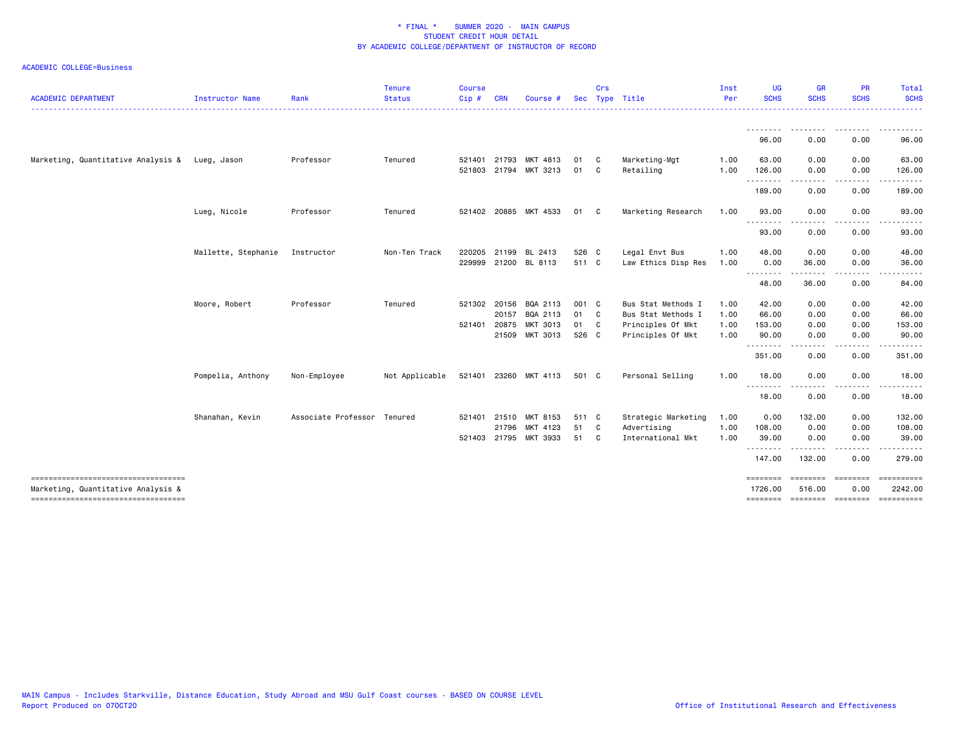| <b>ACADEMIC DEPARTMENT</b>                                                | Instructor Name     | Rank                        | <b>Tenure</b><br><b>Status</b> | <b>Course</b><br>Cip# | <b>CRN</b>   | Course #              |       | Crs            | Sec Type Title      | Inst<br>Per | <b>UG</b><br><b>SCHS</b> | <b>GR</b><br><b>SCHS</b>    | <b>PR</b><br><b>SCHS</b>                                                                                                          | Total<br><b>SCHS</b>  |
|---------------------------------------------------------------------------|---------------------|-----------------------------|--------------------------------|-----------------------|--------------|-----------------------|-------|----------------|---------------------|-------------|--------------------------|-----------------------------|-----------------------------------------------------------------------------------------------------------------------------------|-----------------------|
|                                                                           |                     |                             |                                |                       |              |                       |       |                |                     |             |                          |                             |                                                                                                                                   |                       |
|                                                                           |                     |                             |                                |                       |              |                       |       |                |                     |             | 96.00                    | 0.00                        | 0.00                                                                                                                              | 96.00                 |
| Marketing, Quantitative Analysis & Lueg, Jason                            |                     | Professor                   | Tenured                        | 521401                | 21793        | MKT 4813              | 01    | C.             | Marketing-Mgt       | 1.00        | 63.00                    | 0.00                        | 0.00                                                                                                                              | 63.00                 |
|                                                                           |                     |                             |                                | 521803                |              | 21794 MKT 3213        | 01    | C.             | Retailing           | 1.00        | 126.00<br>.              | 0.00                        | 0.00                                                                                                                              | 126.00                |
|                                                                           |                     |                             |                                |                       |              |                       |       |                |                     |             | 189.00                   | 0.00                        | 0.00                                                                                                                              | 189.00                |
|                                                                           | Lueg, Nicole        | Professor                   | Tenured                        |                       |              | 521402 20885 MKT 4533 | 01    | C C            | Marketing Research  | 1.00        | 93.00                    | 0.00                        | 0.00                                                                                                                              | 93.00                 |
|                                                                           |                     |                             |                                |                       |              |                       |       |                |                     |             | 93.00                    | 0.00                        | 0.00                                                                                                                              | 93.00                 |
|                                                                           | Mallette, Stephanie | Instructor                  | Non-Ten Track                  | 220205                | 21199        | BL 2413               | 526 C |                | Legal Envt Bus      | 1.00        | 48.00                    | 0.00                        | 0.00                                                                                                                              | 48.00                 |
|                                                                           |                     |                             |                                |                       |              | 229999 21200 BL 8113  | 511 C |                | Law Ethics Disp Res | 1.00        | 0.00                     | 36.00                       | 0.00                                                                                                                              | 36.00                 |
|                                                                           |                     |                             |                                |                       |              |                       |       |                |                     |             | .<br>48.00               | $- - - - -$<br>36.00        | .<br>0.00                                                                                                                         | .<br>84.00            |
|                                                                           | Moore, Robert       | Professor                   | Tenured                        |                       | 521302 20156 | BQA 2113              | 001 C |                | Bus Stat Methods I  | 1.00        | 42.00                    | 0.00                        | 0.00                                                                                                                              | 42.00                 |
|                                                                           |                     |                             |                                |                       | 20157        | BQA 2113              | 01 C  |                | Bus Stat Methods I  | 1.00        | 66.00                    | 0.00                        | 0.00                                                                                                                              | 66.00                 |
|                                                                           |                     |                             |                                |                       | 521401 20875 | MKT 3013              | 01 C  |                | Principles Of Mkt   | 1.00        | 153.00                   | 0.00                        | 0.00                                                                                                                              | 153.00                |
|                                                                           |                     |                             |                                |                       |              | 21509 MKT 3013        | 526 C |                | Principles Of Mkt   | 1.00        | 90.00<br>.               | 0.00                        | 0.00<br>$\frac{1}{2} \left( \frac{1}{2} \right) \left( \frac{1}{2} \right) \left( \frac{1}{2} \right) \left( \frac{1}{2} \right)$ | 90.00                 |
|                                                                           |                     |                             |                                |                       |              |                       |       |                |                     |             | 351.00                   | 0.00                        | 0.00                                                                                                                              | 351.00                |
|                                                                           | Pompelia, Anthony   | Non-Employee                | Not Applicable                 |                       |              | 521401 23260 MKT 4113 | 501 C |                | Personal Selling    | 1.00        | 18.00<br>.               | 0.00                        | 0.00<br>$\frac{1}{2} \left( \frac{1}{2} \right) \left( \frac{1}{2} \right) \left( \frac{1}{2} \right) \left( \frac{1}{2} \right)$ | 18.00                 |
|                                                                           |                     |                             |                                |                       |              |                       |       |                |                     |             | 18.00                    | 0.00                        | 0.00                                                                                                                              | 18.00                 |
|                                                                           | Shanahan, Kevin     | Associate Professor Tenured |                                | 521401                | 21510        | MKT 8153              | 511 C |                | Strategic Marketing | 1.00        | 0.00                     | 132.00                      | 0.00                                                                                                                              | 132.00                |
|                                                                           |                     |                             |                                |                       | 21796        | MKT 4123              | 51 C  |                | Advertising         | 1.00        | 108.00                   | 0.00                        | 0.00                                                                                                                              | 108.00                |
|                                                                           |                     |                             |                                |                       |              | 521403 21795 MKT 3933 | 51    | C <sub>1</sub> | International Mkt   | 1.00        | 39.00                    | 0.00                        | 0.00                                                                                                                              | 39.00                 |
|                                                                           |                     |                             |                                |                       |              |                       |       |                |                     |             | 147.00                   | 132.00                      | 0.00                                                                                                                              | 279.00                |
| -----------------------------------<br>Marketing, Quantitative Analysis & |                     |                             |                                |                       |              |                       |       |                |                     |             | ========<br>1726.00      | $=$ = = = = = = =<br>516.00 | ========<br>0.00                                                                                                                  | ==========<br>2242.00 |
| -----------------------------------                                       |                     |                             |                                |                       |              |                       |       |                |                     |             | ========                 | ========= ========          |                                                                                                                                   | ==========            |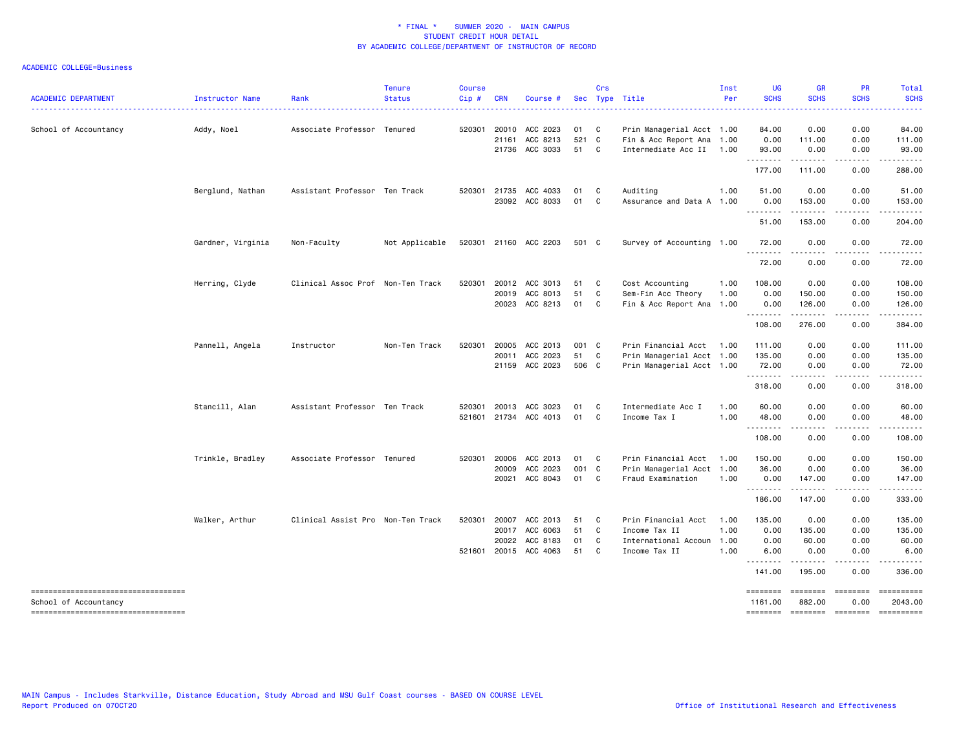| <b>ACADEMIC DEPARTMENT</b>                                     | Instructor Name   | Rank                              | <b>Tenure</b><br><b>Status</b> | <b>Course</b><br>Cip# | <b>CRN</b> | Course #              |       | Crs            | Sec Type Title            | Inst<br>Per | <b>UG</b><br><b>SCHS</b><br>. | <b>GR</b><br><b>SCHS</b> | <b>PR</b><br><b>SCHS</b> | Total<br><b>SCHS</b><br>. |
|----------------------------------------------------------------|-------------------|-----------------------------------|--------------------------------|-----------------------|------------|-----------------------|-------|----------------|---------------------------|-------------|-------------------------------|--------------------------|--------------------------|---------------------------|
| School of Accountancy                                          | Addy, Noel        | Associate Professor Tenured       |                                | 520301                | 20010      | ACC 2023              | 01    | $\mathbf{C}$   | Prin Managerial Acct 1.00 |             | 84.00                         | 0.00                     | 0.00                     | 84.00                     |
|                                                                |                   |                                   |                                |                       |            | 21161 ACC 8213        | 521 C |                | Fin & Acc Report Ana 1.00 |             | 0.00                          | 111.00                   | 0.00                     | 111.00                    |
|                                                                |                   |                                   |                                |                       |            | 21736 ACC 3033        | 51 C  |                | Intermediate Acc II 1.00  |             | 93.00<br>.                    | 0.00<br>.                | 0.00<br>$\frac{1}{2}$    | 93.00<br>.                |
|                                                                |                   |                                   |                                |                       |            |                       |       |                |                           |             | 177.00                        | 111.00                   | 0.00                     | 288.00                    |
|                                                                | Berglund, Nathan  | Assistant Professor Ten Track     |                                |                       |            | 520301 21735 ACC 4033 | 01    | C <sub>1</sub> | Auditing                  | 1.00        | 51.00                         | 0.00                     | 0.00                     | 51.00                     |
|                                                                |                   |                                   |                                |                       |            | 23092 ACC 8033        | 01    | C              | Assurance and Data A 1.00 |             | 0.00<br><u>.</u>              | 153.00                   | 0.00<br>.                | 153.00<br>.               |
|                                                                |                   |                                   |                                |                       |            |                       |       |                |                           |             | 51.00                         | 153.00                   | 0.00                     | 204.00                    |
|                                                                | Gardner, Virginia | Non-Faculty                       | Not Applicable                 |                       |            | 520301 21160 ACC 2203 | 501 C |                | Survey of Accounting 1.00 |             | 72.00<br>.                    | 0.00<br>.                | 0.00<br>.                | 72.00<br>.                |
|                                                                |                   |                                   |                                |                       |            |                       |       |                |                           |             | 72.00                         | 0.00                     | 0.00                     | 72.00                     |
|                                                                | Herring, Clyde    | Clinical Assoc Prof Non-Ten Track |                                | 520301                |            | 20012 ACC 3013        | 51    | $\mathbf{C}$   | Cost Accounting           | 1.00        | 108.00                        | 0.00                     | 0.00                     | 108.00                    |
|                                                                |                   |                                   |                                |                       | 20019      | ACC 8013              | 51    | C              | Sem-Fin Acc Theory        | 1.00        | 0.00                          | 150.00                   | 0.00                     | 150.00                    |
|                                                                |                   |                                   |                                |                       |            | 20023 ACC 8213        | 01    | C <sub>1</sub> | Fin & Acc Report Ana 1.00 |             | 0.00                          | 126.00                   | 0.00                     | 126.00                    |
|                                                                |                   |                                   |                                |                       |            |                       |       |                |                           |             | .<br>108.00                   | 276.00                   | 0.00                     | .<br>384.00               |
|                                                                | Pannell, Angela   | Instructor                        | Non-Ten Track                  | 520301                | 20005      | ACC 2013              | 001 C |                | Prin Financial Acct       | 1.00        | 111.00                        | 0.00                     | 0.00                     | 111.00                    |
|                                                                |                   |                                   |                                |                       |            | 20011 ACC 2023        | 51    | $\mathbf{C}$   | Prin Managerial Acct 1.00 |             | 135.00                        | 0.00                     | 0.00                     | 135.00                    |
|                                                                |                   |                                   |                                |                       |            | 21159 ACC 2023        | 506 C |                | Prin Managerial Acct 1.00 |             | 72.00<br>.                    | 0.00                     | 0.00                     | 72.00                     |
|                                                                |                   |                                   |                                |                       |            |                       |       |                |                           |             | 318.00                        | 0.00                     | 0.00                     | 318.00                    |
|                                                                | Stancill, Alan    | Assistant Professor Ten Track     |                                | 520301                |            | 20013 ACC 3023        | 01    | C <sub>1</sub> | Intermediate Acc I        | 1.00        | 60.00                         | 0.00                     | 0.00                     | 60.00                     |
|                                                                |                   |                                   |                                |                       |            | 521601 21734 ACC 4013 | 01    | C              | Income Tax I              | 1.00        | 48.00                         | 0.00                     | 0.00                     | 48.00                     |
|                                                                |                   |                                   |                                |                       |            |                       |       |                |                           |             | .<br>108.00                   | .<br>0.00                | .<br>0.00                | .<br>108.00               |
|                                                                | Trinkle, Bradley  | Associate Professor Tenured       |                                | 520301                | 20006      | ACC 2013              | 01    | $\mathbf{C}$   | Prin Financial Acct       | 1.00        | 150.00                        | 0.00                     | 0.00                     | 150.00                    |
|                                                                |                   |                                   |                                |                       | 20009      | ACC 2023              | 001 C |                | Prin Managerial Acct 1.00 |             | 36.00                         | 0.00                     | 0.00                     | 36.00                     |
|                                                                |                   |                                   |                                |                       | 20021      | ACC 8043              | 01 C  |                | Fraud Examination         | 1.00        | 0.00                          | 147.00                   | 0.00                     | 147.00                    |
|                                                                |                   |                                   |                                |                       |            |                       |       |                |                           |             | .<br>186.00                   | .<br>147.00              | .<br>0.00                | .<br>333.00               |
|                                                                | Walker, Arthur    | Clinical Assist Pro Non-Ten Track |                                | 520301                | 20007      | ACC 2013              | 51    | $\mathbf{C}$   | Prin Financial Acct       | 1.00        | 135.00                        | 0.00                     | 0.00                     | 135.00                    |
|                                                                |                   |                                   |                                |                       | 20017      | ACC 6063              | 51    | C              | Income Tax II             | 1.00        | 0.00                          | 135.00                   | 0.00                     | 135.00                    |
|                                                                |                   |                                   |                                |                       | 20022      | ACC 8183              | 01    | C              | International Accoun 1.00 |             | 0.00                          | 60.00                    | 0.00                     | 60.00                     |
|                                                                |                   |                                   |                                |                       |            | 521601 20015 ACC 4063 | 51    | C.             | Income Tax II             | 1.00        | 6.00<br>.                     | 0.00<br>$- - - - -$      | 0.00<br>$\frac{1}{2}$    | 6.00<br>.                 |
|                                                                |                   |                                   |                                |                       |            |                       |       |                |                           |             | 141.00                        | 195.00                   | 0.00                     | 336.00                    |
| =====================================<br>School of Accountancy |                   |                                   |                                |                       |            |                       |       |                |                           |             | ========<br>1161.00           | 882.00                   | 0.00                     | ==========<br>2043.00     |
| =====================================                          |                   |                                   |                                |                       |            |                       |       |                |                           |             | ========                      | --------- --------       |                          | ==========                |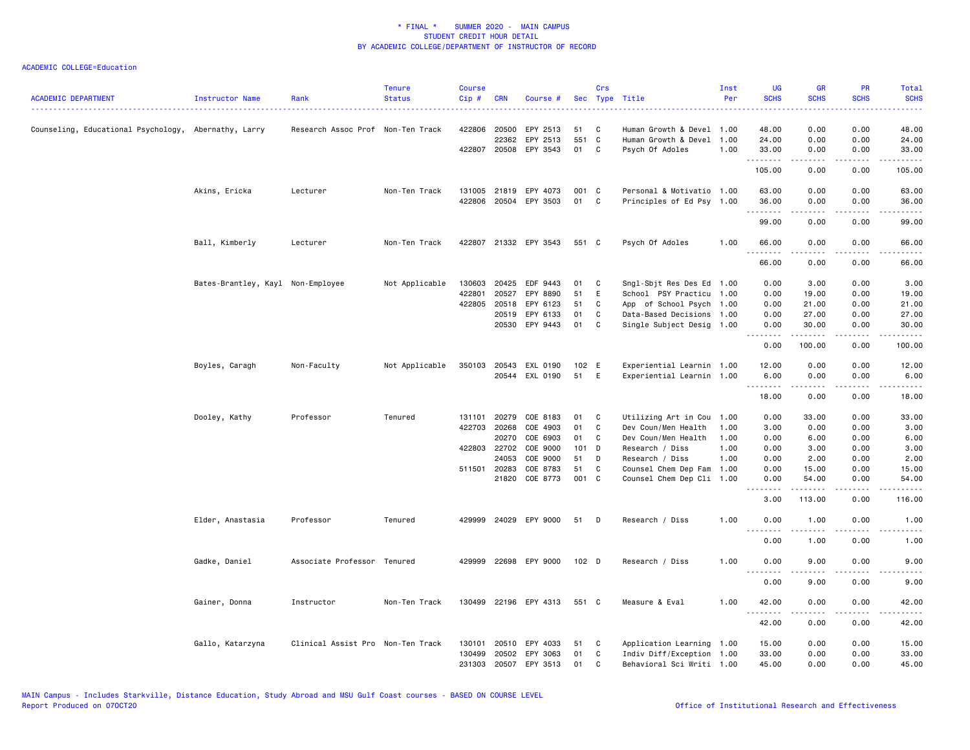| <b>ACADEMIC DEPARTMENT</b>                           | Instructor Name                   | Rank                                   | <b>Tenure</b><br><b>Status</b> | <b>Course</b><br>$Cip$ # | <b>CRN</b>   | Course #              |                  | Crs          | Sec Type Title            | Inst<br>Per | <b>UG</b><br><b>SCHS</b>     | <b>GR</b><br><b>SCHS</b>                                                                                                                                     | <b>PR</b><br><b>SCHS</b> | Total<br><b>SCHS</b> |
|------------------------------------------------------|-----------------------------------|----------------------------------------|--------------------------------|--------------------------|--------------|-----------------------|------------------|--------------|---------------------------|-------------|------------------------------|--------------------------------------------------------------------------------------------------------------------------------------------------------------|--------------------------|----------------------|
| Counseling, Educational Psychology, Abernathy, Larry |                                   | .<br>Research Assoc Prof Non-Ten Track |                                | 422806                   | 20500        | EPY 2513              | 51               | C            | Human Growth & Devel 1.00 |             | 48.00                        | 0.00                                                                                                                                                         | 0.00                     | .<br>48.00           |
|                                                      |                                   |                                        |                                |                          | 22362        | EPY 2513              | 551 C            |              | Human Growth & Devel 1.00 |             | 24.00                        | 0.00                                                                                                                                                         | 0.00                     | 24.00                |
|                                                      |                                   |                                        |                                |                          | 422807 20508 | EPY 3543              | 01               | $\mathbf{C}$ | Psych Of Adoles           | 1.00        | 33.00                        | 0.00                                                                                                                                                         | 0.00                     | 33.00                |
|                                                      |                                   |                                        |                                |                          |              |                       |                  |              |                           |             | .<br>105.00                  | .<br>0.00                                                                                                                                                    | .<br>0.00                | .<br>105.00          |
|                                                      | Akins, Ericka                     | Lecturer                               | Non-Ten Track                  |                          | 131005 21819 | EPY 4073              | 001 C            |              | Personal & Motivatio 1.00 |             | 63.00                        | 0.00                                                                                                                                                         | 0.00                     | 63.00                |
|                                                      |                                   |                                        |                                | 422806                   |              | 20504 EPY 3503        | 01               | $\mathbf{C}$ | Principles of Ed Psy 1.00 |             | 36.00                        | 0.00                                                                                                                                                         | 0.00                     | 36.00                |
|                                                      |                                   |                                        |                                |                          |              |                       |                  |              |                           |             | .<br>99.00                   | 0.00                                                                                                                                                         | 0.00                     | 99.00                |
|                                                      |                                   |                                        |                                |                          |              |                       |                  |              |                           |             |                              |                                                                                                                                                              |                          |                      |
|                                                      | Ball, Kimberly                    | Lecturer                               | Non-Ten Track                  |                          |              | 422807 21332 EPY 3543 | 551 C            |              | Psych Of Adoles           | 1.00        | 66.00<br>--------            | 0.00<br><u>.</u>                                                                                                                                             | 0.00<br>.                | 66.00<br>.           |
|                                                      |                                   |                                        |                                |                          |              |                       |                  |              |                           |             | 66.00                        | 0.00                                                                                                                                                         | 0.00                     | 66.00                |
|                                                      | Bates-Brantley, Kayl Non-Employee |                                        | Not Applicable                 | 130603                   | 20425        | EDF 9443              | 01               | $\mathbf{C}$ | Sngl-Sbjt Res Des Ed 1.00 |             | 0.00                         | 3.00                                                                                                                                                         | 0.00                     | 3.00                 |
|                                                      |                                   |                                        |                                | 422801                   | 20527        | EPY 8890              | 51               | E            | School PSY Practicu 1.00  |             | 0.00                         | 19.00                                                                                                                                                        | 0.00                     | 19.00                |
|                                                      |                                   |                                        |                                |                          | 422805 20518 | EPY 6123              | 51               | C            | App of School Psych 1.00  |             | 0.00                         | 21.00                                                                                                                                                        | 0.00                     | 21.00                |
|                                                      |                                   |                                        |                                |                          | 20519        | EPY 6133              | 01               | C            | Data-Based Decisions 1.00 |             | 0.00                         | 27.00                                                                                                                                                        | 0.00                     | 27.00                |
|                                                      |                                   |                                        |                                |                          | 20530        | EPY 9443              | 01               | C            | Single Subject Desig 1.00 |             | 0.00                         | 30.00                                                                                                                                                        | 0.00                     | 30.00                |
|                                                      |                                   |                                        |                                |                          |              |                       |                  |              |                           |             | 0.00                         | 100.00                                                                                                                                                       | 0.00                     | 100.00               |
|                                                      | Boyles, Caragh                    | Non-Faculty                            | Not Applicable                 | 350103                   | 20543        | EXL 0190              | 102 E            |              | Experiential Learnin 1.00 |             | 12.00                        | 0.00                                                                                                                                                         | 0.00                     | 12.00                |
|                                                      |                                   |                                        |                                |                          | 20544        | EXL 0190              | 51               | E            | Experiential Learnin 1.00 |             | 6.00                         | 0.00                                                                                                                                                         | 0.00                     | 6.00                 |
|                                                      |                                   |                                        |                                |                          |              |                       |                  |              |                           |             | .<br>18.00                   | $\frac{1}{2} \left( \frac{1}{2} \right) \left( \frac{1}{2} \right) \left( \frac{1}{2} \right) \left( \frac{1}{2} \right) \left( \frac{1}{2} \right)$<br>0.00 | المتمالين<br>0.00        | المتمالين<br>18.00   |
|                                                      | Dooley, Kathy                     | Professor                              | Tenured                        | 131101                   | 20279        | COE 8183              | 01               | C            | Utilizing Art in Cou 1.00 |             | 0.00                         | 33.00                                                                                                                                                        | 0.00                     | 33.00                |
|                                                      |                                   |                                        |                                | 422703                   | 20268        | COE 4903              | 01               | C            | Dev Coun/Men Health       | 1.00        | 3.00                         | 0.00                                                                                                                                                         | 0.00                     | 3.00                 |
|                                                      |                                   |                                        |                                |                          | 20270        | COE 6903              | 01               | C            | Dev Coun/Men Health       | 1.00        | 0.00                         | 6.00                                                                                                                                                         | 0.00                     | 6.00                 |
|                                                      |                                   |                                        |                                |                          | 422803 22702 | COE 9000              | 101 D            |              | Research / Diss           | 1.00        | 0.00                         | 3.00                                                                                                                                                         | 0.00                     | 3.00                 |
|                                                      |                                   |                                        |                                |                          | 24053        | COE 9000              | 51               | D            | Research / Diss           | 1.00        | 0.00                         | 2.00                                                                                                                                                         | 0.00                     | 2.00                 |
|                                                      |                                   |                                        |                                |                          | 511501 20283 | COE 8783              | 51               | C            | Counsel Chem Dep Fam      | 1.00        | 0.00                         | 15.00                                                                                                                                                        | 0.00                     | 15.00                |
|                                                      |                                   |                                        |                                |                          | 21820        | COE 8773              | 001 C            |              | Counsel Chem Dep Cli 1.00 |             | 0.00                         | 54.00                                                                                                                                                        | 0.00                     | 54.00                |
|                                                      |                                   |                                        |                                |                          |              |                       |                  |              |                           |             | .<br>3.00                    | .<br>113.00                                                                                                                                                  | .<br>0.00                | .<br>116.00          |
|                                                      | Elder, Anastasia                  | Professor                              | Tenured                        |                          |              | 429999 24029 EPY 9000 | 51               | D            | Research / Diss           | 1.00        | 0.00                         | 1.00                                                                                                                                                         | 0.00                     | 1.00                 |
|                                                      |                                   |                                        |                                |                          |              |                       |                  |              |                           |             | $\sim$ $\sim$ $\sim$<br>0.00 | 1.00                                                                                                                                                         | 0.00                     | 1.00                 |
|                                                      | Gadke, Daniel                     | Associate Professor Tenured            |                                | 429999                   |              | 22698 EPY 9000        | 102 <sub>D</sub> |              | Research / Diss           | 1.00        | 0.00                         | 9.00                                                                                                                                                         | 0.00                     | 9.00                 |
|                                                      |                                   |                                        |                                |                          |              |                       |                  |              |                           |             | .<br>0.00                    | 9.00                                                                                                                                                         | 0.00                     | 9.00                 |
|                                                      | Gainer, Donna                     | Instructor                             | Non-Ten Track                  |                          |              | 130499 22196 EPY 4313 | 551 C            |              | Measure & Eval            | 1.00        | 42.00                        | 0.00                                                                                                                                                         | 0.00                     | 42.00                |
|                                                      |                                   |                                        |                                |                          |              |                       |                  |              |                           |             | .<br>42.00                   | $- - - - -$<br>0.00                                                                                                                                          | .<br>0.00                | 42.00                |
|                                                      | Gallo, Katarzyna                  | Clinical Assist Pro Non-Ten Track      |                                | 130101                   | 20510        | EPY 4033              | 51               | C            | Application Learning 1.00 |             | 15.00                        | 0.00                                                                                                                                                         | 0.00                     | 15.00                |
|                                                      |                                   |                                        |                                | 130499                   | 20502        | EPY 3063              | 01               | $\mathbf{C}$ | Indiv Diff/Exception 1.00 |             | 33.00                        | 0.00                                                                                                                                                         | 0.00                     | 33.00                |
|                                                      |                                   |                                        |                                | 231303                   | 20507        | EPY 3513              | 01               | C            | Behavioral Sci Writi 1.00 |             | 45.00                        | 0.00                                                                                                                                                         | 0.00                     | 45.00                |
|                                                      |                                   |                                        |                                |                          |              |                       |                  |              |                           |             |                              |                                                                                                                                                              |                          |                      |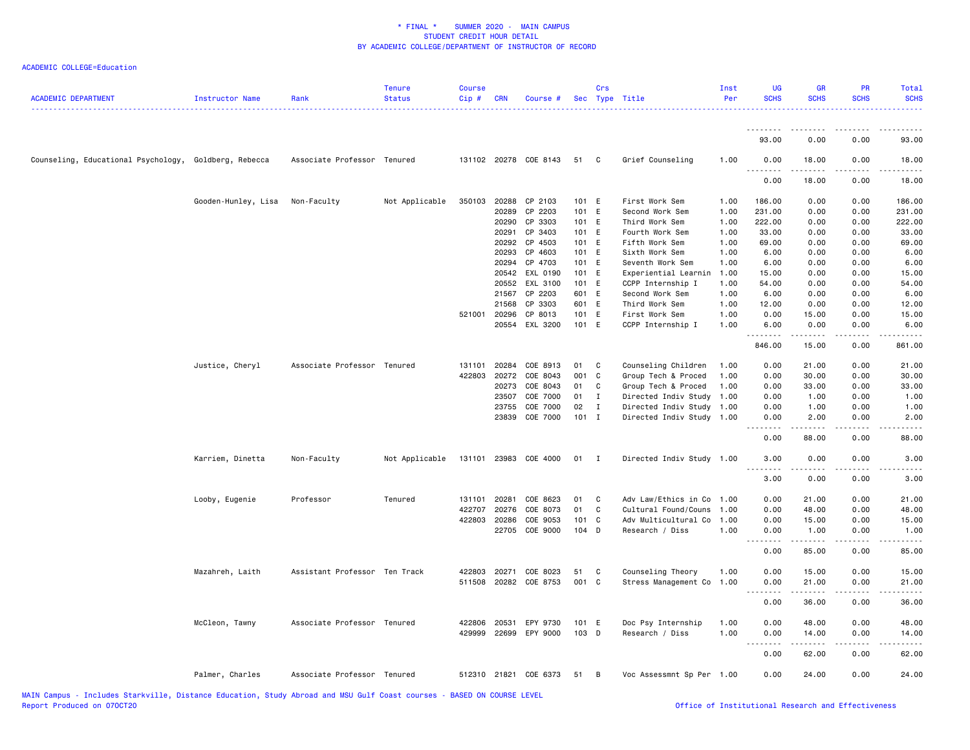| <b>ACADEMIC DEPARTMENT</b>                            | Instructor Name     | Rank                          | <b>Tenure</b><br><b>Status</b> | <b>Course</b><br>Cip# | CRN          | Course #              |         | Crs            | Sec Type Title            | Inst<br>Per | <b>UG</b><br><b>SCHS</b>            | <b>GR</b><br><b>SCHS</b>                                                                                                                                                                 | <b>PR</b><br><b>SCHS</b> | <b>Total</b><br><b>SCHS</b> |
|-------------------------------------------------------|---------------------|-------------------------------|--------------------------------|-----------------------|--------------|-----------------------|---------|----------------|---------------------------|-------------|-------------------------------------|------------------------------------------------------------------------------------------------------------------------------------------------------------------------------------------|--------------------------|-----------------------------|
|                                                       |                     |                               |                                |                       |              |                       |         |                |                           |             | 93.00                               | 0.00                                                                                                                                                                                     | 0.00                     | 93.00                       |
| Counseling, Educational Psychology, Goldberg, Rebecca |                     | Associate Professor Tenured   |                                |                       |              | 131102 20278 COE 8143 | 51      | C              | Grief Counseling          | 1.00        | 0.00                                | 18.00                                                                                                                                                                                    | 0.00                     | 18.00                       |
|                                                       |                     |                               |                                |                       |              |                       |         |                |                           |             | $  -$<br>.<br>0.00                  | 18.00                                                                                                                                                                                    | 0.00                     | 18.00                       |
|                                                       | Gooden-Hunley, Lisa | Non-Faculty                   | Not Applicable                 | 350103                | 20288        | CP 2103               | 101 E   |                | First Work Sem            | 1.00        | 186.00                              | 0.00                                                                                                                                                                                     | 0.00                     | 186.00                      |
|                                                       |                     |                               |                                |                       | 20289        | CP 2203               | 101 E   |                | Second Work Sem           | 1.00        | 231.00                              | 0.00                                                                                                                                                                                     | 0.00                     | 231.00                      |
|                                                       |                     |                               |                                |                       | 20290        | CP 3303               | 101 E   |                | Third Work Sem            | 1.00        | 222.00                              | 0.00                                                                                                                                                                                     | 0.00                     | 222.00                      |
|                                                       |                     |                               |                                |                       | 20291        | CP 3403               | 101 E   |                | Fourth Work Sem           | 1.00        | 33.00                               | 0.00                                                                                                                                                                                     | 0.00                     | 33.00                       |
|                                                       |                     |                               |                                |                       | 20292        | CP 4503               | 101 E   |                | Fifth Work Sem            | 1.00        | 69.00                               | 0.00                                                                                                                                                                                     | 0.00                     | 69.00                       |
|                                                       |                     |                               |                                |                       | 20293        | CP 4603               | 101 E   |                | Sixth Work Sem            | 1.00        | 6.00                                | 0.00                                                                                                                                                                                     | 0.00                     | 6.00                        |
|                                                       |                     |                               |                                |                       | 20294        | CP 4703               | 101 E   |                | Seventh Work Sem          | 1.00        | 6.00                                | 0.00                                                                                                                                                                                     | 0.00                     | 6.00                        |
|                                                       |                     |                               |                                |                       | 20542        | EXL 0190              | 101 E   |                | Experiential Learnin      | 1.00        | 15.00                               | 0.00                                                                                                                                                                                     | 0.00                     | 15.00                       |
|                                                       |                     |                               |                                |                       | 20552        | EXL 3100              | 101 E   |                | CCPP Internship I         | 1.00        | 54.00                               | 0.00                                                                                                                                                                                     | 0.00                     | 54.00                       |
|                                                       |                     |                               |                                |                       | 21567        | CP 2203               | 601 E   |                | Second Work Sem           | 1.00        | 6.00                                | 0.00                                                                                                                                                                                     | 0.00                     | 6.00                        |
|                                                       |                     |                               |                                |                       | 21568        | CP 3303               | 601 E   |                | Third Work Sem            | 1.00        | 12.00                               | 0.00                                                                                                                                                                                     | 0.00                     | 12.00                       |
|                                                       |                     |                               |                                |                       | 521001 20296 | CP 8013               | 101 E   |                | First Work Sem            | 1.00        | 0.00                                | 15.00                                                                                                                                                                                    | 0.00                     | 15.00                       |
|                                                       |                     |                               |                                |                       |              | 20554 EXL 3200        | 101 E   |                | CCPP Internship I         | 1.00        | 6.00<br>.                           | 0.00<br>.                                                                                                                                                                                | 0.00<br>.                | 6.00<br>2.2.2.2.1           |
|                                                       |                     |                               |                                |                       |              |                       |         |                |                           |             | 846.00                              | 15.00                                                                                                                                                                                    | 0.00                     | 861.00                      |
|                                                       | Justice, Cheryl     | Associate Professor Tenured   |                                | 131101                | 20284        | COE 8913              | 01      | C              | Counseling Children       | 1.00        | 0.00                                | 21.00                                                                                                                                                                                    | 0.00                     | 21.00                       |
|                                                       |                     |                               |                                |                       | 422803 20272 | COE 8043              | 001     | C              | Group Tech & Proced       | 1.00        | 0.00                                | 30.00                                                                                                                                                                                    | 0.00                     | 30.00                       |
|                                                       |                     |                               |                                |                       | 20273        | COE 8043              | 01      | C              | Group Tech & Proced       | 1.00        | 0.00                                | 33.00                                                                                                                                                                                    | 0.00                     | 33.00                       |
|                                                       |                     |                               |                                |                       | 23507        | COE 7000              | 01      | Ι              | Directed Indiv Study      | 1.00        | 0.00                                | 1.00                                                                                                                                                                                     | 0.00                     | 1.00                        |
|                                                       |                     |                               |                                |                       | 23755        | COE 7000              | 02      | Ι              | Directed Indiv Study      | 1.00        | 0.00                                | 1.00                                                                                                                                                                                     | 0.00                     | 1.00                        |
|                                                       |                     |                               |                                |                       | 23839        | COE 7000              | $101$ I |                | Directed Indiv Study 1.00 |             | 0.00<br>$\sim$ $\sim$ $\sim$ $\sim$ | 2.00<br>-----                                                                                                                                                                            | 0.00<br>د د د د          | 2.00<br>$- - - -$           |
|                                                       |                     |                               |                                |                       |              |                       |         |                |                           |             | 0.00                                | 88.00                                                                                                                                                                                    | 0.00                     | 88.00                       |
|                                                       | Karriem, Dinetta    | Non-Faculty                   | Not Applicable                 |                       |              | 131101 23983 COE 4000 | 01      | $\blacksquare$ | Directed Indiv Study 1.00 |             | 3.00<br>.                           | 0.00<br>$\frac{1}{2} \left( \frac{1}{2} \right) \left( \frac{1}{2} \right) \left( \frac{1}{2} \right) \left( \frac{1}{2} \right) \left( \frac{1}{2} \right)$                             | 0.00<br>.                | 3.00<br>$- - - -$           |
|                                                       |                     |                               |                                |                       |              |                       |         |                |                           |             | 3.00                                | 0.00                                                                                                                                                                                     | 0.00                     | 3.00                        |
|                                                       | Looby, Eugenie      | Professor                     | Tenured                        | 131101                | 20281        | COE 8623              | 01      | C              | Adv Law/Ethics in Co      | 1.00        | 0.00                                | 21.00                                                                                                                                                                                    | 0.00                     | 21.00                       |
|                                                       |                     |                               |                                | 422707                | 20276        | COE 8073              | 01      | C              | Cultural Found/Couns      | 1.00        | 0.00                                | 48.00                                                                                                                                                                                    | 0.00                     | 48.00                       |
|                                                       |                     |                               |                                | 422803                | 20286        | COE 9053              | 101     | C              | Adv Multicultural Co      | 1.00        | 0.00                                | 15.00                                                                                                                                                                                    | 0.00                     | 15.00                       |
|                                                       |                     |                               |                                |                       | 22705        | COE 9000              | 104 D   |                | Research / Diss           | 1.00        | 0.00<br><u>.</u>                    | 1.00<br>.                                                                                                                                                                                | 0.00<br>.                | 1.00<br>.                   |
|                                                       |                     |                               |                                |                       |              |                       |         |                |                           |             | 0.00                                | 85.00                                                                                                                                                                                    | 0.00                     | 85.00                       |
|                                                       | Mazahreh, Laith     | Assistant Professor Ten Track |                                | 422803                | 20271        | COE 8023              | 51      | C              | Counseling Theory         | 1.00        | 0.00                                | 15.00                                                                                                                                                                                    | 0.00                     | 15.00                       |
|                                                       |                     |                               |                                | 511508                | 20282        | COE 8753              | 001 C   |                | Stress Management Co      | 1.00        | 0.00                                | 21.00                                                                                                                                                                                    | 0.00                     | 21.00                       |
|                                                       |                     |                               |                                |                       |              |                       |         |                |                           |             |                                     |                                                                                                                                                                                          |                          |                             |
|                                                       |                     |                               |                                |                       |              |                       |         |                |                           |             | 0.00                                | 36.00                                                                                                                                                                                    | 0.00                     | 36.00                       |
|                                                       | McCleon, Tawny      | Associate Professor Tenured   |                                | 422806 20531          |              | EPY 9730              | 101 E   |                | Doc Psy Internship        | 1.00        | 0.00                                | 48.00                                                                                                                                                                                    | 0.00                     | 48.00                       |
|                                                       |                     |                               |                                |                       |              | 429999 22699 EPY 9000 | 103 D   |                | Research / Diss           | 1.00        | 0.00                                | 14.00                                                                                                                                                                                    | 0.00                     | 14.00                       |
|                                                       |                     |                               |                                |                       |              |                       |         |                |                           |             | .<br>0.00                           | $\frac{1}{2} \left( \frac{1}{2} \right) \left( \frac{1}{2} \right) \left( \frac{1}{2} \right) \left( \frac{1}{2} \right) \left( \frac{1}{2} \right) \left( \frac{1}{2} \right)$<br>62.00 | د د د د<br>0.00          | المتمام<br>62.00            |
|                                                       |                     |                               |                                |                       |              |                       |         |                |                           |             |                                     |                                                                                                                                                                                          |                          |                             |
|                                                       | Palmer, Charles     | Associate Professor Tenured   |                                |                       | 512310 21821 | COE 6373              | 51      | B              | Voc Assessmnt Sp Per 1.00 |             | 0.00                                | 24.00                                                                                                                                                                                    | 0.00                     | 24.00                       |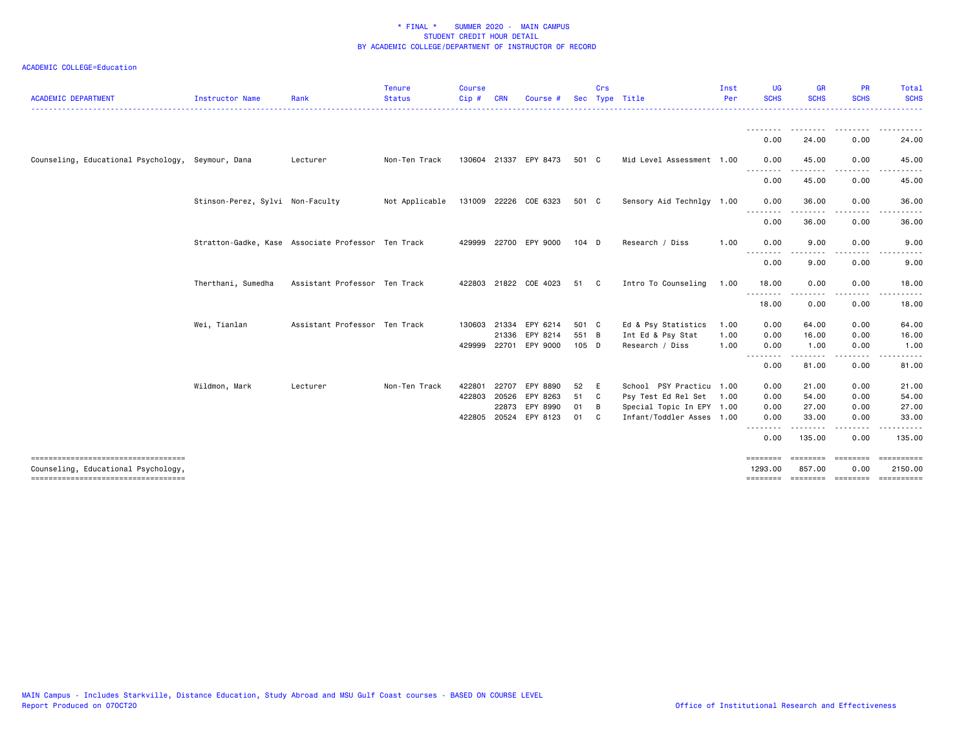| <b>ACADEMIC DEPARTMENT</b>                                                   | <b>Instructor Name</b>           | Rank                                               | <b>Tenure</b><br><b>Status</b>       | <b>Course</b><br>Cip# | CRN   | Course                | Sec   | Crs          | Type Title                | Inst<br>Per | UG<br><b>SCHS</b>            | <b>GR</b><br><b>SCHS</b> | <b>PR</b><br><b>SCHS</b> | Total<br><b>SCHS</b>  |
|------------------------------------------------------------------------------|----------------------------------|----------------------------------------------------|--------------------------------------|-----------------------|-------|-----------------------|-------|--------------|---------------------------|-------------|------------------------------|--------------------------|--------------------------|-----------------------|
|                                                                              |                                  |                                                    |                                      |                       |       |                       |       |              |                           |             |                              |                          |                          |                       |
|                                                                              |                                  |                                                    |                                      |                       |       |                       |       |              |                           |             | 0.00                         | 24.00                    | 0.00                     | 24.00                 |
| Counseling, Educational Psychology, Seymour, Dana                            |                                  | Lecturer                                           | Non-Ten Track                        |                       |       | 130604 21337 EPY 8473 | 501 C |              | Mid Level Assessment 1.00 |             | 0.00<br>.                    | 45.00                    | 0.00<br>$- - - -$        | 45.00                 |
|                                                                              |                                  |                                                    |                                      |                       |       |                       |       |              |                           |             | 0.00                         | 45.00                    | 0.00                     | 45.00                 |
|                                                                              | Stinson-Perez, Sylvi Non-Faculty |                                                    | Not Applicable 131009 22226 COE 6323 |                       |       |                       | 501 C |              | Sensory Aid Technlgy 1.00 |             | 0.00<br>.                    | 36.00                    | 0.00                     | 36.00                 |
|                                                                              |                                  |                                                    |                                      |                       |       |                       |       |              |                           |             | 0.00                         | 36.00                    | 0.00                     | 36.00                 |
|                                                                              |                                  | Stratton-Gadke, Kase Associate Professor Ten Track |                                      |                       |       | 429999 22700 EPY 9000 | 104 D |              | Research / Diss           | 1.00        | 0.00<br>$- - -$<br>$- - - -$ | 9.00                     | 0.00                     | 9.00                  |
|                                                                              |                                  |                                                    |                                      |                       |       |                       |       |              |                           |             | 0.00                         | 9.00                     | 0.00                     | 9.00                  |
|                                                                              | Therthani, Sumedha               | Assistant Professor Ten Track                      |                                      |                       |       | 422803 21822 COE 4023 | 51    | C.           | Intro To Counseling       | 1.00        | 18.00                        | 0.00                     | 0.00                     | 18.00                 |
|                                                                              |                                  |                                                    |                                      |                       |       |                       |       |              |                           |             | 18.00                        | 0.00                     | 0.00                     | 18.00                 |
|                                                                              | Wei, Tianlan                     | Assistant Professor Ten Track                      |                                      | 130603 21334          |       | EPY 6214              | 501 C |              | Ed & Psy Statistics       | 1.00        | 0.00                         | 64.00                    | 0.00                     | 64.00                 |
|                                                                              |                                  |                                                    |                                      |                       | 21336 | EPY 8214              | 551 B |              | Int Ed & Psy Stat         | 1.00        | 0.00                         | 16.00                    | 0.00                     | 16.00                 |
|                                                                              |                                  |                                                    |                                      |                       |       | 429999 22701 EPY 9000 | 105 D |              | Research / Diss           | 1.00        | 0.00<br>.                    | 1.00<br>$\cdots$         | 0.00                     | 1.00<br>$\frac{1}{2}$ |
|                                                                              |                                  |                                                    |                                      |                       |       |                       |       |              |                           |             | 0.00                         | 81.00                    | 0.00                     | 81.00                 |
|                                                                              | Wildmon, Mark                    | Lecturer                                           | Non-Ten Track                        | 422801                | 22707 | EPY 8890              | 52 E  |              | School PSY Practicu 1.00  |             | 0.00                         | 21.00                    | 0.00                     | 21.00                 |
|                                                                              |                                  |                                                    |                                      | 422803                | 20526 | EPY 8263              | 51 C  |              | Psy Test Ed Rel Set 1.00  |             | 0.00                         | 54.00                    | 0.00                     | 54.00                 |
|                                                                              |                                  |                                                    |                                      |                       |       | 22873 EPY 8990        | 01    | - B          | Special Topic In EPY 1.00 |             | 0.00                         | 27.00                    | 0.00                     | 27.00                 |
|                                                                              |                                  |                                                    |                                      |                       |       | 422805 20524 EPY 8123 | 01    | $\mathbf{C}$ | Infant/Toddler Asses 1.00 |             | 0.00<br>.                    | 33.00<br>. <b>.</b>      | 0.00<br>$- - - - -$      | 33.00                 |
|                                                                              |                                  |                                                    |                                      |                       |       |                       |       |              |                           |             | 0.00                         | 135.00                   | 0.00                     | 135.00                |
| -------------------------------------<br>Counseling, Educational Psychology, |                                  |                                                    |                                      |                       |       |                       |       |              |                           |             | ========<br>1293.00          | 857.00                   | 0.00                     | ==========<br>2150.00 |
| -------------------------------------                                        |                                  |                                                    |                                      |                       |       |                       |       |              |                           |             | ========                     | eccesse essesse:         |                          | ==========            |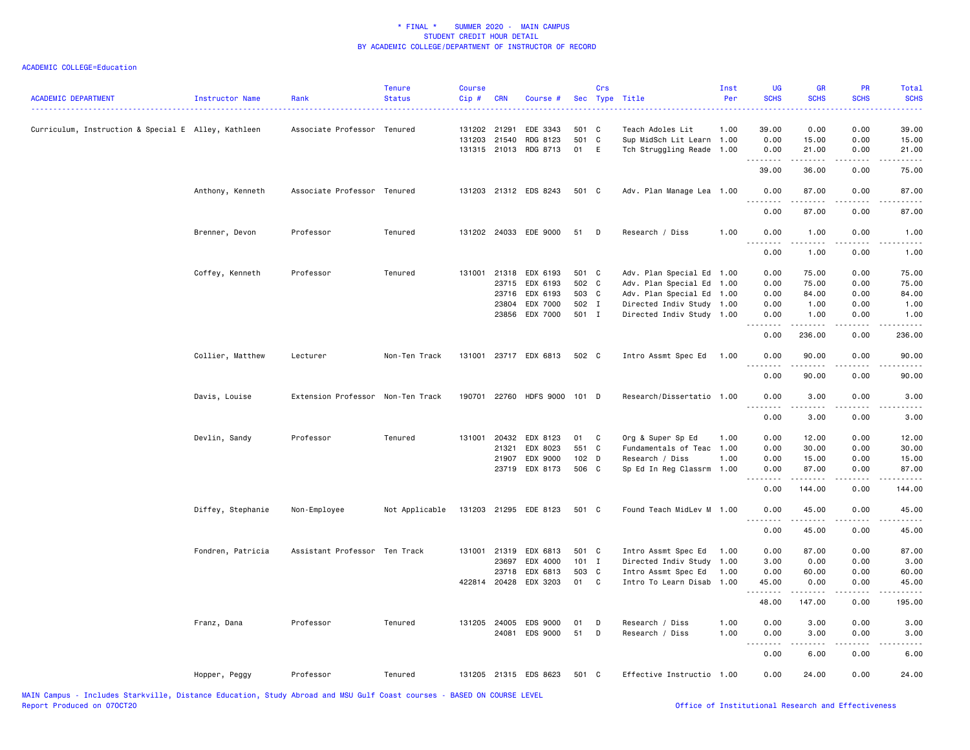| <b>ACADEMIC DEPARTMENT</b>                          | Instructor Name   | Rank                              | <b>Tenure</b><br><b>Status</b> | <b>Course</b><br>Cip # | <b>CRN</b>                                     | Course #                                                                    |                                           | Crs               | Sec Type Title                                                                                                                           | Inst<br>Per                  | <b>UG</b><br><b>SCHS</b>                        | <b>GR</b><br><b>SCHS</b>                                                                                                                                     | <b>PR</b><br><b>SCHS</b>                             | Total<br><b>SCHS</b><br>والمرامين مرابط    |
|-----------------------------------------------------|-------------------|-----------------------------------|--------------------------------|------------------------|------------------------------------------------|-----------------------------------------------------------------------------|-------------------------------------------|-------------------|------------------------------------------------------------------------------------------------------------------------------------------|------------------------------|-------------------------------------------------|--------------------------------------------------------------------------------------------------------------------------------------------------------------|------------------------------------------------------|--------------------------------------------|
| Curriculum, Instruction & Special E Alley, Kathleen |                   | Associate Professor Tenured       |                                | 131202 21291           | 131203 21540                                   | EDE 3343<br>RDG 8123<br>131315 21013 RDG 8713                               | 501 C<br>501<br>01                        | $\mathbf{C}$<br>E | Teach Adoles Lit<br>Sup MidSch Lit Learn 1.00<br>Tch Struggling Reade 1.00                                                               | 1.00                         | 39.00<br>0.00<br>0.00                           | 0.00<br>15.00<br>21.00                                                                                                                                       | 0.00<br>0.00<br>0.00                                 | 39.00<br>15.00<br>21.00                    |
|                                                     |                   |                                   |                                |                        |                                                |                                                                             |                                           |                   |                                                                                                                                          |                              | .<br>39.00                                      | . <b>.</b><br>36.00                                                                                                                                          | .<br>0.00                                            | .<br>75.00                                 |
|                                                     | Anthony, Kenneth  | Associate Professor Tenured       |                                |                        |                                                | 131203 21312 EDS 8243                                                       | 501 C                                     |                   | Adv. Plan Manage Lea 1.00                                                                                                                |                              | 0.00<br>.                                       | 87.00<br>.                                                                                                                                                   | 0.00<br>.                                            | 87.00                                      |
|                                                     |                   |                                   |                                |                        |                                                |                                                                             |                                           |                   |                                                                                                                                          |                              | 0.00                                            | 87.00                                                                                                                                                        | 0.00                                                 | 87.00                                      |
|                                                     | Brenner, Devon    | Professor                         | Tenured                        |                        |                                                | 131202 24033 EDE 9000                                                       | 51                                        | D                 | Research / Diss                                                                                                                          | 1.00                         | 0.00<br>.                                       | 1.00<br>$\frac{1}{2} \left( \frac{1}{2} \right) \left( \frac{1}{2} \right) \left( \frac{1}{2} \right) \left( \frac{1}{2} \right) \left( \frac{1}{2} \right)$ | 0.00<br>.                                            | 1.00<br>$\frac{1}{2}$                      |
|                                                     |                   |                                   |                                |                        |                                                |                                                                             |                                           |                   |                                                                                                                                          |                              | 0.00                                            | 1.00                                                                                                                                                         | 0.00                                                 | 1.00                                       |
|                                                     | Coffey, Kenneth   | Professor                         | Tenured                        |                        | 23715<br>23716<br>23804                        | 131001 21318 EDX 6193<br>EDX 6193<br>EDX 6193<br>EDX 7000<br>23856 EDX 7000 | 501 C<br>502 C<br>503 C<br>502 I<br>501 I |                   | Adv. Plan Special Ed 1.00<br>Adv. Plan Special Ed<br>Adv. Plan Special Ed 1.00<br>Directed Indiv Study 1.00<br>Directed Indiv Study 1.00 | 1.00                         | 0.00<br>0.00<br>0.00<br>0.00<br>0.00            | 75.00<br>75.00<br>84.00<br>1.00<br>1.00                                                                                                                      | 0.00<br>0.00<br>0.00<br>0.00<br>0.00                 | 75.00<br>75.00<br>84.00<br>1.00<br>1.00    |
|                                                     |                   |                                   |                                |                        |                                                |                                                                             |                                           |                   |                                                                                                                                          |                              | 0.00                                            | .<br>236.00                                                                                                                                                  | .<br>0.00                                            | 236.00                                     |
|                                                     | Collier, Matthew  | Lecturer                          | Non-Ten Track                  |                        |                                                | 131001 23717 EDX 6813                                                       | 502 C                                     |                   | Intro Assmt Spec Ed                                                                                                                      | 1.00                         | 0.00                                            | 90.00                                                                                                                                                        | 0.00                                                 | 90.00                                      |
|                                                     |                   |                                   |                                |                        |                                                |                                                                             |                                           |                   |                                                                                                                                          |                              | $\frac{1}{2}$<br>0.00                           | 90.00                                                                                                                                                        | 0.00                                                 | 90.00                                      |
|                                                     | Davis, Louise     | Extension Professor Non-Ten Track |                                |                        |                                                | 190701 22760 HDFS 9000 101 D                                                |                                           |                   | Research/Dissertatio 1.00                                                                                                                |                              | 0.00                                            | 3.00                                                                                                                                                         | 0.00                                                 | 3.00                                       |
|                                                     |                   |                                   |                                |                        |                                                |                                                                             |                                           |                   |                                                                                                                                          |                              | 0.00                                            | 3.00                                                                                                                                                         | 0.00                                                 | 3.00                                       |
|                                                     | Devlin, Sandy     | Professor                         | Tenured                        |                        | 21321<br>21907<br>23719                        | 131001 20432 EDX 8123<br>EDX 8023<br>EDX 9000<br>EDX 8173                   | 01<br>551 C<br>$102$ D<br>506 C           | C                 | Org & Super Sp Ed<br>Fundamentals of Teac<br>Research / Diss<br>Sp Ed In Reg Classrm                                                     | 1.00<br>1.00<br>1.00<br>1.00 | 0.00<br>0.00<br>0.00<br>0.00<br>د د د د<br>0.00 | 12.00<br>30.00<br>15.00<br>87.00<br>144.00                                                                                                                   | 0.00<br>0.00<br>0.00<br>0.00<br>0.00                 | 12.00<br>30.00<br>15.00<br>87.00<br>144.00 |
|                                                     | Diffey, Stephanie | Non-Employee                      | Not Applicable                 |                        |                                                | 131203 21295 EDE 8123                                                       | 501 C                                     |                   | Found Teach MidLev M 1.00                                                                                                                |                              | 0.00                                            | 45.00                                                                                                                                                        | 0.00                                                 | 45.00                                      |
|                                                     |                   |                                   |                                |                        |                                                |                                                                             |                                           |                   |                                                                                                                                          |                              | .<br>0.00                                       | .<br>45.00                                                                                                                                                   | .<br>0.00                                            | .<br>45.00                                 |
|                                                     | Fondren, Patricia | Assistant Professor Ten Track     |                                |                        | 131001 21319<br>23697<br>23718<br>422814 20428 | EDX 6813<br>EDX 4000<br>EDX 6813<br>EDX 3203                                | 501 C<br>$101$ I<br>503 C<br>01           | C                 | Intro Assmt Spec Ed<br>Directed Indiv Study<br>Intro Assmt Spec Ed<br>Intro To Learn Disab                                               | 1.00<br>1.00<br>1.00<br>1.00 | 0.00<br>3.00<br>0.00<br>45.00<br>.              | 87.00<br>0.00<br>60.00<br>0.00<br>.                                                                                                                          | 0.00<br>0.00<br>0.00<br>0.00<br>$\sim$ $\sim$ $\sim$ | 87.00<br>3.00<br>60.00<br>45.00            |
|                                                     |                   |                                   |                                |                        |                                                |                                                                             |                                           |                   |                                                                                                                                          |                              | 48.00                                           | 147.00                                                                                                                                                       | 0.00                                                 | 195.00                                     |
|                                                     | Franz, Dana       | Professor                         | Tenured                        |                        |                                                | 131205 24005 EDS 9000<br>24081 EDS 9000                                     | 01<br>51                                  | D<br>D            | Research / Diss<br>Research / Diss                                                                                                       | 1.00<br>1.00                 | 0.00<br>0.00                                    | 3.00<br>3.00                                                                                                                                                 | 0.00<br>0.00                                         | 3.00<br>3.00                               |
|                                                     |                   |                                   |                                |                        |                                                |                                                                             |                                           |                   |                                                                                                                                          |                              | <u>.</u><br>0.00                                | .<br>6.00                                                                                                                                                    | $\frac{1}{2}$<br>0.00                                | $- - - -$<br>6.00                          |
|                                                     | Hopper, Peggy     | Professor                         | Tenured                        |                        |                                                | 131205 21315 EDS 8623                                                       | 501 C                                     |                   | Effective Instructio 1.00                                                                                                                |                              | 0.00                                            | 24.00                                                                                                                                                        | 0.00                                                 | 24.00                                      |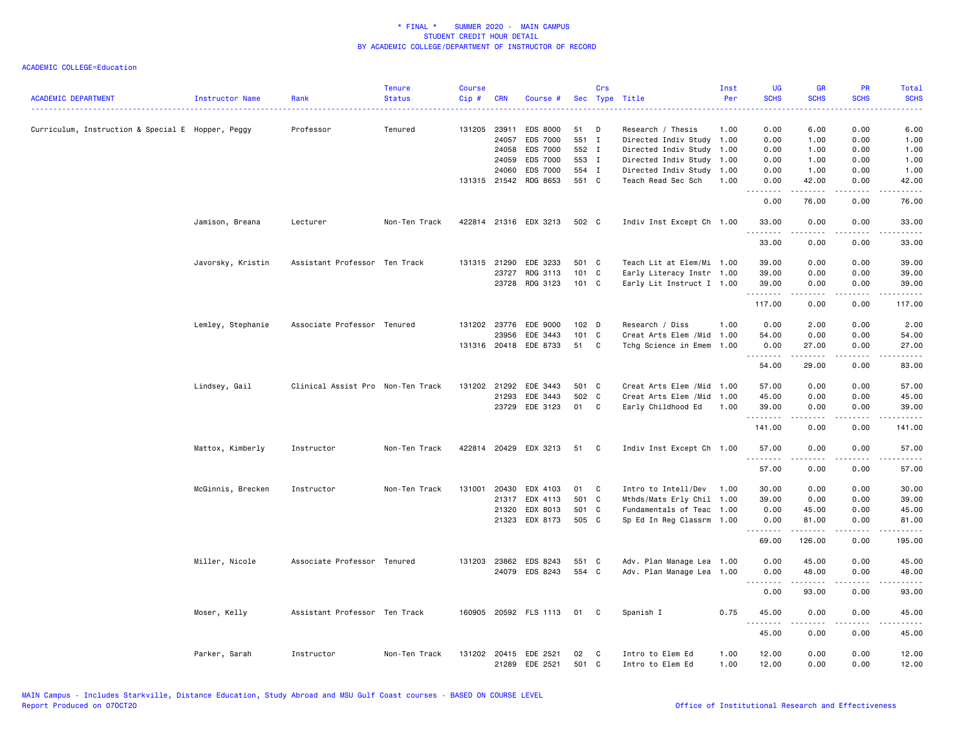| <b>ACADEMIC DEPARTMENT</b>                        | Instructor Name   | Rank                              | <b>Tenure</b><br><b>Status</b> | <b>Course</b><br>Cip# | <b>CRN</b>   | Course #                                |             | Crs | Sec Type Title                       | Inst<br>Per  | <b>UG</b><br><b>SCHS</b> | <b>GR</b><br><b>SCHS</b>                                                                                                                                                                | <b>PR</b><br><b>SCHS</b> | Total<br><b>SCHS</b>   |
|---------------------------------------------------|-------------------|-----------------------------------|--------------------------------|-----------------------|--------------|-----------------------------------------|-------------|-----|--------------------------------------|--------------|--------------------------|-----------------------------------------------------------------------------------------------------------------------------------------------------------------------------------------|--------------------------|------------------------|
| Curriculum, Instruction & Special E Hopper, Peggy |                   | Professor                         | Tenured                        |                       | 131205 23911 | <b>EDS 8000</b>                         | 51          | D   | Research / Thesis                    | 1.00         | ----<br>0.00             | 6.00                                                                                                                                                                                    | 0.00                     | .<br>6.00              |
|                                                   |                   |                                   |                                |                       | 24057        | <b>EDS 7000</b>                         | 551 I       |     | Directed Indiv Study                 | 1.00         | 0.00                     | 1.00                                                                                                                                                                                    | 0.00                     | 1.00                   |
|                                                   |                   |                                   |                                |                       | 24058        | EDS 7000                                | 552 I       |     | Directed Indiv Study 1.00            |              | 0.00                     | 1.00                                                                                                                                                                                    | 0.00                     | 1.00                   |
|                                                   |                   |                                   |                                |                       | 24059        | EDS 7000                                | 553 I       |     | Directed Indiv Study 1.00            |              | 0.00                     | 1.00                                                                                                                                                                                    | 0.00                     | 1.00                   |
|                                                   |                   |                                   |                                |                       | 24060        | EDS 7000                                | 554 I       |     | Directed Indiv Study 1.00            |              | 0.00                     | 1.00                                                                                                                                                                                    | 0.00                     | 1.00                   |
|                                                   |                   |                                   |                                |                       | 131315 21542 | RDG 8653                                | 551 C       |     | Teach Read Sec Sch                   | 1.00         | 0.00<br>.                | 42.00<br>$\begin{array}{cccccccccc} \bullet & \bullet & \bullet & \bullet & \bullet & \bullet \end{array}$                                                                              | 0.00<br>المتمالين        | 42.00<br>.             |
|                                                   |                   |                                   |                                |                       |              |                                         |             |     |                                      |              | 0.00                     | 76.00                                                                                                                                                                                   | 0.00                     | 76.00                  |
|                                                   | Jamison, Breana   | Lecturer                          | Non-Ten Track                  |                       |              | 422814 21316 EDX 3213                   | 502 C       |     | Indiv Inst Except Ch 1.00            |              | 33.00                    | 0.00                                                                                                                                                                                    | 0.00                     | 33.00                  |
|                                                   |                   |                                   |                                |                       |              |                                         |             |     |                                      |              | 33.00                    | 0.00                                                                                                                                                                                    | 0.00                     | 33.00                  |
|                                                   | Javorsky, Kristin | Assistant Professor Ten Track     |                                |                       | 131315 21290 | EDE 3233                                | 501 C       |     | Teach Lit at Elem/Mi 1.00            |              | 39.00                    | 0.00                                                                                                                                                                                    | 0.00                     | 39.00                  |
|                                                   |                   |                                   |                                |                       | 23727        | RDG 3113                                | 101 C       |     | Early Literacy Instr 1.00            |              | 39.00                    | 0.00                                                                                                                                                                                    | 0.00                     | 39.00                  |
|                                                   |                   |                                   |                                |                       | 23728        | RDG 3123                                | 101 C       |     | Early Lit Instruct I 1.00            |              | 39.00                    | 0.00                                                                                                                                                                                    | 0.00                     | 39.00                  |
|                                                   |                   |                                   |                                |                       |              |                                         |             |     |                                      |              | .<br>117.00              | .<br>0.00                                                                                                                                                                               | .<br>0.00                | .<br>117.00            |
|                                                   | Lemley, Stephanie | Associate Professor Tenured       |                                |                       | 131202 23776 | EDE 9000                                | 102 D       |     | Research / Diss                      | 1.00         | 0.00                     | 2.00                                                                                                                                                                                    | 0.00                     | 2.00                   |
|                                                   |                   |                                   |                                |                       | 23956        | EDE 3443                                | 101 C       |     | Creat Arts Elem /Mid                 | 1.00         | 54.00                    | 0.00                                                                                                                                                                                    | 0.00                     | 54.00                  |
|                                                   |                   |                                   |                                |                       |              | 131316 20418 EDE 8733                   | 51          | C   | Tchg Science in Emem                 | 1.00         | 0.00                     | 27.00                                                                                                                                                                                   | 0.00                     | 27.00                  |
|                                                   |                   |                                   |                                |                       |              |                                         |             |     |                                      |              | .<br>54.00               | .<br>29.00                                                                                                                                                                              | .<br>0.00                | .<br>83.00             |
|                                                   | Lindsey, Gail     | Clinical Assist Pro Non-Ten Track |                                |                       | 131202 21292 | EDE 3443                                | 501 C       |     | Creat Arts Elem / Mid                | 1.00         | 57.00                    | 0.00                                                                                                                                                                                    | 0.00                     | 57.00                  |
|                                                   |                   |                                   |                                |                       | 21293        | EDE 3443                                | 502 C       |     | Creat Arts Elem /Mid                 | 1.00         | 45.00                    | 0.00                                                                                                                                                                                    | 0.00                     | 45.00                  |
|                                                   |                   |                                   |                                |                       |              | 23729 EDE 3123                          | 01 C        |     | Early Childhood Ed                   | 1.00         | 39.00<br>.               | 0.00<br>$\frac{1}{2} \left( \frac{1}{2} \right) \left( \frac{1}{2} \right) \left( \frac{1}{2} \right) \left( \frac{1}{2} \right) \left( \frac{1}{2} \right) \left( \frac{1}{2} \right)$ | 0.00<br>.                | 39.00<br>-----         |
|                                                   |                   |                                   |                                |                       |              |                                         |             |     |                                      |              | 141.00                   | 0.00                                                                                                                                                                                    | 0.00                     | 141.00                 |
|                                                   | Mattox, Kimberly  | Instructor                        | Non-Ten Track                  |                       |              | 422814 20429 EDX 3213                   | 51          | C   | Indiv Inst Except Ch 1.00            |              | 57.00<br>.               | 0.00                                                                                                                                                                                    | 0.00                     | 57.00                  |
|                                                   |                   |                                   |                                |                       |              |                                         |             |     |                                      |              | 57.00                    | 0.00                                                                                                                                                                                    | 0.00                     | 57.00                  |
|                                                   | McGinnis, Brecken | Instructor                        | Non-Ten Track                  | 131001                | 20430        | EDX 4103                                | 01          | C   | Intro to Intell/Dev                  | 1.00         | 30.00                    | 0.00                                                                                                                                                                                    | 0.00                     | 30.00                  |
|                                                   |                   |                                   |                                |                       | 21317        | EDX 4113                                | 501 C       |     | Mthds/Mats Erly Chil                 | 1.00         | 39.00                    | 0.00                                                                                                                                                                                    | 0.00                     | 39.00                  |
|                                                   |                   |                                   |                                |                       | 21320        | EDX 8013                                | 501 C       |     | Fundamentals of Teac 1.00            |              | 0.00                     | 45.00                                                                                                                                                                                   | 0.00                     | 45.00                  |
|                                                   |                   |                                   |                                |                       | 21323        | EDX 8173                                | 505 C       |     | Sp Ed In Reg Classrm 1.00            |              | 0.00<br>.                | 81.00<br>.                                                                                                                                                                              | 0.00<br>$\frac{1}{2}$    | 81.00<br>$\frac{1}{2}$ |
|                                                   |                   |                                   |                                |                       |              |                                         |             |     |                                      |              | 69.00                    | 126.00                                                                                                                                                                                  | 0.00                     | 195.00                 |
|                                                   | Miller, Nicole    | Associate Professor Tenured       |                                |                       |              | 131203 23862 EDS 8243                   | 551 C       |     | Adv. Plan Manage Lea 1.00            |              | 0.00                     | 45.00                                                                                                                                                                                   | 0.00                     | 45.00                  |
|                                                   |                   |                                   |                                |                       |              | 24079 EDS 8243                          | 554 C       |     | Adv. Plan Manage Lea 1.00            |              | 0.00<br>.                | 48.00                                                                                                                                                                                   | 0.00                     | 48.00                  |
|                                                   |                   |                                   |                                |                       |              |                                         |             |     |                                      |              | 0.00                     | 93.00                                                                                                                                                                                   | 0.00                     | 93.00                  |
|                                                   | Moser, Kelly      | Assistant Professor Ten Track     |                                |                       |              | 160905 20592 FLS 1113 01                |             | C   | Spanish I                            | 0.75         | 45.00<br>.               | 0.00<br>.                                                                                                                                                                               | 0.00<br>.                | 45.00<br>.             |
|                                                   |                   |                                   |                                |                       |              |                                         |             |     |                                      |              | 45.00                    | 0.00                                                                                                                                                                                    | 0.00                     | 45.00                  |
|                                                   | Parker, Sarah     | Instructor                        | Non-Ten Track                  |                       |              | 131202 20415 EDE 2521<br>21289 EDE 2521 | 02<br>501 C | C   | Intro to Elem Ed<br>Intro to Elem Ed | 1.00<br>1.00 | 12.00<br>12.00           | 0.00<br>0.00                                                                                                                                                                            | 0.00<br>0.00             | 12.00<br>12.00         |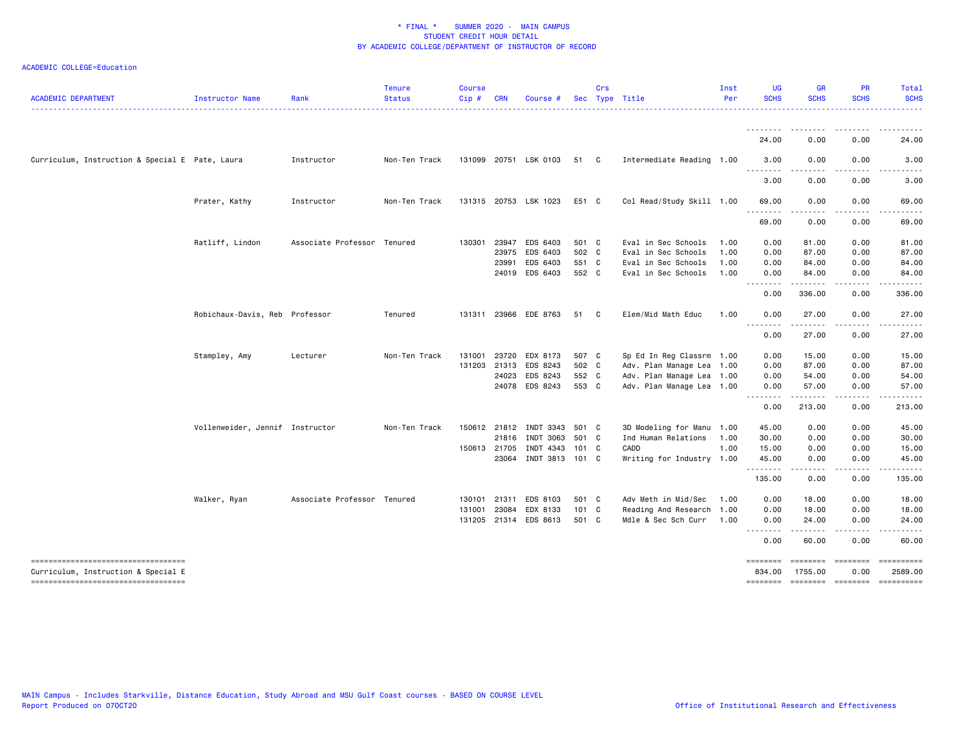| <b>ACADEMIC DEPARTMENT</b>                      | <b>Instructor Name</b>          | Rank                        | <b>Tenure</b><br><b>Status</b> | <b>Course</b><br>Cip# | <b>CRN</b>   | Course                 |       | Crs | Sec Type Title            | Inst<br>Per | <b>UG</b><br><b>SCHS</b> | <b>GR</b><br><b>SCHS</b> | <b>PR</b><br><b>SCHS</b> | Total<br><b>SCHS</b> |
|-------------------------------------------------|---------------------------------|-----------------------------|--------------------------------|-----------------------|--------------|------------------------|-------|-----|---------------------------|-------------|--------------------------|--------------------------|--------------------------|----------------------|
|                                                 |                                 |                             |                                |                       |              |                        |       |     |                           |             |                          |                          |                          |                      |
|                                                 |                                 |                             |                                |                       |              |                        |       |     |                           |             | 24.00                    | 0.00                     | 0.00                     | 24.00                |
| Curriculum, Instruction & Special E Pate, Laura |                                 | Instructor                  | Non-Ten Track                  |                       |              | 131099 20751 LSK 0103  | 51 C  |     | Intermediate Reading 1.00 |             | 3.00                     | 0.00                     | 0.00                     | 3.00                 |
|                                                 |                                 |                             |                                |                       |              |                        |       |     |                           |             | 3.00                     | 0.00                     | 0.00                     | 3.00                 |
|                                                 | Prater, Kathy                   | Instructor                  | Non-Ten Track                  |                       |              | 131315 20753 LSK 1023  | E51 C |     | Col Read/Study Skill 1.00 |             | 69.00                    | 0.00                     | 0.00                     | 69.00                |
|                                                 |                                 |                             |                                |                       |              |                        |       |     |                           |             | 69.00                    | 0.00                     | 0.00                     | 69.00                |
|                                                 | Ratliff, Lindon                 | Associate Professor Tenured |                                | 130301                | 23947        | EDS 6403               | 501 C |     | Eval in Sec Schools       | 1.00        | 0.00                     | 81.00                    | 0.00                     | 81.00                |
|                                                 |                                 |                             |                                |                       | 23975        | EDS 6403               | 502 C |     | Eval in Sec Schools       | 1.00        | 0.00                     | 87.00                    | 0.00                     | 87.00                |
|                                                 |                                 |                             |                                |                       | 23991        | EDS 6403               | 551 C |     | Eval in Sec Schools       | 1.00        | 0.00                     | 84.00                    | 0.00                     | 84.00                |
|                                                 |                                 |                             |                                |                       | 24019        | EDS 6403               | 552 C |     | Eval in Sec Schools       | 1.00        | 0.00<br>.                | 84.00<br>.               | 0.00<br>.                | 84.00<br>.           |
|                                                 |                                 |                             |                                |                       |              |                        |       |     |                           |             | 0.00                     | 336.00                   | 0.00                     | 336.00               |
|                                                 | Robichaux-Davis, Reb Professor  |                             | Tenured                        |                       |              | 131311 23966 EDE 8763  | 51 C  |     | Elem/Mid Math Educ        | 1.00        | 0.00<br>$  -$<br>.       | 27.00<br>. <b>.</b> .    | 0.00<br>.                | 27.00<br>.           |
|                                                 |                                 |                             |                                |                       |              |                        |       |     |                           |             | 0.00                     | 27.00                    | 0.00                     | 27.00                |
|                                                 | Stampley, Amy                   | Lecturer                    | Non-Ten Track                  | 131001                | 23720        | EDX 8173               | 507 C |     | Sp Ed In Reg Classrm 1.00 |             | 0.00                     | 15.00                    | 0.00                     | 15.00                |
|                                                 |                                 |                             |                                |                       | 131203 21313 | EDS 8243               | 502 C |     | Adv. Plan Manage Lea 1.00 |             | 0.00                     | 87.00                    | 0.00                     | 87.00                |
|                                                 |                                 |                             |                                |                       | 24023        | EDS 8243               | 552 C |     | Adv. Plan Manage Lea 1.00 |             | 0.00                     | 54.00                    | 0.00                     | 54.00                |
|                                                 |                                 |                             |                                |                       | 24078        | EDS 8243               | 553 C |     | Adv. Plan Manage Lea 1.00 |             | 0.00<br>.                | 57.00                    | 0.00                     | 57.00                |
|                                                 |                                 |                             |                                |                       |              |                        |       |     |                           |             | 0.00                     | 213.00                   | 0.00                     | 213.00               |
|                                                 | Vollenweider, Jennif Instructor |                             | Non-Ten Track                  |                       |              | 150612 21812 INDT 3343 | 501 C |     | 3D Modeling for Manu 1.00 |             | 45.00                    | 0.00                     | 0.00                     | 45.00                |
|                                                 |                                 |                             |                                |                       | 21816        | INDT 3063              | 501 C |     | Ind Human Relations       | 1.00        | 30.00                    | 0.00                     | 0.00                     | 30.00                |
|                                                 |                                 |                             |                                |                       | 150613 21705 | INDT 4343              | 101 C |     | CADD                      | 1.00        | 15.00                    | 0.00                     | 0.00                     | 15.00                |
|                                                 |                                 |                             |                                |                       |              | 23064 INDT 3813 101 C  |       |     | Writing for Industry 1.00 |             | 45.00<br>.               | 0.00                     | 0.00                     | 45.00                |
|                                                 |                                 |                             |                                |                       |              |                        |       |     |                           |             | 135.00                   | 0.00                     | 0.00                     | 135.00               |
|                                                 | Walker, Ryan                    | Associate Professor Tenured |                                | 130101                | 21311        | EDS 8103               | 501 C |     | Adv Meth in Mid/Sec       | 1.00        | 0.00                     | 18.00                    | 0.00                     | 18.00                |
|                                                 |                                 |                             |                                | 131001                | 23084        | EDX 8133               | 101 C |     | Reading And Research 1.00 |             | 0.00                     | 18.00                    | 0.00                     | 18.00                |
|                                                 |                                 |                             |                                |                       | 131205 21314 | EDS 8613               | 501 C |     | Mdle & Sec Sch Curr       | 1.00        | 0.00<br>.                | 24.00<br>.               | 0.00<br>.                | 24.00                |
|                                                 |                                 |                             |                                |                       |              |                        |       |     |                           |             | 0.00                     | 60.00                    | 0.00                     | 60.00                |
| =====================================           |                                 |                             |                                |                       |              |                        |       |     |                           |             | ========                 | ========                 | $=$                      |                      |
| Curriculum, Instruction & Special E             |                                 |                             |                                |                       |              |                        |       |     |                           |             | 834.00                   | 1755.00                  | 0.00                     | 2589.00              |
| -----------------------------------             |                                 |                             |                                |                       |              |                        |       |     |                           |             | ========                 | <b>EDEDEDED</b>          | $=$ ========             |                      |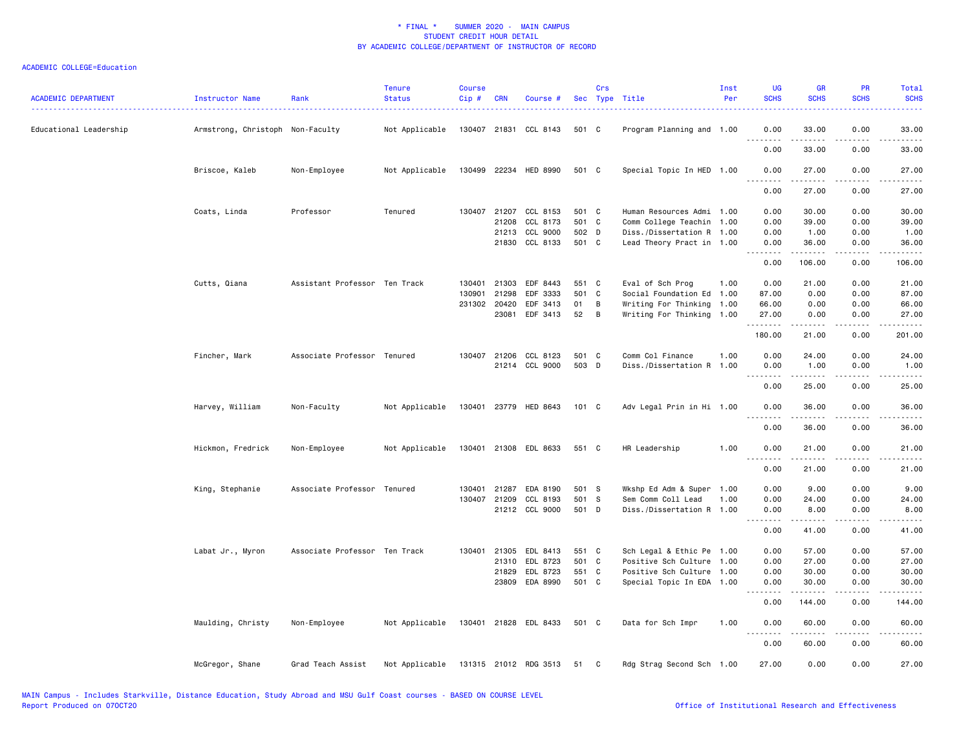| ACADEMIC DEPARTMENT    | Instructor Name                  | Rank                          | <b>Tenure</b><br><b>Status</b> | <b>Course</b><br>$Cip \#$ | <b>CRN</b>   | Course #                 |       | Crs | Sec Type Title            | Inst<br>Per | <b>UG</b><br><b>SCHS</b> | <b>GR</b><br><b>SCHS</b>                                                                                                                                     | <b>PR</b><br><b>SCHS</b> | Total<br><b>SCHS</b> |
|------------------------|----------------------------------|-------------------------------|--------------------------------|---------------------------|--------------|--------------------------|-------|-----|---------------------------|-------------|--------------------------|--------------------------------------------------------------------------------------------------------------------------------------------------------------|--------------------------|----------------------|
| Educational Leadership | Armstrong, Christoph Non-Faculty |                               | Not Applicable                 |                           |              | 130407 21831 CCL 8143    | 501 C |     | Program Planning and 1.00 |             | 0.00                     | 33.00                                                                                                                                                        | 0.00                     | 33.00                |
|                        |                                  |                               |                                |                           |              |                          |       |     |                           |             | <u>.</u><br>0.00         | $- - - - -$<br>33.00                                                                                                                                         | $\frac{1}{2}$<br>0.00    | .<br>33.00           |
|                        | Briscoe, Kaleb                   | Non-Employee                  | Not Applicable                 |                           |              | 130499 22234 HED 8990    | 501 C |     | Special Topic In HED 1.00 |             | 0.00<br>$\frac{1}{2}$    | 27.00<br>. <u>.</u>                                                                                                                                          | 0.00<br>.                | 27.00<br>.           |
|                        |                                  |                               |                                |                           |              |                          |       |     |                           |             | 0.00                     | 27.00                                                                                                                                                        | 0.00                     | 27.00                |
|                        | Coats, Linda                     | Professor                     | Tenured                        |                           | 130407 21207 | CCL 8153                 | 501 C |     | Human Resources Admi 1.00 |             | 0.00                     | 30.00                                                                                                                                                        | 0.00                     | 30.00                |
|                        |                                  |                               |                                |                           | 21208        | CCL 8173                 | 501 C |     | Comm College Teachin 1.00 |             | 0.00                     | 39.00                                                                                                                                                        | 0.00                     | 39.00                |
|                        |                                  |                               |                                |                           |              | 21213 CCL 9000           | 502 D |     | Diss./Dissertation R 1.00 |             | 0.00                     | 1.00                                                                                                                                                         | 0.00                     | 1.00                 |
|                        |                                  |                               |                                |                           |              | 21830 CCL 8133           | 501 C |     | Lead Theory Pract in 1.00 |             | 0.00<br>.                | 36.00<br>.                                                                                                                                                   | 0.00<br>.                | 36.00<br>.           |
|                        |                                  |                               |                                |                           |              |                          |       |     |                           |             | 0.00                     | 106.00                                                                                                                                                       | 0.00                     | 106.00               |
|                        | Cutts, Qiana                     | Assistant Professor Ten Track |                                | 130401                    | 21303        | EDF 8443                 | 551 C |     | Eval of Sch Prog          | 1.00        | 0.00                     | 21.00                                                                                                                                                        | 0.00                     | 21.00                |
|                        |                                  |                               |                                | 130901                    | 21298        | EDF 3333                 | 501 C |     | Social Foundation Ed      | 1.00        | 87.00                    | 0.00                                                                                                                                                         | 0.00                     | 87.00                |
|                        |                                  |                               |                                |                           | 231302 20420 | EDF 3413                 | 01    | B   | Writing For Thinking 1.00 |             | 66.00                    | 0.00                                                                                                                                                         | 0.00                     | 66.00                |
|                        |                                  |                               |                                |                           | 23081        | EDF 3413                 | 52    | B   | Writing For Thinking 1.00 |             | 27.00<br>.               | 0.00<br>$\frac{1}{2} \left( \frac{1}{2} \right) \left( \frac{1}{2} \right) \left( \frac{1}{2} \right) \left( \frac{1}{2} \right) \left( \frac{1}{2} \right)$ | 0.00<br>المستبدا         | 27.00<br>.           |
|                        |                                  |                               |                                |                           |              |                          |       |     |                           |             | 180.00                   | 21.00                                                                                                                                                        | 0.00                     | 201.00               |
|                        | Fincher, Mark                    | Associate Professor Tenured   |                                |                           |              | 130407 21206 CCL 8123    | 501 C |     | Comm Col Finance          | 1.00        | 0.00                     | 24.00                                                                                                                                                        | 0.00                     | 24.00                |
|                        |                                  |                               |                                |                           |              | 21214 CCL 9000           | 503 D |     | Diss./Dissertation R 1.00 |             | 0.00<br>د د د د          | 1.00<br>-----                                                                                                                                                | 0.00                     | 1.00                 |
|                        |                                  |                               |                                |                           |              |                          |       |     |                           |             | 0.00                     | 25.00                                                                                                                                                        | 0.00                     | 25.00                |
|                        | Harvey, William                  | Non-Faculty                   | Not Applicable                 |                           |              | 130401 23779 HED 8643    | 101 C |     | Adv Legal Prin in Hi 1.00 |             | 0.00                     | 36.00                                                                                                                                                        | 0.00                     | 36.00                |
|                        |                                  |                               |                                |                           |              |                          |       |     |                           |             | .<br>0.00                | .<br>36.00                                                                                                                                                   | .<br>0.00                | .<br>36.00           |
|                        | Hickmon, Fredrick                | Non-Employee                  | Not Applicable                 |                           |              | 130401 21308 EDL 8633    | 551 C |     | HR Leadership             | 1.00        | 0.00<br>.                | 21.00<br>$- - - - -$                                                                                                                                         | 0.00<br>.                | 21.00<br>.           |
|                        |                                  |                               |                                |                           |              |                          |       |     |                           |             | 0.00                     | 21.00                                                                                                                                                        | 0.00                     | 21.00                |
|                        | King, Stephanie                  | Associate Professor Tenured   |                                |                           | 130401 21287 | EDA 8190                 | 501 S |     | Wkshp Ed Adm & Super 1.00 |             | 0.00                     | 9.00                                                                                                                                                         | 0.00                     | 9.00                 |
|                        |                                  |                               |                                |                           | 130407 21209 | CCL 8193                 | 501 S |     | Sem Comm Coll Lead        | 1.00        | 0.00                     | 24.00                                                                                                                                                        | 0.00                     | 24.00                |
|                        |                                  |                               |                                |                           |              | 21212 CCL 9000           | 501 D |     | Diss./Dissertation R 1.00 |             | 0.00                     | 8.00                                                                                                                                                         | 0.00                     | 8.00                 |
|                        |                                  |                               |                                |                           |              |                          |       |     |                           |             | .<br>0.00                | .<br>41.00                                                                                                                                                   | .<br>0.00                | .<br>41.00           |
|                        | Labat Jr., Myron                 | Associate Professor Ten Track |                                | 130401                    | 21305        | EDL 8413                 | 551 C |     | Sch Legal & Ethic Pe 1.00 |             | 0.00                     | 57.00                                                                                                                                                        | 0.00                     | 57.00                |
|                        |                                  |                               |                                |                           | 21310        | EDL 8723                 | 501 C |     | Positive Sch Culture 1.00 |             | 0.00                     | 27.00                                                                                                                                                        | 0.00                     | 27.00                |
|                        |                                  |                               |                                |                           | 21829        | EDL 8723                 | 551 C |     | Positive Sch Culture 1.00 |             | 0.00                     | 30.00                                                                                                                                                        | 0.00                     | 30.00                |
|                        |                                  |                               |                                |                           | 23809        | EDA 8990                 | 501 C |     | Special Topic In EDA 1.00 |             | 0.00<br>.                | 30.00<br>$- - - - -$                                                                                                                                         | 0.00<br>المتمامين        | 30.00<br>.           |
|                        |                                  |                               |                                |                           |              |                          |       |     |                           |             | 0.00                     | 144.00                                                                                                                                                       | 0.00                     | 144.00               |
|                        | Maulding, Christy                | Non-Employee                  | Not Applicable                 |                           |              | 130401 21828 EDL 8433    | 501 C |     | Data for Sch Impr         | 1.00        | 0.00<br>.                | 60.00                                                                                                                                                        | 0.00                     | 60.00                |
|                        |                                  |                               |                                |                           |              |                          |       |     |                           |             | 0.00                     | 60.00                                                                                                                                                        | 0.00                     | 60.00                |
|                        | McGregor, Shane                  | Grad Teach Assist             | Not Applicable                 |                           |              | 131315 21012 RDG 3513 51 |       | C   | Rdg Strag Second Sch 1.00 |             | 27.00                    | 0.00                                                                                                                                                         | 0.00                     | 27.00                |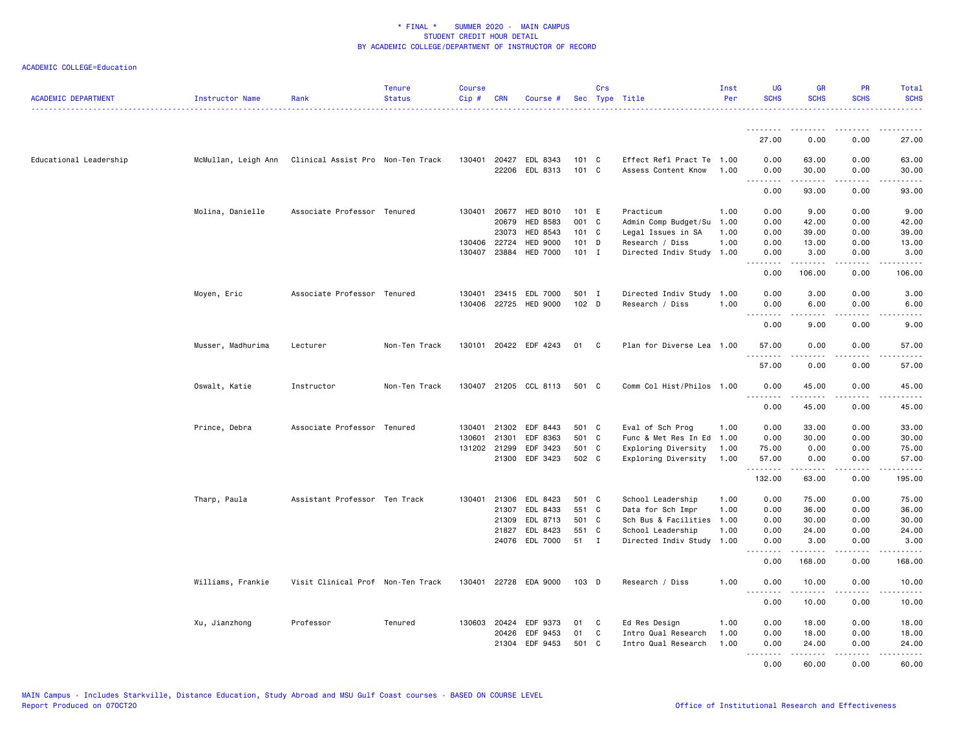| <b>ACADEMIC DEPARTMENT</b> | Instructor Name     | Rank                              | <b>Tenure</b><br><b>Status</b> | <b>Course</b><br>Cip# | <b>CRN</b>   | Course #                                |                  | Crs            | Sec Type Title                                   | Inst<br>Per | UG<br><b>SCHS</b>   | <b>GR</b><br><b>SCHS</b> | <b>PR</b><br><b>SCHS</b> | Total<br><b>SCHS</b>                                                                                                              |
|----------------------------|---------------------|-----------------------------------|--------------------------------|-----------------------|--------------|-----------------------------------------|------------------|----------------|--------------------------------------------------|-------------|---------------------|--------------------------|--------------------------|-----------------------------------------------------------------------------------------------------------------------------------|
|                            |                     |                                   |                                |                       |              |                                         |                  |                |                                                  |             | .                   | $- - - - -$              |                          |                                                                                                                                   |
|                            |                     |                                   |                                |                       |              |                                         |                  |                |                                                  |             | 27.00               | 0.00                     | 0.00                     | 27.00                                                                                                                             |
| Educational Leadership     | McMullan, Leigh Ann | Clinical Assist Pro Non-Ten Track |                                |                       |              | 130401 20427 EDL 8343<br>22206 EDL 8313 | 101 C<br>101 C   |                | Effect Refl Pract Te 1.00<br>Assess Content Know | 1.00        | 0.00<br>0.00<br>.   | 63.00<br>30.00<br>.      | 0.00<br>0.00<br>.        | 63.00<br>30.00<br>.                                                                                                               |
|                            |                     |                                   |                                |                       |              |                                         |                  |                |                                                  |             | 0.00                | 93.00                    | 0.00                     | 93.00                                                                                                                             |
|                            | Molina, Danielle    | Associate Professor Tenured       |                                | 130401                | 20677        | HED 8010                                | 101 E            |                | Practicum                                        | 1.00        | 0.00                | 9.00                     | 0.00                     | 9.00                                                                                                                              |
|                            |                     |                                   |                                |                       | 20679        | HED 8583                                | 001 C            |                | Admin Comp Budget/Su                             | 1.00        | 0.00                | 42.00                    | 0.00                     | 42.00                                                                                                                             |
|                            |                     |                                   |                                |                       | 23073        | HED 8543                                | 101 C            |                | Legal Issues in SA                               | 1.00        | 0.00                | 39.00                    | 0.00                     | 39.00                                                                                                                             |
|                            |                     |                                   |                                |                       | 130406 22724 | <b>HED 9000</b>                         | 101 D            |                | Research / Diss                                  | 1.00        | 0.00                | 13.00                    | 0.00                     | 13.00                                                                                                                             |
|                            |                     |                                   |                                |                       | 130407 23884 | <b>HED 7000</b>                         | $101$ I          |                | Directed Indiv Study                             | 1.00        | 0.00<br>.           | 3.00<br>$\frac{1}{2}$    | 0.00<br>.                | 3.00<br>.                                                                                                                         |
|                            |                     |                                   |                                |                       |              |                                         |                  |                |                                                  |             | 0.00                | 106.00                   | 0.00                     | 106.00                                                                                                                            |
|                            | Moyen, Eric         | Associate Professor Tenured       |                                |                       |              | 130401 23415 EDL 7000                   | 501 I            |                | Directed Indiv Study 1.00                        |             | 0.00                | 3.00                     | 0.00                     | 3.00                                                                                                                              |
|                            |                     |                                   |                                |                       |              | 130406 22725 HED 9000                   | 102 <sub>D</sub> |                | Research / Diss                                  | 1.00        | 0.00<br>.           | 6.00<br>$- - - - -$      | 0.00<br>.                | 6.00<br>$\frac{1}{2} \left( \frac{1}{2} \right) \left( \frac{1}{2} \right) \left( \frac{1}{2} \right) \left( \frac{1}{2} \right)$ |
|                            |                     |                                   |                                |                       |              |                                         |                  |                |                                                  |             | 0.00                | 9.00                     | 0.00                     | 9.00                                                                                                                              |
|                            | Musser, Madhurima   | Lecturer                          | Non-Ten Track                  |                       |              | 130101 20422 EDF 4243                   | 01               | $\mathbf{C}$   | Plan for Diverse Lea 1.00                        |             | 57.00<br>. <b>.</b> | 0.00<br>.                | 0.00<br>$- - - -$        | 57.00<br>$\frac{1}{2}$                                                                                                            |
|                            |                     |                                   |                                |                       |              |                                         |                  |                |                                                  |             | 57.00               | 0.00                     | 0.00                     | 57.00                                                                                                                             |
|                            | Oswalt, Katie       | Instructor                        | Non-Ten Track                  |                       |              | 130407 21205 CCL 8113                   | 501 C            |                | Comm Col Hist/Philos 1.00                        |             | 0.00<br>.           | 45.00                    | 0.00                     | 45.00                                                                                                                             |
|                            |                     |                                   |                                |                       |              |                                         |                  |                |                                                  |             | 0.00                | 45.00                    | 0.00                     | 45.00                                                                                                                             |
|                            | Prince, Debra       | Associate Professor Tenured       |                                |                       | 130401 21302 | EDF 8443                                | 501 C            |                | Eval of Sch Prog                                 | 1.00        | 0.00                | 33.00                    | 0.00                     | 33.00                                                                                                                             |
|                            |                     |                                   |                                | 130601                | 21301        | EDF 8363                                | 501 C            |                | Func & Met Res In Ed                             | 1.00        | 0.00                | 30.00                    | 0.00                     | 30.00                                                                                                                             |
|                            |                     |                                   |                                |                       | 131202 21299 | EDF 3423                                | 501 C            |                | Exploring Diversity                              | 1.00        | 75.00               | 0.00                     | 0.00                     | 75.00                                                                                                                             |
|                            |                     |                                   |                                |                       | 21300        | EDF 3423                                | 502 C            |                | Exploring Diversity                              | 1.00        | 57.00<br>.          | 0.00<br>.                | 0.00<br>.                | 57.00<br>.                                                                                                                        |
|                            |                     |                                   |                                |                       |              |                                         |                  |                |                                                  |             | 132.00              | 63.00                    | 0.00                     | 195.00                                                                                                                            |
|                            | Tharp, Paula        | Assistant Professor Ten Track     |                                |                       | 130401 21306 | EDL 8423                                | 501 C            |                | School Leadership                                | 1.00        | 0.00                | 75.00                    | 0.00                     | 75.00                                                                                                                             |
|                            |                     |                                   |                                |                       | 21307        | EDL 8433                                | 551 C            |                | Data for Sch Impr                                | 1.00        | 0.00                | 36.00                    | 0.00                     | 36.00                                                                                                                             |
|                            |                     |                                   |                                |                       | 21309        | EDL 8713                                | 501 C            |                | Sch Bus & Facilities                             | 1.00        | 0.00                | 30.00                    | 0.00                     | 30.00                                                                                                                             |
|                            |                     |                                   |                                |                       | 21827        | EDL 8423                                | 551 C            |                | School Leadership                                | 1.00        | 0.00                | 24.00                    | 0.00                     | 24.00                                                                                                                             |
|                            |                     |                                   |                                |                       |              | 24076 EDL 7000                          | 51               | $\blacksquare$ | Directed Indiv Study                             | 1.00        | 0.00<br>.           | 3.00<br>.                | 0.00<br>د د د د          | 3.00<br>.                                                                                                                         |
|                            |                     |                                   |                                |                       |              |                                         |                  |                |                                                  |             | 0.00                | 168.00                   | 0.00                     | 168.00                                                                                                                            |
|                            | Williams, Frankie   | Visit Clinical Prof Non-Ten Track |                                | 130401                | 22728        | EDA 9000                                | $103$ D          |                | Research / Diss                                  | 1.00        | 0.00<br>.           | 10.00                    | 0.00                     | 10.00                                                                                                                             |
|                            |                     |                                   |                                |                       |              |                                         |                  |                |                                                  |             | 0.00                | 10.00                    | 0.00                     | 10.00                                                                                                                             |
|                            | Xu, Jianzhong       | Professor                         | Tenured                        |                       | 130603 20424 | EDF 9373                                | 01               | - C            | Ed Res Design                                    | 1.00        | 0.00                | 18.00                    | 0.00                     | 18.00                                                                                                                             |
|                            |                     |                                   |                                |                       | 20426        | EDF 9453                                | 01               | C              | Intro Qual Research                              | 1.00        | 0.00                | 18.00                    | 0.00                     | 18.00                                                                                                                             |
|                            |                     |                                   |                                |                       | 21304        | EDF 9453                                | 501 C            |                | Intro Qual Research                              | 1.00        | 0.00                | 24.00                    | 0.00                     | 24.00                                                                                                                             |
|                            |                     |                                   |                                |                       |              |                                         |                  |                |                                                  |             | .<br>0.00           | .<br>60.00               | .<br>0.00                | .<br>60.00                                                                                                                        |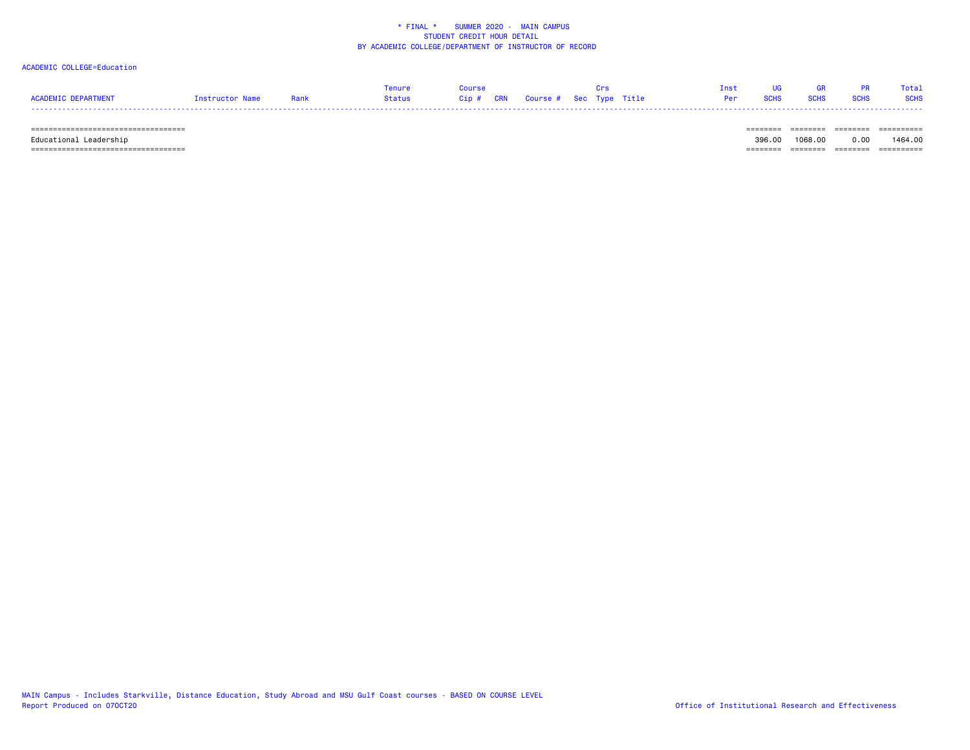## ACADEMIC COLLEGE=Education

|                     |                 |      | Tenure | Course                            |  | Crs | Tnst | <b>IIG</b>      | <b>GR</b>   |           | Total |
|---------------------|-----------------|------|--------|-----------------------------------|--|-----|------|-----------------|-------------|-----------|-------|
| ACADEMIC DEPARTMENT | Instructor Name | Rank | Status | Cip # CRN Course # Sec Type Title |  |     |      | <b>Per</b> SCHS | <b>SCHS</b> | SCHS SCHS |       |
|                     |                 |      |        |                                   |  |     |      |                 |             |           |       |

 =================================== ======== ======== ======== ========== Educational Leadership 396.00 1068.00 0.00 1464.00 =================================== ======== ======== ======== ==========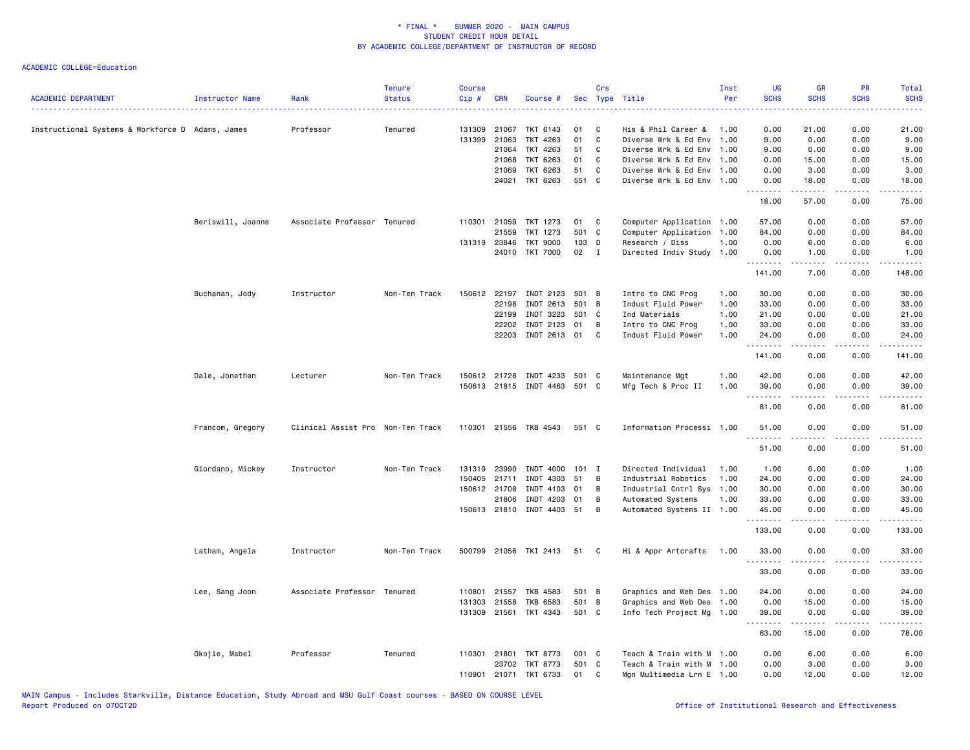| <b>ACADEMIC DEPARTMENT</b>                       | Instructor Name   | Rank                              | <b>Tenure</b><br><b>Status</b> | <b>Course</b><br>$Cip$ # | CRN          | Course #                     |       | Crs          | Sec Type Title            | Inst<br>Per | <b>UG</b><br><b>SCHS</b><br>222 L | GR<br><b>SCHS</b> | PR<br><b>SCHS</b>                   | Total<br><b>SCHS</b>  |
|--------------------------------------------------|-------------------|-----------------------------------|--------------------------------|--------------------------|--------------|------------------------------|-------|--------------|---------------------------|-------------|-----------------------------------|-------------------|-------------------------------------|-----------------------|
| Instructional Systems & Workforce D Adams, James |                   | Professor                         | Tenured                        | 131309                   | 21067        | TKT 6143                     | 01    | C            | His & Phil Career &       | 1.00        | 0.00                              | 21.00             | 0.00                                | 21.00                 |
|                                                  |                   |                                   |                                |                          | 131399 21063 | TKT 4263                     | 01    | C            | Diverse Wrk & Ed Env      | 1.00        | 9.00                              | 0.00              | 0.00                                | 9.00                  |
|                                                  |                   |                                   |                                |                          | 21064        | TKT 4263                     | 51    | C            | Diverse Wrk & Ed Env 1.00 |             | 9.00                              | 0.00              | 0.00                                | 9.00                  |
|                                                  |                   |                                   |                                |                          | 21068        | TKT 6263                     | 01    | C            | Diverse Wrk & Ed Env 1.00 |             | 0.00                              | 15.00             | 0.00                                | 15.00                 |
|                                                  |                   |                                   |                                |                          | 21069        | TKT 6263                     | 51    | $\mathtt{C}$ | Diverse Wrk & Ed Env 1.00 |             | 0.00                              | 3.00              | 0.00                                | 3.00                  |
|                                                  |                   |                                   |                                |                          | 24021        | TKT 6263                     | 551 C |              | Diverse Wrk & Ed Env 1.00 |             | 0.00<br><u>.</u>                  | 18.00<br>.        | 0.00<br>.                           | 18.00<br>.            |
|                                                  |                   |                                   |                                |                          |              |                              |       |              |                           |             | 18.00                             | 57.00             | 0.00                                | 75.00                 |
|                                                  | Beriswill, Joanne | Associate Professor Tenured       |                                |                          | 110301 21059 | TKT 1273                     | 01    | C            | Computer Application 1.00 |             | 57.00                             | 0.00              | 0.00                                | 57.00                 |
|                                                  |                   |                                   |                                |                          | 21559        | TKT 1273                     | 501 C |              | Computer Application 1.00 |             | 84.00                             | 0.00              | 0.00                                | 84.00                 |
|                                                  |                   |                                   |                                |                          | 131319 23846 | <b>TKT 9000</b>              | 103 D |              | Research / Diss           | 1.00        | 0.00                              | 6.00              | 0.00                                | 6.00                  |
|                                                  |                   |                                   |                                |                          |              | 24010 TKT 7000               | 02    | $\mathbf{I}$ | Directed Indiv Study 1.00 |             | 0.00<br>.                         | 1.00<br>2.2.2.2.2 | 0.00<br>.                           | 1.00<br>.             |
|                                                  |                   |                                   |                                |                          |              |                              |       |              |                           |             | 141.00                            | 7.00              | 0.00                                | 148.00                |
|                                                  | Buchanan, Jody    | Instructor                        | Non-Ten Track                  | 150612                   | 22197        | INDT 2123                    | 501 B |              | Intro to CNC Prog         | 1.00        | 30.00                             | 0.00              | 0.00                                | 30.00                 |
|                                                  |                   |                                   |                                |                          | 22198        | INDT 2613                    | 501 B |              | Indust Fluid Power        | 1.00        | 33.00                             | 0.00              | 0.00                                | 33.00                 |
|                                                  |                   |                                   |                                |                          | 22199        | INDT 3223                    | 501   | C            | Ind Materials             | 1.00        | 21.00                             | 0.00              | 0.00                                | 21.00                 |
|                                                  |                   |                                   |                                |                          | 22202        | INDT 2123                    | 01    | B            | Intro to CNC Prog         | 1.00        | 33.00                             | 0.00              | 0.00                                | 33.00                 |
|                                                  |                   |                                   |                                |                          | 22203        | INDT 2613                    | 01    | C            | Indust Fluid Power        | 1.00        | 24.00<br>.                        | 0.00<br>.         | 0.00<br>$\sim$ $\sim$ $\sim$ $\sim$ | 24.00<br>.            |
|                                                  |                   |                                   |                                |                          |              |                              |       |              |                           |             | 141.00                            | 0.00              | 0.00                                | 141.00                |
|                                                  | Dale, Jonathan    | Lecturer                          | Non-Ten Track                  |                          | 150612 21728 | INDT 4233 501 C              |       |              | Maintenance Mgt           | 1.00        | 42.00                             | 0.00              | 0.00                                | 42.00                 |
|                                                  |                   |                                   |                                |                          |              | 150613 21815 INDT 4463 501 C |       |              | Mfg Tech & Proc II        | 1.00        | 39.00<br><u>.</u>                 | 0.00<br>.         | 0.00<br>.                           | 39.00<br>. <u>.</u> . |
|                                                  |                   |                                   |                                |                          |              |                              |       |              |                           |             | 81.00                             | 0.00              | 0.00                                | 81.00                 |
|                                                  | Francom, Gregory  | Clinical Assist Pro Non-Ten Track |                                |                          |              | 110301 21556 TKB 4543        | 551 C |              | Information Processi 1.00 |             | 51.00<br>$\sim$ $\sim$ $\sim$     | 0.00              | 0.00                                | 51.00                 |
|                                                  |                   |                                   |                                |                          |              |                              |       |              |                           |             | 51.00                             | 0.00              | 0.00                                | 51.00                 |
|                                                  | Giordano, Mickey  | Instructor                        | Non-Ten Track                  |                          | 131319 23990 | INDT 4000                    | 101 I |              | Directed Individual       | 1.00        | 1.00                              | 0.00              | 0.00                                | 1.00                  |
|                                                  |                   |                                   |                                | 150405                   | 21711        | INDT 4303                    | 51    | B            | Industrial Robotics       | 1.00        | 24.00                             | 0.00              | 0.00                                | 24.00                 |
|                                                  |                   |                                   |                                |                          | 150612 21708 | INDT 4103                    | 01    | B            | Industrial Cntrl Sys      | 1.00        | 30.00                             | 0.00              | 0.00                                | 30.00                 |
|                                                  |                   |                                   |                                |                          | 21806        | INDT 4203                    | 01    | B            | Automated Systems         | 1.00        | 33.00                             | 0.00              | 0.00                                | 33.00                 |
|                                                  |                   |                                   |                                |                          | 150613 21810 | INDT 4403 51                 |       | B            | Automated Systems II 1.00 |             | 45.00                             | 0.00              | 0.00                                | 45.00                 |
|                                                  |                   |                                   |                                |                          |              |                              |       |              |                           |             | .<br>133.00                       | 22222<br>0.00     | د د د د<br>0.00                     | .<br>133.00           |
|                                                  | Latham, Angela    | Instructor                        | Non-Ten Track                  |                          |              | 500799 21056 TKI 2413        | 51    | C.           | Hi & Appr Artcrafts       | 1.00        | 33.00<br>. <b>.</b>               | 0.00<br>- - - - - | 0.00<br>.                           | 33.00<br>.            |
|                                                  |                   |                                   |                                |                          |              |                              |       |              |                           |             | 33.00                             | 0.00              | 0.00                                | 33.00                 |
|                                                  | Lee, Sang Joon    | Associate Professor               | Tenured                        | 110801                   | 21557        | <b>TKB 4583</b>              | 501 B |              | Graphics and Web Des 1.00 |             | 24.00                             | 0.00              | 0.00                                | 24.00                 |
|                                                  |                   |                                   |                                |                          | 131303 21558 | <b>TKB 6583</b>              | 501 B |              | Graphics and Web Des 1.00 |             | 0.00                              | 15.00             | 0.00                                | 15.00                 |
|                                                  |                   |                                   |                                |                          |              | 131309 21561 TKT 4343        | 501 C |              | Info Tech Project Mg 1.00 |             | 39.00<br><u>.</u>                 | 0.00<br>.         | 0.00<br><u>.</u>                    | 39.00<br>.            |
|                                                  |                   |                                   |                                |                          |              |                              |       |              |                           |             | 63.00                             | 15.00             | 0.00                                | 78.00                 |
|                                                  | Okojie, Mabel     | Professor                         | Tenured                        |                          | 110301 21801 | <b>TKT 8773</b>              | 001 C |              | Teach & Train with M 1.00 |             | 0.00                              | 6.00              | 0.00                                | 6.00                  |
|                                                  |                   |                                   |                                |                          | 23702        | TKT 8773                     | 501 C |              | Teach & Train with M 1.00 |             | 0.00                              | 3.00              | 0.00                                | 3.00                  |
|                                                  |                   |                                   |                                | 110901                   |              | 21071 TKT 6733               | 01    | C            | Mgn Multimedia Lrn E 1.00 |             | 0.00                              | 12.00             | 0.00                                | 12.00                 |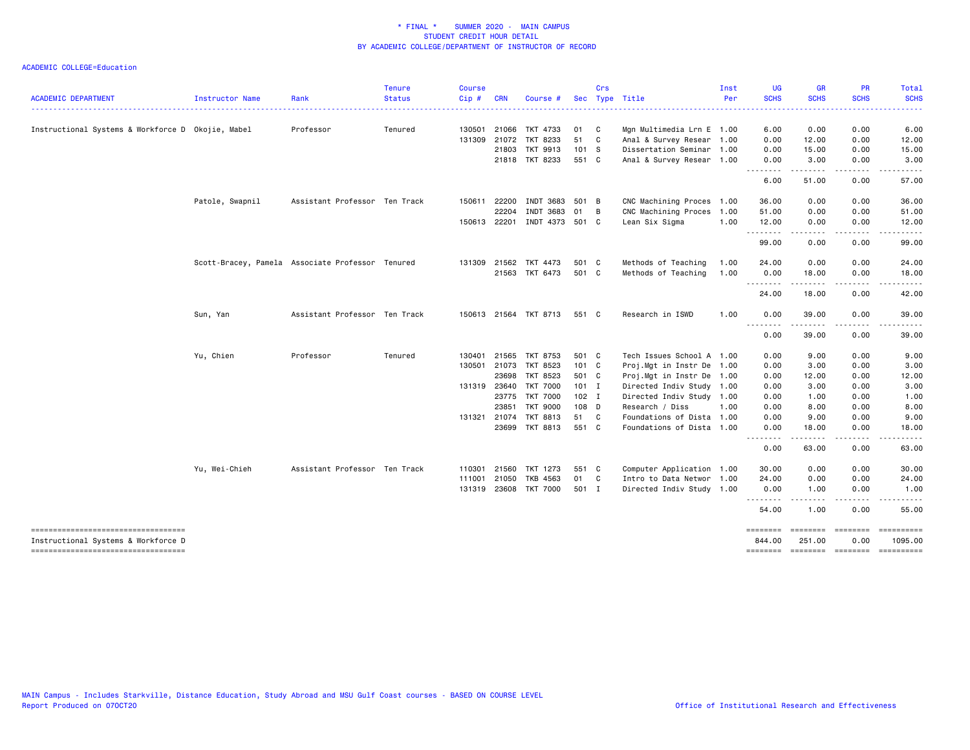|                                                                              |                                                  |                               | <b>Tenure</b> | <b>Course</b> |            |                       |          | Crs          |                                                        | Inst | UG                | <b>GR</b>          | <b>PR</b>                                                                                                                                                                                                                                                                                                                                                                                                                                                                            | Total                 |
|------------------------------------------------------------------------------|--------------------------------------------------|-------------------------------|---------------|---------------|------------|-----------------------|----------|--------------|--------------------------------------------------------|------|-------------------|--------------------|--------------------------------------------------------------------------------------------------------------------------------------------------------------------------------------------------------------------------------------------------------------------------------------------------------------------------------------------------------------------------------------------------------------------------------------------------------------------------------------|-----------------------|
| <b>ACADEMIC DEPARTMENT</b>                                                   | Instructor Name                                  | Rank                          | <b>Status</b> | Cip#          | <b>CRN</b> | Course                |          |              | Sec Type Title                                         | Per  | <b>SCHS</b>       | <b>SCHS</b>        | <b>SCHS</b>                                                                                                                                                                                                                                                                                                                                                                                                                                                                          | <b>SCHS</b>           |
|                                                                              |                                                  |                               |               |               |            |                       |          |              |                                                        |      |                   |                    |                                                                                                                                                                                                                                                                                                                                                                                                                                                                                      |                       |
| Instructional Systems & Workforce D Okojie, Mabel                            |                                                  | Professor                     | Tenured       | 130501        | 21066      | TKT 4733              | 01<br>51 | $\mathbf{C}$ | Mgn Multimedia Lrn E 1.00                              |      | 6.00              | 0.00               | 0.00                                                                                                                                                                                                                                                                                                                                                                                                                                                                                 | 6.00                  |
|                                                                              |                                                  |                               |               | 131309 21072  | 21803      | TKT 8233<br>TKT 9913  | 101 S    | C            | Anal & Survey Resear 1.00                              |      | 0.00              | 12.00              | 0.00                                                                                                                                                                                                                                                                                                                                                                                                                                                                                 | 12.00                 |
|                                                                              |                                                  |                               |               |               |            | 21818 TKT 8233        | 551 C    |              | Dissertation Seminar 1.00<br>Anal & Survey Resear 1.00 |      | 0.00<br>0.00      | 15.00<br>3.00      | 0.00<br>0.00                                                                                                                                                                                                                                                                                                                                                                                                                                                                         | 15.00<br>3.00         |
|                                                                              |                                                  |                               |               |               |            |                       |          |              |                                                        |      | .                 | .                  | .                                                                                                                                                                                                                                                                                                                                                                                                                                                                                    | .                     |
|                                                                              |                                                  |                               |               |               |            |                       |          |              |                                                        |      | 6.00              | 51.00              | 0.00                                                                                                                                                                                                                                                                                                                                                                                                                                                                                 | 57.00                 |
|                                                                              | Patole, Swapnil                                  | Assistant Professor Ten Track |               | 150611        | 22200      | INDT 3683             | 501 B    |              | CNC Machining Proces 1.00                              |      | 36.00             | 0.00               | 0.00                                                                                                                                                                                                                                                                                                                                                                                                                                                                                 | 36.00                 |
|                                                                              |                                                  |                               |               |               | 22204      | INDT 3683             | 01       | B            | CNC Machining Proces                                   | 1.00 | 51.00             | 0.00               | 0.00                                                                                                                                                                                                                                                                                                                                                                                                                                                                                 | 51.00                 |
|                                                                              |                                                  |                               |               | 150613 22201  |            | INDT 4373 501 C       |          |              | Lean Six Sigma                                         | 1.00 | 12.00             | 0.00               | 0.00                                                                                                                                                                                                                                                                                                                                                                                                                                                                                 | 12.00                 |
|                                                                              |                                                  |                               |               |               |            |                       |          |              |                                                        |      | .<br>99.00        | <u>.</u><br>0.00   | $\frac{1}{2}$<br>0.00                                                                                                                                                                                                                                                                                                                                                                                                                                                                | . <b>.</b> .<br>99.00 |
|                                                                              | Scott-Bracey, Pamela Associate Professor Tenured |                               |               | 131309 21562  |            | TKT 4473              | 501 C    |              | Methods of Teaching                                    | 1.00 | 24.00             | 0.00               | 0.00                                                                                                                                                                                                                                                                                                                                                                                                                                                                                 | 24.00                 |
|                                                                              |                                                  |                               |               |               | 21563      | TKT 6473              | 501 C    |              | Methods of Teaching                                    | 1.00 | 0.00              | 18.00              | 0.00                                                                                                                                                                                                                                                                                                                                                                                                                                                                                 | 18.00                 |
|                                                                              |                                                  |                               |               |               |            |                       |          |              |                                                        |      | <u>.</u><br>24.00 | .<br>18.00         | $\frac{1}{2} \left( \frac{1}{2} \right) \left( \frac{1}{2} \right) \left( \frac{1}{2} \right) \left( \frac{1}{2} \right)$<br>0.00                                                                                                                                                                                                                                                                                                                                                    | $\cdots$<br>42.00     |
|                                                                              | Sun, Yan                                         | Assistant Professor Ten Track |               |               |            | 150613 21564 TKT 8713 | 551 C    |              | Research in ISWD                                       | 1.00 | 0.00              | 39.00              | 0.00                                                                                                                                                                                                                                                                                                                                                                                                                                                                                 | 39.00                 |
|                                                                              |                                                  |                               |               |               |            |                       |          |              |                                                        |      | .<br>0.00         | .<br>39.00         | .<br>0.00                                                                                                                                                                                                                                                                                                                                                                                                                                                                            | .<br>39.00            |
|                                                                              | Yu, Chien                                        | Professor                     | Tenured       | 130401        | 21565      | TKT 8753              | 501 C    |              | Tech Issues School A 1.00                              |      | 0.00              | 9.00               | 0.00                                                                                                                                                                                                                                                                                                                                                                                                                                                                                 | 9.00                  |
|                                                                              |                                                  |                               |               | 130501        | 21073      | TKT 8523              | 101 C    |              | Proj.Mgt in Instr De 1.00                              |      | 0.00              | 3.00               | 0.00                                                                                                                                                                                                                                                                                                                                                                                                                                                                                 | 3.00                  |
|                                                                              |                                                  |                               |               |               | 23698      | <b>TKT 8523</b>       | 501 C    |              | Proj.Mgt in Instr De 1.00                              |      | 0.00              | 12.00              | 0.00                                                                                                                                                                                                                                                                                                                                                                                                                                                                                 | 12.00                 |
|                                                                              |                                                  |                               |               | 131319 23640  |            | <b>TKT 7000</b>       | $101$ I  |              | Directed Indiv Study 1.00                              |      | 0.00              | 3.00               | 0.00                                                                                                                                                                                                                                                                                                                                                                                                                                                                                 | 3.00                  |
|                                                                              |                                                  |                               |               |               | 23775      | <b>TKT 7000</b>       | $102$ I  |              | Directed Indiv Study 1.00                              |      | 0.00              | 1.00               | 0.00                                                                                                                                                                                                                                                                                                                                                                                                                                                                                 | 1.00                  |
|                                                                              |                                                  |                               |               |               | 23851      | <b>TKT 9000</b>       | 108 D    |              | Research / Diss                                        | 1.00 | 0.00              | 8.00               | 0.00                                                                                                                                                                                                                                                                                                                                                                                                                                                                                 | 8.00                  |
|                                                                              |                                                  |                               |               | 131321 21074  |            | <b>TKT 8813</b>       | 51 C     |              | Foundations of Dista 1.00                              |      | 0.00              | 9.00               | 0.00                                                                                                                                                                                                                                                                                                                                                                                                                                                                                 | 9.00                  |
|                                                                              |                                                  |                               |               |               | 23699      | TKT 8813              | 551 C    |              | Foundations of Dista 1.00                              |      | 0.00              | 18.00              | 0.00                                                                                                                                                                                                                                                                                                                                                                                                                                                                                 | 18.00                 |
|                                                                              |                                                  |                               |               |               |            |                       |          |              |                                                        |      | .<br>0.00         | $- - - -$<br>63.00 | 0.00                                                                                                                                                                                                                                                                                                                                                                                                                                                                                 | 63.00                 |
|                                                                              | Yu, Wei-Chieh                                    | Assistant Professor Ten Track |               | 110301        | 21560      | TKT 1273              | 551 C    |              | Computer Application 1.00                              |      | 30.00             | 0.00               | 0.00                                                                                                                                                                                                                                                                                                                                                                                                                                                                                 | 30.00                 |
|                                                                              |                                                  |                               |               | 111001        | 21050      | TKB 4563              | 01       | $\mathbf{C}$ | Intro to Data Networ 1.00                              |      | 24.00             | 0.00               | 0.00                                                                                                                                                                                                                                                                                                                                                                                                                                                                                 | 24.00                 |
|                                                                              |                                                  |                               |               | 131319 23608  |            | <b>TKT 7000</b>       | 501 I    |              | Directed Indiv Study 1.00                              |      | 0.00              | 1.00               | 0.00                                                                                                                                                                                                                                                                                                                                                                                                                                                                                 | 1.00                  |
|                                                                              |                                                  |                               |               |               |            |                       |          |              |                                                        |      | .<br>54.00        | 1.00               | 0.00                                                                                                                                                                                                                                                                                                                                                                                                                                                                                 | 55.00                 |
| -----------------------------------                                          |                                                  |                               |               |               |            |                       |          |              |                                                        |      | ========          | <b>ESSESSES</b>    | $\begin{array}{cccccc} \multicolumn{3}{c}{} & \multicolumn{3}{c}{} & \multicolumn{3}{c}{} & \multicolumn{3}{c}{} & \multicolumn{3}{c}{} & \multicolumn{3}{c}{} & \multicolumn{3}{c}{} & \multicolumn{3}{c}{} & \multicolumn{3}{c}{} & \multicolumn{3}{c}{} & \multicolumn{3}{c}{} & \multicolumn{3}{c}{} & \multicolumn{3}{c}{} & \multicolumn{3}{c}{} & \multicolumn{3}{c}{} & \multicolumn{3}{c}{} & \multicolumn{3}{c}{} & \multicolumn{3}{c}{} & \multicolumn{3}{c}{} & \multic$ | ==========            |
| Instructional Systems & Workforce D<br>------------------------------------- |                                                  |                               |               |               |            |                       |          |              |                                                        |      | 844.00            | 251.00             | 0.00                                                                                                                                                                                                                                                                                                                                                                                                                                                                                 | 1095.00<br>========== |
|                                                                              |                                                  |                               |               |               |            |                       |          |              |                                                        |      |                   |                    |                                                                                                                                                                                                                                                                                                                                                                                                                                                                                      |                       |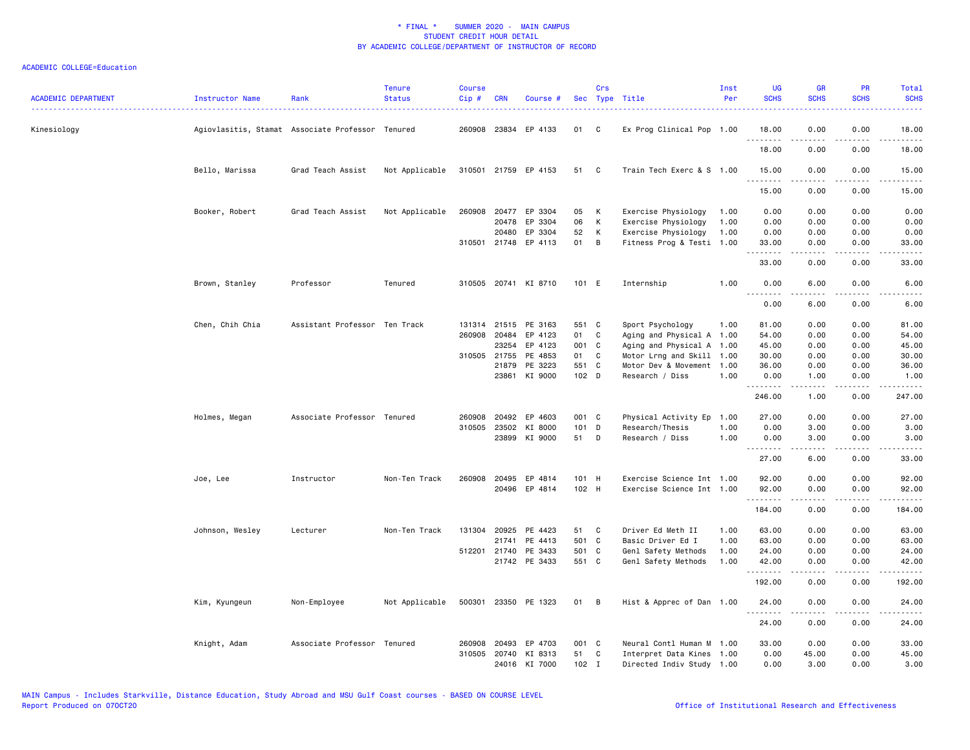| <b>ACADEMIC DEPARTMENT</b> | Instructor Name | Rank                                             | <b>Tenure</b><br><b>Status</b> | <b>Course</b><br>Cip# | <b>CRN</b>   | Course #             |         | Crs          | Sec Type Title<br><u>.</u> | Inst<br>Per | <b>UG</b><br><b>SCHS</b> | <b>GR</b><br><b>SCHS</b> | <b>PR</b><br><b>SCHS</b>            | Total<br><b>SCHS</b><br>$\frac{1}{2} \left( \frac{1}{2} \right) \left( \frac{1}{2} \right) \left( \frac{1}{2} \right) \left( \frac{1}{2} \right)$ |
|----------------------------|-----------------|--------------------------------------------------|--------------------------------|-----------------------|--------------|----------------------|---------|--------------|----------------------------|-------------|--------------------------|--------------------------|-------------------------------------|---------------------------------------------------------------------------------------------------------------------------------------------------|
| Kinesiology                |                 | Agiovlasitis, Stamat Associate Professor Tenured |                                |                       | 260908 23834 | EP 4133              | 01      | C            | Ex Prog Clinical Pop 1.00  |             | 18.00                    | 0.00                     | 0.00                                | 18.00                                                                                                                                             |
|                            |                 |                                                  |                                |                       |              |                      |         |              |                            |             | .<br>18.00               | .<br>0.00                | $\sim$ $\sim$ $\sim$ $\sim$<br>0.00 | .<br>18.00                                                                                                                                        |
|                            | Bello, Marissa  | Grad Teach Assist                                | Not Applicable                 |                       |              | 310501 21759 EP 4153 | 51      | - C          | Train Tech Exerc & S 1.00  |             | 15.00<br>$- - - -$       | 0.00                     | 0.00<br>.                           | 15.00                                                                                                                                             |
|                            |                 |                                                  |                                |                       |              |                      |         |              |                            |             | 15.00                    | 0.00                     | 0.00                                | 15.00                                                                                                                                             |
|                            | Booker, Robert  | Grad Teach Assist                                | Not Applicable                 | 260908                | 20477        | EP 3304              | 05      | К            | Exercise Physiology        | 1.00        | 0.00                     | 0.00                     | 0.00                                | 0.00                                                                                                                                              |
|                            |                 |                                                  |                                |                       | 20478        | EP 3304              | 06      | К            | Exercise Physiology        | 1.00        | 0.00                     | 0.00                     | 0.00                                | 0.00                                                                                                                                              |
|                            |                 |                                                  |                                |                       | 20480        | EP 3304              | 52      | К            | Exercise Physiology        | 1.00        | 0.00                     | 0.00                     | 0.00                                | 0.00                                                                                                                                              |
|                            |                 |                                                  |                                |                       | 310501 21748 | EP 4113              | 01      | B            | Fitness Prog & Testi 1.00  |             | 33.00<br>.               | 0.00<br>-----            | 0.00<br>.                           | 33.00<br>.                                                                                                                                        |
|                            |                 |                                                  |                                |                       |              |                      |         |              |                            |             | 33.00                    | 0.00                     | 0.00                                | 33.00                                                                                                                                             |
|                            | Brown, Stanley  | Professor                                        | Tenured                        |                       |              | 310505 20741 KI 8710 | 101 E   |              | Internship                 | 1.00        | 0.00<br>.                | 6.00<br>.                | 0.00<br>----                        | 6.00                                                                                                                                              |
|                            |                 |                                                  |                                |                       |              |                      |         |              |                            |             | 0.00                     | 6.00                     | 0.00                                | 6.00                                                                                                                                              |
|                            | Chen, Chih Chia | Assistant Professor Ten Track                    |                                |                       | 131314 21515 | PE 3163              | 551 C   |              | Sport Psychology           | 1.00        | 81.00                    | 0.00                     | 0.00                                | 81.00                                                                                                                                             |
|                            |                 |                                                  |                                |                       | 260908 20484 | EP 4123              | 01      | C            | Aging and Physical A       | 1.00        | 54.00                    | 0.00                     | 0.00                                | 54.00                                                                                                                                             |
|                            |                 |                                                  |                                |                       | 23254        | EP 4123              | 001 C   |              | Aging and Physical A 1.00  |             | 45.00                    | 0.00                     | 0.00                                | 45.00                                                                                                                                             |
|                            |                 |                                                  |                                |                       | 310505 21755 | PE 4853              | 01      | C            | Motor Lrng and Skill 1.00  |             | 30.00                    | 0.00                     | 0.00                                | 30.00                                                                                                                                             |
|                            |                 |                                                  |                                |                       | 21879        | PE 3223              | 551 C   |              | Motor Dev & Movement 1.00  |             | 36.00                    | 0.00                     | 0.00                                | 36.00                                                                                                                                             |
|                            |                 |                                                  |                                |                       | 23861        | KI 9000              | 102 D   |              | Research / Diss            | 1.00        | 0.00<br>.                | 1.00<br>$- - - - -$      | 0.00<br>.                           | 1.00<br>.                                                                                                                                         |
|                            |                 |                                                  |                                |                       |              |                      |         |              |                            |             | 246.00                   | 1.00                     | 0.00                                | 247.00                                                                                                                                            |
|                            | Holmes, Megan   | Associate Professor Tenured                      |                                | 260908                | 20492        | EP 4603              | 001 C   |              | Physical Activity Ep       | 1.00        | 27.00                    | 0.00                     | 0.00                                | 27.00                                                                                                                                             |
|                            |                 |                                                  |                                |                       | 310505 23502 | KI 8000              | 101 D   |              | Research/Thesis            | 1.00        | 0.00                     | 3.00                     | 0.00                                | 3.00                                                                                                                                              |
|                            |                 |                                                  |                                |                       |              | 23899 KI 9000        | 51 D    |              | Research / Diss            | 1.00        | 0.00<br><u>.</u>         | 3.00<br>-----            | 0.00<br>.                           | 3.00<br>.                                                                                                                                         |
|                            |                 |                                                  |                                |                       |              |                      |         |              |                            |             | 27.00                    | 6.00                     | 0.00                                | 33.00                                                                                                                                             |
|                            | Joe, Lee        | Instructor                                       | Non-Ten Track                  | 260908                | 20495        | EP 4814              | 101 H   |              | Exercise Science Int 1.00  |             | 92.00                    | 0.00                     | 0.00                                | 92.00                                                                                                                                             |
|                            |                 |                                                  |                                |                       |              | 20496 EP 4814        | 102 H   |              | Exercise Science Int 1.00  |             | 92.00<br>.               | 0.00<br>.                | 0.00<br>.                           | 92.00<br>.                                                                                                                                        |
|                            |                 |                                                  |                                |                       |              |                      |         |              |                            |             | 184.00                   | 0.00                     | 0.00                                | 184.00                                                                                                                                            |
|                            | Johnson, Wesley | Lecturer                                         | Non-Ten Track                  |                       | 131304 20925 | PE 4423              | 51      | <b>C</b>     | Driver Ed Meth II          | 1.00        | 63.00                    | 0.00                     | 0.00                                | 63.00                                                                                                                                             |
|                            |                 |                                                  |                                |                       | 21741        | PE 4413              | 501 C   |              | Basic Driver Ed I          | 1.00        | 63.00                    | 0.00                     | 0.00                                | 63.00                                                                                                                                             |
|                            |                 |                                                  |                                |                       | 512201 21740 | PE 3433              | 501 C   |              | Genl Safety Methods        | 1.00        | 24.00                    | 0.00                     | 0.00                                | 24.00                                                                                                                                             |
|                            |                 |                                                  |                                |                       |              | 21742 PE 3433        | 551 C   |              | Genl Safety Methods        | 1.00        | 42.00<br>.               | 0.00<br><u>.</u>         | 0.00<br>$- - - -$                   | 42.00<br>.                                                                                                                                        |
|                            |                 |                                                  |                                |                       |              |                      |         |              |                            |             | 192.00                   | 0.00                     | 0.00                                | 192.00                                                                                                                                            |
|                            | Kim, Kyungeun   | Non-Employee                                     | Not Applicable                 |                       |              | 500301 23350 PE 1323 | 01 B    |              | Hist & Apprec of Dan 1.00  |             | 24.00<br>.               | 0.00<br>-----            | 0.00<br>.                           | 24.00<br>.                                                                                                                                        |
|                            |                 |                                                  |                                |                       |              |                      |         |              |                            |             | 24.00                    | 0.00                     | 0.00                                | 24.00                                                                                                                                             |
|                            | Knight, Adam    | Associate Professor Tenured                      |                                | 260908                | 20493        | EP 4703              | 001 C   |              | Neural Contl Human M 1.00  |             | 33.00                    | 0.00                     | 0.00                                | 33.00                                                                                                                                             |
|                            |                 |                                                  |                                |                       |              | 310505 20740 KI 8313 | 51      | $\mathbf{C}$ | Interpret Data Kines 1.00  |             | 0.00                     | 45.00                    | 0.00                                | 45.00                                                                                                                                             |
|                            |                 |                                                  |                                |                       |              | 24016 KI 7000        | $102$ I |              | Directed Indiv Study 1.00  |             | 0.00                     | 3.00                     | 0.00                                | 3.00                                                                                                                                              |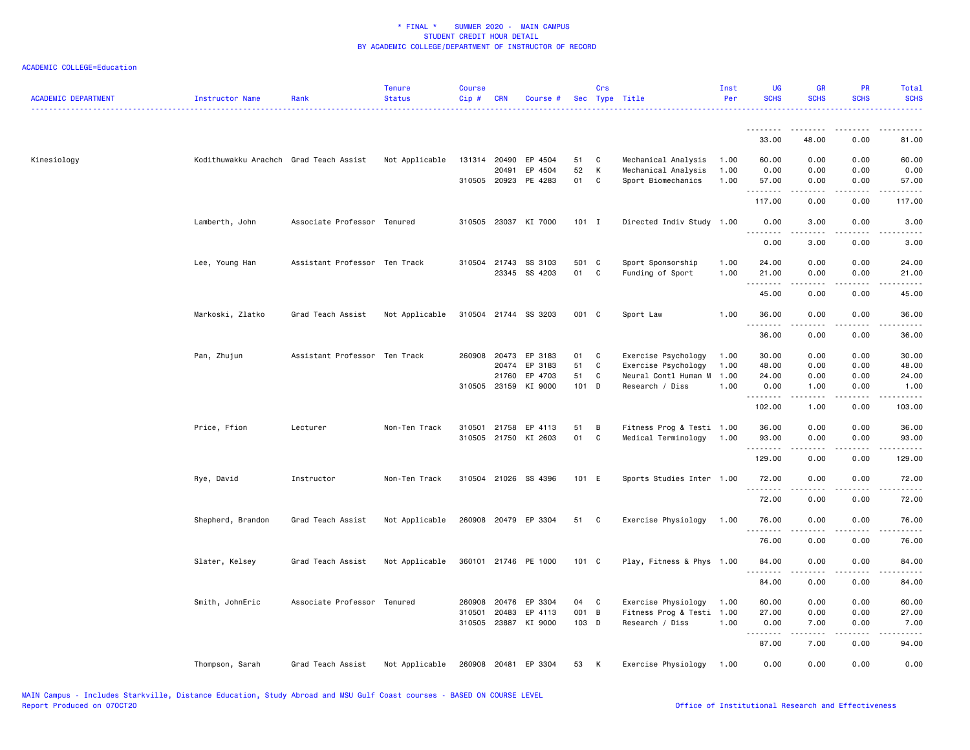| <b>ACADEMIC DEPARTMENT</b> | Instructor Name                        | Rank                          | <b>Tenure</b><br><b>Status</b> | <b>Course</b><br>Cip# | <b>CRN</b>   | Course #                              |             | Crs    | Sec Type Title                            | Inst<br>Per  | <b>UG</b><br><b>SCHS</b> | <b>GR</b><br><b>SCHS</b> | <b>PR</b><br><b>SCHS</b> | <b>Total</b><br><b>SCHS</b> |
|----------------------------|----------------------------------------|-------------------------------|--------------------------------|-----------------------|--------------|---------------------------------------|-------------|--------|-------------------------------------------|--------------|--------------------------|--------------------------|--------------------------|-----------------------------|
|                            |                                        |                               |                                |                       |              |                                       |             |        |                                           |              | .<br>33.00               | 48.00                    | 0.00                     | 81.00                       |
| Kinesiology                | Kodithuwakku Arachch Grad Teach Assist |                               | Not Applicable                 |                       | 131314 20490 | EP 4504                               | 51          | C      | Mechanical Analysis                       | 1.00         | 60.00                    | 0.00                     | 0.00                     | 60.00                       |
|                            |                                        |                               |                                |                       | 20491        | EP 4504<br>310505 20923 PE 4283       | 52<br>01    | К<br>C | Mechanical Analysis<br>Sport Biomechanics | 1.00<br>1.00 | 0.00<br>57.00            | 0.00<br>0.00             | 0.00<br>0.00             | 0.00<br>57.00               |
|                            |                                        |                               |                                |                       |              |                                       |             |        |                                           |              | . <b>.</b><br>117.00     | .<br>0.00                | .<br>0.00                | .<br>117.00                 |
|                            |                                        |                               |                                |                       |              |                                       |             |        |                                           |              |                          |                          |                          |                             |
|                            | Lamberth, John                         | Associate Professor Tenured   |                                |                       |              | 310505 23037 KI 7000                  | $101$ I     |        | Directed Indiv Study 1.00                 |              | 0.00<br>.                | 3.00                     | 0.00                     | 3.00                        |
|                            |                                        |                               |                                |                       |              |                                       |             |        |                                           |              | 0.00                     | 3.00                     | 0.00                     | 3.00                        |
|                            | Lee, Young Han                         | Assistant Professor Ten Track |                                |                       |              | 310504 21743 SS 3103<br>23345 SS 4203 | 501 C<br>01 | C      | Sport Sponsorship<br>Funding of Sport     | 1.00<br>1.00 | 24.00<br>21.00           | 0.00<br>0.00             | 0.00<br>0.00             | 24.00<br>21.00              |
|                            |                                        |                               |                                |                       |              |                                       |             |        |                                           |              | .                        | <u>.</u><br>0.00         | .<br>0.00                | . <u>.</u> .<br>45.00       |
|                            |                                        |                               |                                |                       |              |                                       |             |        |                                           |              | 45.00                    |                          |                          |                             |
|                            | Markoski, Zlatko                       | Grad Teach Assist             | Not Applicable                 |                       |              | 310504 21744 SS 3203                  | 001 C       |        | Sport Law                                 | 1.00         | 36.00<br>.               | 0.00<br>.                | 0.00<br>.                | 36.00<br>.                  |
|                            |                                        |                               |                                |                       |              |                                       |             |        |                                           |              | 36.00                    | 0.00                     | 0.00                     | 36.00                       |
|                            | Pan, Zhujun                            | Assistant Professor Ten Track |                                | 260908                | 20473        | EP 3183                               | 01          | C      | Exercise Psychology                       | 1.00         | 30.00                    | 0.00                     | 0.00                     | 30.00                       |
|                            |                                        |                               |                                |                       | 20474        | EP 3183                               | 51          | C      | Exercise Psychology                       | 1.00         | 48.00                    | 0.00                     | 0.00                     | 48.00                       |
|                            |                                        |                               |                                |                       | 21760        | EP 4703                               | 51          | C      | Neural Contl Human M                      | 1.00         | 24.00                    | 0.00                     | 0.00                     | 24.00                       |
|                            |                                        |                               |                                |                       | 310505 23159 | KI 9000                               | 101 D       |        | Research / Diss                           | 1.00         | 0.00<br>.                | 1.00<br>-----            | 0.00<br>.                | 1.00<br>.                   |
|                            |                                        |                               |                                |                       |              |                                       |             |        |                                           |              | 102.00                   | 1.00                     | 0.00                     | 103.00                      |
|                            | Price, Ffion                           | Lecturer                      | Non-Ten Track                  | 310501                | 21758        | EP 4113                               | 51          | B      | Fitness Prog & Testi 1.00                 |              | 36.00                    | 0.00                     | 0.00                     | 36.00                       |
|                            |                                        |                               |                                |                       |              | 310505 21750 KI 2603                  | 01          | C      | Medical Terminology                       | 1.00         | 93.00<br>.               | 0.00<br>.                | 0.00<br>$- - - -$        | 93.00<br>.                  |
|                            |                                        |                               |                                |                       |              |                                       |             |        |                                           |              | 129.00                   | 0.00                     | 0.00                     | 129.00                      |
|                            | Rye, David                             | Instructor                    | Non-Ten Track                  |                       |              | 310504 21026 SS 4396                  | 101 E       |        | Sports Studies Inter 1.00                 |              | 72.00                    | 0.00                     | 0.00                     | 72.00                       |
|                            |                                        |                               |                                |                       |              |                                       |             |        |                                           |              | <u>.</u><br>72.00        | $- - - - -$<br>0.00      | .<br>0.00                | .<br>72.00                  |
|                            | Shepherd, Brandon                      | Grad Teach Assist             | Not Applicable                 |                       |              | 260908 20479 EP 3304                  | 51          | C      | Exercise Physiology                       | 1.00         | 76.00                    | 0.00                     | 0.00                     | 76.00                       |
|                            |                                        |                               |                                |                       |              |                                       |             |        |                                           |              | .<br>76.00               | .<br>0.00                | $- - - -$<br>0.00        | .<br>76.00                  |
|                            | Slater, Kelsey                         | Grad Teach Assist             | Not Applicable                 |                       |              | 360101 21746 PE 1000                  | 101 C       |        | Play, Fitness & Phys 1.00                 |              | 84.00                    | 0.00                     | 0.00                     | 84.00                       |
|                            |                                        |                               |                                |                       |              |                                       |             |        |                                           |              | .                        |                          |                          |                             |
|                            |                                        |                               |                                |                       |              |                                       |             |        |                                           |              | 84.00                    | 0.00                     | 0.00                     | 84.00                       |
|                            | Smith, JohnEric                        | Associate Professor Tenured   |                                | 260908                | 20476        | EP 3304                               | 04          | C      | Exercise Physiology                       | 1.00         | 60.00                    | 0.00                     | 0.00                     | 60.00                       |
|                            |                                        |                               |                                | 310501                | 20483        | EP 4113                               | 001 B       |        | Fitness Prog & Testi                      | 1.00         | 27.00                    | 0.00                     | 0.00                     | 27.00                       |
|                            |                                        |                               |                                |                       | 310505 23887 | KI 9000                               | 103 D       |        | Research / Diss                           | 1.00         | 0.00<br>.                | 7.00<br>.                | 0.00<br>.                | 7.00<br>.                   |
|                            |                                        |                               |                                |                       |              |                                       |             |        |                                           |              | 87.00                    | 7.00                     | 0.00                     | 94.00                       |
|                            | Thompson, Sarah                        | Grad Teach Assist             | Not Applicable                 |                       |              | 260908 20481 EP 3304                  | 53          | K      | Exercise Physiology                       | 1.00         | 0.00                     | 0.00                     | 0.00                     | 0.00                        |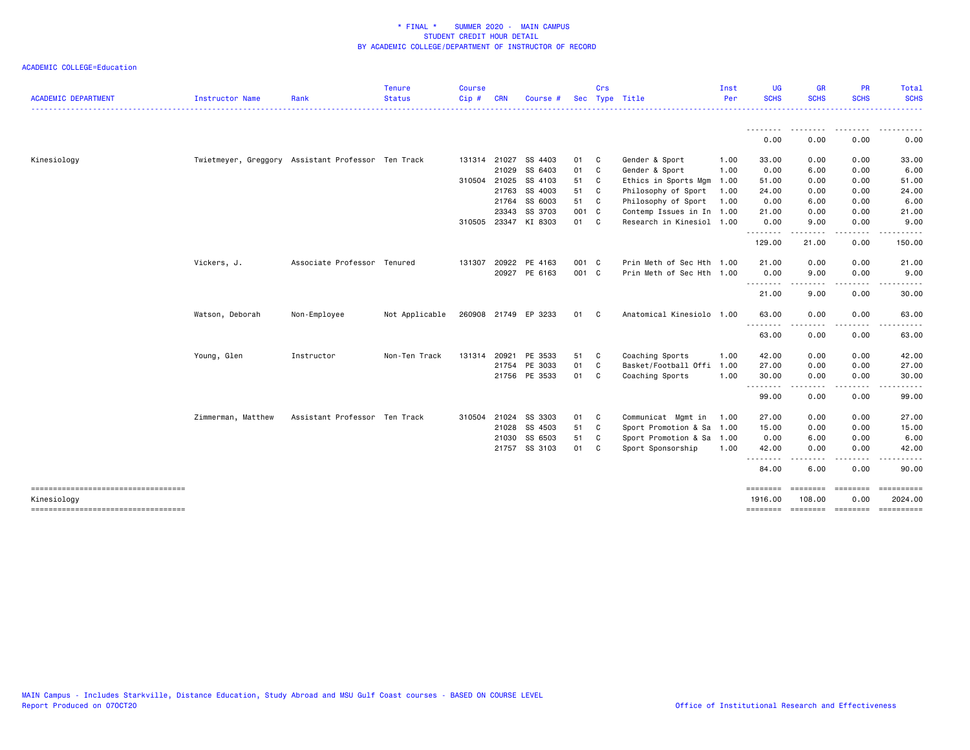| <b>ACADEMIC DEPARTMENT</b> | Instructor Name    | Rank                                               | <b>Tenure</b><br><b>Status</b> | <b>Course</b><br>Cip# | <b>CRN</b>   | Course #             |       | Crs          | Sec Type Title            | Inst<br>Per | <b>UG</b><br><b>SCHS</b> | <b>GR</b><br><b>SCHS</b> | <b>PR</b><br><b>SCHS</b>                                                                                                          | Total<br><b>SCHS</b> |
|----------------------------|--------------------|----------------------------------------------------|--------------------------------|-----------------------|--------------|----------------------|-------|--------------|---------------------------|-------------|--------------------------|--------------------------|-----------------------------------------------------------------------------------------------------------------------------------|----------------------|
|                            |                    |                                                    |                                |                       |              |                      |       |              |                           |             |                          |                          |                                                                                                                                   | ------               |
|                            |                    |                                                    |                                |                       |              |                      |       |              |                           |             | 0.00                     | 0.00                     | 0.00                                                                                                                              | 0.00                 |
| Kinesiology                |                    | Twietmeyer, Greggory Assistant Professor Ten Track |                                |                       | 131314 21027 | SS 4403              | 01 C  |              | Gender & Sport            | 1.00        | 33.00                    | 0.00                     | 0.00                                                                                                                              | 33.00                |
|                            |                    |                                                    |                                |                       | 21029        | SS 6403              | 01 C  |              | Gender & Sport            | 1.00        | 0.00                     | 6.00                     | 0.00                                                                                                                              | 6.00                 |
|                            |                    |                                                    |                                |                       | 310504 21025 | SS 4103              | 51 C  |              | Ethics in Sports Mgm      | 1.00        | 51.00                    | 0.00                     | 0.00                                                                                                                              | 51.00                |
|                            |                    |                                                    |                                |                       | 21763        | SS 4003              | 51 C  |              | Philosophy of Sport       | 1.00        | 24.00                    | 0.00                     | 0.00                                                                                                                              | 24.00                |
|                            |                    |                                                    |                                |                       | 21764        | SS 6003              | 51 C  |              | Philosophy of Sport       | 1.00        | 0.00                     | 6.00                     | 0.00                                                                                                                              | 6.00                 |
|                            |                    |                                                    |                                |                       | 23343        | SS 3703              | 001 C |              | Contemp Issues in In 1.00 |             | 21.00                    | 0.00                     | 0.00                                                                                                                              | 21.00                |
|                            |                    |                                                    |                                |                       |              | 310505 23347 KI 8303 | 01 C  |              | Research in Kinesiol 1.00 |             | 0.00                     | 9.00                     | 0.00                                                                                                                              | 9.00                 |
|                            |                    |                                                    |                                |                       |              |                      |       |              |                           |             | .<br>129.00              | 21.00                    | $\frac{1}{2}$<br>0.00                                                                                                             | 150.00               |
|                            | Vickers, J.        | Associate Professor Tenured                        |                                |                       | 131307 20922 | PE 4163              | 001 C |              | Prin Meth of Sec Hth 1.00 |             | 21.00                    | 0.00                     | 0.00                                                                                                                              | 21.00                |
|                            |                    |                                                    |                                |                       |              | 20927 PE 6163        | 001 C |              | Prin Meth of Sec Hth 1.00 |             | 0.00<br>.                | 9.00<br>.                | 0.00<br>.                                                                                                                         | 9.00<br>.            |
|                            |                    |                                                    |                                |                       |              |                      |       |              |                           |             | 21.00                    | 9.00                     | 0.00                                                                                                                              | 30.00                |
|                            | Watson, Deborah    | Non-Employee                                       | Not Applicable                 |                       |              | 260908 21749 EP 3233 | 01 C  |              | Anatomical Kinesiolo 1.00 |             | 63.00<br><u>.</u>        | 0.00<br>. <b>.</b> .     | 0.00<br>.                                                                                                                         | 63.00<br>.           |
|                            |                    |                                                    |                                |                       |              |                      |       |              |                           |             | 63.00                    | 0.00                     | 0.00                                                                                                                              | 63.00                |
|                            | Young, Glen        | Instructor                                         | Non-Ten Track                  |                       | 131314 20921 | PE 3533              | 51 C  |              | Coaching Sports           | 1.00        | 42.00                    | 0.00                     | 0.00                                                                                                                              | 42.00                |
|                            |                    |                                                    |                                |                       |              | 21754 PE 3033        | 01    | $\mathbf{C}$ | Basket/Football Offi      | 1.00        | 27.00                    | 0.00                     | 0.00                                                                                                                              | 27.00                |
|                            |                    |                                                    |                                |                       |              | 21756 PE 3533        | 01 C  |              | Coaching Sports           | 1.00        | 30.00<br>.               | 0.00                     | 0.00<br>$\frac{1}{2} \left( \frac{1}{2} \right) \left( \frac{1}{2} \right) \left( \frac{1}{2} \right) \left( \frac{1}{2} \right)$ | 30.00                |
|                            |                    |                                                    |                                |                       |              |                      |       |              |                           |             | 99.00                    | 0.00                     | 0.00                                                                                                                              | 99.00                |
|                            | Zimmerman, Matthew | Assistant Professor Ten Track                      |                                |                       | 310504 21024 | SS 3303              | 01    | C            | Communicat Mgmt in        | 1.00        | 27.00                    | 0.00                     | 0.00                                                                                                                              | 27.00                |
|                            |                    |                                                    |                                |                       | 21028        | SS 4503              | 51 C  |              | Sport Promotion & Sa 1.00 |             | 15.00                    | 0.00                     | 0.00                                                                                                                              | 15.00                |
|                            |                    |                                                    |                                |                       | 21030        | SS 6503              | 51 C  |              | Sport Promotion & Sa 1.00 |             | 0.00                     | 6.00                     | 0.00                                                                                                                              | 6.00                 |
|                            |                    |                                                    |                                |                       |              | 21757 SS 3103        | 01 C  |              | Sport Sponsorship         | 1.00        | 42.00<br>.               | 0.00<br>$\frac{1}{2}$    | 0.00<br>.                                                                                                                         | 42.00                |
|                            |                    |                                                    |                                |                       |              |                      |       |              |                           |             | 84.00                    | 6.00                     | 0.00                                                                                                                              | 90.00                |
|                            |                    |                                                    |                                |                       |              |                      |       |              |                           |             | ========                 | <b>EEEEEEEE</b>          | $= 10000000000$                                                                                                                   | ==========           |
| Kinesiology                |                    |                                                    |                                |                       |              |                      |       |              |                           |             | 1916.00<br>========      | 108.00                   | 0.00<br>=================                                                                                                         | 2024.00              |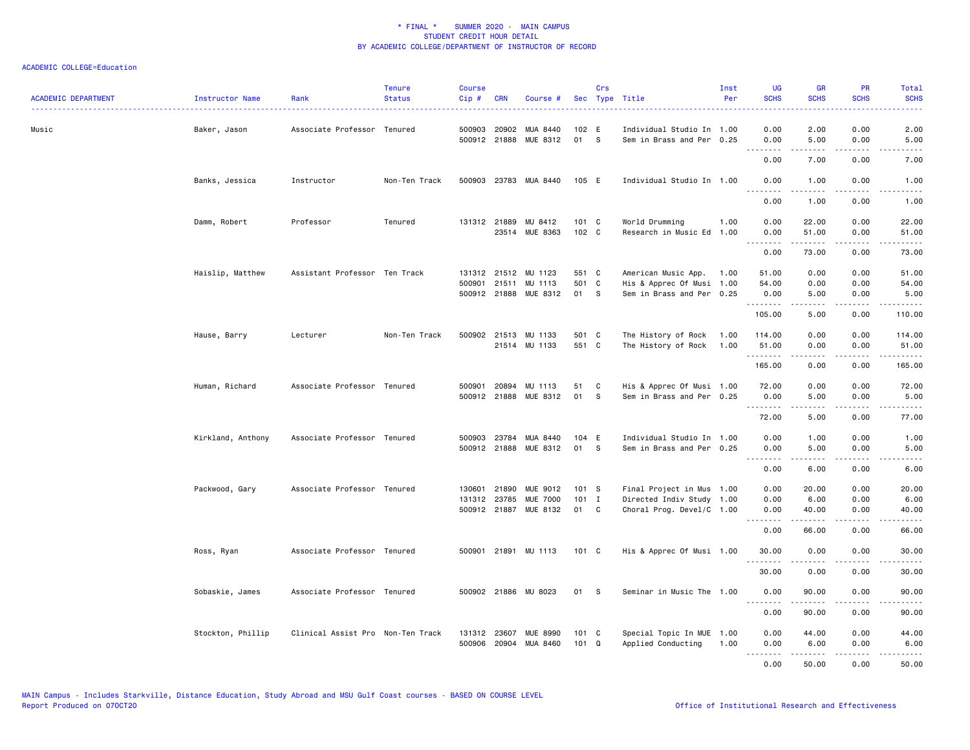| <b>ACADEMIC DEPARTMENT</b> | Instructor Name   | Rank                              | <b>Tenure</b><br><b>Status</b> | Course<br>Cip# | <b>CRN</b>   | Course #                               |                        | Crs | Sec Type Title                                         | Inst<br>Per | <b>UG</b><br><b>SCHS</b><br>. | <b>GR</b><br><b>SCHS</b>                                                                                                                                     | PR<br><b>SCHS</b><br>والمراسات      | Total<br><b>SCHS</b><br>.                                                                                                                                    |
|----------------------------|-------------------|-----------------------------------|--------------------------------|----------------|--------------|----------------------------------------|------------------------|-----|--------------------------------------------------------|-------------|-------------------------------|--------------------------------------------------------------------------------------------------------------------------------------------------------------|-------------------------------------|--------------------------------------------------------------------------------------------------------------------------------------------------------------|
| Music                      | Baker, Jason      | Associate Professor Tenured       |                                | 500903         | 20902        | MUA 8440<br>500912 21888 MUE 8312      | 102 E<br>01 S          |     | Individual Studio In 1.00<br>Sem in Brass and Per 0.25 |             | 0.00<br>0.00                  | 2.00<br>5.00                                                                                                                                                 | 0.00<br>0.00                        | 2.00<br>5.00                                                                                                                                                 |
|                            |                   |                                   |                                |                |              |                                        |                        |     |                                                        |             | د د د<br>0.00                 | .<br>7.00                                                                                                                                                    | $\sim$ $\sim$ $\sim$ $\sim$<br>0.00 | -----<br>7.00                                                                                                                                                |
|                            | Banks, Jessica    | Instructor                        | Non-Ten Track                  |                |              | 500903 23783 MUA 8440                  | 105 E                  |     | Individual Studio In 1.00                              |             | 0.00<br>.                     | 1.00<br>.                                                                                                                                                    | 0.00<br>.                           | 1.00<br>.                                                                                                                                                    |
|                            |                   |                                   |                                |                |              |                                        |                        |     |                                                        |             | 0.00                          | 1.00                                                                                                                                                         | 0.00                                | 1.00                                                                                                                                                         |
|                            | Damm, Robert      | Professor                         | Tenured                        |                |              | 131312 21889 MU 8412<br>23514 MUE 8363 | $101 \quad C$<br>102 C |     | World Drumming<br>Research in Music Ed 1.00            | 1.00        | 0.00<br>0.00                  | 22.00<br>51.00                                                                                                                                               | 0.00<br>0.00                        | 22.00<br>51.00                                                                                                                                               |
|                            |                   |                                   |                                |                |              |                                        |                        |     |                                                        |             | <u>.</u><br>0.00              | 73.00                                                                                                                                                        | .<br>0.00                           | .<br>73.00                                                                                                                                                   |
|                            | Haislip, Matthew  | Assistant Professor Ten Track     |                                |                |              | 131312 21512 MU 1123                   | 551 C                  |     | American Music App.                                    | 1.00        | 51.00                         | 0.00                                                                                                                                                         | 0.00                                | 51.00                                                                                                                                                        |
|                            |                   |                                   |                                |                |              | 500901 21511 MU 1113                   | 501 C                  |     | His & Apprec Of Musi 1.00                              |             | 54.00                         | 0.00                                                                                                                                                         | 0.00                                | 54.00                                                                                                                                                        |
|                            |                   |                                   |                                |                |              | 500912 21888 MUE 8312                  | 01 S                   |     | Sem in Brass and Per 0.25                              |             | 0.00<br>.                     | 5.00                                                                                                                                                         | 0.00<br>.                           | 5.00<br>$\begin{array}{cccccccccc} \bullet & \bullet & \bullet & \bullet & \bullet & \bullet & \bullet & \bullet \end{array}$                                |
|                            |                   |                                   |                                |                |              |                                        |                        |     |                                                        |             | 105.00                        | 5.00                                                                                                                                                         | 0.00                                | 110.00                                                                                                                                                       |
|                            | Hause, Barry      | Lecturer                          | Non-Ten Track                  |                |              | 500902 21513 MU 1133                   | 501 C                  |     | The History of Rock                                    | 1.00        | 114.00                        | 0.00                                                                                                                                                         | 0.00                                | 114.00                                                                                                                                                       |
|                            |                   |                                   |                                |                |              | 21514 MU 1133                          | 551 C                  |     | The History of Rock                                    | 1.00        | 51.00<br>.                    | 0.00<br>.                                                                                                                                                    | 0.00<br>.                           | 51.00<br>$\begin{array}{cccccccccc} \bullet & \bullet & \bullet & \bullet & \bullet & \bullet & \bullet & \bullet \end{array}$                               |
|                            |                   |                                   |                                |                |              |                                        |                        |     |                                                        |             | 165.00                        | 0.00                                                                                                                                                         | 0.00                                | 165.00                                                                                                                                                       |
|                            | Human, Richard    | Associate Professor Tenured       |                                | 500901         | 20894        | MU 1113                                | 51                     | C   | His & Apprec Of Musi 1.00                              |             | 72.00                         | 0.00                                                                                                                                                         | 0.00                                | 72.00                                                                                                                                                        |
|                            |                   |                                   |                                |                |              | 500912 21888 MUE 8312                  | 01                     | -S  | Sem in Brass and Per 0.25                              |             | 0.00                          | 5.00                                                                                                                                                         | 0.00                                | 5.00                                                                                                                                                         |
|                            |                   |                                   |                                |                |              |                                        |                        |     |                                                        |             | .<br>72.00                    | .<br>5.00                                                                                                                                                    | .<br>0.00                           | .<br>77.00                                                                                                                                                   |
|                            | Kirkland, Anthony | Associate Professor Tenured       |                                | 500903         | 23784        | MUA 8440                               | 104 E                  |     | Individual Studio In 1.00                              |             | 0.00                          | 1.00                                                                                                                                                         | 0.00                                | 1.00                                                                                                                                                         |
|                            |                   |                                   |                                |                |              | 500912 21888 MUE 8312                  | 01                     | - S | Sem in Brass and Per 0.25                              |             | 0.00<br>.                     | 5.00<br>$\frac{1}{2} \left( \frac{1}{2} \right) \left( \frac{1}{2} \right) \left( \frac{1}{2} \right) \left( \frac{1}{2} \right) \left( \frac{1}{2} \right)$ | 0.00<br>.                           | 5.00<br>$\frac{1}{2} \left( \frac{1}{2} \right) \left( \frac{1}{2} \right) \left( \frac{1}{2} \right) \left( \frac{1}{2} \right) \left( \frac{1}{2} \right)$ |
|                            |                   |                                   |                                |                |              |                                        |                        |     |                                                        |             | 0.00                          | 6.00                                                                                                                                                         | 0.00                                | 6.00                                                                                                                                                         |
|                            | Packwood, Gary    | Associate Professor Tenured       |                                | 130601         | 21890        | MUE 9012                               | 101 S                  |     | Final Project in Mus 1.00                              |             | 0.00                          | 20.00                                                                                                                                                        | 0.00                                | 20.00                                                                                                                                                        |
|                            |                   |                                   |                                |                | 131312 23785 | <b>MUE 7000</b>                        | $101$ I                |     | Directed Indiv Study 1.00                              |             | 0.00                          | 6.00                                                                                                                                                         | 0.00                                | 6.00                                                                                                                                                         |
|                            |                   |                                   |                                |                |              | 500912 21887 MUE 8132                  | 01 C                   |     | Choral Prog. Devel/C 1.00                              |             | 0.00<br><u>.</u>              | 40.00<br>.                                                                                                                                                   | 0.00<br>.                           | 40.00<br>.                                                                                                                                                   |
|                            |                   |                                   |                                |                |              |                                        |                        |     |                                                        |             | 0.00                          | 66.00                                                                                                                                                        | 0.00                                | 66.00                                                                                                                                                        |
|                            | Ross, Ryan        | Associate Professor Tenured       |                                |                |              | 500901 21891 MU 1113                   | 101 C                  |     | His & Apprec Of Musi 1.00                              |             | 30.00<br>. <b>.</b>           | 0.00<br>.                                                                                                                                                    | 0.00<br>.                           | 30.00<br>.                                                                                                                                                   |
|                            |                   |                                   |                                |                |              |                                        |                        |     |                                                        |             | 30.00                         | 0.00                                                                                                                                                         | 0.00                                | 30.00                                                                                                                                                        |
|                            | Sobaskie, James   | Associate Professor Tenured       |                                |                |              | 500902 21886 MU 8023                   | 01 S                   |     | Seminar in Music The 1.00                              |             | 0.00                          | 90.00                                                                                                                                                        | 0.00<br>.                           | 90.00                                                                                                                                                        |
|                            |                   |                                   |                                |                |              |                                        |                        |     |                                                        |             | <u>.</u><br>0.00              | 90.00                                                                                                                                                        | 0.00                                | .<br>90.00                                                                                                                                                   |
|                            | Stockton, Phillip | Clinical Assist Pro Non-Ten Track |                                |                |              | 131312 23607 MUE 8990                  | 101 C                  |     | Special Topic In MUE 1.00                              |             | 0.00                          | 44.00                                                                                                                                                        | 0.00                                | 44.00                                                                                                                                                        |
|                            |                   |                                   |                                |                |              | 500906 20904 MUA 8460                  | $101 \quad Q$          |     | Applied Conducting                                     | 1.00        | 0.00<br><u>.</u>              | 6.00<br>.                                                                                                                                                    | 0.00<br>.                           | 6.00<br>.                                                                                                                                                    |
|                            |                   |                                   |                                |                |              |                                        |                        |     |                                                        |             | 0.00                          | 50.00                                                                                                                                                        | 0.00                                | 50.00                                                                                                                                                        |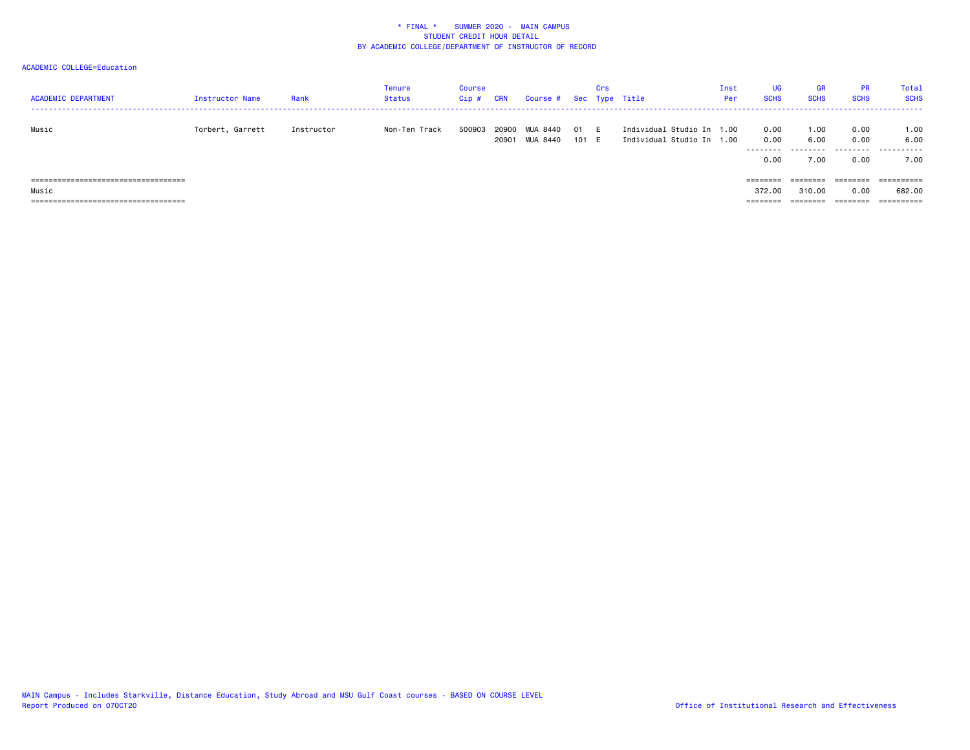| <b>ACADEMIC DEPARTMENT</b>                                                   | Instructor Name  | Rank       | Tenure<br>Status | Course<br>Cip # | CRN            | Course # Sec Type Title |              | Crs |                                                        | Inst<br>Per | UG<br><b>SCHS</b>    | <b>GR</b><br><b>SCHS</b> | <b>PR</b><br><b>SCHS</b> | Total<br><b>SCHS</b><br>-------------------------- |
|------------------------------------------------------------------------------|------------------|------------|------------------|-----------------|----------------|-------------------------|--------------|-----|--------------------------------------------------------|-------------|----------------------|--------------------------|--------------------------|----------------------------------------------------|
| Music                                                                        | Torbert, Garrett | Instructor | Non-Ten Track    | 500903          | 20900<br>20901 | MUA 8440<br>MUA 8440    | O1.<br>101 E | - F | Individual Studio In 1.00<br>Individual Studio In 1.00 |             | 0.00<br>0.00<br>0.00 | 1.00<br>6.00<br><br>7.00 | 0.00<br>0.00<br>0.00     | 1.00<br>6.00<br><br>7.00                           |
| ================                                                             |                  |            |                  |                 |                |                         |              |     |                                                        |             | $=$ = = = = = = =    |                          | ========                 | ==========                                         |
| Music                                                                        |                  |            |                  |                 |                |                         |              |     |                                                        |             | 372.00               | 310,00                   | 0.00                     | 682.00                                             |
| -------------------------------------<br>----------------------------------- |                  |            |                  |                 |                |                         |              |     |                                                        |             | --------<br>-------- | ---------<br>--------    | ========                 | ----------<br>----------                           |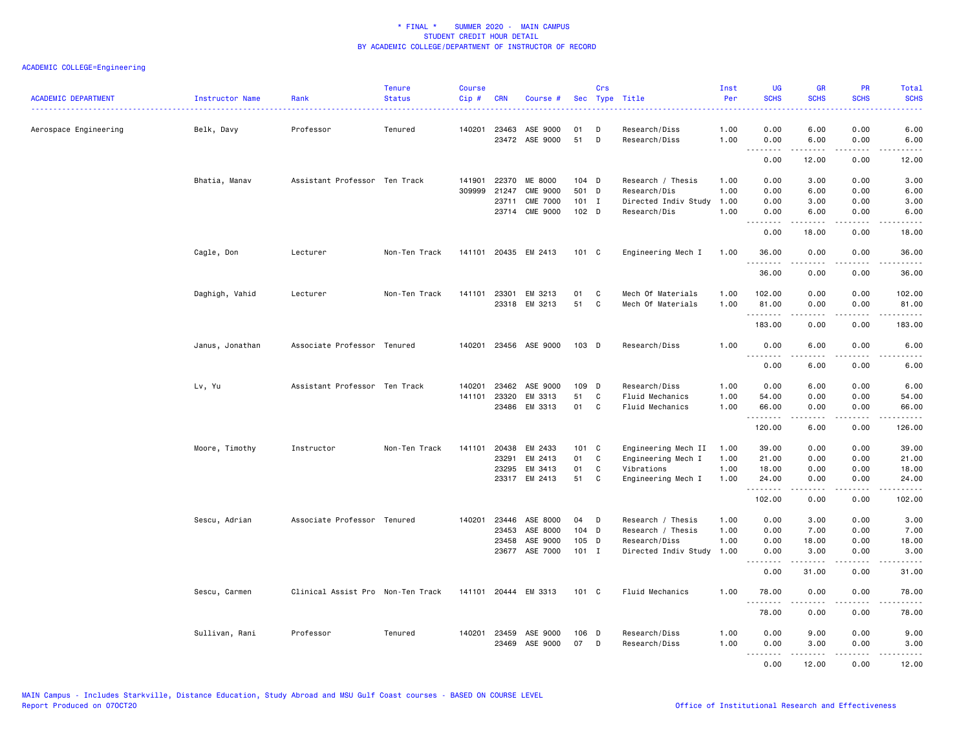| <b>ACADEMIC DEPARTMENT</b> | Instructor Name | Rank                              | <b>Tenure</b><br><b>Status</b> | <b>Course</b><br>Cip# | <b>CRN</b>   | Course #             | Sec           | Crs | Type Title           | Inst<br>Per | <b>UG</b><br><b>SCHS</b> | <b>GR</b><br><b>SCHS</b>                                                                                                                                     | <b>PR</b><br><b>SCHS</b>                                                                                                          | <b>Total</b><br><b>SCHS</b> |
|----------------------------|-----------------|-----------------------------------|--------------------------------|-----------------------|--------------|----------------------|---------------|-----|----------------------|-------------|--------------------------|--------------------------------------------------------------------------------------------------------------------------------------------------------------|-----------------------------------------------------------------------------------------------------------------------------------|-----------------------------|
| Aerospace Engineering      | Belk, Davy      | Professor                         | Tenured                        |                       | 140201 23463 | ASE 9000             | 01            | D   | Research/Diss        | 1.00        | 0.00                     | 6.00                                                                                                                                                         | 0.00                                                                                                                              | 6.00                        |
|                            |                 |                                   |                                |                       |              | 23472 ASE 9000       | 51            | D   | Research/Diss        | 1.00        | 0.00<br>- - -            | 6.00                                                                                                                                                         | 0.00<br>----                                                                                                                      | 6.00                        |
|                            |                 |                                   |                                |                       |              |                      |               |     |                      |             | 0.00                     | 12.00                                                                                                                                                        | 0.00                                                                                                                              | 12.00                       |
|                            | Bhatia, Manav   | Assistant Professor Ten Track     |                                | 141901                | 22370        | ME 8000              | 104 D         |     | Research / Thesis    | 1.00        | 0.00                     | 3.00                                                                                                                                                         | 0.00                                                                                                                              | 3.00                        |
|                            |                 |                                   |                                | 309999                | 21247        | <b>CME 9000</b>      | 501 D         |     | Research/Dis         | 1.00        | 0.00                     | 6.00                                                                                                                                                         | 0.00                                                                                                                              | 6.00                        |
|                            |                 |                                   |                                |                       | 23711        | <b>CME 7000</b>      | $101$ I       |     | Directed Indiv Study | 1.00        | 0.00                     | 3.00                                                                                                                                                         | 0.00                                                                                                                              | 3.00                        |
|                            |                 |                                   |                                |                       |              | 23714 CME 9000       | $102$ D       |     | Research/Dis         | 1.00        | 0.00                     | 6.00                                                                                                                                                         | 0.00                                                                                                                              | 6.00                        |
|                            |                 |                                   |                                |                       |              |                      |               |     |                      |             | .<br>0.00                | $- - - - -$<br>18.00                                                                                                                                         | .<br>0.00                                                                                                                         | $\frac{1}{2}$<br>18.00      |
|                            | Cagle, Don      | Lecturer                          | Non-Ten Track                  |                       |              | 141101 20435 EM 2413 | 101 C         |     | Engineering Mech I   | 1.00        | 36.00<br>.               | 0.00<br>$\frac{1}{2}$                                                                                                                                        | 0.00                                                                                                                              | 36.00                       |
|                            |                 |                                   |                                |                       |              |                      |               |     |                      |             | 36.00                    | 0.00                                                                                                                                                         | 0.00                                                                                                                              | 36.00                       |
|                            | Daghigh, Vahid  | Lecturer                          | Non-Ten Track                  | 141101                | 23301        | EM 3213              | 01            | C   | Mech Of Materials    | 1.00        | 102.00                   | 0.00                                                                                                                                                         | 0.00                                                                                                                              | 102.00                      |
|                            |                 |                                   |                                |                       |              | 23318 EM 3213        | 51            | C   | Mech Of Materials    | 1.00        | 81.00                    | 0.00                                                                                                                                                         | 0.00                                                                                                                              | 81.00                       |
|                            |                 |                                   |                                |                       |              |                      |               |     |                      |             | .<br>183.00              | 0.00                                                                                                                                                         | 0.00                                                                                                                              | 183.00                      |
|                            | Janus, Jonathan | Associate Professor Tenured       |                                | 140201                |              | 23456 ASE 9000       | 103 D         |     | Research/Diss        | 1.00        | 0.00<br>.                | 6.00<br><u>.</u>                                                                                                                                             | 0.00<br>.                                                                                                                         | 6.00<br>$\frac{1}{2}$       |
|                            |                 |                                   |                                |                       |              |                      |               |     |                      |             | 0.00                     | 6.00                                                                                                                                                         | 0.00                                                                                                                              | 6.00                        |
|                            | Lv, Yu          | Assistant Professor Ten Track     |                                | 140201                | 23462        | ASE 9000             | 109 D         |     | Research/Diss        | 1.00        | 0.00                     | 6.00                                                                                                                                                         | 0.00                                                                                                                              | 6.00                        |
|                            |                 |                                   |                                | 141101                | 23320        | EM 3313              | 51            | C   | Fluid Mechanics      | 1.00        | 54.00                    | 0.00                                                                                                                                                         | 0.00                                                                                                                              | 54.00                       |
|                            |                 |                                   |                                |                       | 23486        | EM 3313              | 01            | C   | Fluid Mechanics      | 1.00        | 66.00<br>.               | 0.00<br>-----                                                                                                                                                | 0.00<br>د د د د                                                                                                                   | 66.00                       |
|                            |                 |                                   |                                |                       |              |                      |               |     |                      |             | 120.00                   | 6.00                                                                                                                                                         | 0.00                                                                                                                              | 126.00                      |
|                            | Moore, Timothy  | Instructor                        | Non-Ten Track                  | 141101                | 20438        | EM 2433              | 101 C         |     | Engineering Mech II  | 1.00        | 39.00                    | 0.00                                                                                                                                                         | 0.00                                                                                                                              | 39.00                       |
|                            |                 |                                   |                                |                       | 23291        | EM 2413              | 01            | C   | Engineering Mech I   | 1.00        | 21.00                    | 0.00                                                                                                                                                         | 0.00                                                                                                                              | 21.00                       |
|                            |                 |                                   |                                |                       | 23295        | EM 3413              | 01            | C   | Vibrations           | 1.00        | 18.00                    | 0.00                                                                                                                                                         | 0.00                                                                                                                              | 18.00                       |
|                            |                 |                                   |                                |                       |              | 23317 EM 2413        | 51            | C   | Engineering Mech I   | 1.00        | 24.00<br>.               | 0.00<br>$- - - - -$                                                                                                                                          | 0.00<br>.                                                                                                                         | 24.00<br>.                  |
|                            |                 |                                   |                                |                       |              |                      |               |     |                      |             | 102.00                   | 0.00                                                                                                                                                         | 0.00                                                                                                                              | 102.00                      |
|                            | Sescu, Adrian   | Associate Professor Tenured       |                                | 140201                | 23446        | ASE 8000             | 04            | D   | Research / Thesis    | 1.00        | 0.00                     | 3.00                                                                                                                                                         | 0.00                                                                                                                              | 3.00                        |
|                            |                 |                                   |                                |                       | 23453        | ASE 8000             | 104 D         |     | Research / Thesis    | 1.00        | 0.00                     | 7.00                                                                                                                                                         | 0.00                                                                                                                              | 7.00                        |
|                            |                 |                                   |                                |                       | 23458        | ASE 9000             | 105 D         |     | Research/Diss        | 1.00        | 0.00                     | 18.00                                                                                                                                                        | 0.00                                                                                                                              | 18.00                       |
|                            |                 |                                   |                                |                       | 23677        | ASE 7000             | $101$ I       |     | Directed Indiv Study | 1.00        | 0.00<br>.                | 3.00<br>$\frac{1}{2} \left( \frac{1}{2} \right) \left( \frac{1}{2} \right) \left( \frac{1}{2} \right) \left( \frac{1}{2} \right) \left( \frac{1}{2} \right)$ | 0.00<br>$\frac{1}{2} \left( \frac{1}{2} \right) \left( \frac{1}{2} \right) \left( \frac{1}{2} \right) \left( \frac{1}{2} \right)$ | 3.00<br>$\frac{1}{2}$       |
|                            |                 |                                   |                                |                       |              |                      |               |     |                      |             | 0.00                     | 31.00                                                                                                                                                        | 0.00                                                                                                                              | 31.00                       |
|                            | Sescu, Carmen   | Clinical Assist Pro Non-Ten Track |                                |                       |              | 141101 20444 EM 3313 | $101 \quad C$ |     | Fluid Mechanics      | 1.00        | 78.00<br>.               | 0.00                                                                                                                                                         | 0.00                                                                                                                              | 78.00                       |
|                            |                 |                                   |                                |                       |              |                      |               |     |                      |             | 78.00                    | 0.00                                                                                                                                                         | 0.00                                                                                                                              | 78.00                       |
|                            | Sullivan, Rani  | Professor                         | Tenured                        | 140201                | 23459        | ASE 9000             | $106$ D       |     | Research/Diss        | 1.00        | 0.00                     | 9.00                                                                                                                                                         | 0.00                                                                                                                              | 9.00                        |
|                            |                 |                                   |                                |                       |              | 23469 ASE 9000       | 07            | D   | Research/Diss        | 1.00        | 0.00                     | 3.00                                                                                                                                                         | 0.00                                                                                                                              | 3.00                        |
|                            |                 |                                   |                                |                       |              |                      |               |     |                      |             | .<br>0.00                | $- - - - -$<br>12.00                                                                                                                                         | .<br>0.00                                                                                                                         | .<br>12.00                  |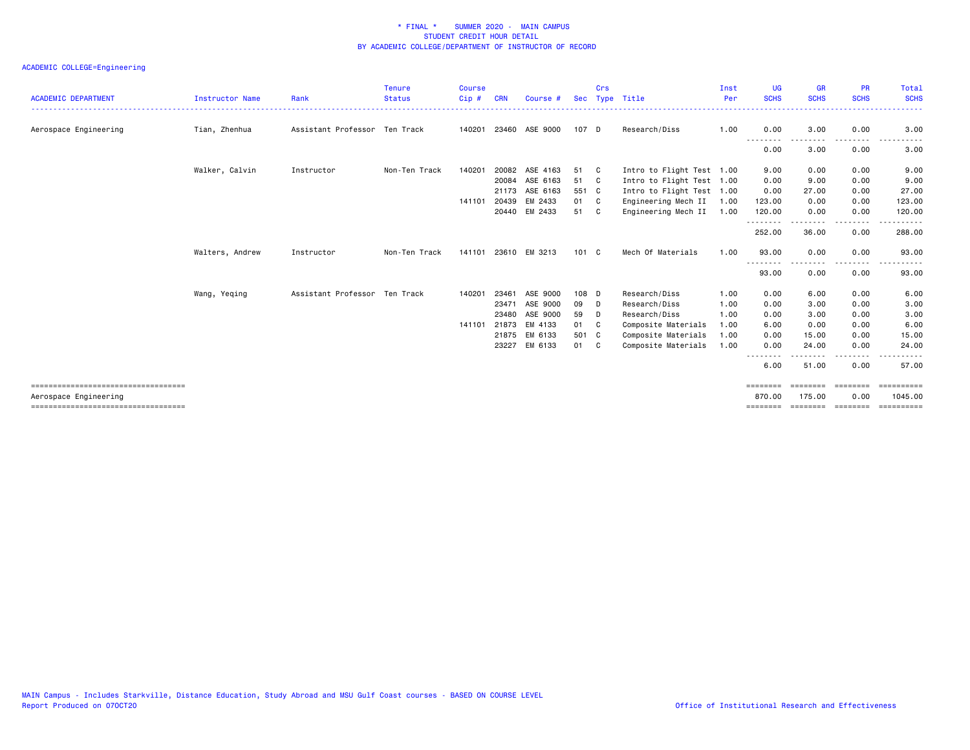| <b>ACADEMIC DEPARTMENT</b>                                    | Instructor Name | Rank                          | <b>Tenure</b><br><b>Status</b><br>. | <b>Course</b><br>Cip# | <b>CRN</b> | Course #       | Sec           | Crs | Type Title                | Inst<br>Per | <b>UG</b><br><b>SCHS</b> | <b>GR</b><br><b>SCHS</b> | <b>PR</b><br><b>SCHS</b> | Total<br><b>SCHS</b><br>. |
|---------------------------------------------------------------|-----------------|-------------------------------|-------------------------------------|-----------------------|------------|----------------|---------------|-----|---------------------------|-------------|--------------------------|--------------------------|--------------------------|---------------------------|
| Aerospace Engineering                                         | Tian, Zhenhua   | Assistant Professor Ten Track |                                     | 140201                |            | 23460 ASE 9000 | 107 D         |     | Research/Diss             | 1.00        | 0.00                     | 3.00                     | 0.00                     | 3.00                      |
|                                                               |                 |                               |                                     |                       |            |                |               |     |                           |             | <u>.</u><br>0.00         | -----<br>3.00            | .<br>0.00                | 3.00                      |
|                                                               | Walker, Calvin  | Instructor                    | Non-Ten Track                       | 140201                | 20082      | ASE 4163       | 51            | - C | Intro to Flight Test 1.00 |             | 9.00                     | 0.00                     | 0.00                     | 9.00                      |
|                                                               |                 |                               |                                     |                       | 20084      | ASE 6163       | 51            | C   | Intro to Flight Test 1.00 |             | 0.00                     | 9.00                     | 0.00                     | 9.00                      |
|                                                               |                 |                               |                                     |                       | 21173      | ASE 6163       | 551 C         |     | Intro to Flight Test 1.00 |             | 0.00                     | 27.00                    | 0.00                     | 27.00                     |
|                                                               |                 |                               |                                     | 141101                | 20439      | EM 2433        | 01            | C   | Engineering Mech II       | 1.00        | 123.00                   | 0.00                     | 0.00                     | 123.00                    |
|                                                               |                 |                               |                                     |                       |            | 20440 EM 2433  | 51            | C.  | Engineering Mech II       | 1.00        | 120.00<br>.              | 0.00<br>.                | 0.00<br>.                | 120.00<br>------          |
|                                                               |                 |                               |                                     |                       |            |                |               |     |                           |             | 252.00                   | 36.00                    | 0.00                     | 288.00                    |
|                                                               | Walters, Andrew | Instructor                    | Non-Ten Track                       | 141101                |            | 23610 EM 3213  | $101 \quad C$ |     | Mech Of Materials         | 1.00        | 93.00                    | 0.00                     | 0.00                     | 93.00<br>$  -$            |
|                                                               |                 |                               |                                     |                       |            |                |               |     |                           |             | ---<br>93.00             | 0.00                     | . <b>.</b><br>0.00       | .<br>93.00                |
|                                                               | Wang, Yeqing    | Assistant Professor Ten Track |                                     | 140201                | 23461      | ASE 9000       | 108 D         |     | Research/Diss             | 1.00        | 0.00                     | 6.00                     | 0.00                     | 6.00                      |
|                                                               |                 |                               |                                     |                       | 23471      | ASE 9000       | 09            | D   | Research/Diss             | 1.00        | 0.00                     | 3.00                     | 0.00                     | 3.00                      |
|                                                               |                 |                               |                                     |                       | 23480      | ASE 9000       | 59            | D   | Research/Diss             | 1.00        | 0.00                     | 3.00                     | 0.00                     | 3.00                      |
|                                                               |                 |                               |                                     | 141101                | 21873      | EM 4133        | 01            | C   | Composite Materials       | 1.00        | 6.00                     | 0.00                     | 0.00                     | 6.00                      |
|                                                               |                 |                               |                                     |                       | 21875      | EM 6133        | 501 C         |     | Composite Materials       | 1.00        | 0.00                     | 15.00                    | 0.00                     | 15.00                     |
|                                                               |                 |                               |                                     |                       | 23227      | EM 6133        | 01 C          |     | Composite Materials       | 1.00        | 0.00                     | 24.00<br><u>.</u>        | 0.00<br>. <b>.</b> .     | 24.00                     |
|                                                               |                 |                               |                                     |                       |            |                |               |     |                           |             | --------<br>6.00         | 51.00                    | 0.00                     | 57.00                     |
| ====================================                          |                 |                               |                                     |                       |            |                |               |     |                           |             | ========                 | $=$ =======              | <b>ERRESTED</b>          | $=$ = = = = = = = = = =   |
| Aerospace Engineering<br>==================================== |                 |                               |                                     |                       |            |                |               |     |                           |             | 870.00                   | 175.00                   | 0.00<br>eeeeeee          | 1045.00<br>==========     |
|                                                               |                 |                               |                                     |                       |            |                |               |     |                           |             |                          |                          |                          |                           |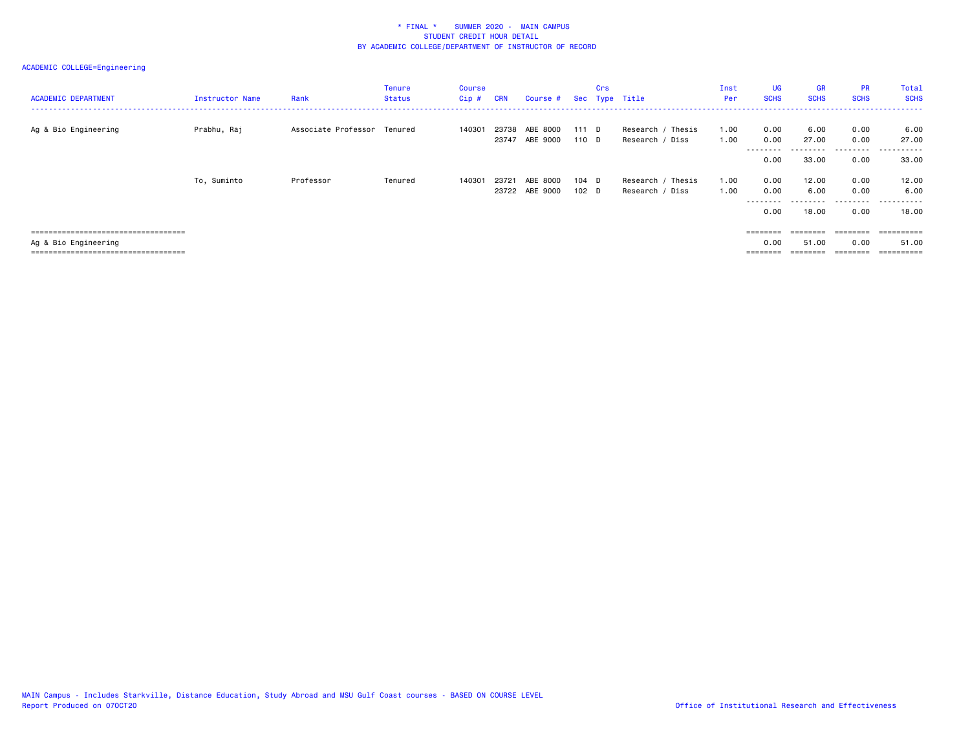| <b>ACADEMIC DEPARTMENT</b>                                                                             | Instructor Name | Rank                        | <b>Tenure</b><br><b>Status</b> | <b>Course</b><br>Cip# | <b>CRN</b>     | Course #                   |                           | <b>Crs</b> | Sec Type Title                       | Inst<br>Per  | <b>UG</b><br><b>SCHS</b>     | <b>GR</b><br><b>SCHS</b>           | <b>PR</b><br><b>SCHS</b>  | Total<br><b>SCHS</b>                   |
|--------------------------------------------------------------------------------------------------------|-----------------|-----------------------------|--------------------------------|-----------------------|----------------|----------------------------|---------------------------|------------|--------------------------------------|--------------|------------------------------|------------------------------------|---------------------------|----------------------------------------|
| Ag & Bio Engineering                                                                                   | Prabhu, Raj     | Associate Professor Tenured |                                | 140301                | 23738<br>23747 | ABE 8000<br>ABE 9000       | 111 D<br>$110$ D          |            | Research / Thesis<br>Research / Diss | 1.00<br>1.00 | 0.00<br>0.00                 | 6.00<br>27.00                      | 0.00<br>0.00              | 6.00<br>27.00                          |
|                                                                                                        |                 |                             |                                |                       |                |                            |                           |            |                                      |              | ---------<br>0.00            | ---------<br>33.00                 | 0.00                      | 33.00                                  |
|                                                                                                        | To, Suminto     | Professor                   | Tenured                        | 140301                | 23721          | ABE 8000<br>23722 ABE 9000 | 104 D<br>102 <sub>D</sub> |            | Research / Thesis<br>Research / Diss | 1.00<br>1.00 | 0.00<br>0.00<br>----<br>0.00 | 12.00<br>6.00<br>--------<br>18.00 | 0.00<br>0.00<br>.<br>0.00 | 12.00<br>6.00<br>$- - -$<br>.<br>18.00 |
| =====================================<br>Ag & Bio Engineering<br>.==================================== |                 |                             |                                |                       |                |                            |                           |            |                                      |              | ========<br>0.00             | $=$ = = = = = = =<br>51.00         | ========<br>0.00          | ==========<br>51.00                    |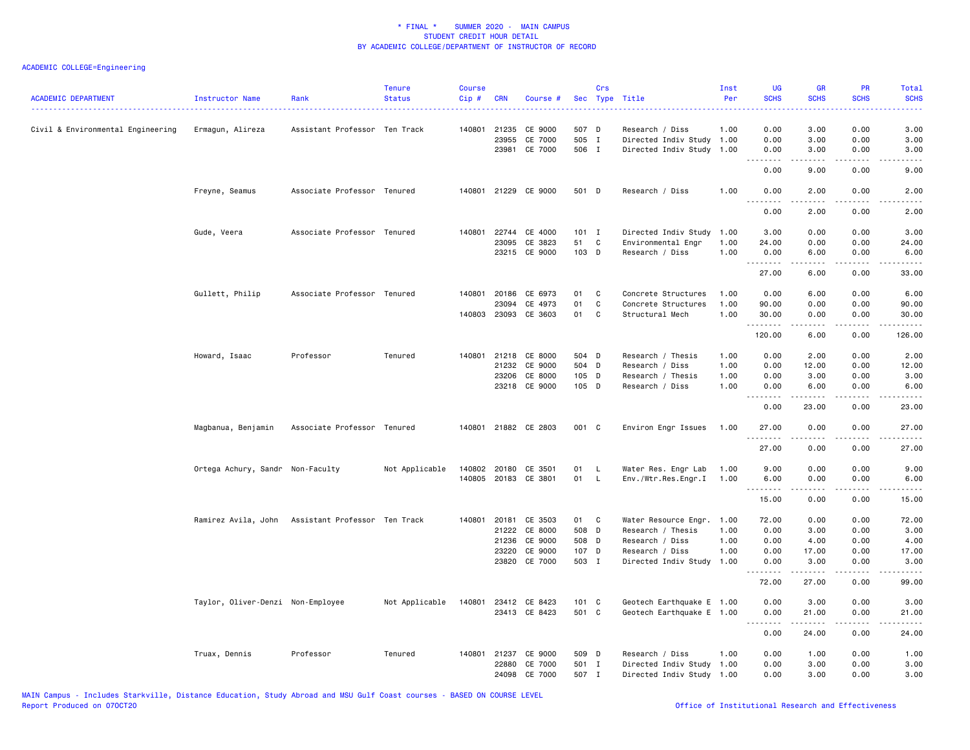| <b>ACADEMIC DEPARTMENT</b>        | Instructor Name                   | Rank                                              | <b>Tenure</b><br><b>Status</b> | <b>Course</b><br>Cip# | <b>CRN</b>   | Course #             | Sec   | Crs          | Type Title                | Inst<br>Per | UG<br><b>SCHS</b> | <b>GR</b><br><b>SCHS</b> | PR<br><b>SCHS</b>                   | Total<br><b>SCHS</b>               |
|-----------------------------------|-----------------------------------|---------------------------------------------------|--------------------------------|-----------------------|--------------|----------------------|-------|--------------|---------------------------|-------------|-------------------|--------------------------|-------------------------------------|------------------------------------|
| Civil & Environmental Engineering | Ermagun, Alireza                  | Assistant Professor Ten Track                     |                                |                       |              | 140801 21235 CE 9000 | 507 D |              | Research / Diss           | 1.00        | 0.00              | 3.00                     | 0.00                                | 3.00                               |
|                                   |                                   |                                                   |                                |                       | 23955        | CE 7000              | 505 I |              | Directed Indiv Study 1.00 |             | 0.00              | 3.00                     | 0.00                                | 3.00                               |
|                                   |                                   |                                                   |                                |                       |              | 23981 CE 7000        | 506 I |              | Directed Indiv Study 1.00 |             | 0.00              | 3.00                     | 0.00<br>.                           | 3.00                               |
|                                   |                                   |                                                   |                                |                       |              |                      |       |              |                           |             | <u>.</u><br>0.00  | .<br>9.00                | 0.00                                | .<br>9.00                          |
|                                   | Freyne, Seamus                    | Associate Professor Tenured                       |                                |                       |              | 140801 21229 CE 9000 | 501 D |              | Research / Diss           | 1.00        | 0.00<br>.         | 2.00<br>.                | 0.00<br>$\sim$ $\sim$ $\sim$ $\sim$ | 2.00<br>$\frac{1}{2}$              |
|                                   |                                   |                                                   |                                |                       |              |                      |       |              |                           |             | 0.00              | 2.00                     | 0.00                                | 2.00                               |
|                                   | Gude, Veera                       | Associate Professor Tenured                       |                                | 140801                | 22744        | CE 4000              | 101 I |              | Directed Indiv Study      | 1.00        | 3.00              | 0.00                     | 0.00                                | 3.00                               |
|                                   |                                   |                                                   |                                |                       | 23095        | CE 3823              | 51    | C            | Environmental Engr        | 1.00        | 24.00             | 0.00                     | 0.00                                | 24.00                              |
|                                   |                                   |                                                   |                                |                       |              | 23215 CE 9000        | 103 D |              | Research / Diss           | 1.00        | 0.00<br>.         | 6.00<br>.                | 0.00<br>$\sim$ $\sim$ $\sim$        | 6.00<br>د د د د د                  |
|                                   |                                   |                                                   |                                |                       |              |                      |       |              |                           |             | 27.00             | 6.00                     | 0.00                                | 33.00                              |
|                                   | Gullett, Philip                   | Associate Professor Tenured                       |                                |                       | 140801 20186 | CE 6973              | 01    | $\mathbf{C}$ | Concrete Structures       | 1.00        | 0.00              | 6.00                     | 0.00                                | 6.00                               |
|                                   |                                   |                                                   |                                |                       | 23094        | CE 4973              | 01    | C            | Concrete Structures       | 1.00        | 90.00             | 0.00                     | 0.00                                | 90.00                              |
|                                   |                                   |                                                   |                                |                       |              | 140803 23093 CE 3603 | 01    | C            | Structural Mech           | 1.00        | 30.00<br>.        | 0.00                     | 0.00<br>.                           | 30.00<br>.                         |
|                                   |                                   |                                                   |                                |                       |              |                      |       |              |                           |             | 120.00            | 6.00                     | 0.00                                | 126.00                             |
|                                   | Howard, Isaac                     | Professor                                         | Tenured                        |                       |              | 140801 21218 CE 8000 | 504 D |              | Research / Thesis         | 1.00        | 0.00              | 2.00                     | 0.00                                | 2.00                               |
|                                   |                                   |                                                   |                                |                       |              | 21232 CE 9000        | 504 D |              | Research / Diss           | 1.00        | 0.00              | 12.00                    | 0.00                                | 12.00                              |
|                                   |                                   |                                                   |                                |                       | 23206        | CE 8000              | 105 D |              | Research / Thesis         | 1.00        | 0.00              | 3.00                     | 0.00                                | 3.00                               |
|                                   |                                   |                                                   |                                |                       |              | 23218 CE 9000        | 105 D |              | Research / Diss           | 1.00        | 0.00<br><u>.</u>  | 6.00                     | 0.00                                | 6.00                               |
|                                   |                                   |                                                   |                                |                       |              |                      |       |              |                           |             | 0.00              | 23.00                    | 0.00                                | 23.00                              |
|                                   | Magbanua, Benjamin                | Associate Professor Tenured                       |                                |                       |              | 140801 21882 CE 2803 | 001 C |              | Environ Engr Issues       | 1.00        | 27.00<br>.        | 0.00                     | 0.00                                | 27.00<br>.                         |
|                                   |                                   |                                                   |                                |                       |              |                      |       |              |                           |             | 27.00             | 0.00                     | 0.00                                | 27.00                              |
|                                   | Ortega Achury, Sandr Non-Faculty  |                                                   | Not Applicable                 | 140802                |              | 20180 CE 3501        | 01    | L.           | Water Res. Engr Lab       | 1.00        | 9.00              | 0.00                     | 0.00                                | 9.00                               |
|                                   |                                   |                                                   |                                | 140805                |              | 20183 CE 3801        | 01    | L.           | Env./Wtr.Res.Engr.I       | 1.00        | 6.00              | 0.00                     | 0.00                                | 6.00                               |
|                                   |                                   |                                                   |                                |                       |              |                      |       |              |                           |             | --------          | -----                    | $\sim$ $\sim$ $\sim$ $\sim$         | $\sim$ $\sim$ $\sim$ $\sim$ $\sim$ |
|                                   |                                   |                                                   |                                |                       |              |                      |       |              |                           |             | 15.00             | 0.00                     | 0.00                                | 15.00                              |
|                                   |                                   | Ramirez Avila, John Assistant Professor Ten Track |                                | 140801                | 20181        | CE 3503              | 01 C  |              | Water Resource Engr.      | 1.00        | 72.00             | 0.00                     | 0.00                                | 72.00                              |
|                                   |                                   |                                                   |                                |                       |              | 21222 CE 8000        | 508 D |              | Research / Thesis         | 1.00        | 0.00              | 3.00                     | 0.00                                | 3.00                               |
|                                   |                                   |                                                   |                                |                       | 21236        | CE 9000              | 508 D |              | Research / Diss           | 1.00        | 0.00              | 4.00                     | 0.00                                | 4.00                               |
|                                   |                                   |                                                   |                                |                       | 23220        | CE 9000              | 107 D |              | Research / Diss           | 1.00        | 0.00              | 17.00                    | 0.00                                | 17.00                              |
|                                   |                                   |                                                   |                                |                       |              | 23820 CE 7000        | 503 I |              | Directed Indiv Study      | 1.00        | 0.00              | 3.00                     | 0.00                                | 3.00                               |
|                                   |                                   |                                                   |                                |                       |              |                      |       |              |                           |             | 72.00             | 27.00                    | 0.00                                | 99.00                              |
|                                   | Taylor, Oliver-Denzi Non-Employee |                                                   | Not Applicable                 |                       |              | 140801 23412 CE 8423 | 101 C |              | Geotech Earthquake E 1.00 |             | 0.00              | 3.00                     | 0.00                                | 3.00                               |
|                                   |                                   |                                                   |                                |                       |              | 23413 CE 8423        | 501 C |              | Geotech Earthquake E 1.00 |             | 0.00              | 21.00<br>$- - - - -$     | 0.00<br>.                           | 21.00                              |
|                                   |                                   |                                                   |                                |                       |              |                      |       |              |                           |             | 0.00              | 24.00                    | 0.00                                | 24.00                              |
|                                   | Truax, Dennis                     | Professor                                         | Tenured                        |                       |              | 140801 21237 CE 9000 | 509 D |              | Research / Diss           | 1.00        | 0.00              | 1.00                     | 0.00                                | 1.00                               |
|                                   |                                   |                                                   |                                |                       | 22880        | CE 7000              | 501 I |              | Directed Indiv Study 1.00 |             | 0.00              | 3.00                     | 0.00                                | 3.00                               |
|                                   |                                   |                                                   |                                |                       |              | 24098 CE 7000        | 507 I |              | Directed Indiv Study 1.00 |             | 0.00              | 3.00                     | 0.00                                | 3.00                               |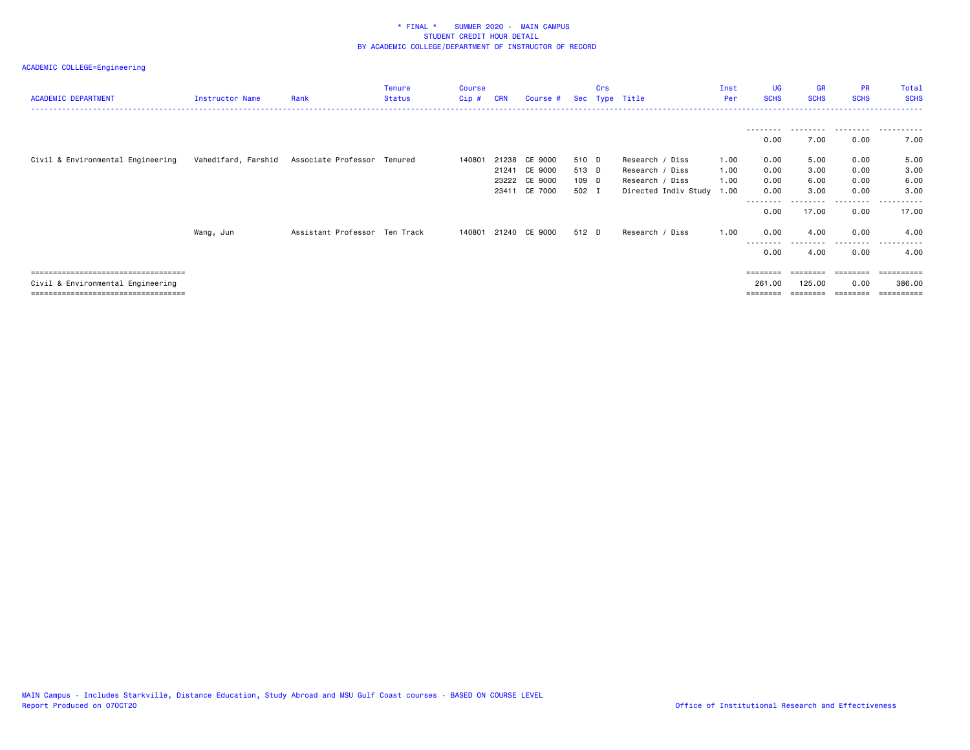| <b>ACADEMIC DEPARTMENT</b>                                                                                           | Instructor Name     | Rank                          | <b>Tenure</b><br><b>Status</b> | <b>Course</b><br>$Cip$ # | <b>CRN</b> | Course #                                                         |                                  | Crs | Sec Type Title                                                                     | Inst<br>Per          | <b>UG</b><br><b>SCHS</b>       | <b>GR</b><br><b>SCHS</b>     | <b>PR</b><br><b>SCHS</b>     | Total<br><b>SCHS</b><br>----------------- |
|----------------------------------------------------------------------------------------------------------------------|---------------------|-------------------------------|--------------------------------|--------------------------|------------|------------------------------------------------------------------|----------------------------------|-----|------------------------------------------------------------------------------------|----------------------|--------------------------------|------------------------------|------------------------------|-------------------------------------------|
|                                                                                                                      |                     |                               |                                |                          |            |                                                                  |                                  |     |                                                                                    |                      | 0.00                           | 7.00                         | 0.00                         | 7.00                                      |
| Civil & Environmental Engineering                                                                                    | Vahedifard, Farshid | Associate Professor Tenured   |                                | 140801                   |            | 21238 CE 9000<br>21241 CE 9000<br>23222 CE 9000<br>23411 CE 7000 | 510 D<br>513 D<br>109 D<br>502 I |     | Research / Diss<br>Research / Diss<br>Research / Diss<br>Directed Indiv Study 1.00 | 1.00<br>1.00<br>1.00 | 0.00<br>0.00<br>0.00<br>0.00   | 5.00<br>3.00<br>6.00<br>3.00 | 0.00<br>0.00<br>0.00<br>0.00 | 5.00<br>3.00<br>6.00<br>3.00              |
|                                                                                                                      | Wang, Jun           | Assistant Professor Ten Track |                                |                          |            | 140801 21240 CE 9000                                             | 512 D                            |     | Research / Diss                                                                    | 1.00                 | 0.00<br>0.00                   | 17.00<br>4.00                | .<br>0.00<br>0.00            | 17.00<br>4.00                             |
|                                                                                                                      |                     |                               |                                |                          |            |                                                                  |                                  |     |                                                                                    |                      | ---------<br>0.00              | --------<br>4.00             | .<br>0.00                    | .<br>.<br>4.00                            |
| =====================================<br>Civil & Environmental Engineering<br>====================================== |                     |                               |                                |                          |            |                                                                  |                                  |     |                                                                                    |                      | ========<br>261.00<br>======== | ========<br>125.00           | ========<br>0.00<br>======== | ==========<br>386.00                      |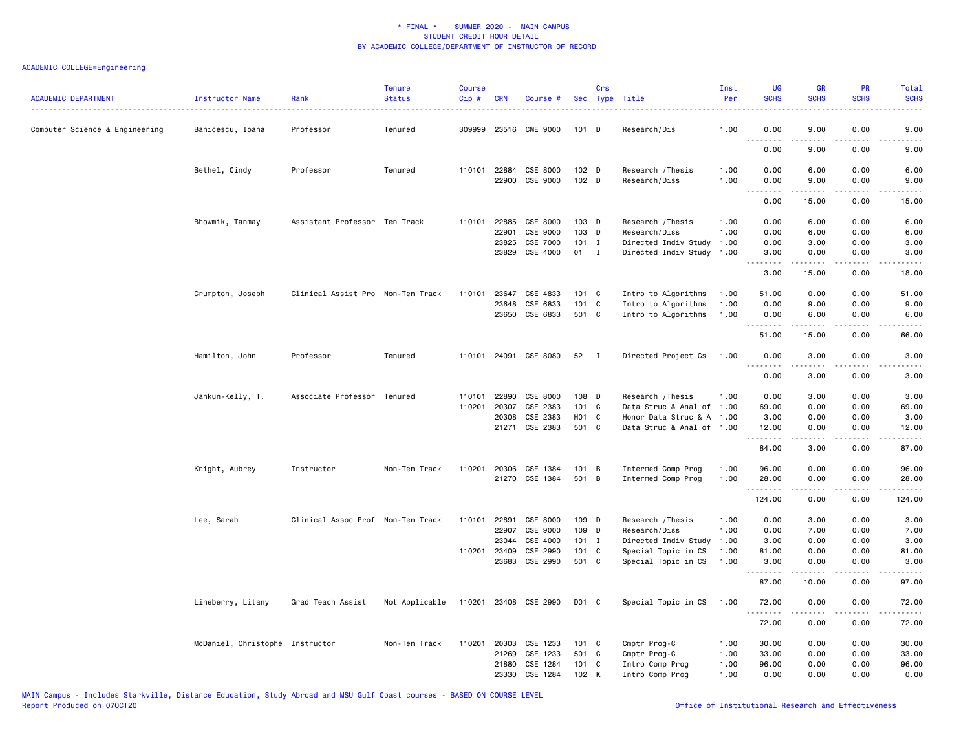| ACADEMIC DEPARTMENT            | Instructor Name<br>.            | Rank                              | <b>Tenure</b><br><b>Status</b> | Course<br>Cip # | <b>CRN</b>   | Course #                   |                             | Crs          | Sec Type Title                     | Inst<br>Per  | <b>UG</b><br><b>SCHS</b> | <b>GR</b><br><b>SCHS</b>                                                                                                                                      | PR<br><b>SCHS</b> | Total<br><b>SCHS</b>                        |
|--------------------------------|---------------------------------|-----------------------------------|--------------------------------|-----------------|--------------|----------------------------|-----------------------------|--------------|------------------------------------|--------------|--------------------------|---------------------------------------------------------------------------------------------------------------------------------------------------------------|-------------------|---------------------------------------------|
| Computer Science & Engineering | Banicescu, Ioana                | Professor                         | Tenured                        |                 |              | 309999 23516 CME 9000      | $101$ D                     |              | Research/Dis                       | 1.00         | 0.00<br>.                | 9.00                                                                                                                                                          | 0.00              | 9.00                                        |
|                                |                                 |                                   |                                |                 |              |                            |                             |              |                                    |              | 0.00                     | 9.00                                                                                                                                                          | 0.00              | 9.00                                        |
|                                | Bethel, Cindy                   | Professor                         | Tenured                        |                 | 110101 22884 | CSE 8000<br>22900 CSE 9000 | $102$ D<br>102 <sub>D</sub> |              | Research / Thesis<br>Research/Diss | 1.00<br>1.00 | 0.00<br>0.00             | 6.00<br>9.00                                                                                                                                                  | 0.00<br>0.00      | 6.00<br>9.00                                |
|                                |                                 |                                   |                                |                 |              |                            |                             |              |                                    |              | .<br>0.00                | $\frac{1}{2} \left( \frac{1}{2} \right) \left( \frac{1}{2} \right) \left( \frac{1}{2} \right) \left( \frac{1}{2} \right) \left( \frac{1}{2} \right)$<br>15.00 | .<br>0.00         | $\frac{1}{2}$<br>15.00                      |
|                                | Bhowmik, Tanmay                 | Assistant Professor Ten Track     |                                | 110101          | 22885        | CSE 8000                   | $103$ D                     |              | Research / Thesis                  | 1.00         | 0.00                     | 6.00                                                                                                                                                          | 0.00              | 6.00                                        |
|                                |                                 |                                   |                                |                 | 22901        | CSE 9000                   | $103$ D                     |              | Research/Diss                      | 1.00         | 0.00                     | 6.00                                                                                                                                                          | 0.00              | 6.00                                        |
|                                |                                 |                                   |                                |                 | 23825        | CSE 7000                   | $101$ I                     |              | Directed Indiv Study               | 1.00         | 0.00                     | 3.00                                                                                                                                                          | 0.00              | 3.00                                        |
|                                |                                 |                                   |                                |                 | 23829        | CSE 4000                   | 01                          | $\mathbf{I}$ | Directed Indiv Study               | 1.00         | 3.00<br>.                | 0.00<br>.                                                                                                                                                     | 0.00<br>.         | 3.00<br>.                                   |
|                                |                                 |                                   |                                |                 |              |                            |                             |              |                                    |              | 3.00                     | 15.00                                                                                                                                                         | 0.00              | 18.00                                       |
|                                | Crumpton, Joseph                | Clinical Assist Pro Non-Ten Track |                                | 110101          | 23647        | CSE 4833                   | 101 C                       |              | Intro to Algorithms                | 1.00         | 51.00                    | 0.00                                                                                                                                                          | 0.00              | 51.00                                       |
|                                |                                 |                                   |                                |                 | 23648        | CSE 6833                   | 101 C                       |              | Intro to Algorithms                | 1.00         | 0.00                     | 9.00                                                                                                                                                          | 0.00              | 9.00                                        |
|                                |                                 |                                   |                                |                 | 23650        | CSE 6833                   | 501 C                       |              | Intro to Algorithms                | 1.00         | 0.00                     | 6.00                                                                                                                                                          | 0.00              | 6.00                                        |
|                                |                                 |                                   |                                |                 |              |                            |                             |              |                                    |              | .<br>51.00               | .<br>15.00                                                                                                                                                    | د د د د<br>0.00   | $\sim$ $\sim$ $\sim$ $\sim$ $\sim$<br>66.00 |
|                                | Hamilton, John                  | Professor                         | Tenured                        |                 |              | 110101 24091 CSE 8080      | 52                          | $\mathbf{I}$ | Directed Project Cs                | 1.00         | 0.00                     | 3.00                                                                                                                                                          | 0.00              | 3.00                                        |
|                                |                                 |                                   |                                |                 |              |                            |                             |              |                                    |              | 0.00                     | 3.00                                                                                                                                                          | 0.00              | 3.00                                        |
|                                | Jankun-Kelly, T.                | Associate Professor Tenured       |                                | 110101          | 22890        | CSE 8000                   | 108 D                       |              | Research / Thesis                  | 1.00         | 0.00                     | 3.00                                                                                                                                                          | 0.00              | 3.00                                        |
|                                |                                 |                                   |                                | 110201          | 20307        | CSE 2383                   | 101 C                       |              | Data Struc & Anal of               | 1.00         | 69.00                    | 0.00                                                                                                                                                          | 0.00              | 69.00                                       |
|                                |                                 |                                   |                                |                 | 20308        | CSE 2383                   | H01 C                       |              | Honor Data Struc & A 1.00          |              | 3.00                     | 0.00                                                                                                                                                          | 0.00              | 3.00                                        |
|                                |                                 |                                   |                                |                 | 21271        | CSE 2383                   | 501 C                       |              | Data Struc & Anal of 1.00          |              | 12.00                    | 0.00                                                                                                                                                          | 0.00              | 12.00                                       |
|                                |                                 |                                   |                                |                 |              |                            |                             |              |                                    |              | .                        | .                                                                                                                                                             | $- - - -$         |                                             |
|                                |                                 |                                   |                                |                 |              |                            |                             |              |                                    |              | 84.00                    | 3.00                                                                                                                                                          | 0.00              | 87.00                                       |
|                                | Knight, Aubrey                  | Instructor                        | Non-Ten Track                  | 110201          | 20306        | CSE 1384                   | 101 B                       |              | Intermed Comp Prog                 | 1.00         | 96.00                    | 0.00                                                                                                                                                          | 0.00              | 96.00                                       |
|                                |                                 |                                   |                                |                 | 21270        | CSE 1384                   | 501 B                       |              | Intermed Comp Prog                 | 1.00         | 28.00                    | 0.00                                                                                                                                                          | 0.00              | 28.00                                       |
|                                |                                 |                                   |                                |                 |              |                            |                             |              |                                    |              | <u>.</u><br>124.00       | .<br>0.00                                                                                                                                                     | .<br>0.00         | .<br>124.00                                 |
|                                | Lee, Sarah                      | Clinical Assoc Prof Non-Ten Track |                                | 110101          | 22891        | CSE 8000                   | 109 D                       |              | Research / Thesis                  | 1.00         | 0.00                     | 3.00                                                                                                                                                          | 0.00              | 3.00                                        |
|                                |                                 |                                   |                                |                 | 22907        | CSE 9000                   | 109 D                       |              | Research/Diss                      | 1.00         | 0.00                     | 7.00                                                                                                                                                          | 0.00              | 7.00                                        |
|                                |                                 |                                   |                                |                 | 23044        | CSE 4000                   | $101$ I                     |              | Directed Indiv Study               | 1.00         | 3.00                     | 0.00                                                                                                                                                          | 0.00              | 3.00                                        |
|                                |                                 |                                   |                                | 110201 23409    |              | CSE 2990                   | 101 C                       |              | Special Topic in CS                | 1.00         | 81.00                    | 0.00                                                                                                                                                          | 0.00              | 81.00                                       |
|                                |                                 |                                   |                                |                 | 23683        | CSE 2990                   | 501 C                       |              | Special Topic in CS                | 1.00         | 3.00                     | 0.00                                                                                                                                                          | 0.00              | 3.00                                        |
|                                |                                 |                                   |                                |                 |              |                            |                             |              |                                    |              | 87.00                    | 10.00                                                                                                                                                         | 0.00              | 97.00                                       |
|                                | Lineberry, Litany               | Grad Teach Assist                 | Not Applicable                 |                 |              | 110201 23408 CSE 2990      | D01 C                       |              | Special Topic in CS                | 1.00         | 72.00<br>.               | 0.00<br>.                                                                                                                                                     | 0.00              | 72.00<br>المتمام                            |
|                                |                                 |                                   |                                |                 |              |                            |                             |              |                                    |              | 72.00                    | 0.00                                                                                                                                                          | 0.00              | 72.00                                       |
|                                | McDaniel, Christophe Instructor |                                   | Non-Ten Track                  | 110201          | 20303        | CSE 1233                   | 101 C                       |              | Cmptr Prog-C                       | 1.00         | 30.00                    | 0.00                                                                                                                                                          | 0.00              | 30.00                                       |
|                                |                                 |                                   |                                |                 | 21269        | CSE 1233                   | 501 C                       |              | Cmptr Prog-C                       | 1.00         | 33.00                    | 0.00                                                                                                                                                          | 0.00              | 33.00                                       |
|                                |                                 |                                   |                                |                 | 21880        | CSE 1284                   | $101 \quad C$               |              | Intro Comp Prog                    | 1.00         | 96.00                    | 0.00                                                                                                                                                          | 0.00              | 96.00                                       |
|                                |                                 |                                   |                                |                 | 23330        | CSE 1284                   | 102 K                       |              | Intro Comp Prog                    | 1.00         | 0.00                     | 0.00                                                                                                                                                          | 0.00              | 0.00                                        |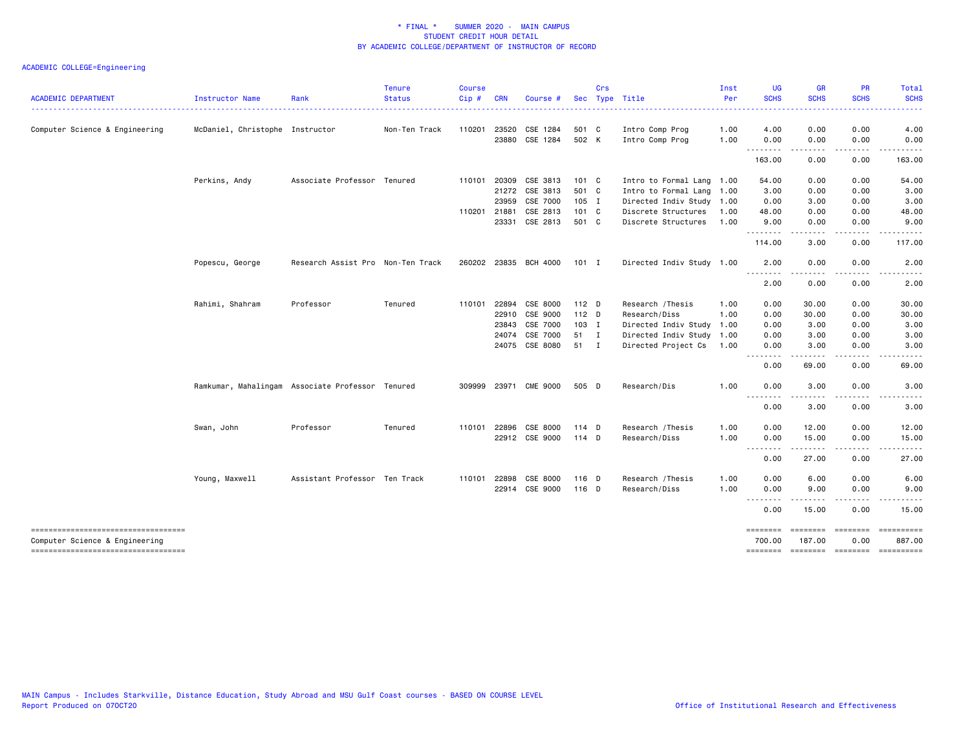| <b>ACADEMIC DEPARTMENT</b>                                            | Instructor Name                 | Rank                                             | <b>Tenure</b><br><b>Status</b> | <b>Course</b><br>$Cip$ # | <b>CRN</b>   | Course                |                  | Crs | Sec Type Title            | Inst<br>Per | <b>UG</b><br><b>SCHS</b>  | <b>GR</b><br><b>SCHS</b>                                                                                                                                     | <b>PR</b><br><b>SCHS</b> | Total<br><b>SCHS</b>                                                                                                              |
|-----------------------------------------------------------------------|---------------------------------|--------------------------------------------------|--------------------------------|--------------------------|--------------|-----------------------|------------------|-----|---------------------------|-------------|---------------------------|--------------------------------------------------------------------------------------------------------------------------------------------------------------|--------------------------|-----------------------------------------------------------------------------------------------------------------------------------|
|                                                                       |                                 |                                                  |                                |                          |              |                       |                  |     |                           | <u>.</u>    |                           |                                                                                                                                                              |                          |                                                                                                                                   |
| Computer Science & Engineering                                        | McDaniel, Christophe Instructor |                                                  | Non-Ten Track                  | 110201                   | 23520        | CSE 1284              | 501 C            |     | Intro Comp Prog           | 1.00        | 4.00                      | 0.00                                                                                                                                                         | 0.00                     | 4.00                                                                                                                              |
|                                                                       |                                 |                                                  |                                |                          |              | 23880 CSE 1284        | 502 K            |     | Intro Comp Prog           | 1.00        | 0.00<br>$- - - -$         | 0.00<br>.                                                                                                                                                    | 0.00<br>.                | 0.00<br>.                                                                                                                         |
|                                                                       |                                 |                                                  |                                |                          |              |                       |                  |     |                           |             | 163.00                    | 0.00                                                                                                                                                         | 0.00                     | 163.00                                                                                                                            |
|                                                                       | Perkins, Andy                   | Associate Professor Tenured                      |                                |                          | 110101 20309 | CSE 3813              | 101 C            |     | Intro to Formal Lang 1.00 |             | 54.00                     | 0.00                                                                                                                                                         | 0.00                     | 54.00                                                                                                                             |
|                                                                       |                                 |                                                  |                                |                          |              | 21272 CSE 3813        | 501 C            |     | Intro to Formal Lang      | 1.00        | 3.00                      | 0.00                                                                                                                                                         | 0.00                     | 3.00                                                                                                                              |
|                                                                       |                                 |                                                  |                                |                          | 23959        | CSE 7000              | 105 I            |     | Directed Indiv Study 1.00 |             | 0.00                      | 3.00                                                                                                                                                         | 0.00                     | 3.00                                                                                                                              |
|                                                                       |                                 |                                                  |                                | 110201 21881             |              | CSE 2813              | 101 C            |     | Discrete Structures       | 1.00        | 48.00                     | 0.00                                                                                                                                                         | 0.00                     | 48.00                                                                                                                             |
|                                                                       |                                 |                                                  |                                |                          | 23331        | CSE 2813              | 501 C            |     | Discrete Structures       | 1.00        | 9.00<br>.                 | 0.00<br>.                                                                                                                                                    | 0.00<br>----             | 9.00                                                                                                                              |
|                                                                       |                                 |                                                  |                                |                          |              |                       |                  |     |                           |             | 114.00                    | 3.00                                                                                                                                                         | 0.00                     | 117.00                                                                                                                            |
|                                                                       | Popescu, George                 | Research Assist Pro Non-Ten Track                |                                |                          |              | 260202 23835 BCH 4000 | 101 I            |     | Directed Indiv Study 1.00 |             | 2.00<br><u>.</u>          | 0.00<br>.                                                                                                                                                    | 0.00<br>$- - - -$        | 2.00                                                                                                                              |
|                                                                       |                                 |                                                  |                                |                          |              |                       |                  |     |                           |             | 2.00                      | 0.00                                                                                                                                                         | 0.00                     | 2.00                                                                                                                              |
|                                                                       | Rahimi, Shahram                 | Professor                                        | Tenured                        | 110101                   | 22894        | CSE 8000              | 112 <sub>D</sub> |     | Research / Thesis         | 1.00        | 0.00                      | 30.00                                                                                                                                                        | 0.00                     | 30.00                                                                                                                             |
|                                                                       |                                 |                                                  |                                |                          | 22910        | CSE 9000              | $112$ D          |     | Research/Diss             | 1.00        | 0.00                      | 30.00                                                                                                                                                        | 0.00                     | 30.00                                                                                                                             |
|                                                                       |                                 |                                                  |                                |                          | 23843        | CSE 7000              | 103 I            |     | Directed Indiv Study      | 1.00        | 0.00                      | 3.00                                                                                                                                                         | 0.00                     | 3.00                                                                                                                              |
|                                                                       |                                 |                                                  |                                |                          | 24074        | CSE 7000              | 51 I             |     | Directed Indiv Study      | 1.00        | 0.00                      | 3.00                                                                                                                                                         | 0.00                     | 3.00                                                                                                                              |
|                                                                       |                                 |                                                  |                                |                          |              | 24075 CSE 8080        | 51 I             |     | Directed Project Cs       | 1.00        | 0.00<br>----              | 3.00<br>$\frac{1}{2} \left( \frac{1}{2} \right) \left( \frac{1}{2} \right) \left( \frac{1}{2} \right) \left( \frac{1}{2} \right) \left( \frac{1}{2} \right)$ | 0.00<br>.                | 3.00<br>$\frac{1}{2} \left( \frac{1}{2} \right) \left( \frac{1}{2} \right) \left( \frac{1}{2} \right) \left( \frac{1}{2} \right)$ |
|                                                                       |                                 |                                                  |                                |                          |              |                       |                  |     |                           |             | 0.00                      | 69.00                                                                                                                                                        | 0.00                     | 69.00                                                                                                                             |
|                                                                       |                                 | Ramkumar, Mahalingam Associate Professor Tenured |                                |                          |              | 309999 23971 CME 9000 | 505 D            |     | Research/Dis              | 1.00        | 0.00                      | 3.00                                                                                                                                                         | 0.00                     | 3.00                                                                                                                              |
|                                                                       |                                 |                                                  |                                |                          |              |                       |                  |     |                           |             | $- - -$<br>0.00           | 3.00                                                                                                                                                         | 0.00                     | 3.00                                                                                                                              |
|                                                                       | Swan, John                      | Professor                                        | Tenured                        |                          | 110101 22896 | CSE 8000              | 114 D            |     | Research / Thesis         | 1.00        | 0.00                      | 12.00                                                                                                                                                        | 0.00                     | 12.00                                                                                                                             |
|                                                                       |                                 |                                                  |                                |                          |              | 22912 CSE 9000        | 114 D            |     | Research/Diss             | 1.00        | 0.00                      | 15.00                                                                                                                                                        | 0.00                     | 15.00                                                                                                                             |
|                                                                       |                                 |                                                  |                                |                          |              |                       |                  |     |                           |             | .<br>0.00                 | 27.00                                                                                                                                                        | 0.00                     | 27.00                                                                                                                             |
|                                                                       | Young, Maxwell                  | Assistant Professor Ten Track                    |                                | 110101                   | 22898        | CSE 8000              | 116 D            |     | Research / Thesis         | 1.00        | 0.00                      | 6.00                                                                                                                                                         | 0.00                     | 6.00                                                                                                                              |
|                                                                       |                                 |                                                  |                                |                          |              | 22914 CSE 9000        | 116 D            |     | Research/Diss             | 1.00        | 0.00<br>.                 | 9.00                                                                                                                                                         | 0.00                     | 9.00                                                                                                                              |
|                                                                       |                                 |                                                  |                                |                          |              |                       |                  |     |                           |             | 0.00                      | 15.00                                                                                                                                                        | 0.00                     | 15.00                                                                                                                             |
| -----------------------------------<br>Computer Science & Engineering |                                 |                                                  |                                |                          |              |                       |                  |     |                           |             | <b>ESSESSES</b><br>700.00 | ========<br>187.00                                                                                                                                           | 0.00                     | ==========<br>887.00                                                                                                              |
| -------------------------------------                                 |                                 |                                                  |                                |                          |              |                       |                  |     |                           |             |                           | ======== ======== ======== =========                                                                                                                         |                          |                                                                                                                                   |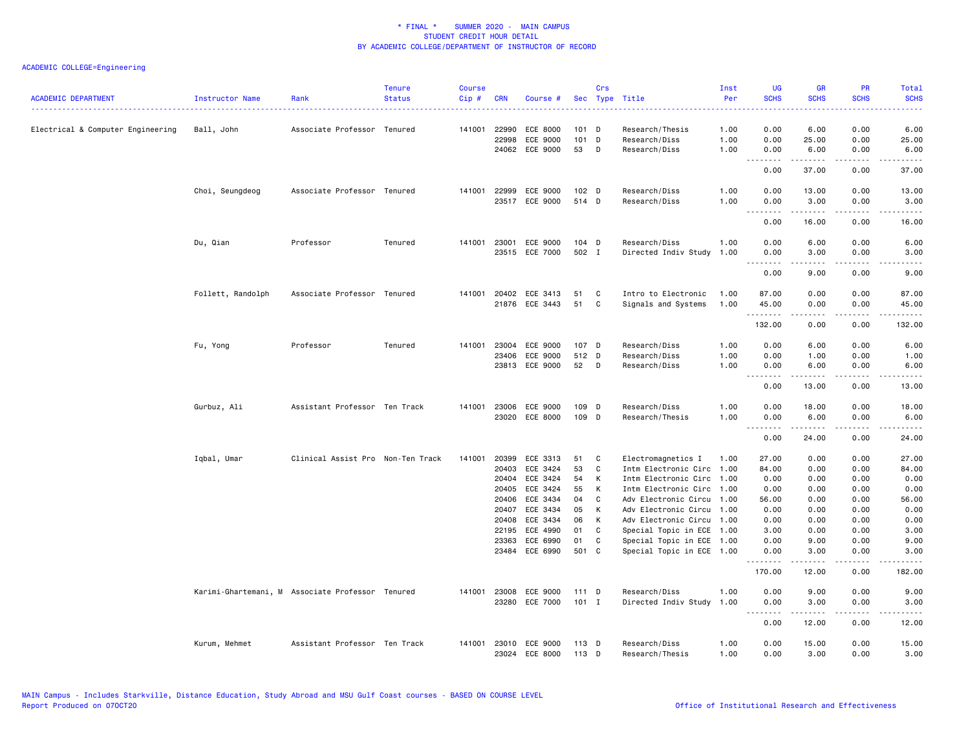| <b>ACADEMIC DEPARTMENT</b>        | Instructor Name<br><u>.</u> | Rank                                             | <b>Tenure</b><br><b>Status</b> | <b>Course</b><br>Cip# | <b>CRN</b>                                                  | Course #                                                                         |                                        | Crs                             | Sec Type Title                                                                                                                                                                         | Inst<br>Per          | <b>UG</b><br><b>SCHS</b>                                | <b>GR</b><br><b>SCHS</b>                                                                                                                                      | PR<br><b>SCHS</b>                                    | Total<br><b>SCHS</b>                                    |
|-----------------------------------|-----------------------------|--------------------------------------------------|--------------------------------|-----------------------|-------------------------------------------------------------|----------------------------------------------------------------------------------|----------------------------------------|---------------------------------|----------------------------------------------------------------------------------------------------------------------------------------------------------------------------------------|----------------------|---------------------------------------------------------|---------------------------------------------------------------------------------------------------------------------------------------------------------------|------------------------------------------------------|---------------------------------------------------------|
| Electrical & Computer Engineering | Ball, John                  | Associate Professor Tenured                      |                                |                       | 141001 22990<br>22998<br>24062                              | ECE 8000<br>ECE 9000<br>ECE 9000                                                 | $101$ D<br>101 D<br>53                 | D                               | Research/Thesis<br>Research/Diss<br>Research/Diss                                                                                                                                      | 1.00<br>1.00<br>1.00 | 0.00<br>0.00<br>0.00                                    | 6.00<br>25.00<br>6.00                                                                                                                                         | 0.00<br>0.00<br>0.00                                 | 6.00<br>25.00<br>6.00                                   |
|                                   |                             |                                                  |                                |                       |                                                             |                                                                                  |                                        |                                 |                                                                                                                                                                                        |                      | .<br>0.00                                               | $\frac{1}{2} \left( \frac{1}{2} \right) \left( \frac{1}{2} \right) \left( \frac{1}{2} \right) \left( \frac{1}{2} \right) \left( \frac{1}{2} \right)$<br>37.00 | $\sim$ $\sim$ $\sim$ $\sim$<br>0.00                  | $\sim$ $\sim$ $\sim$ $\sim$<br>37.00                    |
|                                   | Choi, Seungdeog             | Associate Professor Tenured                      |                                |                       | 141001 22999                                                | ECE 9000<br>23517 ECE 9000                                                       | 102 <sub>D</sub><br>514 D              |                                 | Research/Diss<br>Research/Diss                                                                                                                                                         | 1.00<br>1.00         | 0.00<br>0.00                                            | 13.00<br>3.00                                                                                                                                                 | 0.00<br>0.00                                         | 13.00<br>3.00                                           |
|                                   |                             |                                                  |                                |                       |                                                             |                                                                                  |                                        |                                 |                                                                                                                                                                                        |                      | .<br>0.00                                               | .<br>16.00                                                                                                                                                    | .<br>0.00                                            | .<br>16.00                                              |
|                                   | Du, Qian                    | Professor                                        | Tenured                        | 141001                | 23001                                                       | ECE 9000<br>23515 ECE 7000                                                       | 104 D<br>502 I                         |                                 | Research/Diss<br>Directed Indiv Study                                                                                                                                                  | 1.00<br>1.00         | 0.00<br>0.00                                            | 6.00<br>3.00                                                                                                                                                  | 0.00<br>0.00                                         | 6.00<br>3.00                                            |
|                                   |                             |                                                  |                                |                       |                                                             |                                                                                  |                                        |                                 |                                                                                                                                                                                        |                      | <u>.</u><br>0.00                                        | .<br>9.00                                                                                                                                                     | .<br>0.00                                            | -----<br>9.00                                           |
|                                   | Follett, Randolph           | Associate Professor Tenured                      |                                |                       |                                                             | 141001 20402 ECE 3413<br>21876 ECE 3443                                          | 51<br>51                               | C<br>C                          | Intro to Electronic<br>Signals and Systems                                                                                                                                             | 1.00<br>1.00         | 87.00<br>45.00<br>.                                     | 0.00<br>0.00<br>.                                                                                                                                             | 0.00<br>0.00<br>$\sim$ $\sim$ $\sim$                 | 87.00<br>45.00<br>.                                     |
|                                   |                             |                                                  |                                |                       |                                                             |                                                                                  |                                        |                                 |                                                                                                                                                                                        |                      | 132.00                                                  | 0.00                                                                                                                                                          | 0.00                                                 | 132.00                                                  |
|                                   | Fu, Yong                    | Professor                                        | Tenured                        | 141001                | 23004<br>23406                                              | ECE 9000<br>ECE 9000<br>23813 ECE 9000                                           | 107 D<br>512 D<br>52                   | D                               | Research/Diss<br>Research/Diss<br>Research/Diss                                                                                                                                        | 1.00<br>1.00<br>1.00 | 0.00<br>0.00<br>0.00                                    | 6.00<br>1.00<br>6.00                                                                                                                                          | 0.00<br>0.00<br>0.00                                 | 6.00<br>1.00<br>6.00                                    |
|                                   |                             |                                                  |                                |                       |                                                             |                                                                                  |                                        |                                 |                                                                                                                                                                                        |                      | .<br>0.00                                               | .<br>13.00                                                                                                                                                    | $\sim$ $\sim$ $\sim$<br>0.00                         | $\frac{1}{2}$<br>13.00                                  |
|                                   | Gurbuz, Ali                 | Assistant Professor Ten Track                    |                                | 141001                | 23006                                                       | ECE 9000<br>23020 ECE 8000                                                       | 109 D<br>109 D                         |                                 | Research/Diss<br>Research/Thesis                                                                                                                                                       | 1.00<br>1.00         | 0.00<br>0.00<br>.                                       | 18.00<br>6.00<br>.                                                                                                                                            | 0.00<br>0.00<br>.                                    | 18.00<br>6.00<br>.                                      |
|                                   |                             |                                                  |                                |                       |                                                             |                                                                                  |                                        |                                 |                                                                                                                                                                                        |                      | 0.00                                                    | 24.00                                                                                                                                                         | 0.00                                                 | 24.00                                                   |
|                                   | Iqbal, Umar                 | Clinical Assist Pro Non-Ten Track                |                                | 141001                | 20399<br>20403<br>20404<br>20405<br>20406<br>20407<br>20408 | ECE 3313<br>ECE 3424<br>ECE 3424<br>ECE 3424<br>ECE 3434<br>ECE 3434<br>ECE 3434 | 51<br>53<br>54<br>55<br>04<br>05<br>06 | C<br>C<br>к<br>К<br>C<br>К<br>К | Electromagnetics I<br>Intm Electronic Circ<br>Intm Electronic Circ<br>Intm Electronic Circ 1.00<br>Adv Electronic Circu 1.00<br>Adv Electronic Circu 1.00<br>Adv Electronic Circu 1.00 | 1.00<br>1.00<br>1.00 | 27.00<br>84.00<br>0.00<br>0.00<br>56.00<br>0.00<br>0.00 | 0.00<br>0.00<br>0.00<br>0.00<br>0.00<br>0.00<br>0.00                                                                                                          | 0.00<br>0.00<br>0.00<br>0.00<br>0.00<br>0.00<br>0.00 | 27.00<br>84.00<br>0.00<br>0.00<br>56.00<br>0.00<br>0.00 |
|                                   |                             |                                                  |                                |                       | 22195<br>23363<br>23484                                     | ECE 4990<br>ECE 6990<br>ECE 6990                                                 | 01<br>01<br>501 C                      | C<br>C                          | Special Topic in ECE 1.00<br>Special Topic in ECE 1.00                                                                                                                                 |                      | 3.00<br>0.00<br>0.00                                    | 0.00<br>9.00<br>3.00                                                                                                                                          | 0.00<br>0.00<br>0.00                                 | 3.00<br>9.00                                            |
|                                   |                             |                                                  |                                |                       |                                                             |                                                                                  |                                        |                                 | Special Topic in ECE 1.00                                                                                                                                                              |                      | .                                                       | ------                                                                                                                                                        | .                                                    | 3.00<br>.                                               |
|                                   |                             | Karimi-Ghartemani, M Associate Professor Tenured |                                |                       | 141001 23008                                                | ECE 9000<br>23280 ECE 7000                                                       | $111$ D<br>$101$ I                     |                                 | Research/Diss<br>Directed Indiv Study                                                                                                                                                  | 1.00<br>1.00         | 170.00<br>0.00<br>0.00<br>----                          | 12.00<br>9.00<br>3.00<br>.                                                                                                                                    | 0.00<br>0.00<br>0.00<br>د د د د                      | 182.00<br>9.00<br>3.00<br>.                             |
|                                   | Kurum, Mehmet               | Assistant Professor Ten Track                    |                                | 141001                |                                                             | 23010 ECE 9000<br>23024 ECE 8000                                                 | $113$ D<br>$113$ D                     |                                 | Research/Diss<br>Research/Thesis                                                                                                                                                       | 1.00<br>1.00         | 0.00<br>0.00<br>0.00                                    | 12.00<br>15.00<br>3.00                                                                                                                                        | 0.00<br>0.00<br>0.00                                 | 12.00<br>15.00<br>3.00                                  |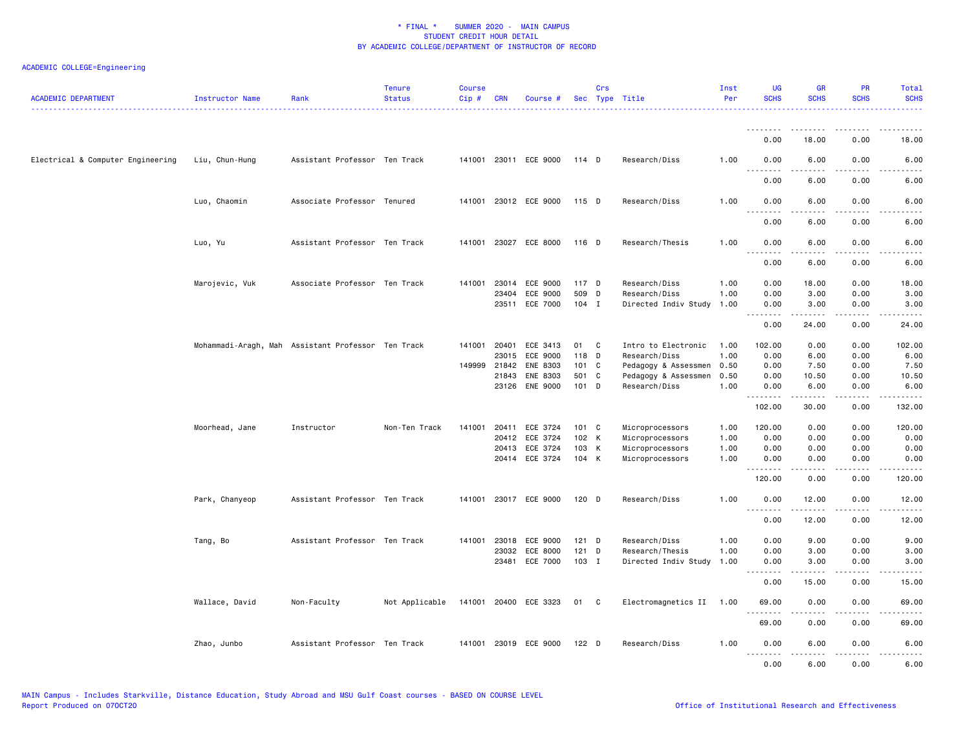| <b>ACADEMIC DEPARTMENT</b>        | Instructor Name                                    | Rank                          | <b>Tenure</b><br><b>Status</b> | <b>Course</b><br>Cip# | <b>CRN</b>   | Course #                   |                  | Crs          | Sec Type Title                        | Inst<br>Per  | <b>UG</b><br><b>SCHS</b>        | <b>GR</b><br><b>SCHS</b>                                                                                                                                      | PR<br><b>SCHS</b>                   | Total<br><b>SCHS</b>                |
|-----------------------------------|----------------------------------------------------|-------------------------------|--------------------------------|-----------------------|--------------|----------------------------|------------------|--------------|---------------------------------------|--------------|---------------------------------|---------------------------------------------------------------------------------------------------------------------------------------------------------------|-------------------------------------|-------------------------------------|
|                                   |                                                    |                               |                                |                       |              |                            |                  |              |                                       |              | <u>.</u><br>0.00                | 18,00                                                                                                                                                         | 0.00                                | 18,00                               |
| Electrical & Computer Engineering | Liu, Chun-Hung                                     | Assistant Professor Ten Track |                                |                       |              | 141001 23011 ECE 9000      | 114 D            |              | Research/Diss                         | 1.00         | 0.00                            | 6.00                                                                                                                                                          | 0.00                                | 6.00                                |
|                                   |                                                    |                               |                                |                       |              |                            |                  |              |                                       |              | .<br>0.00                       | 6.00                                                                                                                                                          | 0.00                                | 6.00                                |
|                                   | Luo, Chaomin                                       | Associate Professor Tenured   |                                |                       |              | 141001 23012 ECE 9000      | 115 D            |              | Research/Diss                         | 1.00         | 0.00                            | 6.00                                                                                                                                                          | 0.00                                | 6.00                                |
|                                   |                                                    |                               |                                |                       |              |                            |                  |              |                                       |              | $\sim$ $\sim$ $\sim$<br>0.00    | 6.00                                                                                                                                                          | .<br>0.00                           | 6.00                                |
|                                   | Luo, Yu                                            | Assistant Professor Ten Track |                                |                       |              | 141001 23027 ECE 8000      | 116 D            |              | Research/Thesis                       | 1.00         | 0.00<br>.                       | 6.00<br>$- - - - -$                                                                                                                                           | 0.00<br>.                           | 6.00<br>$- - - - -$                 |
|                                   |                                                    |                               |                                |                       |              |                            |                  |              |                                       |              | 0.00                            | 6.00                                                                                                                                                          | 0.00                                | 6.00                                |
|                                   | Marojevic, Vuk                                     | Associate Professor Ten Track |                                | 141001                | 23014        | ECE 9000                   | 117 D            |              | Research/Diss                         | 1.00         | 0.00                            | 18.00                                                                                                                                                         | 0.00                                | 18.00                               |
|                                   |                                                    |                               |                                |                       | 23404        | ECE 9000<br>23511 ECE 7000 | 509 D<br>$104$ I |              | Research/Diss<br>Directed Indiv Study | 1.00<br>1.00 | 0.00<br>0.00                    | 3.00<br>3.00                                                                                                                                                  | 0.00<br>0.00                        | 3.00<br>3.00                        |
|                                   |                                                    |                               |                                |                       |              |                            |                  |              |                                       |              | .<br>0.00                       | $\frac{1}{2} \left( \frac{1}{2} \right) \left( \frac{1}{2} \right) \left( \frac{1}{2} \right) \left( \frac{1}{2} \right) \left( \frac{1}{2} \right)$<br>24.00 | $\sim$ $\sim$ $\sim$<br>0.00        | 24.00                               |
|                                   | Mohammadi-Aragh, Mah Assistant Professor Ten Track |                               |                                |                       | 141001 20401 | ECE 3413                   | 01               | $\mathbf{C}$ | Intro to Electronic                   | 1.00         | 102.00                          | 0.00                                                                                                                                                          | 0.00                                | 102.00                              |
|                                   |                                                    |                               |                                |                       | 23015        | ECE 9000                   | 118 D            |              | Research/Diss                         | 1.00         | 0.00                            | 6.00                                                                                                                                                          | 0.00                                | 6.00                                |
|                                   |                                                    |                               |                                | 149999                | 21842        | ENE 8303                   | 101 C            |              | Pedagogy & Assessmen                  | 0.50         | 0.00                            | 7.50                                                                                                                                                          | 0.00                                | 7.50                                |
|                                   |                                                    |                               |                                |                       | 21843        | ENE 8303                   | 501 C            |              | Pedagogy & Assessmen                  | 0.50         | 0.00                            | 10.50                                                                                                                                                         | 0.00                                | 10.50                               |
|                                   |                                                    |                               |                                |                       | 23126        | <b>ENE 9000</b>            | 101 D            |              | Research/Diss                         | 1.00         | 0.00<br>.                       | 6.00                                                                                                                                                          | 0.00<br>.                           | 6.00<br>$\sim$ $\sim$ $\sim$ $\sim$ |
|                                   |                                                    |                               |                                |                       |              |                            |                  |              |                                       |              | 102.00                          | 30.00                                                                                                                                                         | 0.00                                | 132.00                              |
|                                   | Moorhead, Jane                                     | Instructor                    | Non-Ten Track                  | 141001                | 20411        | ECE 3724                   | 101 C            |              | Microprocessors                       | 1.00         | 120.00                          | 0.00                                                                                                                                                          | 0.00                                | 120.00                              |
|                                   |                                                    |                               |                                |                       |              | 20412 ECE 3724             | 102 K            |              | Microprocessors                       | 1.00         | 0.00                            | 0.00                                                                                                                                                          | 0.00                                | 0.00                                |
|                                   |                                                    |                               |                                |                       |              | 20413 ECE 3724             | 103 K            |              | Microprocessors                       | 1.00         | 0.00                            | 0.00                                                                                                                                                          | 0.00                                | 0.00                                |
|                                   |                                                    |                               |                                |                       |              | 20414 ECE 3724             | 104 K            |              | Microprocessors                       | 1.00         | 0.00<br>.                       | 0.00                                                                                                                                                          | 0.00                                | 0.00<br>.                           |
|                                   |                                                    |                               |                                |                       |              |                            |                  |              |                                       |              | 120.00                          | 0.00                                                                                                                                                          | 0.00                                | 120.00                              |
|                                   | Park, Chanyeop                                     | Assistant Professor Ten Track |                                |                       |              | 141001 23017 ECE 9000      | $120$ D          |              | Research/Diss                         | 1.00         | 0.00                            | 12.00<br>د د د د د                                                                                                                                            | 0.00<br>$\sim$ $\sim$ $\sim$ $\sim$ | 12.00<br>.                          |
|                                   |                                                    |                               |                                |                       |              |                            |                  |              |                                       |              | 0.00                            | 12.00                                                                                                                                                         | 0.00                                | 12.00                               |
|                                   | Tang, Bo                                           | Assistant Professor Ten Track |                                | 141001                | 23018        | ECE 9000                   | $121$ D          |              | Research/Diss                         | 1.00         | 0.00                            | 9.00                                                                                                                                                          | 0.00                                | 9.00                                |
|                                   |                                                    |                               |                                |                       | 23032        | ECE 8000                   | 121 D            |              | Research/Thesis                       | 1.00         | 0.00                            | 3.00                                                                                                                                                          | 0.00                                | 3.00                                |
|                                   |                                                    |                               |                                |                       | 23481        | ECE 7000                   | 103 I            |              | Directed Indiv Study                  | 1.00         | 0.00<br><u> - - - - - - - -</u> | 3.00<br>-----                                                                                                                                                 | 0.00<br>.                           | 3.00<br>وكالمحامي                   |
|                                   |                                                    |                               |                                |                       |              |                            |                  |              |                                       |              | 0.00                            | 15.00                                                                                                                                                         | 0.00                                | 15.00                               |
|                                   | Wallace, David                                     | Non-Faculty                   | Not Applicable                 |                       |              | 141001 20400 ECE 3323      | 01 C             |              | Electromagnetics II 1.00              |              | 69.00<br><u>.</u>               | 0.00<br>.                                                                                                                                                     | 0.00<br>- - - -                     | 69.00<br>$- - - -$                  |
|                                   |                                                    | Assistant Professor Ten Track |                                |                       |              | 141001 23019 ECE 9000      | $122$ D          |              |                                       | 1.00         | 69.00<br>0.00                   | 0.00<br>6.00                                                                                                                                                  | 0.00<br>0.00                        | 69.00                               |
|                                   | Zhao, Junbo                                        |                               |                                |                       |              |                            |                  |              | Research/Diss                         |              | <u>.</u><br>0.00                | $- - - - -$<br>6.00                                                                                                                                           | .<br>0.00                           | 6.00<br>.<br>6.00                   |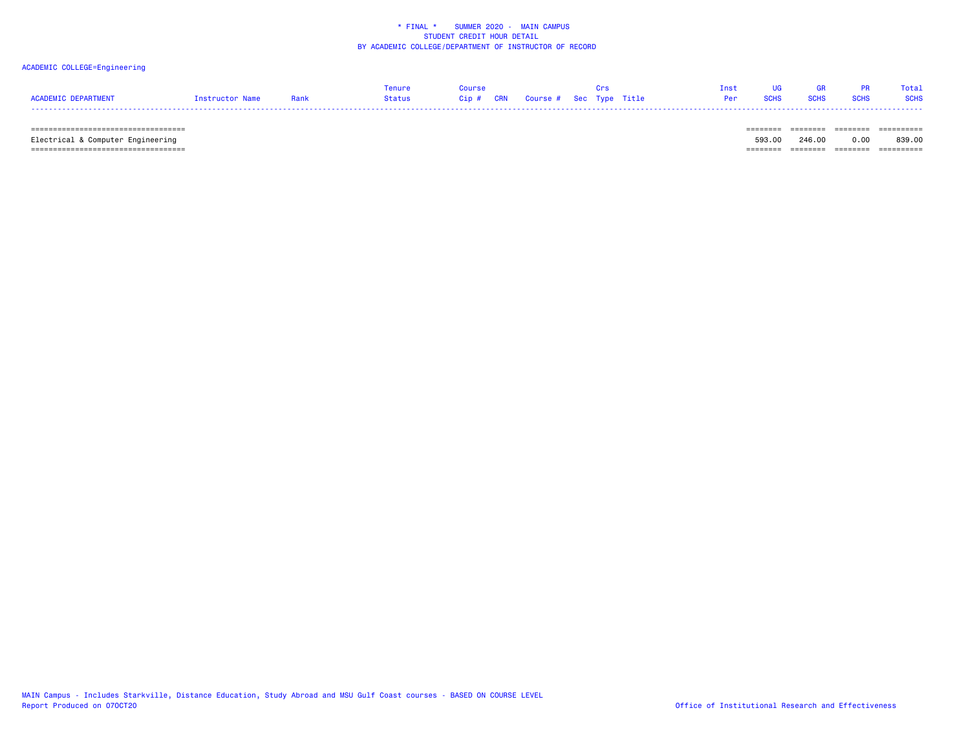# ACADEMIC COLLEGE=Engineering

|                     |                 |      | Tenure | APTING |                                   |  | Tnst.      |             | - GR        |             | Total       |
|---------------------|-----------------|------|--------|--------|-----------------------------------|--|------------|-------------|-------------|-------------|-------------|
| ACADEMIC DEPARTMENT | Instructor Name | Rank | Status |        | Cip # CRN Course # Sec Type Title |  | <b>Per</b> | <b>SCHS</b> | <b>SCHS</b> | <b>SCHS</b> | <b>SCHS</b> |
|                     |                 |      |        |        |                                   |  |            |             |             |             |             |

 =================================== ======== ======== ======== ========== Electrical & Computer Engineering 593.00 246.00 0.00 839.00 =================================== ======== ======== ======== ==========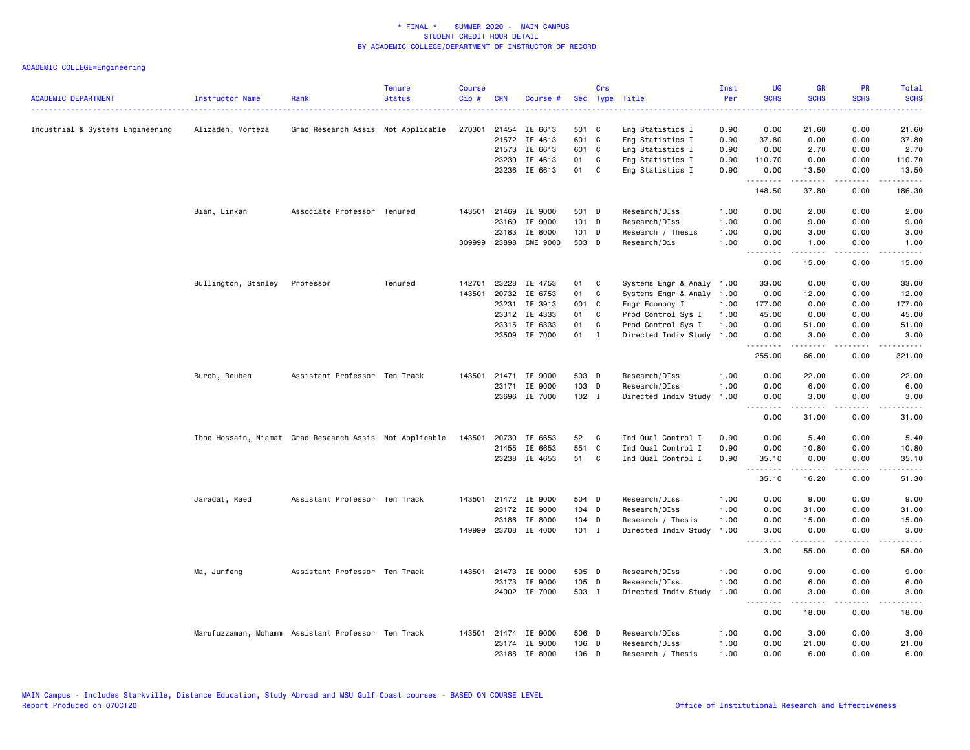| <b>ACADEMIC DEPARTMENT</b>       | Instructor Name               | Rank                                                    | <b>Tenure</b><br><b>Status</b> | <b>Course</b><br>Cip# | <b>CRN</b> | Course #                       |                | Crs          | Sec Type Title                            | Inst<br>Per  | <b>UG</b><br><b>SCHS</b>            | <b>GR</b><br><b>SCHS</b>                                                                                                                                                                 | PR<br><b>SCHS</b>                   | Total<br><b>SCHS</b>   |
|----------------------------------|-------------------------------|---------------------------------------------------------|--------------------------------|-----------------------|------------|--------------------------------|----------------|--------------|-------------------------------------------|--------------|-------------------------------------|------------------------------------------------------------------------------------------------------------------------------------------------------------------------------------------|-------------------------------------|------------------------|
|                                  |                               |                                                         |                                |                       |            |                                |                |              |                                           |              |                                     |                                                                                                                                                                                          |                                     |                        |
| Industrial & Systems Engineering | Alizadeh, Morteza             | Grad Research Assis Not Applicable                      |                                | 270301                |            | 21454 IE 6613                  | 501 C          |              | Eng Statistics I                          | 0.90         | 0.00                                | 21.60                                                                                                                                                                                    | 0.00                                | 21.60                  |
|                                  |                               |                                                         |                                |                       |            | 21572 IE 4613                  | 601 C          |              | Eng Statistics I                          | 0.90         | 37.80                               | 0.00                                                                                                                                                                                     | 0.00                                | 37.80                  |
|                                  |                               |                                                         |                                |                       |            | 21573 IE 6613                  | 601 C          |              | Eng Statistics I                          | 0.90         | 0.00                                | 2.70                                                                                                                                                                                     | 0.00                                | 2.70                   |
|                                  |                               |                                                         |                                |                       | 23230      | IE 4613                        | 01             | C            | Eng Statistics I                          | 0.90         | 110.70                              | 0.00                                                                                                                                                                                     | 0.00                                | 110.70                 |
|                                  |                               |                                                         |                                |                       |            | 23236 IE 6613                  | 01             | $\mathbf{C}$ | Eng Statistics I                          | 0.90         | 0.00                                | 13.50                                                                                                                                                                                    | 0.00                                | 13.50                  |
|                                  |                               |                                                         |                                |                       |            |                                |                |              |                                           |              | .<br>148.50                         | المتمامين<br>37.80                                                                                                                                                                       | $\sim$ $\sim$ $\sim$ $\sim$<br>0.00 | .<br>186.30            |
|                                  | Bian, Linkan                  | Associate Professor Tenured                             |                                |                       |            | 143501 21469 IE 9000           | 501 D          |              | Research/DIss                             | 1.00         | 0.00                                | 2.00                                                                                                                                                                                     | 0.00                                | 2.00                   |
|                                  |                               |                                                         |                                |                       | 23169      | IE 9000                        | 101 D          |              | Research/DIss                             | 1.00         | 0.00                                | 9.00                                                                                                                                                                                     | 0.00                                | 9.00                   |
|                                  |                               |                                                         |                                |                       | 23183      | IE 8000                        | 101 D          |              | Research / Thesis                         | 1.00         | 0.00                                | 3.00                                                                                                                                                                                     | 0.00                                | 3.00                   |
|                                  |                               |                                                         |                                |                       |            | 309999 23898 CME 9000          | 503 D          |              | Research/Dis                              | 1.00         | 0.00                                | 1.00                                                                                                                                                                                     | 0.00                                | 1.00                   |
|                                  |                               |                                                         |                                |                       |            |                                |                |              |                                           |              | .<br>0.00                           | .<br>15.00                                                                                                                                                                               | .<br>0.00                           | .<br>15.00             |
|                                  | Bullington, Stanley Professor |                                                         | Tenured                        | 142701                |            | 23228 IE 4753                  | 01             | $\mathbf{C}$ | Systems Engr & Analy 1.00                 |              | 33.00                               | 0.00                                                                                                                                                                                     | 0.00                                | 33.00                  |
|                                  |                               |                                                         |                                | 143501                | 20732      | IE 6753                        | 01             | C            | Systems Engr & Analy                      | 1.00         | 0.00                                | 12.00                                                                                                                                                                                    | 0.00                                | 12.00                  |
|                                  |                               |                                                         |                                |                       | 23231      | IE 3913                        | 001 C          |              | Engr Economy I                            | 1.00         | 177.00                              | 0.00                                                                                                                                                                                     | 0.00                                | 177.00                 |
|                                  |                               |                                                         |                                |                       |            | 23312 IE 4333                  | 01             | C.           | Prod Control Sys I                        | 1.00         | 45.00                               | 0.00                                                                                                                                                                                     | 0.00                                | 45.00                  |
|                                  |                               |                                                         |                                |                       |            | 23315 IE 6333                  | 01             | C            | Prod Control Sys I                        | 1.00         | 0.00                                | 51.00                                                                                                                                                                                    | 0.00                                | 51.00                  |
|                                  |                               |                                                         |                                |                       |            | 23509 IE 7000                  | 01 I           |              | Directed Indiv Study                      | 1.00         | 0.00                                | 3.00                                                                                                                                                                                     | 0.00                                | 3.00                   |
|                                  |                               |                                                         |                                |                       |            |                                |                |              |                                           |              | <u>.</u><br>255.00                  | $- - - - -$<br>66.00                                                                                                                                                                     | .<br>0.00                           | .<br>321.00            |
|                                  | Burch, Reuben                 | Assistant Professor Ten Track                           |                                | 143501                |            | 21471 IE 9000                  | 503 D          |              | Research/DIss                             | 1.00         | 0.00                                | 22.00                                                                                                                                                                                    | 0.00                                | 22.00                  |
|                                  |                               |                                                         |                                |                       |            | 23171 IE 9000                  | 103 D          |              | Research/DIss                             | 1.00         | 0.00                                | 6.00                                                                                                                                                                                     | 0.00                                | 6.00                   |
|                                  |                               |                                                         |                                |                       |            | 23696 IE 7000                  | $102$ I        |              | Directed Indiv Study                      | 1.00         | 0.00                                | 3.00                                                                                                                                                                                     | 0.00                                | 3.00                   |
|                                  |                               |                                                         |                                |                       |            |                                |                |              |                                           |              | .<br>0.00                           | $\frac{1}{2} \left( \frac{1}{2} \right) \left( \frac{1}{2} \right) \left( \frac{1}{2} \right) \left( \frac{1}{2} \right) \left( \frac{1}{2} \right) \left( \frac{1}{2} \right)$<br>31.00 | .<br>0.00                           | .<br>31.00             |
|                                  |                               | Ibne Hossain, Niamat Grad Research Assis Not Applicable |                                | 143501                |            | 20730 IE 6653                  | 52             | $\mathbf{C}$ | Ind Qual Control I                        | 0.90         | 0.00                                | 5.40                                                                                                                                                                                     | 0.00                                | 5.40                   |
|                                  |                               |                                                         |                                |                       |            | 21455 IE 6653                  | 551 C          |              | Ind Qual Control I                        | 0.90         | 0.00                                | 10.80                                                                                                                                                                                    | 0.00                                | 10.80                  |
|                                  |                               |                                                         |                                |                       |            | 23238 IE 4653                  | 51 C           |              | Ind Qual Control I                        | 0.90         | 35.10                               | 0.00                                                                                                                                                                                     | 0.00                                | 35.10                  |
|                                  |                               |                                                         |                                |                       |            |                                |                |              |                                           |              | .<br>35.10                          | $- - - - -$<br>16.20                                                                                                                                                                     | .<br>0.00                           | .<br>51.30             |
|                                  |                               |                                                         |                                |                       |            |                                |                |              |                                           |              |                                     |                                                                                                                                                                                          |                                     |                        |
|                                  | Jaradat, Raed                 | Assistant Professor Ten Track                           |                                |                       |            | 143501 21472 IE 9000           | 504 D          |              | Research/DIss                             | 1.00         | 0.00                                | 9.00                                                                                                                                                                                     | 0.00                                | 9.00                   |
|                                  |                               |                                                         |                                |                       |            | 23172 IE 9000                  | 104 D          |              | Research/DIss                             | 1.00         | 0.00                                | 31.00                                                                                                                                                                                    | 0.00                                | 31.00                  |
|                                  |                               |                                                         |                                | 149999                |            | 23186 IE 8000<br>23708 IE 4000 | 104 D<br>101 I |              | Research / Thesis<br>Directed Indiv Study | 1.00<br>1.00 | 0.00<br>3.00                        | 15.00<br>0.00                                                                                                                                                                            | 0.00<br>0.00                        | 15.00<br>3.00          |
|                                  |                               |                                                         |                                |                       |            |                                |                |              |                                           |              | .<br>3.00                           | .<br>55.00                                                                                                                                                                               | $\frac{1}{2}$<br>0.00               | $\frac{1}{2}$<br>58.00 |
|                                  |                               |                                                         |                                |                       |            |                                |                |              |                                           |              |                                     |                                                                                                                                                                                          |                                     |                        |
|                                  | Ma, Junfeng                   | Assistant Professor Ten Track                           |                                |                       |            | 143501 21473 IE 9000           | 505 D          |              | Research/DIss                             | 1.00         | 0.00                                | 9.00                                                                                                                                                                                     | 0.00                                | 9.00                   |
|                                  |                               |                                                         |                                |                       |            | 23173 IE 9000                  | 105 D          |              | Research/DIss                             | 1.00         | 0.00                                | 6.00                                                                                                                                                                                     | 0.00                                | 6.00                   |
|                                  |                               |                                                         |                                |                       |            | 24002 IE 7000                  | 503 I          |              | Directed Indiv Study                      | 1.00         | 0.00<br>$\sim$ $\sim$ $\sim$ $\sim$ | 3.00<br>.                                                                                                                                                                                | 0.00<br>$\sim$ $\sim$ $\sim$ $\sim$ | 3.00<br>.              |
|                                  |                               |                                                         |                                |                       |            |                                |                |              |                                           |              | 0.00                                | 18.00                                                                                                                                                                                    | 0.00                                | 18.00                  |
|                                  |                               | Marufuzzaman, Mohamm Assistant Professor Ten Track      |                                |                       |            | 143501 21474 IE 9000           | 506 D          |              | Research/DIss                             | 1.00         | 0.00                                | 3.00                                                                                                                                                                                     | 0.00                                | 3.00                   |
|                                  |                               |                                                         |                                |                       |            | 23174 IE 9000                  | 106 D          |              | Research/DIss                             | 1.00         | 0.00                                | 21.00                                                                                                                                                                                    | 0.00                                | 21.00                  |
|                                  |                               |                                                         |                                |                       |            | 23188 IE 8000                  | 106 D          |              | Research / Thesis                         | 1.00         | 0.00                                | 6.00                                                                                                                                                                                     | 0.00                                | 6.00                   |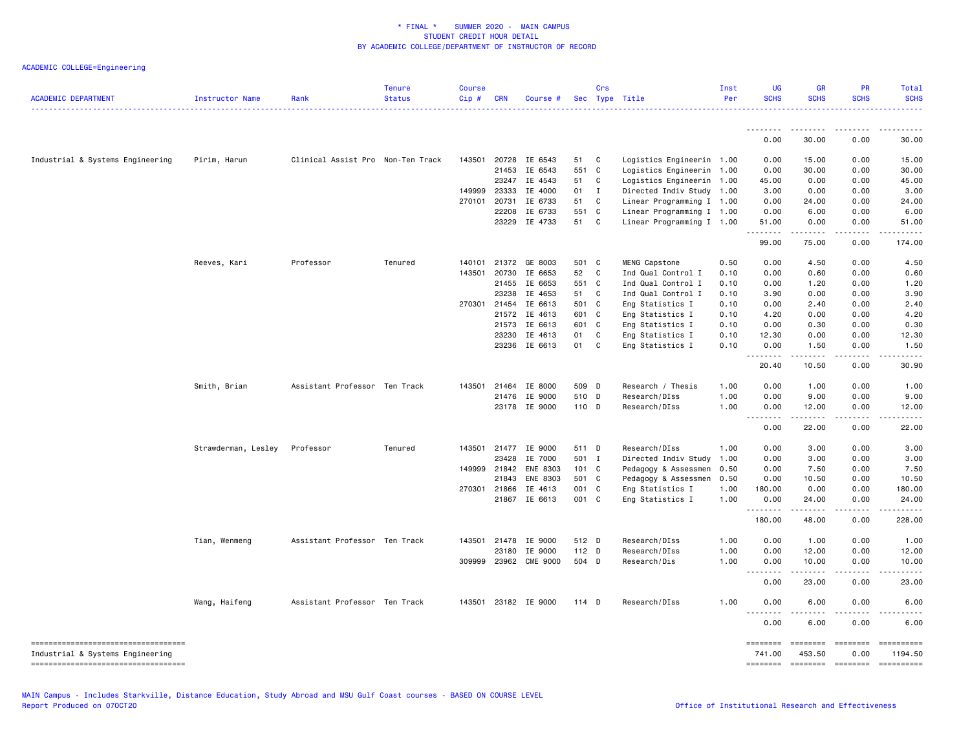| <b>ACADEMIC DEPARTMENT</b>             | <b>Instructor Name</b> | Rank                              | <b>Tenure</b><br><b>Status</b> | <b>Course</b><br>Cip# | <b>CRN</b>   | Course #             |              | Crs            | Sec Type Title            | Inst<br>Per | <b>UG</b><br><b>SCHS</b>     | <b>GR</b><br><b>SCHS</b> | <b>PR</b><br><b>SCHS</b>                                                                                                                                                                                                                                                                                                                                                                                                                                                                                                  | Total<br><b>SCHS</b> |
|----------------------------------------|------------------------|-----------------------------------|--------------------------------|-----------------------|--------------|----------------------|--------------|----------------|---------------------------|-------------|------------------------------|--------------------------|---------------------------------------------------------------------------------------------------------------------------------------------------------------------------------------------------------------------------------------------------------------------------------------------------------------------------------------------------------------------------------------------------------------------------------------------------------------------------------------------------------------------------|----------------------|
|                                        |                        |                                   |                                |                       |              |                      |              |                |                           |             | <u>.</u>                     | $- - - - -$              |                                                                                                                                                                                                                                                                                                                                                                                                                                                                                                                           |                      |
|                                        |                        |                                   |                                |                       |              |                      |              |                |                           |             | 0.00                         | 30.00                    | 0.00                                                                                                                                                                                                                                                                                                                                                                                                                                                                                                                      | 30.00                |
| Industrial & Systems Engineering       | Pirim, Harun           | Clinical Assist Pro Non-Ten Track |                                |                       |              | 143501 20728 IE 6543 | 51 C         |                | Logistics Engineerin 1.00 |             | 0.00                         | 15.00                    | 0.00                                                                                                                                                                                                                                                                                                                                                                                                                                                                                                                      | 15.00                |
|                                        |                        |                                   |                                |                       | 21453        | IE 6543              | 551 C        |                | Logistics Engineerin 1.00 |             | 0.00                         | 30.00                    | 0.00                                                                                                                                                                                                                                                                                                                                                                                                                                                                                                                      | 30.00                |
|                                        |                        |                                   |                                |                       | 23247        | IE 4543              | 51 C         |                | Logistics Engineerin 1.00 |             | 45.00                        | 0.00                     | 0.00                                                                                                                                                                                                                                                                                                                                                                                                                                                                                                                      | 45.00                |
|                                        |                        |                                   |                                | 149999                | 23333        | IE 4000              | $01 \quad I$ |                | Directed Indiv Study 1.00 |             | 3.00                         | 0.00                     | 0.00                                                                                                                                                                                                                                                                                                                                                                                                                                                                                                                      | 3.00                 |
|                                        |                        |                                   |                                |                       | 270101 20731 | IE 6733              | 51           | C <sub>c</sub> | Linear Programming I 1.00 |             | 0.00                         | 24.00                    | 0.00                                                                                                                                                                                                                                                                                                                                                                                                                                                                                                                      | 24.00                |
|                                        |                        |                                   |                                |                       | 22208        | IE 6733              | 551 C        |                | Linear Programming I 1.00 |             | 0.00                         | 6.00                     | 0.00                                                                                                                                                                                                                                                                                                                                                                                                                                                                                                                      | 6.00                 |
|                                        |                        |                                   |                                |                       | 23229        | IE 4733              | 51 C         |                | Linear Programming I 1.00 |             | 51.00<br>.                   | 0.00                     | 0.00                                                                                                                                                                                                                                                                                                                                                                                                                                                                                                                      | 51.00                |
|                                        |                        |                                   |                                |                       |              |                      |              |                |                           |             | 99.00                        | 75.00                    | 0.00                                                                                                                                                                                                                                                                                                                                                                                                                                                                                                                      | 174.00               |
|                                        | Reeves, Kari           | Professor                         | Tenured                        | 140101                | 21372        | GE 8003              | 501 C        |                | MENG Capstone             | 0.50        | 0.00                         | 4.50                     | 0.00                                                                                                                                                                                                                                                                                                                                                                                                                                                                                                                      | 4.50                 |
|                                        |                        |                                   |                                | 143501                | 20730        | IE 6653              | 52           | C              | Ind Qual Control I        | 0.10        | 0.00                         | 0.60                     | 0.00                                                                                                                                                                                                                                                                                                                                                                                                                                                                                                                      | 0.60                 |
|                                        |                        |                                   |                                |                       | 21455        | IE 6653              | 551 C        |                | Ind Qual Control I        | 0.10        | 0.00                         | 1.20                     | 0.00                                                                                                                                                                                                                                                                                                                                                                                                                                                                                                                      | 1.20                 |
|                                        |                        |                                   |                                |                       | 23238        | IE 4653              | 51 C         |                | Ind Qual Control I        | 0.10        | 3.90                         | 0.00                     | 0.00                                                                                                                                                                                                                                                                                                                                                                                                                                                                                                                      | 3.90                 |
|                                        |                        |                                   |                                |                       | 270301 21454 | IE 6613              | 501 C        |                | Eng Statistics I          | 0.10        | 0.00                         | 2.40                     | 0.00                                                                                                                                                                                                                                                                                                                                                                                                                                                                                                                      | 2.40                 |
|                                        |                        |                                   |                                |                       | 21572        | IE 4613              | 601 C        |                | Eng Statistics I          | 0.10        | 4.20                         | 0.00                     | 0.00                                                                                                                                                                                                                                                                                                                                                                                                                                                                                                                      | 4.20                 |
|                                        |                        |                                   |                                |                       | 21573        | IE 6613              | 601 C        |                | Eng Statistics I          | 0.10        | 0.00                         | 0.30                     | 0.00                                                                                                                                                                                                                                                                                                                                                                                                                                                                                                                      | 0.30                 |
|                                        |                        |                                   |                                |                       | 23230        | IE 4613              | 01           | C              | Eng Statistics I          | 0.10        | 12.30                        | 0.00                     | 0.00                                                                                                                                                                                                                                                                                                                                                                                                                                                                                                                      | 12.30                |
|                                        |                        |                                   |                                |                       |              | 23236 IE 6613        | 01 C         |                | Eng Statistics I          | 0.10        | 0.00<br>.                    | 1.50<br>.                | 0.00<br>.                                                                                                                                                                                                                                                                                                                                                                                                                                                                                                                 | 1.50<br>.            |
|                                        |                        |                                   |                                |                       |              |                      |              |                |                           |             | 20.40                        | 10.50                    | 0.00                                                                                                                                                                                                                                                                                                                                                                                                                                                                                                                      | 30.90                |
|                                        | Smith, Brian           | Assistant Professor Ten Track     |                                | 143501                | 21464        | IE 8000              | 509 D        |                | Research / Thesis         | 1.00        | 0.00                         | 1.00                     | 0.00                                                                                                                                                                                                                                                                                                                                                                                                                                                                                                                      | 1.00                 |
|                                        |                        |                                   |                                |                       | 21476        | IE 9000              | 510 D        |                | Research/DIss             | 1.00        | 0.00                         | 9.00                     | 0.00                                                                                                                                                                                                                                                                                                                                                                                                                                                                                                                      | 9.00                 |
|                                        |                        |                                   |                                |                       |              | 23178 IE 9000        | 110 D        |                | Research/DIss             | 1.00        | 0.00<br>$\sim$ $\sim$ $\sim$ | 12.00                    | 0.00<br>$\frac{1}{2}$                                                                                                                                                                                                                                                                                                                                                                                                                                                                                                     | 12.00                |
|                                        |                        |                                   |                                |                       |              |                      |              |                |                           |             | 0.00                         | 22.00                    | 0.00                                                                                                                                                                                                                                                                                                                                                                                                                                                                                                                      | 22.00                |
|                                        | Strawderman, Lesley    | Professor                         | Tenured                        |                       |              | 143501 21477 IE 9000 | 511 D        |                | Research/DIss             | 1.00        | 0.00                         | 3.00                     | 0.00                                                                                                                                                                                                                                                                                                                                                                                                                                                                                                                      | 3.00                 |
|                                        |                        |                                   |                                |                       | 23428        | IE 7000              | 501 I        |                | Directed Indiv Study      | 1.00        | 0.00                         | 3.00                     | 0.00                                                                                                                                                                                                                                                                                                                                                                                                                                                                                                                      | 3.00                 |
|                                        |                        |                                   |                                |                       | 149999 21842 | ENE 8303             | 101 C        |                | Pedagogy & Assessmen      | 0.50        | 0.00                         | 7.50                     | 0.00                                                                                                                                                                                                                                                                                                                                                                                                                                                                                                                      | 7.50                 |
|                                        |                        |                                   |                                |                       | 21843        | ENE 8303             | 501 C        |                | Pedagogy & Assessmen      | 0.50        | 0.00                         | 10.50                    | 0.00                                                                                                                                                                                                                                                                                                                                                                                                                                                                                                                      | 10.50                |
|                                        |                        |                                   |                                |                       | 270301 21866 | IE 4613              | 001 C        |                | Eng Statistics I          | 1.00        | 180.00                       | 0.00                     | 0.00                                                                                                                                                                                                                                                                                                                                                                                                                                                                                                                      | 180.00               |
|                                        |                        |                                   |                                |                       |              | 21867 IE 6613        | 001 C        |                | Eng Statistics I          | 1.00        | 0.00<br>.                    | 24.00<br>$- - - - -$     | 0.00<br>.                                                                                                                                                                                                                                                                                                                                                                                                                                                                                                                 | 24.00<br>.           |
|                                        |                        |                                   |                                |                       |              |                      |              |                |                           |             | 180.00                       | 48.00                    | 0.00                                                                                                                                                                                                                                                                                                                                                                                                                                                                                                                      | 228.00               |
|                                        | Tian, Wenmeng          | Assistant Professor Ten Track     |                                |                       | 143501 21478 | IE 9000              | 512 D        |                | Research/DIss             | 1.00        | 0.00                         | 1.00                     | 0.00                                                                                                                                                                                                                                                                                                                                                                                                                                                                                                                      | 1.00                 |
|                                        |                        |                                   |                                |                       | 23180        | IE 9000              | 112 D        |                | Research/DIss             | 1.00        | 0.00                         | 12.00                    | 0.00                                                                                                                                                                                                                                                                                                                                                                                                                                                                                                                      | 12.00                |
|                                        |                        |                                   |                                | 309999                | 23962        | <b>CME 9000</b>      | 504 D        |                | Research/Dis              | 1.00        | 0.00                         | 10.00                    | 0.00                                                                                                                                                                                                                                                                                                                                                                                                                                                                                                                      | 10.00                |
|                                        |                        |                                   |                                |                       |              |                      |              |                |                           |             | 0.00                         | 23.00                    | 0.00                                                                                                                                                                                                                                                                                                                                                                                                                                                                                                                      | 23.00                |
|                                        | Wang, Haifeng          | Assistant Professor Ten Track     |                                |                       |              | 143501 23182 IE 9000 | 114 D        |                | Research/DIss             | 1.00        | 0.00<br>.                    | 6.00                     | 0.00                                                                                                                                                                                                                                                                                                                                                                                                                                                                                                                      | 6.00                 |
|                                        |                        |                                   |                                |                       |              |                      |              |                |                           |             | 0.00                         | 6.00                     | 0.00                                                                                                                                                                                                                                                                                                                                                                                                                                                                                                                      | 6.00                 |
| -----------------------------------    |                        |                                   |                                |                       |              |                      |              |                |                           |             | ========                     | ========                 | $\begin{array}{c} \multicolumn{3}{c} {\small \texttt{m}} = \multicolumn{3}{c} {\small \texttt{m}} = \multicolumn{3}{c} {\small \texttt{m}} = \multicolumn{3}{c} {\small \texttt{m}} = \multicolumn{3}{c} {\small \texttt{m}} = \multicolumn{3}{c} {\small \texttt{m}} = \multicolumn{3}{c} {\small \texttt{m}} = \multicolumn{3}{c} {\small \texttt{m}} = \multicolumn{3}{c} {\small \texttt{m}} = \multicolumn{3}{c} {\small \texttt{m}} = \multicolumn{3}{c} {\small \texttt{m}} = \multicolumn{3}{c} {\small \texttt{$ | ==========           |
| Industrial & Systems Engineering       |                        |                                   |                                |                       |              |                      |              |                |                           |             | 741.00                       | 453.50                   | 0.00                                                                                                                                                                                                                                                                                                                                                                                                                                                                                                                      | 1194.50              |
| ====================================== |                        |                                   |                                |                       |              |                      |              |                |                           |             | ========                     |                          |                                                                                                                                                                                                                                                                                                                                                                                                                                                                                                                           | ==========           |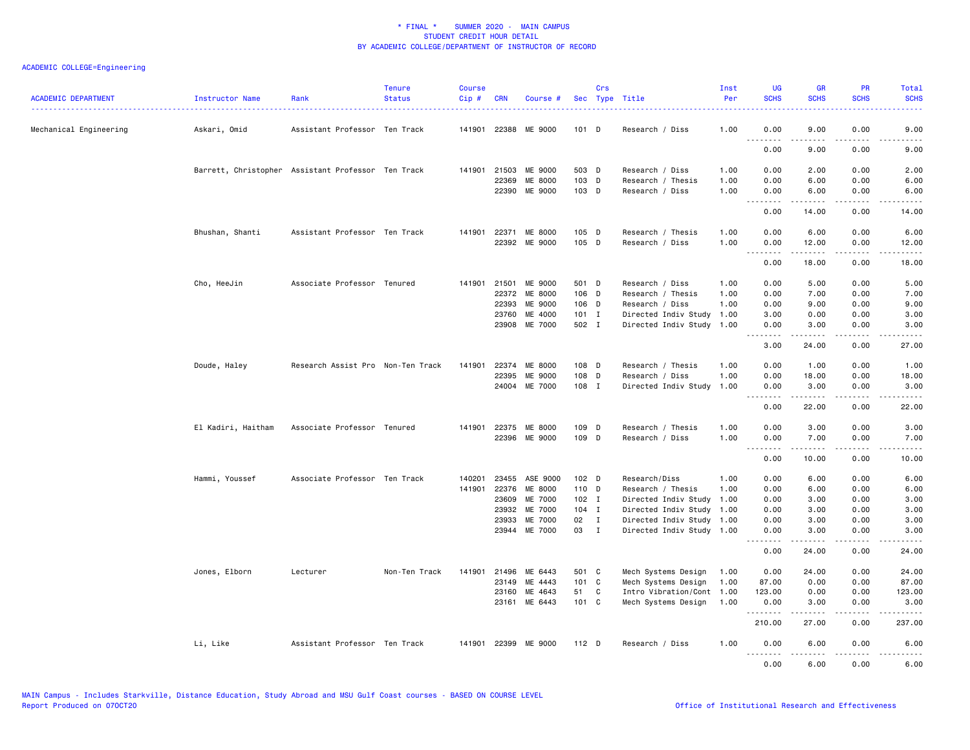| <b>ACADEMIC DEPARTMENT</b> | Instructor Name                                    | Rank                              | <b>Tenure</b><br><b>Status</b> | <b>Course</b><br>Cip# | <b>CRN</b>     | Course #                 |                | Crs          | Sec Type Title                                         | Inst<br>Per  | <b>UG</b><br><b>SCHS</b> | <b>GR</b><br><b>SCHS</b>                                                                                                                                                                                                                                                                                                                     | PR<br><b>SCHS</b>     | Total<br><b>SCHS</b>   |
|----------------------------|----------------------------------------------------|-----------------------------------|--------------------------------|-----------------------|----------------|--------------------------|----------------|--------------|--------------------------------------------------------|--------------|--------------------------|----------------------------------------------------------------------------------------------------------------------------------------------------------------------------------------------------------------------------------------------------------------------------------------------------------------------------------------------|-----------------------|------------------------|
| Mechanical Engineering     | Askari, Omid                                       | Assistant Professor Ten Track     |                                |                       |                | 141901 22388 ME 9000     | 101 D          |              | Research / Diss                                        | 1.00         | 0.00                     | 9.00<br>.                                                                                                                                                                                                                                                                                                                                    | 0.00<br>$\frac{1}{2}$ | 9.00<br>.              |
|                            |                                                    |                                   |                                |                       |                |                          |                |              |                                                        |              | 0.00                     | 9.00                                                                                                                                                                                                                                                                                                                                         | 0.00                  | 9.00                   |
|                            | Barrett, Christopher Assistant Professor Ten Track |                                   |                                |                       |                | 141901 21503 ME 9000     | 503 D          |              | Research / Diss                                        | 1.00         | 0.00                     | 2.00                                                                                                                                                                                                                                                                                                                                         | 0.00                  | 2.00                   |
|                            |                                                    |                                   |                                |                       | 22369          | ME 8000<br>22390 ME 9000 | 103 D<br>103 D |              | Research / Thesis<br>Research / Diss                   | 1.00<br>1.00 | 0.00<br>0.00             | 6.00<br>6.00                                                                                                                                                                                                                                                                                                                                 | 0.00<br>0.00          | 6.00<br>6.00           |
|                            |                                                    |                                   |                                |                       |                |                          |                |              |                                                        |              | .<br>0.00                | 14.00                                                                                                                                                                                                                                                                                                                                        | 0.00                  | 14.00                  |
|                            | Bhushan, Shanti                                    | Assistant Professor Ten Track     |                                |                       |                | 141901 22371 ME 8000     | 105 D          |              | Research / Thesis                                      | 1.00         | 0.00                     | 6.00                                                                                                                                                                                                                                                                                                                                         | 0.00                  | 6.00                   |
|                            |                                                    |                                   |                                |                       |                | 22392 ME 9000            | 105 D          |              | Research / Diss                                        | 1.00         | 0.00<br>.                | 12.00<br>.                                                                                                                                                                                                                                                                                                                                   | 0.00<br>.             | 12.00<br>د د د د د     |
|                            |                                                    |                                   |                                |                       |                |                          |                |              |                                                        |              | 0.00                     | 18.00                                                                                                                                                                                                                                                                                                                                        | 0.00                  | 18.00                  |
|                            | Cho, HeeJin                                        | Associate Professor Tenured       |                                | 141901                | 21501          | ME 9000                  | 501 D          |              | Research / Diss                                        | 1.00         | 0.00                     | 5.00                                                                                                                                                                                                                                                                                                                                         | 0.00                  | 5.00                   |
|                            |                                                    |                                   |                                |                       | 22372          | <b>ME 8000</b>           | 106 D          |              | Research / Thesis                                      | 1.00         | 0.00                     | 7.00                                                                                                                                                                                                                                                                                                                                         | 0.00                  | 7.00                   |
|                            |                                                    |                                   |                                |                       | 22393          | ME 9000                  | 106 D          |              | Research / Diss                                        | 1.00         | 0.00                     | 9.00                                                                                                                                                                                                                                                                                                                                         | 0.00                  | 9.00                   |
|                            |                                                    |                                   |                                |                       | 23760          | ME 4000                  | 101 I          |              | Directed Indiv Study                                   | 1.00         | 3.00                     | 0.00                                                                                                                                                                                                                                                                                                                                         | 0.00                  | 3.00                   |
|                            |                                                    |                                   |                                |                       |                | 23908 ME 7000            | 502 I          |              | Directed Indiv Study 1.00                              |              | 0.00<br>.                | 3.00<br>$\frac{1}{2} \left( \begin{array}{ccc} 1 & 0 & 0 & 0 \\ 0 & 0 & 0 & 0 \\ 0 & 0 & 0 & 0 \\ 0 & 0 & 0 & 0 \\ 0 & 0 & 0 & 0 \\ 0 & 0 & 0 & 0 \\ 0 & 0 & 0 & 0 \\ 0 & 0 & 0 & 0 \\ 0 & 0 & 0 & 0 \\ 0 & 0 & 0 & 0 \\ 0 & 0 & 0 & 0 & 0 \\ 0 & 0 & 0 & 0 & 0 \\ 0 & 0 & 0 & 0 & 0 \\ 0 & 0 & 0 & 0 & 0 \\ 0 & 0 & 0 & 0 & 0 \\ 0 & 0 & 0$ | 0.00<br>.             | 3.00<br>وكالمحامي      |
|                            |                                                    |                                   |                                |                       |                |                          |                |              |                                                        |              | 3.00                     | 24.00                                                                                                                                                                                                                                                                                                                                        | 0.00                  | 27.00                  |
|                            | Doude, Haley                                       | Research Assist Pro Non-Ten Track |                                | 141901                | 22374          | ME 8000                  | 108 D          |              | Research / Thesis                                      | 1.00         | 0.00                     | 1.00                                                                                                                                                                                                                                                                                                                                         | 0.00                  | 1.00                   |
|                            |                                                    |                                   |                                |                       | 22395          | ME 9000                  | 108 D          |              | Research / Diss                                        | 1.00         | 0.00                     | 18.00                                                                                                                                                                                                                                                                                                                                        | 0.00                  | 18.00                  |
|                            |                                                    |                                   |                                |                       |                | 24004 ME 7000            | 108 I          |              | Directed Indiv Study                                   | 1.00         | 0.00<br><u>.</u>         | 3.00<br>$- - - - -$                                                                                                                                                                                                                                                                                                                          | 0.00<br>.             | 3.00<br>.              |
|                            |                                                    |                                   |                                |                       |                |                          |                |              |                                                        |              | 0.00                     | 22.00                                                                                                                                                                                                                                                                                                                                        | 0.00                  | 22.00                  |
|                            | El Kadiri, Haitham                                 | Associate Professor Tenured       |                                | 141901                | 22375          | ME 8000                  | 109 D          |              | Research / Thesis                                      | 1.00         | 0.00                     | 3.00                                                                                                                                                                                                                                                                                                                                         | 0.00                  | 3.00                   |
|                            |                                                    |                                   |                                |                       |                | 22396 ME 9000            | 109 D          |              | Research / Diss                                        | 1.00         | 0.00<br>.                | 7.00<br>.                                                                                                                                                                                                                                                                                                                                    | 0.00<br>.             | 7.00<br>.              |
|                            |                                                    |                                   |                                |                       |                |                          |                |              |                                                        |              | 0.00                     | 10.00                                                                                                                                                                                                                                                                                                                                        | 0.00                  | 10.00                  |
|                            | Hammi, Youssef                                     | Associate Professor Ten Track     |                                | 140201                | 23455          | ASE 9000                 | $102$ D        |              | Research/Diss                                          | 1.00         | 0.00                     | 6.00                                                                                                                                                                                                                                                                                                                                         | 0.00                  | 6.00                   |
|                            |                                                    |                                   |                                | 141901                | 22376          | ME 8000                  | 110 D          |              | Research / Thesis                                      | 1.00         | 0.00                     | 6.00                                                                                                                                                                                                                                                                                                                                         | 0.00                  | 6.00                   |
|                            |                                                    |                                   |                                |                       | 23609          | ME 7000                  | $102$ I        |              | Directed Indiv Study                                   | 1.00         | 0.00                     | 3.00                                                                                                                                                                                                                                                                                                                                         | 0.00                  | 3.00                   |
|                            |                                                    |                                   |                                |                       | 23932          | ME 7000                  | 104 I          |              | Directed Indiv Study                                   | 1.00         | 0.00                     | 3.00                                                                                                                                                                                                                                                                                                                                         | 0.00                  | 3.00                   |
|                            |                                                    |                                   |                                |                       | 23933          | ME 7000<br>23944 ME 7000 | 02<br>03 I     | $\mathbf{I}$ | Directed Indiv Study 1.00<br>Directed Indiv Study 1.00 |              | 0.00<br>0.00             | 3.00<br>3.00                                                                                                                                                                                                                                                                                                                                 | 0.00<br>0.00          | 3.00<br>3.00           |
|                            |                                                    |                                   |                                |                       |                |                          |                |              |                                                        |              | .<br>0.00                | .<br>24.00                                                                                                                                                                                                                                                                                                                                   | $\frac{1}{2}$<br>0.00 | $\frac{1}{2}$<br>24.00 |
|                            |                                                    |                                   |                                |                       |                |                          |                |              |                                                        |              |                          |                                                                                                                                                                                                                                                                                                                                              |                       |                        |
|                            | Jones, Elborn                                      | Lecturer                          | Non-Ten Track                  | 141901                | 21496<br>23149 | ME 6443<br>ME 4443       | 501 C<br>101 C |              | Mech Systems Design<br>Mech Systems Design             | 1.00<br>1.00 | 0.00<br>87.00            | 24.00<br>0.00                                                                                                                                                                                                                                                                                                                                | 0.00<br>0.00          | 24.00<br>87.00         |
|                            |                                                    |                                   |                                |                       | 23160          | ME 4643                  | 51 C           |              | Intro Vibration/Cont                                   | 1.00         | 123.00                   | 0.00                                                                                                                                                                                                                                                                                                                                         | 0.00                  | 123.00                 |
|                            |                                                    |                                   |                                |                       |                | 23161 ME 6443            | 101 C          |              | Mech Systems Design                                    | 1.00         | 0.00                     | 3.00                                                                                                                                                                                                                                                                                                                                         | 0.00                  | 3.00                   |
|                            |                                                    |                                   |                                |                       |                |                          |                |              |                                                        |              | .<br>210.00              | .<br>27.00                                                                                                                                                                                                                                                                                                                                   | .<br>0.00             | .<br>237.00            |
|                            | Li, Like                                           | Assistant Professor Ten Track     |                                | 141901                | 22399          | ME 9000                  | $112$ D        |              | Research / Diss                                        | 1.00         | 0.00                     | 6.00                                                                                                                                                                                                                                                                                                                                         | 0.00                  | 6.00                   |
|                            |                                                    |                                   |                                |                       |                |                          |                |              |                                                        |              | .<br>0.00                | -----<br>6.00                                                                                                                                                                                                                                                                                                                                | .<br>0.00             | د د د د د<br>6.00      |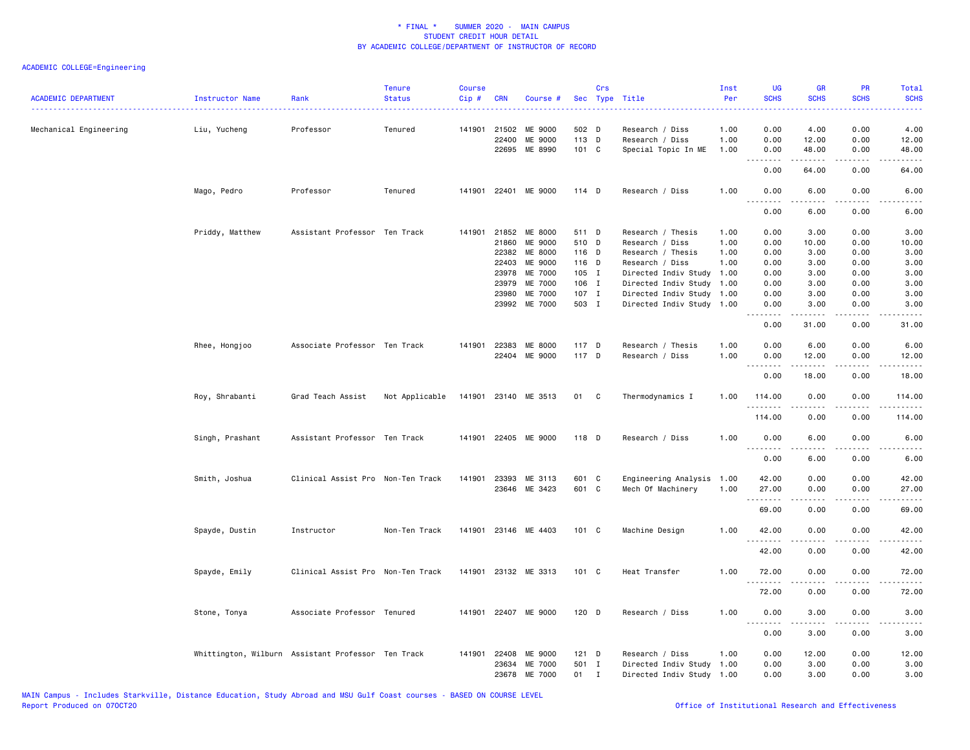# ACADEMIC COLLEGE=Engineering

| <b>ACADEMIC DEPARTMENT</b> | Instructor Name | Rank                                               | <b>Tenure</b><br><b>Status</b> | <b>Course</b><br>Cip# | <b>CRN</b>            | Course #             |                | Crs         | Sec Type Title                     | Inst<br>Per  | <b>UG</b><br><b>SCHS</b> | <b>GR</b><br><b>SCHS</b> | <b>PR</b><br><b>SCHS</b>            | Total<br><b>SCHS</b>                                                                                                              |
|----------------------------|-----------------|----------------------------------------------------|--------------------------------|-----------------------|-----------------------|----------------------|----------------|-------------|------------------------------------|--------------|--------------------------|--------------------------|-------------------------------------|-----------------------------------------------------------------------------------------------------------------------------------|
| Mechanical Engineering     | Liu, Yucheng    | Professor                                          | Tenured                        |                       | 141901 21502<br>22400 | ME 9000<br>ME 9000   | 502 D<br>113 D |             | Research / Diss<br>Research / Diss | 1.00<br>1.00 | 0.00<br>0.00             | 4.00<br>12.00            | 0.00<br>0.00                        | 4.00<br>12.00                                                                                                                     |
|                            |                 |                                                    |                                |                       |                       | 22695 ME 8990        | 101 C          |             | Special Topic In ME                | 1.00         | 0.00                     | 48.00                    | 0.00                                | 48.00                                                                                                                             |
|                            |                 |                                                    |                                |                       |                       |                      |                |             |                                    |              | .<br>0.00                | .<br>64.00               | .<br>0.00                           | .<br>64.00                                                                                                                        |
|                            | Mago, Pedro     | Professor                                          | Tenured                        |                       |                       | 141901 22401 ME 9000 | $114$ D        |             | Research / Diss                    | 1.00         | 0.00<br>.                | 6.00<br>.                | 0.00<br>$- - - -$                   | 6.00<br>$- - - -$                                                                                                                 |
|                            |                 |                                                    |                                |                       |                       |                      |                |             |                                    |              | 0.00                     | 6.00                     | 0.00                                | 6.00                                                                                                                              |
|                            | Priddy, Matthew | Assistant Professor Ten Track                      |                                | 141901                | 21852                 | ME 8000              | 511 D          |             | Research / Thesis                  | 1.00         | 0.00                     | 3.00                     | 0.00                                | 3.00                                                                                                                              |
|                            |                 |                                                    |                                |                       | 21860                 | ME 9000              | 510 D          |             | Research / Diss                    | 1.00         | 0.00                     | 10.00                    | 0.00                                | 10.00                                                                                                                             |
|                            |                 |                                                    |                                |                       | 22382                 | ME 8000              | 116 D          |             | Research / Thesis                  | 1.00         | 0.00                     | 3.00                     | 0.00                                | 3.00                                                                                                                              |
|                            |                 |                                                    |                                |                       | 22403                 | ME 9000              | 116 D          |             | Research / Diss                    | 1.00         | 0.00                     | 3.00                     | 0.00                                | 3.00                                                                                                                              |
|                            |                 |                                                    |                                |                       | 23978                 | ME 7000              | 105 I          |             | Directed Indiv Study               | 1.00         | 0.00                     | 3.00                     | 0.00                                | 3.00                                                                                                                              |
|                            |                 |                                                    |                                |                       | 23979                 | ME 7000              | 106 I          |             | Directed Indiv Study               | 1.00         | 0.00                     | 3.00                     | 0.00                                | 3.00                                                                                                                              |
|                            |                 |                                                    |                                |                       | 23980                 | ME 7000              | 107 I          |             | Directed Indiv Study               | 1.00         | 0.00                     | 3.00                     | 0.00                                | 3.00                                                                                                                              |
|                            |                 |                                                    |                                |                       |                       | 23992 ME 7000        | 503 I          |             | Directed Indiv Study               | 1.00         | 0.00<br>.                | 3.00                     | 0.00                                | 3.00                                                                                                                              |
|                            |                 |                                                    |                                |                       |                       |                      |                |             |                                    |              | 0.00                     | 31.00                    | 0.00                                | 31.00                                                                                                                             |
|                            | Rhee, Hongjoo   | Associate Professor Ten Track                      |                                |                       | 141901 22383          | ME 8000              | 117 D          |             | Research / Thesis                  | 1.00         | 0.00                     | 6.00                     | 0.00                                | 6.00                                                                                                                              |
|                            |                 |                                                    |                                |                       |                       | 22404 ME 9000        | 117 D          |             | Research / Diss                    | 1.00         | 0.00                     | 12.00                    | 0.00                                | 12.00                                                                                                                             |
|                            |                 |                                                    |                                |                       |                       |                      |                |             |                                    |              | .<br>0.00                | 18.00                    | 0.00                                | 18.00                                                                                                                             |
|                            | Roy, Shrabanti  | Grad Teach Assist                                  | Not Applicable                 |                       |                       | 141901 23140 ME 3513 | 01 C           |             | Thermodynamics I                   | 1.00         | 114.00                   | 0.00                     | 0.00                                | 114.00                                                                                                                            |
|                            |                 |                                                    |                                |                       |                       |                      |                |             |                                    |              | .<br>114.00              | .<br>0.00                | .<br>0.00                           | $- - - - - -$<br>114.00                                                                                                           |
|                            | Singh, Prashant | Assistant Professor Ten Track                      |                                |                       |                       | 141901 22405 ME 9000 | 118 D          |             | Research / Diss                    | 1.00         | 0.00<br>.                | 6.00<br>.                | 0.00<br>د د د د                     | 6.00<br>$\frac{1}{2} \left( \frac{1}{2} \right) \left( \frac{1}{2} \right) \left( \frac{1}{2} \right) \left( \frac{1}{2} \right)$ |
|                            |                 |                                                    |                                |                       |                       |                      |                |             |                                    |              | 0.00                     | 6.00                     | 0.00                                | 6.00                                                                                                                              |
|                            | Smith, Joshua   | Clinical Assist Pro Non-Ten Track                  |                                | 141901                | 23393                 | ME 3113              | 601 C          |             | Engineering Analysis               | 1.00         | 42.00                    | 0.00                     | 0.00                                | 42.00                                                                                                                             |
|                            |                 |                                                    |                                |                       |                       | 23646 ME 3423        | 601 C          |             | Mech Of Machinery                  | 1.00         | 27.00                    | 0.00                     | 0.00                                | 27.00                                                                                                                             |
|                            |                 |                                                    |                                |                       |                       |                      |                |             |                                    |              | .<br>69.00               | .<br>0.00                | والأمام<br>0.00                     | .<br>69.00                                                                                                                        |
|                            | Spayde, Dustin  | Instructor                                         | Non-Ten Track                  |                       |                       | 141901 23146 ME 4403 | 101 C          |             | Machine Design                     | 1.00         | 42.00                    | 0.00                     | 0.00                                | 42.00                                                                                                                             |
|                            |                 |                                                    |                                |                       |                       |                      |                |             |                                    |              | .<br>42.00               | .<br>0.00                | .<br>0.00                           | .<br>42.00                                                                                                                        |
|                            | Spayde, Emily   | Clinical Assist Pro Non-Ten Track                  |                                |                       |                       | 141901 23132 ME 3313 | 101 C          |             | Heat Transfer                      | 1.00         | 72.00                    | 0.00                     | 0.00                                | 72.00                                                                                                                             |
|                            |                 |                                                    |                                |                       |                       |                      |                |             |                                    |              | .<br>72.00               | 0.00                     | $\sim$ $\sim$ $\sim$ $\sim$<br>0.00 | 72.00                                                                                                                             |
|                            | Stone, Tonya    | Associate Professor Tenured                        |                                |                       |                       | 141901 22407 ME 9000 | 120 D          |             | Research / Diss                    | 1.00         | 0.00<br>.                | 3.00<br>.                | 0.00<br>.                           | 3.00                                                                                                                              |
|                            |                 |                                                    |                                |                       |                       |                      |                |             |                                    |              | 0.00                     | 3.00                     | 0.00                                | .<br>3.00                                                                                                                         |
|                            |                 | Whittington, Wilburn Assistant Professor Ten Track |                                | 141901                | 22408                 | ME 9000              | $121$ D        |             | Research / Diss                    | 1.00         | 0.00                     | 12.00                    | 0.00                                | 12.00                                                                                                                             |
|                            |                 |                                                    |                                |                       | 23634                 | ME 7000              | 501 I          |             | Directed Indiv Study 1.00          |              | 0.00                     | 3.00                     | 0.00                                | 3.00                                                                                                                              |
|                            |                 |                                                    |                                |                       | 23678                 | <b>ME 7000</b>       | 01             | $\mathbf I$ | Directed Indiv Study 1.00          |              | 0.00                     | 3.00                     | 0.00                                | 3.00                                                                                                                              |
|                            |                 |                                                    |                                |                       |                       |                      |                |             |                                    |              |                          |                          |                                     |                                                                                                                                   |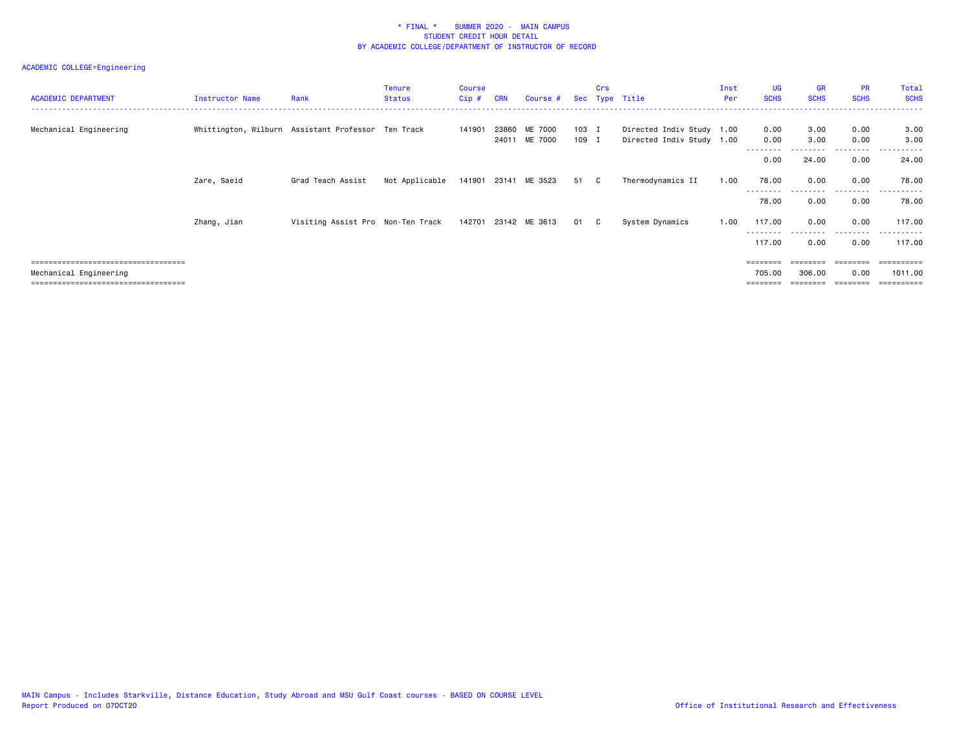# ACADEMIC COLLEGE=Engineering

| <b>ACADEMIC DEPARTMENT</b>                                | Instructor Name | Rank                                               | <b>Tenure</b><br><b>Status</b> | Course<br>$Cip$ # | <b>CRN</b>     | Course #             |                | Crs | Sec Type Title                                         | Inst<br>Per | <b>UG</b><br><b>SCHS</b> | GR<br><b>SCHS</b> | <b>PR</b><br><b>SCHS</b> | Total<br><b>SCHS</b>  |
|-----------------------------------------------------------|-----------------|----------------------------------------------------|--------------------------------|-------------------|----------------|----------------------|----------------|-----|--------------------------------------------------------|-------------|--------------------------|-------------------|--------------------------|-----------------------|
| Mechanical Engineering                                    |                 | Whittington, Wilburn Assistant Professor Ten Track |                                | 141901            | 23860<br>24011 | ME 7000<br>ME 7000   | 103 I<br>109 I |     | Directed Indiv Study 1.00<br>Directed Indiv Study 1.00 |             | 0.00<br>0.00             | 3.00<br>3.00      | 0.00<br>0.00             | 3.00<br>3.00          |
|                                                           |                 |                                                    |                                |                   |                |                      |                |     |                                                        |             | 0.00                     | 24.00             | 0.00                     | 24.00                 |
|                                                           | Zare, Saeid     | Grad Teach Assist                                  | Not Applicable                 |                   |                | 141901 23141 ME 3523 | 51 C           |     | Thermodynamics II                                      | 1.00        | 78.00                    | 0.00              | 0.00                     | 78.00                 |
|                                                           |                 |                                                    |                                |                   |                |                      |                |     |                                                        |             | --------<br>78.00        | 0.00              | .<br>0.00                | -------<br>78.00      |
|                                                           | Zhang, Jian     | Visiting Assist Pro Non-Ten Track                  |                                |                   |                | 142701 23142 ME 3613 | 01 C           |     | System Dynamics                                        | 1.00        | 117.00                   | 0.00              | 0.00                     | 117.00                |
|                                                           |                 |                                                    |                                |                   |                |                      |                |     |                                                        |             | 117.00                   | 0.00              | 0.00                     | 117.00                |
| ====================================                      |                 |                                                    |                                |                   |                |                      |                |     |                                                        |             | ========                 | ========          | ========                 | ==========            |
| Mechanical Engineering<br>=============================== |                 |                                                    |                                |                   |                |                      |                |     |                                                        |             | 705.00<br>========       | 306.00            | 0.00<br>========         | 1011.00<br>========== |
|                                                           |                 |                                                    |                                |                   |                |                      |                |     |                                                        |             |                          |                   |                          |                       |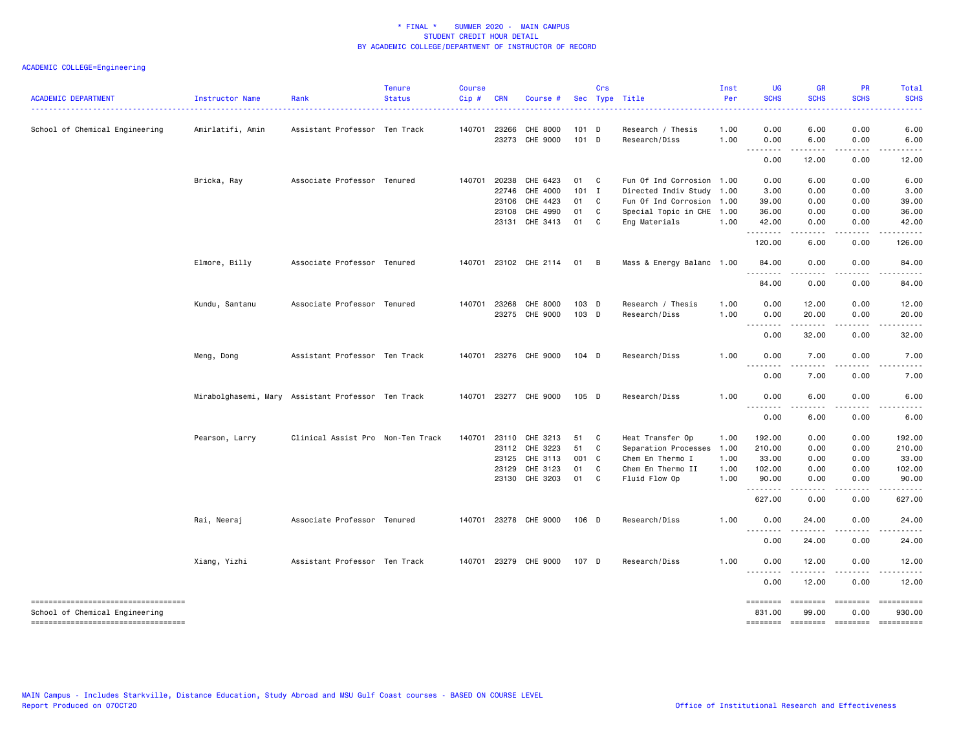# ACADEMIC COLLEGE=Engineering

| <b>ACADEMIC DEPARTMENT</b>            | Instructor Name  | Rank                                               | <b>Tenure</b><br><b>Status</b> | <b>Course</b><br>Cip# | <b>CRN</b>            | Course #              |                  | Crs          | Sec Type Title                     | Inst<br>Per  | <b>UG</b><br><b>SCHS</b>          | <b>GR</b><br><b>SCHS</b>                                                                                                | <b>PR</b><br><b>SCHS</b> | Total<br><b>SCHS</b> |
|---------------------------------------|------------------|----------------------------------------------------|--------------------------------|-----------------------|-----------------------|-----------------------|------------------|--------------|------------------------------------|--------------|-----------------------------------|-------------------------------------------------------------------------------------------------------------------------|--------------------------|----------------------|
| School of Chemical Engineering        | Amirlatifi, Amin | Assistant Professor Ten Track                      |                                |                       | 140701 23266<br>23273 | CHE 8000<br>CHE 9000  | 101 D<br>$101$ D |              | Research / Thesis<br>Research/Diss | 1.00<br>1.00 | 0.00<br>0.00                      | 6.00<br>6.00                                                                                                            | 0.00<br>0.00             | 6.00<br>6.00         |
|                                       |                  |                                                    |                                |                       |                       |                       |                  |              |                                    |              | .<br>0.00                         | 12.00                                                                                                                   | 0.00                     | 12.00                |
|                                       |                  |                                                    |                                |                       |                       |                       |                  |              |                                    |              |                                   |                                                                                                                         |                          |                      |
|                                       | Bricka, Ray      | Associate Professor Tenured                        |                                |                       | 140701 20238          | CHE 6423              | 01 C             |              | Fun Of Ind Corrosion 1.00          |              | 0.00                              | 6.00                                                                                                                    | 0.00                     | 6.00                 |
|                                       |                  |                                                    |                                |                       | 22746                 | CHE 4000              | $101$ I          |              | Directed Indiv Study 1.00          |              | 3.00                              | 0.00                                                                                                                    | 0.00                     | 3.00                 |
|                                       |                  |                                                    |                                |                       | 23106                 | CHE 4423              | 01 C             |              | Fun Of Ind Corrosion 1.00          |              | 39.00                             | 0.00                                                                                                                    | 0.00                     | 39.00                |
|                                       |                  |                                                    |                                |                       | 23108                 | CHE 4990              | 01               | C            | Special Topic in CHE 1.00          |              | 36.00                             | 0.00                                                                                                                    | 0.00                     | 36.00                |
|                                       |                  |                                                    |                                |                       |                       | 23131 CHE 3413        | 01               | C            | Eng Materials                      | 1.00         | 42.00<br>.                        | 0.00<br>.                                                                                                               | 0.00<br>.                | 42.00<br>.           |
|                                       |                  |                                                    |                                |                       |                       |                       |                  |              |                                    |              | 120.00                            | 6.00                                                                                                                    | 0.00                     | 126.00               |
|                                       | Elmore, Billy    | Associate Professor Tenured                        |                                | 140701                |                       | 23102 CHE 2114        | 01 B             |              | Mass & Energy Balanc 1.00          |              | 84.00<br><u>.</u>                 | 0.00                                                                                                                    | 0.00                     | 84.00                |
|                                       |                  |                                                    |                                |                       |                       |                       |                  |              |                                    |              | 84.00                             | 0.00                                                                                                                    | 0.00                     | 84.00                |
|                                       | Kundu, Santanu   | Associate Professor Tenured                        |                                |                       | 140701 23268          | CHE 8000              | 103 D            |              | Research / Thesis                  | 1.00         | 0.00                              | 12.00                                                                                                                   | 0.00                     | 12.00                |
|                                       |                  |                                                    |                                |                       | 23275                 | CHE 9000              | 103 D            |              | Research/Diss                      | 1.00         | 0.00<br>$\frac{1}{2}$             | 20.00                                                                                                                   | 0.00                     | 20.00                |
|                                       |                  |                                                    |                                |                       |                       |                       |                  |              |                                    |              | 0.00                              | 32.00                                                                                                                   | 0.00                     | 32.00                |
|                                       | Meng, Dong       | Assistant Professor Ten Track                      |                                |                       |                       | 140701 23276 CHE 9000 | 104 D            |              | Research/Diss                      | 1.00         | 0.00<br>د د د د                   | 7.00<br>.                                                                                                               | 0.00<br>.                | 7.00                 |
|                                       |                  |                                                    |                                |                       |                       |                       |                  |              |                                    |              | 0.00                              | 7.00                                                                                                                    | 0.00                     | 7.00                 |
|                                       |                  | Mirabolghasemi, Mary Assistant Professor Ten Track |                                |                       |                       | 140701 23277 CHE 9000 | 105 D            |              | Research/Diss                      | 1.00         | 0.00<br>$\sim$ $\sim$ $\sim$<br>. | 6.00                                                                                                                    | 0.00                     | 6.00                 |
|                                       |                  |                                                    |                                |                       |                       |                       |                  |              |                                    |              | 0.00                              | 6.00                                                                                                                    | 0.00                     | 6.00                 |
|                                       | Pearson, Larry   | Clinical Assist Pro Non-Ten Track                  |                                | 140701                | 23110                 | CHE 3213              | 51               | $\mathbf{C}$ | Heat Transfer Op                   | 1.00         | 192.00                            | 0.00                                                                                                                    | 0.00                     | 192.00               |
|                                       |                  |                                                    |                                |                       |                       | 23112 CHE 3223        | 51               | C            | Separation Processes               | 1.00         | 210.00                            | 0.00                                                                                                                    | 0.00                     | 210.00               |
|                                       |                  |                                                    |                                |                       | 23125                 | CHE 3113              | 001 C            |              | Chem En Thermo I                   | 1.00         | 33.00                             | 0.00                                                                                                                    | 0.00                     | 33.00                |
|                                       |                  |                                                    |                                |                       | 23129                 | CHE 3123              | 01               | C            | Chem En Thermo II                  | 1.00         | 102.00                            | 0.00                                                                                                                    | 0.00                     | 102.00               |
|                                       |                  |                                                    |                                |                       |                       | 23130 CHE 3203        | 01 C             |              | Fluid Flow Op                      | 1.00         | 90.00<br>.                        | 0.00<br>$\begin{array}{cccccccccccccc} \bullet & \bullet & \bullet & \bullet & \bullet & \bullet & \bullet \end{array}$ | 0.00<br>.                | 90.00<br>------      |
|                                       |                  |                                                    |                                |                       |                       |                       |                  |              |                                    |              | 627.00                            | 0.00                                                                                                                    | 0.00                     | 627.00               |
|                                       | Rai, Neeraj      | Associate Professor Tenured                        |                                |                       |                       | 140701 23278 CHE 9000 | $106$ D          |              | Research/Diss                      | 1.00         | 0.00<br><u>.</u>                  | 24.00<br>$\frac{1}{2}$                                                                                                  | 0.00<br>.                | 24.00<br>.           |
|                                       |                  |                                                    |                                |                       |                       |                       |                  |              |                                    |              | 0.00                              | 24.00                                                                                                                   | 0.00                     | 24.00                |
|                                       | Xiang, Yizhi     | Assistant Professor Ten Track                      |                                |                       |                       | 140701 23279 CHE 9000 | 107 D            |              | Research/Diss                      | 1.00         | 0.00                              | 12.00                                                                                                                   | 0.00                     | 12.00                |
|                                       |                  |                                                    |                                |                       |                       |                       |                  |              |                                    |              | .<br>0.00                         | 12.00                                                                                                                   | 0.00                     | 12.00                |
| ===================================== |                  |                                                    |                                |                       |                       |                       |                  |              |                                    |              | ========                          |                                                                                                                         |                          | -2222222222          |
| School of Chemical Engineering        |                  |                                                    |                                |                       |                       |                       |                  |              |                                    |              | 831.00                            | 99.00                                                                                                                   | 0.00                     | 930.00               |
| ===================================== |                  |                                                    |                                |                       |                       |                       |                  |              |                                    |              |                                   |                                                                                                                         |                          | - ==========         |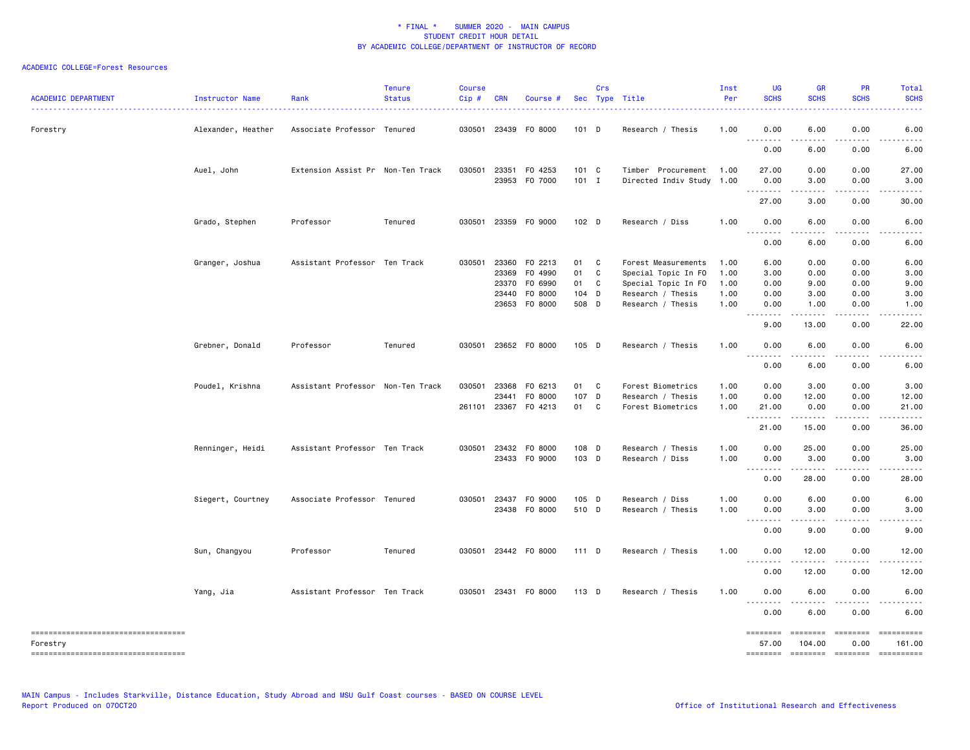| <b>ACADEMIC DEPARTMENT</b>                                                              | Instructor Name    | Rank                              | <b>Tenure</b><br><b>Status</b> | <b>Course</b><br>Cip# | <b>CRN</b>                                       | Course #                                            |                                      | Crs     | Sec Type Title                                                                                              | Inst<br>Per                          | <b>UG</b><br><b>SCHS</b>                                                                                                                                                                                                                                                                                                                                                                                                            | <b>GR</b><br><b>SCHS</b>             | <b>PR</b><br><b>SCHS</b>             | Total<br><b>SCHS</b>                                                                                                                                |
|-----------------------------------------------------------------------------------------|--------------------|-----------------------------------|--------------------------------|-----------------------|--------------------------------------------------|-----------------------------------------------------|--------------------------------------|---------|-------------------------------------------------------------------------------------------------------------|--------------------------------------|-------------------------------------------------------------------------------------------------------------------------------------------------------------------------------------------------------------------------------------------------------------------------------------------------------------------------------------------------------------------------------------------------------------------------------------|--------------------------------------|--------------------------------------|-----------------------------------------------------------------------------------------------------------------------------------------------------|
| Forestry                                                                                | Alexander, Heather | Associate Professor Tenured       |                                |                       |                                                  | 030501 23439 F0 8000                                | $101$ D                              |         | Research / Thesis                                                                                           | 1.00                                 | 0.00<br>$\omega$ $\omega$ $\omega$<br>د د د د                                                                                                                                                                                                                                                                                                                                                                                       | 6.00                                 | 0.00<br>د د د د                      | 6.00                                                                                                                                                |
|                                                                                         |                    |                                   |                                |                       |                                                  |                                                     |                                      |         |                                                                                                             |                                      | 0.00                                                                                                                                                                                                                                                                                                                                                                                                                                | 6.00                                 | 0.00                                 | 6.00                                                                                                                                                |
|                                                                                         | Auel, John         | Extension Assist Pr Non-Ten Track |                                | 030501                |                                                  | 23351 F0 4253<br>23953 F0 7000                      | $101 \quad C$<br>$101$ I             |         | Timber Procurement<br>Directed Indiv Study                                                                  | 1.00<br>1.00                         | 27.00<br>0.00                                                                                                                                                                                                                                                                                                                                                                                                                       | 0.00<br>3.00                         | 0.00<br>0.00                         | 27.00<br>3.00                                                                                                                                       |
|                                                                                         |                    |                                   |                                |                       |                                                  |                                                     |                                      |         |                                                                                                             |                                      | .<br>27.00                                                                                                                                                                                                                                                                                                                                                                                                                          | 3.00                                 | 0.00                                 | 30.00                                                                                                                                               |
|                                                                                         | Grado, Stephen     | Professor                         | Tenured                        |                       |                                                  | 030501 23359 F0 9000                                | 102 <sub>D</sub>                     |         | Research / Diss                                                                                             | 1.00                                 | 0.00<br>$ -$<br>.                                                                                                                                                                                                                                                                                                                                                                                                                   | 6.00<br>.                            | 0.00                                 | 6.00                                                                                                                                                |
|                                                                                         |                    |                                   |                                |                       |                                                  |                                                     |                                      |         |                                                                                                             |                                      | 0.00                                                                                                                                                                                                                                                                                                                                                                                                                                | 6.00                                 | 0.00                                 | 6.00                                                                                                                                                |
|                                                                                         | Granger, Joshua    | Assistant Professor Ten Track     |                                |                       | 030501 23360<br>23369<br>23370<br>23440<br>23653 | F0 2213<br>F0 4990<br>F0 6990<br>F0 8000<br>F0 8000 | 01 C<br>01<br>01<br>$104$ D<br>508 D | C<br>C. | Forest Measurements<br>Special Topic In FO<br>Special Topic In FO<br>Research / Thesis<br>Research / Thesis | 1.00<br>1.00<br>1.00<br>1.00<br>1.00 | 6.00<br>3.00<br>0.00<br>0.00<br>0.00<br>.<br>$\sim$ $\sim$ $\sim$                                                                                                                                                                                                                                                                                                                                                                   | 0.00<br>0.00<br>9.00<br>3.00<br>1.00 | 0.00<br>0.00<br>0.00<br>0.00<br>0.00 | 6.00<br>3.00<br>9.00<br>3.00<br>1.00                                                                                                                |
|                                                                                         | Grebner, Donald    | Professor                         | Tenured                        |                       |                                                  | 030501 23652 F0 8000                                | 105 D                                |         | Research / Thesis                                                                                           | 1.00                                 | 9.00<br>0.00                                                                                                                                                                                                                                                                                                                                                                                                                        | 13.00<br>6.00                        | 0.00<br>0.00                         | 22.00<br>6.00                                                                                                                                       |
|                                                                                         |                    |                                   |                                |                       |                                                  |                                                     |                                      |         |                                                                                                             |                                      | .<br>0.00                                                                                                                                                                                                                                                                                                                                                                                                                           | .<br>6.00                            | 0.00                                 | 6.00                                                                                                                                                |
|                                                                                         | Poudel, Krishna    | Assistant Professor Non-Ten Track |                                | 261101                | 030501 23368<br>23441<br>23367                   | F0 6213<br>F0 8000<br>F0 4213                       | 01 C<br>107 D<br>01 C                |         | Forest Biometrics<br>Research / Thesis<br>Forest Biometrics                                                 | 1.00<br>1.00<br>1.00                 | 0.00<br>0.00<br>21.00<br><u>.</u>                                                                                                                                                                                                                                                                                                                                                                                                   | 3.00<br>12.00<br>0.00<br>د د د د د   | 0.00<br>0.00<br>0.00                 | 3.00<br>12.00<br>21.00<br>$\frac{1}{2} \left( \frac{1}{2} \right) \left( \frac{1}{2} \right) \left( \frac{1}{2} \right) \left( \frac{1}{2} \right)$ |
|                                                                                         | Renninger, Heidi   | Assistant Professor Ten Track     |                                |                       |                                                  | 030501 23432 F0 8000<br>23433 FO 9000               | 108 D<br>103 D                       |         | Research / Thesis<br>Research / Diss                                                                        | 1.00<br>1.00                         | 21.00<br>0.00<br>0.00<br>.                                                                                                                                                                                                                                                                                                                                                                                                          | 15.00<br>25.00<br>3.00<br>.          | 0.00<br>0.00<br>0.00<br>.            | 36.00<br>25.00<br>3.00<br>.                                                                                                                         |
|                                                                                         | Siegert, Courtney  | Associate Professor Tenured       |                                |                       | 030501 23437                                     | F0 9000<br>23438 F0 8000                            | 105 D<br>510 D                       |         | Research / Diss<br>Research / Thesis                                                                        | 1.00<br>1.00                         | 0.00<br>0.00<br>0.00                                                                                                                                                                                                                                                                                                                                                                                                                | 28.00<br>6.00<br>3.00                | 0.00<br>0.00<br>0.00                 | 28.00<br>6.00<br>3.00                                                                                                                               |
|                                                                                         |                    |                                   |                                |                       |                                                  |                                                     |                                      |         |                                                                                                             |                                      | $\sim$ $\sim$ $\sim$<br>0.00                                                                                                                                                                                                                                                                                                                                                                                                        | 9.00                                 | د د د د<br>0.00                      | 9.00                                                                                                                                                |
|                                                                                         | Sun, Changyou      | Professor                         | Tenured                        |                       |                                                  | 030501 23442 F0 8000                                | 111 D                                |         | Research / Thesis                                                                                           | 1.00                                 | 0.00                                                                                                                                                                                                                                                                                                                                                                                                                                | 12.00                                | 0.00                                 | 12.00                                                                                                                                               |
|                                                                                         |                    |                                   |                                |                       |                                                  |                                                     |                                      |         |                                                                                                             |                                      | $\sim$ $\sim$ $\sim$ $\sim$<br>$\frac{1}{2} \frac{1}{2} \frac{1}{2} \frac{1}{2} \frac{1}{2} \frac{1}{2} \frac{1}{2} \frac{1}{2} \frac{1}{2} \frac{1}{2} \frac{1}{2} \frac{1}{2} \frac{1}{2} \frac{1}{2} \frac{1}{2} \frac{1}{2} \frac{1}{2} \frac{1}{2} \frac{1}{2} \frac{1}{2} \frac{1}{2} \frac{1}{2} \frac{1}{2} \frac{1}{2} \frac{1}{2} \frac{1}{2} \frac{1}{2} \frac{1}{2} \frac{1}{2} \frac{1}{2} \frac{1}{2} \frac{$<br>0.00 | $-$ - - - - $-$<br>12.00             | 0.00                                 | 12.00                                                                                                                                               |
|                                                                                         | Yang, Jia          | Assistant Professor Ten Track     |                                |                       |                                                  | 030501 23431 F0 8000                                | 113 D                                |         | Research / Thesis                                                                                           | 1.00                                 | 0.00<br>$\sim$ $\sim$ $\sim$                                                                                                                                                                                                                                                                                                                                                                                                        | 6.00                                 | 0.00                                 | 6.00                                                                                                                                                |
|                                                                                         |                    |                                   |                                |                       |                                                  |                                                     |                                      |         |                                                                                                             |                                      | 0.00                                                                                                                                                                                                                                                                                                                                                                                                                                | 6.00                                 | 0.00                                 | 6.00                                                                                                                                                |
| -------------------------------------<br>Forestry<br>---------------------------------- |                    |                                   |                                |                       |                                                  |                                                     |                                      |         |                                                                                                             |                                      | ========<br>57.00<br>========                                                                                                                                                                                                                                                                                                                                                                                                       | ========<br>104.00                   | $= 10000000000$<br>0.00              | ==========<br>161.00<br>======== ======== =========                                                                                                 |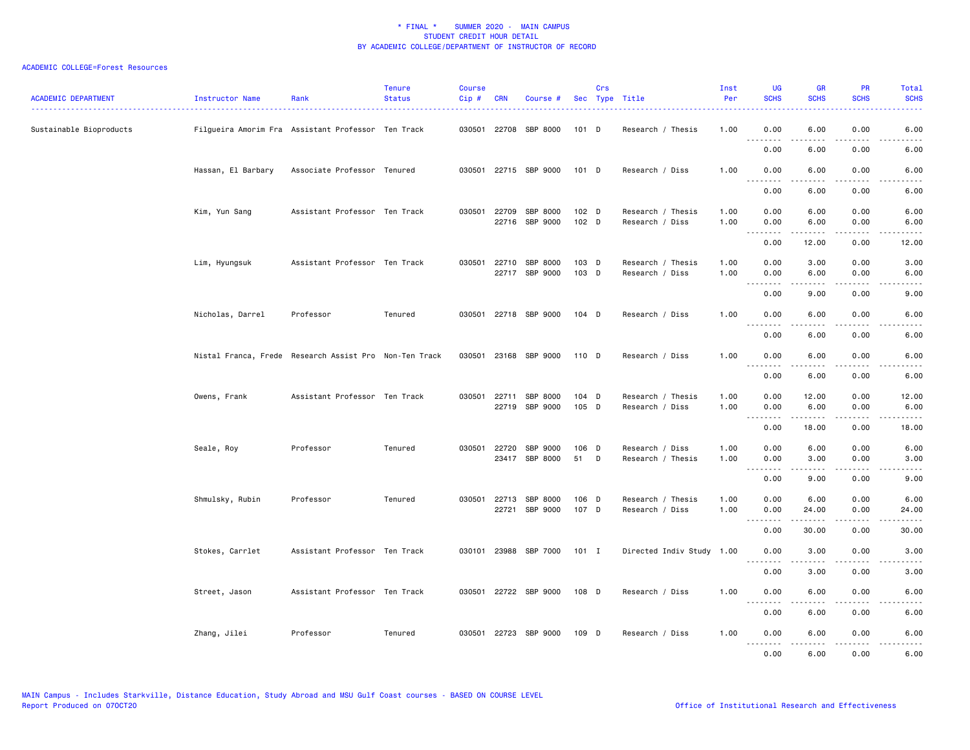| <b>ACADEMIC DEPARTMENT</b> | Instructor Name                                        | Rank                          | <b>Tenure</b><br><b>Status</b> | <b>Course</b><br>Cip# | <b>CRN</b>   | Course #                         |                | Crs | Sec Type Title                       | Inst<br>Per  | <b>UG</b><br><b>SCHS</b>            | <b>GR</b><br><b>SCHS</b>                                                                                                                                      | PR<br><b>SCHS</b>                                                                                                                 | Total<br><b>SCHS</b>                                                                                                              |
|----------------------------|--------------------------------------------------------|-------------------------------|--------------------------------|-----------------------|--------------|----------------------------------|----------------|-----|--------------------------------------|--------------|-------------------------------------|---------------------------------------------------------------------------------------------------------------------------------------------------------------|-----------------------------------------------------------------------------------------------------------------------------------|-----------------------------------------------------------------------------------------------------------------------------------|
| Sustainable Bioproducts    | Filgueira Amorim Fra Assistant Professor Ten Track     |                               |                                |                       |              | 030501 22708 SBP 8000            | 101 D          |     | Research / Thesis                    | 1.00         | 0.00<br>.                           | 6.00<br>.                                                                                                                                                     | 0.00<br>.                                                                                                                         | 6.00<br>----                                                                                                                      |
|                            |                                                        |                               |                                |                       |              |                                  |                |     |                                      |              | 0.00                                | 6.00                                                                                                                                                          | 0.00                                                                                                                              | 6.00                                                                                                                              |
|                            | Hassan, El Barbary                                     | Associate Professor Tenured   |                                |                       |              | 030501 22715 SBP 9000            | 101 D          |     | Research / Diss                      | 1.00         | 0.00<br>.                           | 6.00<br>.                                                                                                                                                     | 0.00<br>.                                                                                                                         | 6.00<br>-----                                                                                                                     |
|                            |                                                        |                               |                                |                       |              |                                  |                |     |                                      |              | 0.00                                | 6.00                                                                                                                                                          | 0.00                                                                                                                              | 6.00                                                                                                                              |
|                            | Kim, Yun Sang                                          | Assistant Professor Ten Track |                                |                       |              | 030501 22709 SBP 8000            | 102 D          |     | Research / Thesis                    | 1.00         | 0.00                                | 6.00                                                                                                                                                          | 0.00                                                                                                                              | 6.00                                                                                                                              |
|                            |                                                        |                               |                                |                       |              | 22716 SBP 9000                   | 102 D          |     | Research / Diss                      | 1.00         | 0.00                                | 6.00<br>.                                                                                                                                                     | 0.00<br>.                                                                                                                         | 6.00                                                                                                                              |
|                            |                                                        |                               |                                |                       |              |                                  |                |     |                                      |              | 0.00                                | 12.00                                                                                                                                                         | 0.00                                                                                                                              | 12.00                                                                                                                             |
|                            | Lim, Hyungsuk                                          | Assistant Professor Ten Track |                                | 030501                |              | 22710 SBP 8000<br>22717 SBP 9000 | 103 D<br>103 D |     | Research / Thesis<br>Research / Diss | 1.00<br>1.00 | 0.00<br>0.00                        | 3.00<br>6.00                                                                                                                                                  | 0.00<br>0.00                                                                                                                      | 3.00<br>6.00                                                                                                                      |
|                            |                                                        |                               |                                |                       |              |                                  |                |     |                                      |              | . <b>.</b><br>0.00                  | .<br>9.00                                                                                                                                                     | .<br>0.00                                                                                                                         | $- - - - -$<br>9.00                                                                                                               |
|                            | Nicholas, Darrel                                       | Professor                     | Tenured                        |                       |              | 030501 22718 SBP 9000            | $104$ D        |     | Research / Diss                      | 1.00         | 0.00                                | 6.00                                                                                                                                                          | 0.00                                                                                                                              | 6.00                                                                                                                              |
|                            |                                                        |                               |                                |                       |              |                                  |                |     |                                      |              | .<br>0.00                           | 6.00                                                                                                                                                          | ----<br>0.00                                                                                                                      | 6.00                                                                                                                              |
|                            | Nistal Franca, Frede Research Assist Pro Non-Ten Track |                               |                                |                       |              | 030501 23168 SBP 9000            | 110 D          |     | Research / Diss                      | 1.00         | 0.00                                | 6.00                                                                                                                                                          | 0.00                                                                                                                              | 6.00                                                                                                                              |
|                            |                                                        |                               |                                |                       |              |                                  |                |     |                                      |              | .<br>0.00                           | .<br>6.00                                                                                                                                                     | د د د د<br>0.00                                                                                                                   | $\frac{1}{2} \left( \frac{1}{2} \right) \left( \frac{1}{2} \right) \left( \frac{1}{2} \right) \left( \frac{1}{2} \right)$<br>6.00 |
|                            |                                                        |                               |                                |                       |              |                                  |                |     |                                      |              |                                     |                                                                                                                                                               |                                                                                                                                   |                                                                                                                                   |
|                            | Owens, Frank                                           | Assistant Professor Ten Track |                                |                       | 030501 22711 | SBP 8000<br>22719 SBP 9000       | 104 D<br>105 D |     | Research / Thesis<br>Research / Diss | 1.00<br>1.00 | 0.00<br>0.00                        | 12.00<br>6.00                                                                                                                                                 | 0.00<br>0.00                                                                                                                      | 12.00<br>6.00                                                                                                                     |
|                            |                                                        |                               |                                |                       |              |                                  |                |     |                                      |              | 0.00                                | $\frac{1}{2} \left( \frac{1}{2} \right) \left( \frac{1}{2} \right) \left( \frac{1}{2} \right) \left( \frac{1}{2} \right) \left( \frac{1}{2} \right)$<br>18.00 | د د د د<br>0.00                                                                                                                   | $\frac{1}{2}$<br>18.00                                                                                                            |
|                            | Seale, Roy                                             | Professor                     | Tenured                        |                       |              | 030501 22720 SBP 9000            | 106 D          |     | Research / Diss                      | 1.00         | 0.00                                | 6.00                                                                                                                                                          | 0.00                                                                                                                              | 6.00                                                                                                                              |
|                            |                                                        |                               |                                |                       |              | 23417 SBP 8000                   | 51             | D   | Research / Thesis                    | 1.00         | 0.00<br>.                           | 3.00<br>.                                                                                                                                                     | 0.00<br>.                                                                                                                         | 3.00<br>-----                                                                                                                     |
|                            |                                                        |                               |                                |                       |              |                                  |                |     |                                      |              | 0.00                                | 9.00                                                                                                                                                          | 0.00                                                                                                                              | 9.00                                                                                                                              |
|                            | Shmulsky, Rubin                                        | Professor                     | Tenured                        | 030501                | 22713        | SBP 8000<br>22721 SBP 9000       | 106 D<br>107 D |     | Research / Thesis<br>Research / Diss | 1.00<br>1.00 | 0.00<br>0.00                        | 6.00<br>24.00                                                                                                                                                 | 0.00<br>0.00                                                                                                                      | 6.00<br>24.00                                                                                                                     |
|                            |                                                        |                               |                                |                       |              |                                  |                |     |                                      |              | $\sim$ $\sim$ $\sim$ $\sim$<br>0.00 | $\frac{1}{2} \left( \frac{1}{2} \right) \left( \frac{1}{2} \right) \left( \frac{1}{2} \right) \left( \frac{1}{2} \right) \left( \frac{1}{2} \right)$<br>30.00 | .<br>0.00                                                                                                                         | .<br>30.00                                                                                                                        |
|                            | Stokes, Carrlet                                        | Assistant Professor Ten Track |                                | 030101                |              | 23988 SBP 7000                   | 101 I          |     | Directed Indiv Study 1.00            |              | 0.00                                | 3.00                                                                                                                                                          | 0.00                                                                                                                              | 3.00                                                                                                                              |
|                            |                                                        |                               |                                |                       |              |                                  |                |     |                                      |              | <u>.</u><br>0.00                    | 3.00                                                                                                                                                          | - - - -<br>0.00                                                                                                                   | -----<br>3.00                                                                                                                     |
|                            |                                                        | Assistant Professor Ten Track |                                |                       |              | 030501 22722 SBP 9000            | 108 D          |     |                                      | 1.00         | 0.00                                | 6.00                                                                                                                                                          | 0.00                                                                                                                              | 6.00                                                                                                                              |
|                            | Street, Jason                                          |                               |                                |                       |              |                                  |                |     | Research / Diss                      |              | .                                   |                                                                                                                                                               |                                                                                                                                   |                                                                                                                                   |
|                            |                                                        |                               |                                |                       |              |                                  |                |     |                                      |              | 0.00                                | 6.00                                                                                                                                                          | 0.00                                                                                                                              | 6.00                                                                                                                              |
|                            | Zhang, Jilei                                           | Professor                     | Tenured                        |                       |              | 030501 22723 SBP 9000            | 109 D          |     | Research / Diss                      | 1.00         | 0.00<br>.                           | 6.00                                                                                                                                                          | 0.00<br>$\frac{1}{2} \left( \frac{1}{2} \right) \left( \frac{1}{2} \right) \left( \frac{1}{2} \right) \left( \frac{1}{2} \right)$ | 6.00                                                                                                                              |
|                            |                                                        |                               |                                |                       |              |                                  |                |     |                                      |              | 0.00                                | 6.00                                                                                                                                                          | 0.00                                                                                                                              | 6.00                                                                                                                              |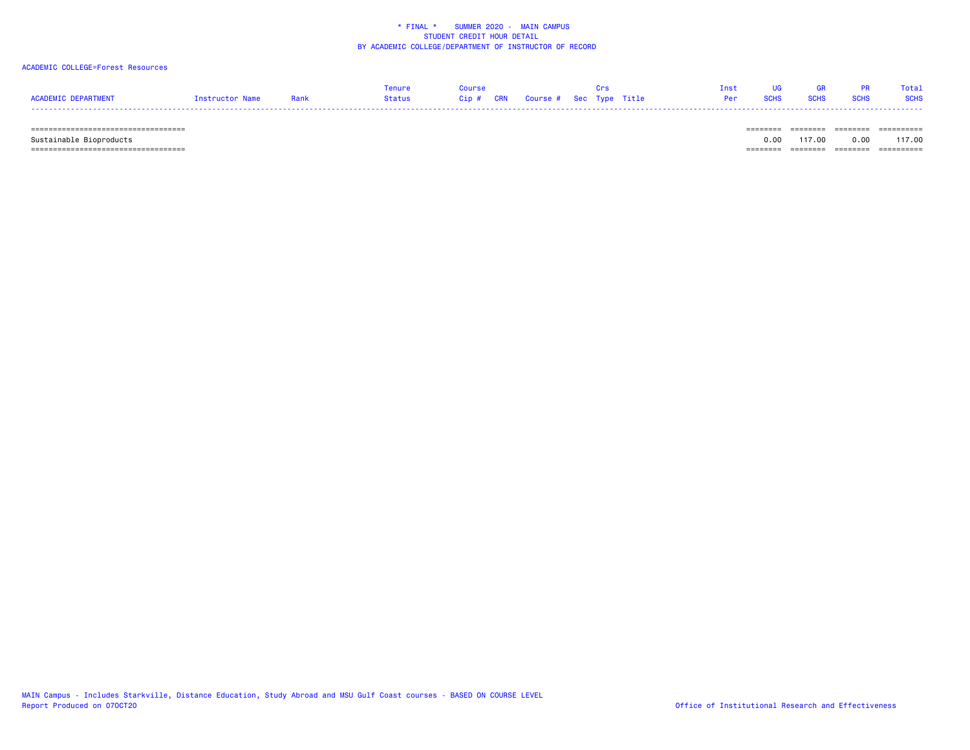### ACADEMIC COLLEGE=Forest Resources

|                     |                 |      | Tenure |                                   |  |  | Tnst            | <b>GR</b>   |      | Total       |
|---------------------|-----------------|------|--------|-----------------------------------|--|--|-----------------|-------------|------|-------------|
| ACADEMIC DEPARTMENT | Tnstructor Name | Rank | Status | Cip # CRN Course # Sec Type Title |  |  | <b>Per</b> SCHS | <b>SCHS</b> | SCHS | <b>SCHS</b> |
|                     |                 |      |        |                                   |  |  |                 |             |      |             |

 =================================== ======== ======== ======== ========== Sustainable Bioproducts 0.00 117.00 0.00 117.00 =================================== ======== ======== ======== ==========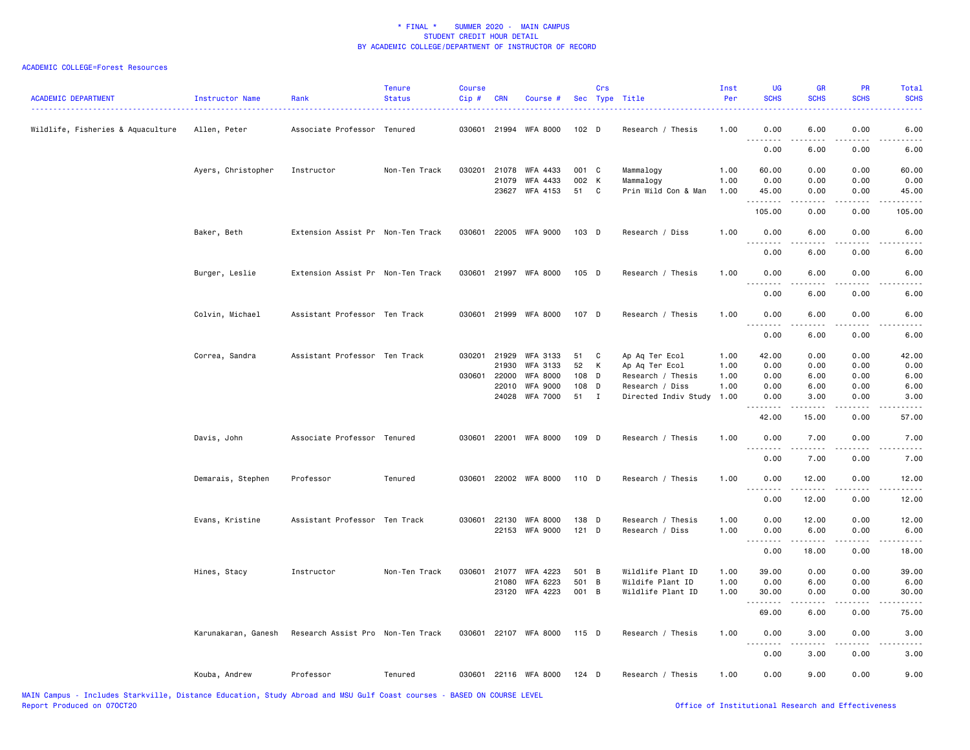| <b>ACADEMIC DEPARTMENT</b>        | Instructor Name<br>. | Rank                              | <b>Tenure</b><br><b>Status</b> | <b>Course</b><br>Cip# | <b>CRN</b>     | Course #              |                  | Crs | Sec Type Title                        | Inst<br>Per  | <b>UG</b><br><b>SCHS</b> | <b>GR</b><br><b>SCHS</b> | <b>PR</b><br><b>SCHS</b>                                                                                                          | Total<br><b>SCHS</b> |
|-----------------------------------|----------------------|-----------------------------------|--------------------------------|-----------------------|----------------|-----------------------|------------------|-----|---------------------------------------|--------------|--------------------------|--------------------------|-----------------------------------------------------------------------------------------------------------------------------------|----------------------|
| Wildlife, Fisheries & Aquaculture | Allen, Peter         | Associate Professor Tenured       |                                |                       |                | 030601 21994 WFA 8000 | 102 <sub>D</sub> |     | Research / Thesis                     | 1.00         | 0.00                     | 6.00                     | 0.00                                                                                                                              | 6.00                 |
|                                   |                      |                                   |                                |                       |                |                       |                  |     |                                       |              | .<br>0.00                | .<br>6.00                | 0.00                                                                                                                              | 6.00                 |
|                                   | Ayers, Christopher   | Instructor                        | Non-Ten Track                  |                       | 030201 21078   | WFA 4433              | 001 C            |     | Mammalogy                             | 1.00         | 60.00                    | 0.00                     | 0.00                                                                                                                              | 60.00                |
|                                   |                      |                                   |                                |                       | 21079<br>23627 | WFA 4433<br>WFA 4153  | 002 K<br>51      | C   | Mammalogy                             | 1.00<br>1.00 | 0.00                     | 0.00                     | 0.00<br>0.00                                                                                                                      | 0.00                 |
|                                   |                      |                                   |                                |                       |                |                       |                  |     | Prin Wild Con & Man                   |              | 45.00<br>. <b>.</b>      | 0.00<br>.                | $\frac{1}{2}$                                                                                                                     | 45.00<br>.           |
|                                   |                      |                                   |                                |                       |                |                       |                  |     |                                       |              | 105.00                   | 0.00                     | 0.00                                                                                                                              | 105.00               |
|                                   | Baker, Beth          | Extension Assist Pr Non-Ten Track |                                |                       |                | 030601 22005 WFA 9000 | $103$ D          |     | Research / Diss                       | 1.00         | 0.00                     | 6.00                     | 0.00                                                                                                                              | 6.00                 |
|                                   |                      |                                   |                                |                       |                |                       |                  |     |                                       |              | 0.00                     | 6.00                     | 0.00                                                                                                                              | 6.00                 |
|                                   | Burger, Leslie       | Extension Assist Pr Non-Ten Track |                                |                       |                | 030601 21997 WFA 8000 | 105 D            |     | Research / Thesis                     | 1.00         | 0.00                     | 6.00                     | 0.00                                                                                                                              | 6.00                 |
|                                   |                      |                                   |                                |                       |                |                       |                  |     |                                       |              | 0.00                     | 6.00                     | 0.00                                                                                                                              | 6.00                 |
|                                   | Colvin, Michael      | Assistant Professor Ten Track     |                                |                       |                | 030601 21999 WFA 8000 | 107 D            |     | Research / Thesis                     | 1.00         | 0.00                     | 6.00                     | 0.00                                                                                                                              | 6.00                 |
|                                   |                      |                                   |                                |                       |                |                       |                  |     |                                       |              | 0.00                     | 6.00                     | 0.00                                                                                                                              | 6.00                 |
|                                   | Correa, Sandra       | Assistant Professor Ten Track     |                                |                       | 030201 21929   | WFA 3133              | 51               | C   | Ap Aq Ter Ecol                        | 1.00         | 42.00                    | 0.00                     | 0.00                                                                                                                              | 42.00                |
|                                   |                      |                                   |                                |                       | 21930          | WFA 3133              | 52               | К   | Ap Aq Ter Ecol                        | 1.00         | 0.00                     | 0.00                     | 0.00                                                                                                                              | 0.00                 |
|                                   |                      |                                   |                                |                       | 030601 22000   | <b>WFA 8000</b>       | 108 D            |     | Research / Thesis                     | 1.00         | 0.00                     | 6.00                     | 0.00                                                                                                                              | 6.00                 |
|                                   |                      |                                   |                                |                       | 22010          | <b>WFA 9000</b>       | 108 D            |     | Research / Diss                       | 1.00         | 0.00                     | 6.00                     | 0.00                                                                                                                              | 6.00                 |
|                                   |                      |                                   |                                |                       |                | 24028 WFA 7000        | 51 I             |     | Directed Indiv Study                  | 1.00         | 0.00<br>.                | 3.00<br>.                | 0.00<br>$\frac{1}{2} \left( \frac{1}{2} \right) \left( \frac{1}{2} \right) \left( \frac{1}{2} \right) \left( \frac{1}{2} \right)$ | 3.00                 |
|                                   |                      |                                   |                                |                       |                |                       |                  |     |                                       |              | 42.00                    | 15.00                    | 0.00                                                                                                                              | 57.00                |
|                                   | Davis, John          | Associate Professor Tenured       |                                |                       |                | 030601 22001 WFA 8000 | 109 D            |     | Research / Thesis                     | 1.00         | 0.00<br>.                | 7.00<br>-----            | 0.00<br>.                                                                                                                         | 7.00<br>$- - - -$    |
|                                   |                      |                                   |                                |                       |                |                       |                  |     |                                       |              | 0.00                     | 7.00                     | 0.00                                                                                                                              | 7.00                 |
|                                   | Demarais, Stephen    | Professor                         | Tenured                        |                       |                | 030601 22002 WFA 8000 | 110 D            |     | Research / Thesis                     | 1.00         | 0.00<br>.                | 12.00<br>.               | 0.00<br>.                                                                                                                         | 12.00<br>.           |
|                                   |                      |                                   |                                |                       |                |                       |                  |     |                                       |              | 0.00                     | 12.00                    | 0.00                                                                                                                              | 12.00                |
|                                   | Evans, Kristine      | Assistant Professor Ten Track     |                                |                       | 030601 22130   | <b>WFA 8000</b>       | 138 D            |     | Research / Thesis                     | 1.00         | 0.00                     | 12.00                    | 0.00                                                                                                                              | 12.00                |
|                                   |                      |                                   |                                |                       |                | 22153 WFA 9000        | $121$ D          |     | Research / Diss                       | 1.00         | 0.00                     | 6.00                     | 0.00                                                                                                                              | 6.00                 |
|                                   |                      |                                   |                                |                       |                |                       |                  |     |                                       |              | .<br>0.00                | 18.00                    | 0.00                                                                                                                              | 18.00                |
|                                   |                      |                                   |                                |                       |                |                       |                  |     |                                       |              |                          |                          |                                                                                                                                   |                      |
|                                   | Hines, Stacy         | Instructor                        | Non-Ten Track                  | 030601                | 21077<br>21080 | WFA 4223              | 501 B<br>501 B   |     | Wildlife Plant ID                     | 1.00         | 39.00                    | 0.00                     | 0.00                                                                                                                              | 39.00                |
|                                   |                      |                                   |                                |                       | 23120          | WFA 6223<br>WFA 4223  | 001 B            |     | Wildife Plant ID<br>Wildlife Plant ID | 1.00<br>1.00 | 0.00<br>30.00            | 6.00<br>0.00             | 0.00<br>0.00                                                                                                                      | 6.00<br>30.00        |
|                                   |                      |                                   |                                |                       |                |                       |                  |     |                                       |              | .<br>69.00               | -----<br>6.00            | $- - - -$<br>0.00                                                                                                                 | .<br>75.00           |
|                                   |                      |                                   |                                |                       |                |                       |                  |     |                                       |              |                          |                          |                                                                                                                                   |                      |
|                                   | Karunakaran, Ganesh  | Research Assist Pro Non-Ten Track |                                |                       |                | 030601 22107 WFA 8000 | 115 D            |     | Research / Thesis                     | 1.00         | 0.00<br>.                | 3.00<br>.                | 0.00<br>.                                                                                                                         | 3.00<br>.            |
|                                   |                      |                                   |                                |                       |                |                       |                  |     |                                       |              | 0.00                     | 3.00                     | 0.00                                                                                                                              | 3.00                 |
|                                   | Kouba, Andrew        | Professor                         | Tenured                        |                       |                | 030601 22116 WFA 8000 | $124$ D          |     | Research / Thesis                     | 1.00         | 0.00                     | 9.00                     | 0.00                                                                                                                              | 9.00                 |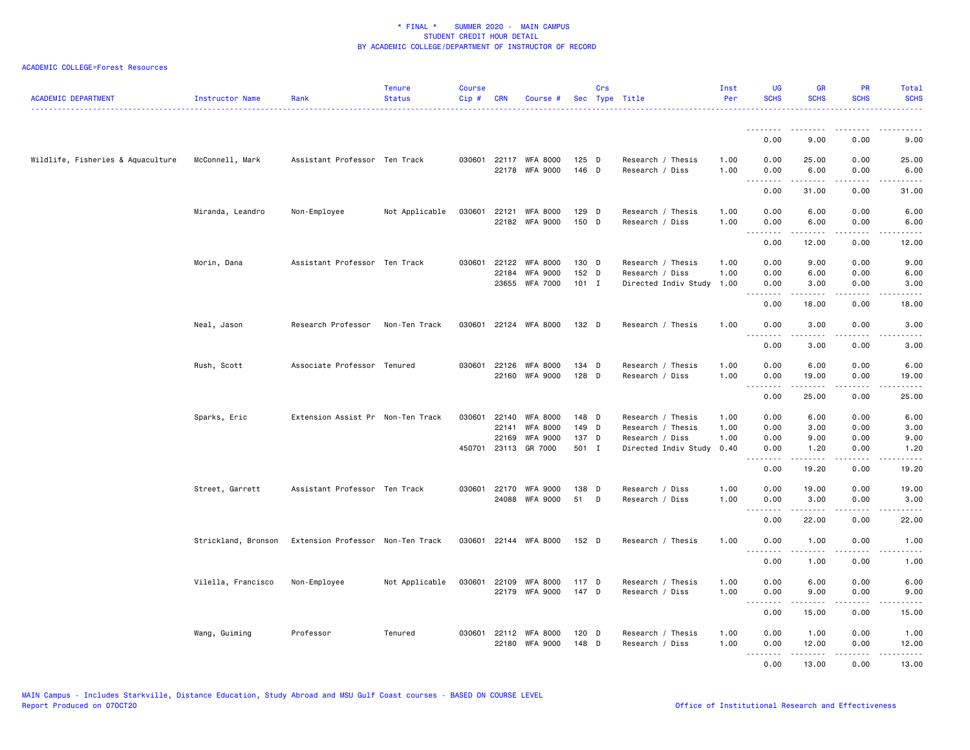| <b>ACADEMIC DEPARTMENT</b>        | Instructor Name     | Rank                              | <b>Tenure</b><br><b>Status</b> | <b>Course</b><br>Cip# | <b>CRN</b> | Course #                                |                | Crs | Sec Type Title                       | Inst<br>Per  | <b>UG</b><br><b>SCHS</b>                                                                                                                                             | <b>GR</b><br><b>SCHS</b>                                                                                                                                     | PR<br><b>SCHS</b>            | Total<br><b>SCHS</b>                                                                                                                                          |
|-----------------------------------|---------------------|-----------------------------------|--------------------------------|-----------------------|------------|-----------------------------------------|----------------|-----|--------------------------------------|--------------|----------------------------------------------------------------------------------------------------------------------------------------------------------------------|--------------------------------------------------------------------------------------------------------------------------------------------------------------|------------------------------|---------------------------------------------------------------------------------------------------------------------------------------------------------------|
|                                   |                     |                                   |                                |                       |            |                                         |                |     |                                      |              | <u>.</u>                                                                                                                                                             |                                                                                                                                                              |                              |                                                                                                                                                               |
|                                   |                     |                                   |                                |                       |            |                                         |                |     |                                      |              | 0.00                                                                                                                                                                 | 9.00                                                                                                                                                         | 0.00                         | 9.00                                                                                                                                                          |
| Wildlife, Fisheries & Aquaculture | McConnell, Mark     | Assistant Professor Ten Track     |                                |                       |            | 030601 22117 WFA 8000<br>22178 WFA 9000 | 125 D<br>146 D |     | Research / Thesis<br>Research / Diss | 1.00<br>1.00 | 0.00<br>0.00<br>$\frac{1}{2} \left( \frac{1}{2} \right) \left( \frac{1}{2} \right) \left( \frac{1}{2} \right) \left( \frac{1}{2} \right) \left( \frac{1}{2} \right)$ | 25.00<br>6.00<br>$\frac{1}{2}$                                                                                                                               | 0.00<br>0.00<br>.            | 25.00<br>6.00<br>$\frac{1}{2}$                                                                                                                                |
|                                   |                     |                                   |                                |                       |            |                                         |                |     |                                      |              | 0.00                                                                                                                                                                 | 31.00                                                                                                                                                        | 0.00                         | 31.00                                                                                                                                                         |
|                                   | Miranda, Leandro    | Non-Employee                      | Not Applicable                 | 030601                | 22121      | <b>WFA 8000</b><br>22182 WFA 9000       | 129 D<br>150 D |     | Research / Thesis<br>Research / Diss | 1.00<br>1.00 | 0.00<br>0.00                                                                                                                                                         | 6.00<br>6.00                                                                                                                                                 | 0.00<br>0.00                 | 6.00<br>6.00                                                                                                                                                  |
|                                   |                     |                                   |                                |                       |            |                                         |                |     |                                      |              | .<br>0.00                                                                                                                                                            | 12.00                                                                                                                                                        | .<br>0.00                    | $\frac{1}{2} \left( \frac{1}{2} \right) \left( \frac{1}{2} \right) \left( \frac{1}{2} \right) \left( \frac{1}{2} \right) \left( \frac{1}{2} \right)$<br>12.00 |
|                                   | Morin, Dana         | Assistant Professor Ten Track     |                                | 030601                | 22122      | WFA 8000                                | 130 D          |     | Research / Thesis                    | 1.00         | 0.00                                                                                                                                                                 | 9.00                                                                                                                                                         | 0.00                         | 9.00                                                                                                                                                          |
|                                   |                     |                                   |                                |                       | 22184      | <b>WFA 9000</b>                         | 152 D          |     | Research / Diss                      | 1.00         | 0.00                                                                                                                                                                 | 6.00                                                                                                                                                         | 0.00                         | 6.00                                                                                                                                                          |
|                                   |                     |                                   |                                |                       | 23655      | <b>WFA 7000</b>                         | $101$ I        |     | Directed Indiv Study                 | 1.00         | 0.00<br><u>.</u>                                                                                                                                                     | 3.00                                                                                                                                                         | 0.00<br>.                    | 3.00<br>$- - - - -$                                                                                                                                           |
|                                   |                     |                                   |                                |                       |            |                                         |                |     |                                      |              | 0.00                                                                                                                                                                 | 18.00                                                                                                                                                        | 0.00                         | 18.00                                                                                                                                                         |
|                                   | Neal, Jason         | Research Professor                | Non-Ten Track                  |                       |            | 030601 22124 WFA 8000                   | 132 D          |     | Research / Thesis                    | 1.00         | 0.00                                                                                                                                                                 | 3.00                                                                                                                                                         | 0.00                         | 3.00                                                                                                                                                          |
|                                   |                     |                                   |                                |                       |            |                                         |                |     |                                      |              | 0.00                                                                                                                                                                 | 3.00                                                                                                                                                         | 0.00                         | 3.00                                                                                                                                                          |
|                                   | Rush, Scott         | Associate Professor Tenured       |                                | 030601                | 22126      | <b>WFA 8000</b>                         | 134 D          |     | Research / Thesis                    | 1.00         | 0.00                                                                                                                                                                 | 6.00                                                                                                                                                         | 0.00                         | 6.00                                                                                                                                                          |
|                                   |                     |                                   |                                |                       | 22160      | <b>WFA 9000</b>                         | 128 D          |     | Research / Diss                      | 1.00         | 0.00<br>.                                                                                                                                                            | 19.00<br>$\frac{1}{2}$                                                                                                                                       | 0.00<br>.                    | 19.00<br>$\mathbb{Z} \times \mathbb{Z} \times \mathbb{Z}$                                                                                                     |
|                                   |                     |                                   |                                |                       |            |                                         |                |     |                                      |              | 0.00                                                                                                                                                                 | 25.00                                                                                                                                                        | 0.00                         | 25.00                                                                                                                                                         |
|                                   | Sparks, Eric        | Extension Assist Pr Non-Ten Track |                                | 030601                | 22140      | <b>WFA 8000</b>                         | 148 D          |     | Research / Thesis                    | 1.00         | 0.00                                                                                                                                                                 | 6.00                                                                                                                                                         | 0.00                         | 6.00                                                                                                                                                          |
|                                   |                     |                                   |                                |                       | 22141      | <b>WFA 8000</b>                         | 149 D          |     | Research / Thesis                    | 1.00         | 0.00                                                                                                                                                                 | 3.00                                                                                                                                                         | 0.00                         | 3.00                                                                                                                                                          |
|                                   |                     |                                   |                                |                       | 22169      | <b>WFA 9000</b>                         | 137 D          |     | Research / Diss                      | 1.00         | 0.00                                                                                                                                                                 | 9.00                                                                                                                                                         | 0.00                         | 9.00                                                                                                                                                          |
|                                   |                     |                                   |                                |                       |            | 450701 23113 GR 7000                    | 501 I          |     | Directed Indiv Study                 | 0.40         | 0.00<br>.                                                                                                                                                            | 1.20<br>.                                                                                                                                                    | 0.00<br>$\sim$ $\sim$ $\sim$ | 1.20<br>-----                                                                                                                                                 |
|                                   |                     |                                   |                                |                       |            |                                         |                |     |                                      |              | 0.00                                                                                                                                                                 | 19.20                                                                                                                                                        | 0.00                         | 19.20                                                                                                                                                         |
|                                   | Street, Garrett     | Assistant Professor Ten Track     |                                | 030601                | 22170      | <b>WFA 9000</b>                         | 138 D          |     | Research / Diss                      | 1.00         | 0.00                                                                                                                                                                 | 19.00                                                                                                                                                        | 0.00                         | 19.00                                                                                                                                                         |
|                                   |                     |                                   |                                |                       |            | 24088 WFA 9000                          | 51             | D   | Research / Diss                      | 1.00         | 0.00<br>.                                                                                                                                                            | 3.00<br>$\frac{1}{2} \left( \frac{1}{2} \right) \left( \frac{1}{2} \right) \left( \frac{1}{2} \right) \left( \frac{1}{2} \right) \left( \frac{1}{2} \right)$ | 0.00<br>د د د د              | 3.00<br>$\frac{1}{2} \left( \frac{1}{2} \right) \left( \frac{1}{2} \right) \left( \frac{1}{2} \right) \left( \frac{1}{2} \right) \left( \frac{1}{2} \right)$  |
|                                   |                     |                                   |                                |                       |            |                                         |                |     |                                      |              | 0.00                                                                                                                                                                 | 22.00                                                                                                                                                        | 0.00                         | 22.00                                                                                                                                                         |
|                                   | Strickland, Bronson | Extension Professor Non-Ten Track |                                |                       |            | 030601 22144 WFA 8000                   | 152 D          |     | Research / Thesis                    | 1.00         | 0.00<br>.                                                                                                                                                            | 1.00<br>.                                                                                                                                                    | 0.00<br>د د د د              | 1.00<br>$\frac{1}{2} \left( \frac{1}{2} \right) \left( \frac{1}{2} \right) \left( \frac{1}{2} \right) \left( \frac{1}{2} \right) \left( \frac{1}{2} \right)$  |
|                                   |                     |                                   |                                |                       |            |                                         |                |     |                                      |              | 0.00                                                                                                                                                                 | 1.00                                                                                                                                                         | 0.00                         | 1.00                                                                                                                                                          |
|                                   | Vilella, Francisco  | Non-Employee                      | Not Applicable                 | 030601                | 22109      | <b>WFA 8000</b>                         | 117 D          |     | Research / Thesis                    | 1.00         | 0.00                                                                                                                                                                 | 6.00                                                                                                                                                         | 0.00                         | 6.00                                                                                                                                                          |
|                                   |                     |                                   |                                |                       |            | 22179 WFA 9000                          | 147 D          |     | Research / Diss                      | 1.00         | 0.00<br>.                                                                                                                                                            | 9.00<br>$- - - - -$                                                                                                                                          | 0.00<br>.                    | 9.00<br>.                                                                                                                                                     |
|                                   |                     |                                   |                                |                       |            |                                         |                |     |                                      |              | 0.00                                                                                                                                                                 | 15.00                                                                                                                                                        | 0.00                         | 15.00                                                                                                                                                         |
|                                   | Wang, Guiming       | Professor                         | Tenured                        | 030601                |            | 22112 WFA 8000                          | 120 D          |     | Research / Thesis                    | 1.00         | 0.00                                                                                                                                                                 | 1.00                                                                                                                                                         | 0.00                         | 1.00                                                                                                                                                          |
|                                   |                     |                                   |                                |                       | 22180      | <b>WFA 9000</b>                         | 148 D          |     | Research / Diss                      | 1.00         | 0.00                                                                                                                                                                 | 12.00                                                                                                                                                        | 0.00                         | 12.00                                                                                                                                                         |
|                                   |                     |                                   |                                |                       |            |                                         |                |     |                                      |              | .<br>0.00                                                                                                                                                            | .<br>13.00                                                                                                                                                   | .<br>0.00                    | .<br>13.00                                                                                                                                                    |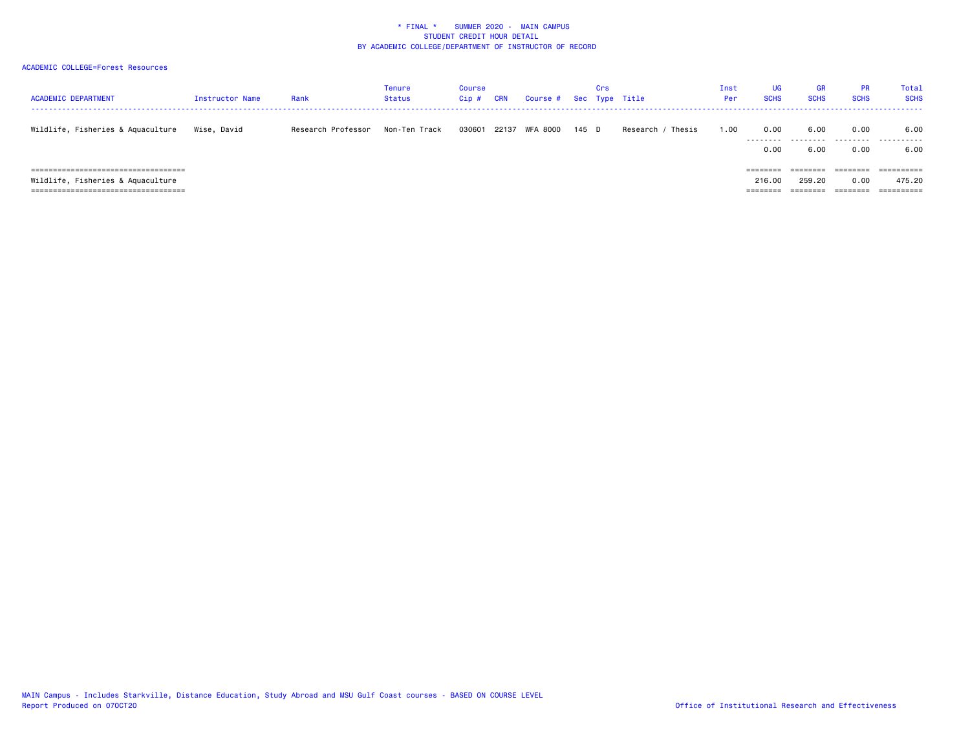| <b>ACADEMIC DEPARTMENT</b>            | Instructor Name | Rank               | Tenure<br><b>Status</b> | Course<br>Cip | <b>CRN</b> | Course # |       | Crs | Sec Type Title     | Inst<br>Per | <b>UG</b><br><b>SCHS</b> | GR<br><b>SCHS</b>    | <b>PR</b><br><b>SCHS</b> | Total<br><b>SCHS</b> |
|---------------------------------------|-----------------|--------------------|-------------------------|---------------|------------|----------|-------|-----|--------------------|-------------|--------------------------|----------------------|--------------------------|----------------------|
| Wildlife, Fisheries & Aquaculture     | Wise, David     | Research Professor | Non-Ten Track           | 030601        | 22137      | WFA 8000 | 145 D |     | Thesis<br>Research | 1.00        | 0.00                     | 6.00                 | 0.00                     | 6.00                 |
|                                       |                 |                    |                         |               |            |          |       |     |                    |             | 0.00                     | 6.00                 | 0.00                     | 6.00                 |
| ===================================== |                 |                    |                         |               |            |          |       |     |                    |             | ========                 | --------<br>-------- | ========                 | ==========           |
| Wildlife, Fisheries & Aquaculture     |                 |                    |                         |               |            |          |       |     |                    |             | 216.00                   | 259.20               | 0.00                     | 475.20               |
| ===================================== |                 |                    |                         |               |            |          |       |     |                    |             | $=$ $=$ $=$ $=$ $=$      |                      | =======                  | ==========           |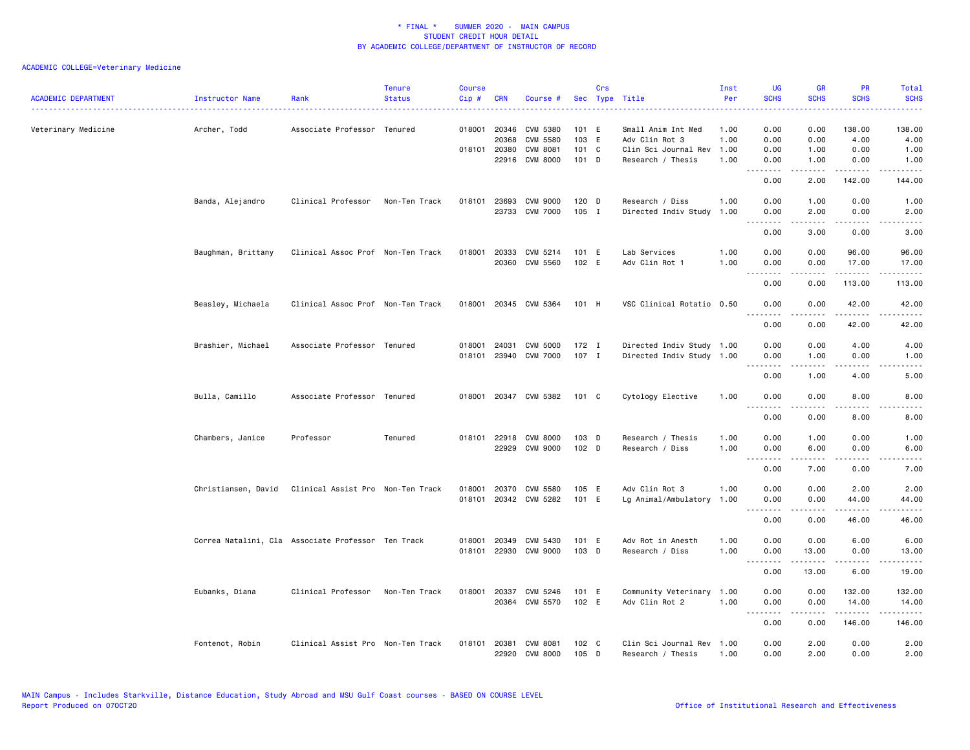| <b>ACADEMIC DEPARTMENT</b> | Instructor Name     | Rank                                               | <b>Tenure</b><br><b>Status</b> | <b>Course</b><br>Cip# | <b>CRN</b>            | Course #                          |                             | Crs | Sec Type Title                            | Inst<br>Per  | <b>UG</b><br><b>SCHS</b>                                                                                                                                                                                                                                                                                                                                                                     | <b>GR</b><br><b>SCHS</b> | <b>PR</b><br><b>SCHS</b> | Total<br><b>SCHS</b>                                                                                                              |
|----------------------------|---------------------|----------------------------------------------------|--------------------------------|-----------------------|-----------------------|-----------------------------------|-----------------------------|-----|-------------------------------------------|--------------|----------------------------------------------------------------------------------------------------------------------------------------------------------------------------------------------------------------------------------------------------------------------------------------------------------------------------------------------------------------------------------------------|--------------------------|--------------------------|-----------------------------------------------------------------------------------------------------------------------------------|
| Veterinary Medicine        | Archer, Todd        | Associate Professor Tenured                        |                                |                       | 018001 20346<br>20368 | CVM 5380<br>CVM 5580              | 101 E<br>103 E              |     | Small Anim Int Med<br>Adv Clin Rot 3      | 1.00<br>1.00 | 0.00<br>0.00                                                                                                                                                                                                                                                                                                                                                                                 | 0.00<br>0.00             | 138.00<br>4.00           | 138.00<br>4.00                                                                                                                    |
|                            |                     |                                                    |                                |                       | 018101 20380          | CVM 8081<br>22916 CVM 8000        | 101 C<br>101 D              |     | Clin Sci Journal Rev<br>Research / Thesis | 1.00<br>1.00 | 0.00<br>0.00                                                                                                                                                                                                                                                                                                                                                                                 | 1.00<br>1.00             | 0.00<br>0.00             | 1.00<br>1.00                                                                                                                      |
|                            |                     |                                                    |                                |                       |                       |                                   |                             |     |                                           |              | .<br>0.00                                                                                                                                                                                                                                                                                                                                                                                    | 2.00                     | 142.00                   | .<br>144.00                                                                                                                       |
|                            | Banda, Alejandro    | Clinical Professor                                 | Non-Ten Track                  |                       | 018101 23693          | CVM 9000                          | 120 D                       |     | Research / Diss                           | 1.00         | 0.00                                                                                                                                                                                                                                                                                                                                                                                         | 1.00                     | 0.00                     | 1.00                                                                                                                              |
|                            |                     |                                                    |                                |                       |                       | 23733 CVM 7000                    | $105$ I                     |     | Directed Indiv Study                      | 1.00         | 0.00                                                                                                                                                                                                                                                                                                                                                                                         | 2.00                     | 0.00                     | 2.00                                                                                                                              |
|                            |                     |                                                    |                                |                       |                       |                                   |                             |     |                                           |              | 0.00                                                                                                                                                                                                                                                                                                                                                                                         | 3.00                     | 0.00                     | 3.00                                                                                                                              |
|                            | Baughman, Brittany  | Clinical Assoc Prof Non-Ten Track                  |                                |                       | 018001 20333          | CVM 5214<br>20360 CVM 5560        | 101 E<br>102 E              |     | Lab Services<br>Adv Clin Rot 1            | 1.00<br>1.00 | 0.00<br>0.00<br>$- - - -$                                                                                                                                                                                                                                                                                                                                                                    | 0.00<br>0.00<br>-----    | 96.00<br>17.00<br>.      | 96.00<br>17.00<br>.                                                                                                               |
|                            |                     |                                                    |                                |                       |                       |                                   |                             |     |                                           |              | 0.00                                                                                                                                                                                                                                                                                                                                                                                         | 0.00                     | 113.00                   | 113.00                                                                                                                            |
|                            | Beasley, Michaela   | Clinical Assoc Prof Non-Ten Track                  |                                | 018001                |                       | 20345 CVM 5364                    | 101 H                       |     | VSC Clinical Rotatio 0.50                 |              | 0.00                                                                                                                                                                                                                                                                                                                                                                                         | 0.00                     | 42.00                    | 42.00                                                                                                                             |
|                            |                     |                                                    |                                |                       |                       |                                   |                             |     |                                           |              | 0.00                                                                                                                                                                                                                                                                                                                                                                                         | 0.00                     | 42.00                    | 42.00                                                                                                                             |
|                            | Brashier, Michael   | Associate Professor Tenured                        |                                | 018001                | 24031                 | <b>CVM 5000</b>                   | $172$ I                     |     | Directed Indiv Study 1.00                 |              | 0.00                                                                                                                                                                                                                                                                                                                                                                                         | 0.00                     | 4.00                     | 4.00                                                                                                                              |
|                            |                     |                                                    |                                |                       |                       | 018101 23940 CVM 7000             | 107 I                       |     | Directed Indiv Study 1.00                 |              | 0.00<br>.                                                                                                                                                                                                                                                                                                                                                                                    | 1.00<br>.                | 0.00<br>.                | 1.00<br>$\frac{1}{2} \left( \frac{1}{2} \right) \left( \frac{1}{2} \right) \left( \frac{1}{2} \right) \left( \frac{1}{2} \right)$ |
|                            |                     |                                                    |                                |                       |                       |                                   |                             |     |                                           |              | 0.00                                                                                                                                                                                                                                                                                                                                                                                         | 1.00                     | 4.00                     | 5.00                                                                                                                              |
|                            | Bulla, Camillo      | Associate Professor Tenured                        |                                | 018001                |                       | 20347 CVM 5382                    | 101 C                       |     | Cytology Elective                         | 1.00         | 0.00<br>.                                                                                                                                                                                                                                                                                                                                                                                    | 0.00                     | 8.00                     | 8.00                                                                                                                              |
|                            |                     |                                                    |                                |                       |                       |                                   |                             |     |                                           |              | 0.00                                                                                                                                                                                                                                                                                                                                                                                         | 0.00                     | 8.00                     | 8.00                                                                                                                              |
|                            | Chambers, Janice    | Professor                                          | Tenured                        |                       | 018101 22918          | <b>CVM 8000</b><br>22929 CVM 9000 | $103$ D<br>102 <sub>D</sub> |     | Research / Thesis<br>Research / Diss      | 1.00<br>1.00 | 0.00<br>0.00                                                                                                                                                                                                                                                                                                                                                                                 | 1.00<br>6.00             | 0.00<br>0.00             | 1.00<br>6.00                                                                                                                      |
|                            |                     |                                                    |                                |                       |                       |                                   |                             |     |                                           |              | $\frac{1}{2}$                                                                                                                                                                                                                                                                                                                                                                                | <u>.</u>                 | .                        | $- - - -$                                                                                                                         |
|                            |                     |                                                    |                                |                       |                       |                                   |                             |     |                                           |              | 0.00                                                                                                                                                                                                                                                                                                                                                                                         | 7.00                     | 0.00                     | 7.00                                                                                                                              |
|                            | Christiansen, David | Clinical Assist Pro Non-Ten Track                  |                                | 018001<br>018101      | 20370                 | CVM 5580<br>20342 CVM 5282        | 105 E<br>101 E              |     | Adv Clin Rot 3<br>Lg Animal/Ambulatory    | 1.00<br>1.00 | 0.00<br>0.00                                                                                                                                                                                                                                                                                                                                                                                 | 0.00<br>0.00             | 2.00<br>44.00            | 2.00<br>44.00                                                                                                                     |
|                            |                     |                                                    |                                |                       |                       |                                   |                             |     |                                           |              | 0.00                                                                                                                                                                                                                                                                                                                                                                                         | 0.00                     | 46.00                    | 46.00                                                                                                                             |
|                            |                     | Correa Natalini, Cla Associate Professor Ten Track |                                |                       | 018001 20349          | CVM 5430                          | 101 E                       |     | Adv Rot in Anesth                         | 1.00         | 0.00                                                                                                                                                                                                                                                                                                                                                                                         | 0.00                     | 6.00                     | 6.00                                                                                                                              |
|                            |                     |                                                    |                                |                       |                       | 018101 22930 CVM 9000             | 103 D                       |     | Research / Diss                           | 1.00         | 0.00<br>.                                                                                                                                                                                                                                                                                                                                                                                    | 13.00<br>$- - - - -$     | 0.00<br>.                | 13.00<br>.                                                                                                                        |
|                            |                     |                                                    |                                |                       |                       |                                   |                             |     |                                           |              | 0.00                                                                                                                                                                                                                                                                                                                                                                                         | 13.00                    | 6.00                     | 19.00                                                                                                                             |
|                            | Eubanks, Diana      | Clinical Professor                                 | Non-Ten Track                  | 018001                | 20337                 | CVM 5246<br>20364 CVM 5570        | 101 E<br>102 E              |     | Community Veterinary<br>Adv Clin Rot 2    | 1.00<br>1.00 | 0.00<br>0.00                                                                                                                                                                                                                                                                                                                                                                                 | 0.00<br>0.00             | 132.00<br>14.00          | 132.00<br>14.00                                                                                                                   |
|                            |                     |                                                    |                                |                       |                       |                                   |                             |     |                                           |              | $\frac{1}{2} \frac{1}{2} \frac{1}{2} \frac{1}{2} \frac{1}{2} \frac{1}{2} \frac{1}{2} \frac{1}{2} \frac{1}{2} \frac{1}{2} \frac{1}{2} \frac{1}{2} \frac{1}{2} \frac{1}{2} \frac{1}{2} \frac{1}{2} \frac{1}{2} \frac{1}{2} \frac{1}{2} \frac{1}{2} \frac{1}{2} \frac{1}{2} \frac{1}{2} \frac{1}{2} \frac{1}{2} \frac{1}{2} \frac{1}{2} \frac{1}{2} \frac{1}{2} \frac{1}{2} \frac{1}{2} \frac{$ | <u>.</u>                 | .                        | $- - - - - -$                                                                                                                     |
|                            |                     |                                                    |                                |                       |                       |                                   |                             |     |                                           |              | 0.00                                                                                                                                                                                                                                                                                                                                                                                         | 0.00                     | 146.00                   | 146.00                                                                                                                            |
|                            | Fontenot, Robin     | Clinical Assist Pro Non-Ten Track                  |                                | 018101                | 20381                 | <b>CVM 8081</b><br>22920 CVM 8000 | 102 C<br>105 D              |     | Clin Sci Journal Rev<br>Research / Thesis | 1.00<br>1.00 | 0.00<br>0.00                                                                                                                                                                                                                                                                                                                                                                                 | 2.00<br>2.00             | 0.00<br>0.00             | 2.00<br>2.00                                                                                                                      |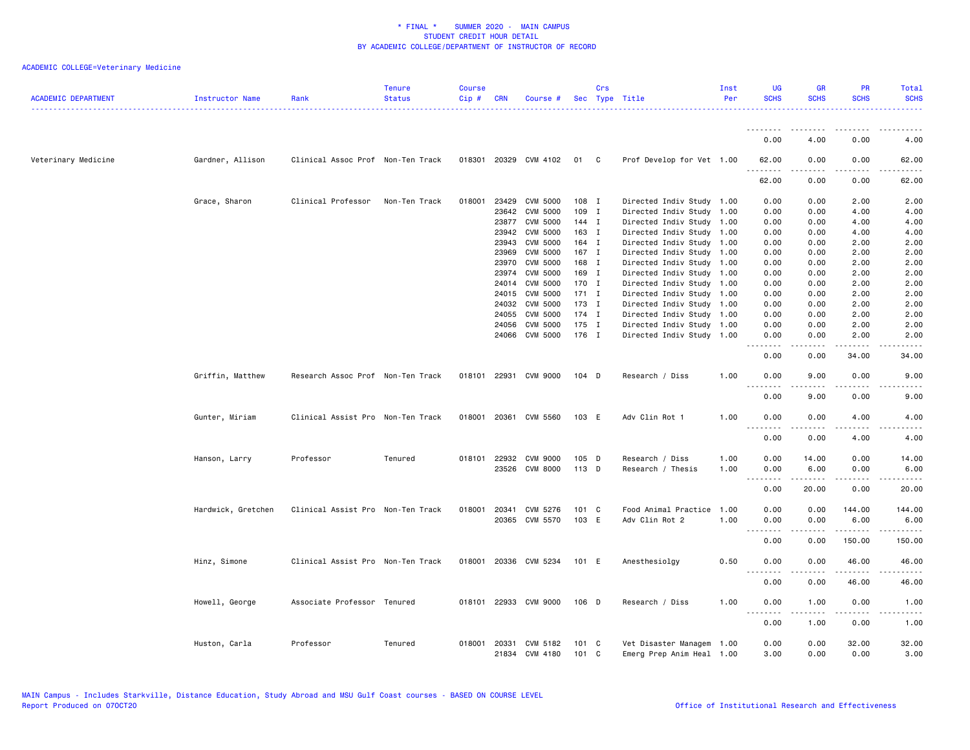| <b>ACADEMIC DEPARTMENT</b> | Instructor Name    | Rank                              | <b>Tenure</b><br><b>Status</b> | <b>Course</b><br>Cip# | <b>CRN</b>   | Course #              |         | Crs | Sec Type Title            | Inst<br>Per | <b>UG</b><br><b>SCHS</b>     | <b>GR</b><br><b>SCHS</b> | PR<br><b>SCHS</b>     | Total<br><b>SCHS</b> |
|----------------------------|--------------------|-----------------------------------|--------------------------------|-----------------------|--------------|-----------------------|---------|-----|---------------------------|-------------|------------------------------|--------------------------|-----------------------|----------------------|
|                            |                    |                                   |                                |                       |              |                       |         |     |                           |             | 0.00                         | 4.00                     | 0.00                  |                      |
|                            |                    |                                   |                                |                       |              |                       |         |     |                           |             |                              |                          |                       | 4.00                 |
| Veterinary Medicine        | Gardner, Allison   | Clinical Assoc Prof Non-Ten Track |                                |                       |              | 018301 20329 CVM 4102 | 01 C    |     | Prof Develop for Vet 1.00 |             | 62.00<br>. <u>.</u>          | 0.00<br>.                | 0.00<br>.             | 62.00                |
|                            |                    |                                   |                                |                       |              |                       |         |     |                           |             | 62.00                        | 0.00                     | 0.00                  | 62.00                |
|                            | Grace, Sharon      | Clinical Professor                | Non-Ten Track                  | 018001                | 23429        | CVM 5000              | 108 I   |     | Directed Indiv Study 1.00 |             | 0.00                         | 0.00                     | 2.00                  | 2.00                 |
|                            |                    |                                   |                                |                       | 23642        | <b>CVM 5000</b>       | 109 I   |     | Directed Indiv Study 1.00 |             | 0.00                         | 0.00                     | 4.00                  | 4.00                 |
|                            |                    |                                   |                                |                       | 23877        | <b>CVM 5000</b>       | 144 I   |     | Directed Indiv Study      | 1.00        | 0.00                         | 0.00                     | 4.00                  | 4.00                 |
|                            |                    |                                   |                                |                       | 23942        | CVM 5000              | 163 I   |     | Directed Indiv Study 1.00 |             | 0.00                         | 0.00                     | 4.00                  | 4.00                 |
|                            |                    |                                   |                                |                       | 23943        | <b>CVM 5000</b>       | 164 I   |     | Directed Indiv Study 1.00 |             | 0.00                         | 0.00                     | 2.00                  | 2.00                 |
|                            |                    |                                   |                                |                       | 23969        | <b>CVM 5000</b>       | 167 I   |     | Directed Indiv Study      | 1.00        | 0.00                         | 0.00                     | 2.00                  | 2.00                 |
|                            |                    |                                   |                                |                       | 23970        | <b>CVM 5000</b>       | 168 I   |     | Directed Indiv Study 1.00 |             | 0.00                         | 0.00                     | 2.00                  | 2.00                 |
|                            |                    |                                   |                                |                       | 23974        | <b>CVM 5000</b>       | 169 I   |     | Directed Indiv Study 1.00 |             | 0.00                         | 0.00                     | 2.00                  | 2.00                 |
|                            |                    |                                   |                                |                       | 24014        | <b>CVM 5000</b>       | 170 I   |     | Directed Indiv Study      | 1.00        | 0.00                         | 0.00                     | 2.00                  | 2.00                 |
|                            |                    |                                   |                                |                       | 24015        | <b>CVM 5000</b>       | $171$ I |     | Directed Indiv Study 1.00 |             | 0.00                         | 0.00                     | 2.00                  | 2.00                 |
|                            |                    |                                   |                                |                       | 24032        | <b>CVM 5000</b>       | 173 I   |     | Directed Indiv Study 1.00 |             | 0.00                         | 0.00                     | 2.00                  | 2.00                 |
|                            |                    |                                   |                                |                       | 24055        | <b>CVM 5000</b>       | 174 I   |     | Directed Indiv Study      | 1.00        | 0.00                         | 0.00                     | 2.00                  | 2.00                 |
|                            |                    |                                   |                                |                       | 24056        | CVM 5000              | 175 I   |     | Directed Indiv Study      | 1.00        | 0.00                         | 0.00                     | 2.00                  | 2.00                 |
|                            |                    |                                   |                                |                       |              | 24066 CVM 5000        | 176 I   |     | Directed Indiv Study 1.00 |             | 0.00<br>.                    | 0.00                     | 2.00                  | 2.00                 |
|                            |                    |                                   |                                |                       |              |                       |         |     |                           |             | 0.00                         | 0.00                     | 34.00                 | 34.00                |
|                            | Griffin, Matthew   | Research Assoc Prof Non-Ten Track |                                |                       | 018101 22931 | CVM 9000              | $104$ D |     | Research / Diss           | 1.00        | 0.00<br>$\sim$ $\sim$ $\sim$ | 9.00                     | 0.00                  | 9.00                 |
|                            |                    |                                   |                                |                       |              |                       |         |     |                           |             | 0.00                         | 9.00                     | 0.00                  | 9.00                 |
|                            | Gunter, Miriam     | Clinical Assist Pro Non-Ten Track |                                |                       | 018001 20361 | CVM 5560              | 103 E   |     | Adv Clin Rot 1            | 1.00        | 0.00<br>.                    | 0.00<br>.                | 4.00<br>$\frac{1}{2}$ | 4.00<br>$- - - -$    |
|                            |                    |                                   |                                |                       |              |                       |         |     |                           |             | 0.00                         | 0.00                     | 4.00                  | 4.00                 |
|                            | Hanson, Larry      | Professor                         | Tenured                        |                       | 018101 22932 | CVM 9000              | 105 D   |     | Research / Diss           | 1.00        | 0.00                         | 14.00                    | 0.00                  | 14.00                |
|                            |                    |                                   |                                |                       |              | 23526 CVM 8000        | $113$ D |     | Research / Thesis         | 1.00        | 0.00                         | 6.00                     | 0.00                  | 6.00                 |
|                            |                    |                                   |                                |                       |              |                       |         |     |                           |             | $  -$                        |                          | $\sim$ $\sim$ $\sim$  |                      |
|                            |                    |                                   |                                |                       |              |                       |         |     |                           |             | 0.00                         | 20.00                    | 0.00                  | 20.00                |
|                            | Hardwick, Gretchen | Clinical Assist Pro Non-Ten Track |                                | 018001                | 20341        | CVM 5276              | 101 C   |     | Food Animal Practice      | 1.00        | 0.00                         | 0.00                     | 144.00                | 144.00               |
|                            |                    |                                   |                                |                       |              | 20365 CVM 5570        | 103 E   |     | Adv Clin Rot 2            | 1.00        | 0.00                         | 0.00                     | 6.00                  | 6.00                 |
|                            |                    |                                   |                                |                       |              |                       |         |     |                           |             | 0.00                         | 0.00                     | 150.00                | .<br>150.00          |
|                            |                    |                                   |                                |                       |              |                       |         |     |                           |             |                              |                          |                       |                      |
|                            | Hinz, Simone       | Clinical Assist Pro Non-Ten Track |                                |                       |              | 018001 20336 CVM 5234 | 101 E   |     | Anesthesiolgy             | 0.50        | 0.00                         | 0.00                     | 46.00                 | 46.00                |
|                            |                    |                                   |                                |                       |              |                       |         |     |                           |             | 0.00                         | 0.00                     | 46.00                 | 46.00                |
|                            | Howell, George     | Associate Professor Tenured       |                                |                       |              | 018101 22933 CVM 9000 | $106$ D |     | Research / Diss           | 1.00        | 0.00<br>$\sim$ $\sim$ $\sim$ | 1.00<br>.                | 0.00                  | 1.00                 |
|                            |                    |                                   |                                |                       |              |                       |         |     |                           |             | 0.00                         | 1.00                     | 0.00                  | 1.00                 |
|                            | Huston, Carla      | Professor                         | Tenured                        |                       | 018001 20331 | CVM 5182              | 101 C   |     | Vet Disaster Managem      | 1.00        | 0.00                         | 0.00                     | 32.00                 | 32.00                |
|                            |                    |                                   |                                |                       | 21834        | CVM 4180              | 101     | C   | Emerg Prep Anim Heal 1.00 |             | 3.00                         | 0.00                     | 0.00                  | 3.00                 |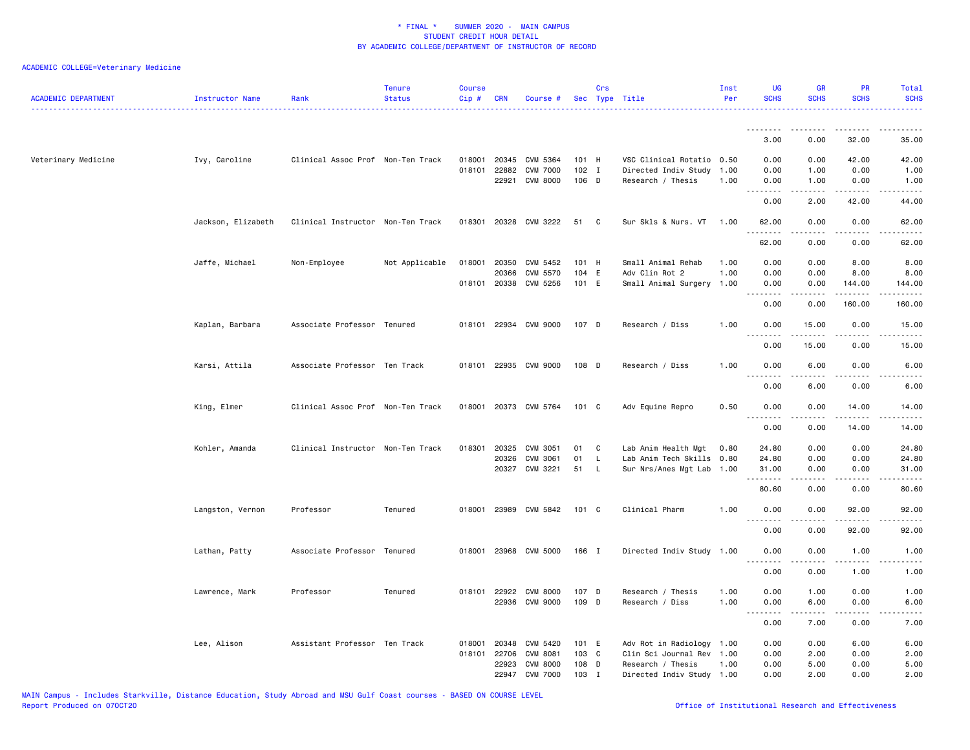| <b>ACADEMIC DEPARTMENT</b> | Instructor Name    | Rank                              | <b>Tenure</b><br><b>Status</b> | <b>Course</b><br>$Cip \#$ | CRN          | Course #              |         | Crs          | Sec Type Title            | Inst<br>Per | <b>UG</b><br><b>SCHS</b>                        | <b>GR</b><br><b>SCHS</b> | PR<br><b>SCHS</b>         | Total<br><b>SCHS</b>           |
|----------------------------|--------------------|-----------------------------------|--------------------------------|---------------------------|--------------|-----------------------|---------|--------------|---------------------------|-------------|-------------------------------------------------|--------------------------|---------------------------|--------------------------------|
|                            |                    |                                   |                                |                           |              |                       |         |              |                           |             |                                                 |                          |                           |                                |
|                            |                    |                                   |                                |                           |              |                       |         |              |                           |             | 3.00                                            | 0.00                     | 32.00                     | 35.00                          |
| Veterinary Medicine        | Ivy, Caroline      | Clinical Assoc Prof Non-Ten Track |                                | 018001                    | 20345        | CVM 5364              | 101 H   |              | VSC Clinical Rotatio      | 0.50        | 0.00                                            | 0.00                     | 42.00                     | 42.00                          |
|                            |                    |                                   |                                | 018101                    | 22882        | <b>CVM 7000</b>       | $102$ I |              | Directed Indiv Study      | 1.00        | 0.00                                            | 1.00                     | 0.00                      | 1.00                           |
|                            |                    |                                   |                                |                           | 22921        | <b>CVM 8000</b>       | 106 D   |              | Research / Thesis         | 1.00        | 0.00<br>.                                       | 1.00<br>.                | 0.00<br>.                 | 1.00<br>$\omega$ is a $\omega$ |
|                            |                    |                                   |                                |                           |              |                       |         |              |                           |             | 0.00                                            | 2.00                     | 42.00                     | 44.00                          |
|                            | Jackson, Elizabeth | Clinical Instructor Non-Ten Track |                                | 018301                    |              | 20328 CVM 3222        | 51      | - C          | Sur Skls & Nurs. VT       | 1.00        | 62.00<br>$- - - - - - -$                        | 0.00<br>.                | 0.00<br>.                 | 62.00<br>.                     |
|                            |                    |                                   |                                |                           |              |                       |         |              |                           |             | 62.00                                           | 0.00                     | 0.00                      | 62.00                          |
|                            | Jaffe, Michael     | Non-Employee                      | Not Applicable                 | 018001                    | 20350        | CVM 5452              | 101 H   |              | Small Animal Rehab        | 1.00        | 0.00                                            | 0.00                     | 8.00                      | 8.00                           |
|                            |                    |                                   |                                |                           | 20366        | CVM 5570              | 104 E   |              | Adv Clin Rot 2            | 1.00        | 0.00                                            | 0.00                     | 8.00                      | 8.00                           |
|                            |                    |                                   |                                |                           |              | 018101 20338 CVM 5256 | 101 E   |              | Small Animal Surgery      | 1.00        | 0.00                                            | 0.00                     | 144.00                    | 144.00                         |
|                            |                    |                                   |                                |                           |              |                       |         |              |                           |             | <u>.</u><br>0.00                                | -----<br>0.00            | $- - - - - - -$<br>160.00 | $- - - - -$<br>160.00          |
|                            | Kaplan, Barbara    | Associate Professor Tenured       |                                |                           |              | 018101 22934 CVM 9000 | 107 D   |              | Research / Diss           | 1.00        | 0.00<br>.                                       | 15.00<br>.               | 0.00<br>.                 | 15.00<br>.                     |
|                            |                    |                                   |                                |                           |              |                       |         |              |                           |             | 0.00                                            | 15.00                    | 0.00                      | 15.00                          |
|                            | Karsi, Attila      | Associate Professor Ten Track     |                                |                           |              | 018101 22935 CVM 9000 | 108 D   |              | Research / Diss           | 1.00        | 0.00<br>.                                       | 6.00<br>.                | 0.00<br>$- - - -$         | 6.00<br>----                   |
|                            |                    |                                   |                                |                           |              |                       |         |              |                           |             | 0.00                                            | 6.00                     | 0.00                      | 6.00                           |
|                            | King, Elmer        | Clinical Assoc Prof Non-Ten Track |                                |                           |              | 018001 20373 CVM 5764 | 101 C   |              | Adv Equine Repro          | 0.50        | 0.00<br>$\sim$ $\sim$ $\sim$ $\sim$<br>$\cdots$ | 0.00<br>.                | 14.00<br>.                | 14.00                          |
|                            |                    |                                   |                                |                           |              |                       |         |              |                           |             | 0.00                                            | 0.00                     | 14.00                     | 14.00                          |
|                            | Kohler, Amanda     | Clinical Instructor Non-Ten Track |                                | 018301                    | 20325        | CVM 3051              | 01      | C            | Lab Anim Health Mgt       | 0.80        | 24.80                                           | 0.00                     | 0.00                      | 24.80                          |
|                            |                    |                                   |                                |                           | 20326        | CVM 3061              | 01      | $\mathsf{L}$ | Lab Anim Tech Skills      | 0.80        | 24.80                                           | 0.00                     | 0.00                      | 24.80                          |
|                            |                    |                                   |                                |                           |              | 20327 CVM 3221        | 51      | - L          | Sur Nrs/Anes Mgt Lab      | 1.00        | 31.00                                           | 0.00                     | 0.00                      | 31.00                          |
|                            |                    |                                   |                                |                           |              |                       |         |              |                           |             | .<br>80.60                                      | .<br>0.00                | .<br>0.00                 | .<br>80.60                     |
|                            | Langston, Vernon   | Professor                         | Tenured                        | 018001                    |              | 23989 CVM 5842        | 101 C   |              | Clinical Pharm            | 1.00        | 0.00                                            | 0.00                     | 92.00                     | 92.00                          |
|                            |                    |                                   |                                |                           |              |                       |         |              |                           |             | .<br>0.00                                       | .<br>0.00                | .<br>92.00                | .<br>92.00                     |
|                            | Lathan, Patty      | Associate Professor Tenured       |                                |                           |              | 018001 23968 CVM 5000 | 166 I   |              | Directed Indiv Study 1.00 |             | 0.00                                            | 0.00                     | 1.00                      | 1.00                           |
|                            |                    |                                   |                                |                           |              |                       |         |              |                           |             | 0.00                                            | 0.00                     | 1.00                      | 1.00                           |
|                            | Lawrence, Mark     | Professor                         | Tenured                        |                           | 018101 22922 | <b>CVM 8000</b>       | 107 D   |              | Research / Thesis         | 1.00        | 0.00                                            | 1.00                     | 0.00                      | 1.00                           |
|                            |                    |                                   |                                |                           |              | 22936 CVM 9000        | 109 D   |              | Research / Diss           | 1.00        | 0.00                                            | 6.00                     | 0.00                      | 6.00                           |
|                            |                    |                                   |                                |                           |              |                       |         |              |                           |             | .<br>0.00                                       | .<br>7.00                | د د د د<br>0.00           | $- - - -$<br>7.00              |
|                            | Lee, Alison        | Assistant Professor Ten Track     |                                | 018001                    | 20348        | CVM 5420              | 101 E   |              | Adv Rot in Radiology      | 1.00        | 0.00                                            | 0.00                     | 6.00                      | 6.00                           |
|                            |                    |                                   |                                | 018101                    | 22706        | <b>CVM 8081</b>       | 103 C   |              | Clin Sci Journal Rev      | 1.00        | 0.00                                            | 2.00                     | 0.00                      | 2.00                           |
|                            |                    |                                   |                                |                           | 22923        | <b>CVM 8000</b>       | 108 D   |              | Research / Thesis         | 1.00        | 0.00                                            | 5.00                     | 0.00                      | 5.00                           |
|                            |                    |                                   |                                |                           | 22947        | <b>CVM 7000</b>       | 103     | I            | Directed Indiv Study 1.00 |             | 0.00                                            | 2.00                     | 0.00                      | 2.00                           |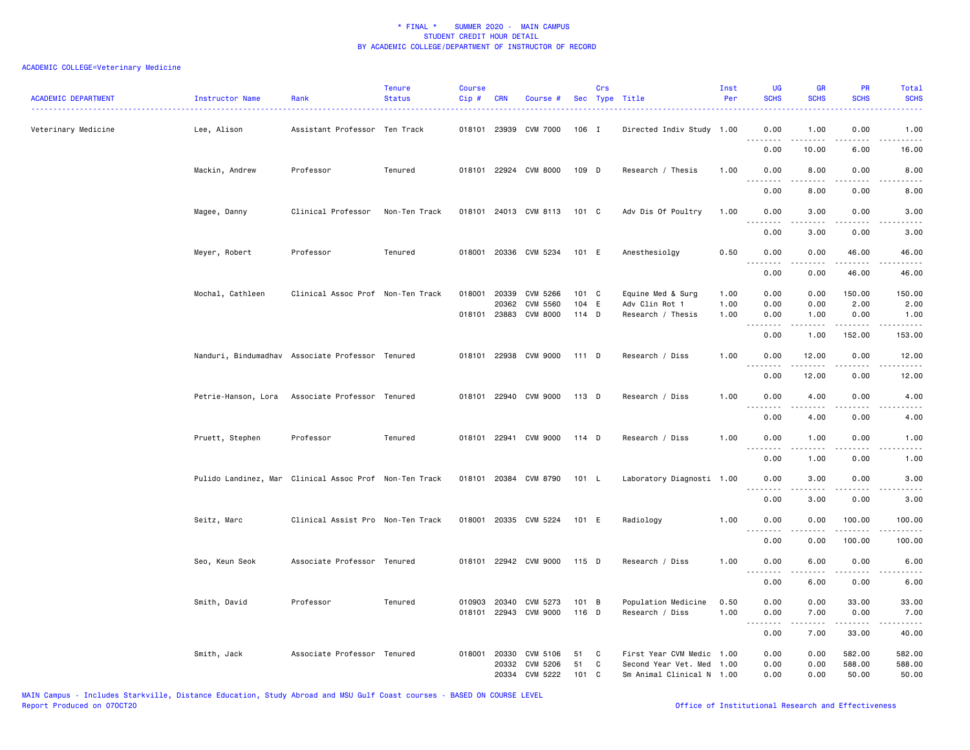| <b>ACADEMIC DEPARTMENT</b> | <b>Instructor Name</b><br><u>.</u> | Rank                                                   | <b>Tenure</b><br><b>Status</b> | <b>Course</b><br>Cip # | CRN          | Course #              |         | Crs | Sec Type Title            | Inst<br>Per | <b>UG</b><br><b>SCHS</b> | <b>GR</b><br><b>SCHS</b>                                                                                                                                                                | PR<br><b>SCHS</b>   | Total<br><b>SCHS</b>                                                                                                              |
|----------------------------|------------------------------------|--------------------------------------------------------|--------------------------------|------------------------|--------------|-----------------------|---------|-----|---------------------------|-------------|--------------------------|-----------------------------------------------------------------------------------------------------------------------------------------------------------------------------------------|---------------------|-----------------------------------------------------------------------------------------------------------------------------------|
| Veterinary Medicine        | Lee, Alison                        | Assistant Professor Ten Track                          |                                |                        |              | 018101 23939 CVM 7000 | 106 I   |     | Directed Indiv Study 1.00 |             | 0.00<br>.                | 1.00<br>$\frac{1}{2} \left( \frac{1}{2} \right) \left( \frac{1}{2} \right) \left( \frac{1}{2} \right) \left( \frac{1}{2} \right) \left( \frac{1}{2} \right) \left( \frac{1}{2} \right)$ | 0.00                | 1.00<br>$\frac{1}{2} \left( \frac{1}{2} \right) \left( \frac{1}{2} \right) \left( \frac{1}{2} \right) \left( \frac{1}{2} \right)$ |
|                            |                                    |                                                        |                                |                        |              |                       |         |     |                           |             | 0.00                     | 10.00                                                                                                                                                                                   | 6.00                | 16.00                                                                                                                             |
|                            | Mackin, Andrew                     | Professor                                              | Tenured                        |                        |              | 018101 22924 CVM 8000 | 109 D   |     | Research / Thesis         | 1.00        | 0.00<br>$  -$<br>.       | 8.00<br>.                                                                                                                                                                               | 0.00<br>.           | 8.00<br>$- - - -$                                                                                                                 |
|                            |                                    |                                                        |                                |                        |              |                       |         |     |                           |             | 0.00                     | 8.00                                                                                                                                                                                    | 0.00                | 8.00                                                                                                                              |
|                            | Magee, Danny                       | Clinical Professor                                     | Non-Ten Track                  |                        |              | 018101 24013 CVM 8113 | 101 C   |     | Adv Dis Of Poultry        | 1.00        | 0.00<br>.                | 3.00<br>-----                                                                                                                                                                           | 0.00<br>.           | 3.00<br>$- - - -$                                                                                                                 |
|                            |                                    |                                                        |                                |                        |              |                       |         |     |                           |             | 0.00                     | 3.00                                                                                                                                                                                    | 0.00                | 3.00                                                                                                                              |
|                            | Meyer, Robert                      | Professor                                              | Tenured                        |                        |              | 018001 20336 CVM 5234 | 101 E   |     | Anesthesiolgy             | 0.50        | 0.00<br>.                | 0.00<br>.                                                                                                                                                                               | 46.00<br>.          | 46.00<br>.                                                                                                                        |
|                            |                                    |                                                        |                                |                        |              |                       |         |     |                           |             | 0.00                     | 0.00                                                                                                                                                                                    | 46.00               | 46.00                                                                                                                             |
|                            | Mochal, Cathleen                   | Clinical Assoc Prof Non-Ten Track                      |                                | 018001                 | 20339        | CVM 5266              | 101 C   |     | Equine Med & Surg         | 1.00        | 0.00                     | 0.00                                                                                                                                                                                    | 150.00              | 150.00                                                                                                                            |
|                            |                                    |                                                        |                                |                        | 20362        | <b>CVM 5560</b>       | 104 E   |     | Adv Clin Rot 1            | 1.00        | 0.00                     | 0.00                                                                                                                                                                                    | 2.00                | 2.00                                                                                                                              |
|                            |                                    |                                                        |                                |                        | 018101 23883 | CVM 8000              | $114$ D |     | Research / Thesis         | 1.00        | 0.00<br>.                | 1.00<br>.                                                                                                                                                                               | 0.00<br>.           | 1.00<br>$- - - - -$                                                                                                               |
|                            |                                    |                                                        |                                |                        |              |                       |         |     |                           |             | 0.00                     | 1.00                                                                                                                                                                                    | 152.00              | 153.00                                                                                                                            |
|                            |                                    | Nanduri, Bindumadhav Associate Professor Tenured       |                                |                        |              | 018101 22938 CVM 9000 | 111 D   |     | Research / Diss           | 1.00        | 0.00<br>.                | 12.00<br>.                                                                                                                                                                              | 0.00<br>.           | 12.00<br>.                                                                                                                        |
|                            |                                    |                                                        |                                |                        |              |                       |         |     |                           |             | 0.00                     | 12.00                                                                                                                                                                                   | 0.00                | 12.00                                                                                                                             |
|                            | Petrie-Hanson, Lora                | Associate Professor Tenured                            |                                |                        |              | 018101 22940 CVM 9000 | 113 D   |     | Research / Diss           | 1.00        | 0.00<br>.                | 4.00                                                                                                                                                                                    | 0.00<br>.           | 4.00                                                                                                                              |
|                            |                                    |                                                        |                                |                        |              |                       |         |     |                           |             | 0.00                     | 4.00                                                                                                                                                                                    | 0.00                | 4.00                                                                                                                              |
|                            | Pruett, Stephen                    | Professor                                              | Tenured                        |                        |              | 018101 22941 CVM 9000 | 114 D   |     | Research / Diss           | 1.00        | 0.00<br><u>.</u>         | 1.00<br>.                                                                                                                                                                               | 0.00<br>.           | 1.00<br>$- - - -$                                                                                                                 |
|                            |                                    |                                                        |                                |                        |              |                       |         |     |                           |             | 0.00                     | 1.00                                                                                                                                                                                    | 0.00                | 1.00                                                                                                                              |
|                            |                                    | Pulido Landinez, Mar Clinical Assoc Prof Non-Ten Track |                                |                        |              | 018101 20384 CVM 8790 | 101 L   |     | Laboratory Diagnosti 1.00 |             | 0.00<br>.                | 3.00                                                                                                                                                                                    | 0.00                | 3.00                                                                                                                              |
|                            |                                    |                                                        |                                |                        |              |                       |         |     |                           |             | 0.00                     | 3.00                                                                                                                                                                                    | 0.00                | 3.00                                                                                                                              |
|                            | Seitz, Marc                        | Clinical Assist Pro Non-Ten Track                      |                                |                        |              | 018001 20335 CVM 5224 | 101 E   |     | Radiology                 | 1.00        | 0.00                     | 0.00                                                                                                                                                                                    | 100.00              | 100.00                                                                                                                            |
|                            |                                    |                                                        |                                |                        |              |                       |         |     |                           |             | 0.00                     | 0.00                                                                                                                                                                                    | 100.00              | 100.00                                                                                                                            |
|                            | Seo, Keun Seok                     | Associate Professor Tenured                            |                                |                        |              | 018101 22942 CVM 9000 | 115 D   |     | Research / Diss           | 1.00        | 0.00                     | 6.00                                                                                                                                                                                    | 0.00                | 6.00                                                                                                                              |
|                            |                                    |                                                        |                                |                        |              |                       |         |     |                           |             | .<br>0.00                | 6.00                                                                                                                                                                                    | 0.00                | 6.00                                                                                                                              |
|                            | Smith, David                       | Professor                                              | Tenured                        |                        |              | 010903 20340 CVM 5273 | 101 B   |     | Population Medicine       | 0.50        | 0.00                     | 0.00                                                                                                                                                                                    | 33.00               | 33.00                                                                                                                             |
|                            |                                    |                                                        |                                |                        |              | 018101 22943 CVM 9000 | 116 D   |     | Research / Diss           | 1.00        | 0.00<br>.                | 7.00<br>$- - - - -$                                                                                                                                                                     | 0.00<br>$- - - - -$ | 7.00<br>.                                                                                                                         |
|                            |                                    |                                                        |                                |                        |              |                       |         |     |                           |             | 0.00                     | 7.00                                                                                                                                                                                    | 33.00               | 40.00                                                                                                                             |
|                            | Smith, Jack                        | Associate Professor Tenured                            |                                | 018001                 | 20330        | CVM 5106              | 51      | C   | First Year CVM Medic      | 1.00        | 0.00                     | 0.00                                                                                                                                                                                    | 582.00              | 582.00                                                                                                                            |
|                            |                                    |                                                        |                                |                        | 20332        | CVM 5206              | 51      | C   | Second Year Vet. Med      | 1.00        | 0.00                     | 0.00                                                                                                                                                                                    | 588.00              | 588.00                                                                                                                            |
|                            |                                    |                                                        |                                |                        |              | 20334 CVM 5222        | 101     | C   | Sm Animal Clinical N 1.00 |             | 0.00                     | 0.00                                                                                                                                                                                    | 50.00               | 50.00                                                                                                                             |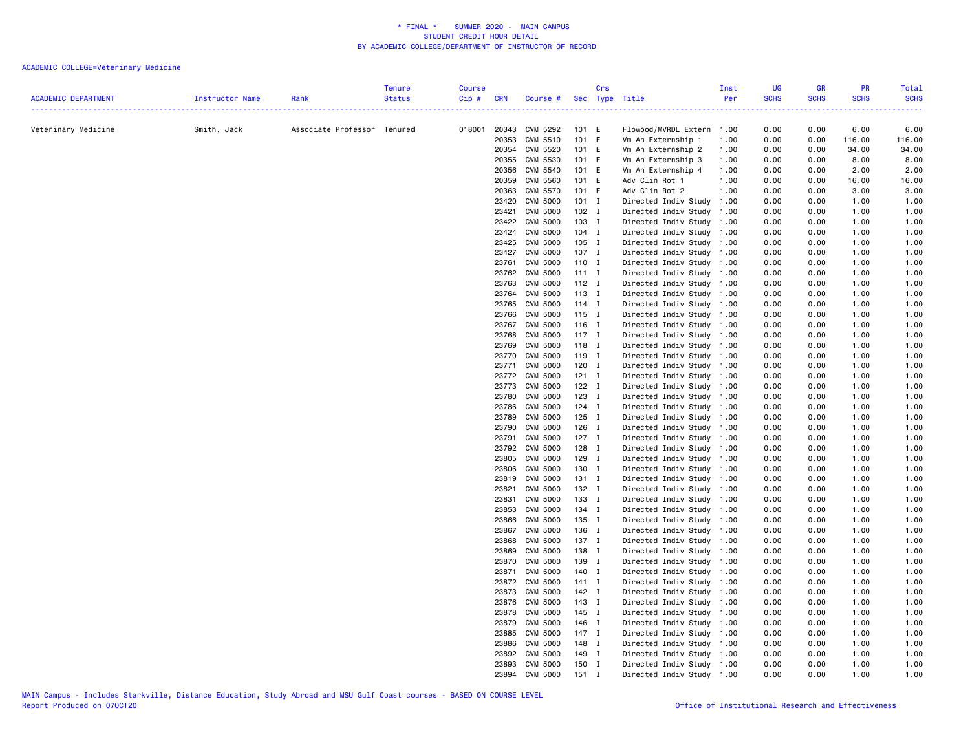| <b>ACADEMIC DEPARTMENT</b> | Instructor Name | Rank                        | <b>Tenure</b><br><b>Status</b> | <b>Course</b><br>Cip# | <b>CRN</b>     | Course # Sec Type Title            |                | Crs |                                                        | Inst<br>Per | <b>UG</b><br><b>SCHS</b> | <b>GR</b><br><b>SCHS</b> | <b>PR</b><br><b>SCHS</b> | <b>Total</b><br><b>SCHS</b> |
|----------------------------|-----------------|-----------------------------|--------------------------------|-----------------------|----------------|------------------------------------|----------------|-----|--------------------------------------------------------|-------------|--------------------------|--------------------------|--------------------------|-----------------------------|
| Veterinary Medicine        | Smith, Jack     | Associate Professor Tenured |                                |                       |                | 018001 20343 CVM 5292              | 101 E          |     | Flowood/MVRDL Extern 1.00                              |             | .<br>0.00                | 0.00                     | 6.00                     | 6.00                        |
|                            |                 |                             |                                |                       | 20353          | CVM 5510                           | 101 E          |     | Vm An Externship 1                                     | 1.00        | 0.00                     | 0.00                     | 116.00                   | 116.00                      |
|                            |                 |                             |                                |                       | 20354          | CVM 5520                           | 101 E          |     | Vm An Externship 2                                     | 1.00        | 0.00                     | 0.00                     | 34.00                    | 34.00                       |
|                            |                 |                             |                                |                       | 20355          | CVM 5530                           | 101 E          |     | Vm An Externship 3                                     | 1.00        | 0.00                     | 0.00                     | 8.00                     | 8.00                        |
|                            |                 |                             |                                |                       | 20356          | CVM 5540                           | 101 E          |     | Vm An Externship 4                                     | 1.00        | 0.00                     | 0.00                     | 2.00                     | 2.00                        |
|                            |                 |                             |                                |                       | 20359          | <b>CVM 5560</b>                    | 101 E          |     | Adv Clin Rot 1                                         | 1.00        | 0.00                     | 0.00                     | 16.00                    | 16.00                       |
|                            |                 |                             |                                |                       | 20363          | CVM 5570                           | 101 E          |     | Adv Clin Rot 2                                         | 1.00        | 0.00                     | 0.00                     | 3.00                     | 3.00                        |
|                            |                 |                             |                                |                       | 23420          | <b>CVM 5000</b>                    | $101$ I        |     | Directed Indiv Study                                   | 1.00        | 0.00                     | 0.00                     | 1.00                     | 1.00                        |
|                            |                 |                             |                                |                       | 23421          | <b>CVM 5000</b>                    | $102$ I        |     | Directed Indiv Study                                   | 1.00        | 0.00                     | 0.00                     | 1.00                     | 1.00                        |
|                            |                 |                             |                                |                       | 23422          | <b>CVM 5000</b>                    | 103 I          |     | Directed Indiv Study                                   | 1.00        | 0.00                     | 0.00                     | 1.00                     | 1.00                        |
|                            |                 |                             |                                |                       | 23424          | <b>CVM 5000</b>                    | 104 I          |     | Directed Indiv Study                                   | 1.00        | 0.00                     | 0.00                     | 1.00                     | 1.00                        |
|                            |                 |                             |                                |                       | 23425          | CVM 5000<br>CVM 5000               | 105 I<br>107 I |     | Directed Indiv Study 1.00                              |             | 0.00                     | 0.00                     | 1.00                     | 1.00                        |
|                            |                 |                             |                                |                       | 23427<br>23761 | CVM 5000                           | $110$ I        |     | Directed Indiv Study 1.00<br>Directed Indiv Study 1.00 |             | 0.00<br>0.00             | 0.00<br>0.00             | 1.00<br>1.00             | 1.00<br>1.00                |
|                            |                 |                             |                                |                       | 23762          | <b>CVM 5000</b>                    | $111$ I        |     | Directed Indiv Study 1.00                              |             | 0.00                     | 0.00                     | 1.00                     | 1.00                        |
|                            |                 |                             |                                |                       | 23763          | CVM 5000                           | 112 I          |     | Directed Indiv Study 1.00                              |             | 0.00                     | 0.00                     | 1.00                     | 1.00                        |
|                            |                 |                             |                                |                       | 23764          | <b>CVM 5000</b>                    | 113 I          |     | Directed Indiv Study 1.00                              |             | 0.00                     | 0.00                     | 1.00                     | 1.00                        |
|                            |                 |                             |                                |                       | 23765          | <b>CVM 5000</b>                    | $114$ I        |     | Directed Indiv Study 1.00                              |             | 0.00                     | 0.00                     | 1.00                     | 1.00                        |
|                            |                 |                             |                                |                       | 23766          | <b>CVM 5000</b>                    | 115 I          |     | Directed Indiv Study 1.00                              |             | 0.00                     | 0.00                     | 1.00                     | 1.00                        |
|                            |                 |                             |                                |                       |                | 23767 CVM 5000                     | $116$ I        |     | Directed Indiv Study 1.00                              |             | 0.00                     | 0.00                     | 1.00                     | 1.00                        |
|                            |                 |                             |                                |                       | 23768          | <b>CVM 5000</b>                    | $117$ I        |     | Directed Indiv Study 1.00                              |             | 0.00                     | 0.00                     | 1.00                     | 1.00                        |
|                            |                 |                             |                                |                       | 23769          | <b>CVM 5000</b>                    | 118 I          |     | Directed Indiv Study 1.00                              |             | 0.00                     | 0.00                     | 1.00                     | 1.00                        |
|                            |                 |                             |                                |                       | 23770          | <b>CVM 5000</b>                    | 119 I          |     | Directed Indiv Study 1.00                              |             | 0.00                     | 0.00                     | 1.00                     | 1.00                        |
|                            |                 |                             |                                |                       | 23771          | <b>CVM 5000</b>                    | 120 I          |     | Directed Indiv Study 1.00                              |             | 0.00                     | 0.00                     | 1.00                     | 1.00                        |
|                            |                 |                             |                                |                       | 23772          | <b>CVM 5000</b>                    | $121$ I        |     | Directed Indiv Study 1.00                              |             | 0.00                     | 0.00                     | 1.00                     | 1.00                        |
|                            |                 |                             |                                |                       | 23773          | <b>CVM 5000</b>                    | $122$ I        |     | Directed Indiv Study 1.00                              |             | 0.00                     | 0.00                     | 1.00                     | 1.00                        |
|                            |                 |                             |                                |                       | 23780          | <b>CVM 5000</b>                    | $123$ I        |     | Directed Indiv Study 1.00                              |             | 0.00                     | 0.00                     | 1.00                     | 1.00                        |
|                            |                 |                             |                                |                       | 23786          | <b>CVM 5000</b>                    | 124 I          |     | Directed Indiv Study 1.00                              |             | 0.00                     | 0.00                     | 1.00                     | 1.00                        |
|                            |                 |                             |                                |                       | 23789          | <b>CVM 5000</b>                    | $125$ I        |     | Directed Indiv Study 1.00                              |             | 0.00                     | 0.00                     | 1.00                     | 1.00                        |
|                            |                 |                             |                                |                       | 23790          | <b>CVM 5000</b>                    | 126 I          |     | Directed Indiv Study 1.00                              |             | 0.00                     | 0.00                     | 1.00                     | 1.00                        |
|                            |                 |                             |                                |                       | 23791          | <b>CVM 5000</b>                    | $127$ I        |     | Directed Indiv Study 1.00                              |             | 0.00                     | 0.00                     | 1.00                     | 1.00                        |
|                            |                 |                             |                                |                       | 23792<br>23805 | <b>CVM 5000</b><br><b>CVM 5000</b> | 128 I<br>129 I |     | Directed Indiv Study 1.00                              |             | 0.00<br>0.00             | 0.00<br>0.00             | 1.00<br>1.00             | 1.00                        |
|                            |                 |                             |                                |                       | 23806          | <b>CVM 5000</b>                    | 130 I          |     | Directed Indiv Study 1.00<br>Directed Indiv Study 1.00 |             | 0.00                     | 0.00                     | 1.00                     | 1.00<br>1.00                |
|                            |                 |                             |                                |                       | 23819          | CVM 5000                           | 131 I          |     | Directed Indiv Study 1.00                              |             | 0.00                     | 0.00                     | 1.00                     | 1.00                        |
|                            |                 |                             |                                |                       | 23821          | CVM 5000                           | 132 I          |     | Directed Indiv Study 1.00                              |             | 0.00                     | 0.00                     | 1.00                     | 1.00                        |
|                            |                 |                             |                                |                       | 23831          | <b>CVM 5000</b>                    | 133 I          |     | Directed Indiv Study 1.00                              |             | 0.00                     | 0.00                     | 1.00                     | 1.00                        |
|                            |                 |                             |                                |                       | 23853          | <b>CVM 5000</b>                    | 134 I          |     | Directed Indiv Study 1.00                              |             | 0.00                     | 0.00                     | 1.00                     | 1.00                        |
|                            |                 |                             |                                |                       | 23866          | <b>CVM 5000</b>                    | 135 I          |     | Directed Indiv Study 1.00                              |             | 0.00                     | 0.00                     | 1.00                     | 1.00                        |
|                            |                 |                             |                                |                       | 23867          | <b>CVM 5000</b>                    | 136 I          |     | Directed Indiv Study 1.00                              |             | 0.00                     | 0.00                     | 1.00                     | 1.00                        |
|                            |                 |                             |                                |                       | 23868          | <b>CVM 5000</b>                    | 137 I          |     | Directed Indiv Study 1.00                              |             | 0.00                     | 0.00                     | 1.00                     | 1.00                        |
|                            |                 |                             |                                |                       | 23869          | <b>CVM 5000</b>                    | 138 I          |     | Directed Indiv Study 1.00                              |             | 0.00                     | 0.00                     | 1.00                     | 1.00                        |
|                            |                 |                             |                                |                       | 23870          | <b>CVM 5000</b>                    | 139 I          |     | Directed Indiv Study 1.00                              |             | 0.00                     | 0.00                     | 1.00                     | 1.00                        |
|                            |                 |                             |                                |                       | 23871          | CVM 5000                           | 140 I          |     | Directed Indiv Study 1.00                              |             | 0.00                     | 0.00                     | 1.00                     | 1.00                        |
|                            |                 |                             |                                |                       | 23872          | <b>CVM 5000</b>                    | $141$ I        |     | Directed Indiv Study 1.00                              |             | 0.00                     | 0.00                     | 1.00                     | 1.00                        |
|                            |                 |                             |                                |                       | 23873          | <b>CVM 5000</b>                    | 142 I          |     | Directed Indiv Study 1.00                              |             | 0.00                     | 0.00                     | 1.00                     | 1.00                        |
|                            |                 |                             |                                |                       | 23876          | CVM 5000                           | 143 I          |     | Directed Indiv Study 1.00                              |             | 0.00                     | 0.00                     | 1.00                     | 1.00                        |
|                            |                 |                             |                                |                       | 23878          | <b>CVM 5000</b>                    | 145 I          |     | Directed Indiv Study 1.00                              |             | 0.00                     | 0.00                     | 1.00                     | 1.00                        |
|                            |                 |                             |                                |                       | 23879          | <b>CVM 5000</b>                    | 146 I          |     | Directed Indiv Study 1.00                              |             | 0.00                     | 0.00                     | 1.00                     | 1.00                        |
|                            |                 |                             |                                |                       | 23885          | CVM 5000                           | 147 I          |     | Directed Indiv Study 1.00                              |             | 0.00                     | 0.00                     | 1.00                     | 1.00                        |
|                            |                 |                             |                                |                       | 23886          | <b>CVM 5000</b>                    | 148 I          |     | Directed Indiv Study 1.00                              |             | 0.00                     | 0.00                     | 1.00                     | 1.00                        |
|                            |                 |                             |                                |                       | 23892<br>23893 | <b>CVM 5000</b><br><b>CVM 5000</b> | 149 I<br>150 I |     | Directed Indiv Study 1.00<br>Directed Indiv Study 1.00 |             | 0.00<br>0.00             | 0.00<br>0.00             | 1.00<br>1.00             | 1.00<br>1.00                |
|                            |                 |                             |                                |                       |                | 23894 CVM 5000                     | $151$ I        |     | Directed Indiv Study 1.00                              |             | 0.00                     | 0.00                     | 1.00                     | 1.00                        |
|                            |                 |                             |                                |                       |                |                                    |                |     |                                                        |             |                          |                          |                          |                             |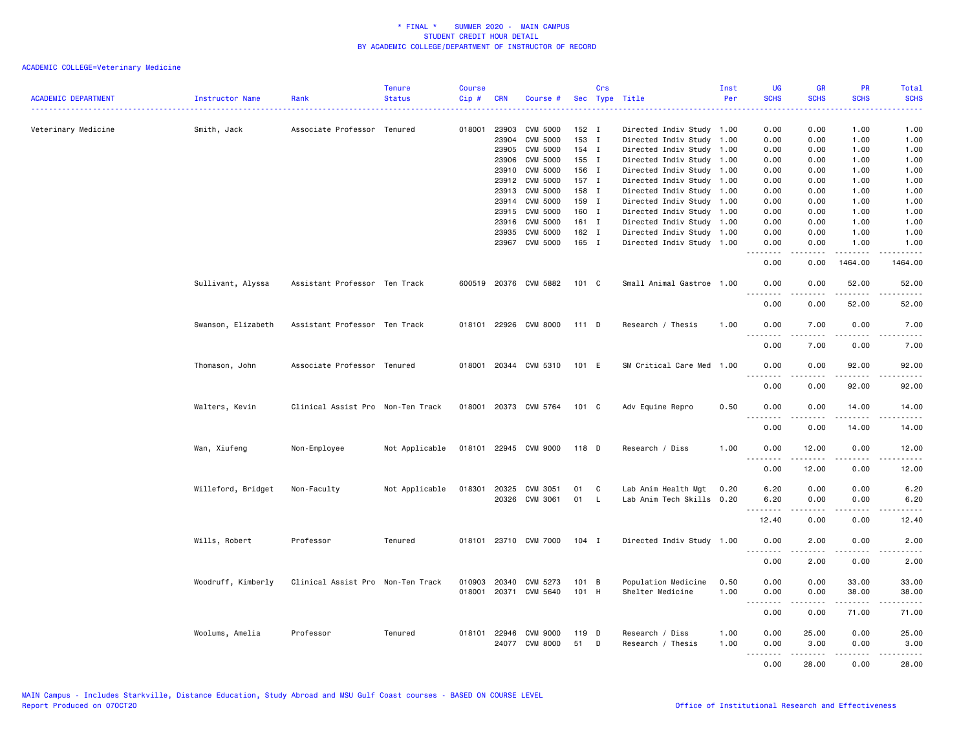| <b>ACADEMIC DEPARTMENT</b> | Instructor Name    | Rank                              | <b>Tenure</b><br><b>Status</b> | <b>Course</b><br>Cip# | <b>CRN</b> | Course #                                |           | Crs          | Sec Type Title                       | Inst<br>Per  | UG<br><b>SCHS</b> | <b>GR</b><br><b>SCHS</b> | PR<br><b>SCHS</b>        | Total<br><b>SCHS</b> |
|----------------------------|--------------------|-----------------------------------|--------------------------------|-----------------------|------------|-----------------------------------------|-----------|--------------|--------------------------------------|--------------|-------------------|--------------------------|--------------------------|----------------------|
| Veterinary Medicine        | Smith, Jack        | Associate Professor Tenured       |                                | 018001                | 23903      | CVM 5000                                | 152 I     |              | Directed Indiv Study 1.00            |              | 0.00              | 0.00                     | 1.00                     | 1.00                 |
|                            |                    |                                   |                                |                       | 23904      | <b>CVM 5000</b>                         | 153 I     |              | Directed Indiv Study 1.00            |              | 0.00              | 0.00                     | 1.00                     | 1.00                 |
|                            |                    |                                   |                                |                       | 23905      | <b>CVM 5000</b>                         | 154 I     |              | Directed Indiv Study 1.00            |              | 0.00              | 0.00                     | 1.00                     | 1.00                 |
|                            |                    |                                   |                                |                       | 23906      | <b>CVM 5000</b>                         | 155 I     |              | Directed Indiv Study 1.00            |              | 0.00              | 0.00                     | 1.00                     | 1.00                 |
|                            |                    |                                   |                                |                       | 23910      | CVM 5000                                | 156 I     |              | Directed Indiv Study 1.00            |              | 0.00              | 0.00                     | 1.00                     | 1.00                 |
|                            |                    |                                   |                                |                       | 23912      | <b>CVM 5000</b>                         | 157 I     |              | Directed Indiv Study 1.00            |              | 0.00              | 0.00                     | 1.00                     | 1.00                 |
|                            |                    |                                   |                                |                       | 23913      | CVM 5000                                | 158 I     |              | Directed Indiv Study 1.00            |              | 0.00              | 0.00                     | 1.00                     | 1.00                 |
|                            |                    |                                   |                                |                       | 23914      | <b>CVM 5000</b>                         | 159 I     |              | Directed Indiv Study 1.00            |              | 0.00              | 0.00                     | 1.00                     | 1.00                 |
|                            |                    |                                   |                                |                       | 23915      | <b>CVM 5000</b>                         | 160 I     |              | Directed Indiv Study 1.00            |              | 0.00              | 0.00                     | 1.00                     | 1.00                 |
|                            |                    |                                   |                                |                       | 23916      | CVM 5000                                | $161$ I   |              | Directed Indiv Study 1.00            |              | 0.00              | 0.00                     | 1.00                     | 1.00                 |
|                            |                    |                                   |                                |                       | 23935      | <b>CVM 5000</b>                         | 162 I     |              | Directed Indiv Study 1.00            |              | 0.00              | 0.00                     | 1.00                     | 1.00                 |
|                            |                    |                                   |                                |                       | 23967      | CVM 5000                                | 165 I     |              | Directed Indiv Study 1.00            |              | 0.00              | 0.00<br>.                | 1.00<br>.                | 1.00                 |
|                            |                    |                                   |                                |                       |            |                                         |           |              |                                      |              | .<br>0.00         | 0.00                     | 1464.00                  | .<br>1464.00         |
|                            | Sullivant, Alyssa  | Assistant Professor Ten Track     |                                |                       |            | 600519 20376 CVM 5882                   | 101 C     |              | Small Animal Gastroe 1.00            |              | 0.00<br>.         | 0.00                     | 52.00<br><u>.</u>        | 52.00<br>.           |
|                            |                    |                                   |                                |                       |            |                                         |           |              |                                      |              | 0.00              | 0.00                     | 52.00                    | 52.00                |
|                            | Swanson, Elizabeth | Assistant Professor Ten Track     |                                |                       |            | 018101 22926 CVM 8000                   | 111 D     |              | Research / Thesis                    | 1.00         | 0.00<br><u>.</u>  | 7.00<br>.                | 0.00<br>.                | 7.00<br>.            |
|                            |                    |                                   |                                |                       |            |                                         |           |              |                                      |              | 0.00              | 7.00                     | 0.00                     | 7.00                 |
|                            | Thomason, John     | Associate Professor Tenured       |                                |                       |            | 018001 20344 CVM 5310                   | 101 E     |              | SM Critical Care Med 1.00            |              | 0.00<br><u>.</u>  | 0.00<br>$- - - -$        | 92.00<br>$- - - - -$     | 92.00<br>$- - - - -$ |
|                            |                    |                                   |                                |                       |            |                                         |           |              |                                      |              | 0.00              | 0.00                     | 92.00                    | 92.00                |
|                            | Walters, Kevin     | Clinical Assist Pro Non-Ten Track |                                |                       |            | 018001 20373 CVM 5764                   | 101 C     |              | Adv Equine Repro                     | 0.50         | 0.00<br>-----     | 0.00<br>.                | 14.00<br>$- - - - -$     | 14.00<br>.           |
|                            |                    |                                   |                                |                       |            |                                         |           |              |                                      |              | 0.00              | 0.00                     | 14.00                    | 14.00                |
|                            | Wan, Xiufeng       | Non-Employee                      | Not Applicable                 |                       |            | 018101 22945 CVM 9000                   | 118 D     |              | Research / Diss                      | 1.00         | 0.00<br>.         | 12.00<br>.               | 0.00<br>.                | 12.00<br>.           |
|                            |                    |                                   |                                |                       |            |                                         |           |              |                                      |              | 0.00              | 12.00                    | 0.00                     | 12.00                |
|                            | Willeford, Bridget | Non-Faculty                       | Not Applicable                 | 018301                | 20325      | CVM 3051                                | 01        | C            | Lab Anim Health Mgt                  | 0.20         | 6.20              | 0.00                     | 0.00                     | 6.20                 |
|                            |                    |                                   |                                |                       |            | 20326 CVM 3061                          | 01        | $\mathsf{L}$ | Lab Anim Tech Skills 0.20            |              | 6.20              | 0.00                     | 0.00                     | 6.20                 |
|                            |                    |                                   |                                |                       |            |                                         |           |              |                                      |              | <u>.</u>          | .                        | .                        | $- - - - -$          |
|                            |                    |                                   |                                |                       |            |                                         |           |              |                                      |              | 12.40             | 0.00                     | 0.00                     | 12.40                |
|                            | Wills, Robert      | Professor                         | Tenured                        |                       |            | 018101 23710 CVM 7000                   | $104$ I   |              | Directed Indiv Study 1.00            |              | 0.00<br><u>.</u>  | 2.00                     | 0.00                     | 2.00                 |
|                            |                    |                                   |                                |                       |            |                                         |           |              |                                      |              | 0.00              | <u>.</u><br>2.00         | .<br>0.00                | -----<br>2.00        |
|                            |                    |                                   |                                |                       |            |                                         |           |              |                                      |              |                   |                          |                          |                      |
|                            | Woodruff, Kimberly | Clinical Assist Pro Non-Ten Track |                                | 010903                | 20340      | CVM 5273                                | 101 B     |              | Population Medicine                  | 0.50         | 0.00              | 0.00                     | 33.00                    | 33.00                |
|                            |                    |                                   |                                |                       |            | 018001 20371 CVM 5640                   | 101 H     |              | Shelter Medicine                     | 1.00         | 0.00              | 0.00                     | 38.00                    | 38.00                |
|                            |                    |                                   |                                |                       |            |                                         |           |              |                                      |              | .<br>0.00         | .<br>0.00                | المتمام المتعاد<br>71.00 | .<br>71.00           |
|                            |                    |                                   |                                |                       |            |                                         |           |              |                                      |              |                   |                          |                          |                      |
|                            | Woolums, Amelia    | Professor                         | Tenured                        |                       |            | 018101 22946 CVM 9000<br>24077 CVM 8000 | 119<br>51 | D<br>D       | Research / Diss<br>Research / Thesis | 1.00<br>1.00 | 0.00<br>0.00      | 25.00<br>3.00            | 0.00<br>0.00             | 25.00<br>3.00        |
|                            |                    |                                   |                                |                       |            |                                         |           |              |                                      |              | <u>.</u>          | .                        | $- - - - -$              | .                    |
|                            |                    |                                   |                                |                       |            |                                         |           |              |                                      |              | 0.00              | 28.00                    | 0.00                     | 28.00                |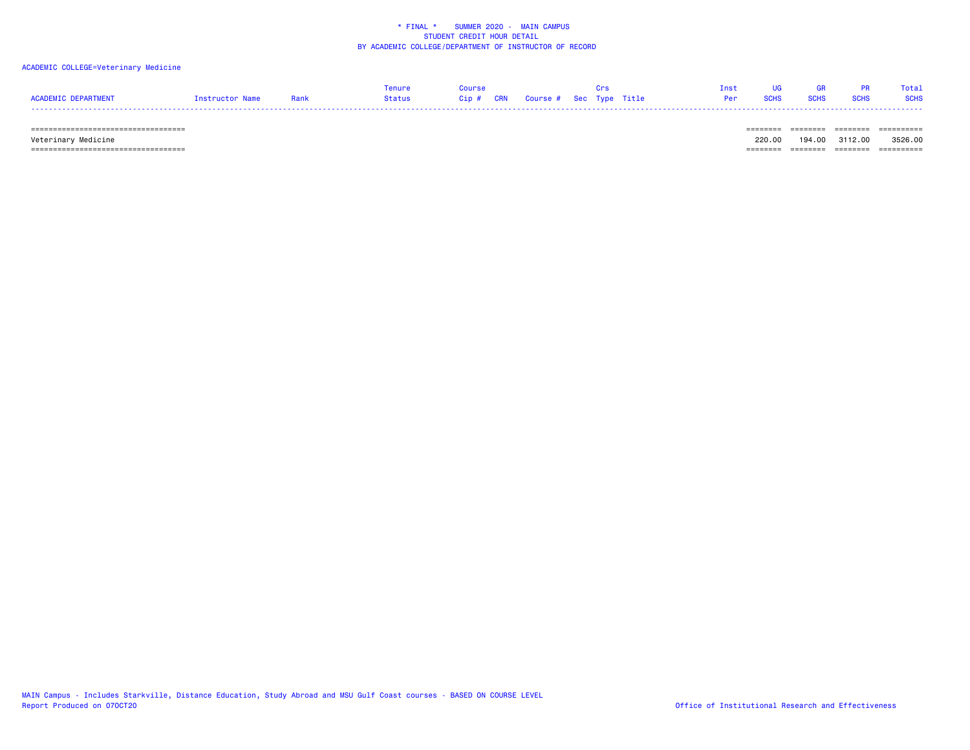### ACADEMIC COLLEGE=Veterinary Medicine

|                     |                 |      | Tenure | Course                            |  |  | Tnst UG         | <b>GR</b>   |                  | <b>PR</b> Total |
|---------------------|-----------------|------|--------|-----------------------------------|--|--|-----------------|-------------|------------------|-----------------|
| ACADEMIC DEPARTMENT | Instructor Name | Rank | Status | Cip # CRN Course # Sec Type Title |  |  | <b>Per</b> SCHS | <b>SCHS</b> | <b>SCHS</b> SCHS |                 |
|                     |                 |      |        |                                   |  |  |                 |             |                  |                 |

 =================================== ======== ======== ======== ========== Veterinary Medicine 220.00 194.00 3112.00 3526.00 =================================== ======== ======== ======== ==========